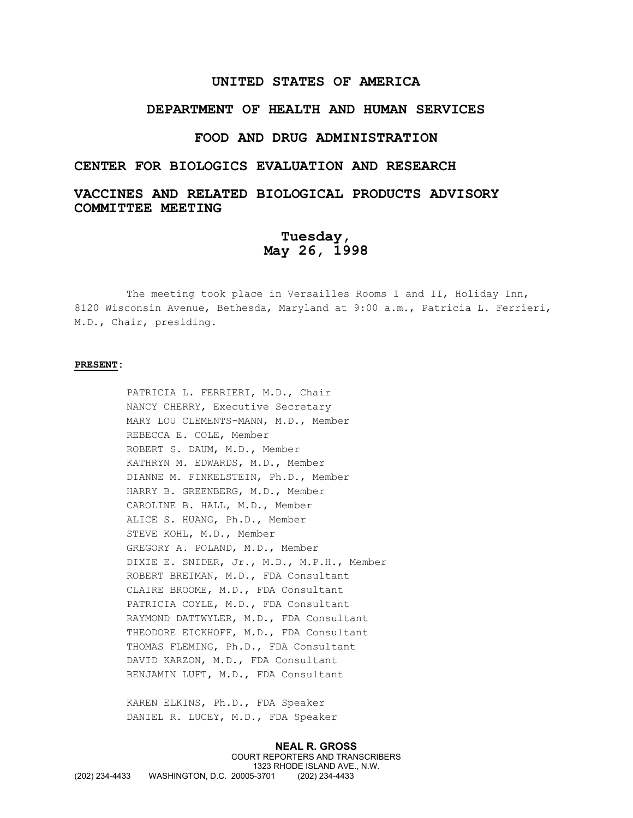## **UNITED STATES OF AMERICA**

## **DEPARTMENT OF HEALTH AND HUMAN SERVICES**

# **FOOD AND DRUG ADMINISTRATION**

### **CENTER FOR BIOLOGICS EVALUATION AND RESEARCH**

# **VACCINES AND RELATED BIOLOGICAL PRODUCTS ADVISORY COMMITTEE MEETING**

# **Tuesday, May 26, 1998**

 The meeting took place in Versailles Rooms I and II, Holiday Inn, 8120 Wisconsin Avenue, Bethesda, Maryland at 9:00 a.m., Patricia L. Ferrieri, M.D., Chair, presiding.

#### **PRESENT:**

 PATRICIA L. FERRIERI, M.D., Chair NANCY CHERRY, Executive Secretary MARY LOU CLEMENTS-MANN, M.D., Member REBECCA E. COLE, Member ROBERT S. DAUM, M.D., Member KATHRYN M. EDWARDS, M.D., Member DIANNE M. FINKELSTEIN, Ph.D., Member HARRY B. GREENBERG, M.D., Member CAROLINE B. HALL, M.D., Member ALICE S. HUANG, Ph.D., Member STEVE KOHL, M.D., Member GREGORY A. POLAND, M.D., Member DIXIE E. SNIDER, Jr., M.D., M.P.H., Member ROBERT BREIMAN, M.D., FDA Consultant CLAIRE BROOME, M.D., FDA Consultant PATRICIA COYLE, M.D., FDA Consultant RAYMOND DATTWYLER, M.D., FDA Consultant THEODORE EICKHOFF, M.D., FDA Consultant THOMAS FLEMING, Ph.D., FDA Consultant DAVID KARZON, M.D., FDA Consultant BENJAMIN LUFT, M.D., FDA Consultant

 KAREN ELKINS, Ph.D., FDA Speaker DANIEL R. LUCEY, M.D., FDA Speaker

#### **NEAL R. GROSS**

COURT REPORTERS AND TRANSCRIBERS 1323 RHODE ISLAND AVE., N.W. (202) 234-4433 WASHINGTON, D.C. 20005-3701 (202) 234-4433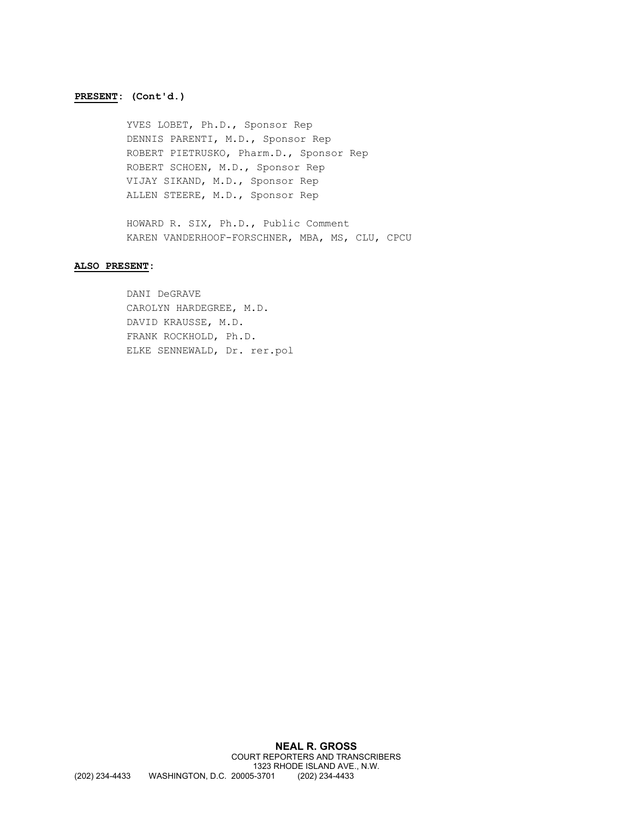### **PRESENT: (Cont'd.)**

YVES LOBET, Ph.D., Sponsor Rep DENNIS PARENTI, M.D., Sponsor Rep ROBERT PIETRUSKO, Pharm.D., Sponsor Rep ROBERT SCHOEN, M.D., Sponsor Rep VIJAY SIKAND, M.D., Sponsor Rep ALLEN STEERE, M.D., Sponsor Rep

 HOWARD R. SIX, Ph.D., Public Comment KAREN VANDERHOOF-FORSCHNER, MBA, MS, CLU, CPCU

#### **ALSO PRESENT:**

 DANI DeGRAVE CAROLYN HARDEGREE, M.D. DAVID KRAUSSE, M.D. FRANK ROCKHOLD, Ph.D. ELKE SENNEWALD, Dr. rer.pol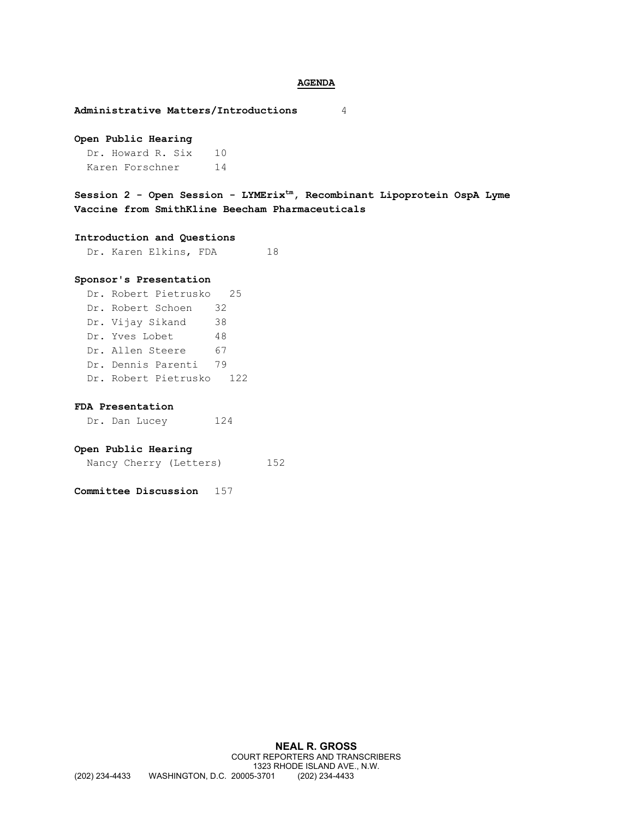## **AGENDA**

**Administrative Matters/Introductions** 4

#### **Open Public Hearing**

Dr. Howard R. Six 10 Karen Forschner 14

**Session 2 - Open Session - LYMErixtm, Recombinant Lipoprotein OspA Lyme Vaccine from SmithKline Beecham Pharmaceuticals**

#### **Introduction and Questions**

Dr. Karen Elkins, FDA 18

## **Sponsor's Presentation**

 Dr. Robert Pietrusko 25 Dr. Robert Schoen 32 Dr. Vijay Sikand 38 Dr. Yves Lobet 48 Dr. Allen Steere 67 Dr. Dennis Parenti 79 Dr. Robert Pietrusko 122

#### **FDA Presentation**

Dr. Dan Lucey 124

## **Open Public Hearing**

Nancy Cherry (Letters) 152

**Committee Discussion** 157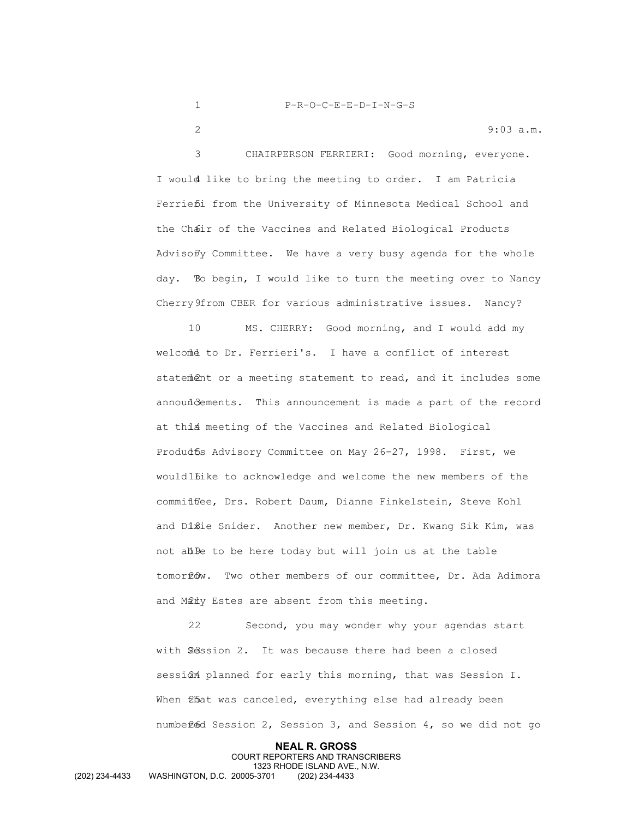$P-R-O-C-E-E-D-I-N-G-S$ 

2 9:03 a.m.

 CHAIRPERSON FERRIERI: Good morning, everyone. 3 I would like to bring the meeting to order. I am Patricia Ferriefi from the University of Minnesota Medical School and the Chair of the Vaccines and Related Biological Products Advisofly Committee. We have a very busy agenda for the whole day. To begin, I would like to turn the meeting over to Nancy Cherry 9from CBER for various administrative issues. Nancy?

10 MS. CHERRY: Good morning, and I would add my welcome to Dr. Ferrieri's. I have a conflict of interest statement or a meeting statement to read, and it includes some announcements. This announcement is made a part of the record at this meeting of the Vaccines and Related Biological Produdt5s Advisory Committee on May 26-27, 1998. First, we would 1 bike to acknowledge and welcome the new members of the commitfee, Drs. Robert Daum, Dianne Finkelstein, Steve Kohl and Di%ie Snider. Another new member, Dr. Kwang Sik Kim, was not able to be here today but will join us at the table tomoriow. Two other members of our committee, Dr. Ada Adimora and Many Estes are absent from this meeting.

22 Second, you may wonder why your agendas start with Session 2. It was because there had been a closed sessi $@A$  planned for early this morning, that was Session I. When that was canceled, everything else had already been numbered Session 2, Session 3, and Session 4, so we did not go

**NEAL R. GROSS** COURT REPORTERS AND TRANSCRIBERS 1323 RHODE ISLAND AVE., N.W. (202) 234-4433 WASHINGTON, D.C. 20005-3701 (202) 234-4433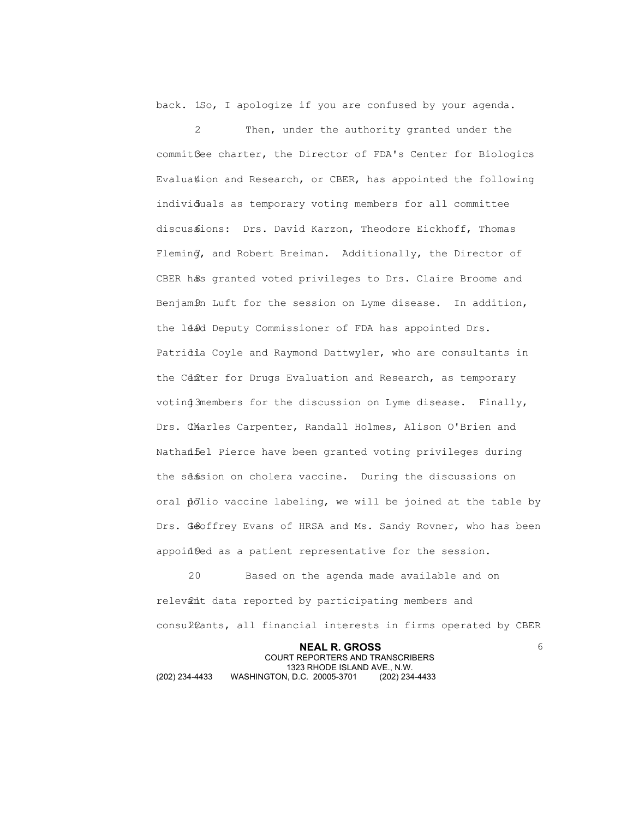back. 1So, I apologize if you are confused by your agenda.

2 Then, under the authority granted under the committee charter, the Director of FDA's Center for Biologics Evaluation and Research, or CBER, has appointed the following individuals as temporary voting members for all committee discussions: Drs. David Karzon, Theodore Eickhoff, Thomas Fleming, and Robert Breiman. Additionally, the Director of CBER has granted voted privileges to Drs. Claire Broome and Benjamin Luft for the session on Lyme disease. In addition, the land Deputy Commissioner of FDA has appointed Drs. Patridia Coyle and Raymond Dattwyler, who are consultants in the Canter for Drugs Evaluation and Research, as temporary voting 3members for the discussion on Lyme disease. Finally, Drs. Charles Carpenter, Randall Holmes, Alison O'Brien and Nathand Fierce have been granted voting privileges during the session on cholera vaccine. During the discussions on oral polio vaccine labeling, we will be joined at the table by Drs. G&offrey Evans of HRSA and Ms. Sandy Rovner, who has been appointed as a patient representative for the session.

 Based on the agenda made available and on 20 relevant data reported by participating members and consultants, all financial interests in firms operated by CBER

**NEAL R. GROSS** COURT REPORTERS AND TRANSCRIBERS 1323 RHODE ISLAND AVE., N.W. (202) 234-4433 WASHINGTON, D.C. 20005-3701 (202) 234-4433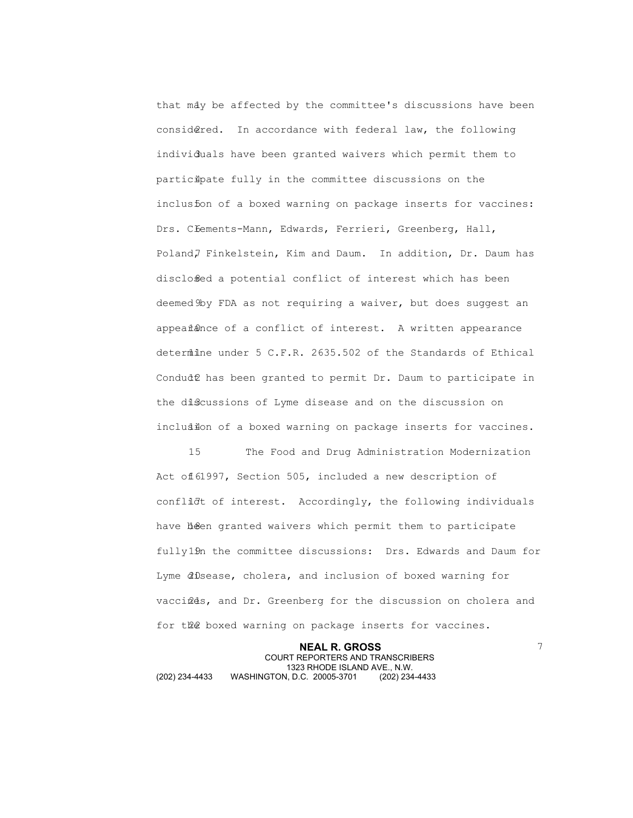that may be affected by the committee's discussions have been considered. In accordance with federal law, the following individuals have been granted waivers which permit them to participate fully in the committee discussions on the inclusfon of a boxed warning on package inserts for vaccines: Drs. Clements-Mann, Edwards, Ferrieri, Greenberg, Hall, Poland, Finkelstein, Kim and Daum. In addition, Dr. Daum has disclosed a potential conflict of interest which has been deemed 9by FDA as not requiring a waiver, but does suggest an appeait@nce of a conflict of interest. A written appearance determine under  $5 \text{ C.F.R. } 2635.502$  of the Standards of Ethical Condudt has been granted to permit Dr. Daum to participate in the discussions of Lyme disease and on the discussion on inclusion of a boxed warning on package inserts for vaccines.

15 The Food and Drug Administration Modernization Act of 61997, Section 505, included a new description of conflict of interest. Accordingly, the following individuals have been granted waivers which permit them to participate fully 19n the committee discussions: Drs. Edwards and Daum for Lyme @10sease, cholera, and inclusion of boxed warning for vaccines, and Dr. Greenberg for the discussion on cholera and for the boxed warning on package inserts for vaccines.

**NEAL R. GROSS** COURT REPORTERS AND TRANSCRIBERS 1323 RHODE ISLAND AVE., N.W. (202) 234-4433 WASHINGTON, D.C. 20005-3701 (202) 234-4433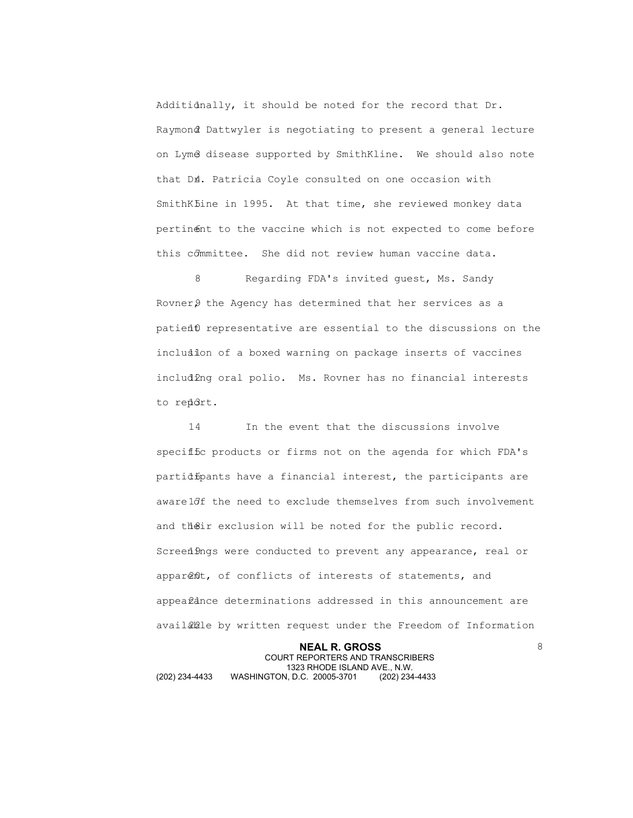Additionally, it should be noted for the record that Dr. Raymond Dattwyler is negotiating to present a general lecture on Lyme disease supported by SmithKline. We should also note that DA. Patricia Coyle consulted on one occasion with SmithK Line in 1995. At that time, she reviewed monkey data pertinent to the vaccine which is not expected to come before this committee. She did not review human vaccine data.

8 Regarding FDA's invited quest, Ms. Sandy Rovner 9 the Agency has determined that her services as a patient representative are essential to the discussions on the inclusion of a boxed warning on package inserts of vaccines includ2ng oral polio. Ms. Rovner has no financial interests to report.

 In the event that the discussions involve 14 specifibc products or firms not on the agenda for which FDA's partidipants have a financial interest, the participants are aware 1df the need to exclude themselves from such involvement and their exclusion will be noted for the public record. Screent Dngs were conducted to prevent any appearance, real or apparent, of conflicts of interests of statements, and appeafdnce determinations addressed in this announcement are available by written request under the Freedom of Information

**NEAL R. GROSS** COURT REPORTERS AND TRANSCRIBERS 1323 RHODE ISLAND AVE., N.W. (202) 234-4433 WASHINGTON, D.C. 20005-3701 (202) 234-4433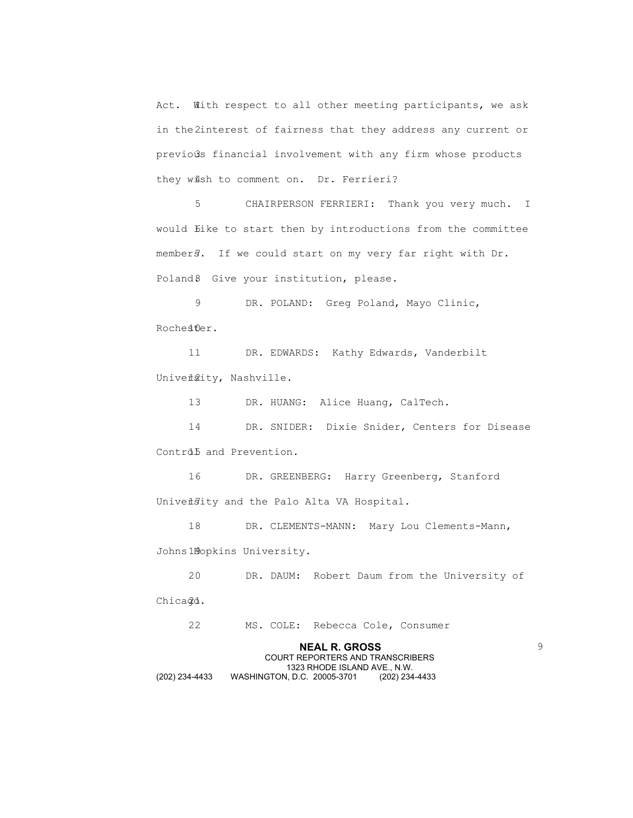Act. With respect to all other meeting participants, we ask in the 2interest of fairness that they address any current or previous financial involvement with any firm whose products they wish to comment on. Dr. Ferrieri?

5 CHAIRPERSON FERRIERI: Thank you very much. I would bike to start then by introductions from the committee members. If we could start on my very far right with Dr. Poland8 Give your institution, please.

9 DR. POLAND: Greg Poland, Mayo Clinic, Rochester.

11 DR. EDWARDS: Kathy Edwards, Vanderbilt University, Nashville.

13 DR. HUANG: Alice Huang, CalTech.

14 DR. SNIDER: Dixie Snider, Centers for Disease Control and Prevention.

16 DR. GREENBERG: Harry Greenberg, Stanford Univeisity and the Palo Alta VA Hospital.

18 DR. CLEMENTS-MANN: Mary Lou Clements-Mann, Johns 199 opkins University.

20 DR. DAUM: Robert Daum from the University of Chica@d.

22 MS. COLE: Rebecca Cole, Consumer

**NEAL R. GROSS** COURT REPORTERS AND TRANSCRIBERS 1323 RHODE ISLAND AVE., N.W. (202) 234-4433 WASHINGTON, D.C. 20005-3701 (202) 234-4433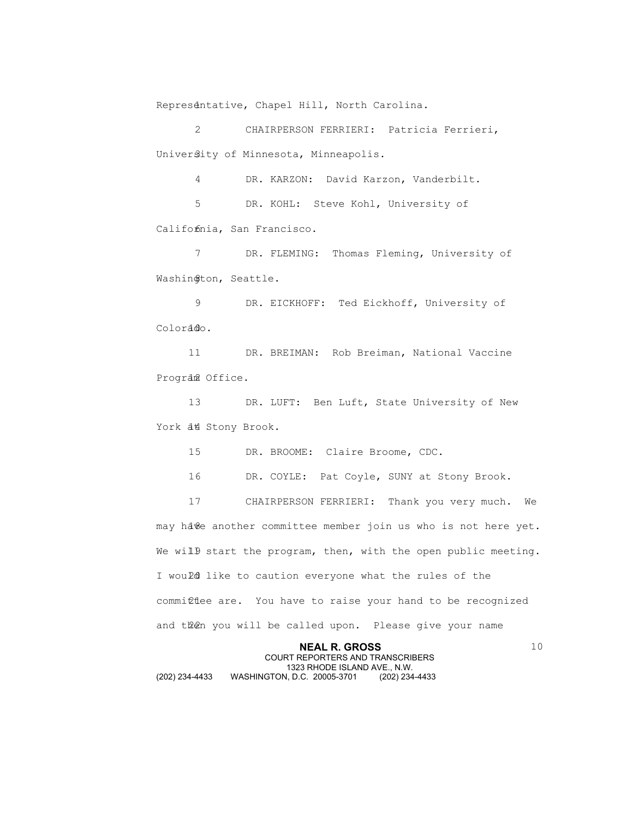Representative, Chapel Hill, North Carolina.

 CHAIRPERSON FERRIERI: Patricia Ferrieri, 2 University of Minnesota, Minneapolis.

DR. KARZON: David Karzon, Vanderbilt. 4

5 DR. KOHL: Steve Kohl, University of California, San Francisco.

7 DR. FLEMING: Thomas Fleming, University of Washin&ton, Seattle.

9 DR. EICKHOFF: Ted Eickhoff, University of Colorado.

11 DR. BREIMAN: Rob Breiman, National Vaccine Program Office.

13 DR. LUFT: Ben Luft, State University of New York at Stony Brook.

15 DR. BROOME: Claire Broome, CDC.

16 DR. COYLE: Pat Coyle, SUNY at Stony Brook.

17 CHAIRPERSON FERRIERI: Thank you very much. We may have another committee member join us who is not here yet. We will start the program, then, with the open public meeting. I would like to caution everyone what the rules of the committee are. You have to raise your hand to be recognized and then you will be called upon. Please give your name

**NEAL R. GROSS** COURT REPORTERS AND TRANSCRIBERS 1323 RHODE ISLAND AVE., N.W. (202) 234-4433 WASHINGTON, D.C. 20005-3701 (202) 234-4433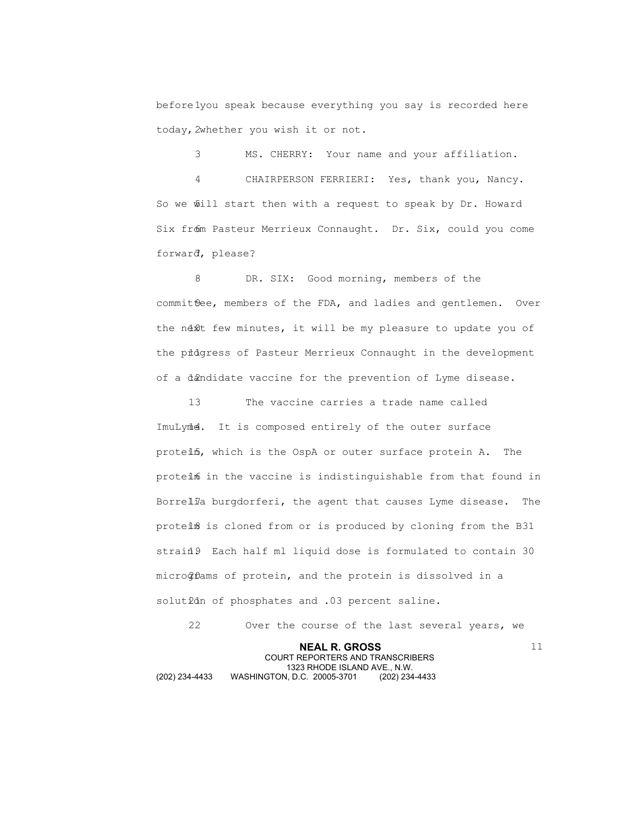before lyou speak because everything you say is recorded here today, 2whether you wish it or not.

 MS. CHERRY: Your name and your affiliation. 3 CHAIRPERSON FERRIERI: Yes, thank you, Nancy. 4 So we will start then with a request to speak by Dr. Howard Six from Pasteur Merrieux Connaught. Dr. Six, could you come forward, please? 7

8 DR. SIX: Good morning, members of the committee, members of the FDA, and ladies and gentlemen. Over the next few minutes, it will be my pleasure to update you of the pidgress of Pasteur Merrieux Connaught in the development of a dandidate vaccine for the prevention of Lyme disease.

13 The vaccine carries a trade name called ImuLymd. It is composed entirely of the outer surface protein, which is the OspA or outer surface protein A. The protein in the vaccine is indistinguishable from that found in Borreliza burgdorferi, the agent that causes Lyme disease. The protein is cloned from or is produced by cloning from the B31 strain 9 Each half ml liquid dose is formulated to contain 30 microgfams of protein, and the protein is dissolved in a  $solut2dn$  of phosphates and  $.03$  percent saline.

22 Over the course of the last several years, we

**NEAL R. GROSS** COURT REPORTERS AND TRANSCRIBERS 1323 RHODE ISLAND AVE., N.W. (202) 234-4433 WASHINGTON, D.C. 20005-3701 (202) 234-4433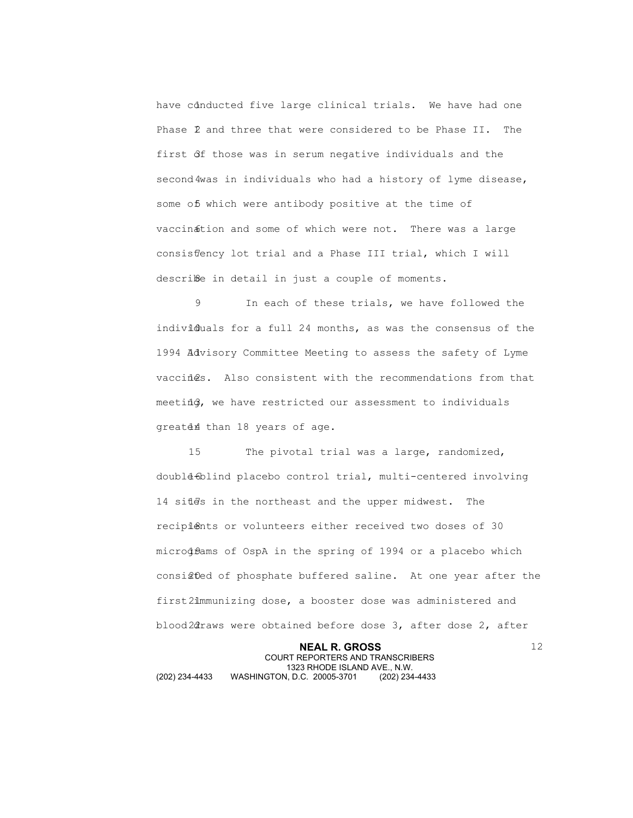have conducted five large clinical trials. We have had one Phase  $\Sigma$  and three that were considered to be Phase II. The first of those was in serum negative individuals and the second 4was in individuals who had a history of lyme disease, some of which were antibody positive at the time of vaccination and some of which were not. There was a large consisfency lot trial and a Phase III trial, which I will describe in detail in just a couple of moments.

9 In each of these trials, we have followed the individuals for a full 24 months, as was the consensus of the 1994 Advisory Committee Meeting to assess the safety of Lyme vaccines. Also consistent with the recommendations from that meeting, we have restricted our assessment to individuals greated than 18 years of age.

15 The pivotal trial was a large, randomized, double-blind placebo control trial, multi-centered involving 14 sites in the northeast and the upper midwest. The recipients or volunteers either received two doses of 30 microd Bams of OspA in the spring of 1994 or a placebo which consigted of phosphate buffered saline. At one year after the first 21mmunizing dose, a booster dose was administered and blood 2draws were obtained before dose 3, after dose 2, after

**NEAL R. GROSS** COURT REPORTERS AND TRANSCRIBERS 1323 RHODE ISLAND AVE., N.W. (202) 234-4433 WASHINGTON, D.C. 20005-3701 (202) 234-4433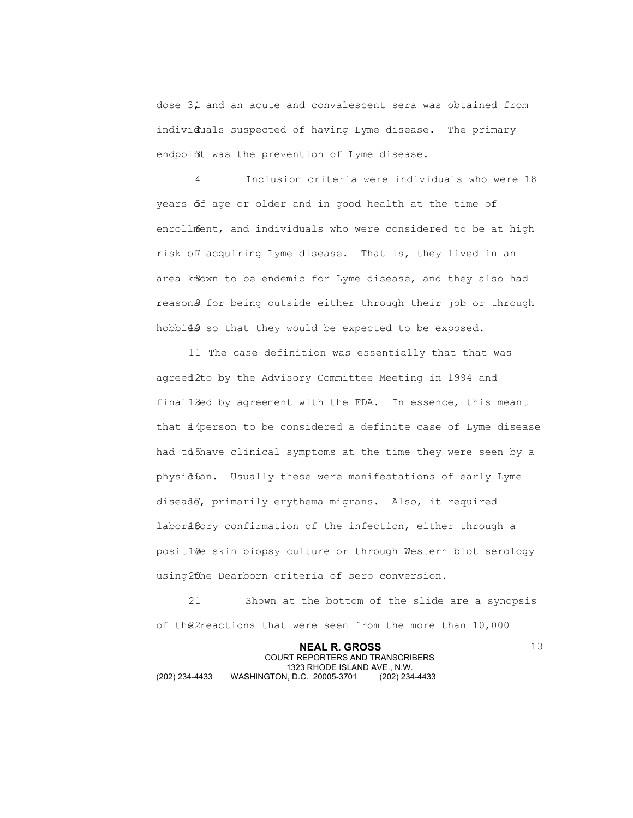dose 31 and an acute and convalescent sera was obtained from individuals suspected of having Lyme disease. The primary endpoint was the prevention of Lyme disease.

 Inclusion criteria were individuals who were 18 4 years of age or older and in good health at the time of enrollment, and individuals who were considered to be at high risk of acquiring Lyme disease. That is, they lived in an area known to be endemic for Lyme disease, and they also had reason§ for being outside either through their job or through hobbids so that they would be expected to be exposed.

11 The case definition was essentially that that was agreed 2to by the Advisory Committee Meeting in 1994 and finalized by agreement with the FDA. In essence, this meant that a 4person to be considered a definite case of Lyme disease had to 5have clinical symptoms at the time they were seen by a physidfan. Usually these were manifestations of early Lyme diseasd, primarily erythema migrans. Also, it required labord fory confirmation of the infection, either through a positive skin biopsy culture or through Western blot serology using 2the Dearborn criteria of sero conversion.

21 Shown at the bottom of the slide are a synopsis of th $\ell$  reactions that were seen from the more than 10,000

**NEAL R. GROSS** COURT REPORTERS AND TRANSCRIBERS 1323 RHODE ISLAND AVE., N.W. (202) 234-4433 WASHINGTON, D.C. 20005-3701 (202) 234-4433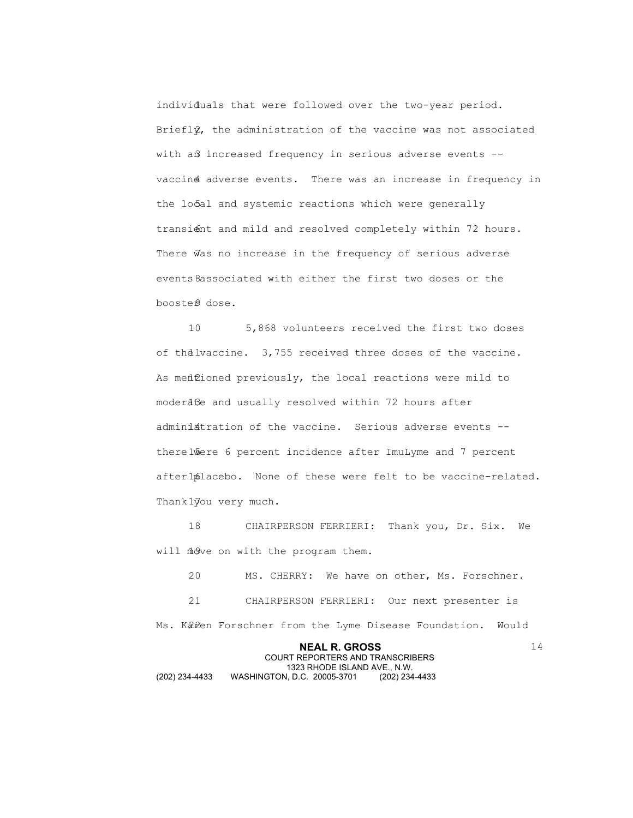individuals that were followed over the two-year period. Briefl $\varphi$ , the administration of the vaccine was not associated with and increased frequency in serious adverse events  $-$ vaccine adverse events. There was an increase in frequency in the lo<sub>b</sub>al and systemic reactions which were generally transient and mild and resolved completely within 72 hours. There Was no increase in the frequency of serious adverse events 8associated with either the first two doses or the booste<sup>p</sup> dose.

 5,868 volunteers received the first two doses 10 of thé lvaccine. 3,755 received three doses of the vaccine. As mentlioned previously, the local reactions were mild to moderate and usually resolved within 72 hours after administration of the vaccine. Serious adverse events -there 1were 6 percent incidence after ImuLyme and 7 percent after lplacebo. None of these were felt to be vaccine-related. Thank 170u very much.

18 CHAIRPERSON FERRIERI: Thank you, Dr. Six. We will move on with the program them.

20 MS. CHERRY: We have on other, Ms. Forschner. CHAIRPERSON FERRIERI: Our next presenter is 21 Ms. Katen Forschner from the Lyme Disease Foundation. Would

**NEAL R. GROSS** COURT REPORTERS AND TRANSCRIBERS 1323 RHODE ISLAND AVE., N.W. (202) 234-4433 WASHINGTON, D.C. 20005-3701 (202) 234-4433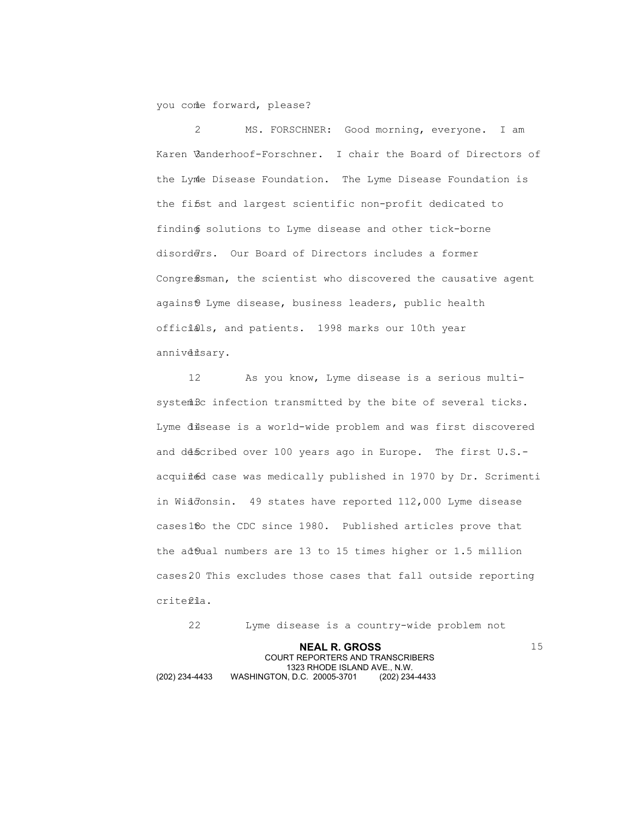you come forward, please?

2 MS. FORSCHNER: Good morning, everyone. I am Karen Vanderhoof-Forschner. I chair the Board of Directors of the Lyme Disease Foundation. The Lyme Disease Foundation is the fifst and largest scientific non-profit dedicated to findin $6$  solutions to Lyme disease and other tick-borne disorders. Our Board of Directors includes a former Congressman, the scientist who discovered the causative agent  $a$ gains $\theta$  Lyme disease, business leaders, public health officials, and patients. 1998 marks our 10th year annivéisary.

12 As you know, Lyme disease is a serious multisystemic infection transmitted by the bite of several ticks. Lyme disease is a world-wide problem and was first discovered and described over 100 years ago in Europe. The first U.S.acquified case was medically published in 1970 by Dr. Scrimenti in Wisdonsin. 49 states have reported  $112,000$  Lyme disease cases 160 the CDC since 1980. Published articles prove that the ad $\theta$ ual numbers are 13 to 15 times higher or 1.5 million cases 20 This excludes those cases that fall outside reporting crite<sub>21a.</sub>

Lyme disease is a country-wide problem not 22

**NEAL R. GROSS** COURT REPORTERS AND TRANSCRIBERS 1323 RHODE ISLAND AVE., N.W.<br>1323 RHODE ISLAND AVE., N.W.<br>I, D.C. 20005-3701 (202) 234-4433 (202) 234-4433 WASHINGTON, D.C. 20005-3701 (202) 234-4433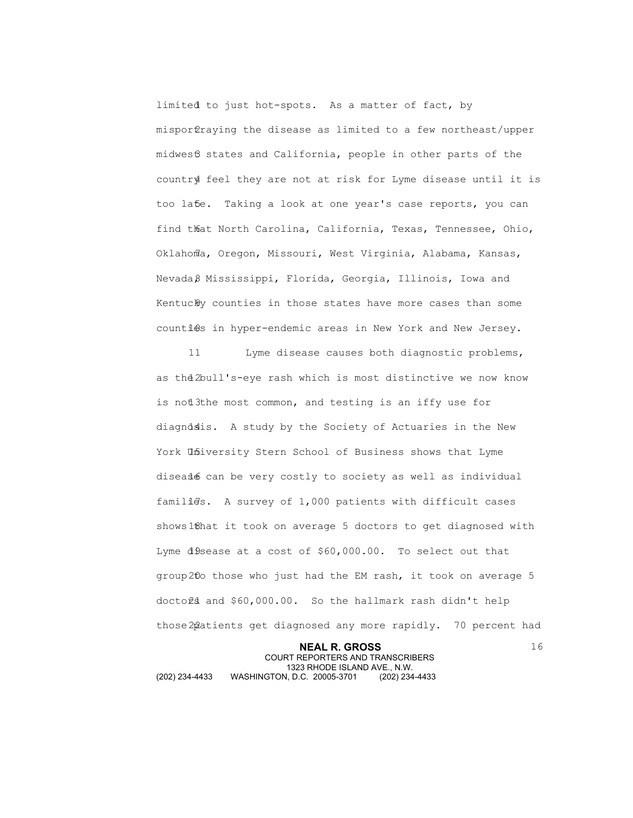limited to just hot-spots. As a matter of fact, by 1 misportraying the disease as limited to a few northeast/upper midwest states and California, people in other parts of the countr¢ feel they are not at risk for Lyme disease until it is too lafe. Taking a look at one year's case reports, you can find that North Carolina, California, Texas, Tennessee, Ohio, Oklahoma, Oregon, Missouri, West Virginia, Alabama, Kansas, Nevadaß Mississippi, Florida, Georgia, Illinois, Iowa and Kentucky counties in those states have more cases than some counti@s in hyper-endemic areas in New York and New Jersey.

 Lyme disease causes both diagnostic problems, 11 as the 2bull's-eye rash which is most distinctive we now know is not 3the most common, and testing is an iffy use for diagndsis. A study by the Society of Actuaries in the New York University Stern School of Business shows that Lyme diseadé can be very costly to society as well as individual families. A survey of 1,000 patients with difficult cases shows 18 hat it took on average 5 doctors to get diagnosed with Lyme disease at a cost of  $$60,000.00$ . To select out that group 200 those who just had the EM rash, it took on average 5 doctofd and \$60,000.00. So the hallmark rash didn't help those 2patients get diagnosed any more rapidly. 70 percent had

**NEAL R. GROSS** COURT REPORTERS AND TRANSCRIBERS 1323 RHODE ISLAND AVE., N.W. (202) 234-4433 WASHINGTON, D.C. 20005-3701 (202) 234-4433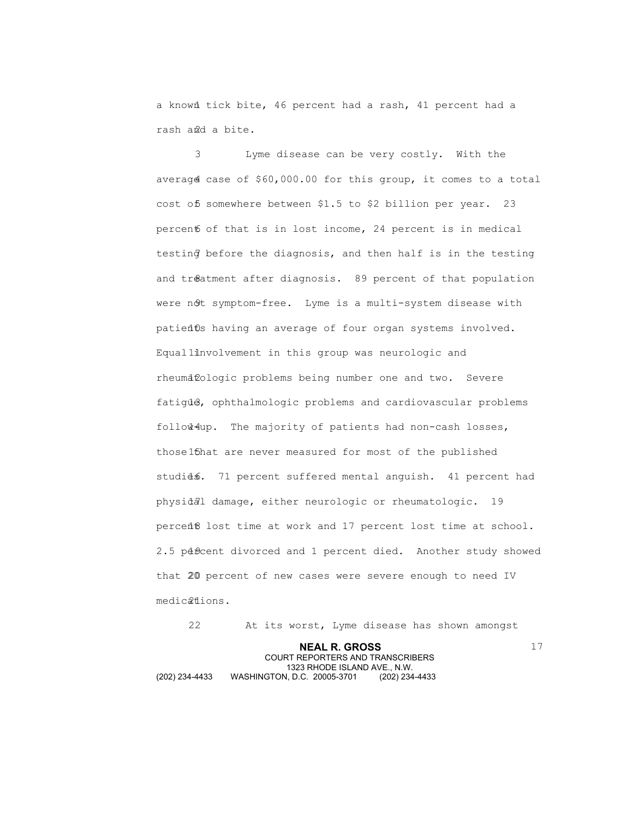a known tick bite, 46 percent had a rash, 41 percent had a rash and a bite.

 Lyme disease can be very costly. With the 3 average case of \$60,000.00 for this group, it comes to a total cost of somewhere between \$1.5 to \$2 billion per year. 23 percent of that is in lost income, 24 percent is in medical testing before the diagnosis, and then half is in the testing and treatment after diagnosis. 89 percent of that population were not symptom-free. Lyme is a multi-system disease with patients having an average of four organ systems involved. Equal linvolvement in this group was neurologic and rheumatologic problems being number one and two. Severe fatigue, ophthalmologic problems and cardiovascular problems follow-4up. The majority of patients had non-cash losses, those 15hat are never measured for most of the published studies. 71 percent suffered mental anguish. 41 percent had physidal damage, either neurologic or rheumatologic. 19 percent lost time at work and 17 percent lost time at school. 2.5 pafcent divorced and 1 percent died. Another study showed that 20 percent of new cases were severe enough to need IV medic<sub>ations</sub>.

22 At its worst, Lyme disease has shown amongst

**NEAL R. GROSS** COURT REPORTERS AND TRANSCRIBERS 1323 RHODE ISLAND AVE., N.W. (202) 234-4433 WASHINGTON, D.C. 20005-3701 (202) 234-4433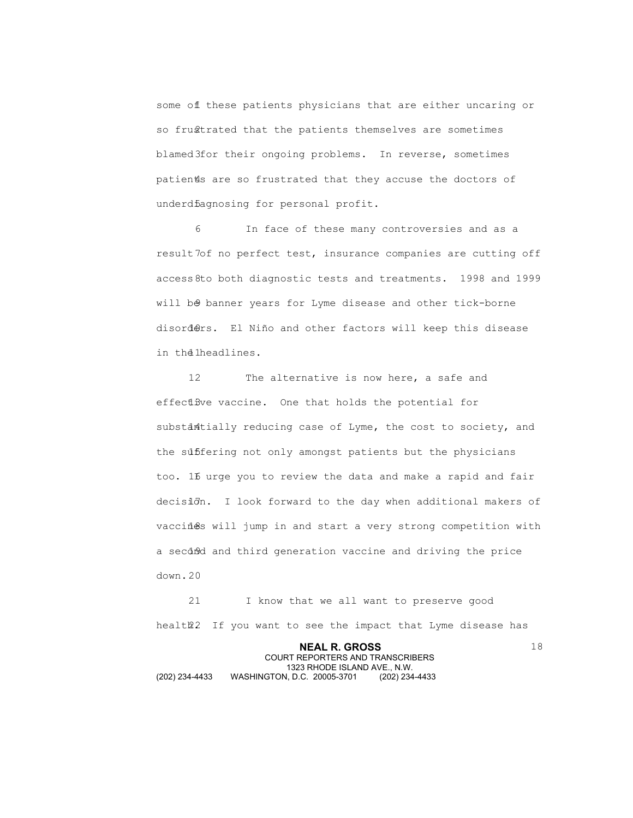some of these patients physicians that are either uncaring or so fru£trated that the patients themselves are sometimes blamed 3for their ongoing problems. In reverse, sometimes patients are so frustrated that they accuse the doctors of underdfagnosing for personal profit.

6 In face of these many controversies and as a result 7of no perfect test, insurance companies are cutting off access 8to both diagnostic tests and treatments. 1998 and 1999 will b $\Theta$  banner years for Lyme disease and other tick-borne disord@rs. El Niño and other factors will keep this disease in the 1headlines.

12 The alternative is now here, a safe and effective vaccine. One that holds the potential for substantially reducing case of Lyme, the cost to society, and the subfering not only amongst patients but the physicians too. 16 urge you to review the data and make a rapid and fair decision. I look forward to the day when additional makers of vaccines will jump in and start a very strong competition with a secdmed and third generation vaccine and driving the price down. 20

21 I know that we all want to preserve good health2 If you want to see the impact that Lyme disease has

**NEAL R. GROSS** COURT REPORTERS AND TRANSCRIBERS 1323 RHODE ISLAND AVE., N.W. (202) 234-4433 WASHINGTON, D.C. 20005-3701 (202) 234-4433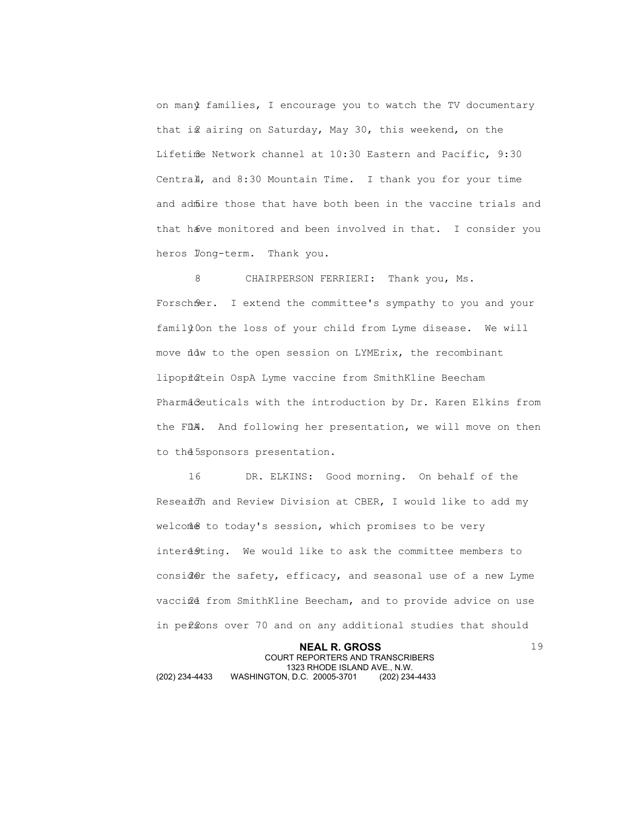on man $\oint$  families, I encourage you to watch the TV documentary that is airing on Saturday, May 30, this weekend, on the Lifetime Network channel at 10:30 Eastern and Pacific, 9:30 Central, and  $8:30$  Mountain Time. I thank you for your time and admire those that have both been in the vaccine trials and that have monitored and been involved in that. I consider you heros Dong-term. Thank you.

8 CHAIRPERSON FERRIERI: Thank you, Ms. Forschier. I extend the committee's sympathy to you and your  $famil\psi$  Oon the loss of your child from Lyme disease. We will move fldw to the open session on LYMErix, the recombinant lipopidtein OspA Lyme vaccine from SmithKline Beecham Pharmaceuticals with the introduction by Dr. Karen Elkins from the FDM. And following her presentation, we will move on then to the 5sponsors presentation.

16 DR. ELKINS: Good morning. On behalf of the Resea*idh* and Review Division at CBER, I would like to add my welcome to today's session, which promises to be very interesting. We would like to ask the committee members to consi $d\mathcal{Q}$ r the safety, efficacy, and seasonal use of a new Lyme vaccine from SmithKline Beecham, and to provide advice on use in peffons over 70 and on any additional studies that should

**NEAL R. GROSS** COURT REPORTERS AND TRANSCRIBERS 1323 RHODE ISLAND AVE., N.W. (202) 234-4433 WASHINGTON, D.C. 20005-3701 (202) 234-4433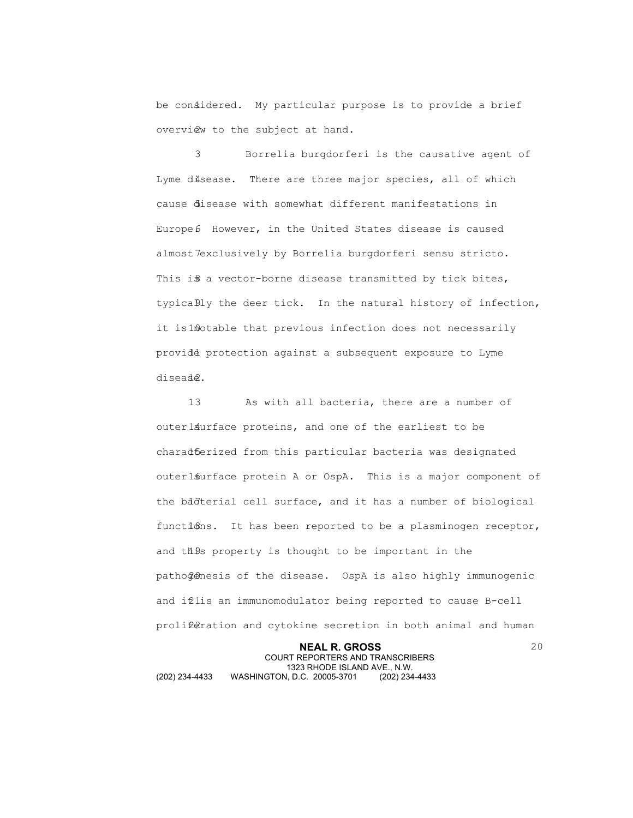be considered. My particular purpose is to provide a brief overview to the subject at hand.

 Borrelia burgdorferi is the causative agent of 3 Lyme disease. There are three major species, all of which cause disease with somewhat different manifestations in Europe6 However, in the United States disease is caused almost 7exclusively by Borrelia burgdorferi sensu stricto. This is a vector-borne disease transmitted by tick bites, typicaBly the deer tick. In the natural history of infection, it is 1 fotable that previous infection does not necessarily provide protection against a subsequent exposure to Lyme disease.

13 As with all bacteria, there are a number of outer lsurface proteins, and one of the earliest to be charadferized from this particular bacteria was designated outer 1 furface protein A or OspA. This is a major component of the badterial cell surface, and it has a number of biological functions. It has been reported to be a plasminogen receptor, and this property is thought to be important in the pathog@nesis of the disease. OspA is also highly immunogenic and itlis an immunomodulator being reported to cause B-cell proliferation and cytokine secretion in both animal and human

**NEAL R. GROSS** COURT REPORTERS AND TRANSCRIBERS 1323 RHODE ISLAND AVE., N.W. (202) 234-4433 WASHINGTON, D.C. 20005-3701 (202) 234-4433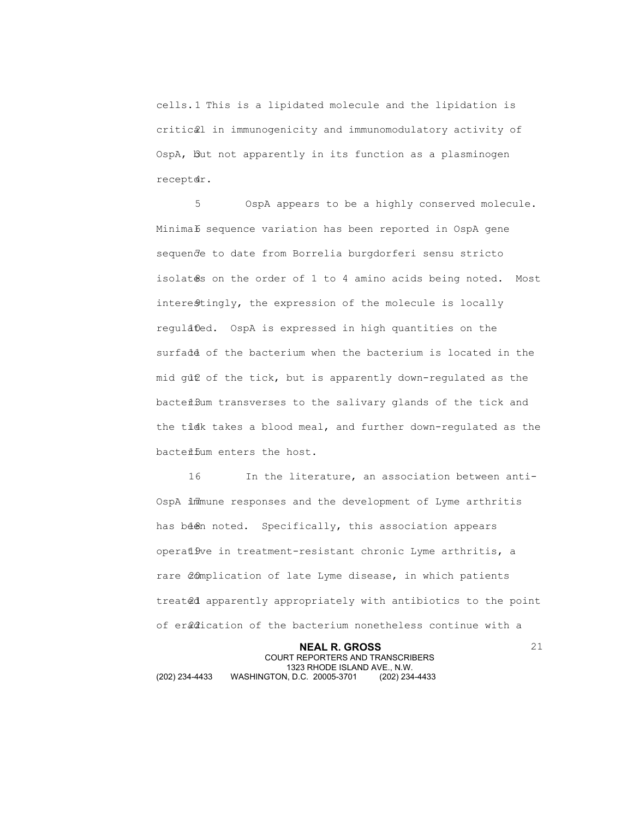cells. 1 This is a lipidated molecule and the lipidation is critical in immunogenicity and immunomodulatory activity of OspA, But not apparently in its function as a plasminogen receptdr.

 OspA appears to be a highly conserved molecule. 5 Minimaß sequence variation has been reported in OspA gene sequende to date from Borrelia burgdorferi sensu stricto isolat $s$  on the order of  $1$  to  $4$  amino acids being noted. Most intere tingly, the expression of the molecule is locally regulated. OspA is expressed in high quantities on the surfade of the bacterium when the bacterium is located in the mid gut of the tick, but is apparently down-regulated as the bactefibum transverses to the salivary glands of the tick and the tidk takes a blood meal, and further down-regulated as the bacterium enters the host.

16 In the literature, an association between anti-OspA immune responses and the development of Lyme arthritis has béen noted. Specifically, this association appears operative in treatment-resistant chronic Lyme arthritis, a rare 20mplication of late Lyme disease, in which patients treated apparently appropriately with antibiotics to the point of eradication of the bacterium nonetheless continue with a

**NEAL R. GROSS** COURT REPORTERS AND TRANSCRIBERS 1323 RHODE ISLAND AVE., N.W. (202) 234-4433 WASHINGTON, D.C. 20005-3701 (202) 234-4433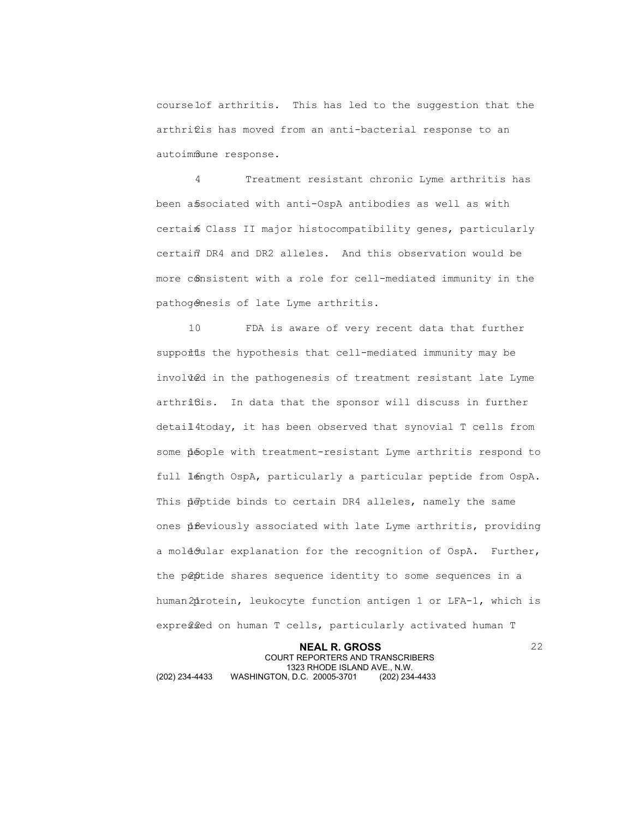course lof arthritis. This has led to the suggestion that the arthritis has moved from an anti-bacterial response to an autoimmune response.

 Treatment resistant chronic Lyme arthritis has 4 been associated with anti-OspA antibodies as well as with certain Class II major histocompatibility genes, particularly certain DR4 and DR2 alleles. And this observation would be more consistent with a role for cell-mediated immunity in the pathog@nesis of late Lyme arthritis.

10 FDA is aware of very recent data that further suppoits the hypothesis that cell-mediated immunity may be involued in the pathogenesis of treatment resistant late Lyme arthritis. In data that the sponsor will discuss in further detail 4today, it has been observed that synovial T cells from some pople with treatment-resistant Lyme arthritis respond to full length OspA, particularly a particular peptide from OspA. This peptide binds to certain DR4 alleles, namely the same ones pifeviously associated with late Lyme arthritis, providing a moldoular explanation for the recognition of OspA. Further, the peptide shares sequence identity to some sequences in a human 2drotein, leukocyte function antigen 1 or LFA-1, which is expressed on human T cells, particularly activated human T

**NEAL R. GROSS** COURT REPORTERS AND TRANSCRIBERS 1323 RHODE ISLAND AVE., N.W. (202) 234-4433 WASHINGTON, D.C. 20005-3701 (202) 234-4433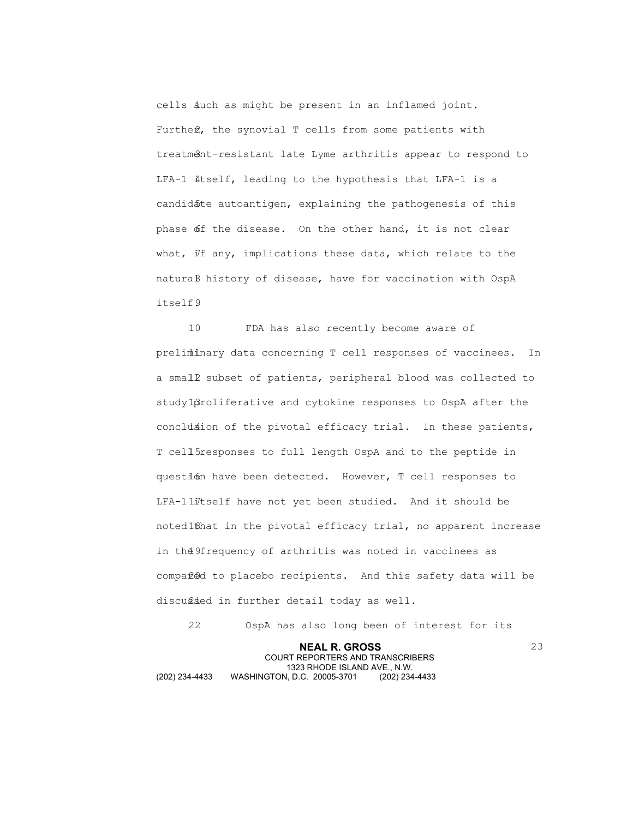cells such as might be present in an inflamed joint. Furthe $\hat{z}$ , the synovial T cells from some patients with treatment-resistant late Lyme arthritis appear to respond to LFA-1 itself, leading to the hypothesis that LFA-1 is a candidate autoantigen, explaining the pathogenesis of this phase of the disease. On the other hand, it is not clear what,  $\overline{u}f$  any, implications these data, which relate to the naturaB history of disease, have for vaccination with OspA itself9

10 FDA has also recently become aware of preliminary data concerning T cell responses of vaccinees. In a small subset of patients, peripheral blood was collected to study løroliferative and cytokine responses to OspA after the conclusion of the pivotal efficacy trial. In these patients, T cell 5responses to full length OspA and to the peptide in question have been detected. However, T cell responses to LFA-11Ttself have not yet been studied. And it should be noted 18hat in the pivotal efficacy trial, no apparent increase in the 9frequency of arthritis was noted in vaccinees as compared to placebo recipients. And this safety data will be discu&ded in further detail today as well.

OspA has also long been of interest for its 22

**NEAL R. GROSS** COURT REPORTERS AND TRANSCRIBERS 1323 RHODE ISLAND AVE., N.W. (202) 234-4433 WASHINGTON, D.C. 20005-3701 (202) 234-4433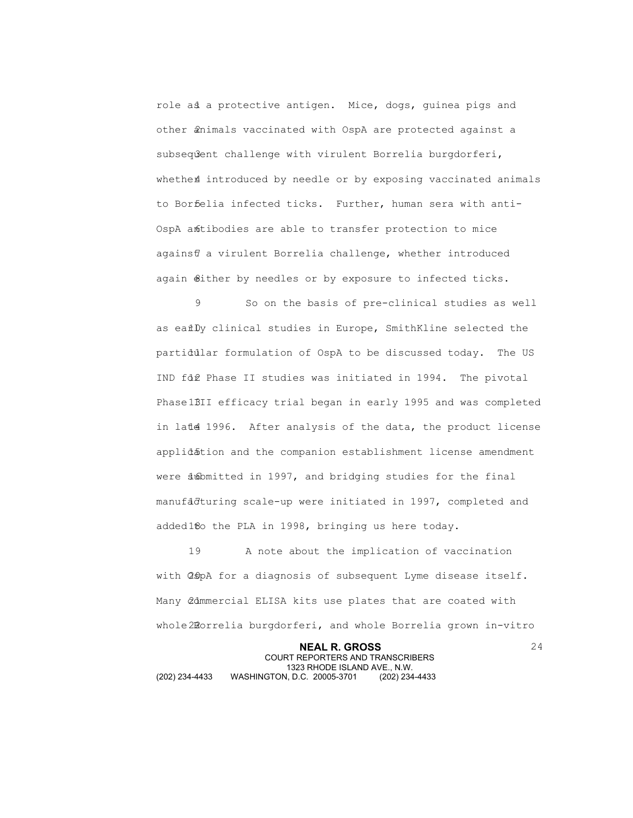role as a protective antigen. Mice, dogs, guinea pigs and other animals vaccinated with OspA are protected against a subsequent challenge with virulent Borrelia burgdorferi, whethei introduced by needle or by exposing vaccinated animals to Borfielia infected ticks. Further, human sera with anti-OspA amtibodies are able to transfer protection to mice against a virulent Borrelia challenge, whether introduced again  $\mathcal E$ ither by needles or by exposure to infected ticks.

9 So on the basis of pre-clinical studies as well as eaflDy clinical studies in Europe, SmithKline selected the partidular formulation of OspA to be discussed today. The US IND fd2 Phase II studies was initiated in 1994. The pivotal Phase 1BII efficacy trial began in early 1995 and was completed in late 1996. After analysis of the data, the product license applidation and the companion establishment license amendment were submitted in 1997, and bridging studies for the final manufadturing scale-up were initiated in 1997, completed and added 180 the PLA in 1998, bringing us here today.

 A note about the implication of vaccination 19 with @\$pA for a diagnosis of subsequent Lyme disease itself. Many 2dmmercial ELISA kits use plates that are coated with whole 22orrelia burgdorferi, and whole Borrelia grown in-vitro

**NEAL R. GROSS** COURT REPORTERS AND TRANSCRIBERS 1323 RHODE ISLAND AVE., N.W. (202) 234-4433 WASHINGTON, D.C. 20005-3701 (202) 234-4433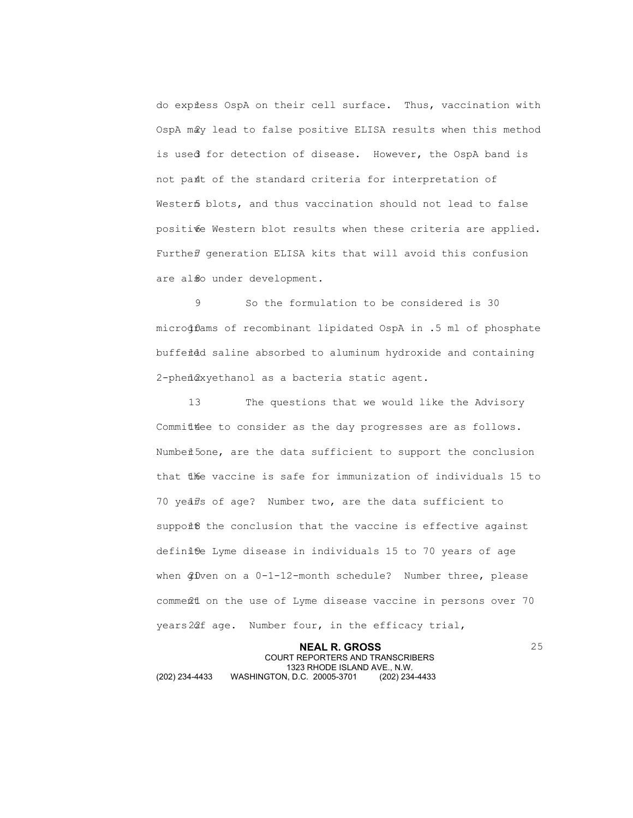do expiess OspA on their cell surface. Thus, vaccination with OspA may lead to false positive ELISA results when this method is used for detection of disease. However, the OspA band is not pait of the standard criteria for interpretation of Westerf blots, and thus vaccination should not lead to false positive Western blot results when these criteria are applied. Furthef generation ELISA kits that will avoid this confusion are also under development.

9 So the formulation to be considered is 30 microdfams of recombinant lipidated OspA in .5 ml of phosphate buffeidd saline absorbed to aluminum hydroxide and containing  $2$ -phendxyethanol as a bacteria static agent.

13 The questions that we would like the Advisory Committee to consider as the day progresses are as follows. Numbeit 5one, are the data sufficient to support the conclusion that the vaccine is safe for immunization of individuals 15 to 70 years of age? Number two, are the data sufficient to suppoit the conclusion that the vaccine is effective against definite Lyme disease in individuals 15 to 70 years of age when  $Q$ fven on a  $0-1-12$ -month schedule? Number three, please comment on the use of Lyme disease vaccine in persons over 70 years 2&f age. Number four, in the efficacy trial,

**NEAL R. GROSS** COURT REPORTERS AND TRANSCRIBERS 1323 RHODE ISLAND AVE., N.W. (202) 234-4433 WASHINGTON, D.C. 20005-3701 (202) 234-4433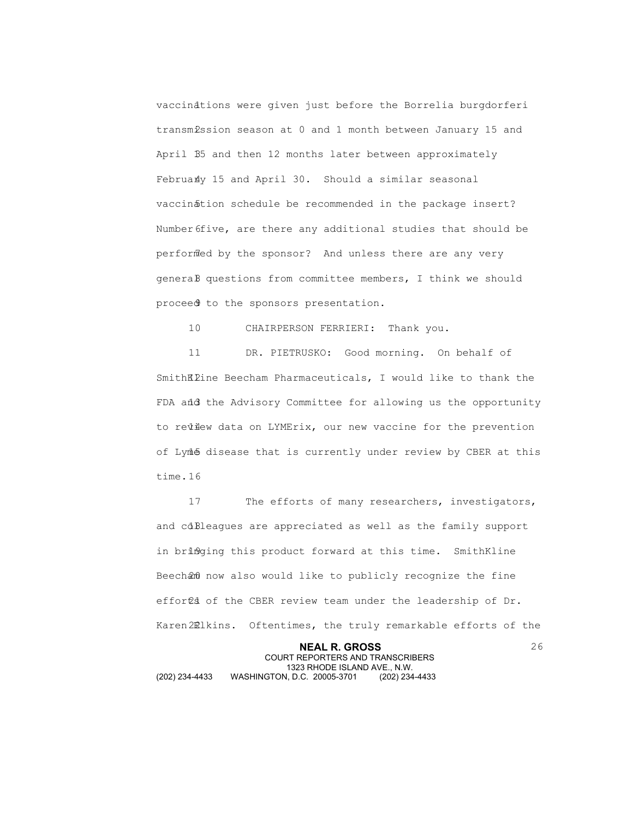vaccinations were given just before the Borrelia burgdorferi transmission season at 0 and 1 month between January 15 and April B5 and then 12 months later between approximately Februany 15 and April 30. Should a similar seasonal vaccination schedule be recommended in the package insert? Number 6five, are there any additional studies that should be performed by the sponsor? And unless there are any very general questions from committee members, I think we should proceed to the sponsors presentation.

10 CHAIRPERSON FERRIERI: Thank you.

11 DR. PIETRUSKO: Good morning. On behalf of Smith Kline Beecham Pharmaceuticals, I would like to thank the FDA and the Advisory Committee for allowing us the opportunity to rediew data on LYMErix, our new vaccine for the prevention of Lyme disease that is currently under review by CBER at this time. 16

17 The efforts of many researchers, investigators, and cdBleagues are appreciated as well as the family support in bringing this product forward at this time. SmithKline Beecham now also would like to publicly recognize the fine efforts of the CBER review team under the leadership of  $Dr.$ Karen 201kins. Oftentimes, the truly remarkable efforts of the

**NEAL R. GROSS** COURT REPORTERS AND TRANSCRIBERS 1323 RHODE ISLAND AVE., N.W. (202) 234-4433 WASHINGTON, D.C. 20005-3701 (202) 234-4433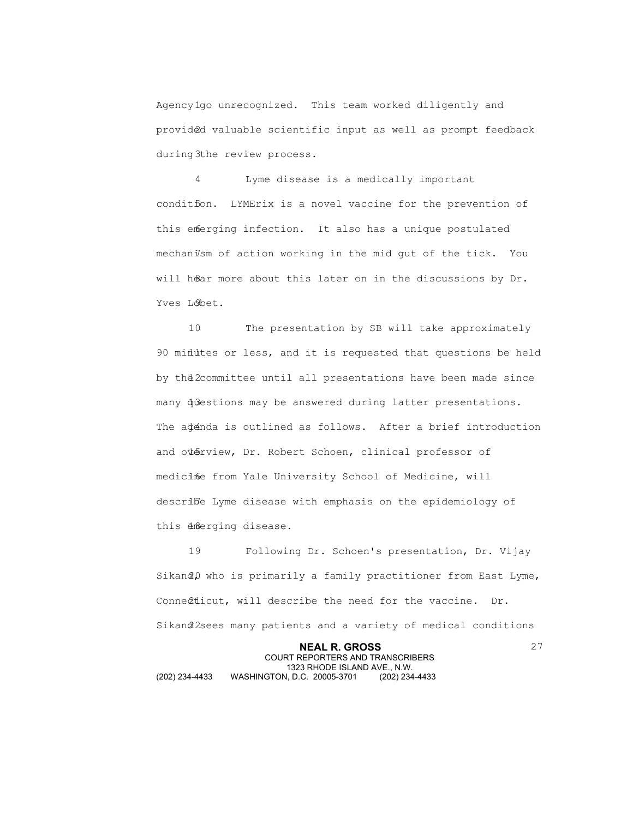Agency 1go unrecognized. This team worked diligently and provided valuable scientific input as well as prompt feedback during 3the review process.

 Lyme disease is a medically important 4 conditfon. LYMErix is a novel vaccine for the prevention of this emferging infection. It also has a unique postulated mechanism of action working in the mid gut of the tick. You will hear more about this later on in the discussions by  $Dr.$ Yves Lobet.

10 The presentation by SB will take approximately 90 minutes or less, and it is requested that questions be held by the 2committee until all presentations have been made since many duestions may be answered during latter presentations. The adenda is outlined as follows. After a brief introduction and oterview, Dr. Robert Schoen, clinical professor of medicine from Yale University School of Medicine, will describe Lyme disease with emphasis on the epidemiology of this dm&erging disease.

 Following Dr. Schoen's presentation, Dr. Vijay 19 Sikan $d\rho$  who is primarily a family practitioner from East Lyme, Connecticut, will describe the need for the vaccine. Dr. Sikand 2sees many patients and a variety of medical conditions

**NEAL R. GROSS** COURT REPORTERS AND TRANSCRIBERS 1323 RHODE ISLAND AVE., N.W. (202) 234-4433 WASHINGTON, D.C. 20005-3701 (202) 234-4433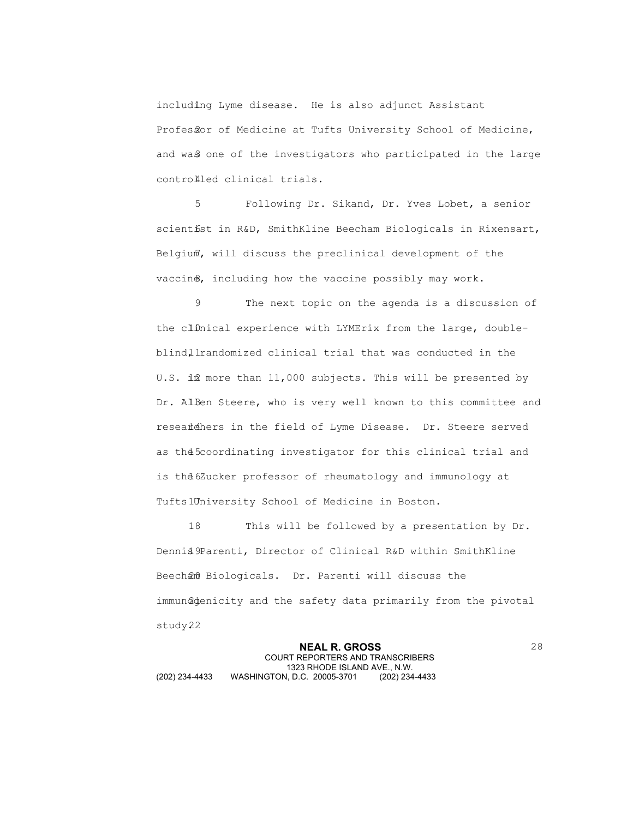including Lyme disease. He is also adjunct Assistant Professor of Medicine at Tufts University School of Medicine, and was one of the investigators who participated in the large controlled clinical trials.

5 Following Dr. Sikand, Dr. Yves Lobet, a senior scientist in R&D, SmithKline Beecham Biologicals in Rixensart, Belgium, will discuss the preclinical development of the vaccin&, including how the vaccine possibly may work.

9 The next topic on the agenda is a discussion of the clinical experience with LYMErix from the large, doubleblind, 1 randomized clinical trial that was conducted in the U.S. in more than 11,000 subjects. This will be presented by Dr. AllBen Steere, who is very well known to this committee and reseaftdhers in the field of Lyme Disease. Dr. Steere served as the 5coordinating investigator for this clinical trial and is thé 6Zucker professor of rheumatology and immunology at Tufts 1University School of Medicine in Boston.

18 This will be followed by a presentation by Dr. Dennis 9Parenti, Director of Clinical R&D within SmithKline Beecham Biologicals. Dr. Parenti will discuss the immun@denicity and the safety data primarily from the pivotal study 22

**NEAL R. GROSS** COURT REPORTERS AND TRANSCRIBERS 1323 RHODE ISLAND AVE., N.W. (202) 234-4433 WASHINGTON, D.C. 20005-3701 (202) 234-4433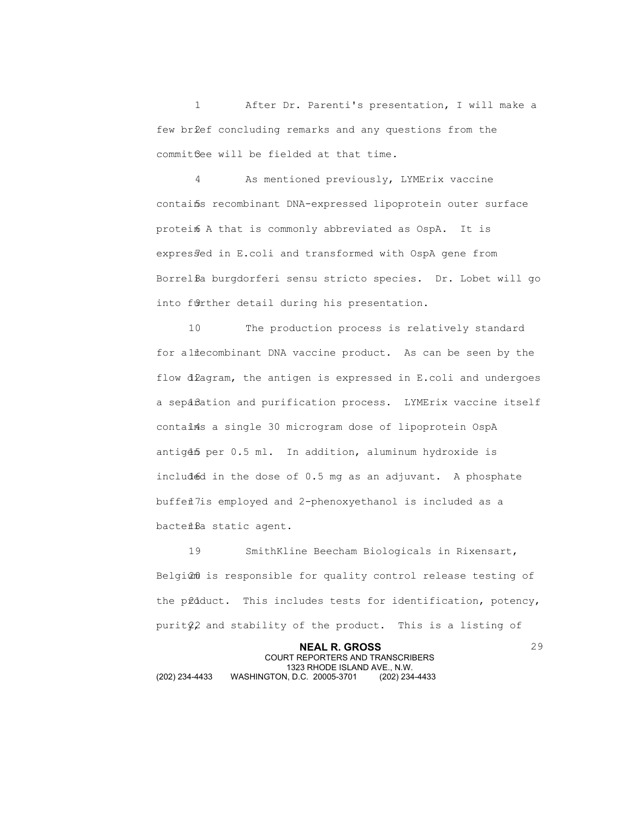1 After Dr. Parenti's presentation, I will make a few brief concluding remarks and any questions from the committee will be fielded at that time.

 As mentioned previously, LYMErix vaccine 4 contains recombinant DNA-expressed lipoprotein outer surface protein A that is commonly abbreviated as OspA. It is expressed in E.coli and transformed with OspA gene from Borrelßa burgdorferi sensu stricto species. Dr. Lobet will go into further detail during his presentation.

10 The production process is relatively standard for a liecombinant DNA vaccine product. As can be seen by the flow  $d$ lagram, the antigen is expressed in E.coli and undergoes a separation and purification process. LYMErix vaccine itself contains a single 30 microgram dose of lipoprotein OspA antigen per 0.5 ml. In addition, aluminum hydroxide is includ $\mathcal{C}$ d in the dose of 0.5 mg as an adjuvant. A phosphate buffei7is employed and 2-phenoxyethanol is included as a bacteiBa static agent.

 SmithKline Beecham Biologicals in Rixensart, 19 Belgium is responsible for quality control release testing of the p<sub>2dduct</sub>. This includes tests for identification, potency, purit $2$  and stability of the product. This is a listing of

**NEAL R. GROSS** COURT REPORTERS AND TRANSCRIBERS 1323 RHODE ISLAND AVE., N.W. (202) 234-4433 WASHINGTON, D.C. 20005-3701 (202) 234-4433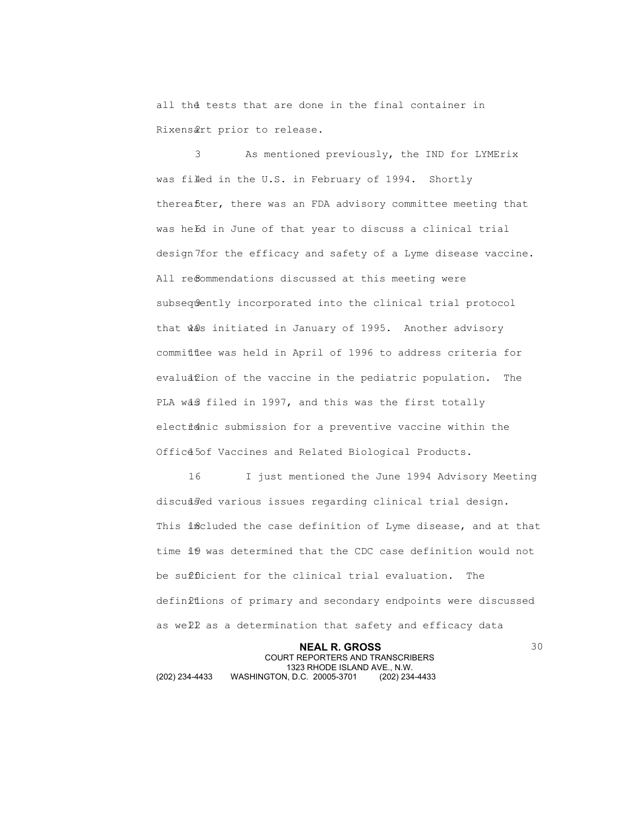all the tests that are done in the final container in Rixensart prior to release.

 As mentioned previously, the IND for LYMErix 3 was filled in the U.S. in February of 1994. Shortly thereafter, there was an FDA advisory committee meeting that was held in June of that year to discuss a clinical trial design 7for the efficacy and safety of a Lyme disease vaccine. All recommendations discussed at this meeting were subsequently incorporated into the clinical trial protocol that was initiated in January of 1995. Another advisory committee was held in April of 1996 to address criteria for evaludtion of the vaccine in the pediatric population. The PLA was filed in 1997, and this was the first totally electidnic submission for a preventive vaccine within the Office 5of Vaccines and Related Biological Products.

16 I just mentioned the June 1994 Advisory Meeting discussed various issues regarding clinical trial design. This included the case definition of Lyme disease, and at that time it was determined that the CDC case definition would not be sufficient for the clinical trial evaluation. The definitions of primary and secondary endpoints were discussed as well as a determination that safety and efficacy data

**NEAL R. GROSS** COURT REPORTERS AND TRANSCRIBERS 1323 RHODE ISLAND AVE., N.W. (202) 234-4433 WASHINGTON, D.C. 20005-3701 (202) 234-4433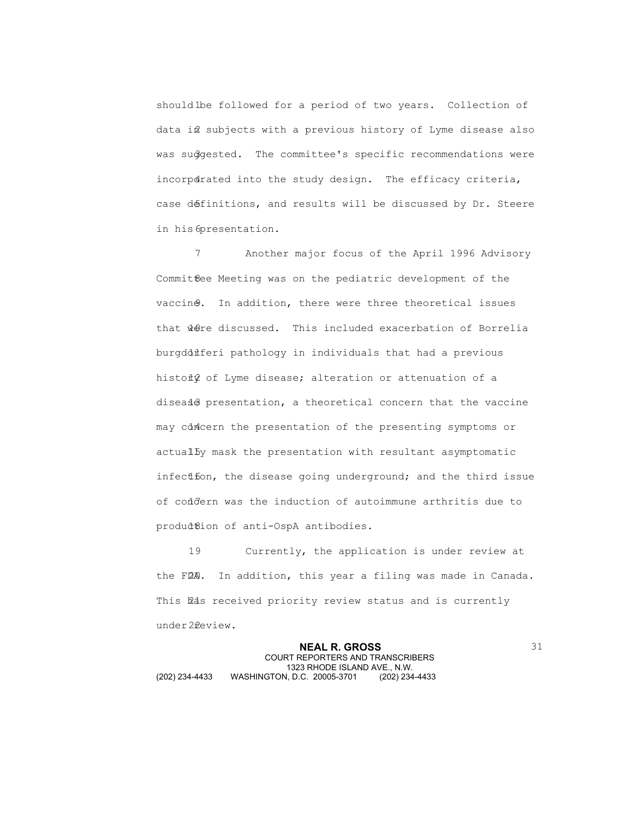should lbe followed for a period of two years. Collection of data if subjects with a previous history of Lyme disease also was sudgested. The committee's specific recommendations were incorporated into the study design. The efficacy criteria, case définitions, and results will be discussed by Dr. Steere in his 6presentation.

 Another major focus of the April 1996 Advisory 7 Committee Meeting was on the pediatric development of the vaccine. In addition, there were three theoretical issues that where discussed. This included exacerbation of Borrelia burgddiferi pathology in individuals that had a previous histofi? of Lyme disease; alteration or attenuation of a diseade presentation, a theoretical concern that the vaccine may cdreern the presentation of the presenting symptoms or actuallby mask the presentation with resultant asymptomatic infection, the disease going underground; and the third issue of condern was the induction of autoimmune arthritis due to produdtion of anti-OspA antibodies.

19 Currently, the application is under review at the FDA. In addition, this year a filing was made in Canada. This 12ds received priority review status and is currently under 22eview.

**NEAL R. GROSS** COURT REPORTERS AND TRANSCRIBERS 1323 RHODE ISLAND AVE., N.W. (202) 234-4433 WASHINGTON, D.C. 20005-3701 (202) 234-4433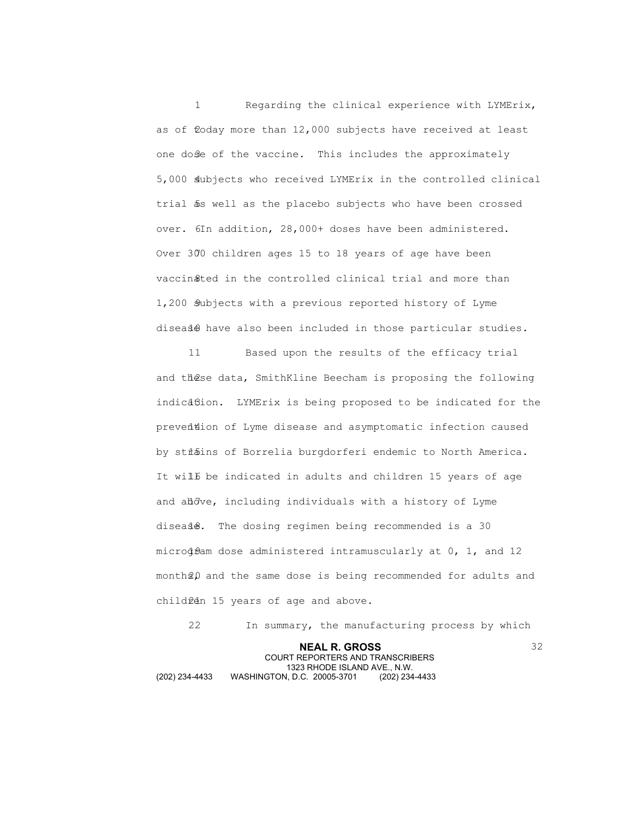1 Regarding the clinical experience with LYMErix, as of floday more than  $12,000$  subjects have received at least one dose of the vaccine. This includes the approximately 5,000 subjects who received LYMErix in the controlled clinical trial  $\delta s$  well as the placebo subjects who have been crossed over. 6In addition, 28,000+ doses have been administered. Over 300 children ages 15 to 18 years of age have been vaccinated in the controlled clinical trial and more than 1,200 Subjects with a previous reported history of Lyme disease have also been included in those particular studies.

11 Based upon the results of the efficacy trial and these data, SmithKline Beecham is proposing the following indication. LYMErix is being proposed to be indicated for the preventtion of Lyme disease and asymptomatic infection caused by stimains of Borrelia burgdorferi endemic to North America. It will be indicated in adults and children 15 years of age and above, including individuals with a history of Lyme disease. The dosing regimen being recommended is a 30 microd  $\beta$ am dose administered intramuscularly at 0, 1, and 12  $month$0$  and the same dose is being recommended for adults and childfdn 15 years of age and above.

22 In summary, the manufacturing process by which

**NEAL R. GROSS** COURT REPORTERS AND TRANSCRIBERS 1323 RHODE ISLAND AVE., N.W. (202) 234-4433 WASHINGTON, D.C. 20005-3701 (202) 234-4433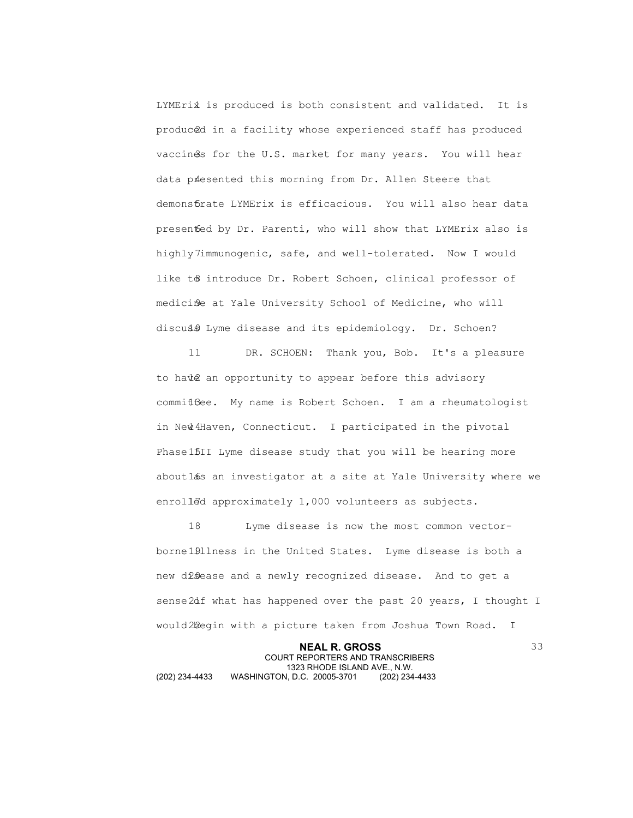LYMErix is produced is both consistent and validated. It is produced in a facility whose experienced staff has produced vaccines for the U.S. market for many years. You will hear data piesented this morning from Dr. Allen Steere that demonsfrate LYMErix is efficacious. You will also hear data presented by Dr. Parenti, who will show that LYMErix also is highly 7immunogenic, safe, and well-tolerated. Now I would like t& introduce Dr. Robert Schoen, clinical professor of medicine at Yale University School of Medicine, who will discuss Lyme disease and its epidemiology. Dr. Schoen?

11 DR. SCHOEN: Thank you, Bob. It's a pleasure to haile an opportunity to appear before this advisory committee. My name is Robert Schoen. I am a rheumatologist in New 4Haven, Connecticut. I participated in the pivotal Phase 15II Lyme disease study that you will be hearing more about 16s an investigator at a site at Yale University where we enrolled approximately 1,000 volunteers as subjects.

18 Lyme disease is now the most common vectorborne 1911ness in the United States. Lyme disease is both a new disease and a newly recognized disease. And to get a sense 2df what has happened over the past 20 years, I thought I would 22egin with a picture taken from Joshua Town Road. I

**NEAL R. GROSS** COURT REPORTERS AND TRANSCRIBERS 1323 RHODE ISLAND AVE., N.W. (202) 234-4433 WASHINGTON, D.C. 20005-3701 (202) 234-4433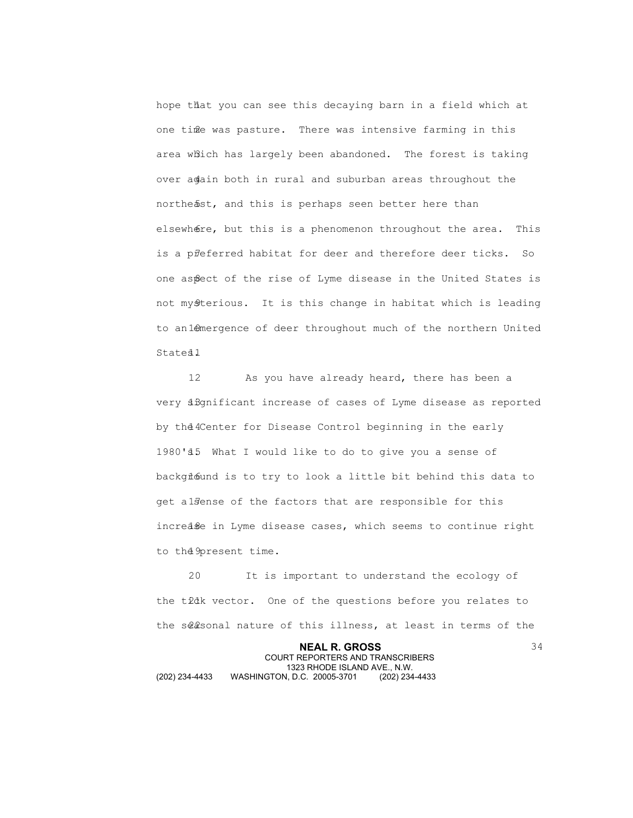hope that you can see this decaying barn in a field which at one time was pasture. There was intensive farming in this area which has largely been abandoned. The forest is taking over again both in rural and suburban areas throughout the northeast, and this is perhaps seen better here than elsewhere, but this is a phenomenon throughout the area. This is a pfleferred habitat for deer and therefore deer ticks. So one aspect of the rise of Lyme disease in the United States is not mysterious. It is this change in habitat which is leading to an 1@mergence of deer throughout much of the northern United States1

12 As you have already heard, there has been a very aßgnificant increase of cases of Lyme disease as reported by the 4Center for Disease Control beginning in the early 1980'45 What I would like to do to give you a sense of backgiound is to try to look a little bit behind this data to get a 15ense of the factors that are responsible for this increase in Lyme disease cases, which seems to continue right to the 9present time.

20 It is important to understand the ecology of the tldk vector. One of the questions before you relates to the seasonal nature of this illness, at least in terms of the

**NEAL R. GROSS** COURT REPORTERS AND TRANSCRIBERS 1323 RHODE ISLAND AVE., N.W. (202) 234-4433 WASHINGTON, D.C. 20005-3701 (202) 234-4433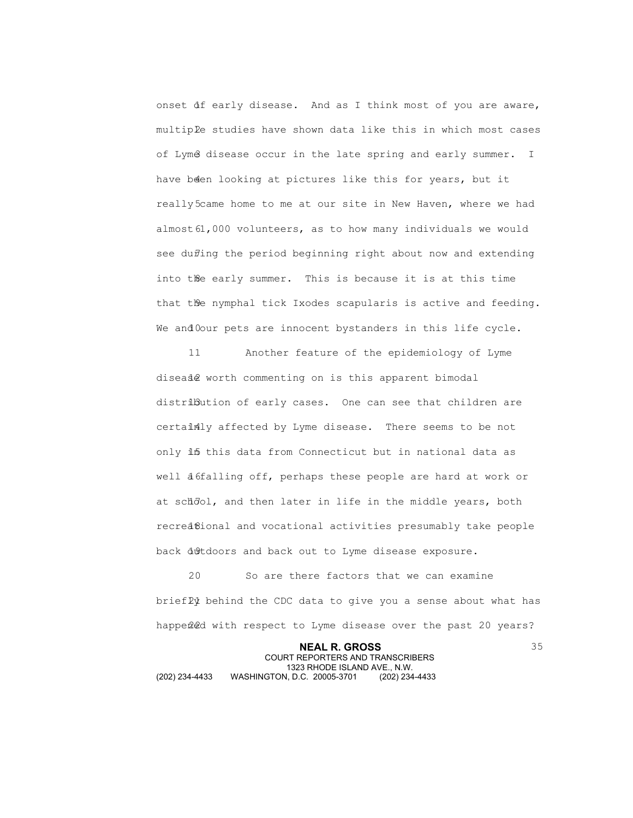onset df early disease. And as I think most of you are aware, multiple studies have shown data like this in which most cases of Lyme disease occur in the late spring and early summer. I have been looking at pictures like this for years, but it really 5 came home to me at our site in New Haven, where we had almost 61,000 volunteers, as to how many individuals we would see dufling the period beginning right about now and extending into the early summer. This is because it is at this time that the nymphal tick Ixodes scapularis is active and feeding. We and Oour pets are innocent bystanders in this life cycle.

 Another feature of the epidemiology of Lyme 11 disease worth commenting on is this apparent bimodal distribution of early cases. One can see that children are certainly affected by Lyme disease. There seems to be not only ib this data from Connecticut but in national data as well a 6falling off, perhaps these people are hard at work or at school, and then later in life in the middle years, both recreational and vocational activities presumably take people back dutdoors and back out to Lyme disease exposure.

20 So are there factors that we can examine briefly behind the CDC data to give you a sense about what has happened with respect to Lyme disease over the past 20 years?

**NEAL R. GROSS** COURT REPORTERS AND TRANSCRIBERS 1323 RHODE ISLAND AVE., N.W. (202) 234-4433 WASHINGTON, D.C. 20005-3701 (202) 234-4433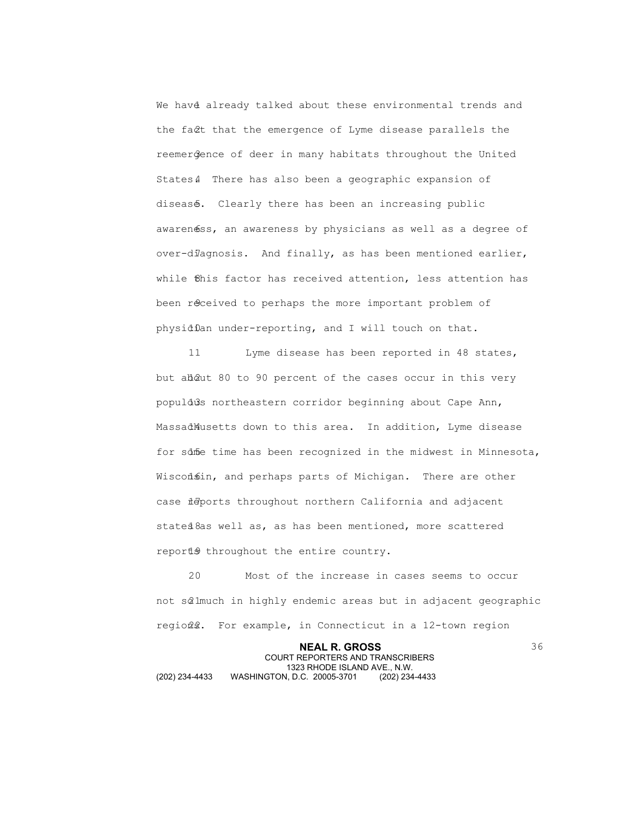We havd already talked about these environmental trends and the fact that the emergence of Lyme disease parallels the reemergence of deer in many habitats throughout the United States.4 There has also been a geographic expansion of diseasé. Clearly there has been an increasing public awareness, an awareness by physicians as well as a degree of over-diagnosis. And finally, as has been mentioned earlier, while this factor has received attention, less attention has been received to perhaps the more important problem of physidDan under-reporting, and I will touch on that.

11 Lyme disease has been reported in 48 states, but about 80 to 90 percent of the cases occur in this very populdus northeastern corridor beginning about Cape Ann, MassadMusetts down to this area. In addition, Lyme disease for sdmfe time has been recognized in the midwest in Minnesota, Wisconsin, and perhaps parts of Michigan. There are other case fleports throughout northern California and adjacent states 8as well as, as has been mentioned, more scattered reports throughout the entire country.

 Most of the increase in cases seems to occur 20 not sølmuch in highly endemic areas but in adjacent geographic regions. For example, in Connecticut in a 12-town region

**NEAL R. GROSS** COURT REPORTERS AND TRANSCRIBERS 1323 RHODE ISLAND AVE., N.W. (202) 234-4433 WASHINGTON, D.C. 20005-3701 (202) 234-4433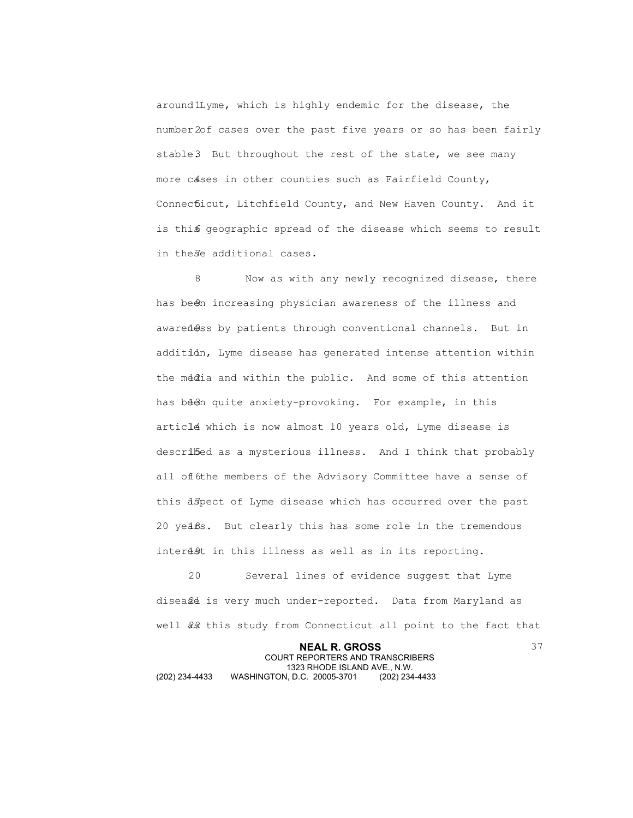around 1Lyme, which is highly endemic for the disease, the number 2of cases over the past five years or so has been fairly stable3 But throughout the rest of the state, we see many more cases in other counties such as Fairfield County, Connecticut, Litchfield County, and New Haven County. And it is this geographic spread of the disease which seems to result in these additional cases.

8 Now as with any newly recognized disease, there has be $\Theta$ n increasing physician awareness of the illness and awareness by patients through conventional channels. But in addition, Lyme disease has generated intense attention within the média and within the public. And some of this attention has béen quite anxiety-provoking. For example, in this article which is now almost 10 years old, Lyme disease is described as a mysterious illness. And I think that probably all off 6the members of the Advisory Committee have a sense of this aspect of Lyme disease which has occurred over the past 20 years. But clearly this has some role in the tremendous interest in this illness as well as in its reporting.

 Several lines of evidence suggest that Lyme 20 disea gd is very much under-reported. Data from Maryland as well  $22$  this study from Connecticut all point to the fact that

**NEAL R. GROSS** COURT REPORTERS AND TRANSCRIBERS 1323 RHODE ISLAND AVE., N.W. (202) 234-4433 WASHINGTON, D.C. 20005-3701 (202) 234-4433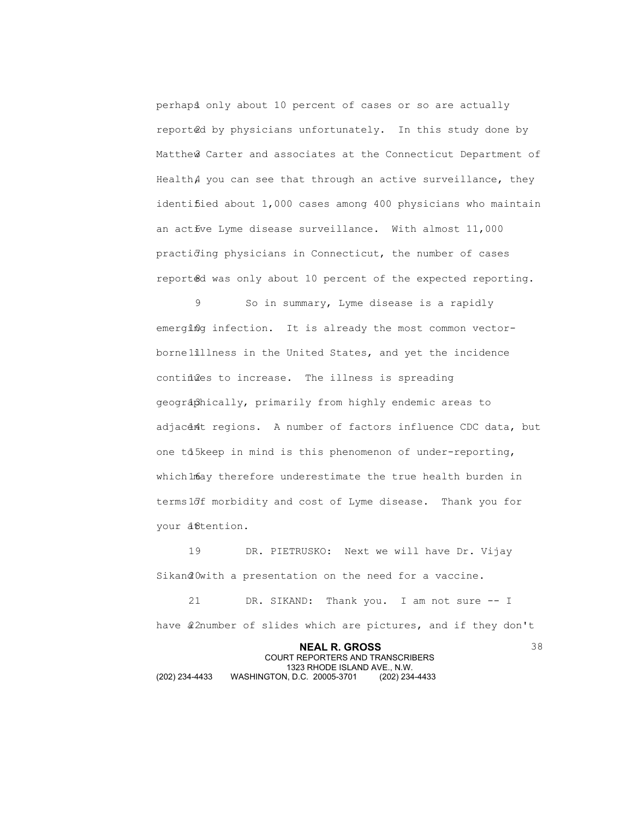perhaps only about 10 percent of cases or so are actually reported by physicians unfortunately. In this study done by Matthew Carter and associates at the Connecticut Department of Health $\beta$  you can see that through an active surveillance, they identified about  $1,000$  cases among 400 physicians who maintain an active Lyme disease surveillance. With almost 11,000 practi $\vec{q}$ ing physicians in Connecticut, the number of cases report&d was only about 10 percent of the expected reporting.

9 So in summary, Lyme disease is a rapidly emerging infection. It is already the most common vectorborne lillness in the United States, and yet the incidence continues to increase. The illness is spreading geographically, primarily from highly endemic areas to adjacdnt regions. A number of factors influence CDC data, but one to 5keep in mind is this phenomenon of under-reporting, which lmay therefore underestimate the true health burden in terms lof morbidity and cost of Lyme disease. Thank you for your *a*<sup>8</sup>tention.

19 DR. PIETRUSKO: Next we will have Dr. Vijay Sikand Owith a presentation on the need for a vaccine.

21 DR. SIKAND: Thank you. I am not sure -- I have 22number of slides which are pictures, and if they don't

**NEAL R. GROSS** COURT REPORTERS AND TRANSCRIBERS 1323 RHODE ISLAND AVE., N.W. (202) 234-4433 WASHINGTON, D.C. 20005-3701 (202) 234-4433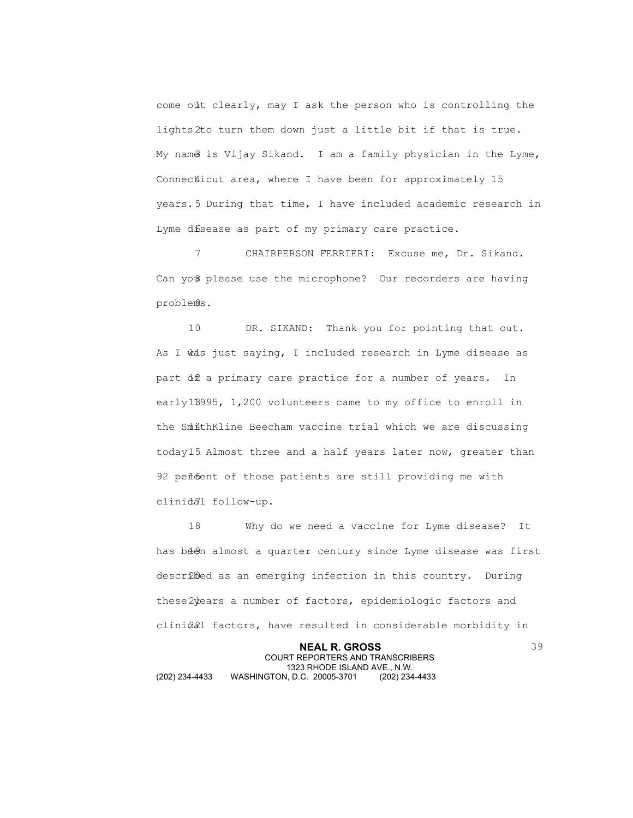come out clearly, may I ask the person who is controlling the lights 2to turn them down just a little bit if that is true. My name is Vijay Sikand. I am a family physician in the Lyme, Connecticut area, where I have been for approximately 15 years. 5 During that time, I have included academic research in Lyme disease as part of my primary care practice.

 CHAIRPERSON FERRIERI: Excuse me, Dr. Sikand. 7 Can yow please use the microphone? Our recorders are having problems. 9

10 DR. SIKAND: Thank you for pointing that out. As I was just saying, I included research in Lyme disease as part df a primary care practice for a number of years. In early  $1B995$ ,  $1,200$  volunteers came to my office to enroll in the SmithKline Beecham vaccine trial which we are discussing today15 Almost three and a half years later now, greater than 92 peicent of those patients are still providing me with clinidal follow-up.

18 Why do we need a vaccine for Lyme disease? It has bém almost a quarter century since Lyme disease was first described as an emerging infection in this country. During these 2 years a number of factors, epidemiologic factors and clinical factors, have resulted in considerable morbidity in

**NEAL R. GROSS** COURT REPORTERS AND TRANSCRIBERS 1323 RHODE ISLAND AVE., N.W. (202) 234-4433 WASHINGTON, D.C. 20005-3701 (202) 234-4433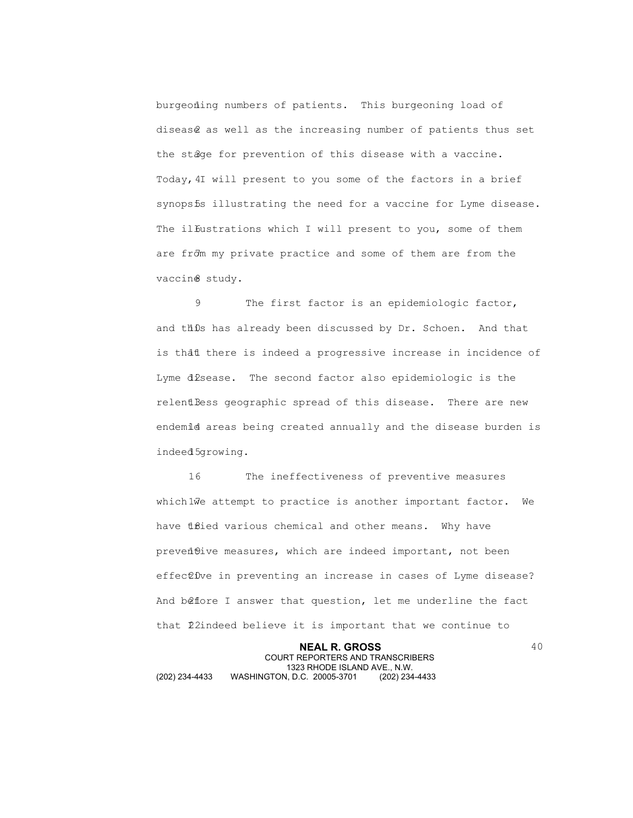burgeoning numbers of patients. This burgeoning load of disease as well as the increasing number of patients thus set the stage for prevention of this disease with a vaccine. Today, 4I will present to you some of the factors in a brief synops5s illustrating the need for a vaccine for Lyme disease. The ilfustrations which I will present to you, some of them are from my private practice and some of them are from the vaccin<sup>&</sup> study.

9 The first factor is an epidemiologic factor, and this has already been discussed by Dr. Schoen. And that is that there is indeed a progressive increase in incidence of Lyme disease. The second factor also epidemiologic is the relentlBess geographic spread of this disease. There are new endemid areas being created annually and the disease burden is indeed 5growing.

16 The ineffectiveness of preventive measures which lwe attempt to practice is another important factor. We have fibied various chemical and other means. Why have prevent bive measures, which are indeed important, not been effectlve in preventing an increase in cases of Lyme disease? And before I answer that question, let me underline the fact that  $2$  2 indeed believe it is important that we continue to

**NEAL R. GROSS** COURT REPORTERS AND TRANSCRIBERS 1323 RHODE ISLAND AVE., N.W. (202) 234-4433 WASHINGTON, D.C. 20005-3701 (202) 234-4433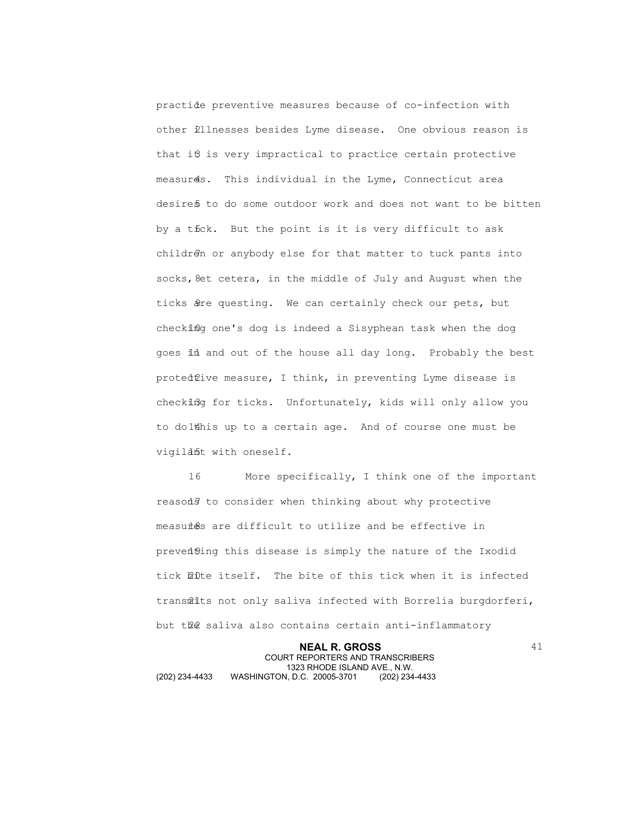practide preventive measures because of co-infection with other fllnesses besides Lyme disease. One obvious reason is that if is very impractical to practice certain protective measures. This individual in the Lyme, Connecticut area desire\$ to do some outdoor work and does not want to be bitten by a tick. But the point is it is very difficult to ask children or anybody else for that matter to tuck pants into socks, 8et cetera, in the middle of July and August when the ticks  $\theta$ re questing. We can certainly check our pets, but checking one's dog is indeed a Sisyphean task when the dog goes in and out of the house all day long. Probably the best protedtive measure, I think, in preventing Lyme disease is checking for ticks. Unfortunately, kids will only allow you to do 1this up to a certain age. And of course one must be vigilant with oneself.

16 More specifically, I think one of the important reasong to consider when thinking about why protective measures are difficult to utilize and be effective in prevent fing this disease is simply the nature of the Ixodid tick 20the itself. The bite of this tick when it is infected transmilts not only saliva infected with Borrelia burgdorferi, but the saliva also contains certain anti-inflammatory

**NEAL R. GROSS** COURT REPORTERS AND TRANSCRIBERS 1323 RHODE ISLAND AVE., N.W. (202) 234-4433 WASHINGTON, D.C. 20005-3701 (202) 234-4433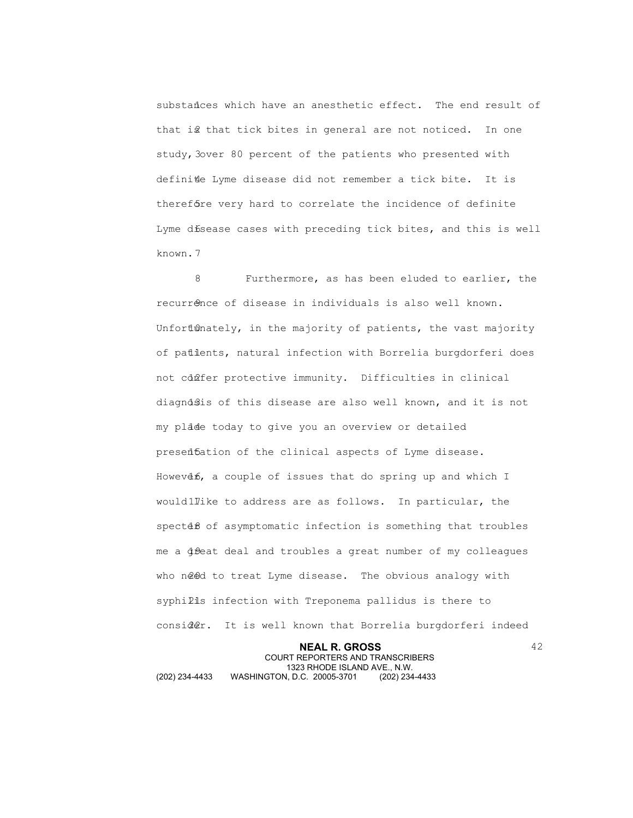substances which have an anesthetic effect. The end result of that is that tick bites in general are not noticed. In one study, 3over 80 percent of the patients who presented with definite Lyme disease did not remember a tick bite. It is therefore very hard to correlate the incidence of definite Lyme disease cases with preceding tick bites, and this is well known. 7

8 Furthermore, as has been eluded to earlier, the recurrence of disease in individuals is also well known. Unfortunately, in the majority of patients, the vast majority of patients, natural infection with Borrelia burgdorferi does not cdifer protective immunity. Difficulties in clinical diagndsis of this disease are also well known, and it is not my plade today to give you an overview or detailed presentation of the clinical aspects of Lyme disease. Howevén, a couple of issues that do spring up and which I would llike to address are as follows. In particular, the  $spectd\mathcal{B}$  of asymptomatic infection is something that troubles me a dietat deal and troubles a great number of my colleagues who need to treat Lyme disease. The obvious analogy with syphilis infection with Treponema pallidus is there to consider. It is well known that Borrelia burgdorferi indeed

**NEAL R. GROSS** COURT REPORTERS AND TRANSCRIBERS 1323 RHODE ISLAND AVE., N.W. (202) 234-4433 WASHINGTON, D.C. 20005-3701 (202) 234-4433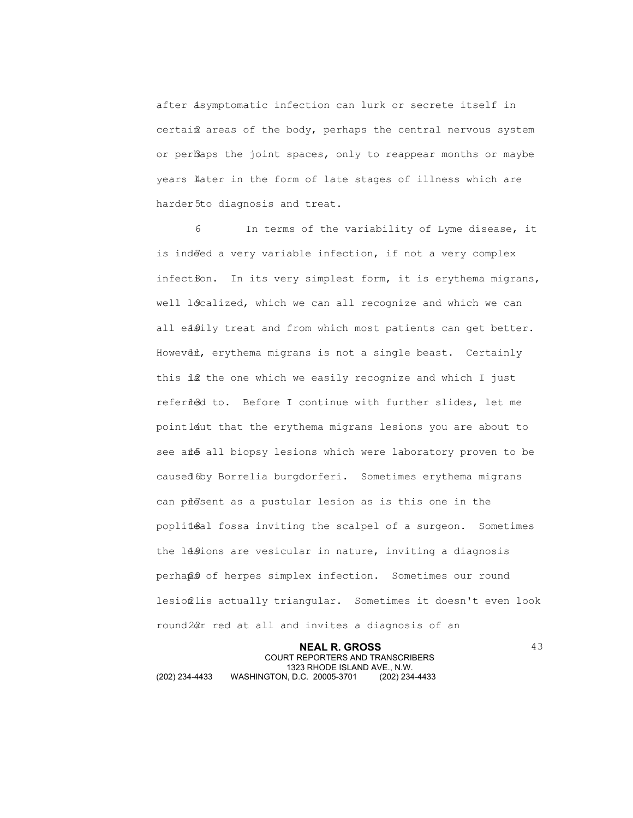after dsymptomatic infection can lurk or secrete itself in certai $a$  areas of the body, perhaps the central nervous system or perßaps the joint spaces, only to reappear months or maybe years later in the form of late stages of illness which are harder 5to diagnosis and treat.

 In terms of the variability of Lyme disease, it 6 is indeed a very variable infection, if not a very complex infectBon. In its very simplest form, it is erythema migrans, well localized, which we can all recognize and which we can all easily treat and from which most patients can get better. Howevdi, erythema migrans is not a single beast. Certainly this is the one which we easily recognize and which I just referied to. Before I continue with further slides, let me point lout that the erythema migrans lesions you are about to see aib all biopsy lesions which were laboratory proven to be caused 6by Borrelia burgdorferi. Sometimes erythema migrans can pidsent as a pustular lesion as is this one in the poplit&al fossa inviting the scalpel of a surgeon. Sometimes the lasions are vesicular in nature, inviting a diagnosis perhaps of herpes simplex infection. Sometimes our round lesioflis actually triangular. Sometimes it doesn't even look round 20r red at all and invites a diagnosis of an

**NEAL R. GROSS** COURT REPORTERS AND TRANSCRIBERS 1323 RHODE ISLAND AVE., N.W. (202) 234-4433 WASHINGTON, D.C. 20005-3701 (202) 234-4433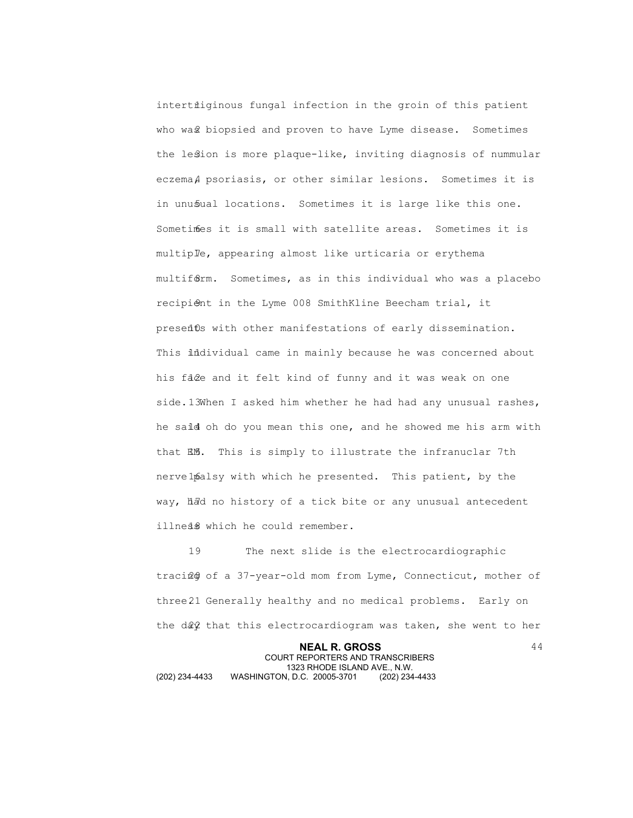intertiiginous fungal infection in the groin of this patient who was biopsied and proven to have Lyme disease. Sometimes the lestion is more plaque-like, inviting diagnosis of nummular eczemaA psoriasis, or other similar lesions. Sometimes it is in unusual locations. Sometimes it is large like this one. Sometimes it is small with satellite areas. Sometimes it is multiple, appearing almost like urticaria or erythema multif&rm. Sometimes, as in this individual who was a placebo recipi@nt in the Lyme 008 SmithKline Beecham trial, it presents with other manifestations of early dissemination. This individual came in mainly because he was concerned about his face and it felt kind of funny and it was weak on one side. 13When I asked him whether he had had any unusual rashes, he said oh do you mean this one, and he showed me his arm with that EM. This is simply to illustrate the infranuclar 7th nerve lpalsy with which he presented. This patient, by the way, had no history of a tick bite or any unusual antecedent illness which he could remember.

19 The next slide is the electrocardiographic tracing of a 37-year-old mom from Lyme, Connecticut, mother of three 21 Generally healthy and no medical problems. Early on the  $d2\hat{y}$  that this electrocardiogram was taken, she went to her

**NEAL R. GROSS** COURT REPORTERS AND TRANSCRIBERS 1323 RHODE ISLAND AVE., N.W. (202) 234-4433 WASHINGTON, D.C. 20005-3701 (202) 234-4433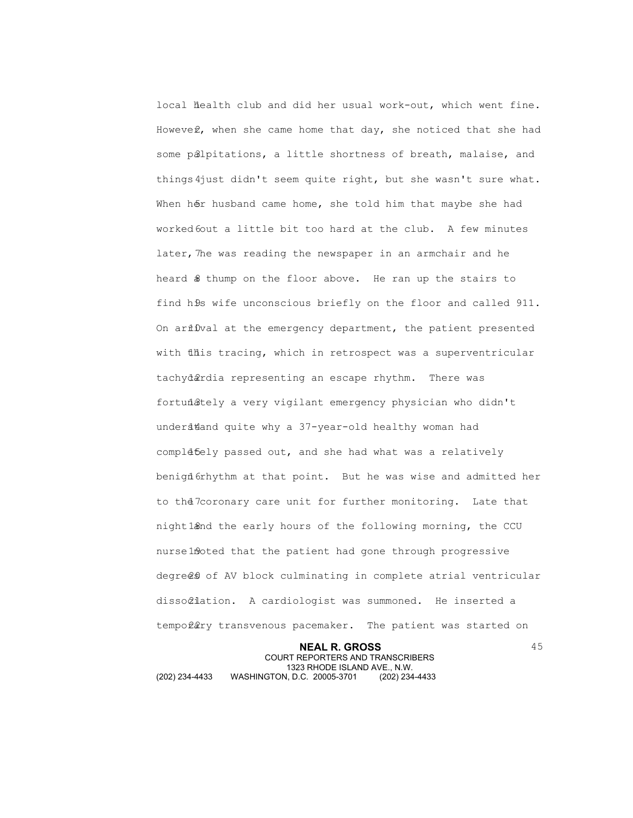local health club and did her usual work-out, which went fine. Howeve $\hat{z}$ , when she came home that day, she noticed that she had some palpitations, a little shortness of breath, malaise, and things 4 just didn't seem quite right, but she wasn't sure what. When her husband came home, she told him that maybe she had worked 60ut a little bit too hard at the club. A few minutes later, The was reading the newspaper in an armchair and he heard  $\delta$  thump on the floor above. He ran up the stairs to find h $\frac{1}{2}$  wife unconscious briefly on the floor and called 911. On aridual at the emergency department, the patient presented with this tracing, which in retrospect was a superventricular tachydârdia representing an escape rhythm. There was fortunately a very vigilant emergency physician who didn't understand quite why a 37-year-old healthy woman had completely passed out, and she had what was a relatively benign 6rhythm at that point. But he was wise and admitted her to the 7coronary care unit for further monitoring. Late that night land the early hours of the following morning, the CCU nurse lioted that the patient had gone through progressive degrees of AV block culminating in complete atrial ventricular dissociation. A cardiologist was summoned. He inserted a tempofary transvenous pacemaker. The patient was started on

**NEAL R. GROSS** COURT REPORTERS AND TRANSCRIBERS 1323 RHODE ISLAND AVE., N.W. (202) 234-4433 WASHINGTON, D.C. 20005-3701 (202) 234-4433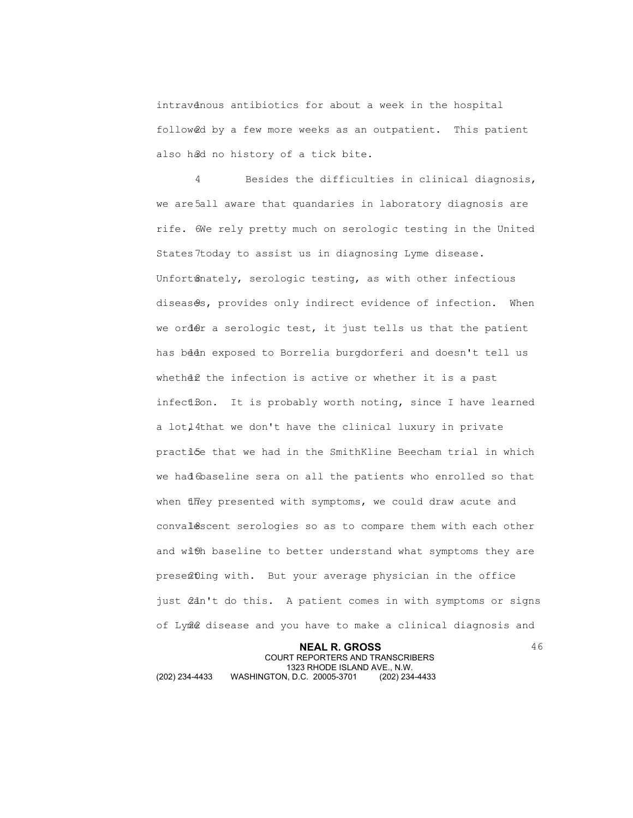intravenous antibiotics for about a week in the hospital followed by a few more weeks as an outpatient. This patient also had no history of a tick bite.

 Besides the difficulties in clinical diagnosis, 4 we are 5all aware that quandaries in laboratory diagnosis are rife. 6We rely pretty much on serologic testing in the United States 7today to assist us in diagnosing Lyme disease. Unfort $\mathcal{C}$ nately, serologic testing, as with other infectious diseas $\Theta$ s, provides only indirect evidence of infection. When we ord $\theta$ r a serologic test, it just tells us that the patient has béen exposed to Borrelia burgdorferi and doesn't tell us whetheff the infection is active or whether it is a past infection. It is probably worth noting, since I have learned a lot, 14that we don't have the clinical luxury in private practice that we had in the SmithKline Beecham trial in which we had 6baseline sera on all the patients who enrolled so that when they presented with symptoms, we could draw acute and convalescent serologies so as to compare them with each other and with baseline to better understand what symptoms they are presenting with. But your average physician in the office just 2dn't do this. A patient comes in with symptoms or signs of Lym2 disease and you have to make a clinical diagnosis and

**NEAL R. GROSS** COURT REPORTERS AND TRANSCRIBERS 1323 RHODE ISLAND AVE., N.W. (202) 234-4433 WASHINGTON, D.C. 20005-3701 (202) 234-4433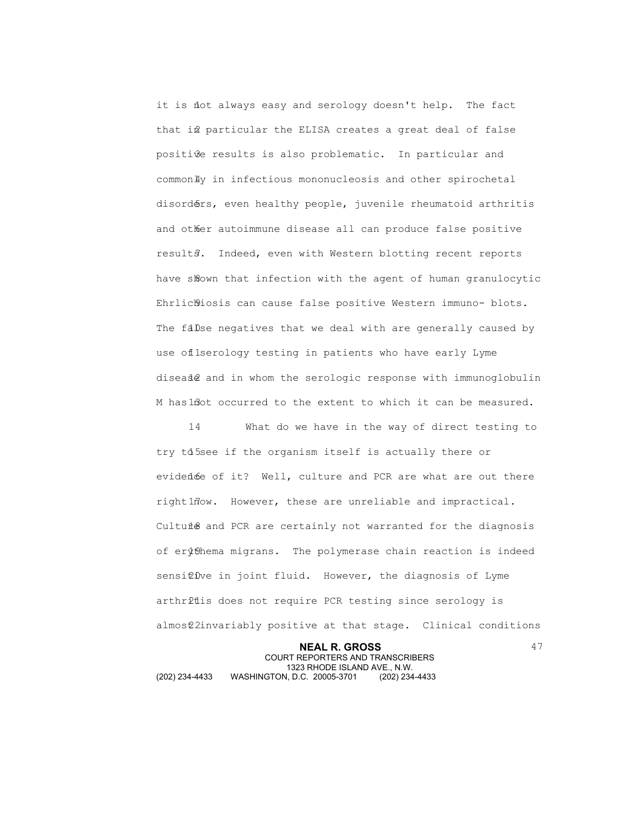it is flot always easy and serology doesn't help. The fact that if particular the ELISA creates a great deal of false positive results is also problematic. In particular and commonly in infectious mononucleosis and other spirochetal disorders, even healthy people, juvenile rheumatoid arthritis and other autoimmune disease all can produce false positive results. Indeed, even with Western blotting recent reports have shown that infection with the agent of human granulocytic Ehrlichiosis can cause false positive Western immuno- blots. The false negatives that we deal with are generally caused by use offlserology testing in patients who have early Lyme disease and in whom the serologic response with immunoglobulin M has lifot occurred to the extent to which it can be measured.

14 What do we have in the way of direct testing to try to 5see if the organism itself is actually there or evidence of it? Well, culture and PCR are what are out there right lnow. However, these are unreliable and impractical. Cultui& and PCR are certainly not warranted for the diagnosis of erithema migrans. The polymerase chain reaction is indeed sensitive in joint fluid. However, the diagnosis of Lyme arthritis does not require PCR testing since serology is almost2invariably positive at that stage. Clinical conditions

**NEAL R. GROSS** COURT REPORTERS AND TRANSCRIBERS 1323 RHODE ISLAND AVE., N.W. (202) 234-4433 WASHINGTON, D.C. 20005-3701 (202) 234-4433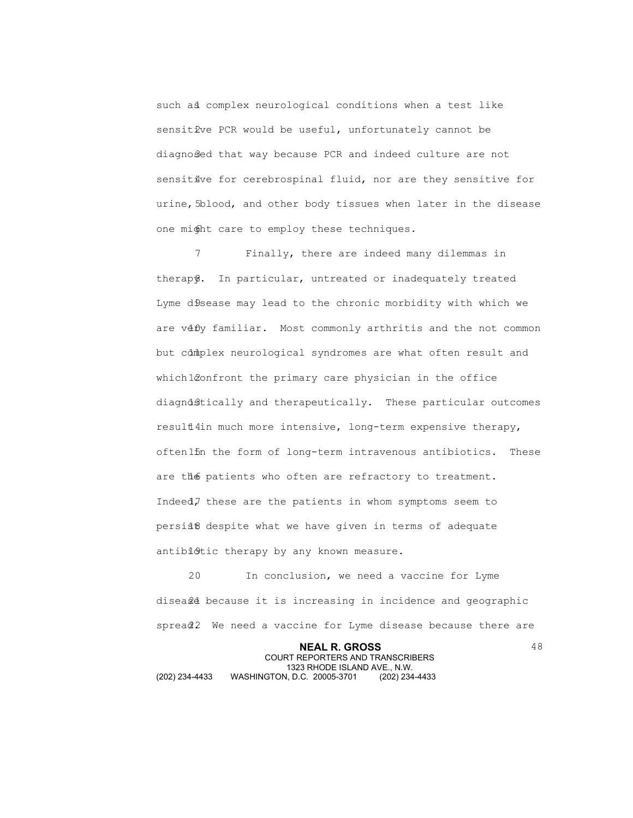such as complex neurological conditions when a test like sensitive PCR would be useful, unfortunately cannot be diagnosed that way because PCR and indeed culture are not sensitive for cerebrospinal fluid, nor are they sensitive for urine, 5blood, and other body tissues when later in the disease one might care to employ these techniques.

 Finally, there are indeed many dilemmas in 7 therap . In particular, untreated or inadequately treated Lyme dBsease may lead to the chronic morbidity with which we are veopy familiar. Most commonly arthritis and the not common but complex neurological syndromes are what often result and which 12onfront the primary care physician in the office diagnd Stically and therapeutically. These particular outcomes result4in much more intensive, long-term expensive therapy, often 15n the form of long-term intravenous antibiotics. These are the patients who often are refractory to treatment. Indeed,7 these are the patients in whom symptoms seem to persist despite what we have given in terms of adequate antibiotic therapy by any known measure.

20 In conclusion, we need a vaccine for Lyme disea& because it is increasing in incidence and geographic  $spread2$  We need a vaccine for Lyme disease because there are

**NEAL R. GROSS** COURT REPORTERS AND TRANSCRIBERS 1323 RHODE ISLAND AVE., N.W. (202) 234-4433 WASHINGTON, D.C. 20005-3701 (202) 234-4433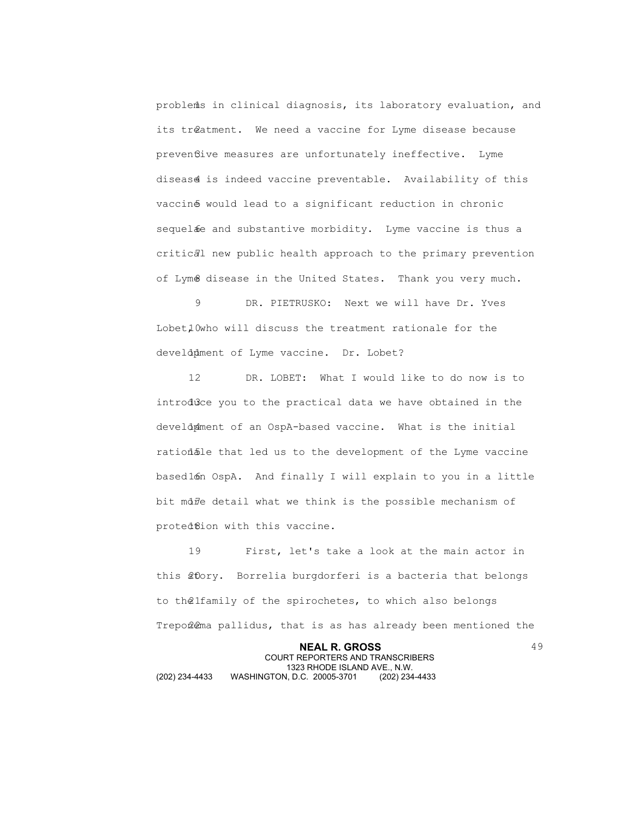problems in clinical diagnosis, its laboratory evaluation, and its treatment. We need a vaccine for Lyme disease because preventive measures are unfortunately ineffective. Lyme disease is indeed vaccine preventable. Availability of this vacciné would lead to a significant reduction in chronic sequelae and substantive morbidity. Lyme vaccine is thus a critical new public health approach to the primary prevention of Lym& disease in the United States. Thank you very much.

9 DR. PIETRUSKO: Next we will have Dr. Yves Lobet10who will discuss the treatment rationale for the develdpment of Lyme vaccine. Dr. Lobet?

12 DR. LOBET: What I would like to do now is to introduce you to the practical data we have obtained in the develdpment of an OspA-based vaccine. What is the initial rationale that led us to the development of the Lyme vaccine based 16n OspA. And finally I will explain to you in a little bit mdfe detail what we think is the possible mechanism of proted Bion with this vaccine.

19 First, let's take a look at the main actor in this £fory. Borrelia burgdorferi is a bacteria that belongs to the 1family of the spirochetes, to which also belongs Treponema pallidus, that is as has already been mentioned the

**NEAL R. GROSS** COURT REPORTERS AND TRANSCRIBERS 1323 RHODE ISLAND AVE., N.W. (202) 234-4433 WASHINGTON, D.C. 20005-3701 (202) 234-4433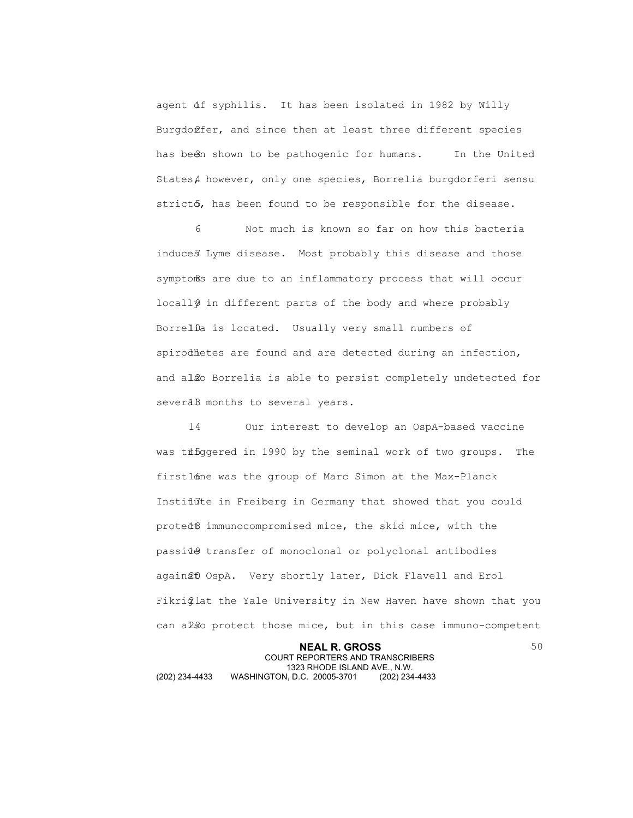agent df syphilis. It has been isolated in 1982 by Willy Burgdoffer, and since then at least three different species has been shown to be pathogenic for humans. In the United StatesA however, only one species, Borrelia burgdorferi sensu stricto, has been found to be responsible for the disease.

 Not much is known so far on how this bacteria 6 induce $S$  Lyme disease. Most probably this disease and those symptoms are due to an inflammatory process that will occur locall $\emptyset$  in different parts of the body and where probably Borrella is located. Usually very small numbers of spirodhetes are found and are detected during an infection, and also Borrelia is able to persist completely undetected for several months to several years.

 Our interest to develop an OspA-based vaccine 14 was tibsqqered in 1990 by the seminal work of two groups. The first 16ne was the group of Marc Simon at the Max-Planck Institute in Freiberg in Germany that showed that you could proted 8 immunocompromised mice, the skid mice, with the passive transfer of monoclonal or polyclonal antibodies again 20 OspA. Very shortly later, Dick Flavell and Erol Fikrig lat the Yale University in New Haven have shown that you can also protect those mice, but in this case immuno-competent

**NEAL R. GROSS** COURT REPORTERS AND TRANSCRIBERS 1323 RHODE ISLAND AVE., N.W. (202) 234-4433 WASHINGTON, D.C. 20005-3701 (202) 234-4433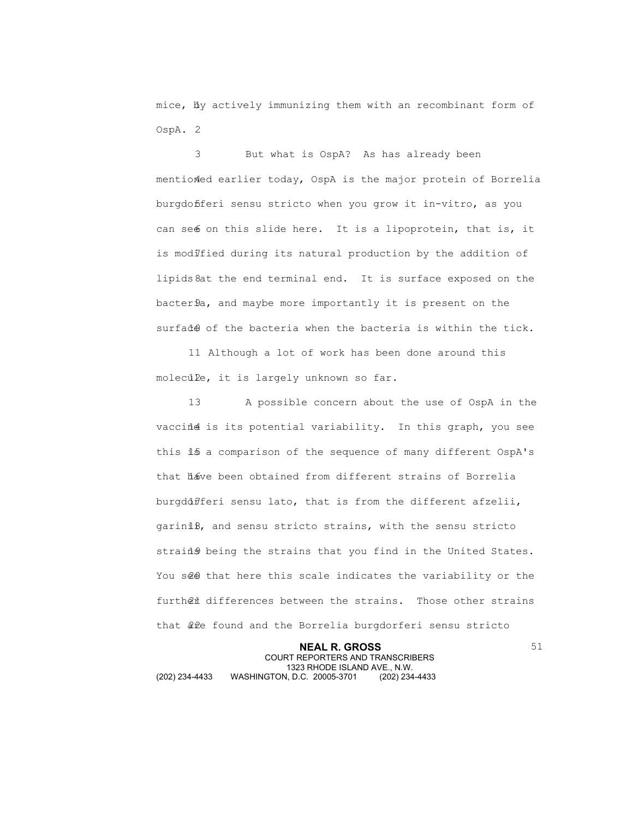mice, by actively immunizing them with an recombinant form of OspA. 2

3 But what is OspA? As has already been mentioned earlier today, OspA is the major protein of Borrelia burgdofferi sensu stricto when you grow it in-vitro, as you can see on this slide here. It is a lipoprotein, that is, it is modified during its natural production by the addition of lipids 8at the end terminal end. It is surface exposed on the bacter $\mathcal{B}$ a, and maybe more importantly it is present on the surfad $\Theta$  of the bacteria when the bacteria is within the tick.

11 Although a lot of work has been done around this molecule, it is largely unknown so far.

13 A possible concern about the use of OspA in the vaccine is its potential variability. In this graph, you see this is a comparison of the sequence of many different OspA's that have been obtained from different strains of Borrelia burgddfferi sensu lato, that is from the different afzelii, gariniß, and sensu stricto strains, with the sensu stricto straing being the strains that you find in the United States. You see that here this scale indicates the variability or the furthed differences between the strains. Those other strains that ale found and the Borrelia burgdorferi sensu stricto

**NEAL R. GROSS** COURT REPORTERS AND TRANSCRIBERS 1323 RHODE ISLAND AVE., N.W. (202) 234-4433 WASHINGTON, D.C. 20005-3701 (202) 234-4433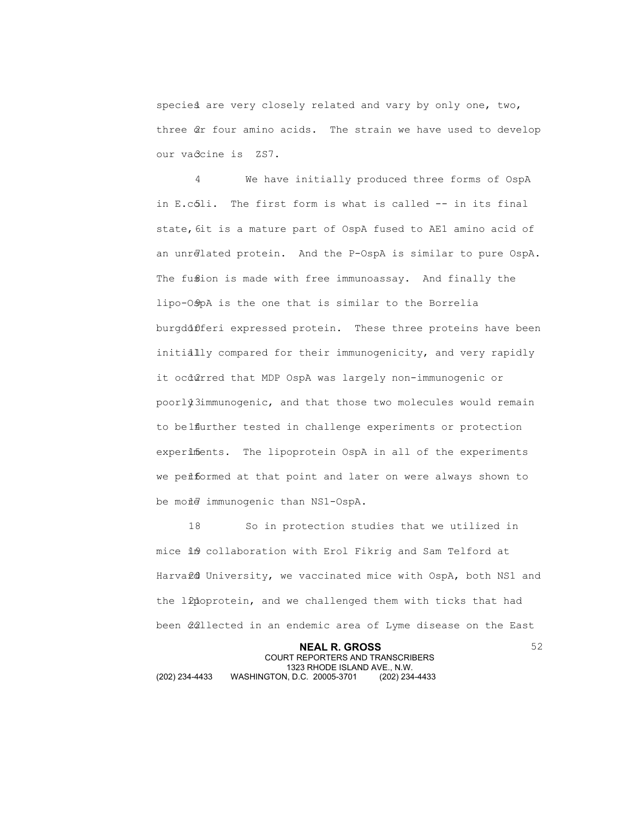species are very closely related and vary by only one, two, three  $\hat{a}$ r four amino acids. The strain we have used to develop our va<sub>ccine is</sub> zs7.

 We have initially produced three forms of OspA 4 in E.c5li. The first form is what is called -- in its final state, 6it is a mature part of OspA fused to AE1 amino acid of an unrelated protein. And the P-OspA is similar to pure OspA. The fussion is made with free immunoassay. And finally the lipo-OspA is the one that is similar to the Borrelia burgddfferi expressed protein. These three proteins have been initially compared for their immunogenicity, and very rapidly it ocdûrred that MDP OspA was largely non-immunogenic or  $poorl$  $ij$ immunogenic, and that those two molecules would remain to be lflurther tested in challenge experiments or protection experiments. The lipoprotein OspA in all of the experiments we performed at that point and later on were always shown to be moid immunogenic than NS1-OspA.

18 So in protection studies that we utilized in mice in collaboration with Erol Fikrig and Sam Telford at Harvaid University, we vaccinated mice with OspA, both NS1 and the lipoprotein, and we challenged them with ticks that had been 22llected in an endemic area of Lyme disease on the East

**NEAL R. GROSS** COURT REPORTERS AND TRANSCRIBERS 1323 RHODE ISLAND AVE., N.W. (202) 234-4433 WASHINGTON, D.C. 20005-3701 (202) 234-4433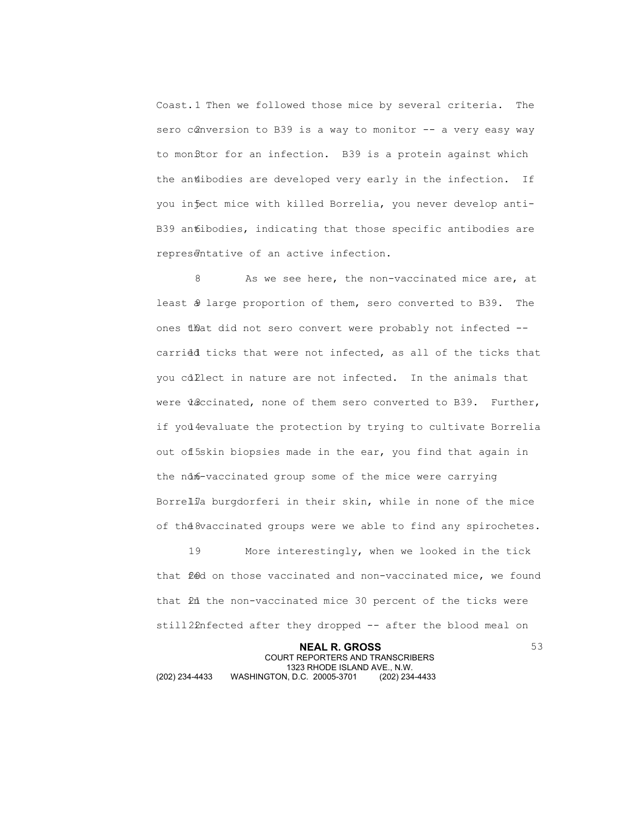Coast. 1 Then we followed those mice by several criteria. The sero c $@n$ version to B39 is a way to monitor  $--$  a very easy way to monßtor for an infection. B39 is a protein against which the antibodies are developed very early in the infection. If you infect mice with killed Borrelia, you never develop anti-B39 antibodies, indicating that those specific antibodies are representative of an active infection.

8 As we see here, the non-vaccinated mice are, at least  $\theta$  large proportion of them, sero converted to B39. The ones fl $\delta$ at did not sero convert were probably not infected -carried ticks that were not infected, as all of the ticks that you cdllect in nature are not infected. In the animals that were *daccinated, none of them sero converted to B39. Further,* if you 4evaluate the protection by trying to cultivate Borrelia out off5skin biopsies made in the ear, you find that again in the ndm-vaccinated group some of the mice were carrying Borrelia burgdorferi in their skin, while in none of the mice of the 8vaccinated groups were we able to find any spirochetes.

19 More interestingly, when we looked in the tick that  $f$  $\theta$ d on those vaccinated and non-vaccinated mice, we found that 21 the non-vaccinated mice 30 percent of the ticks were still 22nfected after they dropped -- after the blood meal on

**NEAL R. GROSS** COURT REPORTERS AND TRANSCRIBERS 1323 RHODE ISLAND AVE., N.W. (202) 234-4433 WASHINGTON, D.C. 20005-3701 (202) 234-4433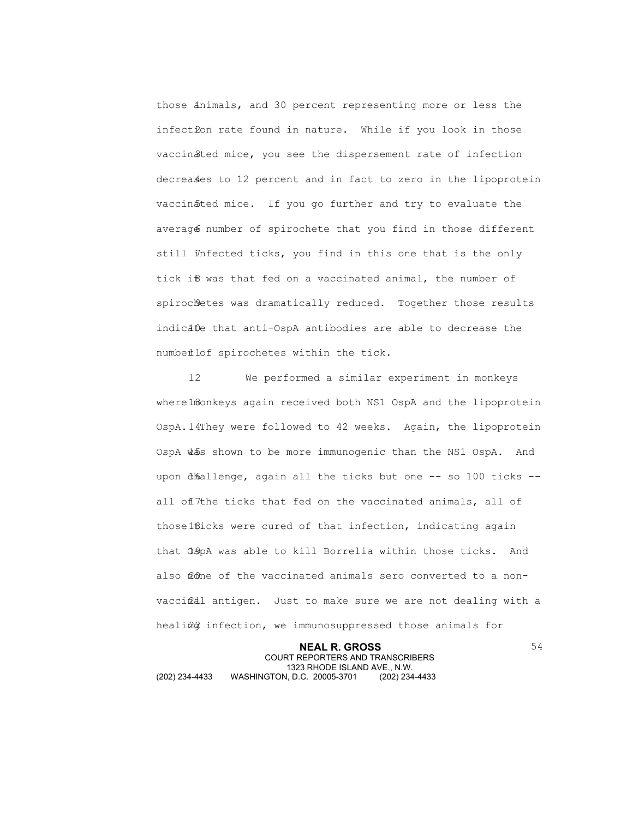those dnimals, and 30 percent representing more or less the infectlon rate found in nature. While if you look in those vaccinated mice, you see the dispersement rate of infection decreases to 12 percent and in fact to zero in the lipoprotein vaccinated mice. If you go further and try to evaluate the average number of spirochete that you find in those different still infected ticks, you find in this one that is the only tick it was that fed on a vaccinated animal, the number of spirochetes was dramatically reduced. Together those results indicate that anti-OspA antibodies are able to decrease the numbeilof spirochetes within the tick.

12 We performed a similar experiment in monkeys where lmonkeys again received both NS1 OspA and the lipoprotein OspA. 14They were followed to 42 weeks. Again, the lipoprotein OspA was shown to be more immunogenic than the NS1 OspA. And upon dhallenge, again all the ticks but one -- so 100 ticks -all off 7the ticks that fed on the vaccinated animals, all of those lucks were cured of that infection, indicating again that QSpA was able to kill Borrelia within those ticks. And also  $n$  one of the vaccinated animals sero converted to a nonvaccinal antigen. Just to make sure we are not dealing with a healing infection, we immunosuppressed those animals for

**NEAL R. GROSS** COURT REPORTERS AND TRANSCRIBERS 1323 RHODE ISLAND AVE., N.W. (202) 234-4433 WASHINGTON, D.C. 20005-3701 (202) 234-4433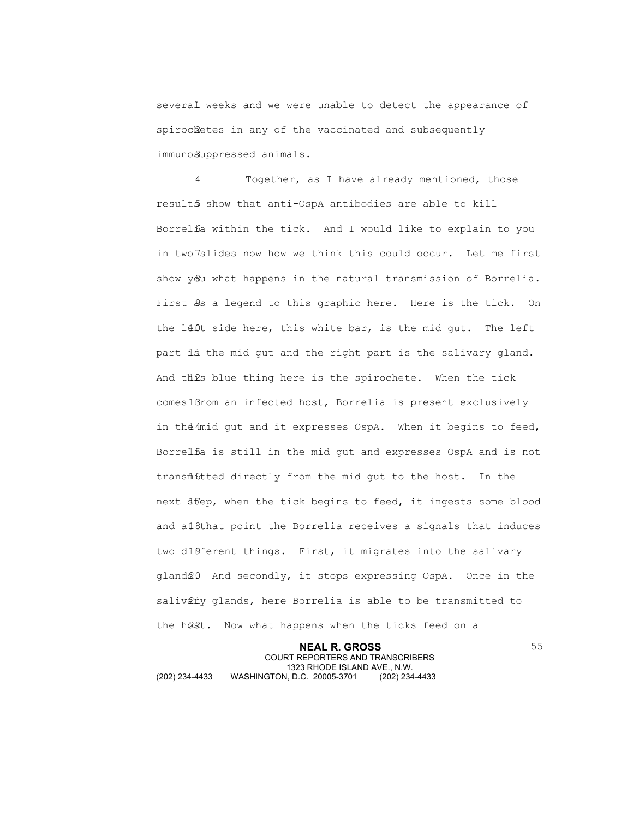several weeks and we were unable to detect the appearance of spirochetes in any of the vaccinated and subsequently immunosuppressed animals.

 Together, as I have already mentioned, those 4 result5 show that anti-OspA antibodies are able to kill Borrelfa within the tick. And I would like to explain to you in two 7slides now how we think this could occur. Let me first show you what happens in the natural transmission of Borrelia. First  $\hat{x}$ s a legend to this graphic here. Here is the tick. On the laft side here, this white bar, is the mid gut. The left part is the mid gut and the right part is the salivary gland. And this blue thing here is the spirochete. When the tick comes 1 from an infected host, Borrelia is present exclusively in the 4mid gut and it expresses OspA. When it begins to feed, Borrelba is still in the mid gut and expresses OspA and is not transmibuted directly from the mid gut to the host. In the next *dflep, when the tick begins to feed, it ingests some blood* and at 8that point the Borrelia receives a signals that induces two different things. First, it migrates into the salivary gland\$0 And secondly, it stops expressing OspA. Once in the salivaty glands, here Borrelia is able to be transmitted to the hast. Now what happens when the ticks feed on a

**NEAL R. GROSS** COURT REPORTERS AND TRANSCRIBERS 1323 RHODE ISLAND AVE., N.W. (202) 234-4433 WASHINGTON, D.C. 20005-3701 (202) 234-4433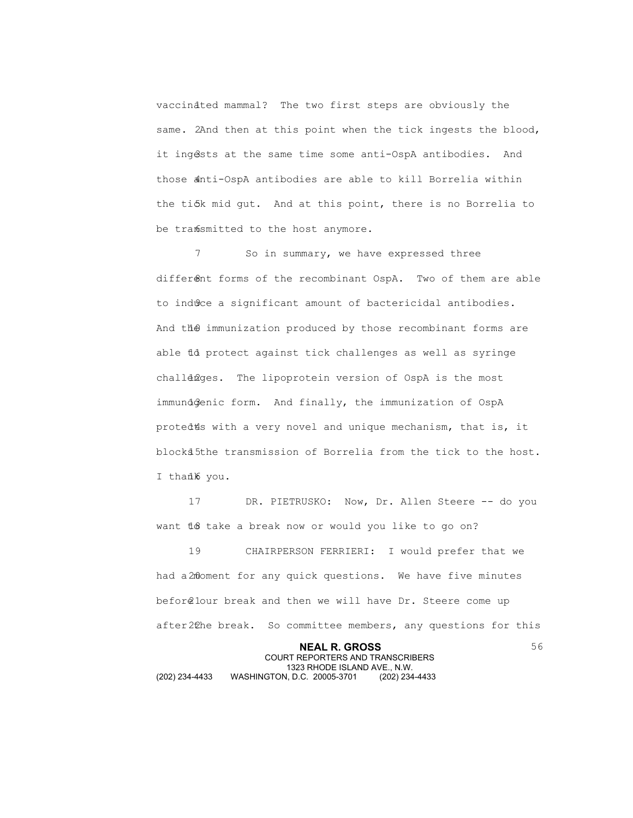vaccinated mammal? The two first steps are obviously the same. 2And then at this point when the tick ingests the blood, it ingests at the same time some anti-OspA antibodies. And those anti-OspA antibodies are able to kill Borrelia within the ti6k mid gut. And at this point, there is no Borrelia to be tramsmitted to the host anymore.

7 So in summary, we have expressed three different forms of the recombinant OspA. Two of them are able to induce a significant amount of bactericidal antibodies. And  $t$  immunization produced by those recombinant forms are able flå protect against tick challenges as well as syringe challdiges. The lipoprotein version of OspA is the most immundoenic form. And finally, the immunization of OspA protedts with a very novel and unique mechanism, that is, it blocks 5the transmission of Borrelia from the tick to the host. I thank you.

17 DR. PIETRUSKO: Now, Dr. Allen Steere -- do you want flo take a break now or would you like to go on?

19 CHAIRPERSON FERRIERI: I would prefer that we had a 2moment for any quick questions. We have five minutes beforelour break and then we will have Dr. Steere come up after 2the break. So committee members, any questions for this

**NEAL R. GROSS** COURT REPORTERS AND TRANSCRIBERS 1323 RHODE ISLAND AVE., N.W. (202) 234-4433 WASHINGTON, D.C. 20005-3701 (202) 234-4433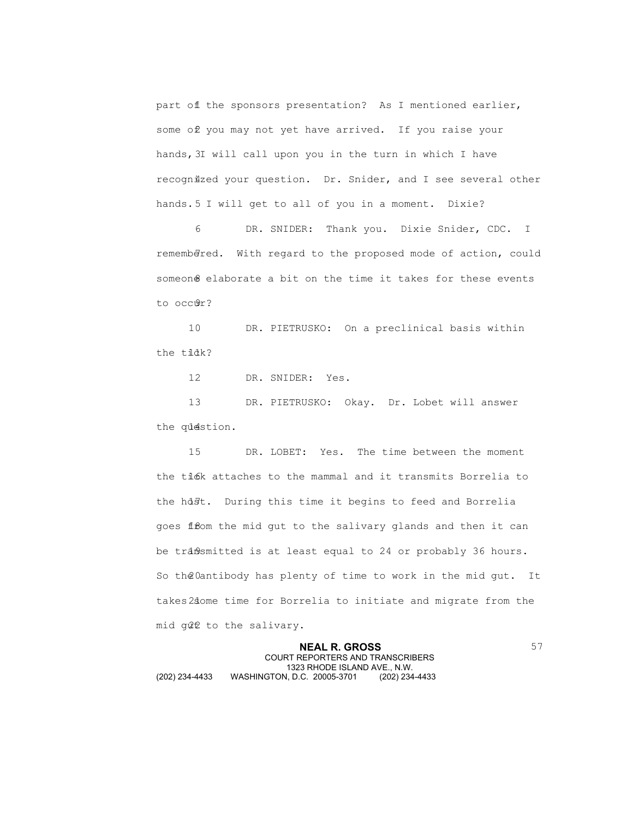part off the sponsors presentation? As I mentioned earlier, some of you may not yet have arrived. If you raise your hands, 3I will call upon you in the turn in which I have recognized your question. Dr. Snider, and I see several other hands. 5 I will get to all of you in a moment. Dixie?

 DR. SNIDER: Thank you. Dixie Snider, CDC. I 6 remembered. With regard to the proposed mode of action, could someone elaborate a bit on the time it takes for these events to occur?

10 DR. PIETRUSKO: On a preclinical basis within the tidk?

12 DR. SNIDER: Yes.

13 DR. PIETRUSKO: Okay. Dr. Lobet will answer the question.

15 DR. LOBET: Yes. The time between the moment the tick attaches to the mammal and it transmits Borrelia to the hdst. During this time it begins to feed and Borrelia goes fiftom the mid gut to the salivary glands and then it can be transmitted is at least equal to 24 or probably 36 hours. So the 0antibody has plenty of time to work in the mid qut. It takes 24ome time for Borrelia to initiate and migrate from the mid gut to the salivary.

**NEAL R. GROSS** COURT REPORTERS AND TRANSCRIBERS 1323 RHODE ISLAND AVE., N.W. (202) 234-4433 WASHINGTON, D.C. 20005-3701 (202) 234-4433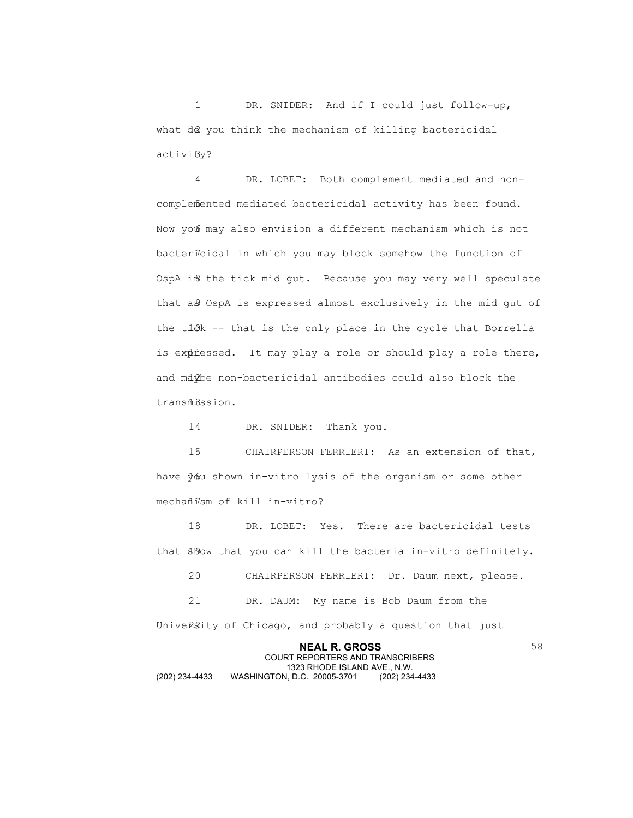1 DR. SNIDER: And if I could just follow-up, what d& you think the mechanism of killing bactericidal activity?

 DR. LOBET: Both complement mediated and non- 4 complemented mediated bactericidal activity has been found. Now yow may also envision a different mechanism which is not bactericidal in which you may block somehow the function of OspA in the tick mid gut. Because you may very well speculate that as OspA is expressed almost exclusively in the mid gut of the tilok -- that is the only place in the cycle that Borrelia is expiessed. It may play a role or should play a role there, and maybe non-bactericidal antibodies could also block the transmißssion.

14 DR. SNIDER: Thank you.

15 CHAIRPERSON FERRIERI: As an extension of that, have  $\psi$  shown in-vitro lysis of the organism or some other mechanism of kill in-vitro?

18 DR. LOBET: Yes. There are bactericidal tests that *show* that you can kill the bacteria in-vitro definitely.

20 CHAIRPERSON FERRIERI: Dr. Daum next, please. 21 DR. DAUM: My name is Bob Daum from the University of Chicago, and probably a question that just

**NEAL R. GROSS** COURT REPORTERS AND TRANSCRIBERS 1323 RHODE ISLAND AVE., N.W. (202) 234-4433 WASHINGTON, D.C. 20005-3701 (202) 234-4433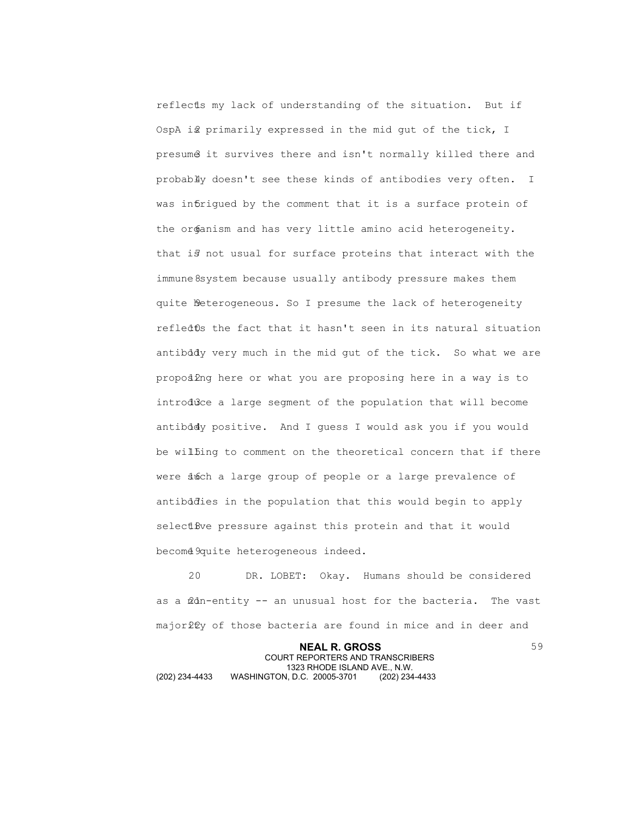reflects my lack of understanding of the situation. But if OspA i£ primarily expressed in the mid gut of the tick, I presume it survives there and isn't normally killed there and probably doesn't see these kinds of antibodies very often. I was infrigued by the comment that it is a surface protein of the orcanism and has very little amino acid heterogeneity. that is not usual for surface proteins that interact with the immune 8system because usually antibody pressure makes them quite Beterogeneous. So I presume the lack of heterogeneity reflects the fact that it hasn't seen in its natural situation antibddy very much in the mid gut of the tick. So what we are proposing here or what you are proposing here in a way is to introduce a large segment of the population that will become antibddy positive. And I quess I would ask you if you would be willbing to comment on the theoretical concern that if there were *subch* a large group of people or a large prevalence of antibddies in the population that this would begin to apply selectBve pressure against this protein and that it would becomé 9quite heterogeneous indeed.

20 DR. LOBET: Okay. Humans should be considered as a *f*idn-entity -- an unusual host for the bacteria. The vast major22y of those bacteria are found in mice and in deer and

**NEAL R. GROSS** COURT REPORTERS AND TRANSCRIBERS 1323 RHODE ISLAND AVE., N.W. (202) 234-4433 WASHINGTON, D.C. 20005-3701 (202) 234-4433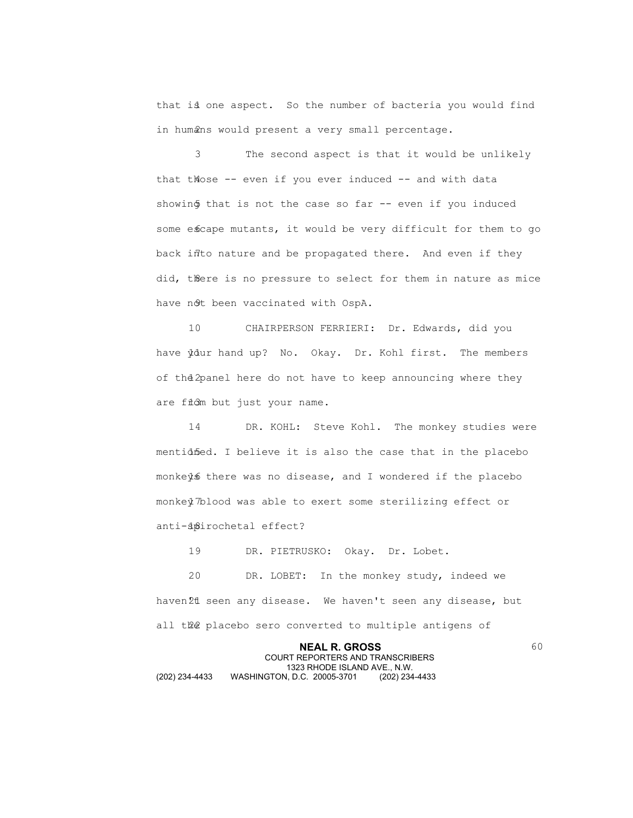that is one aspect. So the number of bacteria you would find in humans would present a very small percentage.

3 The second aspect is that it would be unlikely that those  $-$ - even if you ever induced  $-$ - and with data showin $\Phi$  that is not the case so far -- even if you induced some escape mutants, it would be very difficult for them to go back into nature and be propagated there. And even if they did, there is no pressure to select for them in nature as mice have not been vaccinated with OspA.

10 CHAIRPERSON FERRIERI: Dr. Edwards, did you have *i*dur hand up? No. Okay. Dr. Kohl first. The members of the 2panel here do not have to keep announcing where they are filôm but just your name.

14 DR. KOHL: Steve Kohl. The monkey studies were mentidfied. I believe it is also the case that in the placebo monke $\oint$ s there was no disease, and I wondered if the placebo monket7blood was able to exert some sterilizing effect or anti-spirochetal effect?

19 DR. PIETRUSKO: Okay. Dr. Lobet. 20 DR. LOBET: In the monkey study, indeed we haven2d seen any disease. We haven't seen any disease, but all the placebo sero converted to multiple antigens of

**NEAL R. GROSS** COURT REPORTERS AND TRANSCRIBERS 1323 RHODE ISLAND AVE., N.W. (202) 234-4433 WASHINGTON, D.C. 20005-3701 (202) 234-4433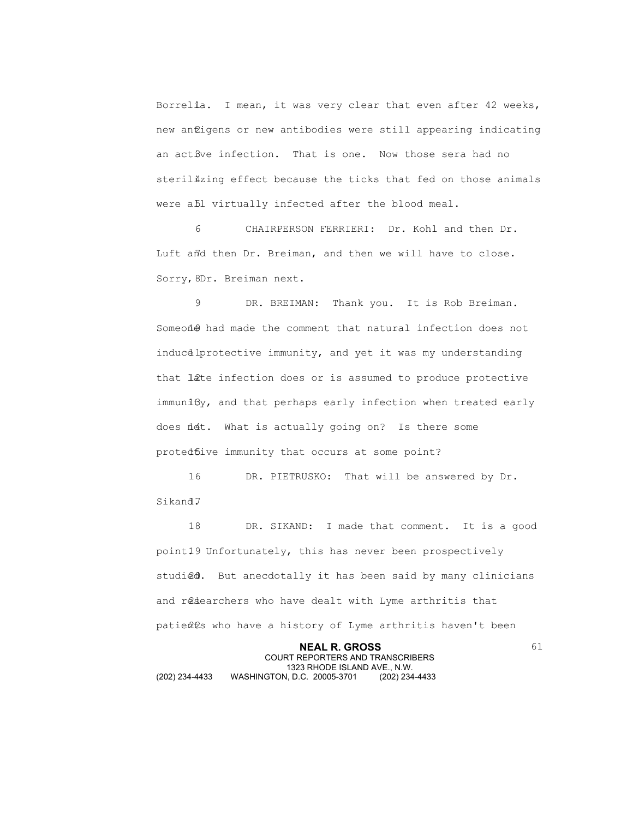Borrelia. I mean, it was very clear that even after 42 weeks, new antigens or new antibodies were still appearing indicating an active infection. That is one. Now those sera had no sterilizing effect because the ticks that fed on those animals were all virtually infected after the blood meal.

 CHAIRPERSON FERRIERI: Dr. Kohl and then Dr. 6 Luft and then Dr. Breiman, and then we will have to close. Sorry, 8Dr. Breiman next.

9 DR. BREIMAN: Thank you. It is Rob Breiman. Someone had made the comment that natural infection does not induce 1protective immunity, and yet it was my understanding that late infection does or is assumed to produce protective immunity, and that perhaps early infection when treated early does flet. What is actually going on? Is there some protedbive immunity that occurs at some point?

16 DR. PIETRUSKO: That will be answered by Dr. Sikand7

18 DR. SIKAND: I made that comment. It is a good point19 Unfortunately, this has never been prospectively studied. But anecdotally it has been said by many clinicians and researchers who have dealt with Lyme arthritis that patients who have a history of Lyme arthritis haven't been

**NEAL R. GROSS** COURT REPORTERS AND TRANSCRIBERS 1323 RHODE ISLAND AVE., N.W. (202) 234-4433 WASHINGTON, D.C. 20005-3701 (202) 234-4433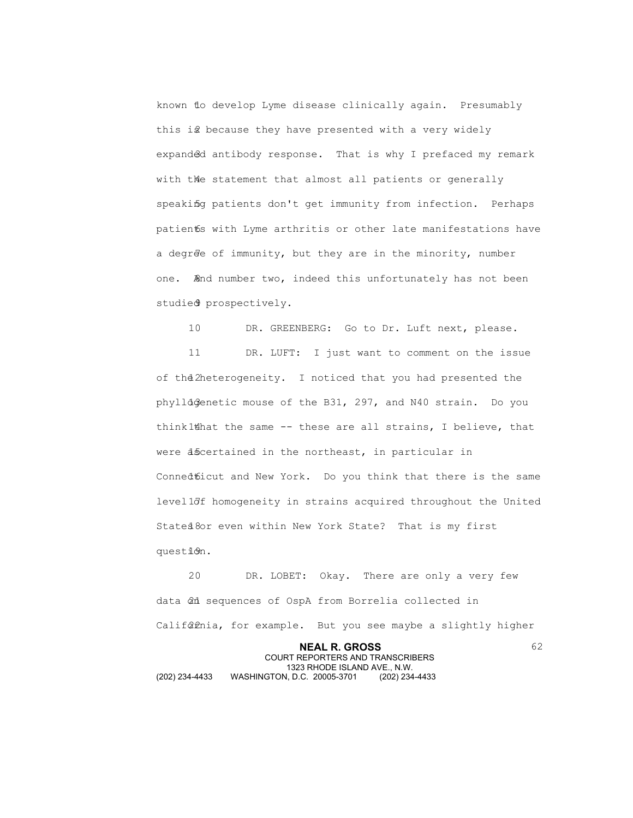known flo develop Lyme disease clinically again. Presumably this is because they have presented with a very widely expanded antibody response. That is why I prefaced my remark with the statement that almost all patients or generally speakifig patients don't get immunity from infection. Perhaps patients with Lyme arthritis or other late manifestations have a degree of immunity, but they are in the minority, number one. And number two, indeed this unfortunately has not been studied prospectively.

10 DR. GREENBERG: Go to Dr. Luft next, please.

11 DR. LUFT: I just want to comment on the issue of the 2heterogeneity. I noticed that you had presented the phylld@enetic mouse of the B31, 297, and N40 strain. Do you think luthat the same -- these are all strains, I believe, that were ascertained in the northeast, in particular in Connedficut and New York. Do you think that there is the same level 18f homogeneity in strains acquired throughout the United States 8or even within New York State? That is my first question.

20 DR. LOBET: Okay. There are only a very few data  $@1$  sequences of OspA from Borrelia collected in Califatnia, for example. But you see maybe a slightly higher

**NEAL R. GROSS** COURT REPORTERS AND TRANSCRIBERS 1323 RHODE ISLAND AVE., N.W. (202) 234-4433 WASHINGTON, D.C. 20005-3701 (202) 234-4433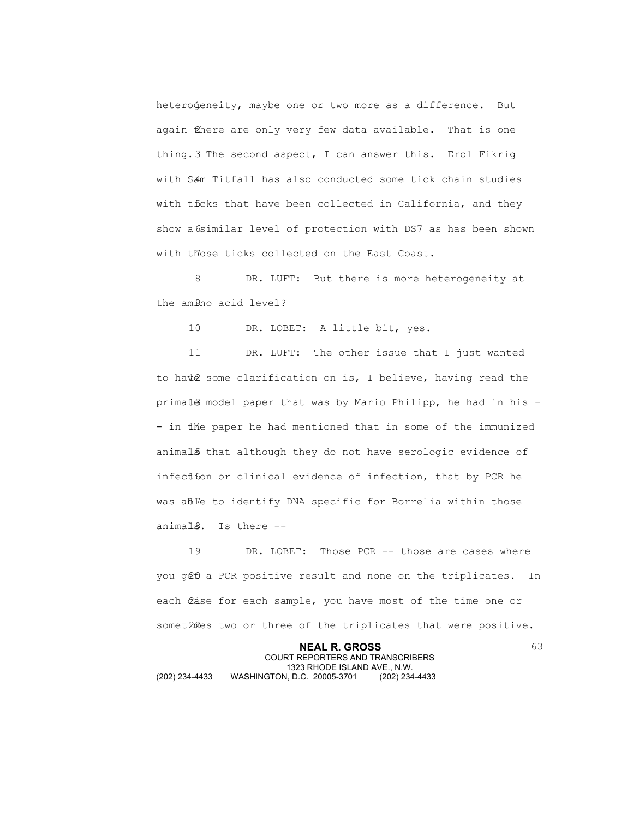heteroqeneity, maybe one or two more as a difference. But again there are only very few data available. That is one thing. 3 The second aspect, I can answer this. Erol Fikrig with Sam Titfall has also conducted some tick chain studies with tficks that have been collected in California, and they show a 6similar level of protection with DS7 as has been shown with those ticks collected on the East Coast.

8 DR. LUFT: But there is more heterogeneity at the amino acid level?

10 DR. LOBET: A little bit, yes.

11 DR. LUFT: The other issue that I just wanted to ha $\theta$  some clarification on is, I believe, having read the primate model paper that was by Mario Philipp, he had in his -- in the paper he had mentioned that in some of the immunized animals that although they do not have serologic evidence of infection or clinical evidence of infection, that by PCR he was able to identify DNA specific for Borrelia within those animal\$. Is there --

19 DR. LOBET: Those PCR -- those are cases where you get a PCR positive result and none on the triplicates. In each 2dse for each sample, you have most of the time one or somethies two or three of the triplicates that were positive.

**NEAL R. GROSS** COURT REPORTERS AND TRANSCRIBERS 1323 RHODE ISLAND AVE., N.W. (202) 234-4433 WASHINGTON, D.C. 20005-3701 (202) 234-4433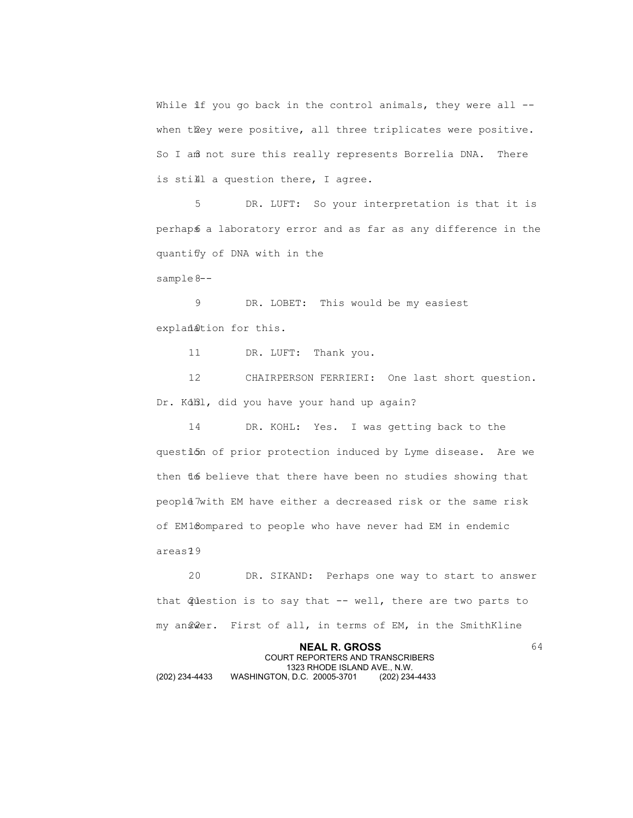While if you go back in the control animals, they were all  $$ when they were positive, all three triplicates were positive. So I am not sure this really represents Borrelia DNA. There is still a question there, I agree.

5 DR. LUFT: So your interpretation is that it is perhaps a laboratory error and as far as any difference in the quantifly of DNA with in the

sample 8--

9 DR. LOBET: This would be my easiest explanation for this.

11 DR. LUFT: Thank you.

12 CHAIRPERSON FERRIERI: One last short question. Dr. KdBl, did you have your hand up again?

14 DR. KOHL: Yes. I was getting back to the question of prior protection induced by Lyme disease. Are we then  $t\delta$  believe that there have been no studies showing that peopld 7with EM have either a decreased risk or the same risk of EM 1& ompared to people who have never had EM in endemic areas? 19

20 DR. SIKAND: Perhaps one way to start to answer that  $q$  destion is to say that  $--$  well, there are two parts to my answer. First of all, in terms of EM, in the SmithKline

**NEAL R. GROSS** COURT REPORTERS AND TRANSCRIBERS 1323 RHODE ISLAND AVE., N.W. (202) 234-4433 WASHINGTON, D.C. 20005-3701 (202) 234-4433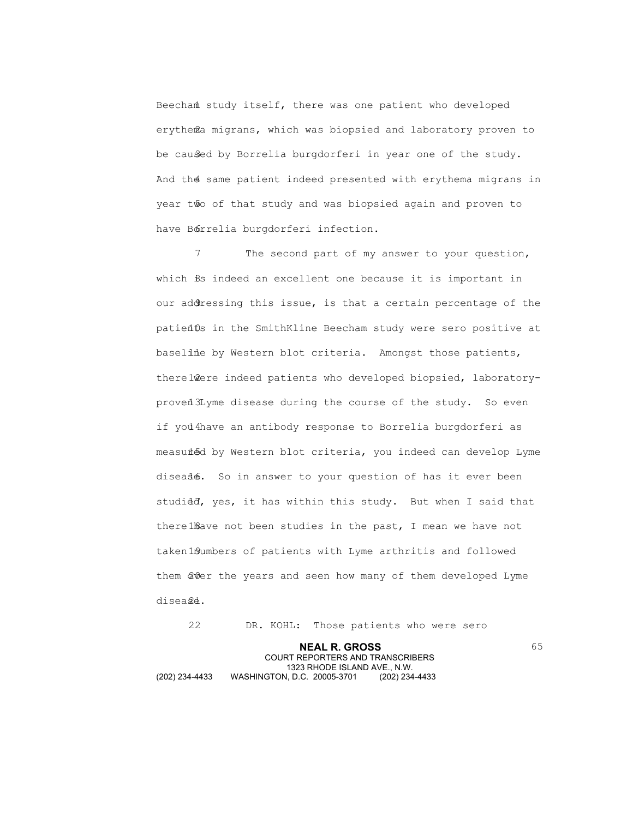Beecham study itself, there was one patient who developed erythema migrans, which was biopsied and laboratory proven to be caused by Borrelia burgdorferi in year one of the study. And the same patient indeed presented with erythema migrans in year two of that study and was biopsied again and proven to have Borrelia burgdorferi infection.

The second part of my answer to your question, which Bs indeed an excellent one because it is important in our addressing this issue, is that a certain percentage of the patients in the SmithKline Beecham study were sero positive at baseline by Western blot criteria. Amongst those patients, there liere indeed patients who developed biopsied, laboratoryproved 3Lyme disease during the course of the study. So even if you 4have an antibody response to Borrelia burgdorferi as measuited by Western blot criteria, you indeed can develop Lyme diseasté. So in answer to your question of has it ever been studied, yes, it has within this study. But when I said that there liave not been studies in the past, I mean we have not taken 10 umbers of patients with Lyme arthritis and followed them  $\hat{\alpha}$  vears and seen how many of them developed Lyme disea 24.

22 DR. KOHL: Those patients who were sero

**NEAL R. GROSS** COURT REPORTERS AND TRANSCRIBERS 1323 RHODE ISLAND AVE., N.W. (202) 234-4433 WASHINGTON, D.C. 20005-3701 (202) 234-4433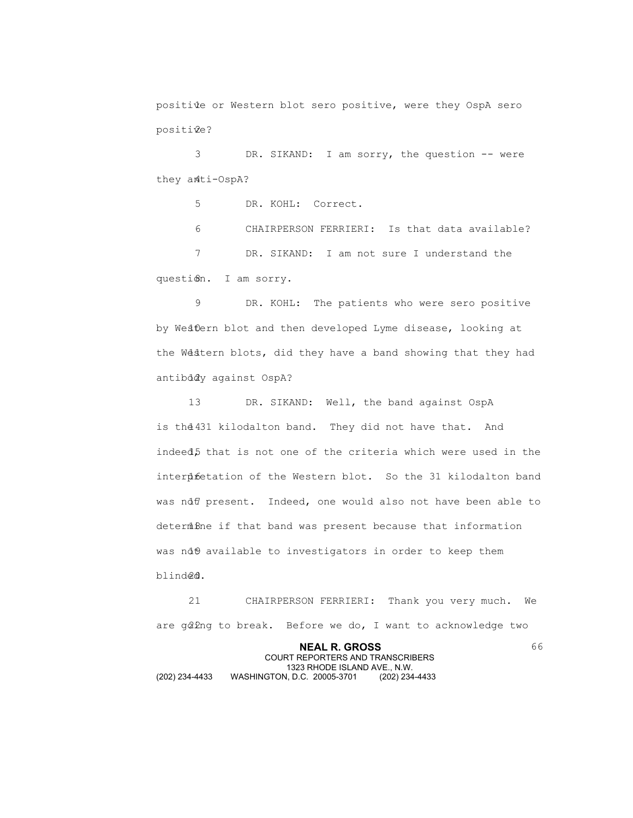positive or Western blot sero positive, were they OspA sero positive?

3 DR. SIKAND: I am sorry, the question -- were they anti-OspA?

DR. KOHL: Correct. 5

CHAIRPERSON FERRIERI: Is that data available? 6

7 DR. SIKAND: I am not sure I understand the question. I am sorry.

9 DR. KOHL: The patients who were sero positive by Western blot and then developed Lyme disease, looking at the Wéstern blots, did they have a band showing that they had antibddy against OspA?

13 DR. SIKAND: Well, the band against OspA is thé 431 kilodalton band. They did not have that. And indeed5 that is not one of the criteria which were used in the interpifetation of the Western blot. So the 31 kilodalton band was ndf present. Indeed, one would also not have been able to determine if that band was present because that information was nd<sup>+</sup> available to investigators in order to keep them blinded.

21 CHAIRPERSON FERRIERI: Thank you very much. We are going to break. Before we do, I want to acknowledge two

**NEAL R. GROSS** COURT REPORTERS AND TRANSCRIBERS 1323 RHODE ISLAND AVE., N.W. (202) 234-4433 WASHINGTON, D.C. 20005-3701 (202) 234-4433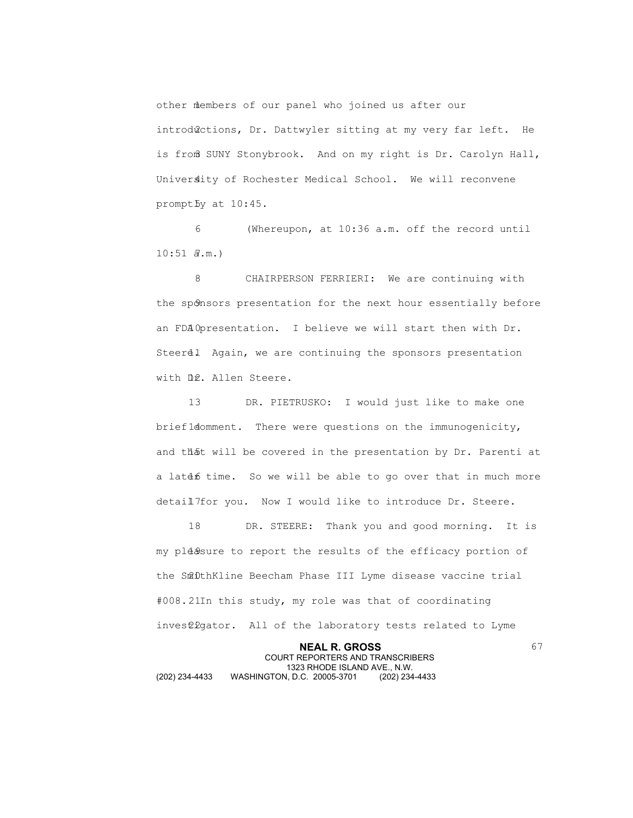other members of our panel who joined us after our introductions, Dr. Dattwyler sitting at my very far left. He is from SUNY Stonybrook. And on my right is Dr. Carolyn Hall, University of Rochester Medical School. We will reconvene promptly at  $10:45$ .

 (Whereupon, at 10:36 a.m. off the record until 6  $10:51 \text{ } \bar{a} \text{.m.}$ 

8 CHAIRPERSON FERRIERI: We are continuing with the sponsors presentation for the next hour essentially before an FDA Opresentation. I believe we will start then with Dr. Steerd1 Again, we are continuing the sponsors presentation with D2. Allen Steere.

13 DR. PIETRUSKO: I would just like to make one brief  $1$  domment. There were questions on the immunogenicity, and that will be covered in the presentation by Dr. Parenti at a laten time. So we will be able to go over that in much more detail 7for you. Now I would like to introduce Dr. Steere.

18 DR. STEERE: Thank you and good morning. It is my pleasure to report the results of the efficacy portion of the Sm2DthKline Beecham Phase III Lyme disease vaccine trial #008.21In this study, my role was that of coordinating investlgator. All of the laboratory tests related to Lyme

**NEAL R. GROSS** COURT REPORTERS AND TRANSCRIBERS 1323 RHODE ISLAND AVE., N.W. (202) 234-4433 WASHINGTON, D.C. 20005-3701 (202) 234-4433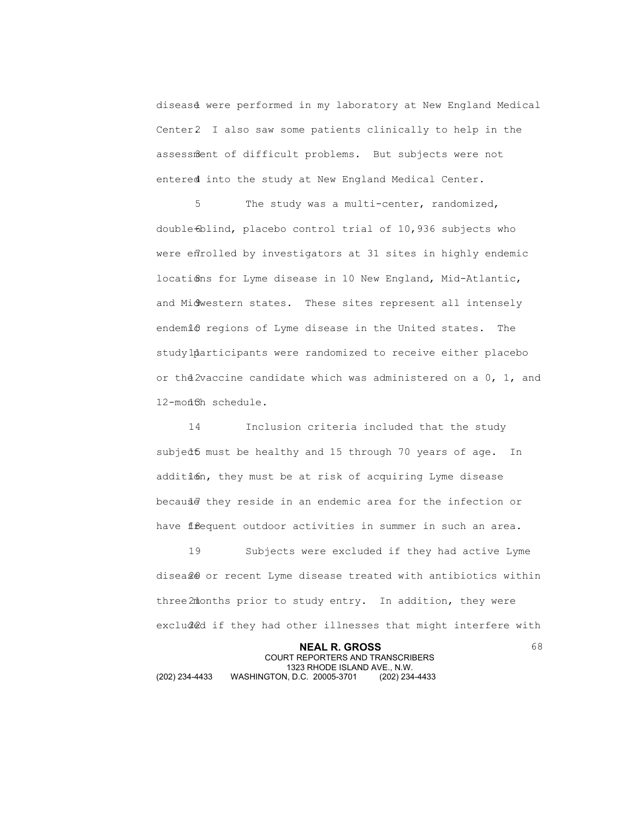disease were performed in my laboratory at New England Medical Center2 I also saw some patients clinically to help in the assessment of difficult problems. But subjects were not entered into the study at New England Medical Center.

5 The study was a multi-center, randomized, double-blind, placebo control trial of 10,936 subjects who were enrolled by investigators at 31 sites in highly endemic locations for Lyme disease in 10 New England, Mid-Atlantic, and Midwestern states. These sites represent all intensely endemi $\theta$  regions of Lyme disease in the United states. The study luarticipants were randomized to receive either placebo or the 2vaccine candidate which was administered on a  $0$ , 1, and 12-month schedule.

 Inclusion criteria included that the study 14 subjed5 must be healthy and 15 through 70 years of age. In addition, they must be at risk of acquiring Lyme disease becausd they reside in an endemic area for the infection or have fifequent outdoor activities in summer in such an area.

19 Subjects were excluded if they had active Lyme disea 20 or recent Lyme disease treated with antibiotics within three 2mionths prior to study entry. In addition, they were excluded if they had other illnesses that might interfere with

**NEAL R. GROSS** COURT REPORTERS AND TRANSCRIBERS 1323 RHODE ISLAND AVE., N.W. (202) 234-4433 WASHINGTON, D.C. 20005-3701 (202) 234-4433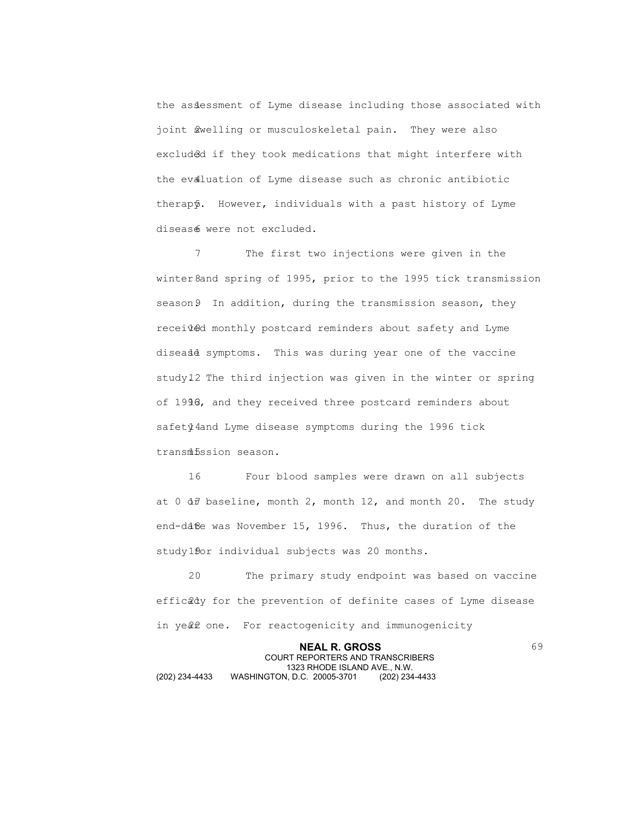the assessment of Lyme disease including those associated with joint £welling or musculoskeletal pain. They were also excluded if they took medications that might interfere with the evaluation of Lyme disease such as chronic antibiotic therap . However, individuals with a past history of Lyme diseasé were not excluded.

The first two injections were given in the winter 8 and spring of 1995, prior to the 1995 tick transmission season 9 In addition, during the transmission season, they receited monthly postcard reminders about safety and Lyme diseadd symptoms. This was during year one of the vaccine study12 The third injection was given in the winter or spring of 1916, and they received three postcard reminders about  $s$ afet $\frac{d}{d}$  4 and Lyme disease symptoms during the 1996 tick transmitssion season.

 Four blood samples were drawn on all subjects 16 at  $0$  d $\bar{y}$  baseline, month  $2$ , month  $12$ , and month  $20$ . The study end-date was November 15, 1996. Thus, the duration of the study 1for individual subjects was 20 months.

20 The primary study endpoint was based on vaccine efficady for the prevention of definite cases of Lyme disease in year one. For reactogenicity and immunogenicity

**NEAL R. GROSS** COURT REPORTERS AND TRANSCRIBERS 1323 RHODE ISLAND AVE., N.W. (202) 234-4433 WASHINGTON, D.C. 20005-3701 (202) 234-4433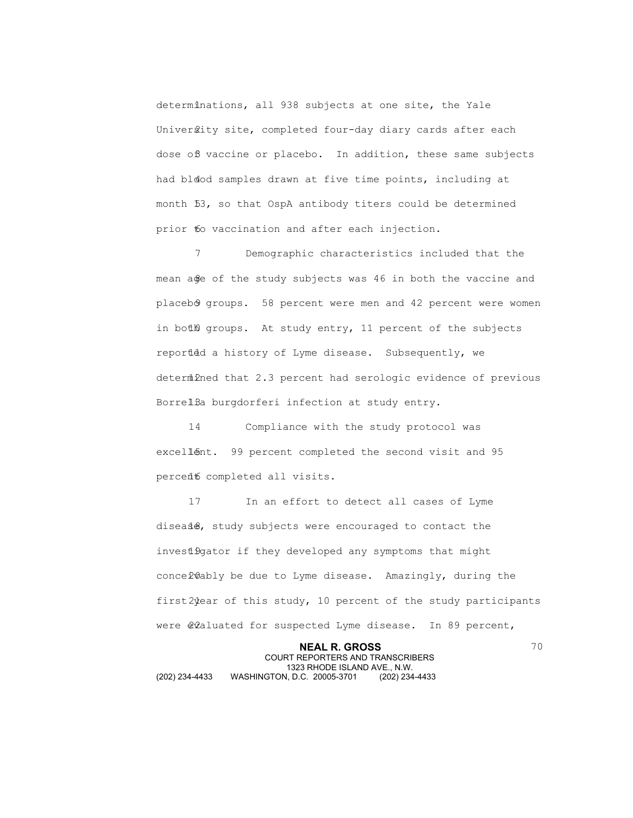determinations, all 938 subjects at one site, the Yale Univer£ity site, completed four-day diary cards after each dose of vaccine or placebo. In addition, these same subjects had blood samples drawn at five time points, including at month 53, so that OspA antibody titers could be determined prior to vaccination and after each injection.

 Demographic characteristics included that the 7 mean ade of the study subjects was 46 in both the vaccine and placeb $\Theta$  groups. 58 percent were men and 42 percent were women in both groups. At study entry, 11 percent of the subjects reported a history of Lyme disease. Subsequently, we determined that 2.3 percent had serologic evidence of previous Borrella burgdorferi infection at study entry.

 Compliance with the study protocol was 14 excellent. 99 percent completed the second visit and 95 percent completed all visits.

17 In an effort to detect all cases of Lyme disease, study subjects were encouraged to contact the investBqator if they developed any symptoms that might concelvably be due to Lyme disease. Amazingly, during the first 2 $\frac{d}{dx}$  of this study, 10 percent of the study participants were & Caluated for suspected Lyme disease. In 89 percent,

**NEAL R. GROSS** COURT REPORTERS AND TRANSCRIBERS 1323 RHODE ISLAND AVE., N.W. (202) 234-4433 WASHINGTON, D.C. 20005-3701 (202) 234-4433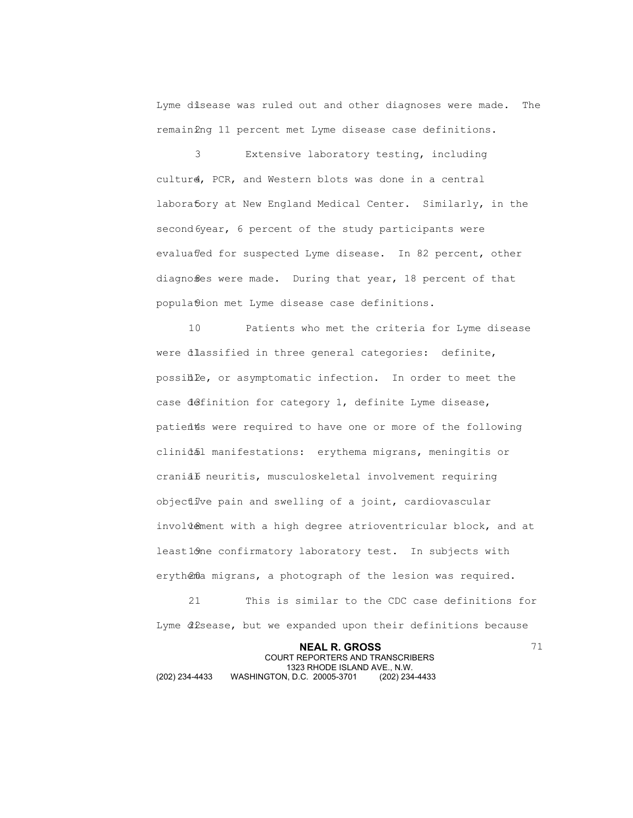Lyme disease was ruled out and other diagnoses were made. The remaining 11 percent met Lyme disease case definitions.

 Extensive laboratory testing, including 3 culture, PCR, and Western blots was done in a central laboratory at New England Medical Center. Similarly, in the second 6year, 6 percent of the study participants were evaluafed for suspected Lyme disease. In 82 percent, other diagnoses were made. During that year, 18 percent of that population met Lyme disease case definitions.

10 Patients who met the criteria for Lyme disease were dlassified in three general categories: definite, possible, or asymptomatic infection. In order to meet the case definition for category 1, definite Lyme disease, patients were required to have one or more of the following clinidal manifestations: erythema migrans, meningitis or craniaß neuritis, musculoskeletal involvement requiring objective pain and swelling of a joint, cardiovascular involuement with a high degree atrioventricular block, and at least 10ne confirmatory laboratory test. In subjects with erythema migrans, a photograph of the lesion was required.

21 This is similar to the CDC case definitions for Lyme disease, but we expanded upon their definitions because

**NEAL R. GROSS** COURT REPORTERS AND TRANSCRIBERS 1323 RHODE ISLAND AVE., N.W. (202) 234-4433 WASHINGTON, D.C. 20005-3701 (202) 234-4433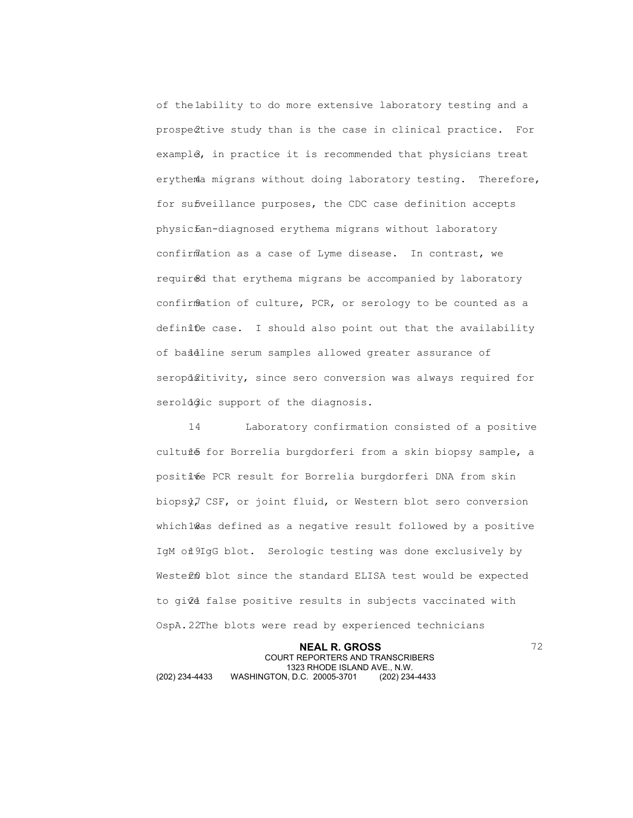of the lability to do more extensive laboratory testing and a prospective study than is the case in clinical practice. For example, in practice it is recommended that physicians treat erythema migrans without doing laboratory testing. Therefore, for subveillance purposes, the CDC case definition accepts physicfan-diagnosed erythema migrans without laboratory confirmation as a case of Lyme disease. In contrast, we required that erythema migrans be accompanied by laboratory confirmPation of culture, PCR, or serology to be counted as a definite case. I should also point out that the availability of baseline serum samples allowed greater assurance of seropd Sitivity, since sero conversion was always required for serold $\hat{q}$ ic support of the diagnosis.

 Laboratory confirmation consisted of a positive 14 cultuit for Borrelia burgdorferi from a skin biopsy sample, a positive PCR result for Borrelia burgdorferi DNA from skin biopsi7 CSF, or joint fluid, or Western blot sero conversion which 10as defined as a negative result followed by a positive IgM of 9IgG blot. Serologic testing was done exclusively by Western blot since the standard ELISA test would be expected to give false positive results in subjects vaccinated with OspA. 22The blots were read by experienced technicians

**NEAL R. GROSS** COURT REPORTERS AND TRANSCRIBERS 1323 RHODE ISLAND AVE., N.W. (202) 234-4433 WASHINGTON, D.C. 20005-3701 (202) 234-4433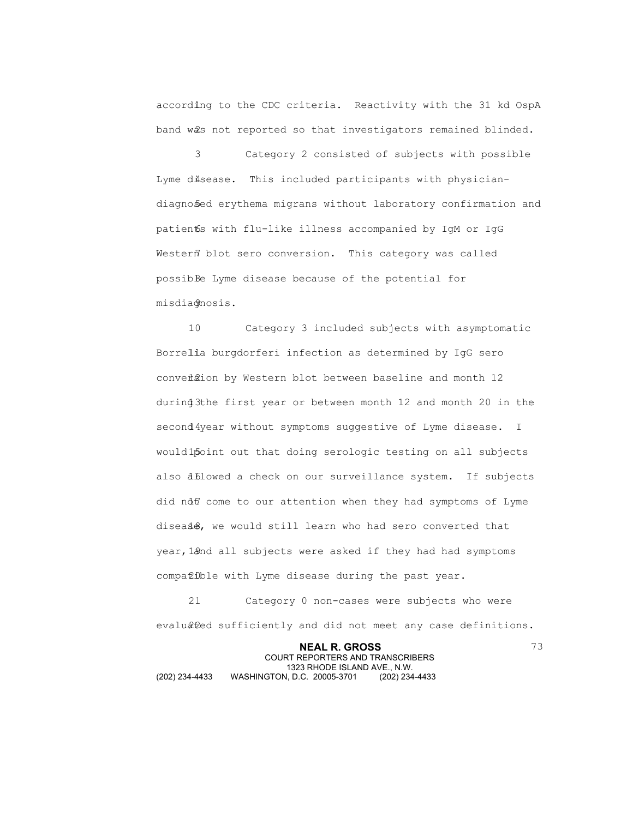according to the CDC criteria. Reactivity with the 31 kd OspA band was not reported so that investigators remained blinded.

 Category 2 consisted of subjects with possible 3 Lyme disease. This included participants with physiciandiagnosed erythema migrans without laboratory confirmation and patients with flu-like illness accompanied by IgM or IgG Western blot sero conversion. This category was called possible Lyme disease because of the potential for 8 misdiagnosis. 9

 Category 3 included subjects with asymptomatic 10 Borrelia burgdorferi infection as determined by IgG sero conveision by Western blot between baseline and month 12 during 3the first year or between month 12 and month 20 in the second 4year without symptoms suggestive of Lyme disease. I would lpoint out that doing serologic testing on all subjects also allowed a check on our surveillance system. If subjects did ndf come to our attention when they had symptoms of Lyme disease, we would still learn who had sero converted that year, 12nd all subjects were asked if they had had symptoms compatible with Lyme disease during the past year.

21 Category 0 non-cases were subjects who were evaluated sufficiently and did not meet any case definitions.

**NEAL R. GROSS** COURT REPORTERS AND TRANSCRIBERS 1323 RHODE ISLAND AVE., N.W. (202) 234-4433 WASHINGTON, D.C. 20005-3701 (202) 234-4433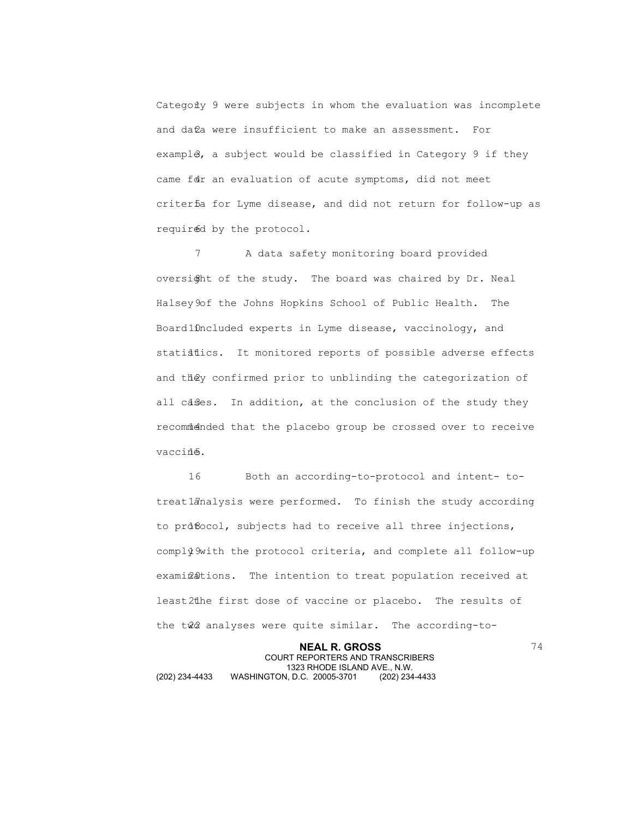Categoiy 9 were subjects in whom the evaluation was incomplete and data were insufficient to make an assessment. For example, a subject would be classified in Category 9 if they came for an evaluation of acute symptoms, did not meet criterfa for Lyme disease, and did not return for follow-up as required by the protocol.

 A data safety monitoring board provided 7 oversight of the study. The board was chaired by Dr. Neal Halsey 9of the Johns Hopkins School of Public Health. The Board 10ncluded experts in Lyme disease, vaccinology, and statistics. It monitored reports of possible adverse effects and they confirmed prior to unblinding the categorization of all cases. In addition, at the conclusion of the study they recommiended that the placebo group be crossed over to receive vaccine.

16 Both an according-to-protocol and intent- totreat lanalysis were performed. To finish the study according to prifocol, subjects had to receive all three injections, compl $\psi$  with the protocol criteria, and complete all follow-up examinations. The intention to treat population received at least 2the first dose of vaccine or placebo. The results of the two analyses were quite similar. The according-to-

**NEAL R. GROSS** COURT REPORTERS AND TRANSCRIBERS 1323 RHODE ISLAND AVE., N.W. (202) 234-4433 WASHINGTON, D.C. 20005-3701 (202) 234-4433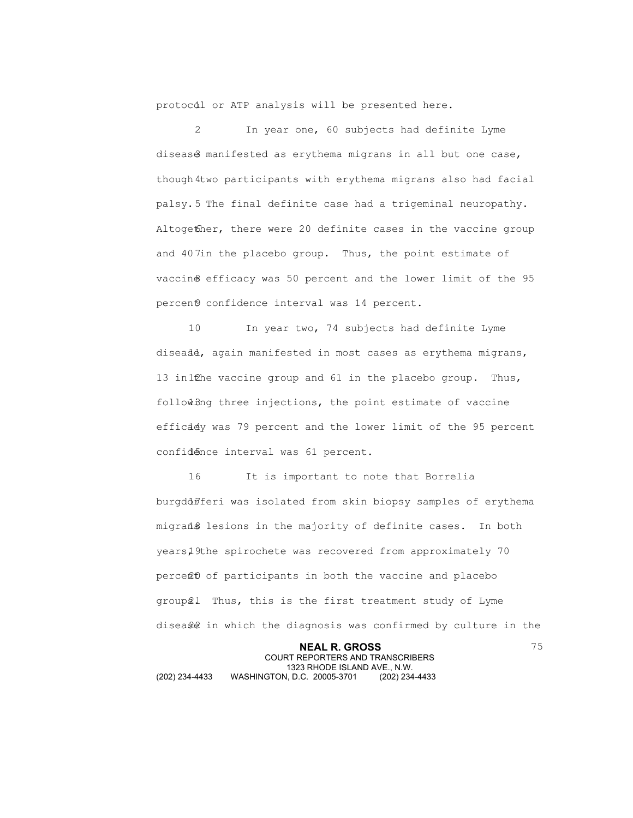protocdl or ATP analysis will be presented here.

2 In year one, 60 subjects had definite Lyme disease manifested as erythema migrans in all but one case, though 4two participants with erythema migrans also had facial palsy. 5 The final definite case had a trigeminal neuropathy. Altogether, there were 20 definite cases in the vaccine group and 407in the placebo group. Thus, the point estimate of vaccin& efficacy was 50 percent and the lower limit of the 95 percent confidence interval was 14 percent.

10 In year two, 74 subjects had definite Lyme diseasd, again manifested in most cases as erythema migrans, 13 in  $1$ the vaccine group and 61 in the placebo group. Thus, following three injections, the point estimate of vaccine efficady was 79 percent and the lower limit of the 95 percent confidence interval was 61 percent.

 It is important to note that Borrelia 16 burgddiferi was isolated from skin biopsy samples of erythema migrans lesions in the majority of definite cases. In both years, 19the spirochete was recovered from approximately 70 percent of participants in both the vaccine and placebo group\$1 Thus, this is the first treatment study of Lyme disea&2 in which the diagnosis was confirmed by culture in the

**NEAL R. GROSS** COURT REPORTERS AND TRANSCRIBERS 1323 RHODE ISLAND AVE., N.W.<br>1323 RHODE ISLAND AVE., N.W.<br>I, D.C. 20005-3701 (202) 234-4433 (202) 234-4433 WASHINGTON, D.C. 20005-3701 (202) 234-4433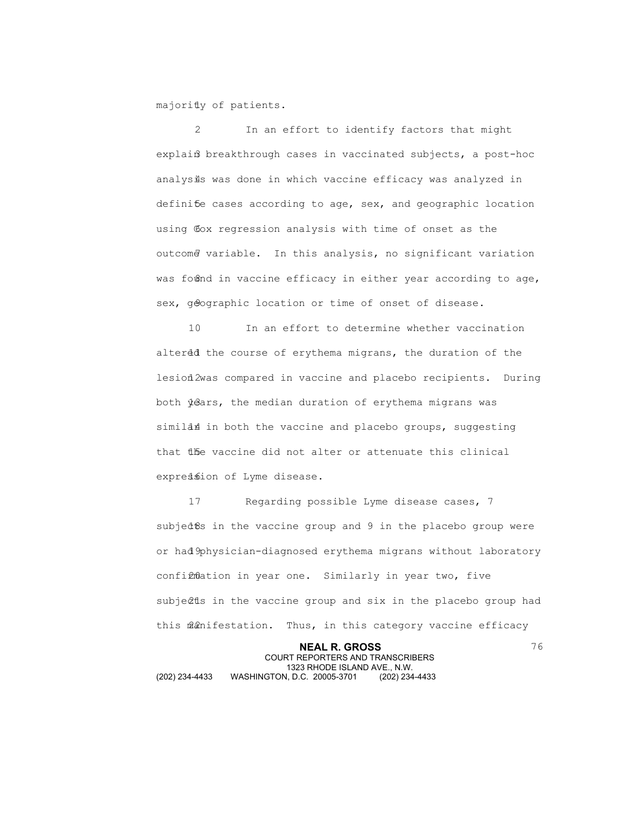majority of patients. 1

2 In an effort to identify factors that might explain breakthrough cases in vaccinated subjects, a post-hoc analysis was done in which vaccine efficacy was analyzed in definite cases according to age, sex, and geographic location using Cox regression analysis with time of onset as the outcome variable. In this analysis, no significant variation was found in vaccine efficacy in either year according to age, sex, geographic location or time of onset of disease.

 In an effort to determine whether vaccination 10 altered the course of erythema migrans, the duration of the lesion 2was compared in vaccine and placebo recipients. During both  $\psi$ Bars, the median duration of erythema migrans was similar in both the vaccine and placebo groups, suggesting that flibe vaccine did not alter or attenuate this clinical expression of Lyme disease.

17 Regarding possible Lyme disease cases, 7 subjedts in the vaccine group and 9 in the placebo group were or had 9physician-diagnosed erythema migrans without laboratory confi $x$ 0 ation in year one. Similarly in year two, five subjects in the vaccine group and six in the placebo group had this manifestation. Thus, in this category vaccine efficacy

**NEAL R. GROSS** COURT REPORTERS AND TRANSCRIBERS 1323 RHODE ISLAND AVE., N.W.<br>1323 RHODE ISLAND AVE., N.W.<br>I, D.C. 20005-3701 (202) 234-4433 (202) 234-4433 WASHINGTON, D.C. 20005-3701 (202) 234-4433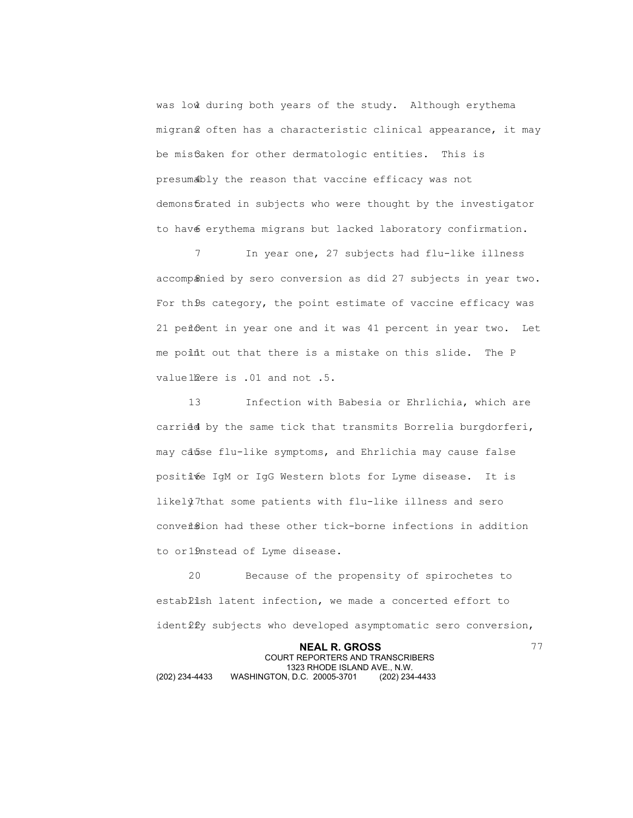was low during both years of the study. Although erythema migrans often has a characteristic clinical appearance, it may be mistaken for other dermatologic entities. This is presumably the reason that vaccine efficacy was not 4 demonsfrated in subjects who were thought by the investigator to have erythema migrans but lacked laboratory confirmation.

7 In year one, 27 subjects had flu-like illness accomp&nied by sero conversion as did 27 subjects in year two. For th $\beta$ s category, the point estimate of vaccine efficacy was 21 peident in year one and it was 41 percent in year two. Let me point out that there is a mistake on this slide. The P value 12ere is .01 and not .5.

13 Infection with Babesia or Ehrlichia, which are carried by the same tick that transmits Borrelia burgdorferi, may cause flu-like symptoms, and Ehrlichia may cause false positive IgM or IgG Western blots for Lyme disease. It is likeli7that some patients with flu-like illness and sero conveision had these other tick-borne infections in addition to or 19nstead of Lyme disease.

 Because of the propensity of spirochetes to 20 establish latent infection, we made a concerted effort to identify subjects who developed asymptomatic sero conversion,

**NEAL R. GROSS** COURT REPORTERS AND TRANSCRIBERS 1323 RHODE ISLAND AVE., N.W. (202) 234-4433 WASHINGTON, D.C. 20005-3701 (202) 234-4433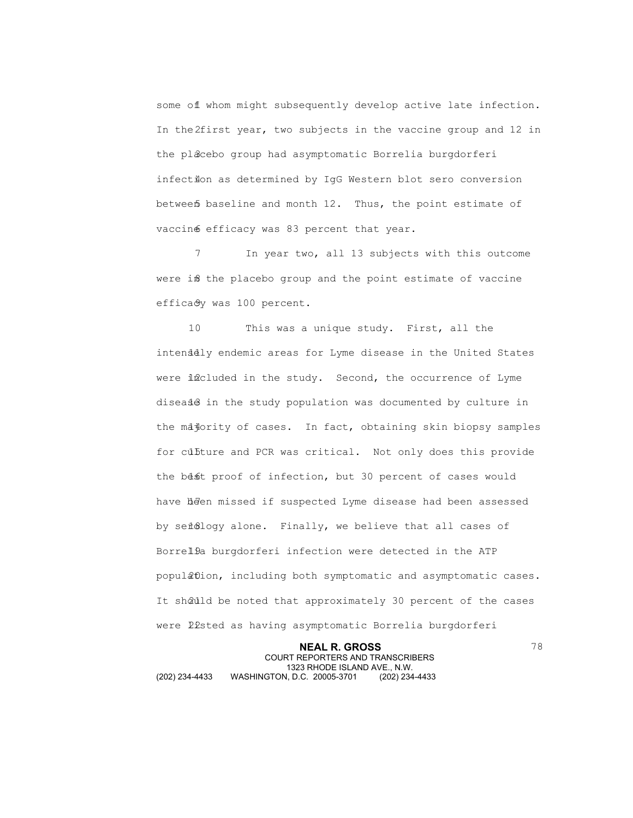some of whom might subsequently develop active late infection. In the 2first year, two subjects in the vaccine group and 12 in the placebo group had asymptomatic Borrelia burgdorferi infection as determined by IgG Western blot sero conversion between baseline and month 12. Thus, the point estimate of vaccine efficacy was 83 percent that year.

7 In year two, all 13 subjects with this outcome were in the placebo group and the point estimate of vaccine effica@y was 100 percent.

10 This was a unique study. First, all the intensily endemic areas for Lyme disease in the United States were included in the study. Second, the occurrence of Lyme diseade in the study population was documented by culture in the ma<sup>4</sup>ority of cases. In fact, obtaining skin biopsy samples for culbture and PCR was critical. Not only does this provide the best proof of infection, but 30 percent of cases would have *heen missed if suspected Lyme disease had been assessed* by seidlogy alone. Finally, we believe that all cases of Borrella burgdorferi infection were detected in the ATP population, including both symptomatic and asymptomatic cases. It shauld be noted that approximately 30 percent of the cases were listed as having asymptomatic Borrelia burgdorferi

**NEAL R. GROSS** COURT REPORTERS AND TRANSCRIBERS 1323 RHODE ISLAND AVE., N.W. (202) 234-4433 WASHINGTON, D.C. 20005-3701 (202) 234-4433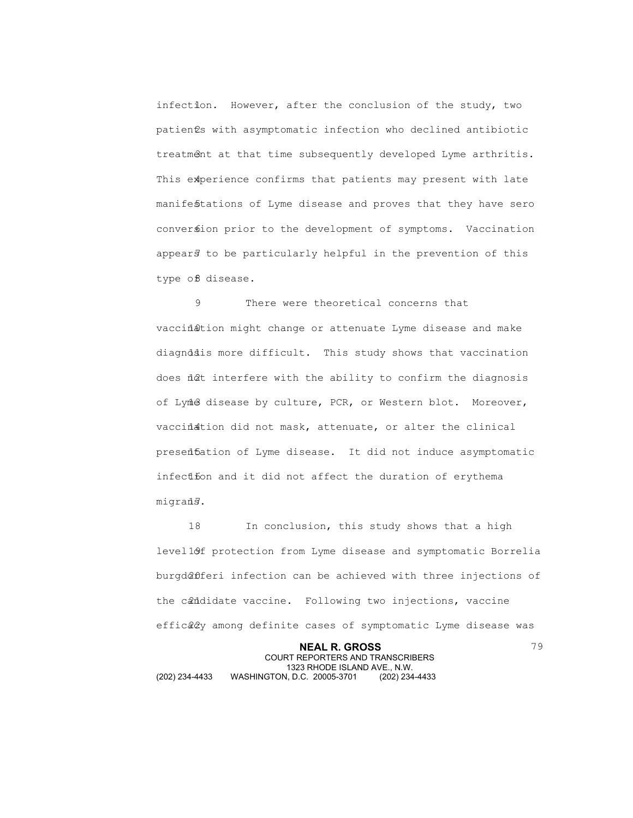infection. However, after the conclusion of the study, two patients with asymptomatic infection who declined antibiotic treatment at that time subsequently developed Lyme arthritis. This experience confirms that patients may present with late manifestations of Lyme disease and proves that they have sero converssion prior to the development of symptoms. Vaccination appear $S$  to be particularly helpful in the prevention of this type of disease.

9 There were theoretical concerns that vaccination might change or attenuate Lyme disease and make diagndsis more difficult. This study shows that vaccination does flat interfere with the ability to confirm the diagnosis of Lyme disease by culture, PCR, or Western blot. Moreover, vaccination did not mask, attenuate, or alter the clinical presentation of Lyme disease. It did not induce asymptomatic infection and it did not affect the duration of erythema migrang.

18 In conclusion, this study shows that a high level 10f protection from Lyme disease and symptomatic Borrelia burgdafferi infection can be achieved with three injections of the candidate vaccine. Following two injections, vaccine efficacy among definite cases of symptomatic Lyme disease was

**NEAL R. GROSS** COURT REPORTERS AND TRANSCRIBERS 1323 RHODE ISLAND AVE., N.W. (202) 234-4433 WASHINGTON, D.C. 20005-3701 (202) 234-4433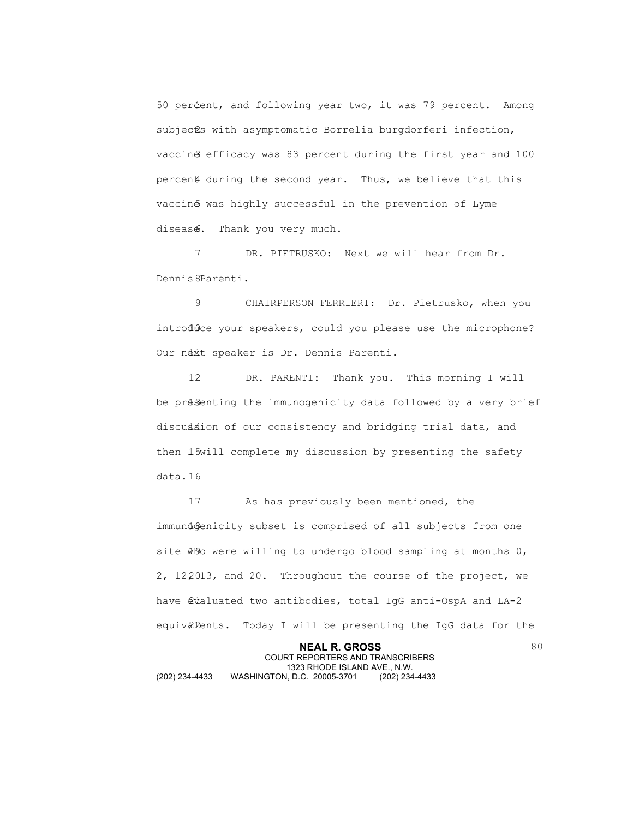50 perdent, and following year two, it was 79 percent. Among subjects with asymptomatic Borrelia burgdorferi infection, vaccine efficacy was 83 percent during the first year and 100 percent during the second year. Thus, we believe that this vacciné was highly successful in the prevention of Lyme diseasé. Thank you very much.

7 DR. PIETRUSKO: Next we will hear from Dr. Dennis 8Parenti.

9 CHAIRPERSON FERRIERI: Dr. Pietrusko, when you introduce your speakers, could you please use the microphone? Our néxt speaker is Dr. Dennis Parenti.

12 DR. PARENTI: Thank you. This morning I will be presenting the immunogenicity data followed by a very brief discussion of our consistency and bridging trial data, and then 15 will complete my discussion by presenting the safety data. 16

17 As has previously been mentioned, the immund@enicity subset is comprised of all subjects from one site  $\hat{w}$  were willing to undergo blood sampling at months  $0$ , 2, 122013, and 20. Throughout the course of the project, we have & taluated two antibodies, total IgG anti-OspA and LA-2 equivalents. Today I will be presenting the IgG data for the

**NEAL R. GROSS** COURT REPORTERS AND TRANSCRIBERS 1323 RHODE ISLAND AVE., N.W. (202) 234-4433 WASHINGTON, D.C. 20005-3701 (202) 234-4433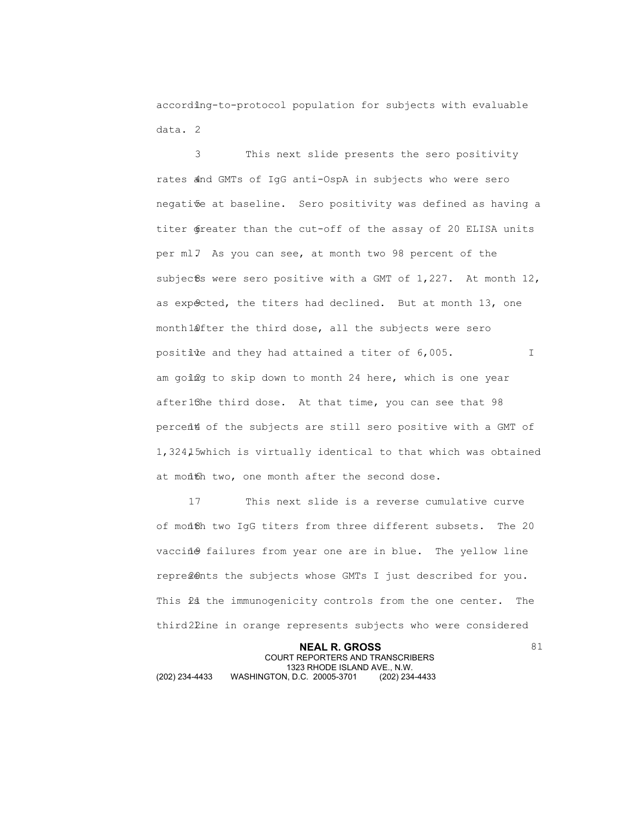according-to-protocol population for subjects with evaluable data. 2

 This next slide presents the sero positivity 3 rates and GMTs of IgG anti-OspA in subjects who were sero negative at baseline. Sero positivity was defined as having a titer direater than the cut-off of the assay of 20 ELISA units per ml.7 As you can see, at month two 98 percent of the subjects were sero positive with a GMT of  $1,227$ . At month  $12$ , as expected, the titers had declined. But at month 13, one month lafter the third dose, all the subjects were sero positive and they had attained a titer of  $6,005$ . am going to skip down to month 24 here, which is one year after 16he third dose. At that time, you can see that 98 percent of the subjects are still sero positive with a GMT of 1,324,15which is virtually identical to that which was obtained at month two, one month after the second dose.

17 This next slide is a reverse cumulative curve of month two IqG titers from three different subsets. The 20 vaccine failures from year one are in blue. The yellow line represents the subjects whose GMTs I just described for you. This 24 the immunogenicity controls from the one center. The third 2Pine in orange represents subjects who were considered

**NEAL R. GROSS** COURT REPORTERS AND TRANSCRIBERS 1323 RHODE ISLAND AVE., N.W. (202) 234-4433 WASHINGTON, D.C. 20005-3701 (202) 234-4433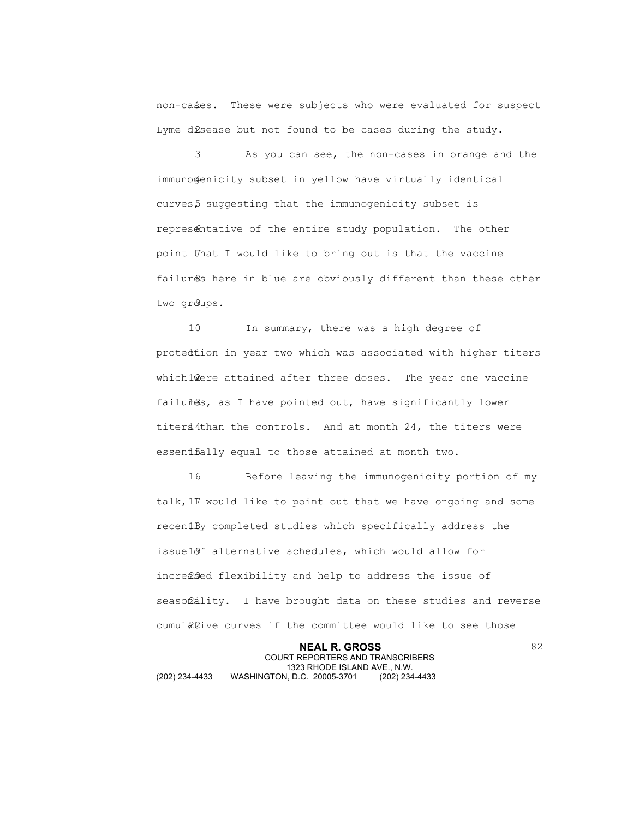non-cases. These were subjects who were evaluated for suspect Lyme disease but not found to be cases during the study.

As you can see, the non-cases in orange and the immunogenicity subset in yellow have virtually identical  $curves$   $5$  suggesting that the immunogenicity subset is representative of the entire study population. The other point that I would like to bring out is that the vaccine failur&s here in blue are obviously different than these other two groups.

10 In summary, there was a high degree of protedtion in year two which was associated with higher titers which liere attained after three doses. The year one vaccine failuies, as I have pointed out, have significantly lower titers4than the controls. And at month 24, the titers were essentially equal to those attained at month two.

16 Before leaving the immunogenicity portion of my talk,  $1\mathbb{I}$  would like to point out that we have ongoing and some recentlBy completed studies which specifically address the issue 10f alternative schedules, which would allow for increased flexibility and help to address the issue of seasoffality. I have brought data on these studies and reverse cumulative curves if the committee would like to see those

**NEAL R. GROSS** COURT REPORTERS AND TRANSCRIBERS 1323 RHODE ISLAND AVE., N.W. (202) 234-4433 WASHINGTON, D.C. 20005-3701 (202) 234-4433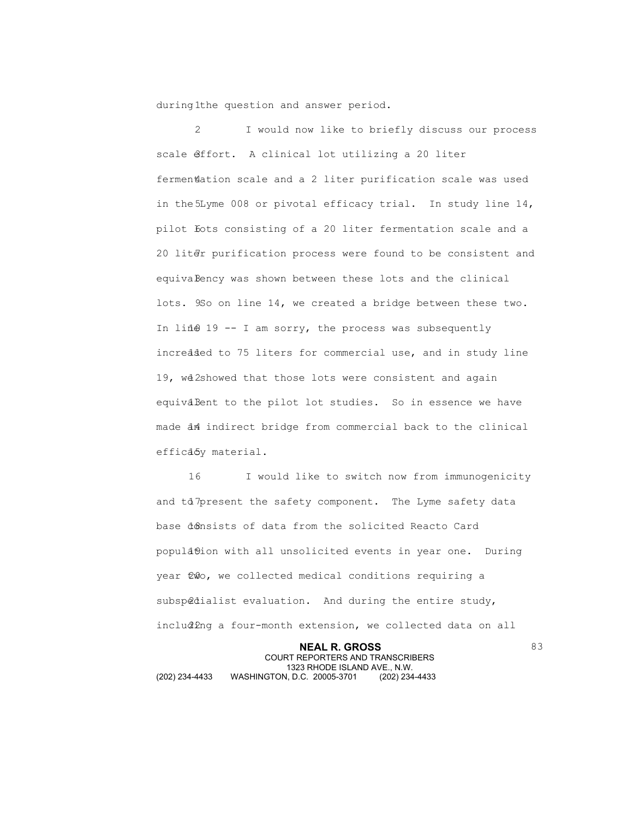during 1the question and answer period.

 I would now like to briefly discuss our process 2 scale effort. A clinical lot utilizing a 20 liter fermentation scale and a 2 liter purification scale was used in the 5Lyme 008 or pivotal efficacy trial. In study line  $14$ , pilot Lots consisting of a 20 liter fermentation scale and a 20 liter purification process were found to be consistent and equivaBency was shown between these lots and the clinical lots. 9So on line  $14$ , we created a bridge between these two. In line  $19$  -- I am sorry, the process was subsequently increased to 75 liters for commercial use, and in study line 19, wé 2showed that those lots were consistent and again equivalent to the pilot lot studies. So in essence we have made an indirect bridge from commercial back to the clinical efficaby material.

 I would like to switch now from immunogenicity 16 and to 7present the safety component. The Lyme safety data base d&nsists of data from the solicited Reacto Card population with all unsolicited events in year one. During year two, we collected medical conditions requiring a subspedialist evaluation. And during the entire study, including a four-month extension, we collected data on all

**NEAL R. GROSS** COURT REPORTERS AND TRANSCRIBERS 1323 RHODE ISLAND AVE., N.W. (202) 234-4433 WASHINGTON, D.C. 20005-3701 (202) 234-4433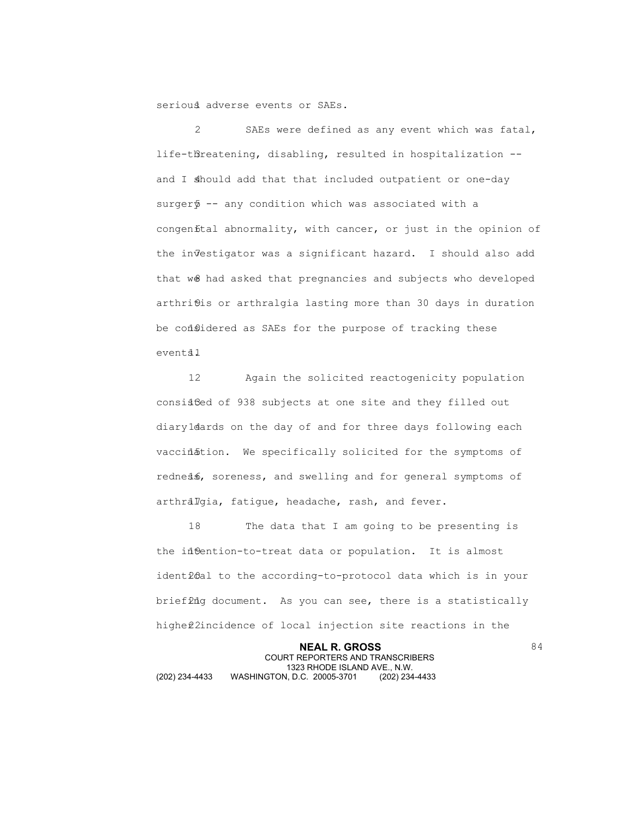serious adverse events or SAEs.

 SAEs were defined as any event which was fatal, 2 life-tBreatening, disabling, resulted in hospitalization -and I should add that that included outpatient or one-day surger -- any condition which was associated with a congen&tal abnormality, with cancer, or just in the opinion of the investigator was a significant hazard. I should also add that w& had asked that pregnancies and subjects who developed arthri $\theta$ is or arthralgia lasting more than 30 days in duration be considered as SAEs for the purpose of tracking these event<sub>31</sub>

12 Again the solicited reactogenicity population consisted of 938 subjects at one site and they filled out diary 1dards on the day of and for three days following each vaccination. We specifically solicited for the symptoms of redness, soreness, and swelling and for general symptoms of arthrallgia, fatigue, headache, rash, and fever.

18 The data that I am going to be presenting is the intention-to-treat data or population. It is almost ident20al to the according-to-protocol data which is in your briefling document. As you can see, there is a statistically highef2incidence of local injection site reactions in the

**NEAL R. GROSS** COURT REPORTERS AND TRANSCRIBERS 1323 RHODE ISLAND AVE., N.W. (202) 234-4433 WASHINGTON, D.C. 20005-3701 (202) 234-4433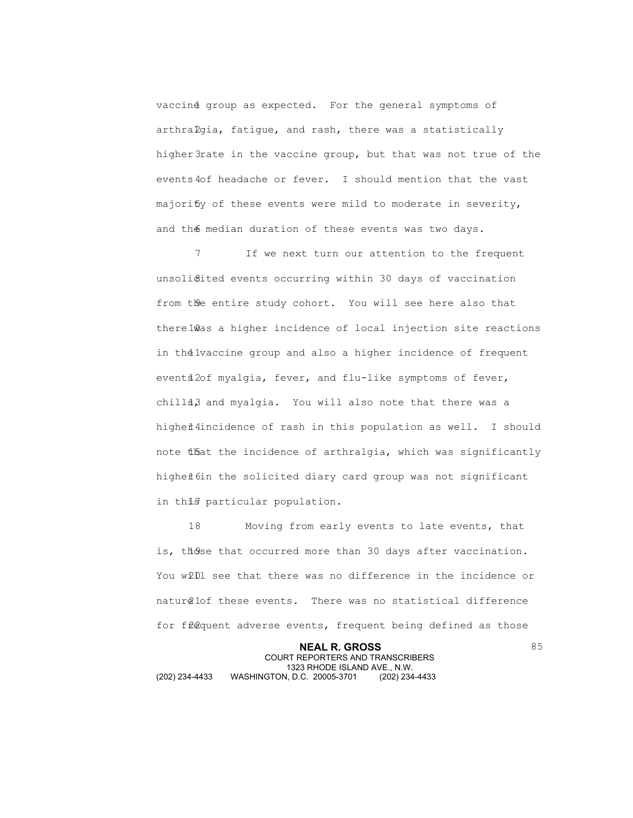vaccind group as expected. For the general symptoms of arthralgia, fatigue, and rash, there was a statistically higher 3rate in the vaccine group, but that was not true of the events 4of headache or fever. I should mention that the vast majority of these events were mild to moderate in severity, and the median duration of these events was two days.

7 1 If we next turn our attention to the frequent unsoli&ited events occurring within 30 days of vaccination from the entire study cohort. You will see here also that there  $logas$  a higher incidence of local injection site reactions in the lvaccine group and also a higher incidence of frequent events 2of myalgia, fever, and flu-like symptoms of fever,  $chill3,$  and myalgia. You will also note that there was a higher 4incidence of rash in this population as well. I should note flbat the incidence of arthralgia, which was significantly higheit6in the solicited diary card group was not significant in this particular population.

18 Moving from early events to late events, that is, those that occurred more than 30 days after vaccination. You w2D1 see that there was no difference in the incidence or naturelof these events. There was no statistical difference for fiequent adverse events, frequent being defined as those

**NEAL R. GROSS** COURT REPORTERS AND TRANSCRIBERS 1323 RHODE ISLAND AVE., N.W. (202) 234-4433 WASHINGTON, D.C. 20005-3701 (202) 234-4433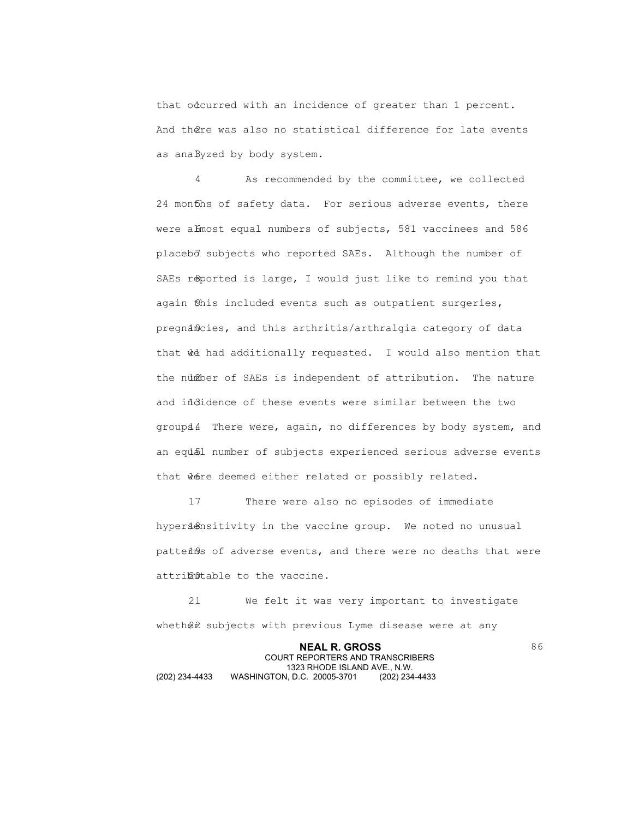that odcurred with an incidence of greater than 1 percent. And there was also no statistical difference for late events as anaByzed by body system.

 As recommended by the committee, we collected 4 24 months of safety data. For serious adverse events, there were almost equal numbers of subjects, 581 vaccinees and 586 placebo subjects who reported SAEs. Although the number of SAEs reported is large, I would just like to remind you that again this included events such as outpatient surgeries, pregnancies, and this arthritis/arthralgia category of data that we had additionally requested. I would also mention that the number of SAEs is independent of attribution. The nature and incidence of these events were similar between the two groups4 There were, again, no differences by body system, and an equal number of subjects experienced serious adverse events that were deemed either related or possibly related.

17 There were also no episodes of immediate hypersensitivity in the vaccine group. We noted no unusual patteins of adverse events, and there were no deaths that were attributable to the vaccine.

21 We felt it was very important to investigate whether subjects with previous Lyme disease were at any

**NEAL R. GROSS** COURT REPORTERS AND TRANSCRIBERS 1323 RHODE ISLAND AVE., N.W. (202) 234-4433 WASHINGTON, D.C. 20005-3701 (202) 234-4433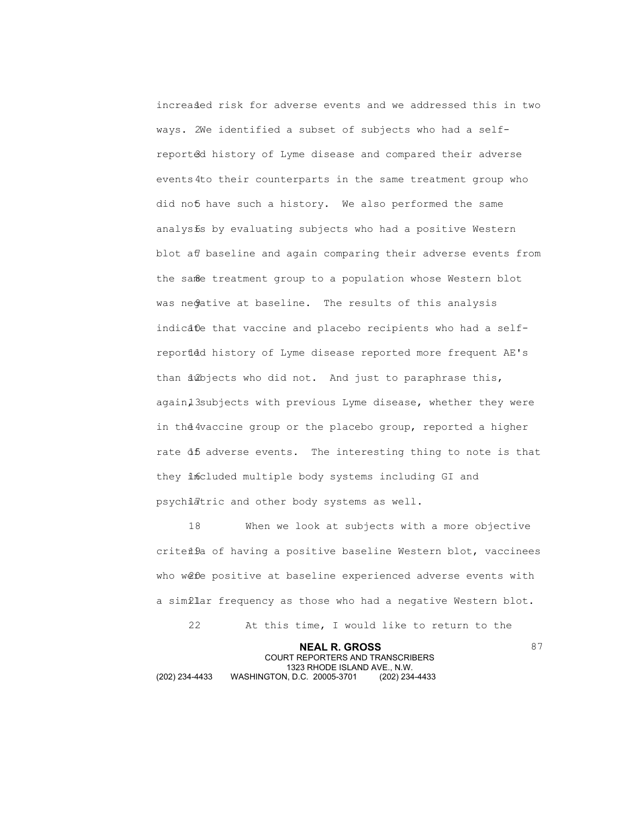increased risk for adverse events and we addressed this in two ways. 2We identified a subset of subjects who had a selfreported history of Lyme disease and compared their adverse events 4to their counterparts in the same treatment group who did nof have such a history. We also performed the same analysis by evaluating subjects who had a positive Western blot af baseline and again comparing their adverse events from the same treatment group to a population whose Western blot was negative at baseline. The results of this analysis indicate that vaccine and placebo recipients who had a selfreported history of Lyme disease reported more frequent AE's than  $d\hat{u}$  piects who did not. And just to paraphrase this, again, 13 subjects with previous Lyme disease, whether they were in the 4vaccine group or the placebo group, reported a higher rate d5 adverse events. The interesting thing to note is that they included multiple body systems including GI and psychiatric and other body systems as well.

18 When we look at subjects with a more objective criteiBa of having a positive baseline Western blot, vaccinees who webe positive at baseline experienced adverse events with a simillar frequency as those who had a negative Western blot.

22 At this time, I would like to return to the

**NEAL R. GROSS** COURT REPORTERS AND TRANSCRIBERS 1323 RHODE ISLAND AVE., N.W. (202) 234-4433 WASHINGTON, D.C. 20005-3701 (202) 234-4433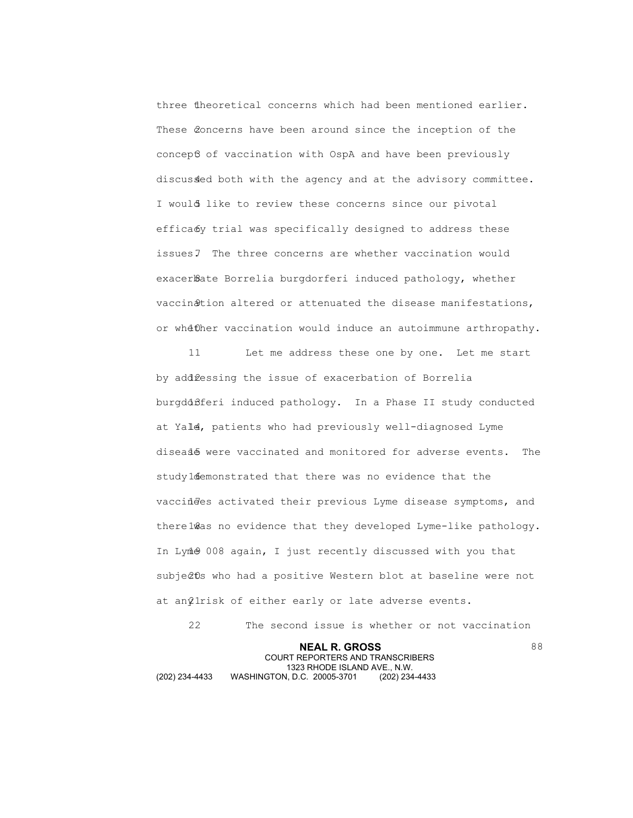three theoretical concerns which had been mentioned earlier. These 2oncerns have been around since the inception of the concept of vaccination with OspA and have been previously discussed both with the agency and at the advisory committee. I would like to review these concerns since our pivotal effica6y trial was specifically designed to address these issues7 The three concerns are whether vaccination would exacerbate Borrelia burgdorferi induced pathology, whether vaccination altered or attenuated the disease manifestations, or whether vaccination would induce an autoimmune arthropathy.

11 Let me address these one by one. Let me start by addfessing the issue of exacerbation of Borrelia burgddßferi induced pathology. In a Phase II study conducted at Yald, patients who had previously well-diagnosed Lyme disease were vaccinated and monitored for adverse events. The study 1demonstrated that there was no evidence that the vaccindes activated their previous Lyme disease symptoms, and there  $logas$  no evidence that they developed Lyme-like pathology. In Lyme 008 again, I just recently discussed with you that subjects who had a positive Western blot at baseline were not at anglrisk of either early or late adverse events.

22 The second issue is whether or not vaccination

**NEAL R. GROSS** COURT REPORTERS AND TRANSCRIBERS 1323 RHODE ISLAND AVE., N.W. (202) 234-4433 WASHINGTON, D.C. 20005-3701 (202) 234-4433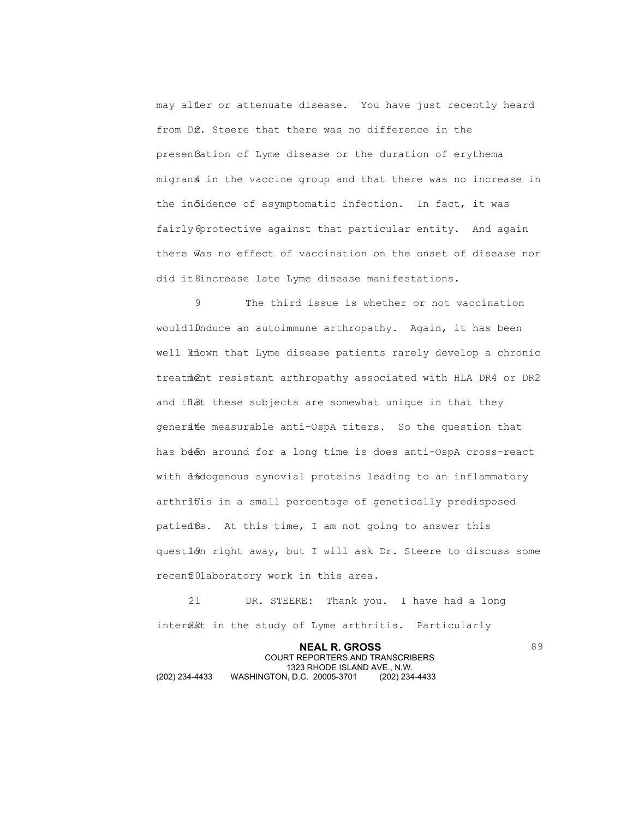may alfler or attenuate disease. You have just recently heard from D2. Steere that there was no difference in the presentation of Lyme disease or the duration of erythema migrans in the vaccine group and that there was no increase in the indidence of asymptomatic infection. In fact, it was fairly 6 protective against that particular entity. And again there Was no effect of vaccination on the onset of disease nor did it 8increase late Lyme disease manifestations.

9 The third issue is whether or not vaccination would 10nduce an autoimmune arthropathy. Again, it has been well known that Lyme disease patients rarely develop a chronic treatment resistant arthropathy associated with HLA DR4 or DR2 and that these subjects are somewhat unique in that they generate measurable anti-OspA titers. So the question that has béen around for a long time is does anti-OspA cross-react with dm6dogenous synovial proteins leading to an inflammatory arthriflis in a small percentage of genetically predisposed patients. At this time, I am not going to answer this question right away, but I will ask Dr. Steere to discuss some recent Olaboratory work in this area.

21 DR. STEERE: Thank you. I have had a long interest in the study of Lyme arthritis. Particularly

**NEAL R. GROSS** COURT REPORTERS AND TRANSCRIBERS 1323 RHODE ISLAND AVE., N.W. (202) 234-4433 WASHINGTON, D.C. 20005-3701 (202) 234-4433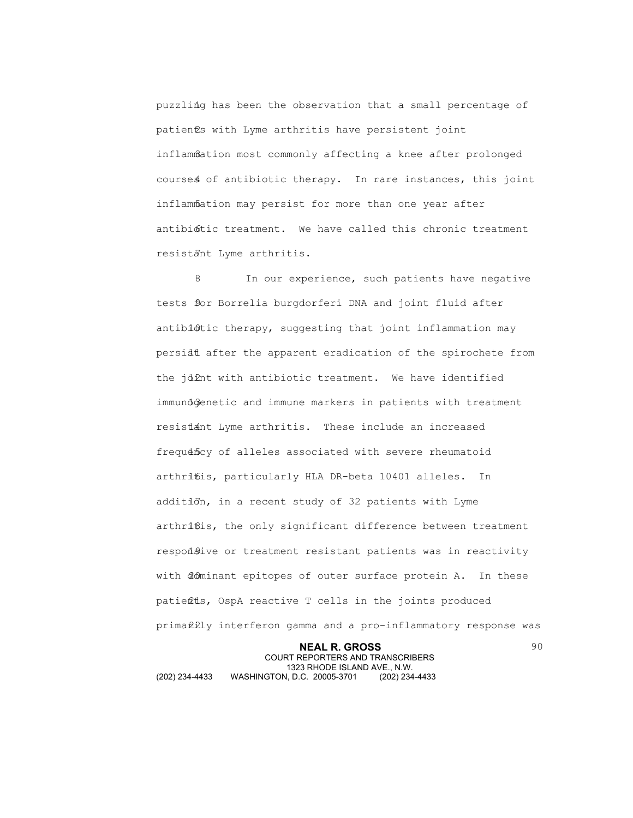puzzling has been the observation that a small percentage of patients with Lyme arthritis have persistent joint inflammation most commonly affecting a knee after prolonged courses of antibiotic therapy. In rare instances, this joint inflammation may persist for more than one year after antibiotic treatment. We have called this chronic treatment resistant Lyme arthritis. 7

8 In our experience, such patients have negative tests for Borrelia burgdorferi DNA and joint fluid after antibi $\theta$ tic therapy, suggesting that joint inflammation may persist after the apparent eradication of the spirochete from the jd2nt with antibiotic treatment. We have identified immund@enetic and immune markers in patients with treatment resistant Lyme arthritis. These include an increased frequency of alleles associated with severe rheumatoid arthritis, particularly HLA DR-beta 10401 alleles. In addition, in a recent study of 32 patients with Lyme arthritis, the only significant difference between treatment responsive or treatment resistant patients was in reactivity with dominant epitopes of outer surface protein A. In these patients, OspA reactive T cells in the joints produced prima£2ly interferon gamma and a pro-inflammatory response was

**NEAL R. GROSS** COURT REPORTERS AND TRANSCRIBERS 1323 RHODE ISLAND AVE., N.W. (202) 234-4433 WASHINGTON, D.C. 20005-3701 (202) 234-4433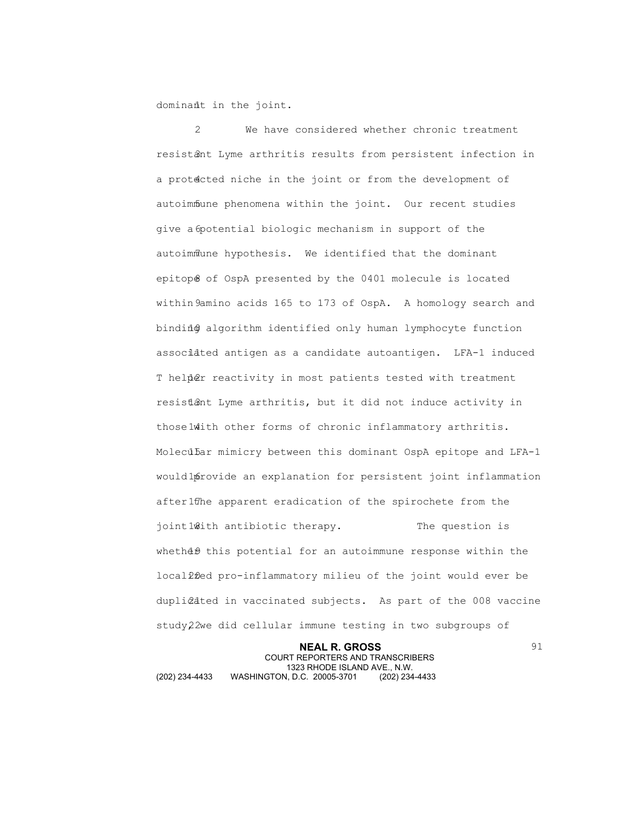dominant in the joint.

2 We have considered whether chronic treatment resistant Lyme arthritis results from persistent infection in a protected niche in the joint or from the development of autoimmune phenomena within the joint. Our recent studies give a Gpotential biologic mechanism in support of the autoimmune hypothesis. We identified that the dominant epitop& of OspA presented by the 0401 molecule is located within 9amino acids 165 to 173 of OspA. A homology search and binding algorithm identified only human lymphocyte function associated antigen as a candidate autoantigen. LFA-1 induced T helper reactivity in most patients tested with treatment resistant Lyme arthritis, but it did not induce activity in those luith other forms of chronic inflammatory arthritis. Molecular mimicry between this dominant OspA epitope and LFA-1 would lprovide an explanation for persistent joint inflammation after 1the apparent eradication of the spirochete from the joint 100ith antibiotic therapy. The question is  $w$ heth $d\theta$  this potential for an autoimmune response within the localized pro-inflammatory milieu of the joint would ever be duplicated in vaccinated subjects. As part of the 008 vaccine study 22we did cellular immune testing in two subgroups of

**NEAL R. GROSS** COURT REPORTERS AND TRANSCRIBERS 1323 RHODE ISLAND AVE., N.W. (202) 234-4433 WASHINGTON, D.C. 20005-3701 (202) 234-4433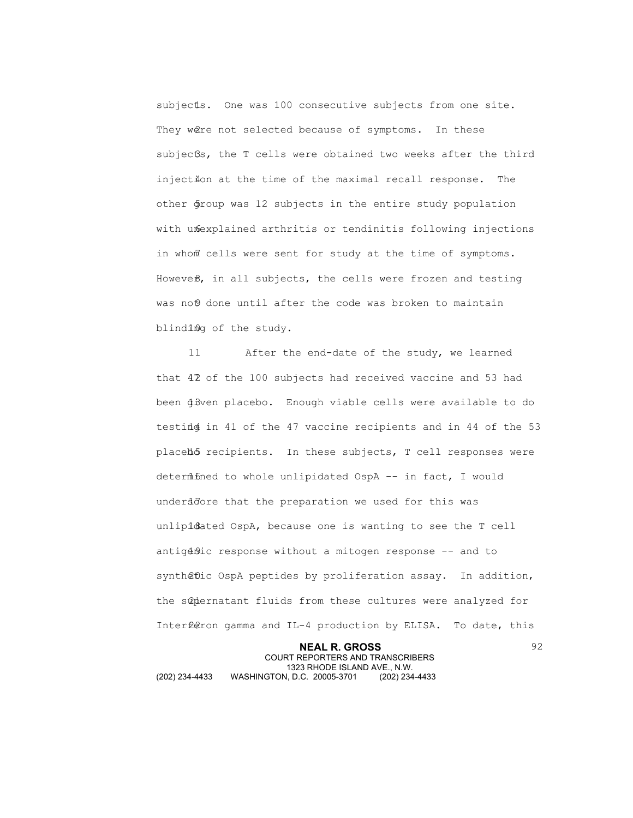subjects. One was 100 consecutive subjects from one site. They were not selected because of symptoms. In these subjects, the T cells were obtained two weeks after the third injection at the time of the maximal recall response. The other group was 12 subjects in the entire study population with umexplained arthritis or tendinitis following injections in whom cells were sent for study at the time of symptoms. Howeveß, in all subjects, the cells were frozen and testing was not done until after the code was broken to maintain blinding of the study.

11 After the end-date of the study, we learned that 42 of the 100 subjects had received vaccine and 53 had been 4Bven placebo. Enough viable cells were available to do testing in 41 of the 47 vaccine recipients and in 44 of the 53 placebo recipients. In these subjects, T cell responses were determined to whole unlipidated OspA -- in fact, I would undersdore that the preparation we used for this was unlipidated OspA, because one is wanting to see the T cell antiganic response without a mitogen response -- and to synthetic OspA peptides by proliferation assay. In addition, the supernatant fluids from these cultures were analyzed for Interferon gamma and IL-4 production by ELISA. To date, this

**NEAL R. GROSS** COURT REPORTERS AND TRANSCRIBERS 1323 RHODE ISLAND AVE., N.W. (202) 234-4433 WASHINGTON, D.C. 20005-3701 (202) 234-4433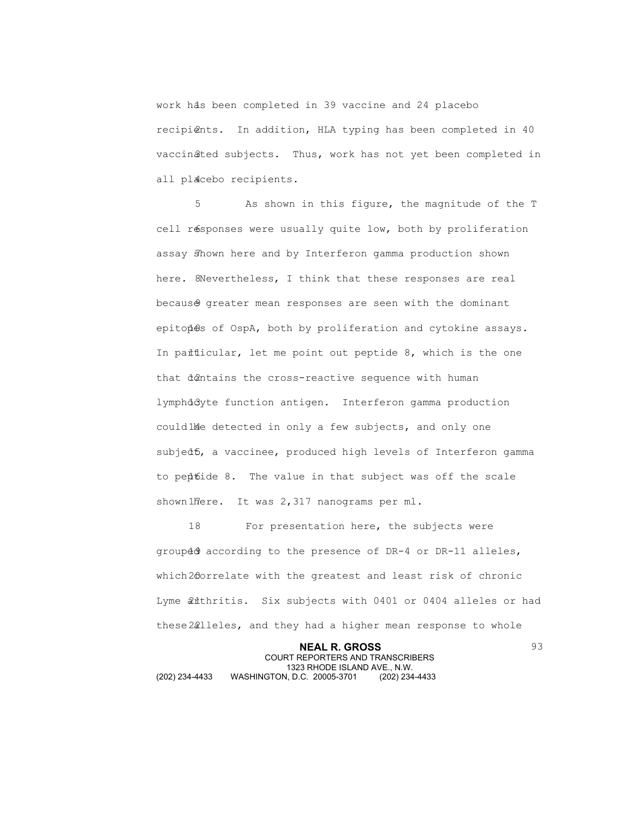work has been completed in 39 vaccine and 24 placebo recipients. In addition, HLA typing has been completed in 40 vaccinated subjects. Thus, work has not yet been completed in all placebo recipients.

5 As shown in this figure, the magnitude of the T cell résponses were usually quite low, both by proliferation assay shown here and by Interferon gamma production shown here. 8Nevertheless, I think that these responses are real becaus $\Theta$  greater mean responses are seen with the dominant epitopes of OspA, both by proliferation and cytokine assays. In paiticular, let me point out peptide  $8$ , which is the one that dantains the cross-reactive sequence with human lymphdôyte function antigen. Interferon gamma production could like detected in only a few subjects, and only one subjed<sub>5</sub>, a vaccinee, produced high levels of Interferon gamma to peptbide 8. The value in that subject was off the scale shown 1Here. It was 2,317 nanograms per ml.

18 For presentation here, the subjects were groupd $\theta$  according to the presence of DR-4 or DR-11 alleles, which 20 orrelate with the greatest and least risk of chronic Lyme atthritis. Six subjects with 0401 or 0404 alleles or had these 2211eles, and they had a higher mean response to whole

**NEAL R. GROSS** COURT REPORTERS AND TRANSCRIBERS 1323 RHODE ISLAND AVE., N.W. (202) 234-4433 WASHINGTON, D.C. 20005-3701 (202) 234-4433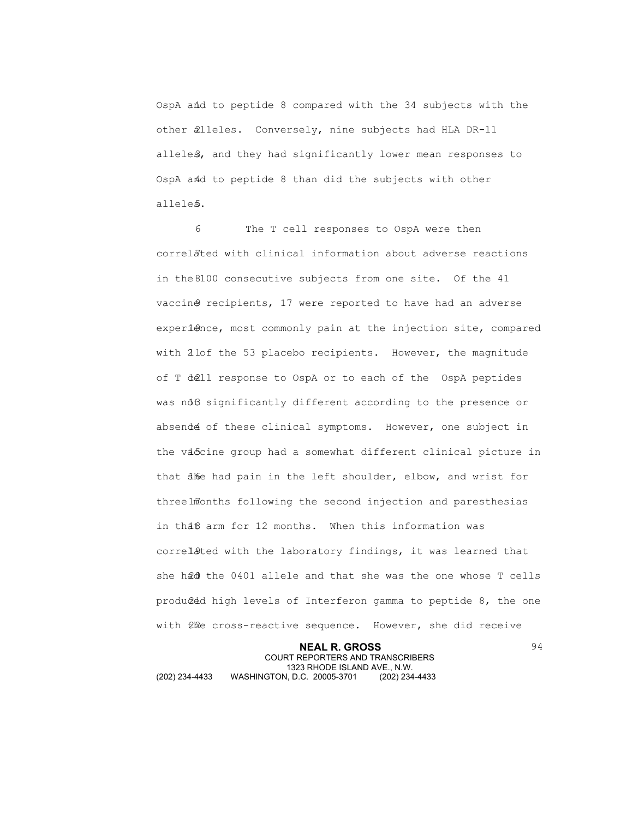OspA and to peptide 8 compared with the 34 subjects with the other alleles. Conversely, nine subjects had HLA DR-11 alleles, and they had significantly lower mean responses to OspA and to peptide 8 than did the subjects with other alleles.

 The T cell responses to OspA were then 6 correlated with clinical information about adverse reactions in the 8100 consecutive subjects from one site. Of the 41 vaccin@ recipients, 17 were reported to have had an adverse experience, most commonly pain at the injection site, compared with 21of the 53 placebo recipients. However, the magnitude of T dell response to OspA or to each of the OspA peptides was ndß significantly different according to the presence or absende of these clinical symptoms. However, one subject in the vacine group had a somewhat different clinical picture in that il he had pain in the left shoulder, elbow, and wrist for three lmonths following the second injection and paresthesias in that arm for 12 months. When this information was correlated with the laboratory findings, it was learned that she had the 0401 allele and that she was the one whose T cells produ $d\ddot{a}$ d high levels of Interferon gamma to peptide 8, the one with the cross-reactive sequence. However, she did receive

**NEAL R. GROSS** COURT REPORTERS AND TRANSCRIBERS 1323 RHODE ISLAND AVE., N.W. (202) 234-4433 WASHINGTON, D.C. 20005-3701 (202) 234-4433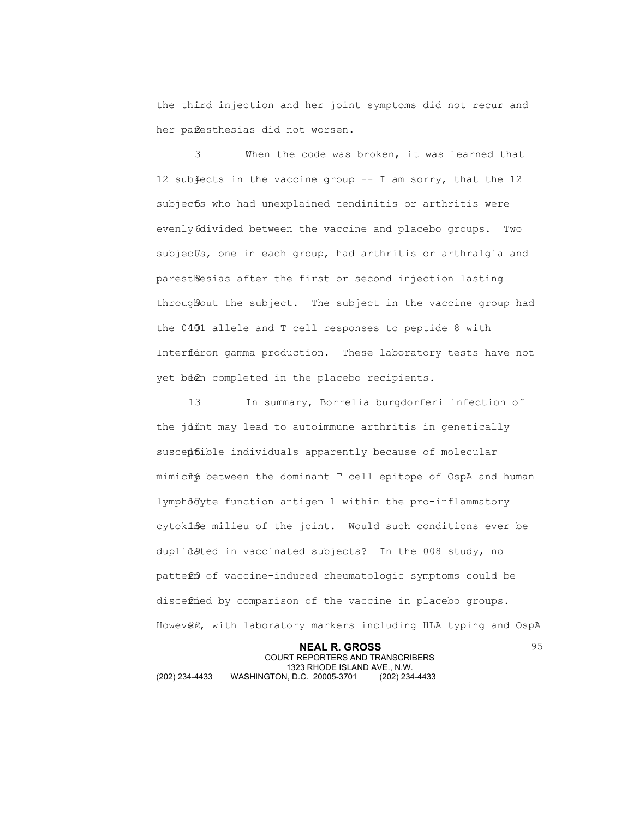the third injection and her joint symptoms did not recur and her pafesthesias did not worsen.

3 When the code was broken, it was learned that 12 sub $4$ ects in the vaccine group  $-$ - I am sorry, that the 12 subjects who had unexplained tendinitis or arthritis were evenly 6divided between the vaccine and placebo groups. Two subjects, one in each group, had arthritis or arthralgia and paresthesias after the first or second injection lasting throughout the subject. The subject in the vaccine group had the 0401 allele and T cell responses to peptide 8 with Interfidron gamma production. These laboratory tests have not yet béên completed in the placebo recipients.

 In summary, Borrelia burgdorferi infection of 13 the joint may lead to autoimmune arthritis in genetically susceptible individuals apparently because of molecular mimicity between the dominant T cell epitope of OspA and human lymphddyte function antigen 1 within the pro-inflammatory cytokine milieu of the joint. Would such conditions ever be duplidated in vaccinated subjects? In the 008 study, no patte $\ell$ n of vaccine-induced rheumatologic symptoms could be discefied by comparison of the vaccine in placebo groups. However, with laboratory markers including HLA typing and OspA

**NEAL R. GROSS** COURT REPORTERS AND TRANSCRIBERS 1323 RHODE ISLAND AVE., N.W. (202) 234-4433 WASHINGTON, D.C. 20005-3701 (202) 234-4433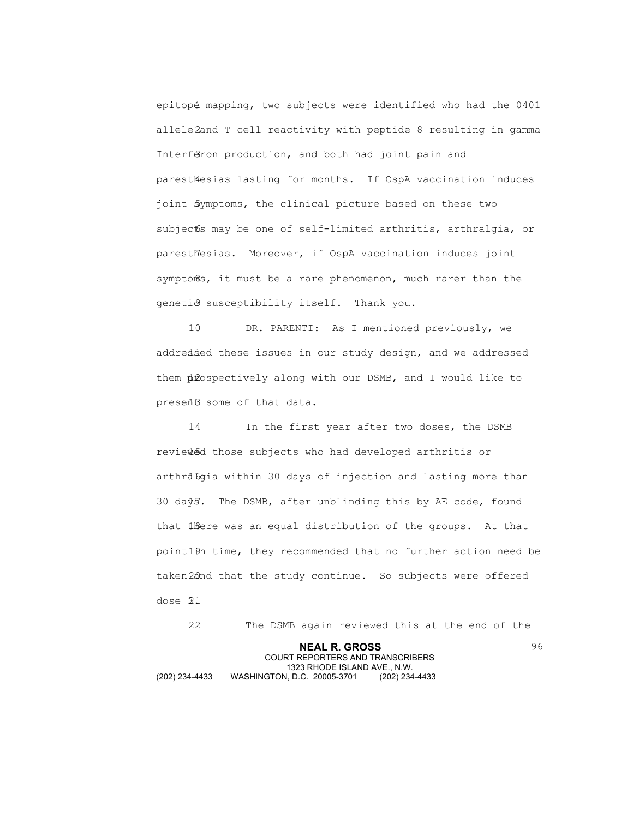epitopa mapping, two subjects were identified who had the 0401 allele 2and T cell reactivity with peptide 8 resulting in gamma Interferon production, and both had joint pain and parestMesias lasting for months. If OspA vaccination induces joint Symptoms, the clinical picture based on these two subjects may be one of self-limited arthritis, arthralgia, or paresthesias. Moreover, if OspA vaccination induces joint symptoms, it must be a rare phenomenon, much rarer than the geneti $\Theta$  susceptibility itself. Thank you.

10 DR. PARENTI: As I mentioned previously, we addressed these issues in our study design, and we addressed them pleospectively along with our DSMB, and I would like to present some of that data.

14 In the first year after two doses, the DSMB reviewed those subjects who had developed arthritis or arthraligia within 30 days of injection and lasting more than 30 da $\sqrt{13}$ . The DSMB, after unblinding this by AE code, found that fliere was an equal distribution of the groups. At that point 19n time, they recommended that no further action need be taken 20nd that the study continue. So subjects were offered dose  $31$ 

22 The DSMB again reviewed this at the end of the

**NEAL R. GROSS** COURT REPORTERS AND TRANSCRIBERS 1323 RHODE ISLAND AVE., N.W. (202) 234-4433 WASHINGTON, D.C. 20005-3701 (202) 234-4433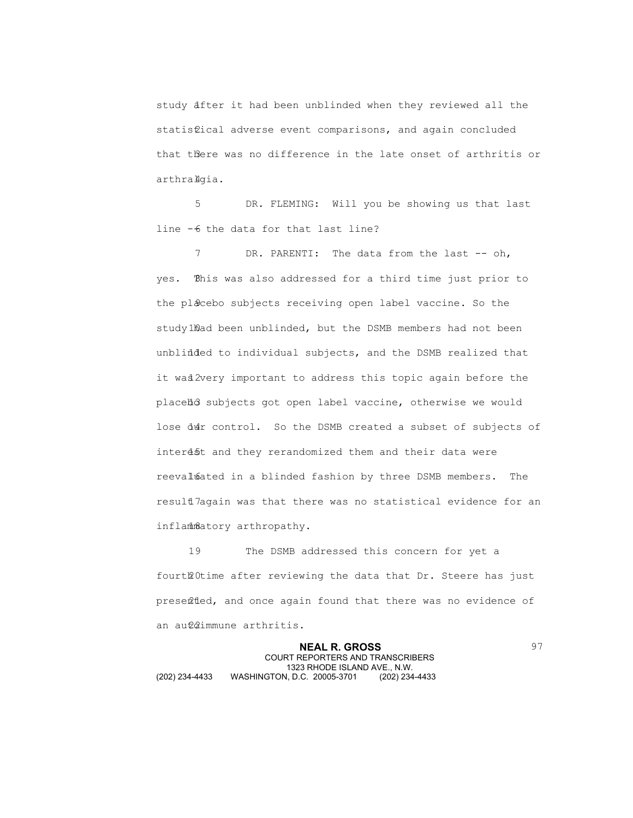study after it had been unblinded when they reviewed all the statisfical adverse event comparisons, and again concluded that there was no difference in the late onset of arthritis or arthralgia.

5 DR. FLEMING: Will you be showing us that last line -6 the data for that last line?

7 DR. PARENTI: The data from the last -- oh, yes. This was also addressed for a third time just prior to the placebo subjects receiving open label vaccine. So the study l $\beta$ ad been unblinded, but the DSMB members had not been unblinded to individual subjects, and the DSMB realized that it was 2very important to address this topic again before the placebo subjects got open label vaccine, otherwise we would lose dur control. So the DSMB created a subset of subjects of interest and they rerandomized them and their data were reevaluated in a blinded fashion by three DSMB members. The resulf 7again was that there was no statistical evidence for an inflammatory arthropathy.

19 The DSMB addressed this concern for yet a fourth Otime after reviewing the data that Dr. Steere has just presented, and once again found that there was no evidence of an autaimmune arthritis.

**NEAL R. GROSS** COURT REPORTERS AND TRANSCRIBERS 1323 RHODE ISLAND AVE., N.W. (202) 234-4433 WASHINGTON, D.C. 20005-3701 (202) 234-4433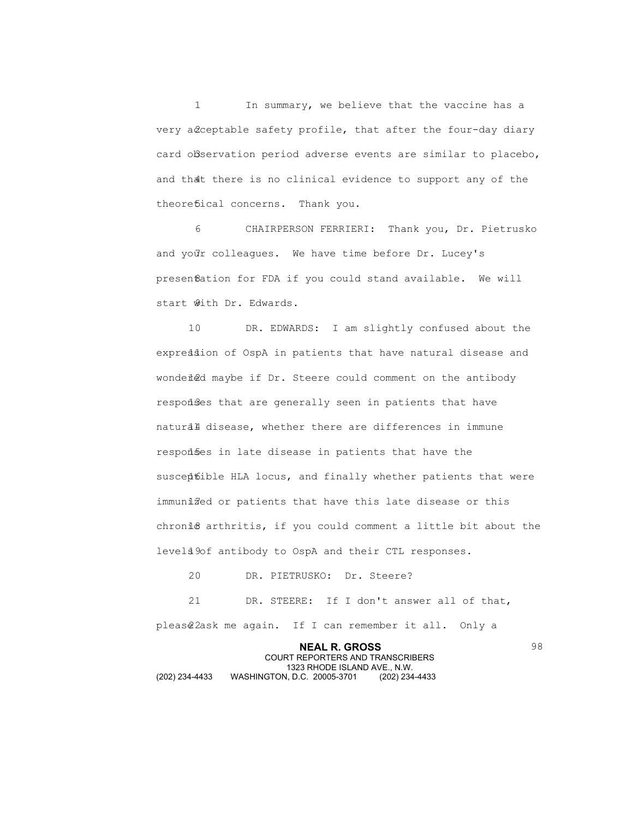In summary, we believe that the vaccine has a 1 very acceptable safety profile, that after the four-day diary card observation period adverse events are similar to placebo, and that there is no clinical evidence to support any of the theorefical concerns. Thank you.

 CHAIRPERSON FERRIERI: Thank you, Dr. Pietrusko 6 and your colleagues. We have time before Dr. Lucey's presentation for FDA if you could stand available. We will start With Dr. Edwards.

10 DR. EDWARDS: I am slightly confused about the expression of OspA in patients that have natural disease and wondered maybe if Dr. Steere could comment on the antibody responses that are generally seen in patients that have natural disease, whether there are differences in immune responses in late disease in patients that have the susceptible HLA locus, and finally whether patients that were immunized or patients that have this late disease or this chroni $\&$  arthritis, if you could comment a little bit about the levels 9of antibody to OspA and their CTL responses.

DR. PIETRUSKO: Dr. Steere? 20

21 DR. STEERE: If I don't answer all of that, please 2ask me again. If I can remember it all. Only a

**NEAL R. GROSS** COURT REPORTERS AND TRANSCRIBERS 1323 RHODE ISLAND AVE., N.W. (202) 234-4433 WASHINGTON, D.C. 20005-3701 (202) 234-4433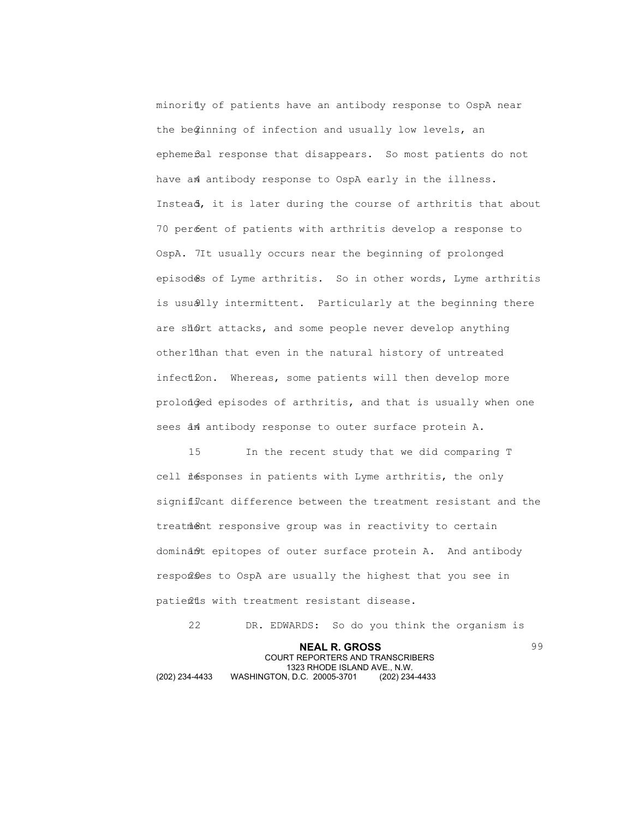minority of patients have an antibody response to OspA near the beginning of infection and usually low levels, an ephemeral response that disappears. So most patients do not have an antibody response to OspA early in the illness. Instead, it is later during the course of arthritis that about 70 percent of patients with arthritis develop a response to OspA. 7It usually occurs near the beginning of prolonged episodes of Lyme arthritis. So in other words, Lyme arthritis is usually intermittent. Particularly at the beginning there are short attacks, and some people never develop anything other 1than that even in the natural history of untreated infection. Whereas, some patients will then develop more prolonged episodes of arthritis, and that is usually when one sees  $dA$  antibody response to outer surface protein A.

 In the recent study that we did comparing T 15 cell flesponses in patients with Lyme arthritis, the only significant difference between the treatment resistant and the treatment responsive group was in reactivity to certain dominant epitopes of outer surface protein A. And antibody responses to OspA are usually the highest that you see in patients with treatment resistant disease.

22 DR. EDWARDS: So do you think the organism is

**NEAL R. GROSS** COURT REPORTERS AND TRANSCRIBERS 1323 RHODE ISLAND AVE., N.W. (202) 234-4433 WASHINGTON, D.C. 20005-3701 (202) 234-4433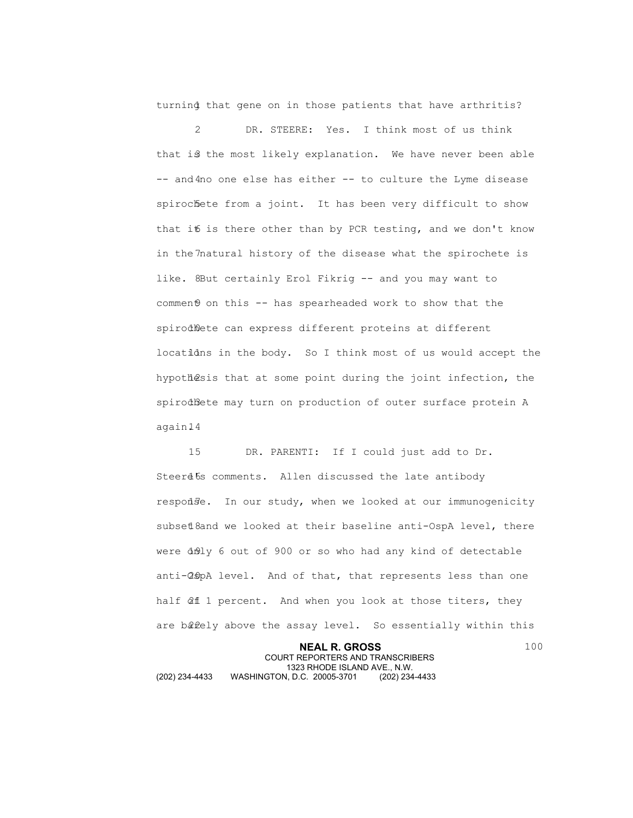turning that gene on in those patients that have arthritis?

2 DR. STEERE: Yes. I think most of us think that is the most likely explanation. We have never been able -- and 4no one else has either -- to culture the Lyme disease spirochete from a joint. It has been very difficult to show that if is there other than by PCR testing, and we don't know in the 7natural history of the disease what the spirochete is like. 8But certainly Erol Fikrig -- and you may want to commen $\theta$  on this -- has spearheaded work to show that the spirodMete can express different proteins at different locations in the body. So I think most of us would accept the hypothesis that at some point during the joint infection, the spirodBete may turn on production of outer surface protein A again. 14

15 DR. PARENTI: If I could just add to Dr. Steerd's comments. Allen discussed the late antibody response. In our study, when we looked at our immunogenicity subset 8and we looked at their baseline anti-OspA level, there were dily 6 out of 900 or so who had any kind of detectable anti- $@$ spA level. And of that, that represents less than one half  $\partial f$  1 percent. And when you look at those titers, they are bately above the assay level. So essentially within this

**NEAL R. GROSS** COURT REPORTERS AND TRANSCRIBERS 1323 RHODE ISLAND AVE., N.W. (202) 234-4433 WASHINGTON, D.C. 20005-3701 (202) 234-4433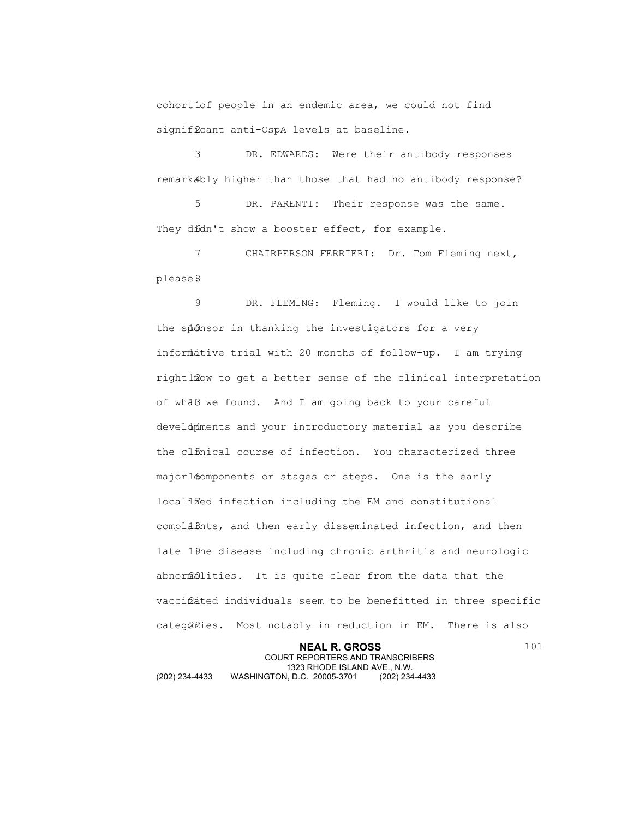cohort lof people in an endemic area, we could not find significant anti-OspA levels at baseline.

3 DR. EDWARDS: Were their antibody responses remarkably higher than those that had no antibody response?

5 DR. PARENTI: Their response was the same. They didn't show a booster effect, for example.

7 CHAIRPERSON FERRIERI: Dr. Tom Fleming next, please. 8

9 DR. FLEMING: Fleming. I would like to join the sponsor in thanking the investigators for a very informiative trial with 20 months of follow-up. I am trying right 120w to get a better sense of the clinical interpretation of what we found. And I am going back to your careful develdpments and your introductory material as you describe the clinical course of infection. You characterized three major 16 omponents or stages or steps. One is the early localized infection including the EM and constitutional complaints, and then early disseminated infection, and then late IDne disease including chronic arthritis and neurologic abnormalities. It is quite clear from the data that the vaccinated individuals seem to be benefitted in three specific categ@fies. Most notably in reduction in EM. There is also

**NEAL R. GROSS** COURT REPORTERS AND TRANSCRIBERS 1323 RHODE ISLAND AVE., N.W. (202) 234-4433 WASHINGTON, D.C. 20005-3701 (202) 234-4433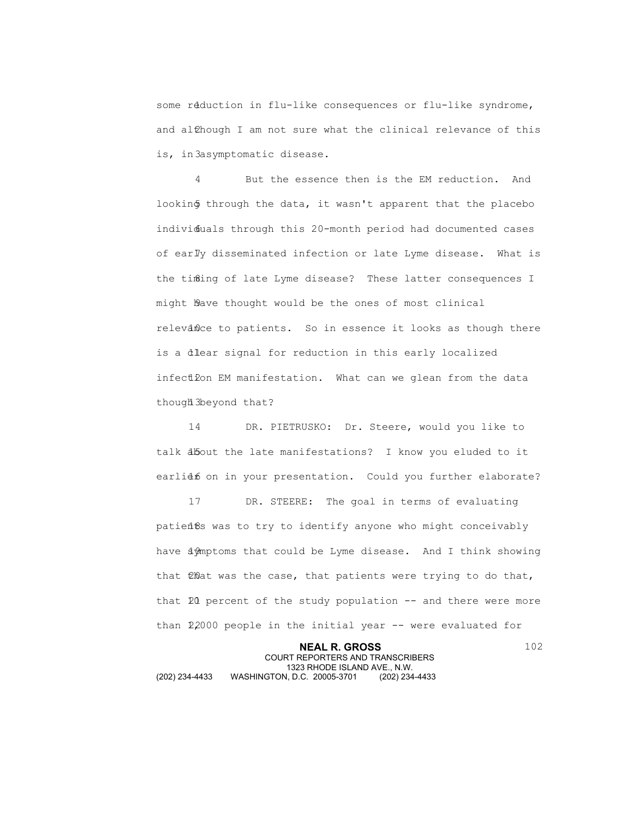some reduction in flu-like consequences or flu-like syndrome, and although I am not sure what the clinical relevance of this is, in 3asymptomatic disease.

 But the essence then is the EM reduction. And 4 looking through the data, it wasn't apparent that the placebo indiviouals through this 20-month period had documented cases of early disseminated infection or late Lyme disease. What is the timfing of late Lyme disease? These latter consequences I might Bave thought would be the ones of most clinical relevance to patients. So in essence it looks as though there is a dlear signal for reduction in this early localized infection EM manifestation. What can we glean from the data though 3beyond that?

14 DR. PIETRUSKO: Dr. Steere, would you like to talk about the late manifestations? I know you eluded to it earlief on in your presentation. Could you further elaborate?

17 DR. STEERE: The goal in terms of evaluating patients was to try to identify anyone who might conceivably have symptoms that could be Lyme disease. And I think showing that  $t$  fout was the case, that patients were trying to do that, that  $20$  percent of the study population  $-$  and there were more than  $22000$  people in the initial year  $-$ - were evaluated for

**NEAL R. GROSS** COURT REPORTERS AND TRANSCRIBERS 1323 RHODE ISLAND AVE., N.W. (202) 234-4433 WASHINGTON, D.C. 20005-3701 (202) 234-4433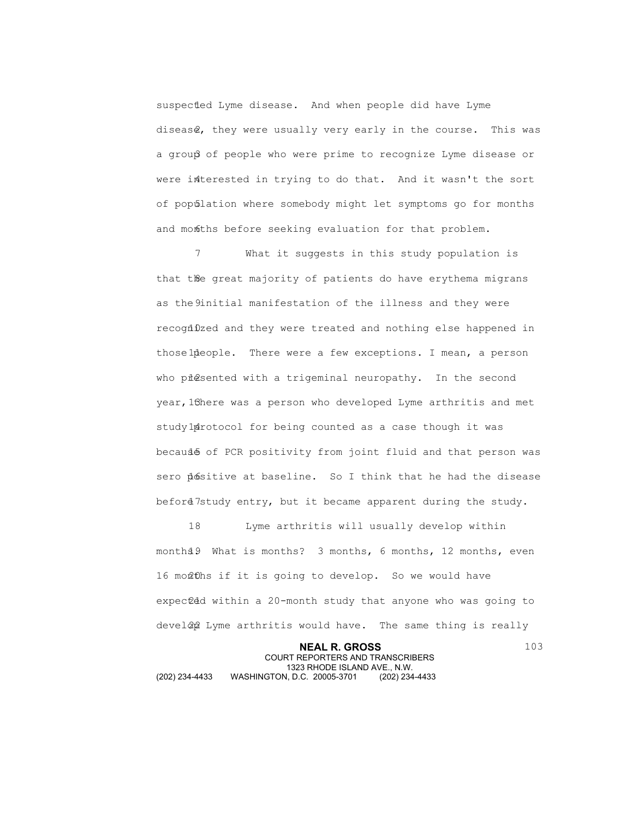suspected Lyme disease. And when people did have Lyme disease, they were usually very early in the course. This was a group of people who were prime to recognize Lyme disease or were interested in trying to do that. And it wasn't the sort of population where somebody might let symptoms go for months and momths before seeking evaluation for that problem.

7 What it suggests in this study population is that the great majority of patients do have erythema migrans as the 9initial manifestation of the illness and they were recognized and they were treated and nothing else happened in those lieople. There were a few exceptions. I mean, a person who pilesented with a trigeminal neuropathy. In the second year, 18here was a person who developed Lyme arthritis and met study lørotocol for being counted as a case though it was because of PCR positivity from joint fluid and that person was sero positive at baseline. So I think that he had the disease beford 7study entry, but it became apparent during the study.

 Lyme arthritis will usually develop within 18 months.9 What is months? 3 months, 6 months, 12 months, even 16 months if it is going to develop. So we would have expected within a 20-month study that anyone who was going to devel@@ Lyme arthritis would have. The same thing is really

**NEAL R. GROSS** COURT REPORTERS AND TRANSCRIBERS 1323 RHODE ISLAND AVE., N.W.<br>1323 RHODE ISLAND AVE., N.W.<br>I, D.C. 20005-3701 (202) 234-4433 (202) 234-4433 WASHINGTON, D.C. 20005-3701 (202) 234-4433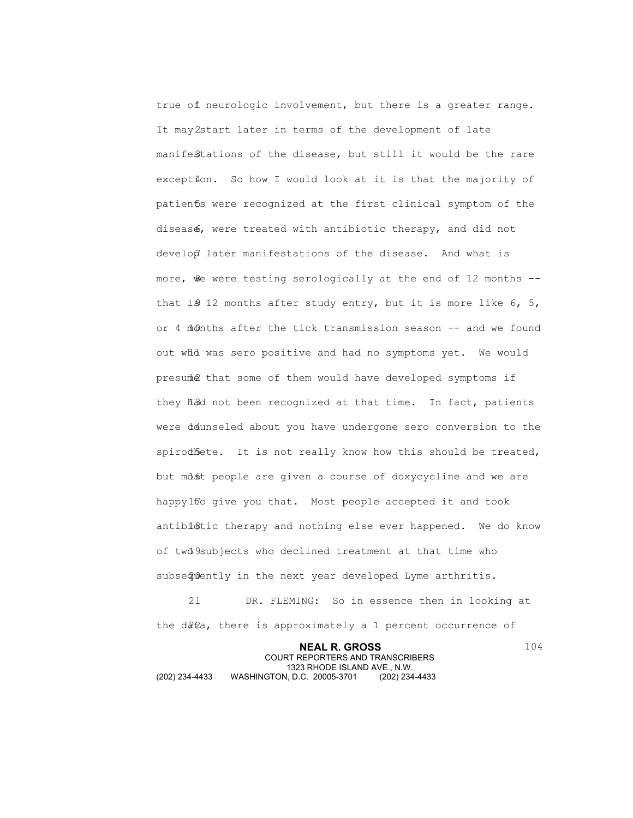true of neurologic involvement, but there is a greater range. It may 2start later in terms of the development of late manifestations of the disease, but still it would be the rare exception. So how I would look at it is that the majority of patients were recognized at the first clinical symptom of the diseas $6$ , were treated with antibiotic therapy, and did not develop later manifestations of the disease. And what is more, we were testing serologically at the end of 12 months  $-$ that i $\theta$  12 months after study entry, but it is more like 6, 5, or 4 mionths after the tick transmission season -- and we found out who was sero positive and had no symptoms yet. We would presume that some of them would have developed symptoms if they Had not been recognized at that time. In fact, patients were deunseled about you have undergone sero conversion to the  $spirod\text{fsete}.$  It is not really know how this should be treated, but mdst people are given a course of doxycycline and we are happy 1fo give you that. Most people accepted it and took antibi&tic therapy and nothing else ever happened. We do know of twd 9subjects who declined treatment at that time who subsequently in the next year developed Lyme arthritis.

21 DR. FLEMING: So in essence then in looking at the  $d\hat{z}$ a, there is approximately a 1 percent occurrence of

**NEAL R. GROSS** COURT REPORTERS AND TRANSCRIBERS 1323 RHODE ISLAND AVE., N.W. (202) 234-4433 WASHINGTON, D.C. 20005-3701 (202) 234-4433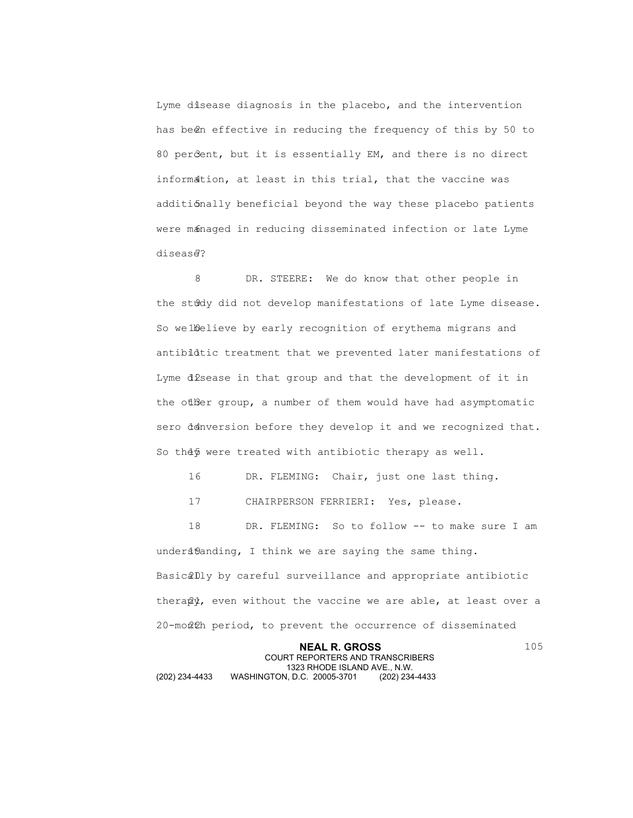Lyme disease diagnosis in the placebo, and the intervention has been effective in reducing the frequency of this by 50 to 80 perdent, but it is essentially EM, and there is no direct information, at least in this trial, that the vaccine was additionally beneficial beyond the way these placebo patients were managed in reducing disseminated infection or late Lyme diseasa?

8 DR. STEERE: We do know that other people in the study did not develop manifestations of late Lyme disease. So we libelieve by early recognition of erythema migrans and antibidtic treatment that we prevented later manifestations of Lyme disease in that group and that the development of it in the off er group, a number of them would have had asymptomatic sero denversion before they develop it and we recognized that. So the were treated with antibiotic therapy as well.

- 16 DR. FLEMING: Chair, just one last thing.
- 17 CHAIRPERSON FERRIERI: Yes, please.

18 DR. FLEMING: So to follow -- to make sure I am understanding, I think we are saying the same thing. Basically by careful surveillance and appropriate antibiotic thera $\beta \psi$ , even without the vaccine we are able, at least over a 20-morth period, to prevent the occurrence of disseminated

**NEAL R. GROSS** COURT REPORTERS AND TRANSCRIBERS 1323 RHODE ISLAND AVE., N.W. (202) 234-4433 WASHINGTON, D.C. 20005-3701 (202) 234-4433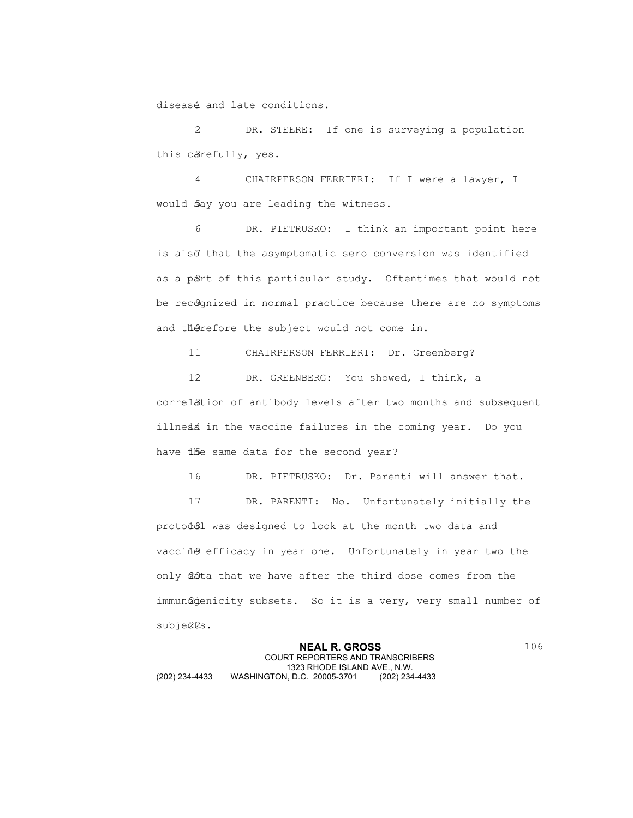disease and late conditions.

2 DR. STEERE: If one is surveying a population this carefully, yes.

 CHAIRPERSON FERRIERI: If I were a lawyer, I 4 would Say you are leading the witness.

6 DR. PIETRUSKO: I think an important point here is als $\bar{\sigma}$  that the asymptomatic sero conversion was identified as a p&rt of this particular study. Oftentimes that would not be recognized in normal practice because there are no symptoms and therefore the subject would not come in.

CHAIRPERSON FERRIERI: Dr. Greenberg? 11

12 DR. GREENBERG: You showed, I think, a correlation of antibody levels after two months and subsequent illness in the vaccine failures in the coming year. Do you have the same data for the second year?

16 DR. PIETRUSKO: Dr. Parenti will answer that.

17 DR. PARENTI: No. Unfortunately initially the protod&l was designed to look at the month two data and vaccine efficacy in year one. Unfortunately in year two the only data that we have after the third dose comes from the immun@denicity subsets. So it is a very, very small number of subjects.

**NEAL R. GROSS** COURT REPORTERS AND TRANSCRIBERS 1323 RHODE ISLAND AVE., N.W. (202) 234-4433 WASHINGTON, D.C. 20005-3701 (202) 234-4433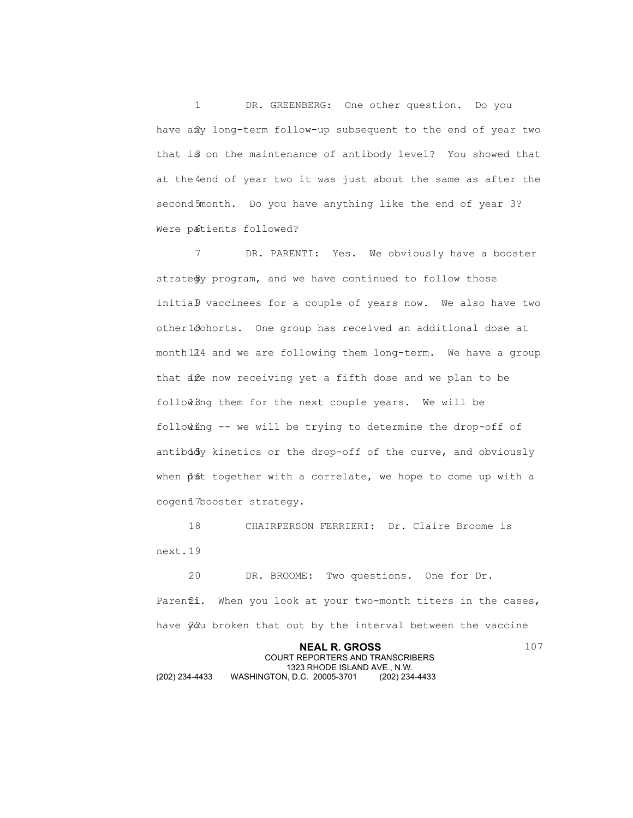1 DR. GREENBERG: One other question. Do you have any long-term follow-up subsequent to the end of year two that is on the maintenance of antibody level? You showed that at the 4end of year two it was just about the same as after the second 5month. Do you have anything like the end of year 3? Were patients followed?

7 DR. PARENTI: Yes. We obviously have a booster strate@y program, and we have continued to follow those initial vaccinees for a couple of years now. We also have two other 10 ohorts. One group has received an additional dose at month 124 and we are following them long-term. We have a group that afe now receiving yet a fifth dose and we plan to be following them for the next couple years. We will be following  $--$  we will be trying to determine the drop-off of antibddy kinetics or the drop-off of the curve, and obviously when pust together with a correlate, we hope to come up with a cogent 7booster strategy.

18 CHAIRPERSON FERRIERI: Dr. Claire Broome is next. 19

20 DR. BROOME: Two questions. One for Dr. Parenti. When you look at your two-month titers in the cases, have  $\hat{y}$ &u broken that out by the interval between the vaccine

**NEAL R. GROSS** COURT REPORTERS AND TRANSCRIBERS 1323 RHODE ISLAND AVE., N.W. (202) 234-4433 WASHINGTON, D.C. 20005-3701 (202) 234-4433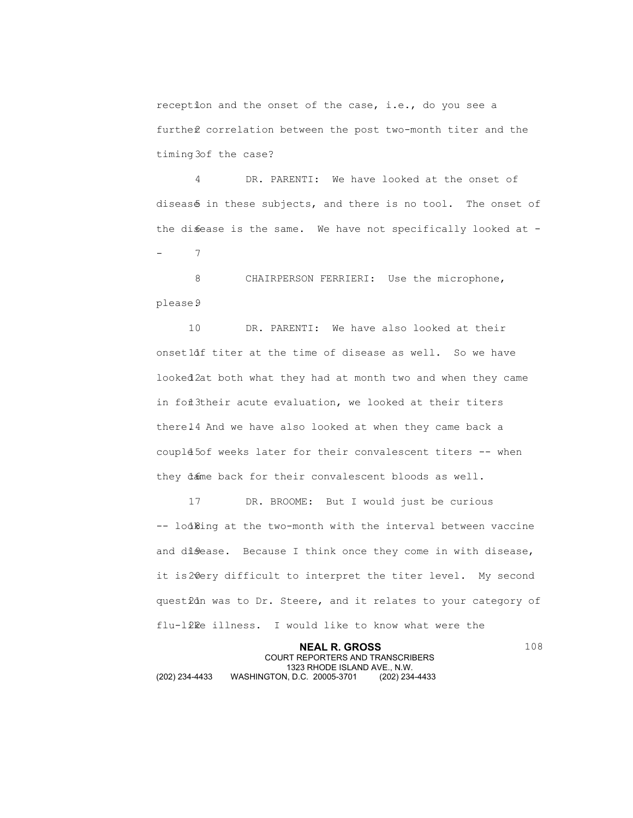reception and the onset of the case, i.e., do you see a furthef correlation between the post two-month titer and the timing 3of the case?

4 DR. PARENTI: We have looked at the onset of diseas6 in these subjects, and there is no tool. The onset of the diffease is the same. We have not specifically looked at  $-$ - 7

8 CHAIRPERSON FERRIERI: Use the microphone, please. 9

10 DR. PARENTI: We have also looked at their onset ldf titer at the time of disease as well. So we have looked 2at both what they had at month two and when they came in foi 3their acute evaluation, we looked at their titers there14 And we have also looked at when they came back a couple 5of weeks later for their convalescent titers -- when they dame back for their convalescent bloods as well.

17 DR. BROOME: But I would just be curious -- lodking at the two-month with the interval between vaccine and disease. Because I think once they come in with disease, it is 20ery difficult to interpret the titer level. My second question was to Dr. Steere, and it relates to your category of flu-like illness. I would like to know what were the

**NEAL R. GROSS** COURT REPORTERS AND TRANSCRIBERS 1323 RHODE ISLAND AVE., N.W. (202) 234-4433 WASHINGTON, D.C. 20005-3701 (202) 234-4433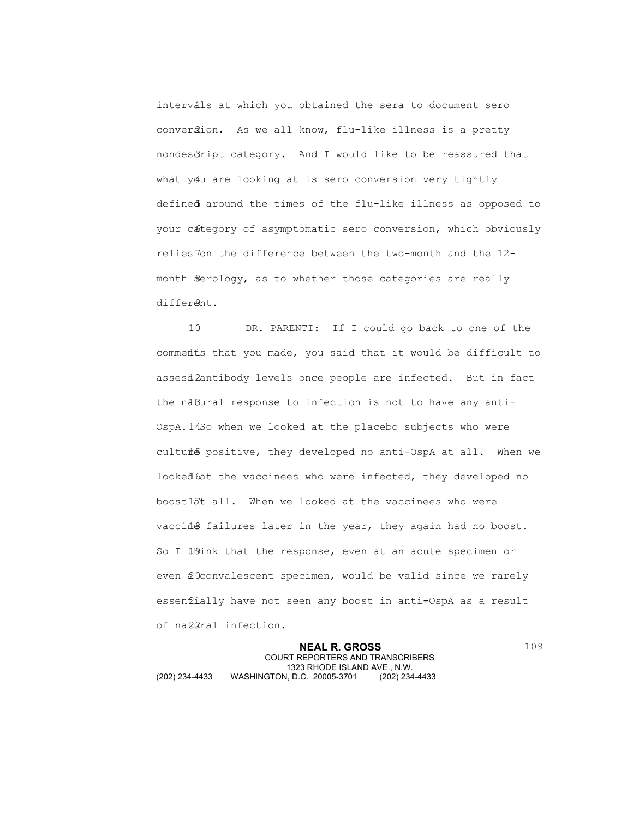intervals at which you obtained the sera to document sero convergion. As we all know, flu-like illness is a pretty nondesdript category. And I would like to be reassured that what you are looking at is sero conversion very tightly defined around the times of the flu-like illness as opposed to your category of asymptomatic sero conversion, which obviously relies 7on the difference between the two-month and the 12month Serology, as to whether those categories are really different.

10 DR. PARENTI: If I could go back to one of the comments that you made, you said that it would be difficult to asses d 2antibody levels once people are infected. But in fact the natural response to infection is not to have any anti-OspA. 14So when we looked at the placebo subjects who were cultuis positive, they developed no anti-OspA at all. When we looked 6at the vaccinees who were infected, they developed no boost 1at all. When we looked at the vaccinees who were vaccine failures later in the year, they again had no boost. So I flBink that the response, even at an acute specimen or even a0convalescent specimen, would be valid since we rarely essentially have not seen any boost in anti-OspA as a result of natural infection.

**NEAL R. GROSS** COURT REPORTERS AND TRANSCRIBERS 1323 RHODE ISLAND AVE., N.W. (202) 234-4433 WASHINGTON, D.C. 20005-3701 (202) 234-4433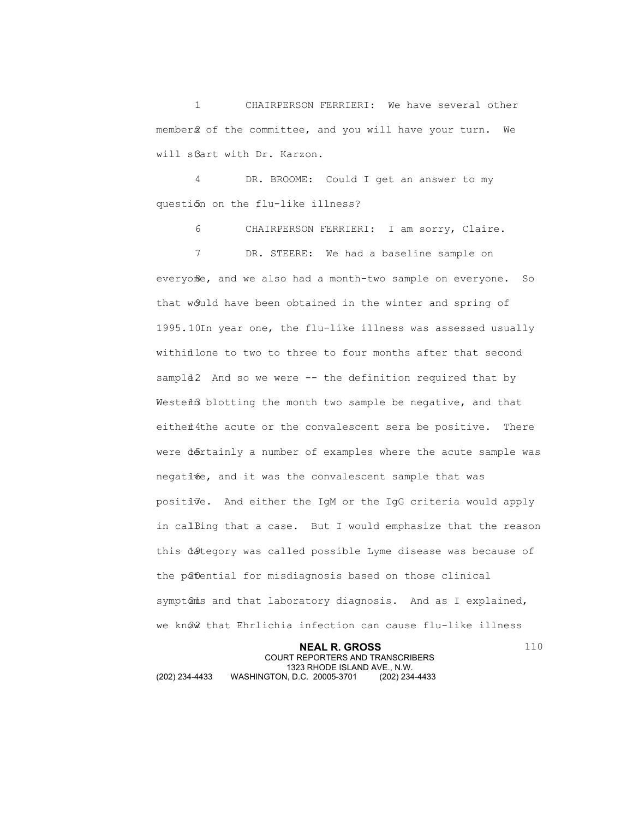CHAIRPERSON FERRIERI: We have several other 1 member & of the committee, and you will have your turn. We will sfart with Dr. Karzon.

4 DR. BROOME: Could I get an answer to my question on the flu-like illness?

CHAIRPERSON FERRIERI: I am sorry, Claire. 6

7 DR. STEERE: We had a baseline sample on everyome, and we also had a month-two sample on everyone. So that would have been obtained in the winter and spring of 1995. 10In year one, the flu-like illness was assessed usually within lone to two to three to four months after that second sampl $42$  And so we were -- the definition required that by Westein blotting the month two sample be negative, and that eithei4the acute or the convalescent sera be positive. There were dertainly a number of examples where the acute sample was negative, and it was the convalescent sample that was positive. And either the IgM or the IgG criteria would apply in callBing that a case. But I would emphasize that the reason this dategory was called possible Lyme disease was because of the patential for misdiagnosis based on those clinical sympt@mis and that laboratory diagnosis. And as I explained, we know that Ehrlichia infection can cause flu-like illness

**NEAL R. GROSS** COURT REPORTERS AND TRANSCRIBERS 1323 RHODE ISLAND AVE., N.W. (202) 234-4433 WASHINGTON, D.C. 20005-3701 (202) 234-4433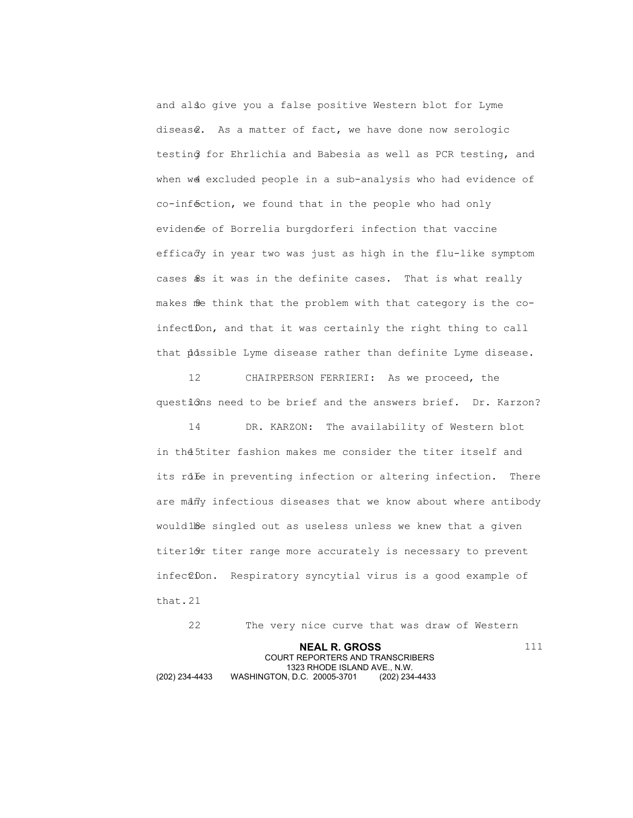and also give you a false positive Western blot for Lyme disease. As a matter of fact, we have done now serologic testing for Ehrlichia and Babesia as well as PCR testing, and when we excluded people in a sub-analysis who had evidence of co-infection, we found that in the people who had only evidence of Borrelia burgdorferi infection that vaccine effica $\partial y$  in year two was just as high in the flu-like symptom cases &s it was in the definite cases. That is what really makes mee think that the problem with that category is the coinfection, and that it was certainly the right thing to call that possible Lyme disease rather than definite Lyme disease.

12 CHAIRPERSON FERRIERI: As we proceed, the questions need to be brief and the answers brief. Dr. Karzon?

14 DR. KARZON: The availability of Western blot in the 5titer fashion makes me consider the titer itself and its rdBe in preventing infection or altering infection. There are many infectious diseases that we know about where antibody would lise singled out as useless unless we knew that a given titer 10r titer range more accurately is necessary to prevent infection. Respiratory syncytial virus is a good example of that. 21

22 The very nice curve that was draw of Western

**NEAL R. GROSS** COURT REPORTERS AND TRANSCRIBERS 1323 RHODE ISLAND AVE., N.W. (202) 234-4433 WASHINGTON, D.C. 20005-3701 (202) 234-4433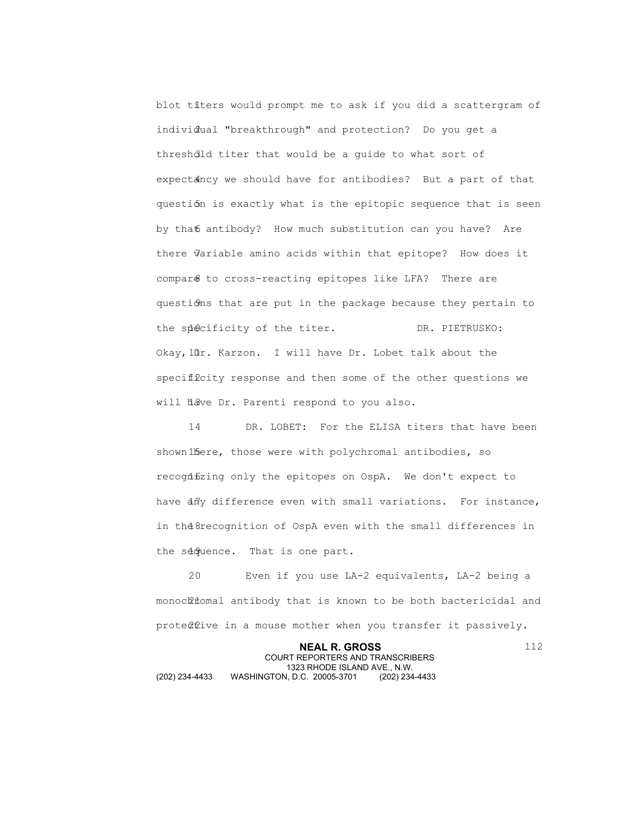blot titers would prompt me to ask if you did a scattergram of individual "breakthrough" and protection? Do you get a threshold titer that would be a quide to what sort of expectancy we should have for antibodies? But a part of that question is exactly what is the epitopic sequence that is seen by that antibody? How much substitution can you have? Are there Variable amino acids within that epitope? How does it compare to cross-reacting epitopes like LFA? There are questions that are put in the package because they pertain to the specificity of the titer. DR. PIETRUSKO: Okay, 1Dr. Karzon. I will have Dr. Lobet talk about the specificity response and then some of the other questions we will have Dr. Parenti respond to you also.

14 DR. LOBET: For the ELISA titers that have been shown libere, those were with polychromal antibodies, so recognizing only the epitopes on OspA. We don't expect to have  $d\vec{n}$  difference even with small variations. For instance, in the 8recognition of OspA even with the small differences in the saguence. That is one part.

 Even if you use LA-2 equivalents, LA-2 being a 20 monochiomal antibody that is known to be both bactericidal and prote&five in a mouse mother when you transfer it passively.

**NEAL R. GROSS** COURT REPORTERS AND TRANSCRIBERS 1323 RHODE ISLAND AVE., N.W. (202) 234-4433 WASHINGTON, D.C. 20005-3701 (202) 234-4433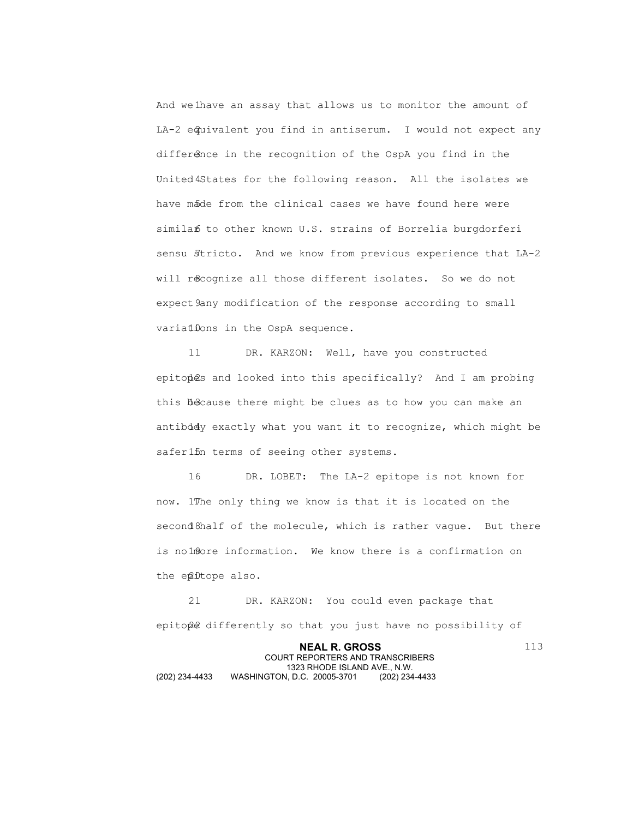And we lhave an assay that allows us to monitor the amount of  $LA-2$  equivalent you find in antiserum. I would not expect any difference in the recognition of the OspA you find in the United 4States for the following reason. All the isolates we have made from the clinical cases we have found here were similaf to other known U.S. strains of Borrelia burgdorferi sensu Stricto. And we know from previous experience that LA-2 will r&cognize all those different isolates. So we do not expect 9any modification of the response according to small variations in the OspA sequence.

11 DR. KARZON: Well, have you constructed epitopes and looked into this specifically? And I am probing this because there might be clues as to how you can make an antibddy exactly what you want it to recognize, which might be safer 15n terms of seeing other systems.

16 DR. LOBET: The LA-2 epitope is not known for now. 1The only thing we know is that it is located on the second 8half of the molecule, which is rather vague. But there is no lmore information. We know there is a confirmation on the epitope also.

21 DR. KARZON: You could even package that epitope differently so that you just have no possibility of

**NEAL R. GROSS** COURT REPORTERS AND TRANSCRIBERS 1323 RHODE ISLAND AVE., N.W. (202) 234-4433 WASHINGTON, D.C. 20005-3701 (202) 234-4433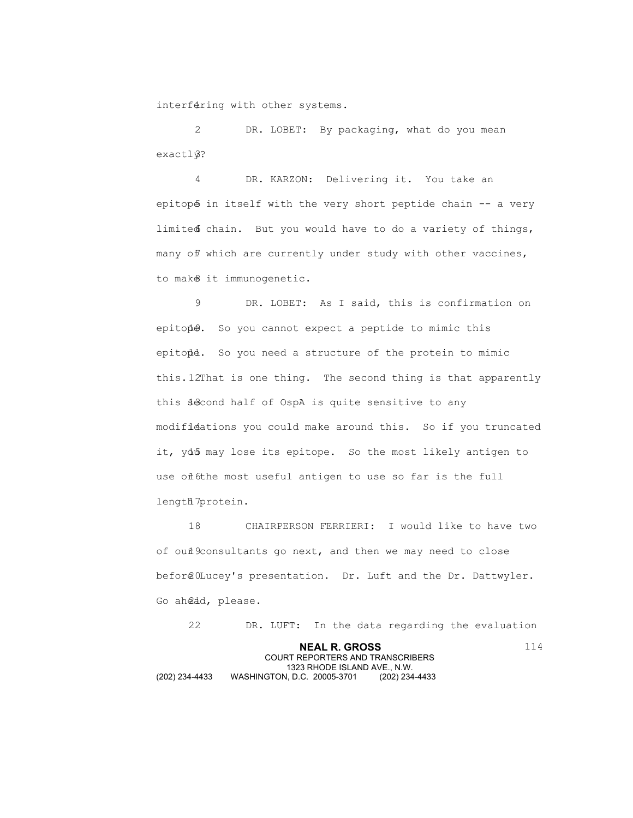interfaring with other systems.

2 DR. LOBET: By packaging, what do you mean  $exactly?$ 

4 DR. KARZON: Delivering it. You take an epitop $6$  in itself with the very short peptide chain  $-$ - a very limited chain. But you would have to do a variety of things, many of which are currently under study with other vaccines, to make it immunogenetic.

9 DR. LOBET: As I said, this is confirmation on  $epit$ o $\theta$ . So you cannot expect a peptide to mimic this epitope. So you need a structure of the protein to mimic this. 12That is one thing. The second thing is that apparently this *second half of OspA* is quite sensitive to any modifidations you could make around this. So if you truncated it, ydo may lose its epitope. So the most likely antigen to use of 6the most useful antigen to use so far is the full length 7protein.

18 CHAIRPERSON FERRIERI: I would like to have two of ouif 9 consultants go next, and then we may need to close befor@OLucey's presentation. Dr. Luft and the Dr. Dattwyler. Go ahedd, please.

22 DR. LUFT: In the data regarding the evaluation

114

**NEAL R. GROSS** COURT REPORTERS AND TRANSCRIBERS 1323 RHODE ISLAND AVE., N.W. (202) 234-4433 WASHINGTON, D.C. 20005-3701 (202) 234-4433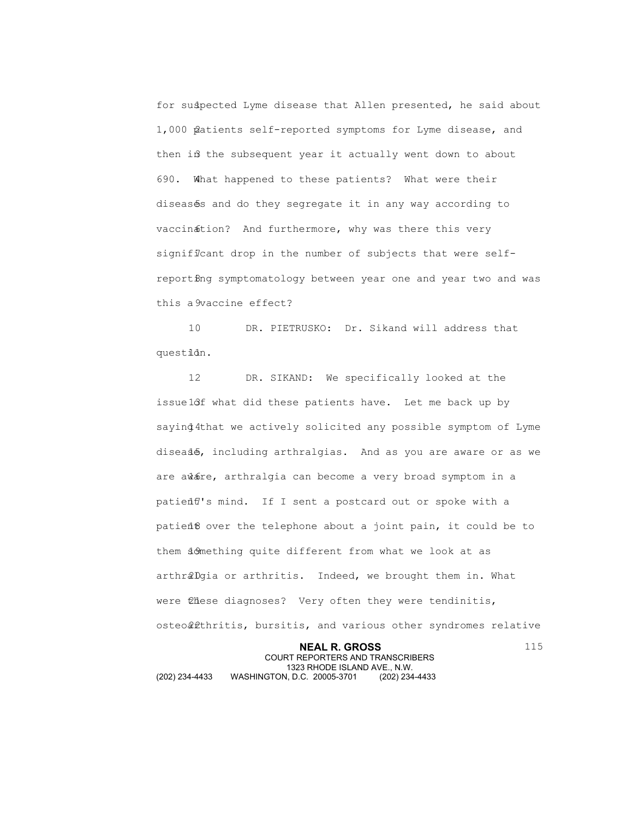for suspected Lyme disease that Allen presented, he said about 1,000 patients self-reported symptoms for Lyme disease, and then in the subsequent year it actually went down to about 690. What happened to these patients? What were their diseases and do they segregate it in any way according to vaccin&tion? And furthermore, why was there this very significant drop in the number of subjects that were selfreportBng symptomatology between year one and year two and was this a 9 vaccine effect?

10 DR. PIETRUSKO: Dr. Sikand will address that question.

12 DR. SIKAND: We specifically looked at the issue lôf what did these patients have. Let me back up by sayind 4that we actively solicited any possible symptom of Lyme diseast, including arthralgias. And as you are aware or as we are aware, arthralgia can become a very broad symptom in a patient<sup>1</sup>'s mind. If I sent a postcard out or spoke with a patient over the telephone about a joint pain, it could be to them iomething quite different from what we look at as arthralgia or arthritis. Indeed, we brought them in. What were these diagnoses? Very often they were tendinitis, osteoalthritis, bursitis, and various other syndromes relative

115

**NEAL R. GROSS** COURT REPORTERS AND TRANSCRIBERS 1323 RHODE ISLAND AVE., N.W. (202) 234-4433 WASHINGTON, D.C. 20005-3701 (202) 234-4433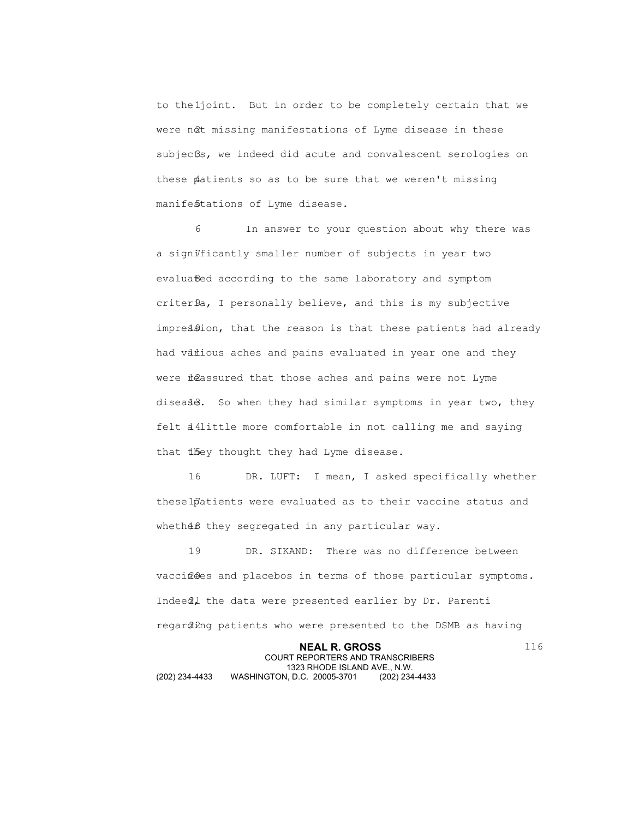to the ljoint. But in order to be completely certain that we were not missing manifestations of Lyme disease in these subjects, we indeed did acute and convalescent serologies on these patients so as to be sure that we weren't missing manifestations of Lyme disease. 5

6 In answer to your question about why there was a significantly smaller number of subjects in year two evaluated according to the same laboratory and symptom criter $\mathcal{B}$ a, I personally believe, and this is my subjective impression, that the reason is that these patients had already had vantious aches and pains evaluated in year one and they were ieassured that those aches and pains were not Lyme diseade. So when they had similar symptoms in year two, they felt a4little more comfortable in not calling me and saying that flbey thought they had Lyme disease.

16 DR. LUFT: I mean, I asked specifically whether these lpatients were evaluated as to their vaccine status and whethas they segregated in any particular way.

19 DR. SIKAND: There was no difference between vaccines and placebos in terms of those particular symptoms. Indeed,1 the data were presented earlier by Dr. Parenti regarding patients who were presented to the DSMB as having

**NEAL R. GROSS** COURT REPORTERS AND TRANSCRIBERS 1323 RHODE ISLAND AVE., N.W. (202) 234-4433 WASHINGTON, D.C. 20005-3701 (202) 234-4433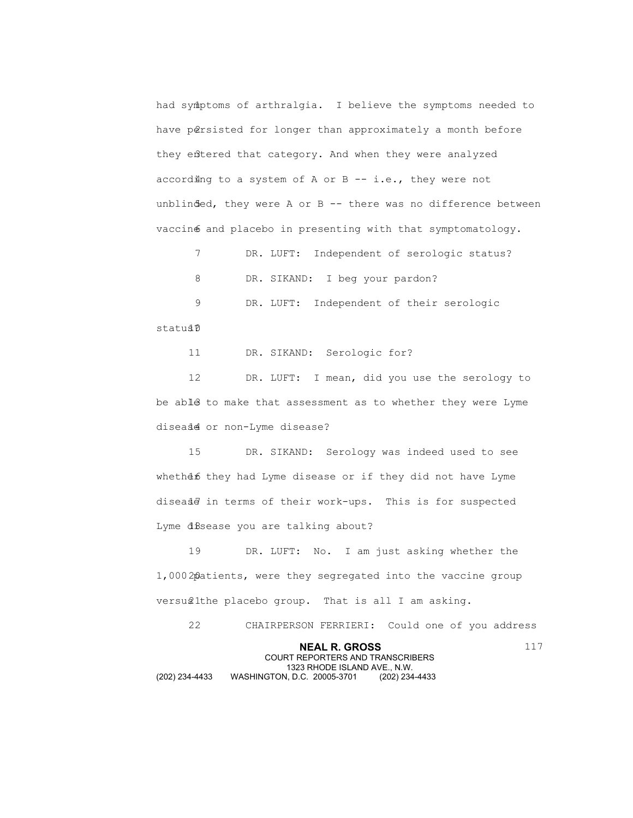had symptoms of arthralgia. I believe the symptoms needed to have persisted for longer than approximately a month before they entered that category. And when they were analyzed according to a system of A or B  $-$  i.e., they were not unblinded, they were A or B  $-$  there was no difference between vaccine and placebo in presenting with that symptomatology.

|  | DR. LUFT: Independent of serologic status? |
|--|--------------------------------------------|
|  | DR. SIKAND: I beg your pardon?             |

9 DR. LUFT: Independent of their serologic statu**s?** 

11 DR. SIKAND: Serologic for?

12 DR. LUFT: I mean, did you use the serology to be able to make that assessment as to whether they were Lyme disease or non-Lyme disease?

15 DR. SIKAND: Serology was indeed used to see whethes they had Lyme disease or if they did not have Lyme diseasd in terms of their work-ups. This is for suspected Lyme disease you are talking about?

19 DR. LUFT: No. I am just asking whether the 1,000 2 patients, were they segregated into the vaccine group versu£1the placebo group. That is all I am asking.

22 CHAIRPERSON FERRIERI: Could one of you address

**NEAL R. GROSS** COURT REPORTERS AND TRANSCRIBERS 1323 RHODE ISLAND AVE., N.W. (202) 234-4433 WASHINGTON, D.C. 20005-3701 (202) 234-4433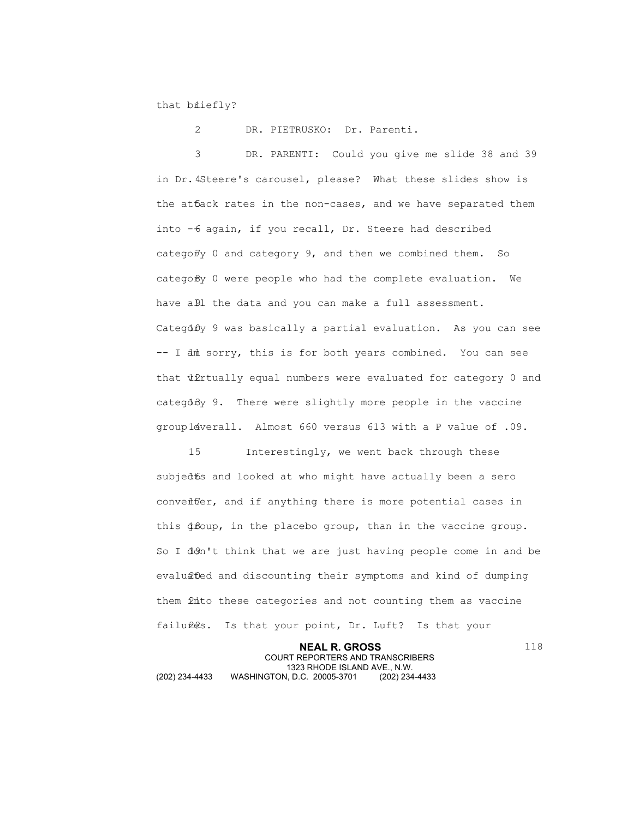that bilefly?

DR. PIETRUSKO: Dr. Parenti. 2

3 DR. PARENTI: Could you give me slide 38 and 39 in Dr. 4Steere's carousel, please? What these slides show is the attack rates in the non-cases, and we have separated them into -6 again, if you recall, Dr. Steere had described category  $0$  and category  $9$ , and then we combined them. So categoßy 0 were people who had the complete evaluation. We have all the data and you can make a full assessment. Categdfy 9 was basically a partial evaluation. As you can see -- I am sorry, this is for both years combined. You can see that *iftually* equal numbers were evaluated for category 0 and categdßy 9. There were slightly more people in the vaccine group 14 verall. Almost 660 versus 613 with a P value of .09.

15 Interestingly, we went back through these subjedts and looked at who might have actually been a sero conveiter, and if anything there is more potential cases in this  $\texttt{d}\texttt{Boup}$ , in the placebo group, than in the vaccine group. So I don't think that we are just having people come in and be evaluated and discounting their symptoms and kind of dumping them 2dto these categories and not counting them as vaccine failu22s. Is that your point, Dr. Luft? Is that your

**NEAL R. GROSS** COURT REPORTERS AND TRANSCRIBERS 1323 RHODE ISLAND AVE., N.W. (202) 234-4433 WASHINGTON, D.C. 20005-3701 (202) 234-4433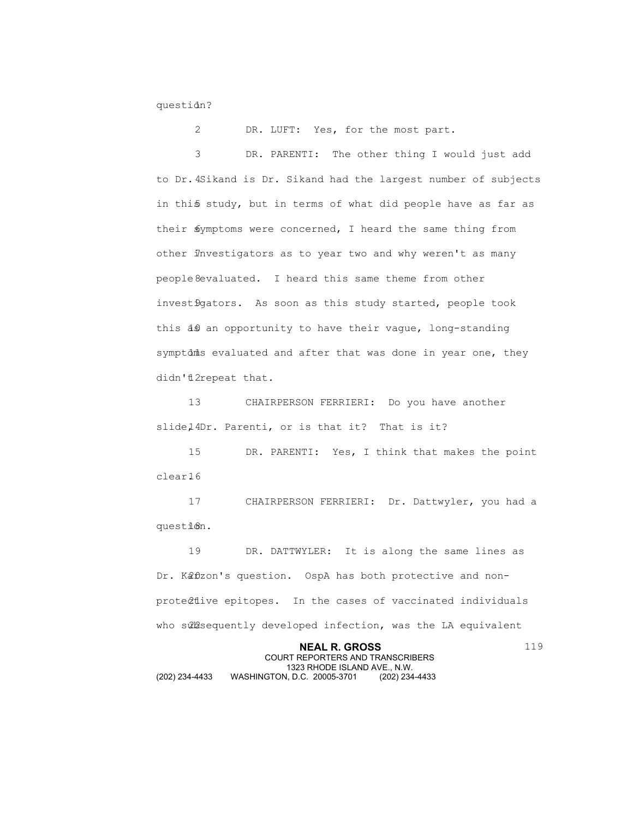questidn?

2 DR. LUFT: Yes, for the most part.

3 DR. PARENTI: The other thing I would just add to Dr. 4Sikand is Dr. Sikand had the largest number of subjects in this study, but in terms of what did people have as far as their  $\omega$ <sub>mptoms</sub> were concerned, I heard the same thing from other *investigators* as to year two and why weren't as many people 8evaluated. I heard this same theme from other investBgators. As soon as this study started, people took this as an opportunity to have their vague, long-standing symptoms evaluated and after that was done in year one, they didn't 2repeat that.

13 CHAIRPERSON FERRIERI: Do you have another slide, 14Dr. Parenti, or is that it? That is it?

15 DR. PARENTI: Yes, I think that makes the point clear. 16

17 CHAIRPERSON FERRIERI: Dr. Dattwyler, you had a question.

19 DR. DATTWYLER: It is along the same lines as Dr. Kafdzon's question. OspA has both protective and nonprotective epitopes. In the cases of vaccinated individuals who subsequently developed infection, was the LA equivalent

**NEAL R. GROSS** COURT REPORTERS AND TRANSCRIBERS 1323 RHODE ISLAND AVE., N.W. (202) 234-4433 WASHINGTON, D.C. 20005-3701 (202) 234-4433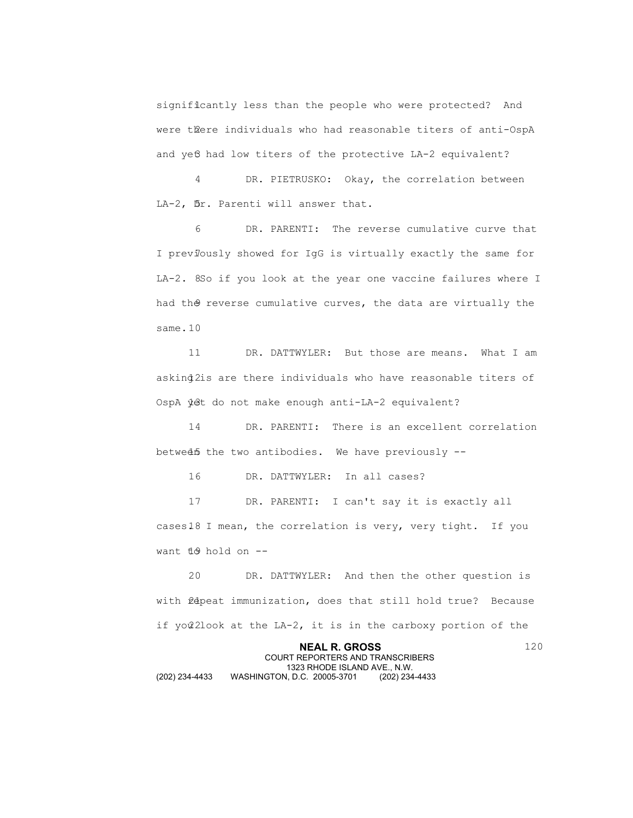significantly less than the people who were protected? And were there individuals who had reasonable titers of anti-OspA and yeß had low titers of the protective LA-2 equivalent?

 DR. PIETRUSKO: Okay, the correlation between 4 LA-2, Dr. Parenti will answer that.

6 DR. PARENTI: The reverse cumulative curve that I previously showed for IqG is virtually exactly the same for LA-2. 8So if you look at the year one vaccine failures where I had th $\Theta$  reverse cumulative curves, the data are virtually the same. 10

11 DR. DATTWYLER: But those are means. What I am askind 2is are there individuals who have reasonable titers of OspA  $\hat{\psi}$  at do not make enough anti-LA-2 equivalent?

14 DR. PARENTI: There is an excellent correlation between the two antibodies. We have previously  $-$ -

16 DR. DATTWYLER: In all cases?

17 DR. PARENTI: I can't say it is exactly all cases18 I mean, the correlation is very, very tight. If you want  $f\circledast$  hold on  $-$ -

20 DR. DATTWYLER: And then the other question is with 2dpeat immunization, does that still hold true? Because if yoû 2look at the LA-2, it is in the carboxy portion of the

**NEAL R. GROSS** COURT REPORTERS AND TRANSCRIBERS 1323 RHODE ISLAND AVE., N.W. (202) 234-4433 WASHINGTON, D.C. 20005-3701 (202) 234-4433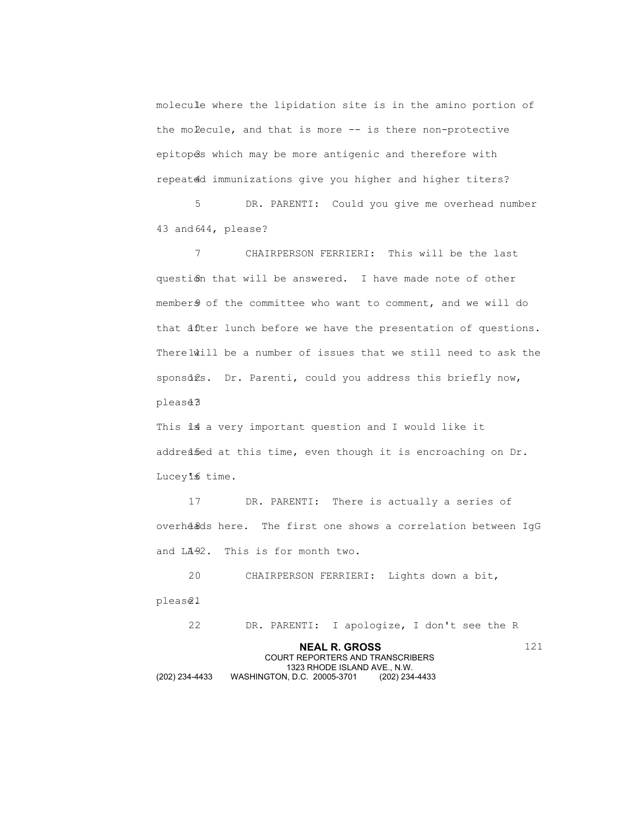molecule where the lipidation site is in the amino portion of the molecule, and that is more  $--$  is there non-protective epitopes which may be more antigenic and therefore with repeated immunizations give you higher and higher titers?

5 DR. PARENTI: Could you give me overhead number 43 and 644, please?

7 CHAIRPERSON FERRIERI: This will be the last question that will be answered. I have made note of other member\$ of the committee who want to comment, and we will do that after lunch before we have the presentation of questions. There lwill be a number of issues that we still need to ask the sponsdfs. Dr. Parenti, could you address this briefly now, pleas43

This is a very important question and I would like it addressed at this time, even though it is encroaching on  $Dr$ . Lucey's time.

17 DR. PARENTI: There is actually a series of overheads here. The first one shows a correlation between IgG and LA92. This is for month two.

20 CHAIRPERSON FERRIERI: Lights down a bit, please1

22 DR. PARENTI: I apologize, I don't see the R

**NEAL R. GROSS** COURT REPORTERS AND TRANSCRIBERS 1323 RHODE ISLAND AVE., N.W. (202) 234-4433 WASHINGTON, D.C. 20005-3701 (202) 234-4433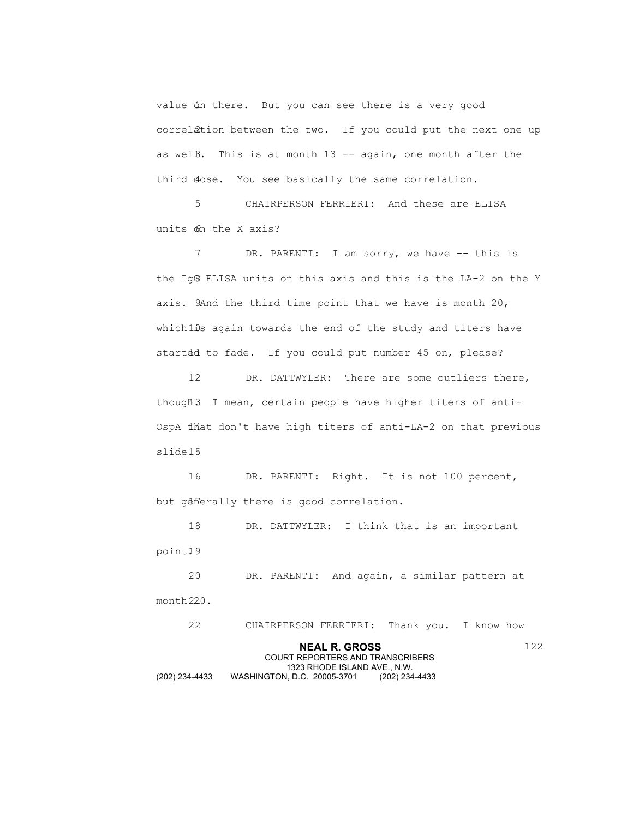value dn there. But you can see there is a very good correlation between the two. If you could put the next one up as welß. This is at month  $13$  -- again, one month after the third dose. You see basically the same correlation.

5 CHAIRPERSON FERRIERI: And these are ELISA units on the X axis?

7 DR. PARENTI: I am sorry, we have -- this is the Ig® ELISA units on this axis and this is the LA-2 on the Y axis. 9And the third time point that we have is month  $20$ , which 10s again towards the end of the study and titers have started to fade. If you could put number 45 on, please?

12 DR. DATTWYLER: There are some outliers there, though3 I mean, certain people have higher titers of anti-OspA flMat don't have high titers of anti-LA-2 on that previous slide<sup>15</sup>

16 DR. PARENTI: Right. It is not 100 percent, but génerally there is good correlation.

18 DR. DATTWYLER: I think that is an important point. 19

20 DR. PARENTI: And again, a similar pattern at  $month 220.$ 

22 CHAIRPERSON FERRIERI: Thank you. I know how

**NEAL R. GROSS** COURT REPORTERS AND TRANSCRIBERS 1323 RHODE ISLAND AVE., N.W. (202) 234-4433 WASHINGTON, D.C. 20005-3701 (202) 234-4433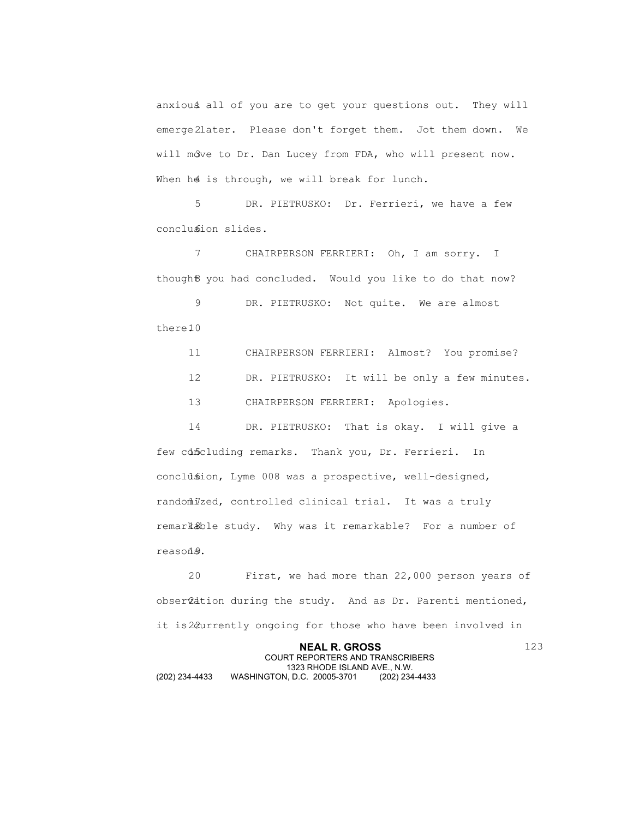anxious all of you are to get your questions out. They will emerge 21ater. Please don't forget them. Jot them down. We will môve to Dr. Dan Lucey from FDA, who will present now. When he is through, we will break for lunch.

5 DR. PIETRUSKO: Dr. Ferrieri, we have a few conclusion slides. 6

7 CHAIRPERSON FERRIERI: Oh, I am sorry. I thought you had concluded. Would you like to do that now?

9 DR. PIETRUSKO: Not quite. We are almost there 10

| 11 | CHAIRPERSON FERRIERI: Almost? You promise?    |
|----|-----------------------------------------------|
| 12 | DR. PIETRUSKO: It will be only a few minutes. |
| 13 | CHAIRPERSON FERRIERI: Apologies.              |

14 DR. PIETRUSKO: That is okay. I will give a few cdficluding remarks. Thank you, Dr. Ferrieri. In conclusion, Lyme 008 was a prospective, well-designed, randomized, controlled clinical trial. It was a truly remark&ble study. Why was it remarkable? For a number of reason<sup>9</sup>.

20 First, we had more than 22,000 person years of obser $\hat{z}$ dtion during the study. And as Dr. Parenti mentioned, it is 22urrently ongoing for those who have been involved in

**NEAL R. GROSS** COURT REPORTERS AND TRANSCRIBERS 1323 RHODE ISLAND AVE., N.W. (202) 234-4433 WASHINGTON, D.C. 20005-3701 (202) 234-4433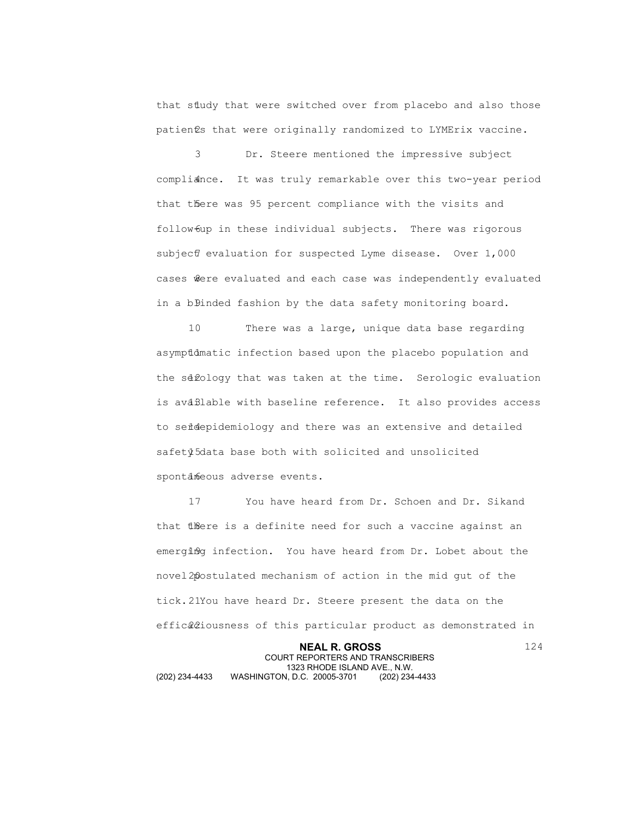that sfludy that were switched over from placebo and also those patients that were originally randomized to LYMErix vaccine.

3 Dr. Steere mentioned the impressive subject compliance. It was truly remarkable over this two-year period that there was 95 percent compliance with the visits and follow-up in these individual subjects. There was rigorous subject evaluation for suspected Lyme disease. Over 1,000 cases were evaluated and each case was independently evaluated in a bDinded fashion by the data safety monitoring board.

10 There was a large, unique data base regarding asymptimatic infection based upon the placebo population and the safology that was taken at the time. Serologic evaluation is avaßlable with baseline reference. It also provides access to seidepidemiology and there was an extensive and detailed safeti5data base both with solicited and unsolicited spontáméous adverse events.

 You have heard from Dr. Schoen and Dr. Sikand 17 that fliere is a definite need for such a vaccine against an emerging infection. You have heard from Dr. Lobet about the novel 200stulated mechanism of action in the mid gut of the tick. 21You have heard Dr. Steere present the data on the efficaciousness of this particular product as demonstrated in

**NEAL R. GROSS** COURT REPORTERS AND TRANSCRIBERS 1323 RHODE ISLAND AVE., N.W. (202) 234-4433 WASHINGTON, D.C. 20005-3701 (202) 234-4433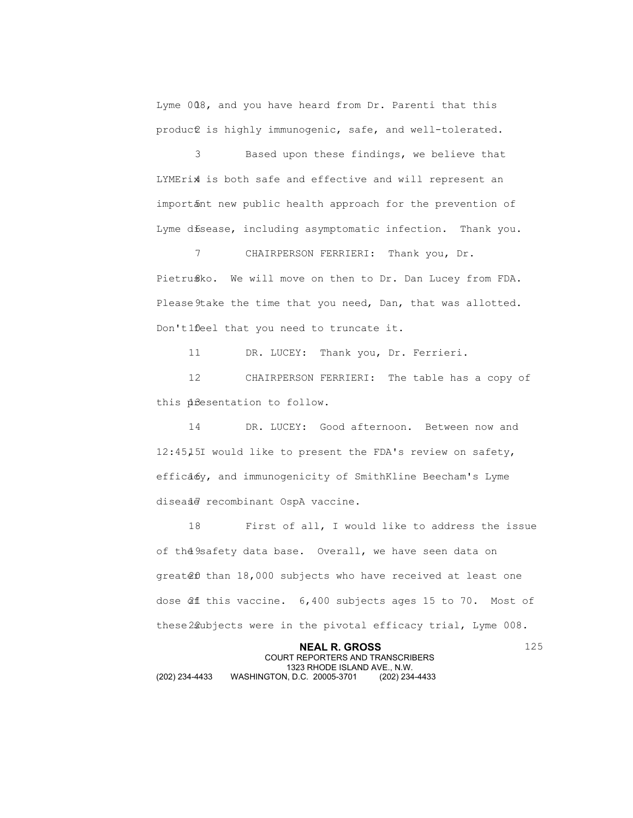Lyme 008, and you have heard from Dr. Parenti that this product is highly immunogenic, safe, and well-tolerated.

Based upon these findings, we believe that LYMErix is both safe and effective and will represent an important new public health approach for the prevention of Lyme disease, including asymptomatic infection. Thank you.

7 CHAIRPERSON FERRIERI: Thank you, Dr. Pietrusko. We will move on then to Dr. Dan Lucey from FDA. Please 9take the time that you need, Dan, that was allotted. Don't 1fleel that you need to truncate it.

11 DR. LUCEY: Thank you, Dr. Ferrieri.

12 CHAIRPERSON FERRIERI: The table has a copy of this piesentation to follow.

14 DR. LUCEY: Good afternoon. Between now and  $12:4515I$  would like to present the FDA's review on safety, efficacy, and immunogenicity of SmithKline Beecham's Lyme diseasd recombinant OspA vaccine.

18 First of all, I would like to address the issue of the 9safety data base. Overall, we have seen data on  $q$ reat $\mathcal{Q}$ f than 18,000 subjects who have received at least one dose  $d\text{f}$  this vaccine. 6,400 subjects ages 15 to 70. Most of these 2&ubjects were in the pivotal efficacy trial, Lyme 008.

**NEAL R. GROSS** COURT REPORTERS AND TRANSCRIBERS 1323 RHODE ISLAND AVE., N.W. (202) 234-4433 WASHINGTON, D.C. 20005-3701 (202) 234-4433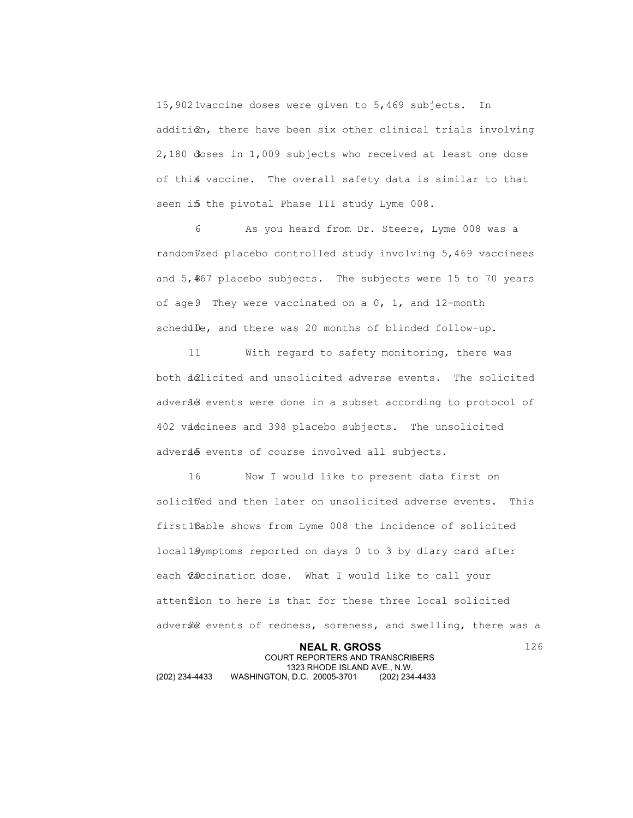15,902 lvaccine doses were given to 5,469 subjects. In additi $@n$ , there have been six other clinical trials involving  $2,180$  doses in  $1,009$  subjects who received at least one dose of this vaccine. The overall safety data is similar to that seen if the pivotal Phase III study Lyme 008.

6 As you heard from Dr. Steere, Lyme 008 was a randomized placebo controlled study involving 5,469 vaccinees and 5, 467 placebo subjects. The subjects were 15 to 70 years of age. They were vaccinated on a  $0, 1,$  and  $12$ -month schedulle, and there was 20 months of blinded follow-up.

11 With regard to safety monitoring, there was both stalicited and unsolicited adverse events. The solicited adverse events were done in a subset according to protocol of 402 vadcinees and 398 placebo subjects. The unsolicited adverse events of course involved all subjects.

16 Now I would like to present data first on solicifed and then later on unsolicited adverse events. This first 18able shows from Lyme 008 the incidence of solicited local 19ymptoms reported on days 0 to 3 by diary card after each  $\hat{z}$  accination dose. What I would like to call your attention to here is that for these three local solicited adver & events of redness, soreness, and swelling, there was a

126

**NEAL R. GROSS** COURT REPORTERS AND TRANSCRIBERS 1323 RHODE ISLAND AVE., N.W. (202) 234-4433 WASHINGTON, D.C. 20005-3701 (202) 234-4433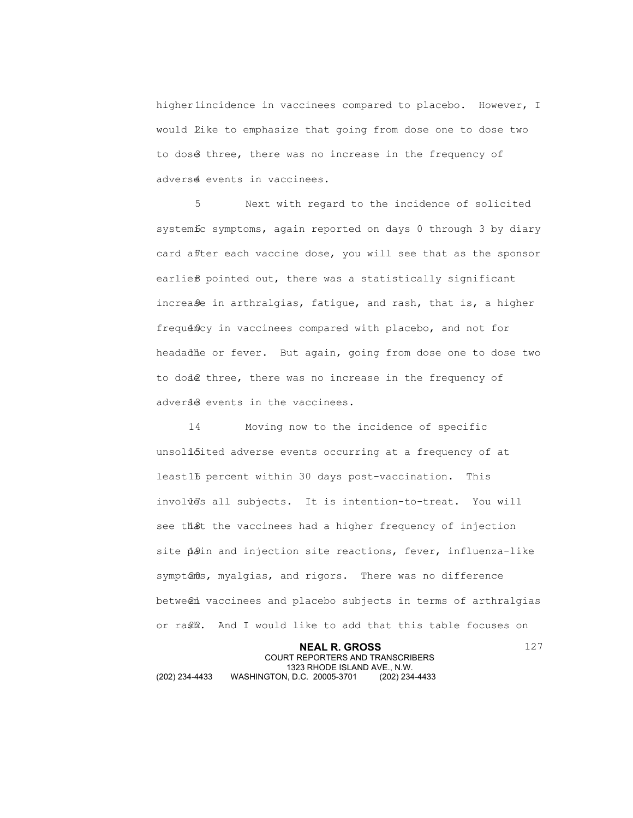higher lincidence in vaccinees compared to placebo. However, I would like to emphasize that going from dose one to dose two to dose three, there was no increase in the frequency of adverse events in vaccinees.

5 Next with regard to the incidence of solicited systemic symptoms, again reported on days 0 through 3 by diary card after each vaccine dose, you will see that as the sponsor earließ pointed out, there was a statistically significant increase in arthralgias, fatigue, and rash, that is, a higher frequency in vaccinees compared with placebo, and not for headadhe or fever. But again, going from dose one to dose two to dose three, there was no increase in the frequency of adverse events in the vaccinees.

14 Moving now to the incidence of specific unsolibited adverse events occurring at a frequency of at least 16 percent within 30 days post-vaccination. This involuds all subjects. It is intention-to-treat. You will see that the vaccinees had a higher frequency of injection site  $\beta\hat{a}$ in and injection site reactions, fever, influenza-like symptoms, myalgias, and rigors. There was no difference between vaccinees and placebo subjects in terms of arthralgias or ra\$12. And I would like to add that this table focuses on

**NEAL R. GROSS** COURT REPORTERS AND TRANSCRIBERS 1323 RHODE ISLAND AVE., N.W. (202) 234-4433 WASHINGTON, D.C. 20005-3701 (202) 234-4433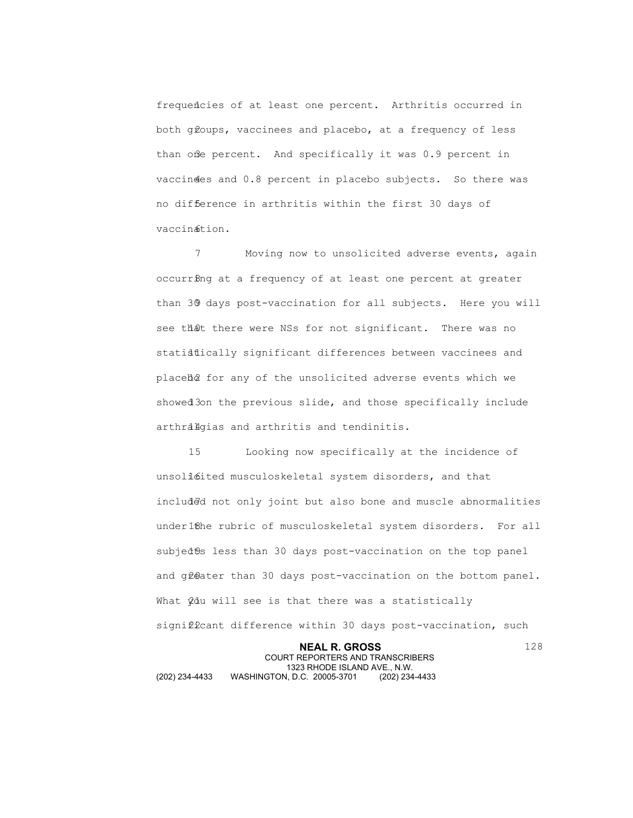frequencies of at least one percent. Arthritis occurred in both gloups, vaccinees and placebo, at a frequency of less than one percent. And specifically it was 0.9 percent in vaccindes and 0.8 percent in placebo subjects. So there was no difference in arthritis within the first 30 days of vaccination.

7 Moving now to unsolicited adverse events, again occurrBng at a frequency of at least one percent at greater than 30 days post-vaccination for all subjects. Here you will see that there were NSs for not significant. There was no statistically significant differences between vaccinees and placeba for any of the unsolicited adverse events which we showed 3on the previous slide, and those specifically include arthraldqias and arthritis and tendinitis.

15 Looking now specifically at the incidence of unsolicited musculoskeletal system disorders, and that included not only joint but also bone and muscle abnormalities under 18he rubric of musculoskeletal system disorders. For all subjedts less than 30 days post-vaccination on the top panel and g2@ater than 30 days post-vaccination on the bottom panel. What  $\hat{y}$ du will see is that there was a statistically signiffcant difference within 30 days post-vaccination, such

**NEAL R. GROSS** COURT REPORTERS AND TRANSCRIBERS 1323 RHODE ISLAND AVE., N.W. (202) 234-4433 WASHINGTON, D.C. 20005-3701 (202) 234-4433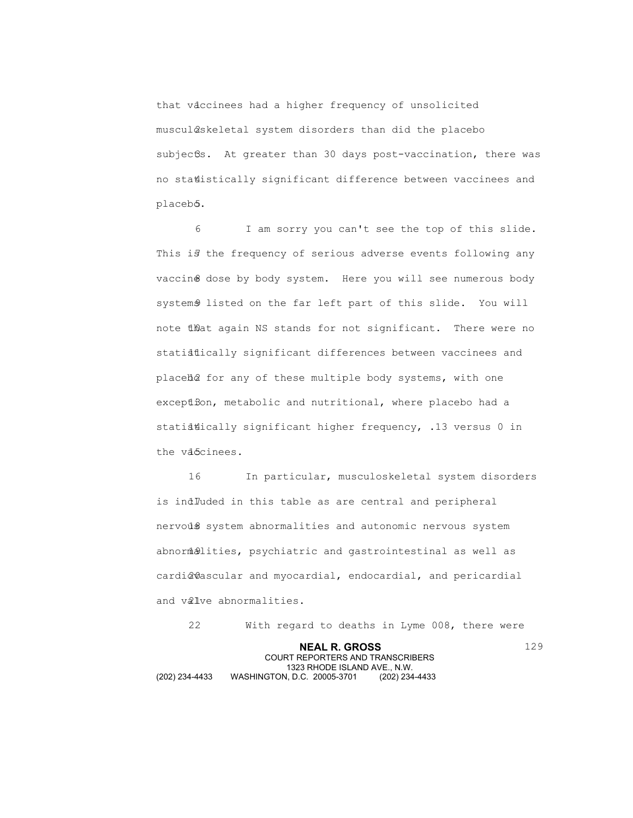that vaccinees had a higher frequency of unsolicited musculøskeletal system disorders than did the placebo subjects. At greater than 30 days post-vaccination, there was no statistically significant difference between vaccinees and placeb5.

 I am sorry you can't see the top of this slide. 6 This is the frequency of serious adverse events following any vaccine dose by body system. Here you will see numerous body system $\Theta$  listed on the far left part of this slide. You will note fl $\delta$ at again NS stands for not significant. There were no statistically significant differences between vaccinees and placeb2 for any of these multiple body systems, with one exception, metabolic and nutritional, where placebo had a statistically significant higher frequency,  $.13$  versus 0 in the vaccinees.

 In particular, musculoskeletal system disorders 16 is ind Duded in this table as are central and peripheral nervous system abnormalities and autonomic nervous system abnormilities, psychiatric and gastrointestinal as well as  $cardi\hat{\alpha}$ Wascular and myocardial, endocardial, and pericardial and valve abnormalities.

22 With regard to deaths in Lyme 008, there were

**NEAL R. GROSS** COURT REPORTERS AND TRANSCRIBERS 1323 RHODE ISLAND AVE., N.W. (202) 234-4433 WASHINGTON, D.C. 20005-3701 (202) 234-4433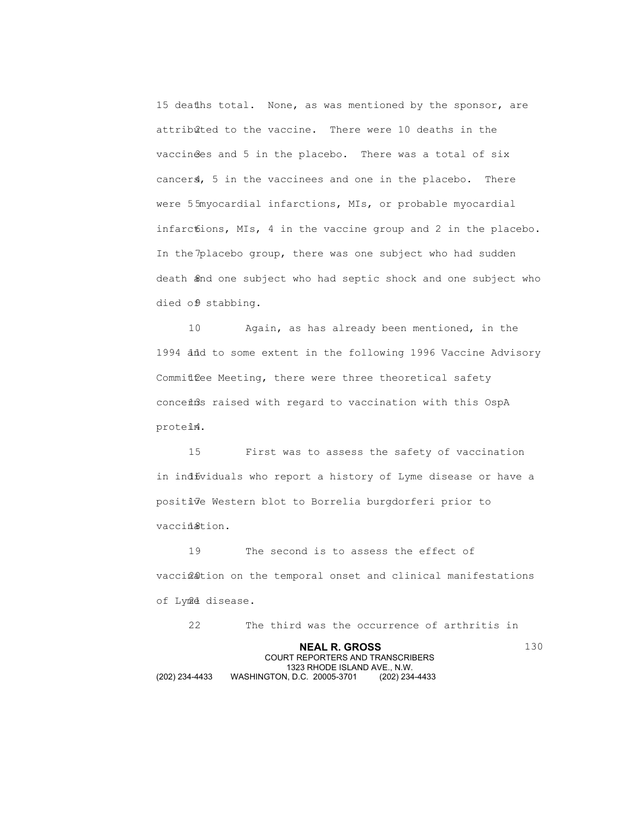15 deaths total. None, as was mentioned by the sponsor, are attribûted to the vaccine. There were 10 deaths in the vaccinees and 5 in the placebo. There was a total of six cancers, 5 in the vaccinees and one in the placebo. There were 55myocardial infarctions, MIs, or probable myocardial infarctions, MIs,  $4$  in the vaccine group and  $2$  in the placebo. In the 7placebo group, there was one subject who had sudden death  $\delta$ nd one subject who had septic shock and one subject who died of stabbing.

10 Again, as has already been mentioned, in the 1994 and to some extent in the following 1996 Vaccine Advisory Committee Meeting, there were three theoretical safety conceins raised with regard to vaccination with this OspA protein.

15 First was to assess the safety of vaccination in indibviduals who report a history of Lyme disease or have a positive Western blot to Borrelia burgdorferi prior to vaccination.

19 The second is to assess the effect of vaccination on the temporal onset and clinical manifestations of Lym<sub>2</sub>d disease.

22 The third was the occurrence of arthritis in

**NEAL R. GROSS** COURT REPORTERS AND TRANSCRIBERS 1323 RHODE ISLAND AVE., N.W. (202) 234-4433 WASHINGTON, D.C. 20005-3701 (202) 234-4433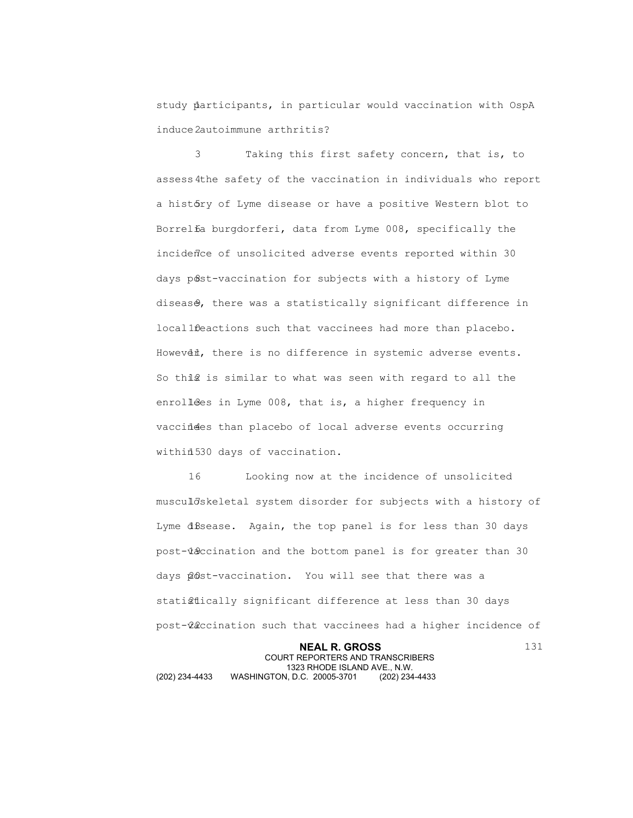study participants, in particular would vaccination with OspA induce autoimmune arthritis? 2

 Taking this first safety concern, that is, to 3 assess 4the safety of the vaccination in individuals who report a history of Lyme disease or have a positive Western blot to Borrelfa burgdorferi, data from Lyme 008, specifically the incidence of unsolicited adverse events reported within 30 days p&st-vaccination for subjects with a history of Lyme diseas $\Theta$ , there was a statistically significant difference in local lieactions such that vaccinees had more than placebo. Howevdi, there is no difference in systemic adverse events. So this is similar to what was seen with regard to all the enrolles in Lyme 008, that is, a higher frequency in vaccindes than placebo of local adverse events occurring within 530 days of vaccination.

 Looking now at the incidence of unsolicited 16 musculdskeletal system disorder for subjects with a history of Lyme disease. Again, the top panel is for less than 30 days post-*da*ccination and the bottom panel is for greater than 30 days post-vaccination. You will see that there was a stati &dically significant difference at less than 30 days post- $\hat{v}$ accination such that vaccinees had a higher incidence of

131

**NEAL R. GROSS** COURT REPORTERS AND TRANSCRIBERS 1323 RHODE ISLAND AVE., N.W. (202) 234-4433 WASHINGTON, D.C. 20005-3701 (202) 234-4433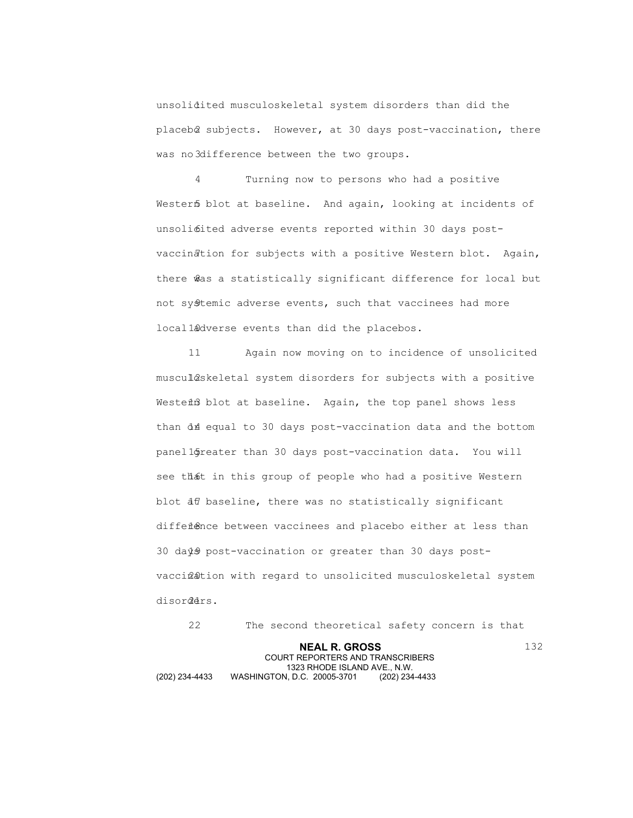unsolidited musculoskeletal system disorders than did the placeba subjects. However, at 30 days post-vaccination, there was no 3difference between the two groups.

 Turning now to persons who had a positive 4 Westerf blot at baseline. And again, looking at incidents of unsolicited adverse events reported within 30 days postvaccination for subjects with a positive Western blot. Again, there Was a statistically significant difference for local but not systemic adverse events, such that vaccinees had more local 1@dverse events than did the placebos.

11 Again now moving on to incidence of unsolicited musculøskeletal system disorders for subjects with a positive Westein blot at baseline. Again, the top panel shows less than di equal to 30 days post-vaccination data and the bottom panel lofreater than 30 days post-vaccination data. You will see that in this group of people who had a positive Western blot af baseline, there was no statistically significant diffenence between vaccinees and placebo either at less than  $30$  da $\overline{y}$  post-vaccination or greater than 30 days postvaccination with regard to unsolicited musculoskeletal system disordars.

22 The second theoretical safety concern is that

**NEAL R. GROSS** COURT REPORTERS AND TRANSCRIBERS 1323 RHODE ISLAND AVE., N.W. (202) 234-4433 WASHINGTON, D.C. 20005-3701 (202) 234-4433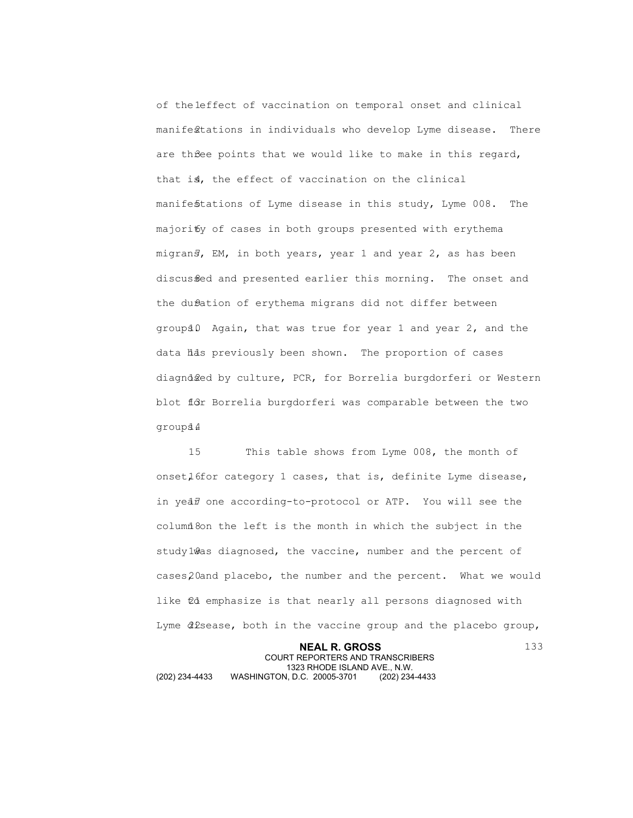of the leffect of vaccination on temporal onset and clinical manife fations in individuals who develop Lyme disease. There are three points that we would like to make in this regard, that is, the effect of vaccination on the clinical manifestations of Lyme disease in this study, Lyme 008. The majority of cases in both groups presented with erythema migrans, EM, in both years, year 1 and year 2, as has been discussed and presented earlier this morning. The onset and the dufation of erythema migrans did not differ between groups $0$  Again, that was true for year 1 and year 2, and the data has previously been shown. The proportion of cases diagnd fed by culture, PCR, for Borrelia burgdorferi or Western blot flor Borrelia burgdorferi was comparable between the two groups. 14

15 This table shows from Lyme 008, the month of  $onset$ <sub>1</sub>  $for$  category 1 cases, that is, definite Lyme disease, in year one according-to-protocol or ATP. You will see the column 8on the left is the month in which the subject in the study 10as diagnosed, the vaccine, number and the percent of cases, 20 and placebo, the number and the percent. What we would like  $t$ d emphasize is that nearly all persons diagnosed with Lyme  $d2$ sease, both in the vaccine group and the placebo group,

**NEAL R. GROSS** COURT REPORTERS AND TRANSCRIBERS 1323 RHODE ISLAND AVE., N.W. (202) 234-4433 WASHINGTON, D.C. 20005-3701 (202) 234-4433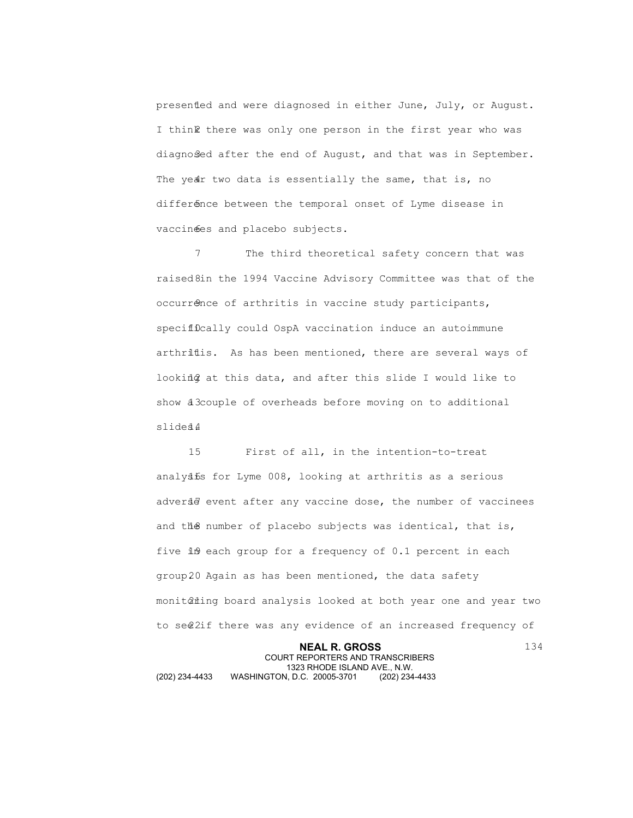presented and were diagnosed in either June, July, or August. I think there was only one person in the first year who was diagnosed after the end of August, and that was in September. The year two data is essentially the same, that is, no difference between the temporal onset of Lyme disease in vaccinees and placebo subjects.

The third theoretical safety concern that was raised 8in the 1994 Vaccine Advisory Committee was that of the occurr $\Theta$ nce of arthritis in vaccine study participants, specifically could OspA vaccination induce an autoimmune arthritis. As has been mentioned, there are several ways of looking at this data, and after this slide I would like to show a 3couple of overheads before moving on to additional slides4

 First of all, in the intention-to-treat 15 analyáfs for Lyme 008, looking at arthritis as a serious adversd event after any vaccine dose, the number of vaccinees and the number of placebo subjects was identical, that is, five  $il\vartheta$  each group for a frequency of 0.1 percent in each group20 Again as has been mentioned, the data safety monitating board analysis looked at both year one and year two to see 2if there was any evidence of an increased frequency of

**NEAL R. GROSS** COURT REPORTERS AND TRANSCRIBERS 1323 RHODE ISLAND AVE., N.W. (202) 234-4433 WASHINGTON, D.C. 20005-3701 (202) 234-4433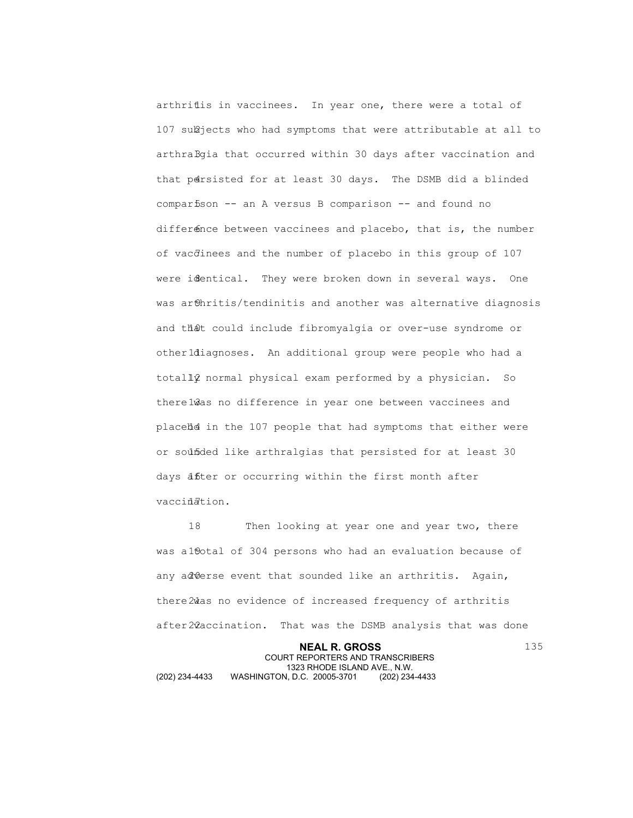arthritis in vaccinees. In year one, there were a total of 107 subjects who had symptoms that were attributable at all to arthraBgia that occurred within 30 days after vaccination and that persisted for at least 30 days. The DSMB did a blinded compar $5$ son  $-$  an A versus B comparison  $-$  and found no difference between vaccinees and placebo, that is, the number of vacdinees and the number of placebo in this group of 107 were identical. They were broken down in several ways. One was arthritis/tendinitis and another was alternative diagnosis and that could include fibromyalgia or over-use syndrome or other ldiagnoses. An additional group were people who had a totall $\hat{\varphi}$  normal physical exam performed by a physician. So there lwas no difference in year one between vaccinees and placebd in the 107 people that had symptoms that either were or sounded like arthralgias that persisted for at least 30 days after or occurring within the first month after vaccination.

18 Then looking at year one and year two, there was a 10otal of 304 persons who had an evaluation because of any adverse event that sounded like an arthritis. Again, there 2was no evidence of increased frequency of arthritis after 20accination. That was the DSMB analysis that was done

**NEAL R. GROSS** COURT REPORTERS AND TRANSCRIBERS 1323 RHODE ISLAND AVE., N.W. (202) 234-4433 WASHINGTON, D.C. 20005-3701 (202) 234-4433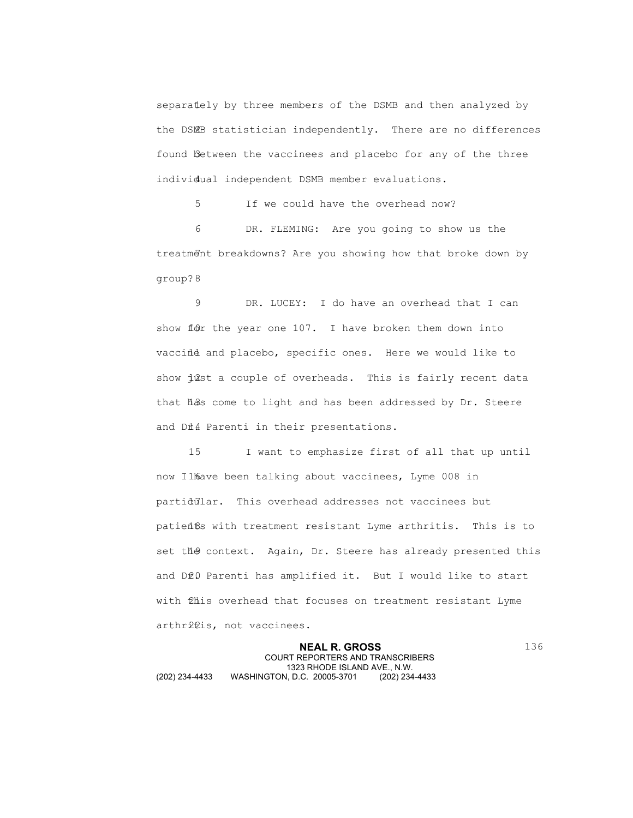separately by three members of the DSMB and then analyzed by the DSMB statistician independently. There are no differences found Between the vaccinees and placebo for any of the three individual independent DSMB member evaluations. 4

If we could have the overhead now? 5

6 DR. FLEMING: Are you going to show us the treatment breakdowns? Are you showing how that broke down by group? 8

9 DR. LUCEY: I do have an overhead that I can show flor the year one  $107$ . I have broken them down into vaccind and placebo, specific ones. Here we would like to show just a couple of overheads. This is fairly recent data that has come to light and has been addressed by Dr. Steere and Di4 Parenti in their presentations.

15 I want to emphasize first of all that up until now I lbave been talking about vaccinees, Lyme 008 in partidular. This overhead addresses not vaccinees but patients with treatment resistant Lyme arthritis. This is to set the context. Again, Dr. Steere has already presented this and D20 Parenti has amplified it. But I would like to start with this overhead that focuses on treatment resistant Lyme arthritis, not vaccinees.

**NEAL R. GROSS** COURT REPORTERS AND TRANSCRIBERS 1323 RHODE ISLAND AVE., N.W. (202) 234-4433 WASHINGTON, D.C. 20005-3701 (202) 234-4433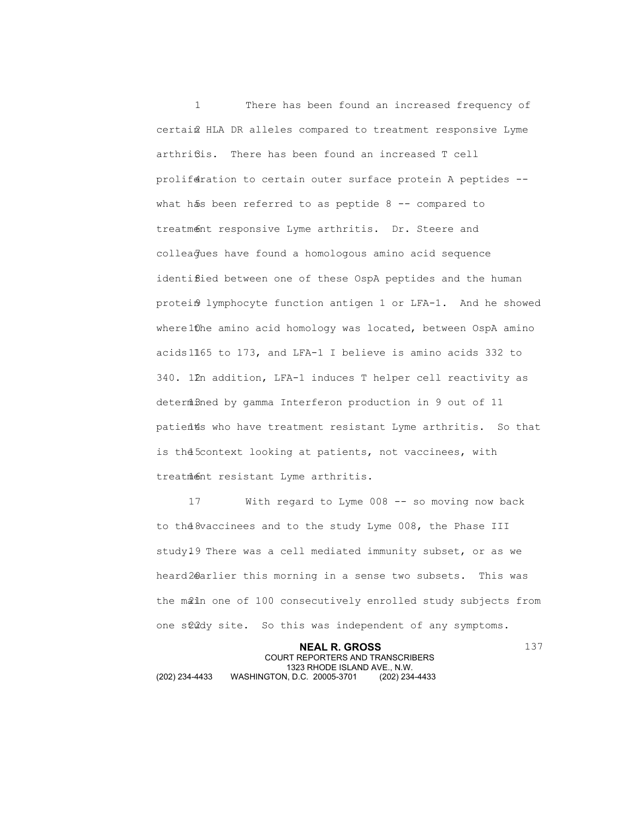1 There has been found an increased frequency of certain HLA DR alleles compared to treatment responsive Lyme arthrifis. There has been found an increased T cell proliferation to certain outer surface protein A peptides -what has been referred to as peptide  $8$  -- compared to treatment responsive Lyme arthritis. Dr. Steere and colleagues have found a homologous amino acid sequence identified between one of these OspA peptides and the human protein lymphocyte function antigen 1 or LFA-1. And he showed where 1the amino acid homology was located, between OspA amino acids 1165 to 173, and LFA-1 I believe is amino acids 332 to 340. 12n addition, LFA-1 induces T helper cell reactivity as determined by gamma Interferon production in 9 out of 11 patients who have treatment resistant Lyme arthritis. So that is the 5context looking at patients, not vaccinees, with treatment resistant Lyme arthritis.

17 With regard to Lyme 008 -- so moving now back to the 8vaccinees and to the study Lyme 008, the Phase III study19 There was a cell mediated immunity subset, or as we heard 20 arlier this morning in a sense two subsets. This was the main one of 100 consecutively enrolled study subjects from one study site. So this was independent of any symptoms.

**NEAL R. GROSS** COURT REPORTERS AND TRANSCRIBERS 1323 RHODE ISLAND AVE., N.W. (202) 234-4433 WASHINGTON, D.C. 20005-3701 (202) 234-4433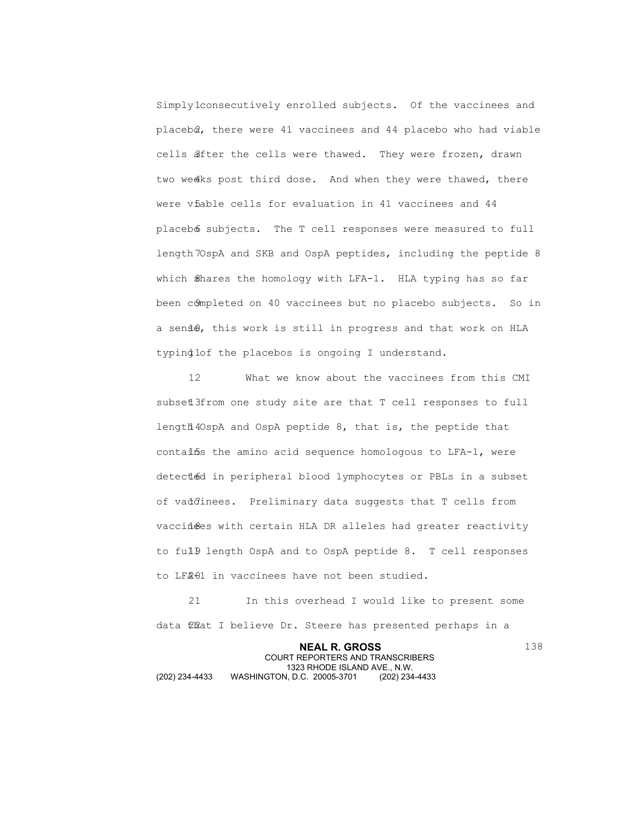Simply 1consecutively enrolled subjects. Of the vaccinees and placeba, there were 41 vaccinees and 44 placebo who had viable cells after the cells were thawed. They were frozen, drawn two weeks post third dose. And when they were thawed, there were v $5$ able cells for evaluation in 41 vaccinees and 44 placebo subjects. The T cell responses were measured to full length 70spA and SKB and OspA peptides, including the peptide 8 which Shares the homology with LFA-1. HLA typing has so far been completed on 40 vaccinees but no placebo subjects. So in a sense, this work is still in progress and that work on HLA typin $d$  lof the placebos is ongoing I understand.

12 What we know about the vaccinees from this CMI subset 3 from one study site are that T cell responses to full length 40spA and OspA peptide 8, that is, the peptide that contains the amino acid sequence homologous to LFA-1, were detected in peripheral blood lymphocytes or PBLs in a subset of vaddinees. Preliminary data suggests that T cells from vacciness with certain HLA DR alleles had greater reactivity to full Blength OspA and to OspA peptide 8. T cell responses to LF201 in vaccinees have not been studied.

21 In this overhead I would like to present some data that I believe Dr. Steere has presented perhaps in a

**NEAL R. GROSS** COURT REPORTERS AND TRANSCRIBERS 1323 RHODE ISLAND AVE., N.W. (202) 234-4433 WASHINGTON, D.C. 20005-3701 (202) 234-4433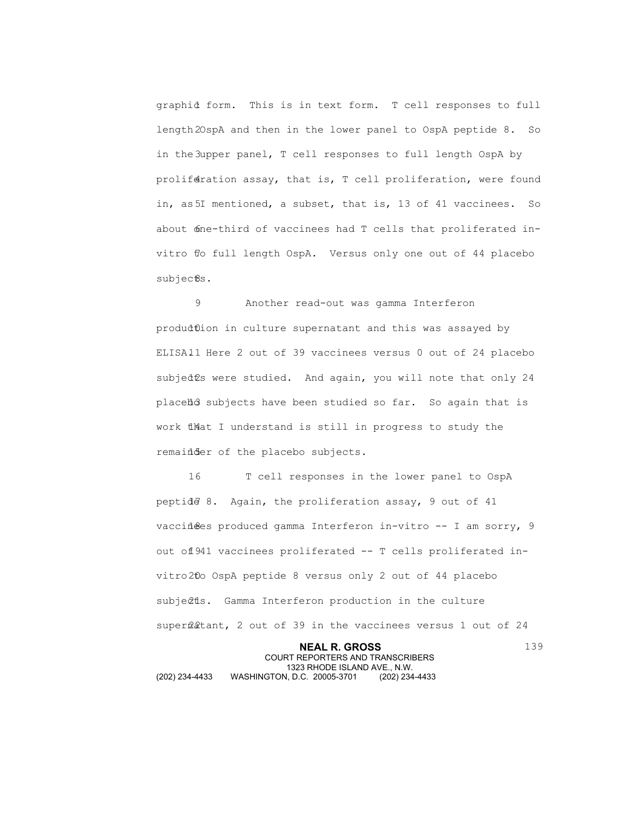graphid form. This is in text form. T cell responses to full length 20spA and then in the lower panel to OspA peptide 8. So in the 3upper panel, T cell responses to full length OspA by proliferation assay, that is, T cell proliferation, were found in, as 5I mentioned, a subset, that is, 13 of 41 vaccinees. So about @ne-third of vaccinees had T cells that proliferated invitro fo full length OspA. Versus only one out of 44 placebo subjects.

 Another read-out was gamma Interferon 9 produdtion in culture supernatant and this was assayed by ELISA11 Here 2 out of 39 vaccinees versus 0 out of 24 placebo subjedts were studied. And again, you will note that only 24 placeb3 subjects have been studied so far. So again that is work flMat I understand is still in progress to study the remainder of the placebo subjects.

16 T cell responses in the lower panel to OspA peptid $\theta$  8. Again, the proliferation assay, 9 out of 41 vaccines produced gamma Interferon in-vitro -- I am sorry, 9 out of 941 vaccinees proliferated -- T cells proliferated invitro 200 OspA peptide 8 versus only 2 out of 44 placebo subjects. Gamma Interferon production in the culture super $n2$ tant, 2 out of 39 in the vaccinees versus 1 out of 24

**NEAL R. GROSS** COURT REPORTERS AND TRANSCRIBERS 1323 RHODE ISLAND AVE., N.W.<br>1323 RHODE ISLAND AVE., N.W.<br>I, D.C. 20005-3701 (202) 234-4433 (202) 234-4433 WASHINGTON, D.C. 20005-3701 (202) 234-4433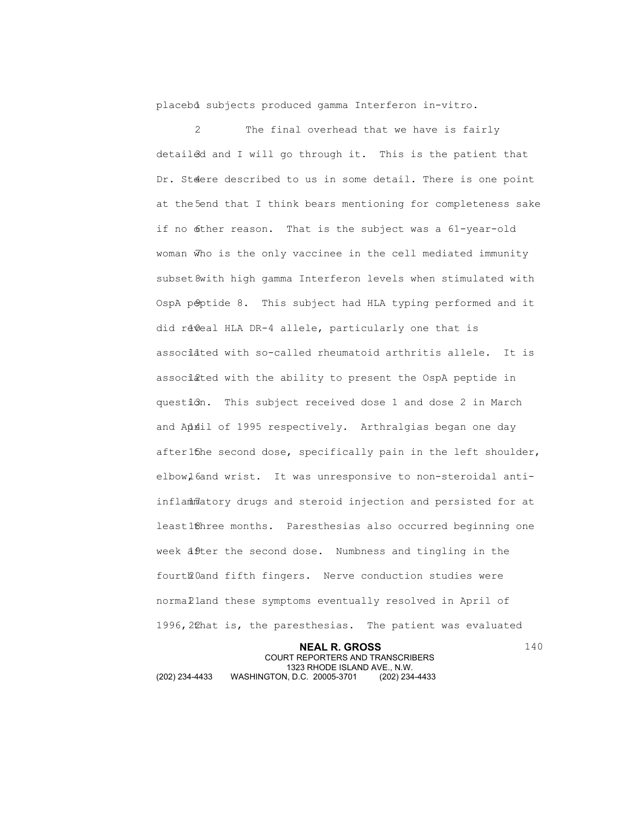placebd subjects produced gamma Interferon in-vitro.

2 The final overhead that we have is fairly detailed and I will go through it. This is the patient that Dr. Steere described to us in some detail. There is one point at the 5end that I think bears mentioning for completeness sake if no 6ther reason. That is the subject was a 61-year-old woman Who is the only vaccinee in the cell mediated immunity subset &with high gamma Interferon levels when stimulated with OspA poptide 8. This subject had HLA typing performed and it did raveal HLA DR-4 allele, particularly one that is associated with so-called rheumatoid arthritis allele. It is associated with the ability to present the OspA peptide in question. This subject received dose 1 and dose 2 in March and Apiil of 1995 respectively. Arthralgias began one day after 15he second dose, specifically pain in the left shoulder, elbow, l6and wrist. It was unresponsive to non-steroidal antiinflammatory drugs and steroid injection and persisted for at least 1three months. Paresthesias also occurred beginning one week after the second dose. Numbness and tingling in the fourth and fifth fingers. Nerve conduction studies were normalland these symptoms eventually resolved in April of 1996, 2that is, the paresthesias. The patient was evaluated

**NEAL R. GROSS** COURT REPORTERS AND TRANSCRIBERS 1323 RHODE ISLAND AVE., N.W. (202) 234-4433 WASHINGTON, D.C. 20005-3701 (202) 234-4433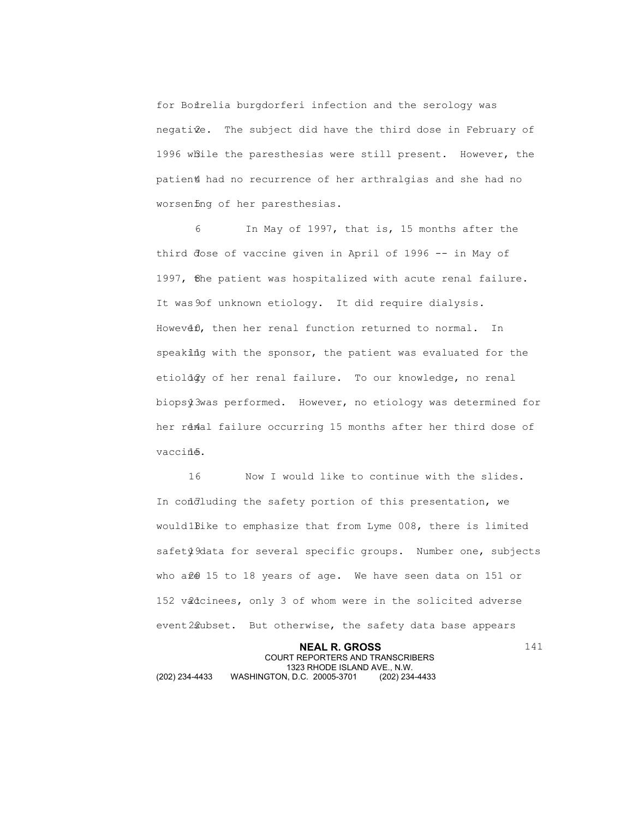for Boffrelia burgdorferi infection and the serology was negative. The subject did have the third dose in February of 1996 while the paresthesias were still present. However, the patient had no recurrence of her arthralgias and she had no worsen $b$ ng of her paresthesias.

6 In May of 1997, that is, 15 months after the third dose of vaccine given in April of 1996 -- in May of 1997, the patient was hospitalized with acute renal failure. It was 9of unknown etiology. It did require dialysis. Howeven, then her renal function returned to normal. In speaking with the sponsor, the patient was evaluated for the etiold $q$ y of her renal failure. To our knowledge, no renal biops & 3was performed. However, no etiology was determined for her renal failure occurring 15 months after her third dose of  $varci$ <sup> $A<sub>5</sub>$ </sup>

16 Now I would like to continue with the slides. In condluding the safety portion of this presentation, we would 1Bike to emphasize that from Lyme 008, there is limited safeti<sup>9</sup>data for several specific groups. Number one, subjects who a $2\theta$  15 to 18 years of age. We have seen data on 151 or 152 vadcinees, only 3 of whom were in the solicited adverse event 22ubset. But otherwise, the safety data base appears

**NEAL R. GROSS** COURT REPORTERS AND TRANSCRIBERS 1323 RHODE ISLAND AVE., N.W. (202) 234-4433 WASHINGTON, D.C. 20005-3701 (202) 234-4433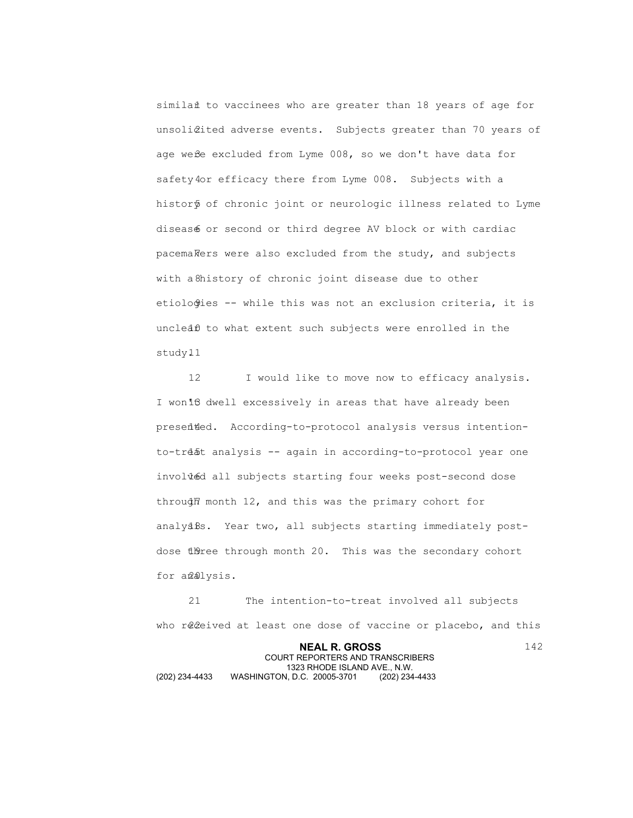similaf to vaccinees who are greater than 18 years of age for unsolictied adverse events. Subjects greater than 70 years of age were excluded from Lyme  $008$ , so we don't have data for safety 4or efficacy there from Lyme 008. Subjects with a histor 5 of chronic joint or neurologic illness related to Lyme disease or second or third degree AV block or with cardiac pacemakers were also excluded from the study, and subjects with a 8history of chronic joint disease due to other etiologies -- while this was not an exclusion criteria, it is unclear to what extent such subjects were enrolled in the study11

12 I would like to move now to efficacy analysis. I won'l 6 dwell excessively in areas that have already been presented. According-to-protocol analysis versus intentionto-treat analysis -- again in according-to-protocol year one involded all subjects starting four weeks post-second dose throudh month 12, and this was the primary cohort for analy is. Year two, all subjects starting immediately postdose flBree through month 20. This was the secondary cohort for analysis.

21 The intention-to-treat involved all subjects who réceived at least one dose of vaccine or placebo, and this

**NEAL R. GROSS** COURT REPORTERS AND TRANSCRIBERS 1323 RHODE ISLAND AVE., N.W. (202) 234-4433 WASHINGTON, D.C. 20005-3701 (202) 234-4433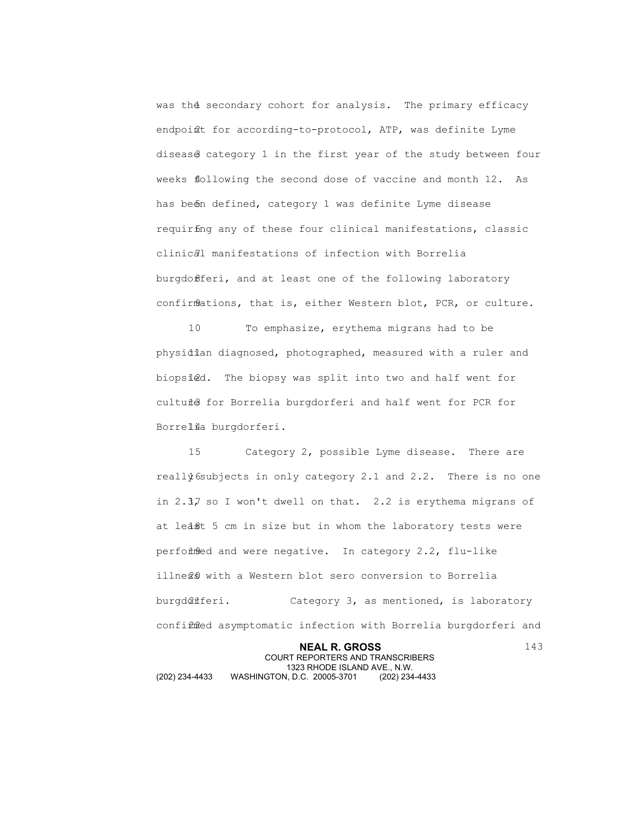was the secondary cohort for analysis. The primary efficacy endpoint for according-to-protocol, ATP, was definite Lyme disease category 1 in the first year of the study between four weeks flollowing the second dose of vaccine and month 12. As has been defined, category 1 was definite Lyme disease requiriong any of these four clinical manifestations, classic clinical manifestations of infection with Borrelia 7 burgdofferi, and at least one of the following laboratory confirm@ations, that is, either Western blot, PCR, or culture.

10 To emphasize, erythema migrans had to be physidian diagnosed, photographed, measured with a ruler and biopsied. The biopsy was split into two and half went for cultuie for Borrelia burgdorferi and half went for PCR for Borrelia burgdorferi.

15 Category 2, possible Lyme disease. There are reall $\sqrt[4]{6}$ subjects in only category 2.1 and 2.2. There is no one in 2.37 so I won't dwell on that. 2.2 is erythema migrans of at led\$t 5 cm in size but in whom the laboratory tests were performed and were negative. In category 2.2, flu-like illne&\$ with a Western blot sero conversion to Borrelia burgdatferi. Category 3, as mentioned, is laboratory confirmed asymptomatic infection with Borrelia burgdorferi and

143

**NEAL R. GROSS** COURT REPORTERS AND TRANSCRIBERS 1323 RHODE ISLAND AVE., N.W. (202) 234-4433 WASHINGTON, D.C. 20005-3701 (202) 234-4433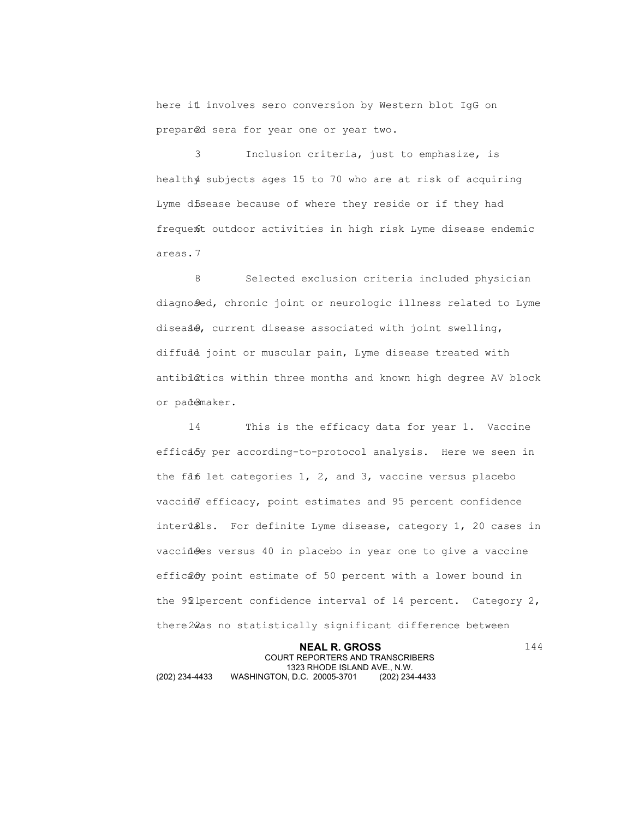here if involves sero conversion by Western blot IgG on prepared sera for year one or year two.

3 Inclusion criteria, just to emphasize, is health $%$  subjects ages 15 to 70 who are at risk of acquiring Lyme dfsease because of where they reside or if they had frequent outdoor activities in high risk Lyme disease endemic areas. 7

8 Selected exclusion criteria included physician diagnosed, chronic joint or neurologic illness related to Lyme disease, current disease associated with joint swelling, diffusd joint or muscular pain, Lyme disease treated with antibidtics within three months and known high degree AV block or pademaker.

14 This is the efficacy data for year 1. Vaccine efficaby per according-to-protocol analysis. Here we seen in the fan let categories 1, 2, and 3, vaccine versus placebo vaccing efficacy, point estimates and 95 percent confidence  $interval$ Sls. For definite Lyme disease, category 1, 20 cases in vaccinees versus 40 in placebo in year one to give a vaccine efficaOy point estimate of 50 percent with a lower bound in the 921 percent confidence interval of 14 percent. Category  $2$ , there 20as no statistically significant difference between

**NEAL R. GROSS** COURT REPORTERS AND TRANSCRIBERS 1323 RHODE ISLAND AVE., N.W. (202) 234-4433 WASHINGTON, D.C. 20005-3701 (202) 234-4433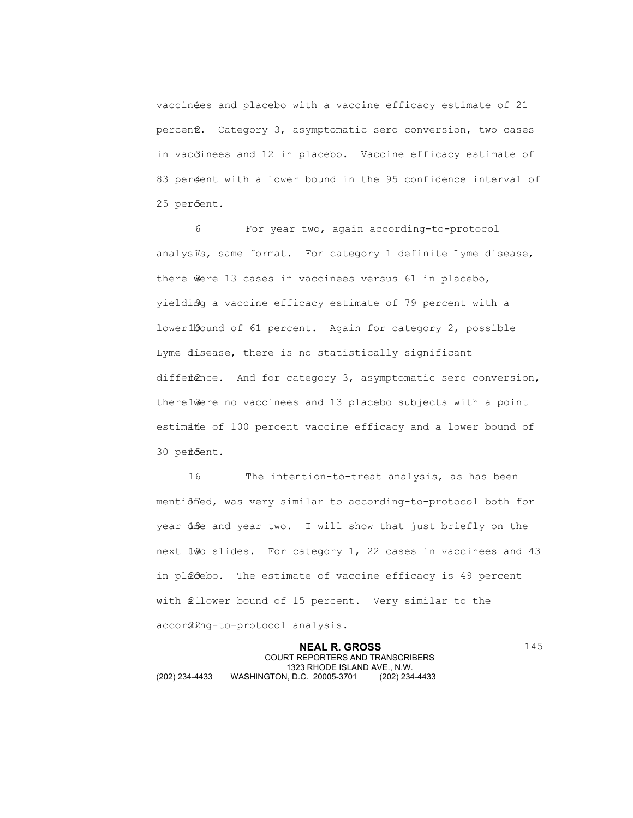vaccindes and placebo with a vaccine efficacy estimate of 21 percent. Category 3, asymptomatic sero conversion, two cases in vacôinees and 12 in placebo. Vaccine efficacy estimate of 83 perdent with a lower bound in the 95 confidence interval of 25 perdent.

 For year two, again according-to-protocol 6 analysis, same format. For category 1 definite Lyme disease, there were 13 cases in vaccinees versus 61 in placebo, yielding a vaccine efficacy estimate of 79 percent with a lower 10 ound of 61 percent. Again for category 2, possible Lyme disease, there is no statistically significant difference. And for category  $3$ , asymptomatic sero conversion, there lwere no vaccinees and 13 placebo subjects with a point estimate of 100 percent vaccine efficacy and a lower bound of 30 peident.

16 The intention-to-treat analysis, as has been mentidned, was very similar to according-to-protocol both for year die and year two. I will show that just briefly on the next floo slides. For category 1, 22 cases in vaccinees and 43 in pla0ebo. The estimate of vaccine efficacy is 49 percent with 211ower bound of 15 percent. Very similar to the accord2ng-to-protocol analysis.

**NEAL R. GROSS** COURT REPORTERS AND TRANSCRIBERS 1323 RHODE ISLAND AVE., N.W. (202) 234-4433 WASHINGTON, D.C. 20005-3701 (202) 234-4433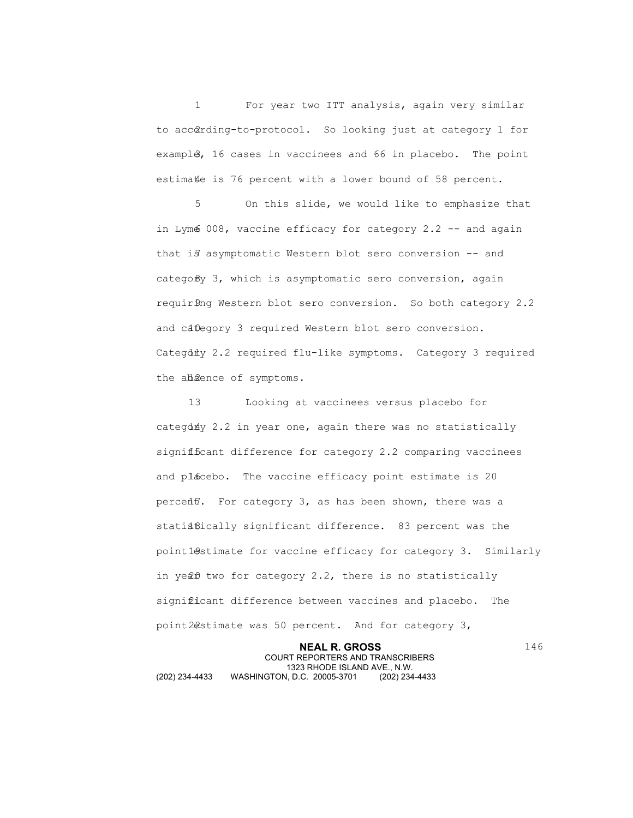For year two ITT analysis, again very similar 1 to acc@rding-to-protocol. So looking just at category 1 for example, 16 cases in vaccinees and 66 in placebo. The point estimate is 76 percent with a lower bound of 58 percent.

5 On this slide, we would like to emphasize that in Lym $6008$ , vaccine efficacy for category 2.2 -- and again that is asymptomatic Western blot sero conversion  $-$ - and categoßy 3, which is asymptomatic sero conversion, again requiring Western blot sero conversion. So both category 2.2 and category 3 required Western blot sero conversion. Categdiy 2.2 required flu-like symptoms. Category 3 required the absence of symptoms.

 Looking at vaccinees versus placebo for 13 categday 2.2 in year one, again there was no statistically signifibcant difference for category  $2.2$  comparing vaccinees and placebo. The vaccine efficacy point estimate is 20 percent. For category 3, as has been shown, there was a statistically significant difference. 83 percent was the point l@stimate for vaccine efficacy for category 3. Similarly in yearf two for category 2.2, there is no statistically significant difference between vaccines and placebo. The point  $2$  estimate was 50 percent. And for category 3,

**NEAL R. GROSS** COURT REPORTERS AND TRANSCRIBERS 1323 RHODE ISLAND AVE., N.W. (202) 234-4433 WASHINGTON, D.C. 20005-3701 (202) 234-4433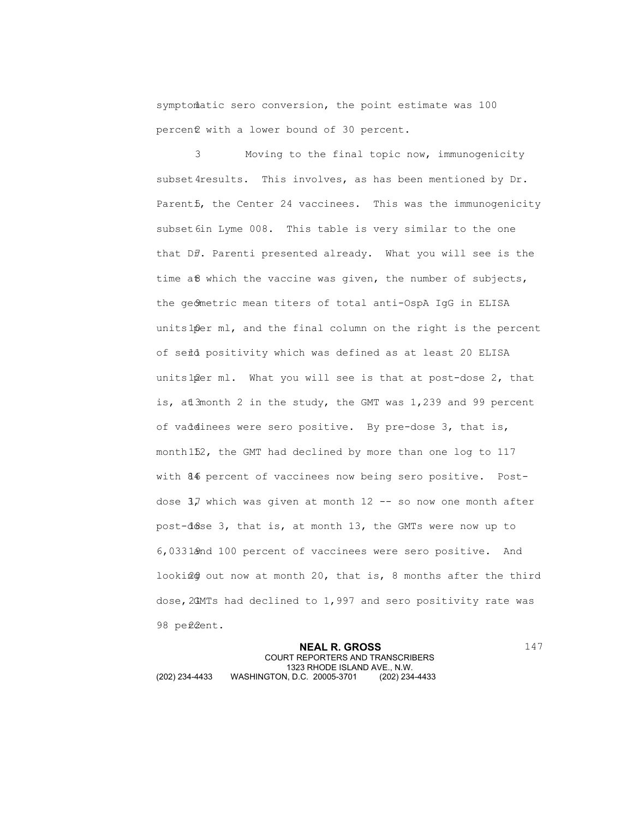symptomatic sero conversion, the point estimate was 100 percent with a lower bound of 30 percent.

 Moving to the final topic now, immunogenicity 3 subset 4results. This involves, as has been mentioned by Dr. Parent5, the Center 24 vaccinees. This was the immunogenicity subset 6in Lyme 008. This table is very similar to the one that Df. Parenti presented already. What you will see is the time at which the vaccine was given, the number of subjects, the geometric mean titers of total anti-OspA IgG in ELISA units lper ml, and the final column on the right is the percent of seid positivity which was defined as at least 20 ELISA units lper ml. What you will see is that at post-dose 2, that is, at 3month 2 in the study, the GMT was  $1,239$  and 99 percent of vaddinees were sero positive. By pre-dose  $3$ , that is, month 152, the GMT had declined by more than one log to 117 with 84 percent of vaccinees now being sero positive. Postdose  $37$  which was given at month  $12$  -- so now one month after post-d $\&$ se 3, that is, at month 13, the GMTs were now up to 6,033 12nd 100 percent of vaccinees were sero positive. And looki $x$ <sup>0</sup> out now at month 20, that is, 8 months after the third dose,  $2 \text{GMTs}$  had declined to  $1,997$  and sero positivity rate was 98 pe22ent.

**NEAL R. GROSS** COURT REPORTERS AND TRANSCRIBERS 1323 RHODE ISLAND AVE., N.W. (202) 234-4433 WASHINGTON, D.C. 20005-3701 (202) 234-4433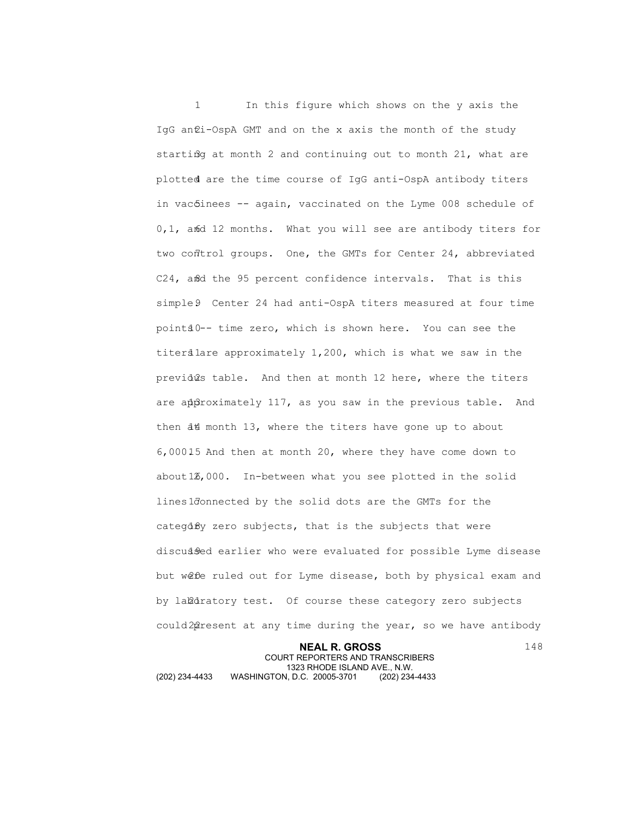In this figure which shows on the y axis the 1 IgG anti-OspA GMT and on the x axis the month of the study starting at month 2 and continuing out to month  $21$ , what are plotted are the time course of IgG anti-OspA antibody titers in vac5inees -- again, vaccinated on the Lyme 008 schedule of 0, 1, and 12 months. What you will see are antibody titers for two control groups. One, the GMTs for Center 24, abbreviated C24, and the 95 percent confidence intervals. That is this simple 9 Center 24 had anti-OspA titers measured at four time points0-- time zero, which is shown here. You can see the titers lare approximately  $1,200$ , which is what we saw in the previdûs table. And then at month 12 here, where the titers are approximately  $117$ , as you saw in the previous table. And then  $d\mathfrak{t}$  month 13, where the titers have gone up to about  $6,00015$  And then at month 20, where they have come down to about  $1\⊂>000$ . In-between what you see plotted in the solid lines 1donnected by the solid dots are the GMTs for the  $categoricalBy$  zero subjects, that is the subjects that were discussed earlier who were evaluated for possible Lyme disease but wefe ruled out for Lyme disease, both by physical exam and by labdratory test. Of course these category zero subjects could 2<sub>2</sub> resent at any time during the year, so we have antibody

**NEAL R. GROSS** COURT REPORTERS AND TRANSCRIBERS 1323 RHODE ISLAND AVE., N.W. (202) 234-4433 WASHINGTON, D.C. 20005-3701 (202) 234-4433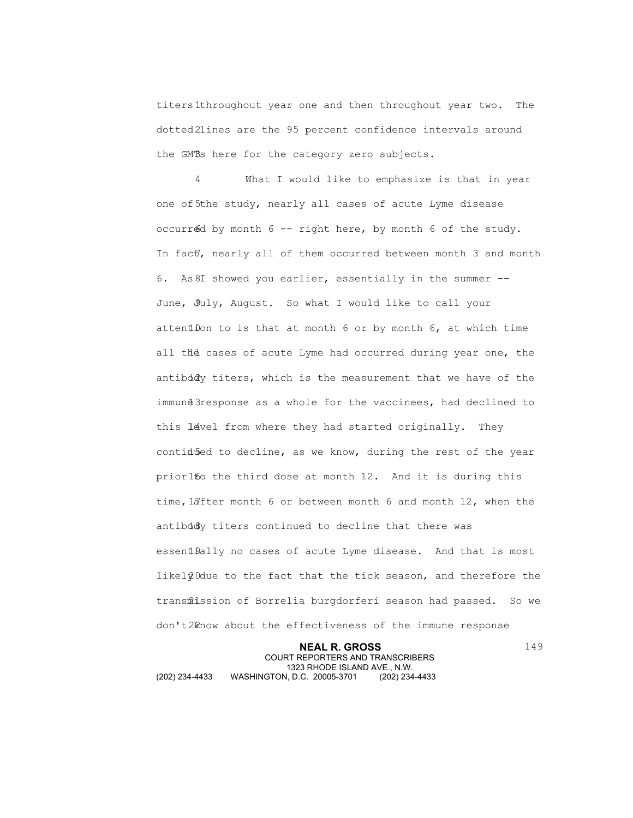titers 1throughout year one and then throughout year two. The dotted 21 ines are the 95 percent confidence intervals around the GMTs here for the category zero subjects.

4 What I would like to emphasize is that in year one of 5the study, nearly all cases of acute Lyme disease occurred by month  $6$  -- right here, by month  $6$  of the study. In fact, nearly all of them occurred between month 3 and month 6. As 8I showed you earlier, essentially in the summer  $--$ June, July, August. So what I would like to call your attention to is that at month 6 or by month  $6$ , at which time all the cases of acute Lyme had occurred during year one, the antib $d\partial y$  titers, which is the measurement that we have of the immund 3response as a whole for the vaccinees, had declined to this level from where they had started originally. They continued to decline, as we know, during the rest of the year prior 160 the third dose at month 12. And it is during this time,  $1$  after month 6 or between month 6 and month  $12$ , when the antibd&y titers continued to decline that there was essentibally no cases of acute Lyme disease. And that is most likel $\varphi$ Odue to the fact that the tick season, and therefore the transmission of Borrelia burgdorferi season had passed. So we don't 2know about the effectiveness of the immune response

**NEAL R. GROSS** COURT REPORTERS AND TRANSCRIBERS 1323 RHODE ISLAND AVE., N.W. (202) 234-4433 WASHINGTON, D.C. 20005-3701 (202) 234-4433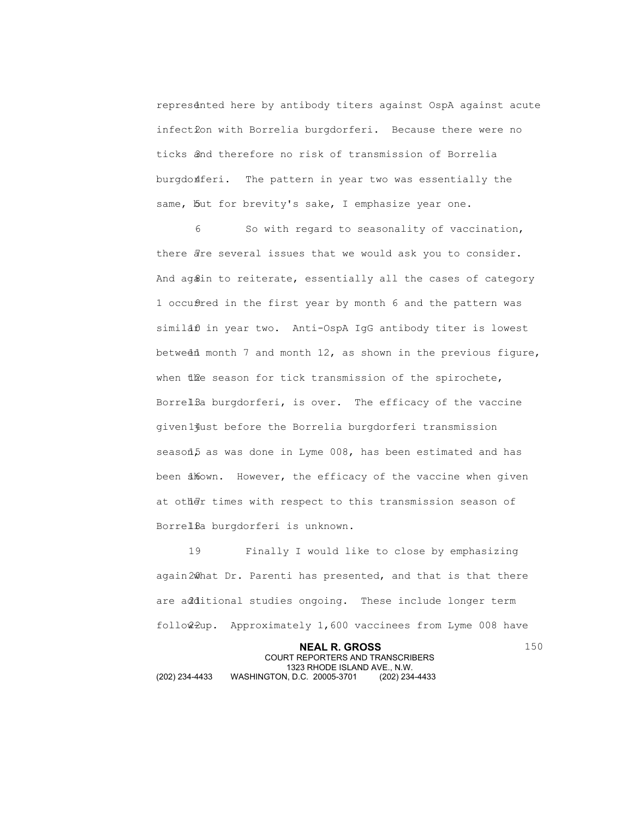represented here by antibody titers against OspA against acute infectlon with Borrelia burgdorferi. Because there were no ticks and therefore no risk of transmission of Borrelia burgdofferi. The pattern in year two was essentially the same, but for brevity's sake, I emphasize year one.

 So with regard to seasonality of vaccination, 6 there are several issues that we would ask you to consider. And ag&in to reiterate, essentially all the cases of category 1 occußred in the first year by month 6 and the pattern was similaf in year two. Anti-OspA IgG antibody titer is lowest between month 7 and month 12, as shown in the previous figure, when the season for tick transmission of the spirochete, Borrelia burgdorferi, is over. The efficacy of the vaccine given liust before the Borrelia burgdorferi transmission season, as was done in Lyme  $008$ , has been estimated and has been *shown*. However, the efficacy of the vaccine when given at other times with respect to this transmission season of BorrellBa burgdorferi is unknown.

 Finally I would like to close by emphasizing 19 again 20 hat Dr. Parenti has presented, and that is that there are additional studies ongoing. These include longer term follow2up. Approximately 1,600 vaccinees from Lyme 008 have

**NEAL R. GROSS** COURT REPORTERS AND TRANSCRIBERS 1323 RHODE ISLAND AVE., N.W. (202) 234-4433 WASHINGTON, D.C. 20005-3701 (202) 234-4433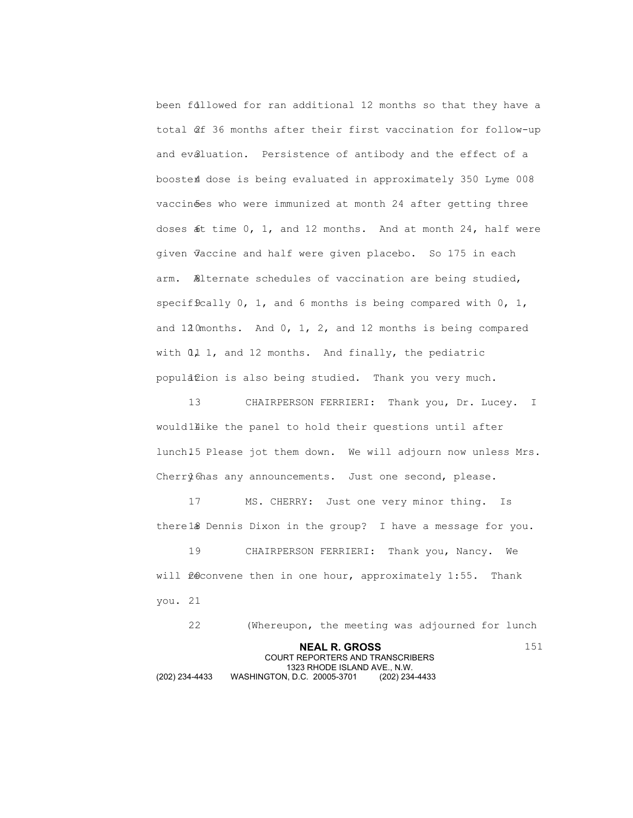been followed for ran additional 12 months so that they have a total  $\alpha$ f 36 months after their first vaccination for follow-up and evaluation. Persistence of antibody and the effect of a booste4 dose is being evaluated in approximately 350 Lyme 008 vaccines who were immunized at month 24 after getting three doses  $f$ time 0, 1, and 12 months. And at month 24, half were given Vaccine and half were given placebo. So 175 in each arm. Alternate schedules of vaccination are being studied, speciffically  $0, 1,$  and 6 months is being compared with  $0, 1,$ and  $120$ months. And  $0, 1, 2,$  and  $12$  months is being compared with  $0, 1$ , and 12 months. And finally, the pediatric population is also being studied. Thank you very much.

13 CHAIRPERSON FERRIERI: Thank you, Dr. Lucey. I would llike the panel to hold their questions until after lunch15 Please jot them down. We will adjourn now unless Mrs. Cherrishas any announcements. Just one second, please.

17 MS. CHERRY: Just one very minor thing. Is there 1& Dennis Dixon in the group? I have a message for you.

19 CHAIRPERSON FERRIERI: Thank you, Nancy. We will  $\ell$  $\Theta$ convene then in one hour, approximately 1:55. Thank you. 21

(Whereupon, the meeting was adjourned for lunch 22

151

**NEAL R. GROSS** COURT REPORTERS AND TRANSCRIBERS 1323 RHODE ISLAND AVE., N.W. (202) 234-4433 WASHINGTON, D.C. 20005-3701 (202) 234-4433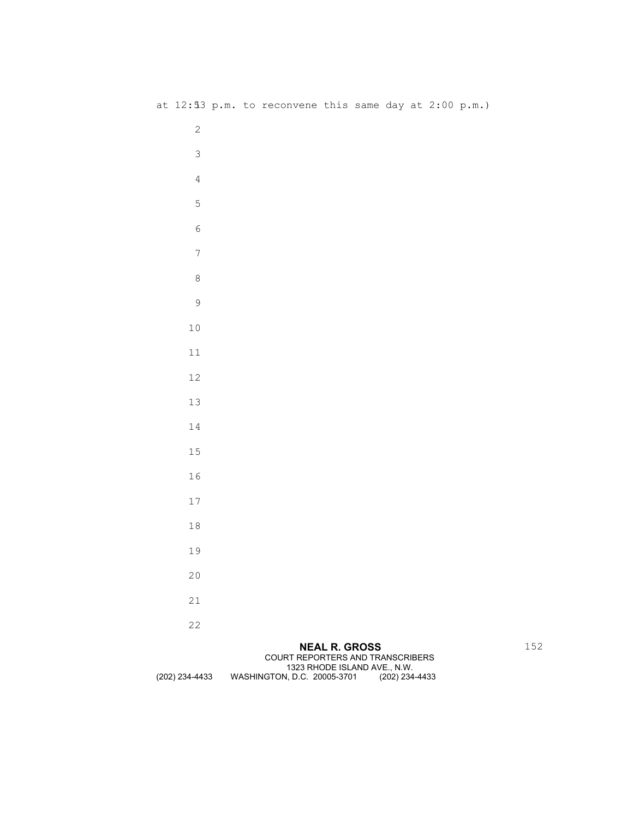at  $12:53$  p.m. to reconvene this same day at  $2:00$  p.m.)

(202) 234-4433 WASHINGTON, D.C. 20005-3701 (202) 234-4433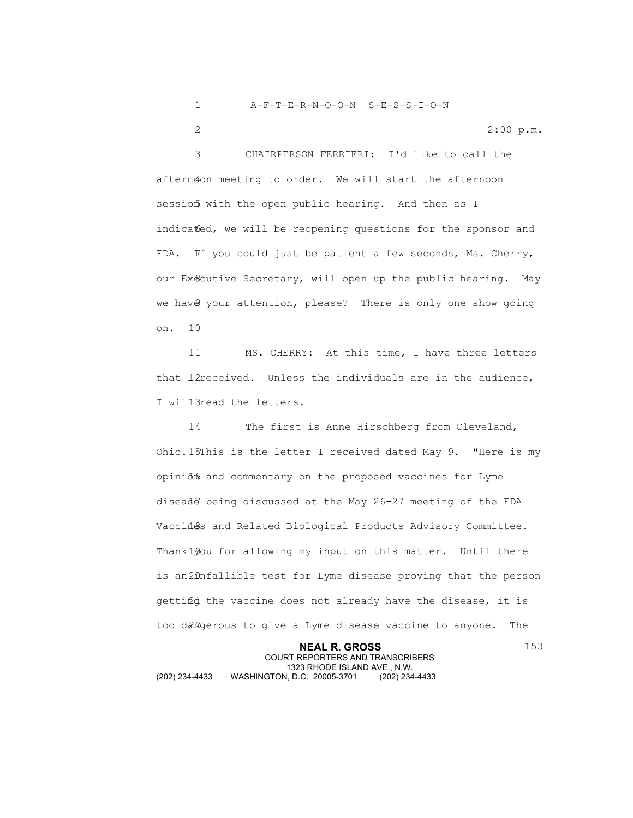1 A-F-T-E-R-N-O-O-N S-E-S-S-I-O-N 2 2:00 p.m.

 CHAIRPERSON FERRIERI: I'd like to call the 3 afterndon meeting to order. We will start the afternoon sessiof with the open public hearing. And then as I indicated, we will be reopening questions for the sponsor and FDA. If you could just be patient a few seconds, Ms. Cherry, our Executive Secretary, will open up the public hearing. May we have your attention, please? There is only one show going on. 10

11 MS. CHERRY: At this time, I have three letters that 12 received. Unless the individuals are in the audience, I will3read the letters.

14 The first is Anne Hirschberg from Cleveland, Ohio. 15This is the letter I received dated May 9. "Here is my opinidm and commentary on the proposed vaccines for Lyme diseade being discussed at the May 26-27 meeting of the FDA Vaccines and Related Biological Products Advisory Committee. Thank 190u for allowing my input on this matter. Until there is an 2Dnfallible test for Lyme disease proving that the person getting the vaccine does not already have the disease, it is too dangerous to give a Lyme disease vaccine to anyone. The

**NEAL R. GROSS** COURT REPORTERS AND TRANSCRIBERS 1323 RHODE ISLAND AVE., N.W. (202) 234-4433 WASHINGTON, D.C. 20005-3701 (202) 234-4433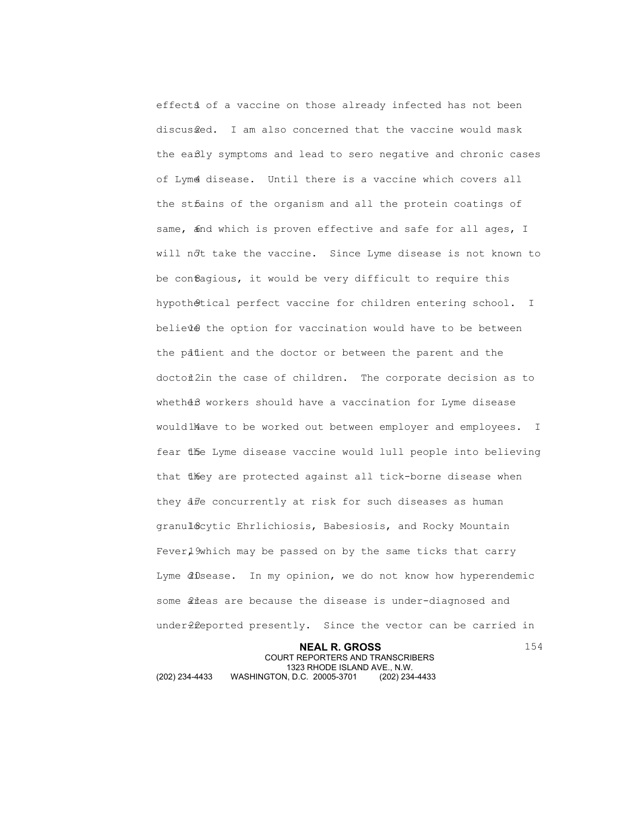effects of a vaccine on those already infected has not been discus fed. I am also concerned that the vaccine would mask the eaßly symptoms and lead to sero negative and chronic cases of Lyme disease. Until there is a vaccine which covers all the stfains of the organism and all the protein coatings of same, and which is proven effective and safe for all ages, I will not take the vaccine. Since Lyme disease is not known to be contagious, it would be very difficult to require this hypoth@tical perfect vaccine for children entering school. I beliet $\Theta$  the option for vaccination would have to be between the patient and the doctor or between the parent and the doctofi2in the case of children. The corporate decision as to whether workers should have a vaccination for Lyme disease would lMave to be worked out between employer and employees. I fear the Lyme disease vaccine would lull people into believing that fliey are protected against all tick-borne disease when they affe concurrently at risk for such diseases as human granul&cytic Ehrlichiosis, Babesiosis, and Rocky Mountain Fever, 19which may be passed on by the same ticks that carry Lyme disease. In my opinion, we do not know how hyperendemic some affeas are because the disease is under-diagnosed and under-leported presently. Since the vector can be carried in

**NEAL R. GROSS** COURT REPORTERS AND TRANSCRIBERS 1323 RHODE ISLAND AVE., N.W. (202) 234-4433 WASHINGTON, D.C. 20005-3701 (202) 234-4433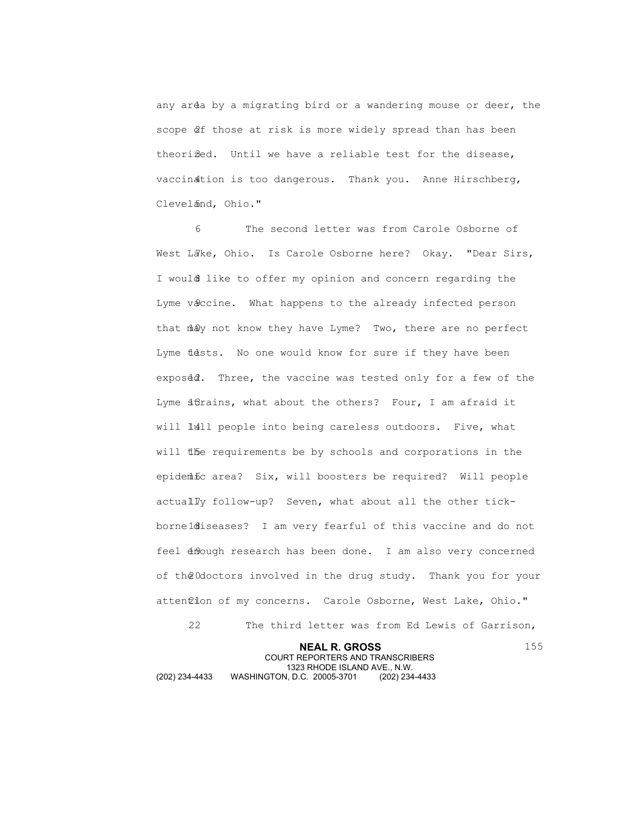any area by a migrating bird or a wandering mouse or deer, the scope  $\hat{a}$ f those at risk is more widely spread than has been theorized. Until we have a reliable test for the disease, vaccination is too dangerous. Thank you. Anne Hirschberg, Cleveland, Ohio."

 The second letter was from Carole Osborne of 6 West Lake, Ohio. Is Carole Osborne here? Okay. "Dear Sirs, I woul& like to offer my opinion and concern regarding the Lyme vaccine. What happens to the already infected person that may not know they have Lyme? Two, there are no perfect Lyme flasts. No one would know for sure if they have been exposed. Three, the vaccine was tested only for a few of the Lyme *i*Brains, what about the others? Four, I am afraid it will lull people into being careless outdoors. Five, what will flbe requirements be by schools and corporations in the epidemic area? Six, will boosters be required? Will people actually follow-up? Seven, what about all the other tickborne l&iseases? I am very fearful of this vaccine and do not feel dieough research has been done. I am also very concerned of the Odoctors involved in the drug study. Thank you for your attention of my concerns. Carole Osborne, West Lake, Ohio."

22 The third letter was from Ed Lewis of Garrison,

**NEAL R. GROSS** COURT REPORTERS AND TRANSCRIBERS 1323 RHODE ISLAND AVE., N.W. (202) 234-4433 WASHINGTON, D.C. 20005-3701 (202) 234-4433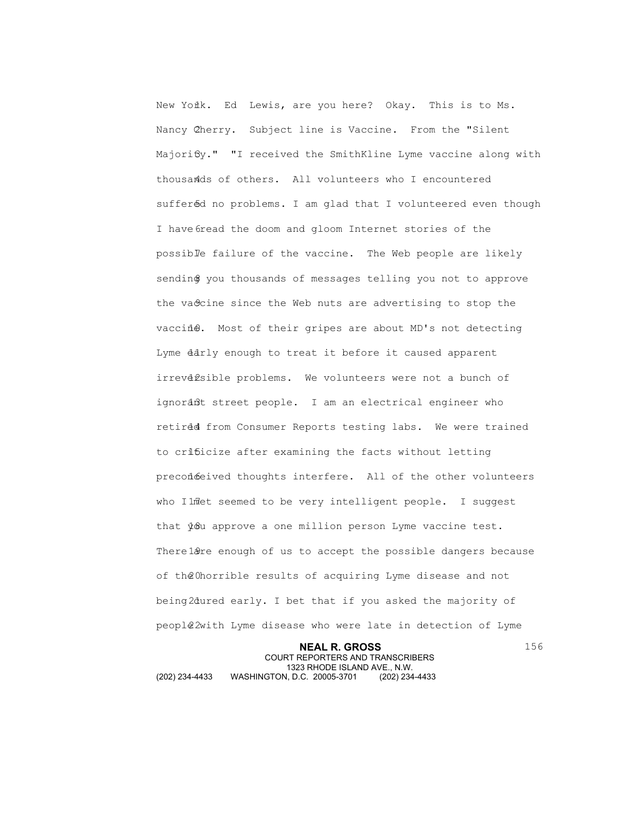New Yofk. Ed Lewis, are you here? Okay. This is to Ms. Nancy Cherry. Subject line is Vaccine. From the "Silent Majorify." "I received the SmithKline Lyme vaccine along with thousands of others. All volunteers who I encountered suffered no problems. I am glad that I volunteered even though I have 6 read the doom and gloom Internet stories of the possible failure of the vaccine. The Web people are likely sending you thousands of messages telling you not to approve the vaccine since the Web nuts are advertising to stop the vaccine. Most of their gripes are about MD's not detecting Lyme darly enough to treat it before it caused apparent irrevérsible problems. We volunteers were not a bunch of ignorant street people. I am an electrical engineer who retired from Consumer Reports testing labs. We were trained to cribicize after examining the facts without letting preconceived thoughts interfere. All of the other volunteers who I lmet seemed to be very intelligent people. I suggest that  $\psi$ &u approve a one million person Lyme vaccine test. There lare enough of us to accept the possible dangers because of the Ohorrible results of acquiring Lyme disease and not being 2dured early. I bet that if you asked the majority of people 2with Lyme disease who were late in detection of Lyme

**NEAL R. GROSS** COURT REPORTERS AND TRANSCRIBERS 1323 RHODE ISLAND AVE., N.W. (202) 234-4433 WASHINGTON, D.C. 20005-3701 (202) 234-4433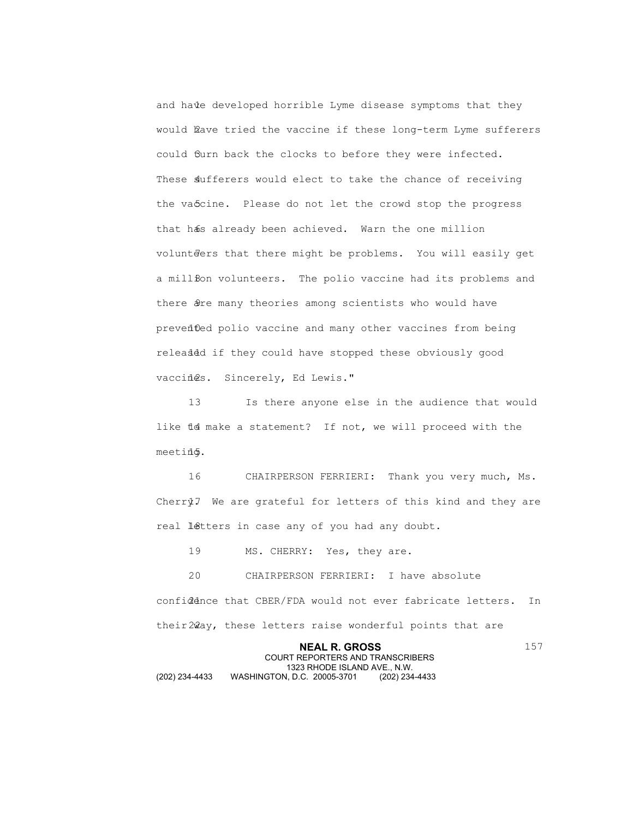and have developed horrible Lyme disease symptoms that they would fave tried the vaccine if these long-term Lyme sufferers could furn back the clocks to before they were infected. These sufferers would elect to take the chance of receiving the va6cine. Please do not let the crowd stop the progress that has already been achieved. Warn the one million volunteers that there might be problems. You will easily get a millBon volunteers. The polio vaccine had its problems and there  $\vartheta$ re many theories among scientists who would have prevented polio vaccine and many other vaccines from being released if they could have stopped these obviously good vaccines. Sincerely, Ed Lewis."

 Is there anyone else in the audience that would 13 like fld make a statement? If not, we will proceed with the meeting.

16 CHAIRPERSON FERRIERI: Thank you very much, Ms. Cherr $y$ 7 We are grateful for letters of this kind and they are real letters in case any of you had any doubt.

19 MS. CHERRY: Yes, they are.

 CHAIRPERSON FERRIERI: I have absolute 20 confidence that CBER/FDA would not ever fabricate letters. In their 20ay, these letters raise wonderful points that are

**NEAL R. GROSS** COURT REPORTERS AND TRANSCRIBERS 1323 RHODE ISLAND AVE., N.W. (202) 234-4433 WASHINGTON, D.C. 20005-3701 (202) 234-4433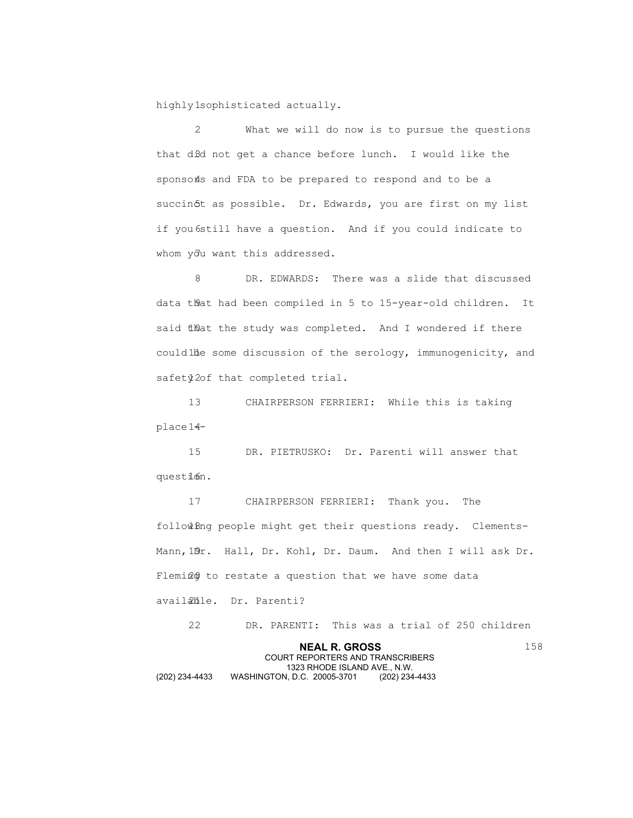highly 1sophisticated actually.

2 What we will do now is to pursue the questions that did not get a chance before lunch. I would like the sponsois and FDA to be prepared to respond and to be a succinot as possible. Dr. Edwards, you are first on my list if you 6still have a question. And if you could indicate to whom you want this addressed.

8 DR. EDWARDS: There was a slide that discussed data that had been compiled in 5 to 15-year-old children. It said flbat the study was completed. And I wondered if there could like some discussion of the serology, immunogenicity, and  $s$ afet $\sqrt{2}$ of that completed trial.

 CHAIRPERSON FERRIERI: While this is taking 13 place 14-

15 DR. PIETRUSKO: Dr. Parenti will answer that question.

17 CHAIRPERSON FERRIERI: Thank you. The following people might get their questions ready. Clements-Mann, 1Dr. Hall, Dr. Kohl, Dr. Daum. And then I will ask Dr. Fleming to restate a question that we have some data available. Dr. Parenti?

22 DR. PARENTI: This was a trial of 250 children

**NEAL R. GROSS** COURT REPORTERS AND TRANSCRIBERS 1323 RHODE ISLAND AVE., N.W. (202) 234-4433 WASHINGTON, D.C. 20005-3701 (202) 234-4433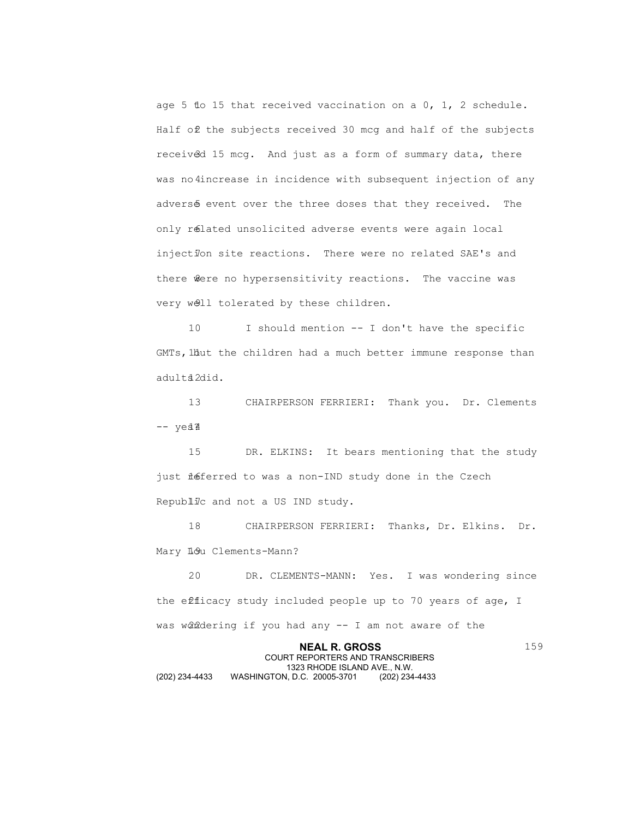age 5 to 15 that received vaccination on a  $0, 1, 2$  schedule. Half of the subjects received 30 mcg and half of the subjects received 15 mcq. And just as a form of summary data, there was no 4increase in incidence with subsequent injection of any adverse event over the three doses that they received. The only related unsolicited adverse events were again local injection site reactions. There were no related SAE's and there were no hypersensitivity reactions. The vaccine was very w@ll tolerated by these children.

 $10$  I should mention  $-$  I don't have the specific GMTs, lbut the children had a much better immune response than adults 2did.

13 CHAIRPERSON FERRIERI: Thank you. Dr. Clements  $--$  yes?

15 DR. ELKINS: It bears mentioning that the study just iteferred to was a non-IND study done in the Czech Republic and not a US IND study.

18 CHAIRPERSON FERRIERI: Thanks, Dr. Elkins. Dr. Mary Lou Clements-Mann?

20 DR. CLEMENTS-MANN: Yes. I was wondering since the efflicacy study included people up to 70 years of age,  $I$ was wandering if you had any -- I am not aware of the

**NEAL R. GROSS** COURT REPORTERS AND TRANSCRIBERS 1323 RHODE ISLAND AVE., N.W. (202) 234-4433 WASHINGTON, D.C. 20005-3701 (202) 234-4433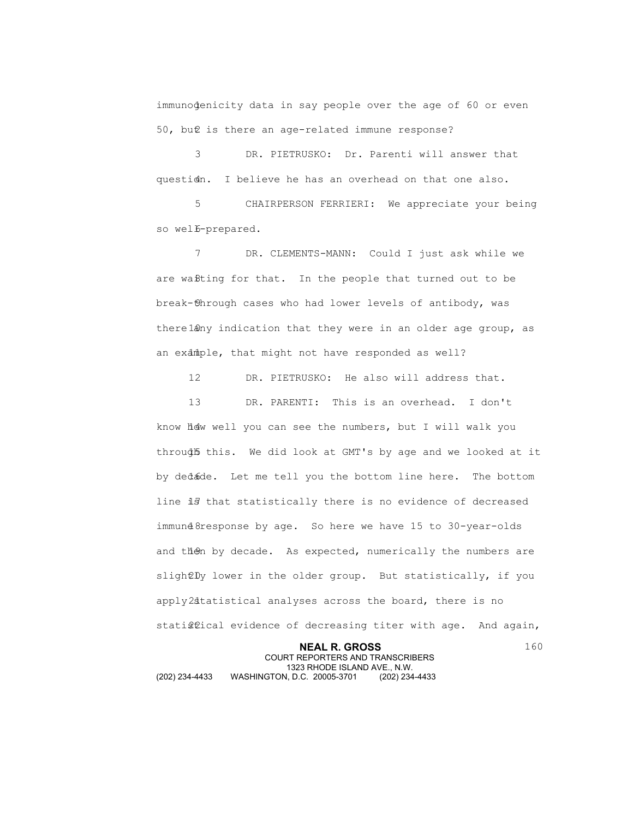immunoqenicity data in say people over the age of 60 or even 50, but is there an age-related immune response?

3 DR. PIETRUSKO: Dr. Parenti will answer that questidn. I believe he has an overhead on that one also.

5 CHAIRPERSON FERRIERI: We appreciate your being so welf-prepared.

7 DR. CLEMENTS-MANN: Could I just ask while we are waßting for that. In the people that turned out to be break-through cases who had lower levels of antibody, was there lany indication that they were in an older age group, as an example, that might not have responded as well?

12 DR. PIETRUSKO: He also will address that.

13 DR. PARENTI: This is an overhead. I don't know how well you can see the numbers, but I will walk you through this. We did look at GMT's by age and we looked at it by dedade. Let me tell you the bottom line here. The bottom line is that statistically there is no evidence of decreased immund 8response by age. So here we have 15 to 30-year-olds and then by decade. As expected, numerically the numbers are slightly lower in the older group. But statistically, if you apply 2statistical analyses across the board, there is no stati & tical evidence of decreasing titer with age. And again,

**NEAL R. GROSS** COURT REPORTERS AND TRANSCRIBERS 1323 RHODE ISLAND AVE., N.W. (202) 234-4433 WASHINGTON, D.C. 20005-3701 (202) 234-4433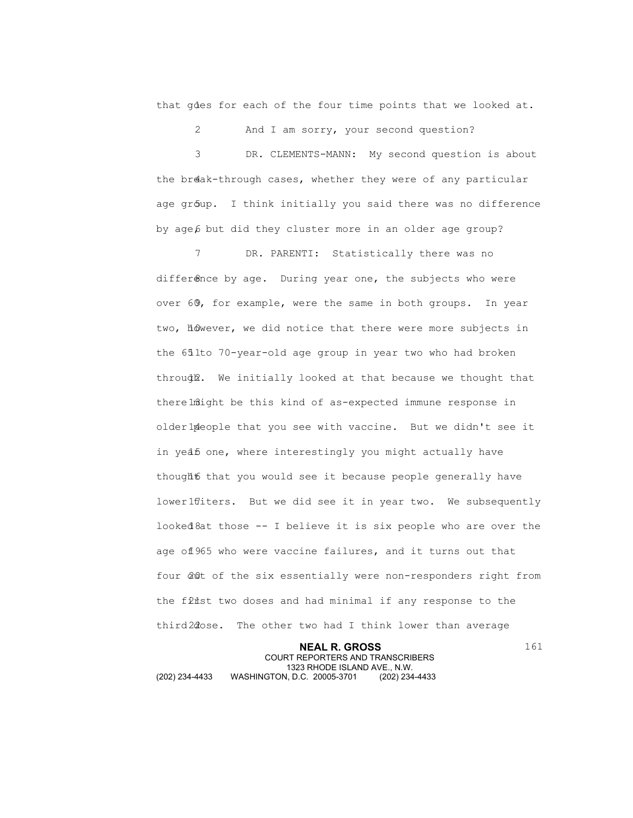that gdes for each of the four time points that we looked at.

And I am sorry, your second question? 2

3 DR. CLEMENTS-MANN: My second question is about the break-through cases, whether they were of any particular age group. I think initially you said there was no difference by age  $6$  but did they cluster more in an older age group?

7 DR. PARENTI: Statistically there was no difference by age. During year one, the subjects who were over 60, for example, were the same in both groups. In year two, however, we did notice that there were more subjects in the 651to 70-year-old age group in year two who had broken throud<sup>1</sup>2. We initially looked at that because we thought that there listight be this kind of as-expected immune response in older lieople that you see with vaccine. But we didn't see it in yeaf one, where interestingly you might actually have thought that you would see it because people generally have lower 1 fliters. But we did see it in year two. We subsequently looked 8at those -- I believe it is six people who are over the age of 965 who were vaccine failures, and it turns out that four aut of the six essentially were non-responders right from the flist two doses and had minimal if any response to the third 2dose. The other two had I think lower than average

**NEAL R. GROSS** COURT REPORTERS AND TRANSCRIBERS 1323 RHODE ISLAND AVE., N.W. (202) 234-4433 WASHINGTON, D.C. 20005-3701 (202) 234-4433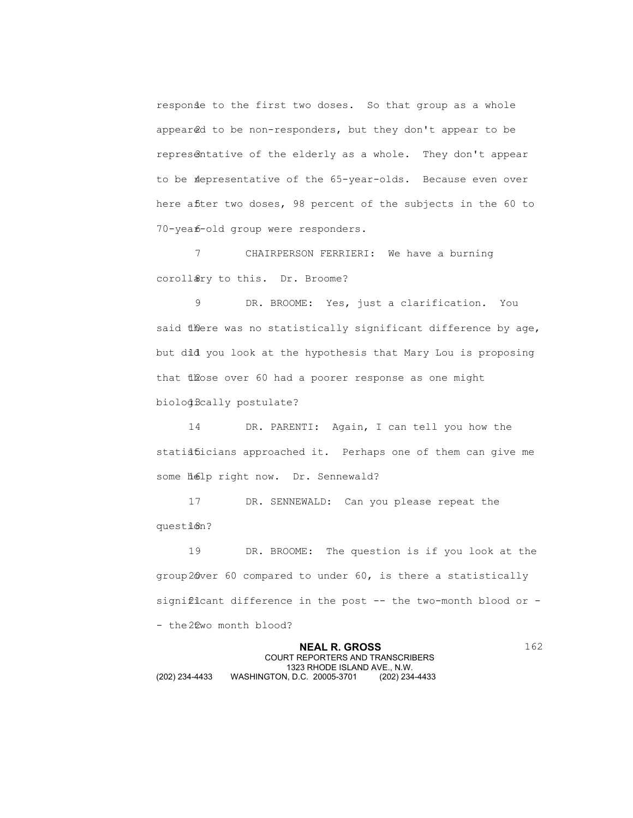response to the first two doses. So that group as a whole appeared to be non-responders, but they don't appear to be representative of the elderly as a whole. They don't appear to be flepresentative of the 65-year-olds. Because even over here after two doses, 98 percent of the subjects in the 60 to 70-yeaf-old group were responders.

7 CHAIRPERSON FERRIERI: We have a burning coroll&ry to this. Dr. Broome?

9 DR. BROOME: Yes, just a clarification. You said there was no statistically significant difference by age, but did you look at the hypothesis that Mary Lou is proposing that fliose over 60 had a poorer response as one might biolodBcally postulate?

14 DR. PARENTI: Again, I can tell you how the statisticians approached it. Perhaps one of them can give me some help right now. Dr. Sennewald?

17 DR. SENNEWALD: Can you please repeat the question?

19 DR. BROOME: The question is if you look at the group 20 ver 60 compared to under 60, is there a statistically significant difference in the post  $-$ - the two-month blood or -- the 20wo month blood?

**NEAL R. GROSS** COURT REPORTERS AND TRANSCRIBERS 1323 RHODE ISLAND AVE., N.W. (202) 234-4433 WASHINGTON, D.C. 20005-3701 (202) 234-4433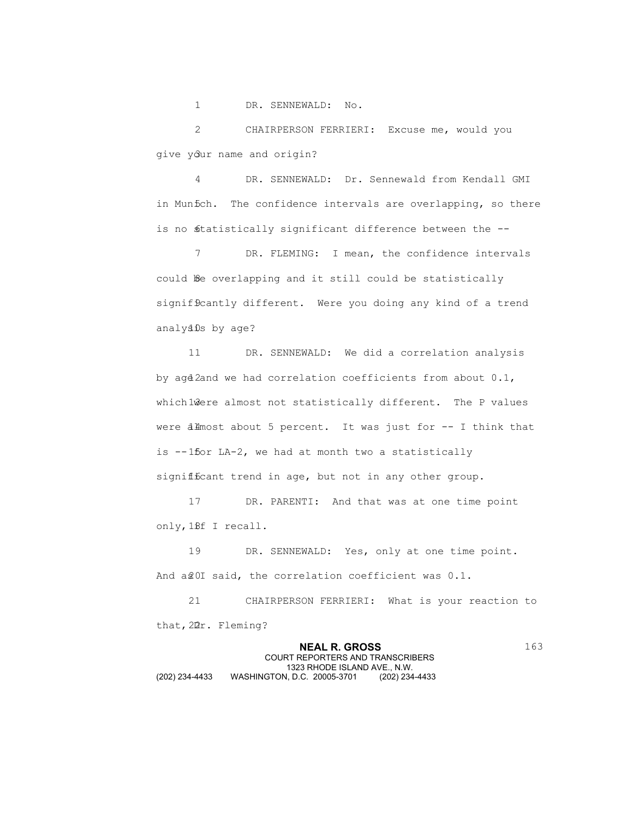1 DR. SENNEWALD: No.

 CHAIRPERSON FERRIERI: Excuse me, would you 2 give your name and origin?

 DR. SENNEWALD: Dr. Sennewald from Kendall GMI 4 in Munfich. The confidence intervals are overlapping, so there is no *Statistically significant difference between the --*

7 DR. FLEMING: I mean, the confidence intervals could be overlapping and it still could be statistically signiffeantly different. Were you doing any kind of a trend analyiDs by age?

11 DR. SENNEWALD: We did a correlation analysis by agé $2$ and we had correlation coefficients from about  $0.1$ , which lwere almost not statistically different. The P values were  $\Delta\text{Mmost about 5 percent.}$  It was just for  $-$ - I think that is  $-1$ for LA-2, we had at month two a statistically signifificant trend in age, but not in any other group.

17 DR. PARENTI: And that was at one time point only, 18f I recall.

19 DR. SENNEWALD: Yes, only at one time point. And a  $20I$  said, the correlation coefficient was  $0.1$ .

21 CHAIRPERSON FERRIERI: What is your reaction to that, 20x. Fleming?

**NEAL R. GROSS** COURT REPORTERS AND TRANSCRIBERS 1323 RHODE ISLAND AVE., N.W. (202) 234-4433 WASHINGTON, D.C. 20005-3701 (202) 234-4433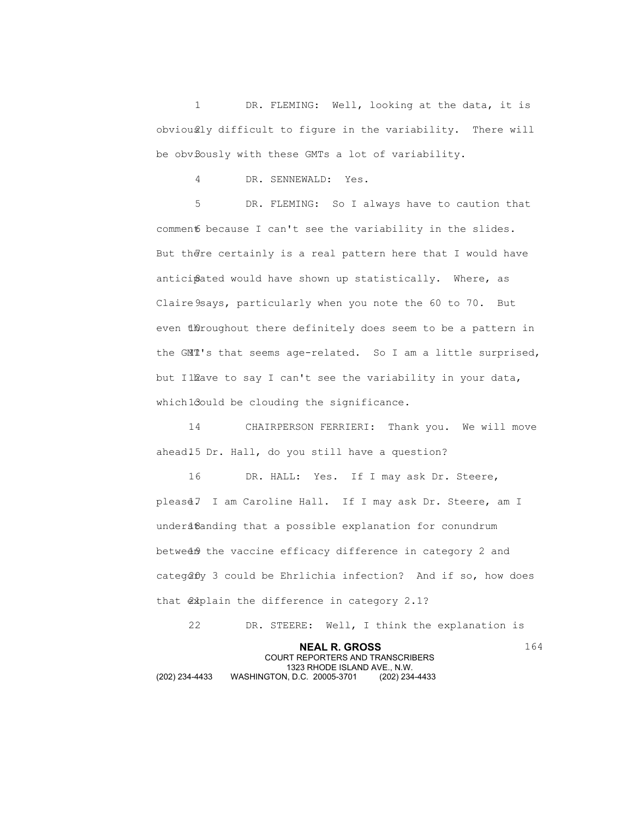1 DR. FLEMING: Well, looking at the data, it is obviously difficult to figure in the variability. There will be obviously with these GMTs a lot of variability.

DR. SENNEWALD: Yes. 4

5 DR. FLEMING: So I always have to caution that comment because I can't see the variability in the slides. But there certainly is a real pattern here that I would have anticipated would have shown up statistically. Where, as Claire 9says, particularly when you note the 60 to 70. But even fl0roughout there definitely does seem to be a pattern in the GMT's that seems age-related. So I am a little surprised, but I liave to say I can't see the variability in your data, which 18ould be clouding the significance.

14 CHAIRPERSON FERRIERI: Thank you. We will move ahead15 Dr. Hall, do you still have a question?

16 DR. HALL: Yes. If I may ask Dr. Steere, pleas47 I am Caroline Hall. If I may ask Dr. Steere, am I understanding that a possible explanation for conundrum betwedn the vaccine efficacy difference in category 2 and categ $d$ fy 3 could be Ehrlichia infection? And if so, how does that  $@x$ plain the difference in category 2.1?

22 DR. STEERE: Well, I think the explanation is

**NEAL R. GROSS** COURT REPORTERS AND TRANSCRIBERS 1323 RHODE ISLAND AVE., N.W. (202) 234-4433 WASHINGTON, D.C. 20005-3701 (202) 234-4433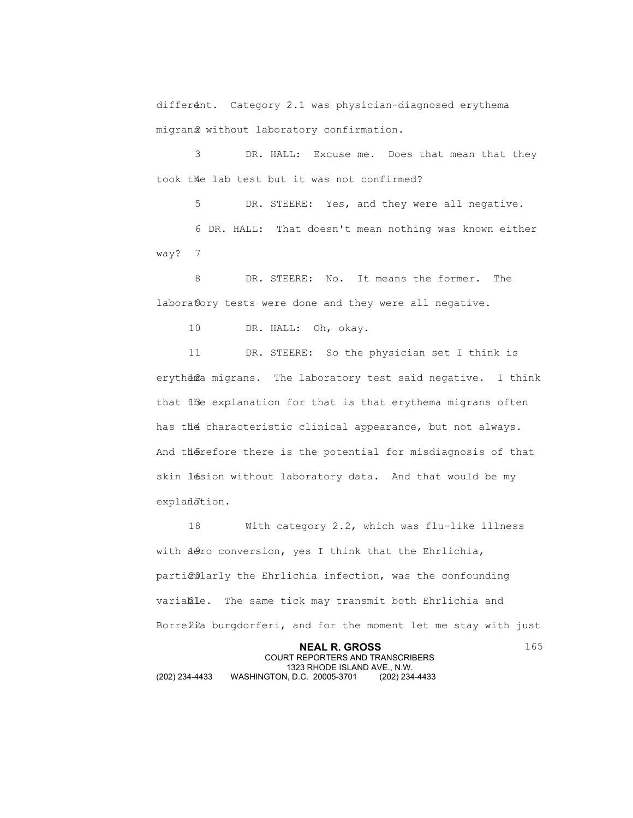different. Category 2.1 was physician-diagnosed erythema migrans without laboratory confirmation. 2

3 DR. HALL: Excuse me. Does that mean that they took the lab test but it was not confirmed? 4

5 DR. STEERE: Yes, and they were all negative.

6 DR. HALL: That doesn't mean nothing was known either way? 7

8 DR. STEERE: No. It means the former. The laboratory tests were done and they were all negative.

10 DR. HALL: Oh, okay.

11 DR. STEERE: So the physician set I think is erythema migrans. The laboratory test said negative. I think that flie explanation for that is that erythema migrans often has the characteristic clinical appearance, but not always. And therefore there is the potential for misdiagnosis of that skin lésion without laboratory data. And that would be my explandtion.

18 With category 2.2, which was flu-like illness with  $s$  $\theta$ ro conversion, yes I think that the Ehrlichia, parti $@$ Olarly the Ehrlichia infection, was the confounding variable. The same tick may transmit both Ehrlichia and Borrella burgdorferi, and for the moment let me stay with just

**NEAL R. GROSS** COURT REPORTERS AND TRANSCRIBERS 1323 RHODE ISLAND AVE., N.W. (202) 234-4433 WASHINGTON, D.C. 20005-3701 (202) 234-4433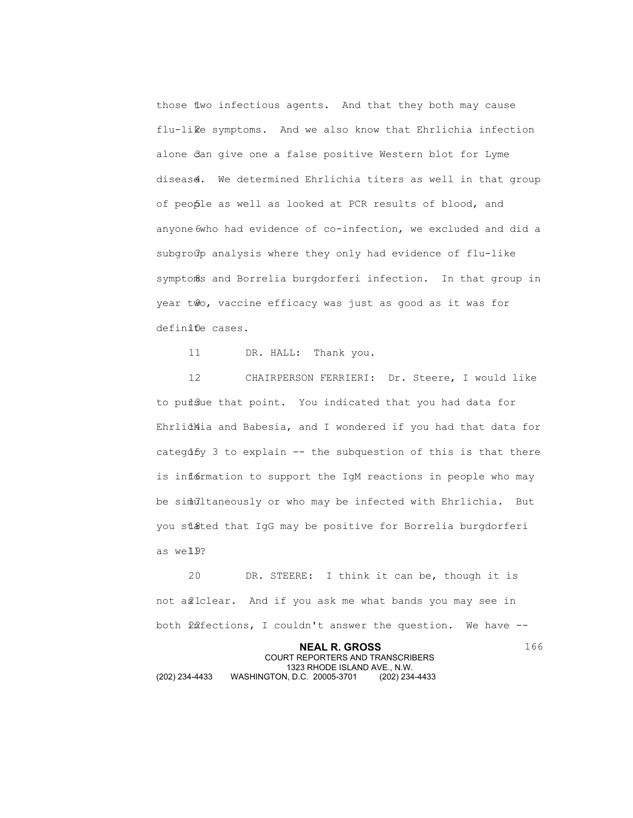those flwo infectious agents. And that they both may cause flu-like symptoms. And we also know that Ehrlichia infection alone dan give one a false positive Western blot for Lyme disease. We determined Ehrlichia titers as well in that group of people as well as looked at PCR results of blood, and anyone 6who had evidence of co-infection, we excluded and did a subgroup analysis where they only had evidence of flu-like symptoms and Borrelia burgdorferi infection. In that group in year two, vaccine efficacy was just as good as it was for definite cases.

11 DR. HALL: Thank you.

12 CHAIRPERSON FERRIERI: Dr. Steere, I would like to puisue that point. You indicated that you had data for EhrlidMia and Babesia, and I wondered if you had that data for categdby 3 to explain  $-$ - the subquestion of this is that there is inflomation to support the IqM reactions in people who may be simultaneously or who may be infected with Ehrlichia. But you stated that IgG may be positive for Borrelia burgdorferi as well<sup>9?</sup>

20 DR. STEERE: I think it can be, though it is not a£1clear. And if you ask me what bands you may see in both  $\hat{\ell}$  affections, I couldn't answer the question. We have --

**NEAL R. GROSS** COURT REPORTERS AND TRANSCRIBERS 1323 RHODE ISLAND AVE., N.W. (202) 234-4433 WASHINGTON, D.C. 20005-3701 (202) 234-4433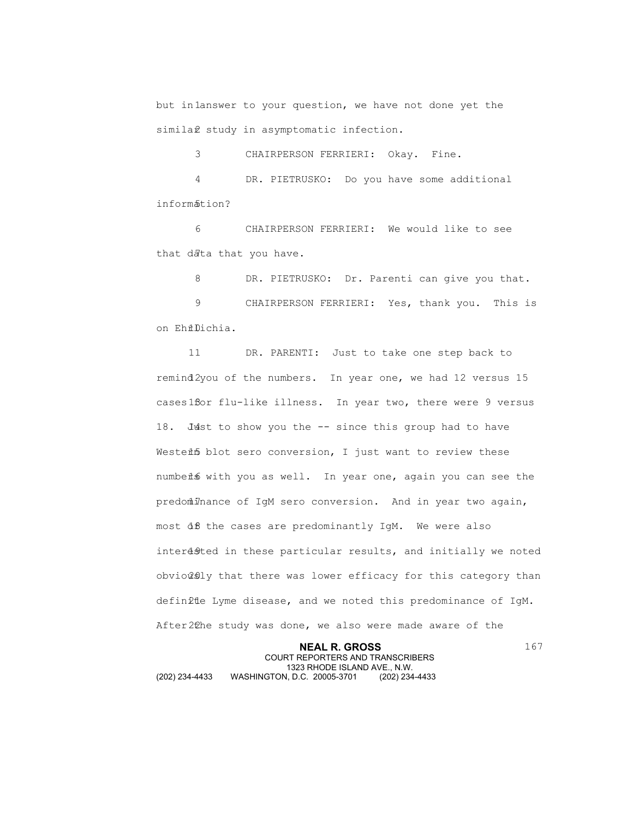but in lanswer to your question, we have not done yet the simila $\ell$  study in asymptomatic infection.

3 CHAIRPERSON FERRIERI: Okay. Fine.

 DR. PIETRUSKO: Do you have some additional 4 information? 5

 CHAIRPERSON FERRIERI: We would like to see 6 that data that you have.

8 DR. PIETRUSKO: Dr. Parenti can give you that.

 CHAIRPERSON FERRIERI: Yes, thank you. This is 9 on EhilDichia.

11 DR. PARENTI: Just to take one step back to remind 2you of the numbers. In year one, we had 12 versus 15 cases 1 flu-like illness. In year two, there were 9 versus 18. Just to show you the -- since this group had to have Westein blot sero conversion, I just want to review these numbeis with you as well. In year one, again you can see the predominance of IgM sero conversion. And in year two again, most dß the cases are predominantly IgM. We were also interested in these particular results, and initially we noted obviously that there was lower efficacy for this category than definite Lyme disease, and we noted this predominance of IgM. After 2the study was done, we also were made aware of the

**NEAL R. GROSS** COURT REPORTERS AND TRANSCRIBERS 1323 RHODE ISLAND AVE., N.W. (202) 234-4433 WASHINGTON, D.C. 20005-3701 (202) 234-4433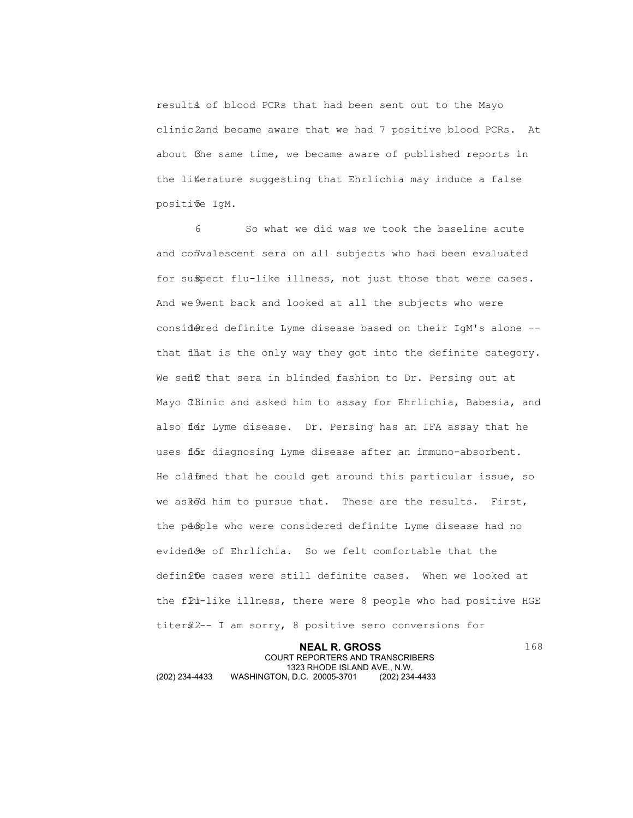results of blood PCRs that had been sent out to the Mayo clinic 2and became aware that we had 7 positive blood PCRs. At about the same time, we became aware of published reports in the literature suggesting that Ehrlichia may induce a false positive IgM.

6 So what we did was we took the baseline acute and convalescent sera on all subjects who had been evaluated for suspect flu-like illness, not just those that were cases. And we Went back and looked at all the subjects who were consid $\theta$ red definite Lyme disease based on their IgM's alone -that fillat is the only way they got into the definite category. We sent that sera in blinded fashion to Dr. Persing out at Mayo ClBinic and asked him to assay for Ehrlichia, Babesia, and also fidr Lyme disease. Dr. Persing has an IFA assay that he uses flor diagnosing Lyme disease after an immuno-absorbent. He claimed that he could get around this particular issue, so we asked him to pursue that. These are the results. First, the people who were considered definite Lyme disease had no evidence of Ehrlichia. So we felt comfortable that the definite cases were still definite cases. When we looked at the flu-like illness, there were 8 people who had positive HGE titer $2$ -- I am sorry, 8 positive sero conversions for

**NEAL R. GROSS** COURT REPORTERS AND TRANSCRIBERS 1323 RHODE ISLAND AVE., N.W. (202) 234-4433 WASHINGTON, D.C. 20005-3701 (202) 234-4433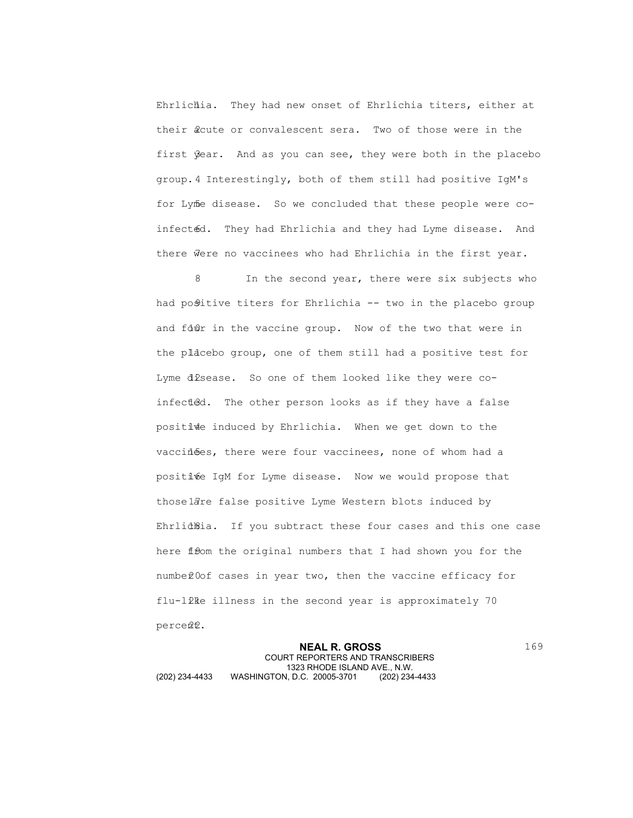Ehrlichia. They had new onset of Ehrlichia titers, either at their acute or convalescent sera. Two of those were in the first year. And as you can see, they were both in the placebo group. 4 Interestingly, both of them still had positive IgM's for Lyme disease. So we concluded that these people were coinfect&d. They had Ehrlichia and they had Lyme disease. And there Were no vaccinees who had Ehrlichia in the first year.

8 In the second year, there were six subjects who had positive titers for Ehrlichia -- two in the placebo group and four in the vaccine group. Now of the two that were in the placebo group, one of them still had a positive test for Lyme disease. So one of them looked like they were coinfected. The other person looks as if they have a false positive induced by Ehrlichia. When we get down to the vaccines, there were four vaccinees, none of whom had a positive IgM for Lyme disease. Now we would propose that those lare false positive Lyme Western blots induced by Ehrlid&ia. If you subtract these four cases and this one case here flom the original numbers that I had shown you for the numbe $\ell$ Oof cases in year two, then the vaccine efficacy for  $flu-l2Re$  illness in the second year is approximately 70 percent.

**NEAL R. GROSS** COURT REPORTERS AND TRANSCRIBERS 1323 RHODE ISLAND AVE., N.W. (202) 234-4433 WASHINGTON, D.C. 20005-3701 (202) 234-4433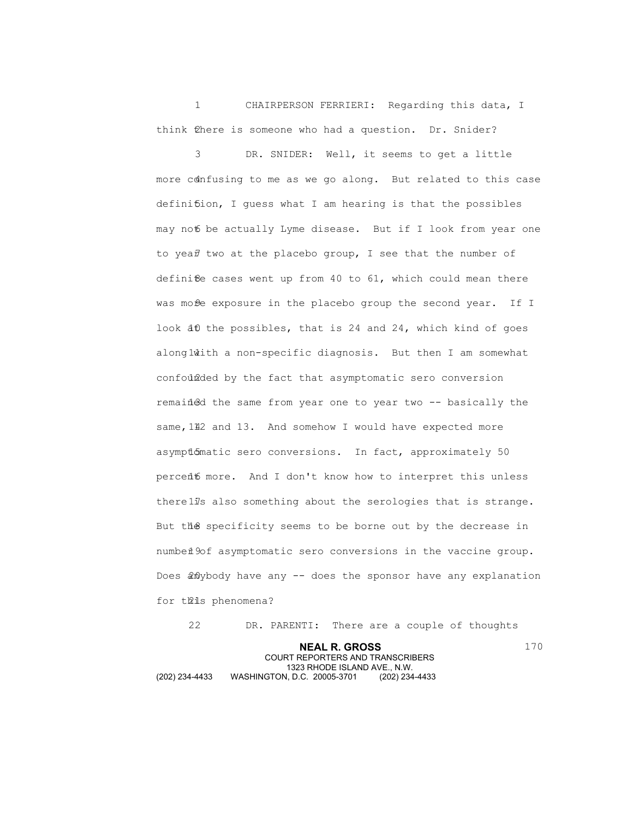CHAIRPERSON FERRIERI: Regarding this data, I 1 think there is someone who had a question. Dr. Snider?

3 DR. SNIDER: Well, it seems to get a little more confusing to me as we go along. But related to this case definition, I quess what I am hearing is that the possibles may not be actually Lyme disease. But if I look from year one to year two at the placebo group, I see that the number of definite cases went up from 40 to 61, which could mean there was mofe exposure in the placebo group the second year. If I look  $d\theta$  the possibles, that is 24 and 24, which kind of goes along luith a non-specific diagnosis. But then I am somewhat confounded by the fact that asymptomatic sero conversion remained the same from year one to year two -- basically the same, 112 and 13. And somehow I would have expected more asymptomatic sero conversions. In fact, approximately 50 percent more. And I don't know how to interpret this unless there lis also something about the serologies that is strange. But the specificity seems to be borne out by the decrease in numbei 9of asymptomatic sero conversions in the vaccine group. Does  $\hat{\mathbb{A}}$  flybody have any -- does the sponsor have any explanation for this phenomena?

22 DR. PARENTI: There are a couple of thoughts

**NEAL R. GROSS** COURT REPORTERS AND TRANSCRIBERS 1323 RHODE ISLAND AVE., N.W. (202) 234-4433 WASHINGTON, D.C. 20005-3701 (202) 234-4433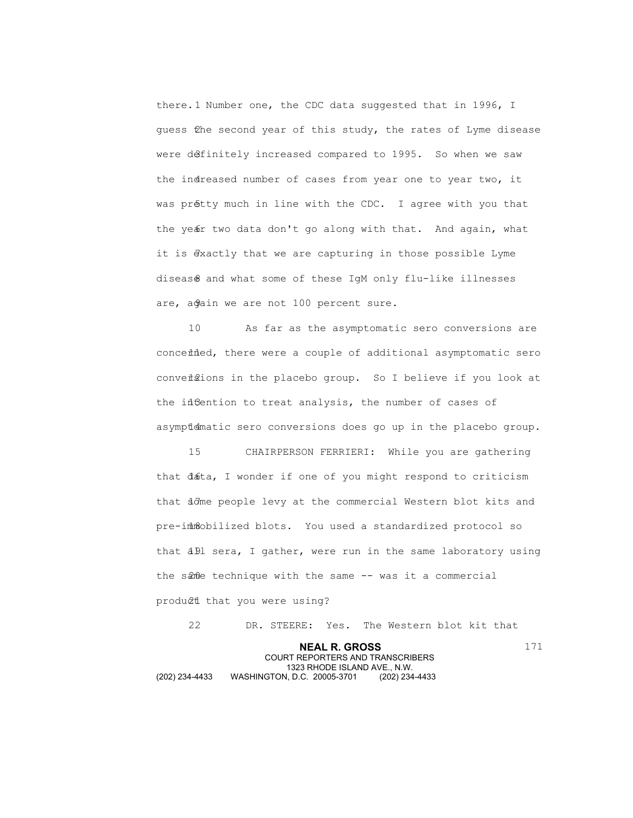there. 1 Number one, the CDC data suggested that in 1996, I quess the second year of this study, the rates of Lyme disease were definitely increased compared to 1995. So when we saw the indreased number of cases from year one to year two, it was prétty much in line with the CDC. I agree with you that the year two data don't go along with that. And again, what it is exactly that we are capturing in those possible Lyme diseas& and what some of these IqM only flu-like illnesses are, again we are not 100 percent sure.

10 As far as the asymptomatic sero conversions are conceined, there were a couple of additional asymptomatic sero conveisions in the placebo group. So I believe if you look at the intention to treat analysis, the number of cases of asymptidmatic sero conversions does go up in the placebo group.

 CHAIRPERSON FERRIERI: While you are gathering 15 that data, I wonder if one of you might respond to criticism that *do*me people levy at the commercial Western blot kits and pre-immobilized blots. You used a standardized protocol so that all sera, I gather, were run in the same laboratory using the same technique with the same  $--$  was it a commercial product that you were using?

22 DR. STEERE: Yes. The Western blot kit that

**NEAL R. GROSS** COURT REPORTERS AND TRANSCRIBERS 1323 RHODE ISLAND AVE., N.W. (202) 234-4433 WASHINGTON, D.C. 20005-3701 (202) 234-4433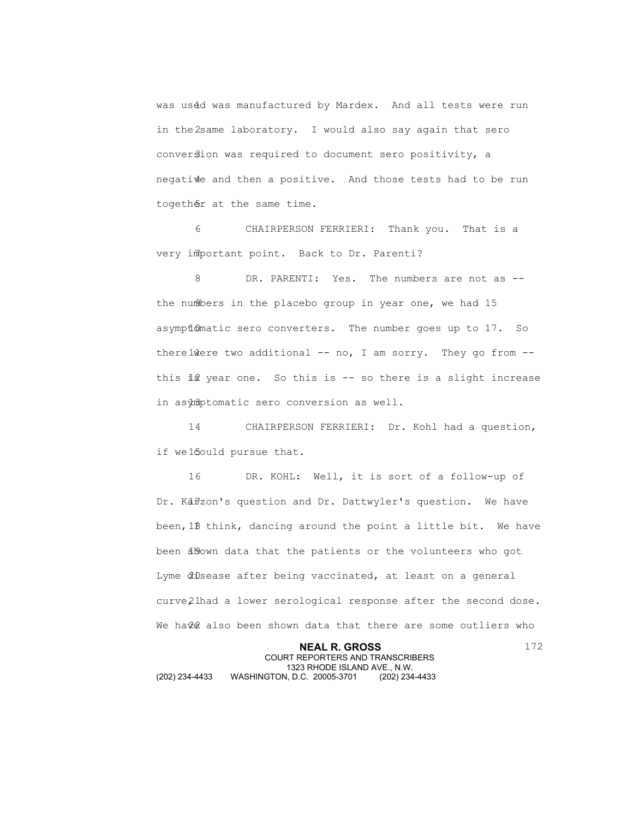was used was manufactured by Mardex. And all tests were run in the 2same laboratory. I would also say again that sero conversion was required to document sero positivity, a negative and then a positive. And those tests had to be run together at the same time.

6 CHAIRPERSON FERRIERI: Thank you. That is a very important point. Back to Dr. Parenti?

8 DR. PARENTI: Yes. The numbers are not as -the numbers in the placebo group in year one, we had 15 asymptomatic sero converters. The number goes up to 17. So there lutere two additional  $--$  no, I am sorry. They go from  $-$ this is year one. So this is  $-$  so there is a slight increase in asymptomatic sero conversion as well.

 CHAIRPERSON FERRIERI: Dr. Kohl had a question, 14 if we 15ould pursue that.

16 DR. KOHL: Well, it is sort of a follow-up of Dr. Kafzon's question and Dr. Dattwyler's question. We have been, 18 think, dancing around the point a little bit. We have been diown data that the patients or the volunteers who got Lyme albsease after being vaccinated, at least on a general curve, 21had a lower serological response after the second dose. We have also been shown data that there are some outliers who

**NEAL R. GROSS** COURT REPORTERS AND TRANSCRIBERS 1323 RHODE ISLAND AVE., N.W. (202) 234-4433 WASHINGTON, D.C. 20005-3701 (202) 234-4433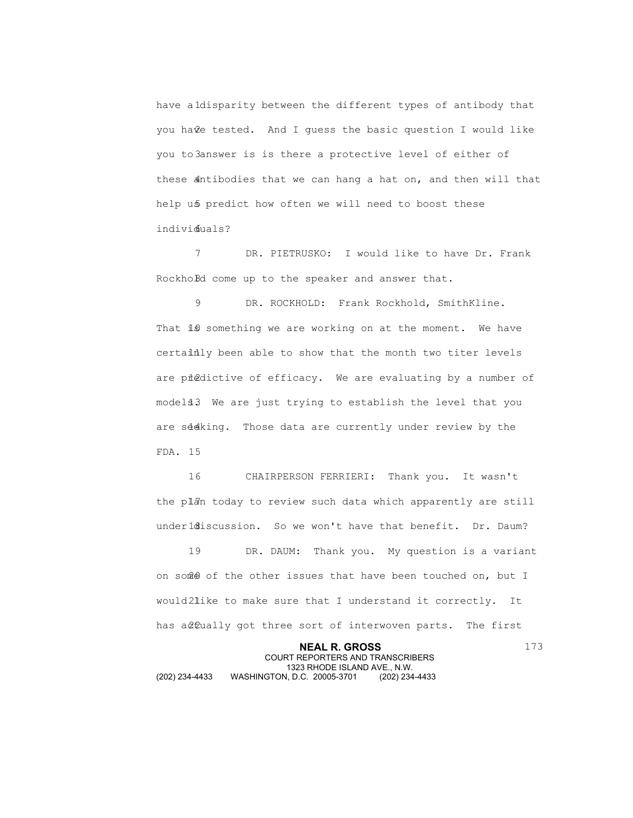have a ldisparity between the different types of antibody that you have tested. And I quess the basic question I would like you to 3answer is is there a protective level of either of these antibodies that we can hang a hat on, and then will that help us predict how often we will need to boost these individuals? 6

7 DR. PIETRUSKO: I would like to have Dr. Frank Rockhold come up to the speaker and answer that.

9 DR. ROCKHOLD: Frank Rockhold, SmithKline. That is something we are working on at the moment. We have certainly been able to show that the month two titer levels are piedictive of efficacy. We are evaluating by a number of models3 We are just trying to establish the level that you are séeking. Those data are currently under review by the FDA. 15

16 CHAIRPERSON FERRIERI: Thank you. It wasn't the plan today to review such data which apparently are still under losiscussion. So we won't have that benefit. Dr. Daum?

19 DR. DAUM: Thank you. My question is a variant on some of the other issues that have been touched on, but I would 2like to make sure that I understand it correctly. It has a&fually got three sort of interwoven parts. The first

**NEAL R. GROSS** COURT REPORTERS AND TRANSCRIBERS 1323 RHODE ISLAND AVE., N.W. (202) 234-4433 WASHINGTON, D.C. 20005-3701 (202) 234-4433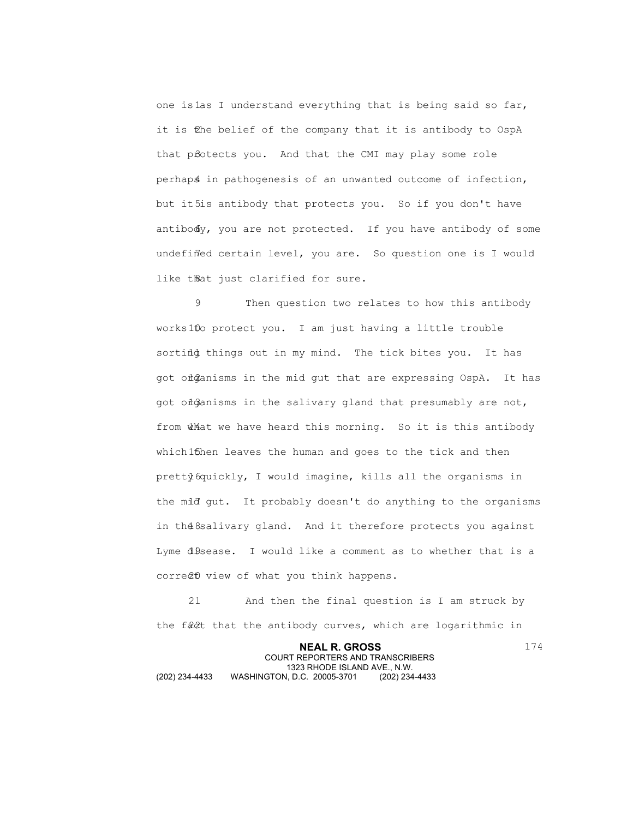one is las I understand everything that is being said so far, it is the belief of the company that it is antibody to OspA that protects you. And that the CMI may play some role perhaps in pathogenesis of an unwanted outcome of infection, but it 5 is antibody that protects you. So if you don't have antibo $\mathcal{L}_{V}$ , you are not protected. If you have antibody of some undefined certain level, you are. So question one is I would like that just clarified for sure.

 Then question two relates to how this antibody 9 works 100 protect you. I am just having a little trouble sorting things out in my mind. The tick bites you. It has got of ganisms in the mid gut that are expressing OspA. It has got of Ganisms in the salivary gland that presumably are not, from what we have heard this morning. So it is this antibody which 15hen leaves the human and goes to the tick and then prett $\oint$  6quickly, I would imagine, kills all the organisms in the mid qut. It probably doesn't do anything to the organisms in the 8salivary gland. And it therefore protects you against Lyme disease. I would like a comment as to whether that is a  $core@t$  view of what you think happens.

 And then the final question is I am struck by 21 the fact that the antibody curves, which are logarithmic in

**NEAL R. GROSS** COURT REPORTERS AND TRANSCRIBERS 1323 RHODE ISLAND AVE., N.W. (202) 234-4433 WASHINGTON, D.C. 20005-3701 (202) 234-4433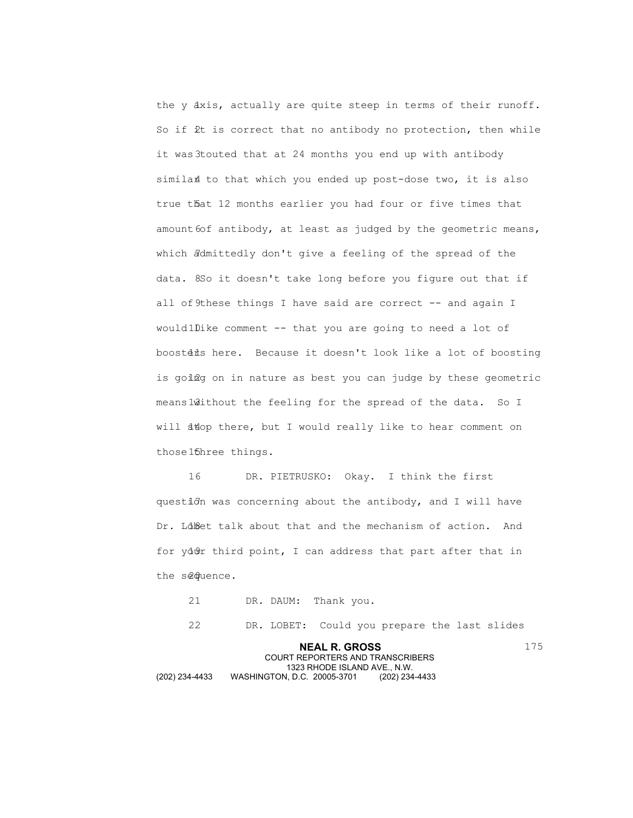the y axis, actually are quite steep in terms of their runoff. So if it is correct that no antibody no protection, then while it was 3touted that at 24 months you end up with antibody similar to that which you ended up post-dose two, it is also true that 12 months earlier you had four or five times that amount  $6$ of antibody, at least as judged by the geometric means, which admittedly don't give a feeling of the spread of the data. 8So it doesn't take long before you figure out that if all of 9these things I have said are correct  $-$ - and again I would 1Dike comment -- that you are going to need a lot of boostans here. Because it doesn't look like a lot of boosting is going on in nature as best you can judge by these geometric means lwithout the feeling for the spread of the data. So I will *stop* there, but I would really like to hear comment on those 15hree things.

16 DR. PIETRUSKO: Okay. I think the first question was concerning about the antibody, and I will have Dr. Lobet talk about that and the mechanism of action. And for ydur third point, I can address that part after that in the seduence.

DR. DAUM: Thank you. 21

22 DR. LOBET: Could you prepare the last slides

**NEAL R. GROSS** COURT REPORTERS AND TRANSCRIBERS 1323 RHODE ISLAND AVE., N.W. (202) 234-4433 WASHINGTON, D.C. 20005-3701 (202) 234-4433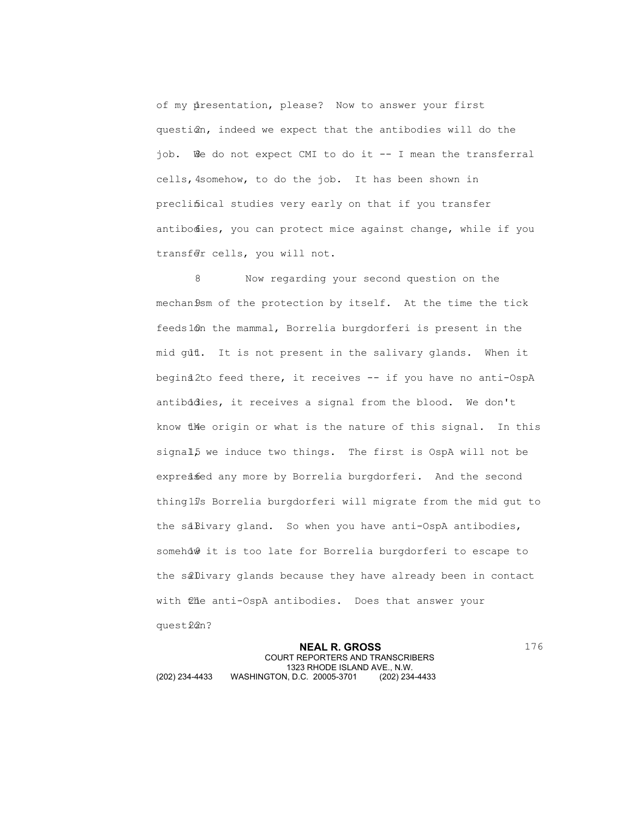of my presentation, please? Now to answer your first questi $\hat{a}$ n, indeed we expect that the antibodies will do the job. We do not expect CMI to do it  $-$  I mean the transferral cells, 4somehow, to do the job. It has been shown in preclifical studies very early on that if you transfer antibodies, you can protect mice against change, while if you transfer cells, you will not.

8 Now regarding your second question on the mechan $\beta$ sm of the protection by itself. At the time the tick feeds 10n the mammal, Borrelia burgdorferi is present in the mid gut. It is not present in the salivary glands. When it begins 2to feed there, it receives  $-$ - if you have no anti-OspA antibddies, it receives a signal from the blood. We don't know the origin or what is the nature of this signal. In this signal, we induce two things. The first is OspA will not be expressed any more by Borrelia burgdorferi. And the second thing 1Js Borrelia burgdorferi will migrate from the mid gut to the saldivary gland. So when you have anti-OspA antibodies, somehd $\emptyset$  it is too late for Borrelia burgdorferi to escape to the sallivary glands because they have already been in contact with the anti-OspA antibodies. Does that answer your quest<sub>22n?</sub>

**NEAL R. GROSS** COURT REPORTERS AND TRANSCRIBERS 1323 RHODE ISLAND AVE., N.W. (202) 234-4433 WASHINGTON, D.C. 20005-3701 (202) 234-4433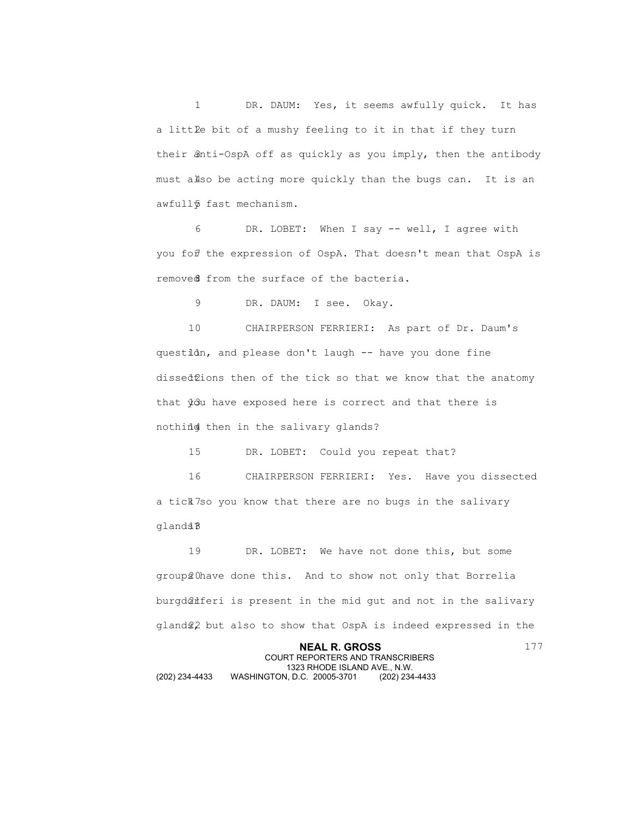1 DR. DAUM: Yes, it seems awfully quick. It has a little bit of a mushy feeling to it in that if they turn their anti-OspA off as quickly as you imply, then the antibody must also be acting more quickly than the bugs can. It is an awfully fast mechanism. 5

6 DR. LOBET: When I say -- well, I agree with you fof the expression of OspA. That doesn't mean that OspA is remove& from the surface of the bacteria.

9 DR. DAUM: I see. Okay.

 CHAIRPERSON FERRIERI: As part of Dr. Daum's 10 questidn, and please don't laugh -- have you done fine dissedflions then of the tick so that we know that the anatomy that  $\psi$ 3u have exposed here is correct and that there is nothing then in the salivary glands?

15 DR. LOBET: Could you repeat that?

 CHAIRPERSON FERRIERI: Yes. Have you dissected 16 a tick 7so you know that there are no bugs in the salivary glands?

19 DR. LOBET: We have not done this, but some group 20 have done this. And to show not only that Borrelia burgdatferi is present in the mid gut and not in the salivary gland\$2 but also to show that OspA is indeed expressed in the

**NEAL R. GROSS** COURT REPORTERS AND TRANSCRIBERS 1323 RHODE ISLAND AVE., N.W. (202) 234-4433 WASHINGTON, D.C. 20005-3701 (202) 234-4433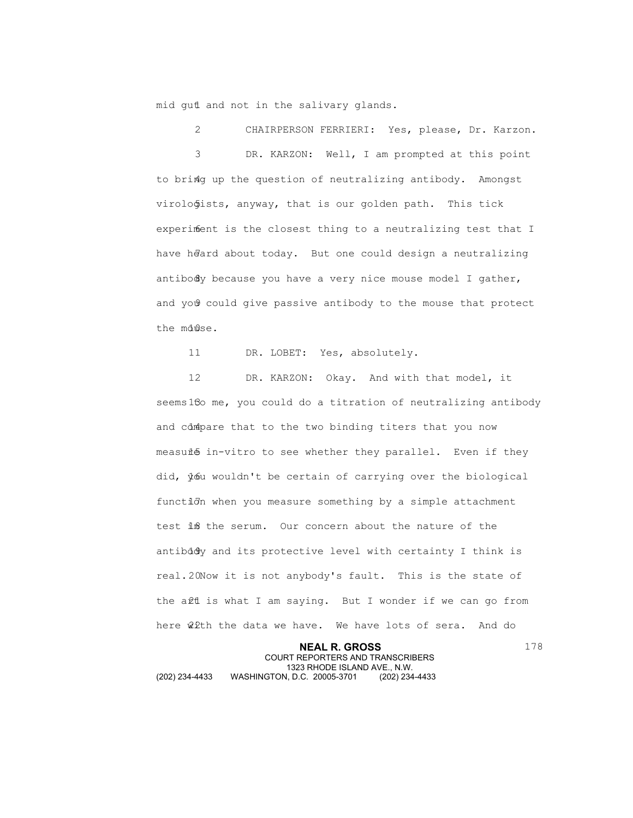mid gut and not in the salivary glands. 1

 CHAIRPERSON FERRIERI: Yes, please, Dr. Karzon. 2 3 DR. KARZON: Well, I am prompted at this point to bring up the question of neutralizing antibody. Amongst virologists, anyway, that is our golden path. This tick experiment is the closest thing to a neutralizing test that I have heard about today. But one could design a neutralizing antibo $dy$  because you have a very nice mouse model I gather, and you could give passive antibody to the mouse that protect the mounse.

11 DR. LOBET: Yes, absolutely.

12 DR. KARZON: Okay. And with that model, it seems 180 me, you could do a titration of neutralizing antibody and cdmipare that to the two binding titers that you now measuis in-vitro to see whether they parallel. Even if they did,  $\psi$  wouldn't be certain of carrying over the biological function when you measure something by a simple attachment test im the serum. Our concern about the nature of the antibd&y and its protective level with certainty I think is real. 20Now it is not anybody's fault. This is the state of the all is what I am saying. But I wonder if we can go from here with the data we have. We have lots of sera. And do

**NEAL R. GROSS** COURT REPORTERS AND TRANSCRIBERS 1323 RHODE ISLAND AVE., N.W. (202) 234-4433 WASHINGTON, D.C. 20005-3701 (202) 234-4433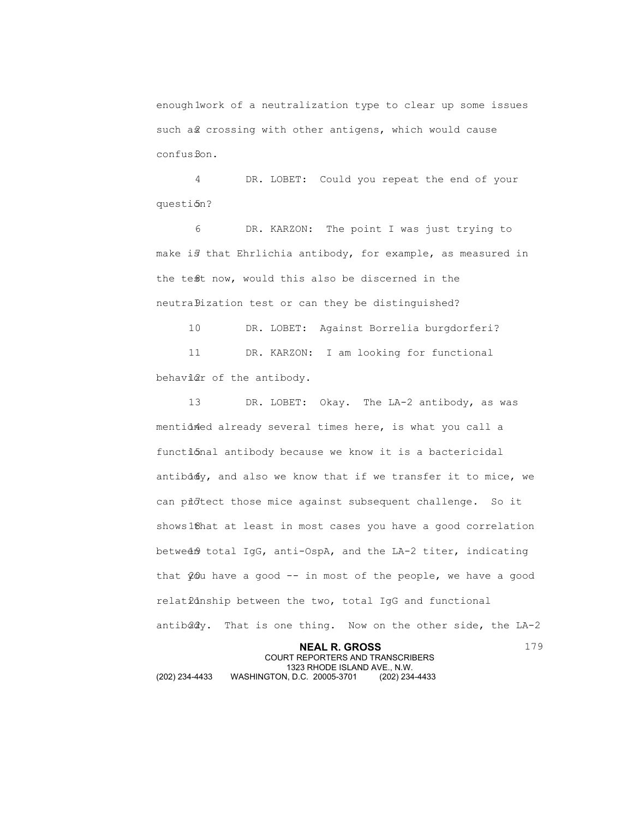enough lwork of a neutralization type to clear up some issues such as crossing with other antigens, which would cause confusion.

4 DR. LOBET: Could you repeat the end of your question?

6 DR. KARZON: The point I was just trying to make is that Ehrlichia antibody, for example, as measured in the test now, would this also be discerned in the neutralization test or can they be distinguished? 9

10 DR. LOBET: Against Borrelia burgdorferi?

11 DR. KARZON: I am looking for functional behavidr of the antibody.

13 DR. LOBET: Okay. The LA-2 antibody, as was mentidmed already several times here, is what you call a functional antibody because we know it is a bactericidal antibdoy, and also we know that if we transfer it to mice, we can piddtect those mice against subsequent challenge. So it shows 18 hat at least in most cases you have a good correlation betwedn total IgG, anti-OspA, and the LA-2 titer, indicating that  $\varphi$  ou have a good -- in most of the people, we have a good relatidnship between the two, total IgG and functional antib $@y$ . That is one thing. Now on the other side, the LA-2

179

**NEAL R. GROSS** COURT REPORTERS AND TRANSCRIBERS 1323 RHODE ISLAND AVE., N.W. (202) 234-4433 WASHINGTON, D.C. 20005-3701 (202) 234-4433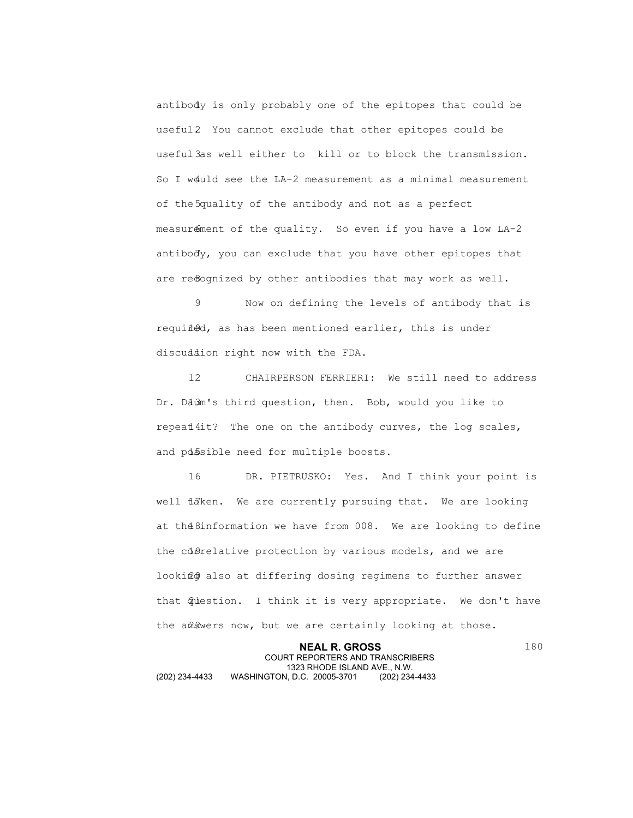antibody is only probably one of the epitopes that could be useful2 You cannot exclude that other epitopes could be useful 3as well either to kill or to block the transmission. So I would see the LA-2 measurement as a minimal measurement of the 5quality of the antibody and not as a perfect measurement of the quality. So even if you have a low LA-2 antibody, you can exclude that you have other epitopes that are recognized by other antibodies that may work as well.

 Now on defining the levels of antibody that is 9 requified, as has been mentioned earlier, this is under discussion right now with the FDA.

 CHAIRPERSON FERRIERI: We still need to address 12 Dr. Daum's third question, then. Bob, would you like to repeat 4it? The one on the antibody curves, the log scales, and pdssible need for multiple boosts.

16 DR. PIETRUSKO: Yes. And I think your point is well flaken. We are currently pursuing that. We are looking at the 8information we have from 008. We are looking to define the cdfrelative protection by various models, and we are looking also at differing dosing regimens to further answer that *q*uestion. I think it is very appropriate. We don't have the aû&wers now, but we are certainly looking at those.

**NEAL R. GROSS** COURT REPORTERS AND TRANSCRIBERS 1323 RHODE ISLAND AVE., N.W. (202) 234-4433 WASHINGTON, D.C. 20005-3701 (202) 234-4433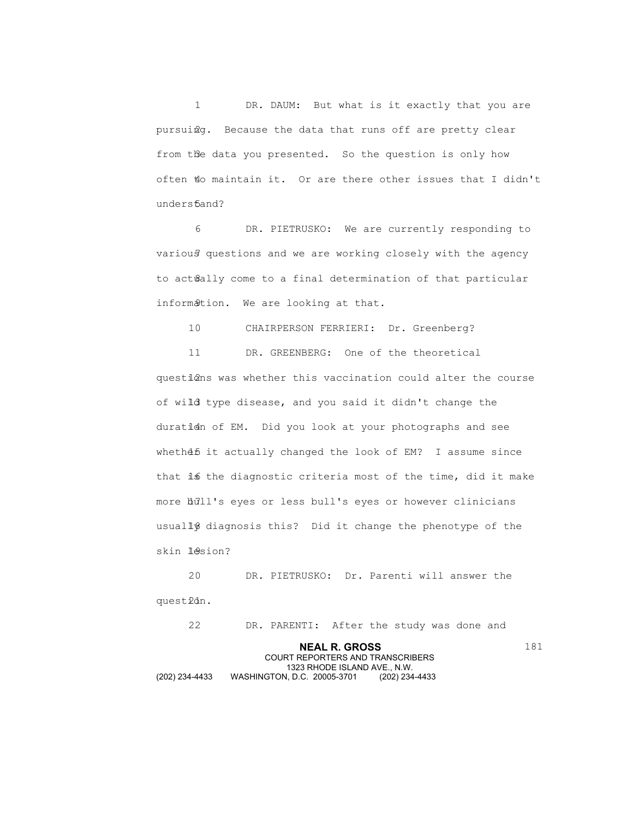1 DR. DAUM: But what is it exactly that you are pursuing. Because the data that runs off are pretty clear from the data you presented. So the question is only how often to maintain it. Or are there other issues that I didn't understand?

 DR. PIETRUSKO: We are currently responding to 6 various questions and we are working closely with the agency to act@ally come to a final determination of that particular inform<sup>2</sup>tion. We are looking at that.

CHAIRPERSON FERRIERI: Dr. Greenberg? 10

11 DR. GREENBERG: One of the theoretical questions was whether this vaccination could alter the course of wild type disease, and you said it didn't change the duration of EM. Did you look at your photographs and see whetheb it actually changed the look of EM? I assume since that is the diagnostic criteria most of the time, did it make more hull's eyes or less bull's eyes or however clinicians usuall\$ diagnosis this? Did it change the phenotype of the skin 10sion?

20 DR. PIETRUSKO: Dr. Parenti will answer the question.

22 DR. PARENTI: After the study was done and

**NEAL R. GROSS** COURT REPORTERS AND TRANSCRIBERS 1323 RHODE ISLAND AVE., N.W. (202) 234-4433 WASHINGTON, D.C. 20005-3701 (202) 234-4433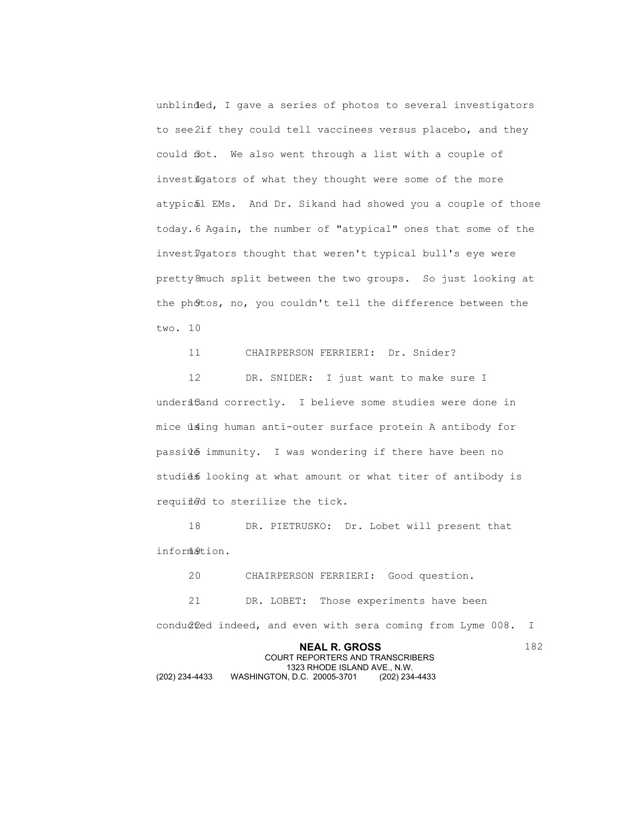unblinded, I gave a series of photos to several investigators to see 2if they could tell vaccinees versus placebo, and they could flot. We also went through a list with a couple of investigators of what they thought were some of the more atypical EMs. And Dr. Sikand had showed you a couple of those today. 6 Again, the number of "atypical" ones that some of the investigators thought that weren't typical bull's eye were pretty 8much split between the two groups. So just looking at the photos, no, you couldn't tell the difference between the two. 10

CHAIRPERSON FERRIERI: Dr. Snider? 11

12 DR. SNIDER: I just want to make sure I understand correctly. I believe some studies were done in mice using human anti-outer surface protein A antibody for passive immunity. I was wondering if there have been no studies looking at what amount or what titer of antibody is requified to sterilize the tick.

18 DR. PIETRUSKO: Dr. Lobet will present that information.

CHAIRPERSON FERRIERI: Good question. 20

21 DR. LOBET: Those experiments have been condu2ted indeed, and even with sera coming from Lyme 008. I

**NEAL R. GROSS** COURT REPORTERS AND TRANSCRIBERS 1323 RHODE ISLAND AVE., N.W. (202) 234-4433 WASHINGTON, D.C. 20005-3701 (202) 234-4433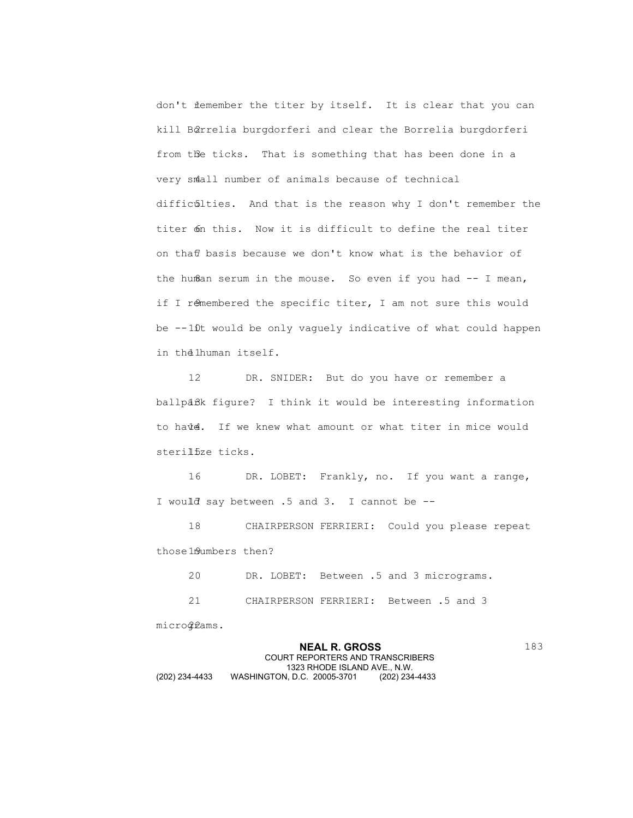don't flemember the titer by itself. It is clear that you can kill Barrelia burgdorferi and clear the Borrelia burgdorferi from the ticks. That is something that has been done in a very small number of animals because of technical difficulties. And that is the reason why I don't remember the titer 6n this. Now it is difficult to define the real titer on that basis because we don't know what is the behavior of the human serum in the mouse. So even if you had  $-$  I mean, if I remembered the specific titer, I am not sure this would be  $-$ -10t would be only vaguely indicative of what could happen in the 1human itself.

12 DR. SNIDER: But do you have or remember a ballpaßk figure? I think it would be interesting information to haid. If we knew what amount or what titer in mice would sterilbze ticks.

16 DR. LOBET: Frankly, no. If you want a range, I would say between .5 and 3. I cannot be  $-$ -

18 CHAIRPERSON FERRIERI: Could you please repeat those 100 umbers then?

20 DR. LOBET: Between .5 and 3 micrograms. CHAIRPERSON FERRIERI: Between .5 and 3 21

microcans.

**NEAL R. GROSS** COURT REPORTERS AND TRANSCRIBERS 1323 RHODE ISLAND AVE., N.W. (202) 234-4433 WASHINGTON, D.C. 20005-3701 (202) 234-4433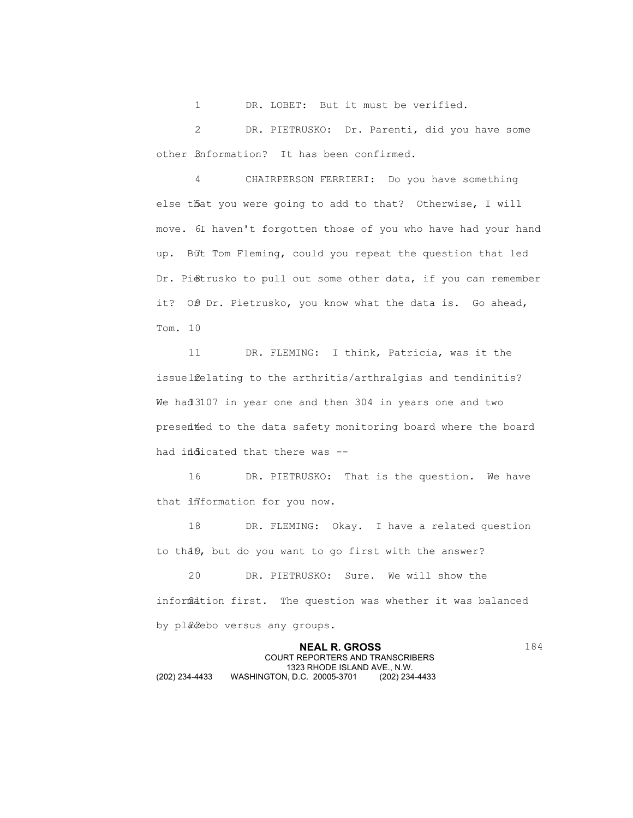1 DR. LOBET: But it must be verified.

2 DR. PIETRUSKO: Dr. Parenti, did you have some other Bnformation? It has been confirmed.

 CHAIRPERSON FERRIERI: Do you have something 4 else that you were going to add to that? Otherwise, I will move. 6I haven't forgotten those of you who have had your hand up. But Tom Fleming, could you repeat the question that led Dr. Pi&trusko to pull out some other data, if you can remember it? Of Dr. Pietrusko, you know what the data is. Go ahead, Tom. 10

11 DR. FLEMING: I think, Patricia, was it the issue lielating to the arthritis/arthralgias and tendinitis? We had 3107 in year one and then 304 in years one and two presented to the data safety monitoring board where the board had indicated that there was  $-$ 

16 DR. PIETRUSKO: That is the question. We have that information for you now.

18 DR. FLEMING: Okay. I have a related question to that, but do you want to go first with the answer?

20 DR. PIETRUSKO: Sure. We will show the information first. The question was whether it was balanced by placebo versus any groups.

**NEAL R. GROSS** COURT REPORTERS AND TRANSCRIBERS 1323 RHODE ISLAND AVE., N.W. (202) 234-4433 WASHINGTON, D.C. 20005-3701 (202) 234-4433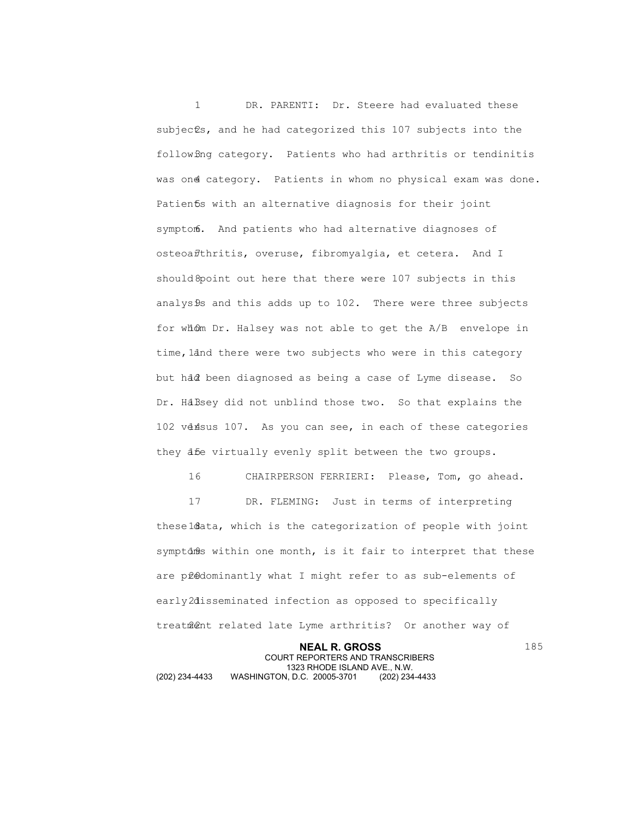1 DR. PARENTI: Dr. Steere had evaluated these subjects, and he had categorized this 107 subjects into the following category. Patients who had arthritis or tendinitis was one category. Patients in whom no physical exam was done. Patients with an alternative diagnosis for their joint symptom. And patients who had alternative diagnoses of osteoarthritis, overuse, fibromyalgia, et cetera. And I should 8point out here that there were 107 subjects in this analys $\frac{1}{2}$ s and this adds up to 102. There were three subjects for whom Dr. Halsey was not able to get the A/B envelope in time, land there were two subjects who were in this category but had been diagnosed as being a case of Lyme disease. So Dr. Halsey did not unblind those two. So that explains the 102 vérsus 107. As you can see, in each of these categories they affe virtually evenly split between the two groups.

CHAIRPERSON FERRIERI: Please, Tom, go ahead. 16

17 DR. FLEMING: Just in terms of interpreting these loata, which is the categorization of people with joint symptdmes within one month, is it fair to interpret that these are pi@dominantly what I might refer to as sub-elements of early 2disseminated infection as opposed to specifically treatment related late Lyme arthritis? Or another way of

**NEAL R. GROSS** COURT REPORTERS AND TRANSCRIBERS 1323 RHODE ISLAND AVE., N.W. (202) 234-4433 WASHINGTON, D.C. 20005-3701 (202) 234-4433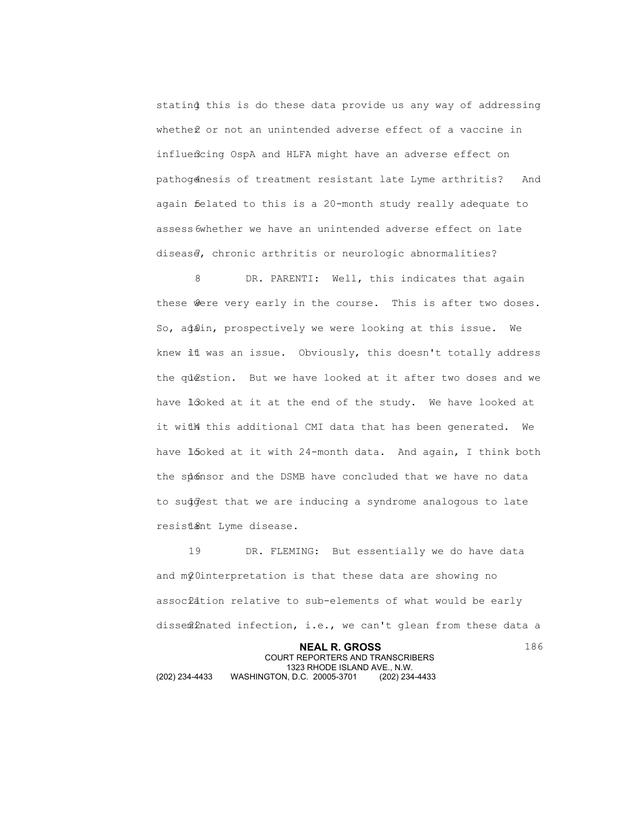stating this is do these data provide us any way of addressing whethef or not an unintended adverse effect of a vaccine in influencing OspA and HLFA might have an adverse effect on pathogenesis of treatment resistant late Lyme arthritis? And again felated to this is a 20-month study really adequate to assess 6whether we have an unintended adverse effect on late disease, chronic arthritis or neurologic abnormalities?

8 DR. PARENTI: Well, this indicates that again these were very early in the course. This is after two doses. So, adain, prospectively we were looking at this issue. We knew it was an issue. Obviously, this doesn't totally address the question. But we have looked at it after two doses and we have looked at it at the end of the study. We have looked at it with this additional CMI data that has been generated. We have 15 oked at it with 24-month data. And again, I think both the spionsor and the DSMB have concluded that we have no data to suddest that we are inducing a syndrome analogous to late resistant Lyme disease.

19 DR. FLEMING: But essentially we do have data and  $m\mathcal{D}$  Ointerpretation is that these data are showing no assoc $2$ dtion relative to sub-elements of what would be early dissem2nated infection, i.e., we can't glean from these data a

**NEAL R. GROSS** COURT REPORTERS AND TRANSCRIBERS 1323 RHODE ISLAND AVE., N.W. (202) 234-4433 WASHINGTON, D.C. 20005-3701 (202) 234-4433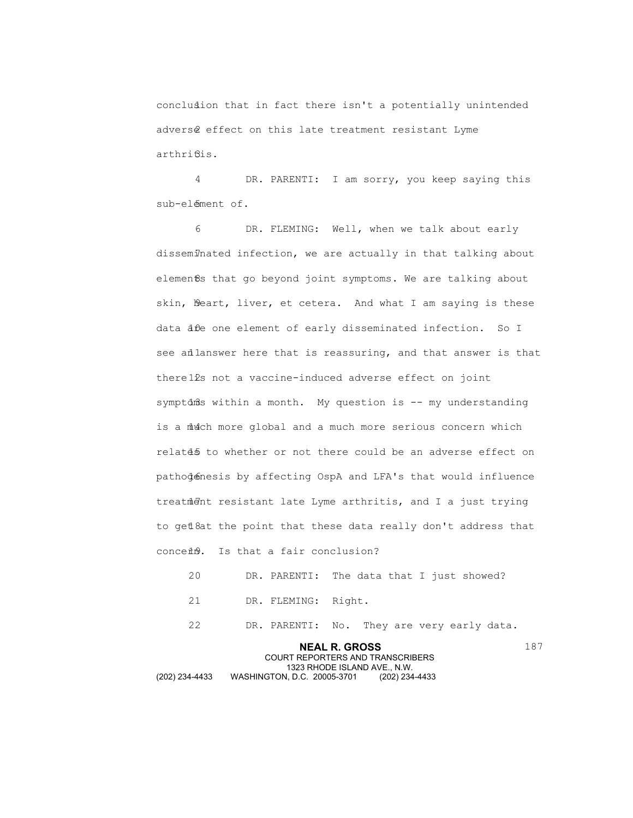conclusion that in fact there isn't a potentially unintended adverse effect on this late treatment resistant Lyme arthrißis.

 DR. PARENTI: I am sorry, you keep saying this 4 sub-element of.

6 DR. FLEMING: Well, when we talk about early disseminated infection, we are actually in that talking about elements that go beyond joint symptoms. We are talking about skin, Beart, liver, et cetera. And what I am saying is these data afe one element of early disseminated infection. So I see an lanswer here that is reassuring, and that answer is that there 12s not a vaccine-induced adverse effect on joint symptoms within a month. My question is  $--$  my understanding is a midch more global and a much more serious concern which relates to whether or not there could be an adverse effect on pathodenesis by affecting OspA and LFA's that would influence treatment resistant late Lyme arthritis, and I a just trying to get 8at the point that these data really don't address that concein. Is that a fair conclusion?

20 DR. PARENTI: The data that I just showed? DR. FLEMING: Right. 21 22 DR. PARENTI: No. They are very early data.

**NEAL R. GROSS** COURT REPORTERS AND TRANSCRIBERS 1323 RHODE ISLAND AVE., N.W. (202) 234-4433 WASHINGTON, D.C. 20005-3701 (202) 234-4433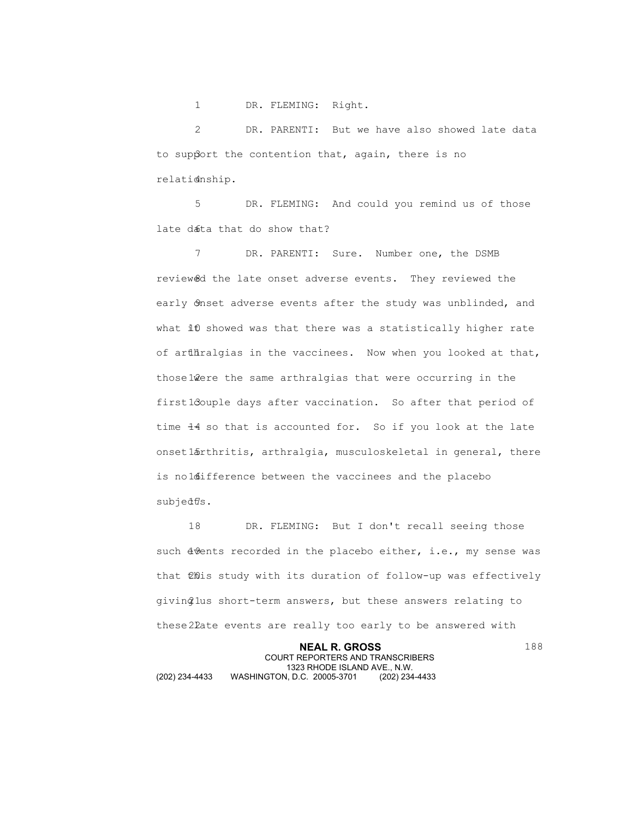1 DR. FLEMING: Right.

 DR. PARENTI: But we have also showed late data 2 to support the contention that, again, there is no relatidnship.

5 DR. FLEMING: And could you remind us of those late data that do show that?

7 DR. PARENTI: Sure. Number one, the DSMB review&d the late onset adverse events. They reviewed the early Onset adverse events after the study was unblinded, and what if showed was that there was a statistically higher rate of artHralgias in the vaccinees. Now when you looked at that, those liere the same arthralgias that were occurring in the first louple days after vaccination. So after that period of time 44 so that is accounted for. So if you look at the late onset lärthritis, arthralgia, musculoskeletal in general, there is no lofifference between the vaccinees and the placebo subjedfs.

18 DR. FLEMING: But I don't recall seeing those such dients recorded in the placebo either, i.e., my sense was that this study with its duration of follow-up was effectively giving lus short-term answers, but these answers relating to these 22ate events are really too early to be answered with

**NEAL R. GROSS** COURT REPORTERS AND TRANSCRIBERS 1323 RHODE ISLAND AVE., N.W. (202) 234-4433 WASHINGTON, D.C. 20005-3701 (202) 234-4433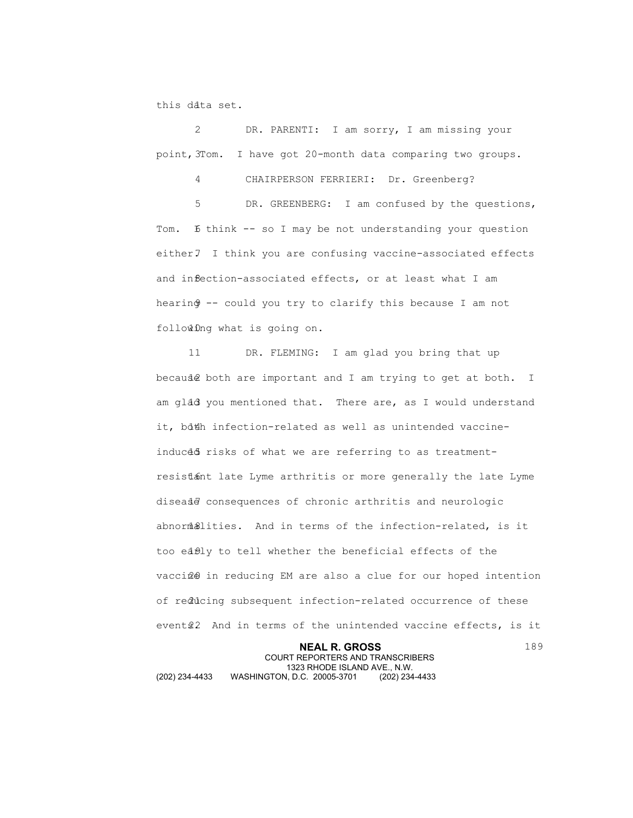this data set.

2 DR. PARENTI: I am sorry, I am missing your point, 3Tom. I have got 20-month data comparing two groups.

CHAIRPERSON FERRIERI: Dr. Greenberg? 4

5 DR. GREENBERG: I am confused by the questions, Tom. I think -- so I may be not understanding your question either7 I think you are confusing vaccine-associated effects and infection-associated effects, or at least what I am hearin $\theta$  -- could you try to clarify this because I am not following what is going on.

11 DR. FLEMING: I am glad you bring that up because both are important and I am trying to get at both. I am glad you mentioned that. There are, as I would understand it, bdth infection-related as well as unintended vaccineinduced risks of what we are referring to as treatmentresistiont late Lyme arthritis or more generally the late Lyme diseasd consequences of chronic arthritis and neurologic abnormalities. And in terms of the infection-related, is it too edfly to tell whether the beneficial effects of the  $vaci\Omega\Theta$  in reducing EM are also a clue for our hoped intention of reducing subsequent infection-related occurrence of these event\$2 And in terms of the unintended vaccine effects, is it

189

**NEAL R. GROSS** COURT REPORTERS AND TRANSCRIBERS 1323 RHODE ISLAND AVE., N.W. (202) 234-4433 WASHINGTON, D.C. 20005-3701 (202) 234-4433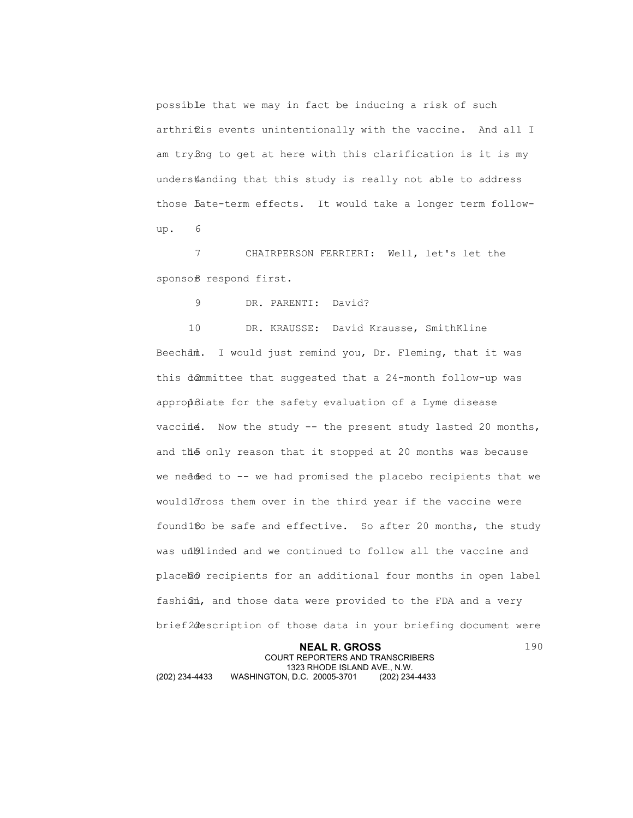possible that we may in fact be inducing a risk of such arthritis events unintentionally with the vaccine. And all I am tryBng to get at here with this clarification is it is my understanding that this study is really not able to address those Date-term effects. It would take a longer term followup. 6

7 CHAIRPERSON FERRIERI: Well, let's let the sponsoß respond first.

DR. PARENTI: David? 9

10 DR. KRAUSSE: David Krausse, SmithKline Beecham. I would just remind you, Dr. Fleming, that it was this dammittee that suggested that a 24-month follow-up was appropisiate for the safety evaluation of a Lyme disease vaccine. Now the study  $-$ - the present study lasted 20 months, and the only reason that it stopped at 20 months was because we nedded to  $-$ - we had promised the placebo recipients that we would laross them over in the third year if the vaccine were found 180 be safe and effective. So after 20 months, the study was unblinded and we continued to follow all the vaccine and place20 recipients for an additional four months in open label fashi $@1$ , and those data were provided to the FDA and a very brief 2description of those data in your briefing document were

190

**NEAL R. GROSS** COURT REPORTERS AND TRANSCRIBERS 1323 RHODE ISLAND AVE., N.W. (202) 234-4433 WASHINGTON, D.C. 20005-3701 (202) 234-4433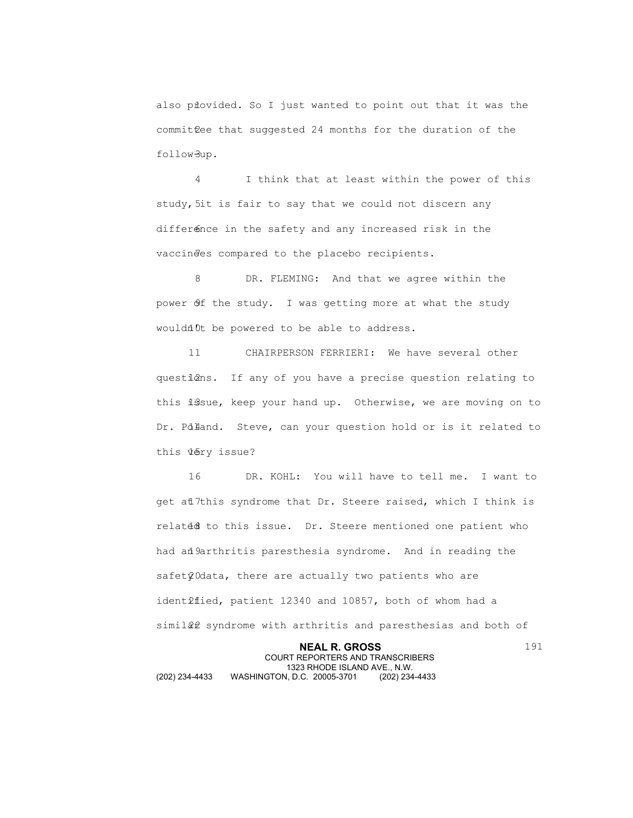also piovided. So I just wanted to point out that it was the committee that suggested 24 months for the duration of the follow-3up.

 I think that at least within the power of this 4 study, 5it is fair to say that we could not discern any difference in the safety and any increased risk in the vaccinees compared to the placebo recipients.

8 DR. FLEMING: And that we agree within the power  $\Theta$ f the study. I was getting more at what the study wouldn'Ut be powered to be able to address.

 CHAIRPERSON FERRIERI: We have several other 11 questi $\&$  If any of you have a precise question relating to this issue, keep your hand up. Otherwise, we are moving on to Dr. Pdland. Steve, can your question hold or is it related to this *d*ery issue?

16 DR. KOHL: You will have to tell me. I want to get af 7this syndrome that Dr. Steere raised, which I think is related to this issue. Dr. Steere mentioned one patient who had afl 9 arthritis paresthesia syndrome. And in reading the  $s$ afet $\hat{y}$ Odata, there are actually two patients who are identlfied, patient 12340 and 10857, both of whom had a similar syndrome with arthritis and paresthesias and both of

**NEAL R. GROSS** COURT REPORTERS AND TRANSCRIBERS 1323 RHODE ISLAND AVE., N.W. (202) 234-4433 WASHINGTON, D.C. 20005-3701 (202) 234-4433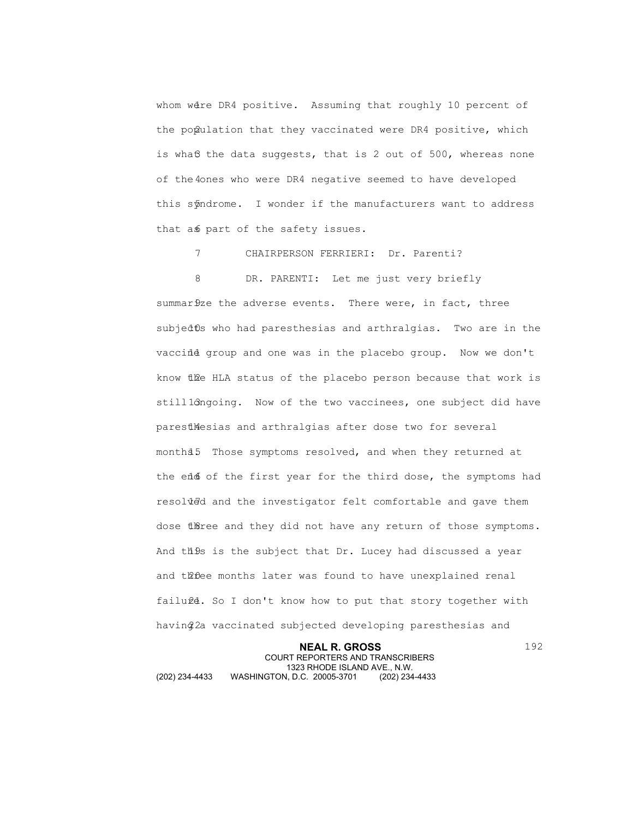whom were DR4 positive. Assuming that roughly 10 percent of the population that they vaccinated were DR4 positive, which is what the data suggests, that is 2 out of 500, whereas none of the 4ones who were DR4 negative seemed to have developed this syndrome. I wonder if the manufacturers want to address that as part of the safety issues.

7 CHAIRPERSON FERRIERI: Dr. Parenti?

8 DR. PARENTI: Let me just very briefly summarflze the adverse events. There were, in fact, three subjedts who had paresthesias and arthralgias. Two are in the vaccine group and one was in the placebo group. Now we don't know flie HLA status of the placebo person because that work is still lângoing. Now of the two vaccinees, one subject did have parestMesias and arthralgias after dose two for several months5 Those symptoms resolved, and when they returned at the end of the first year for the third dose, the symptoms had resolied and the investigator felt comfortable and gave them dose floree and they did not have any return of those symptoms. And this is the subject that Dr. Lucey had discussed a year and the months later was found to have unexplained renal failu $24.$  So I don't know how to put that story together with having 2a vaccinated subjected developing paresthesias and

**NEAL R. GROSS** COURT REPORTERS AND TRANSCRIBERS 1323 RHODE ISLAND AVE., N.W. (202) 234-4433 WASHINGTON, D.C. 20005-3701 (202) 234-4433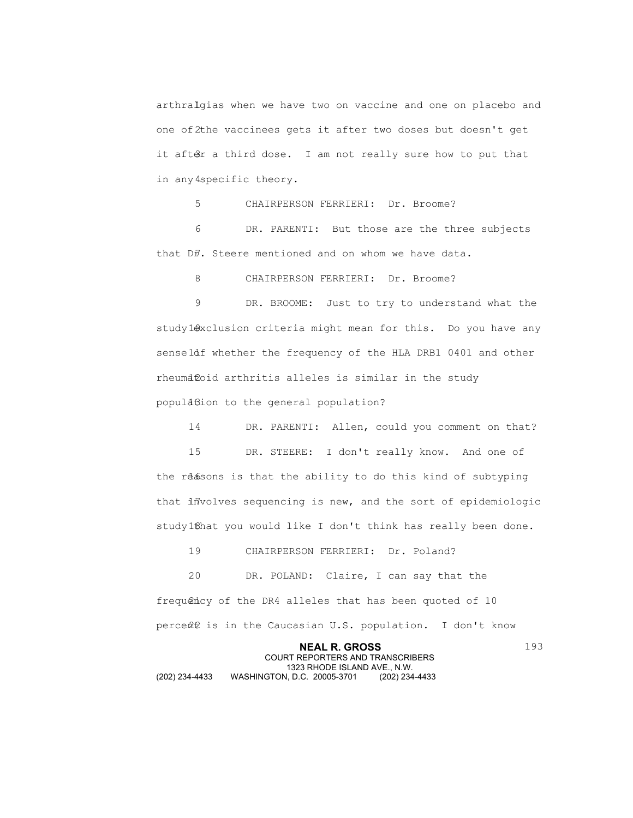arthrallgias when we have two on vaccine and one on placebo and one of 2the vaccinees gets it after two doses but doesn't get it after a third dose. I am not really sure how to put that in any 4specific theory.

5 CHAIRPERSON FERRIERI: Dr. Broome?

 DR. PARENTI: But those are the three subjects 6 that Df. Steere mentioned and on whom we have data.

8 CHAIRPERSON FERRIERI: Dr. Broome?

9 DR. BROOME: Just to try to understand what the study 10xclusion criteria might mean for this. Do you have any sense 1df whether the frequency of the HLA DRB1 0401 and other rheumatoid arthritis alleles is similar in the study population to the general population?

14 DR. PARENTI: Allen, could you comment on that? 15 DR. STEERE: I don't really know. And one of the réasons is that the ability to do this kind of subtyping that  $i$  *fl fl*  $i$  *divolves sequencing is new, and the sort of epidemiologic* study 18 hat you would like I don't think has really been done.

CHAIRPERSON FERRIERI: Dr. Poland? 19

20 DR. POLAND: Claire, I can say that the frequency of the DR4 alleles that has been quoted of 10 perceit is in the Caucasian U.S. population. I don't know

**NEAL R. GROSS** COURT REPORTERS AND TRANSCRIBERS 1323 RHODE ISLAND AVE., N.W. (202) 234-4433 WASHINGTON, D.C. 20005-3701 (202) 234-4433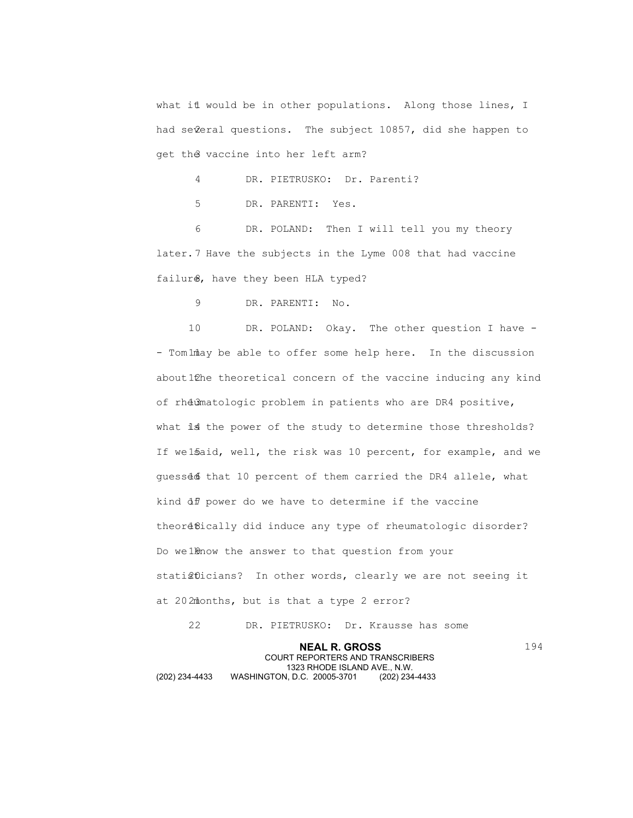what if would be in other populations. Along those lines, I had several questions. The subject 10857, did she happen to get the vaccine into her left arm?

DR. PIETRUSKO: Dr. Parenti? 4

5 DR. PARENTI: Yes.

6 DR. POLAND: Then I will tell you my theory later. 7 Have the subjects in the Lyme 008 that had vaccine failur&, have they been HLA typed?

9 DR. PARENTI: No.

10 DR. POLAND: Okay. The other question I have -- Tom lmay be able to offer some help here. In the discussion about 1the theoretical concern of the vaccine inducing any kind of rheumatologic problem in patients who are DR4 positive, what is the power of the study to determine those thresholds? If we 15aid, well, the risk was 10 percent, for example, and we quessed that 10 percent of them carried the DR4 allele, what kind df power do we have to determine if the vaccine theord Bically did induce any type of rheumatologic disorder? Do we 100 now the answer to that question from your statisticians? In other words, clearly we are not seeing it at 20 2mionths, but is that a type 2 error?

22 DR. PIETRUSKO: Dr. Krausse has some

**NEAL R. GROSS** COURT REPORTERS AND TRANSCRIBERS 1323 RHODE ISLAND AVE., N.W. (202) 234-4433 WASHINGTON, D.C. 20005-3701 (202) 234-4433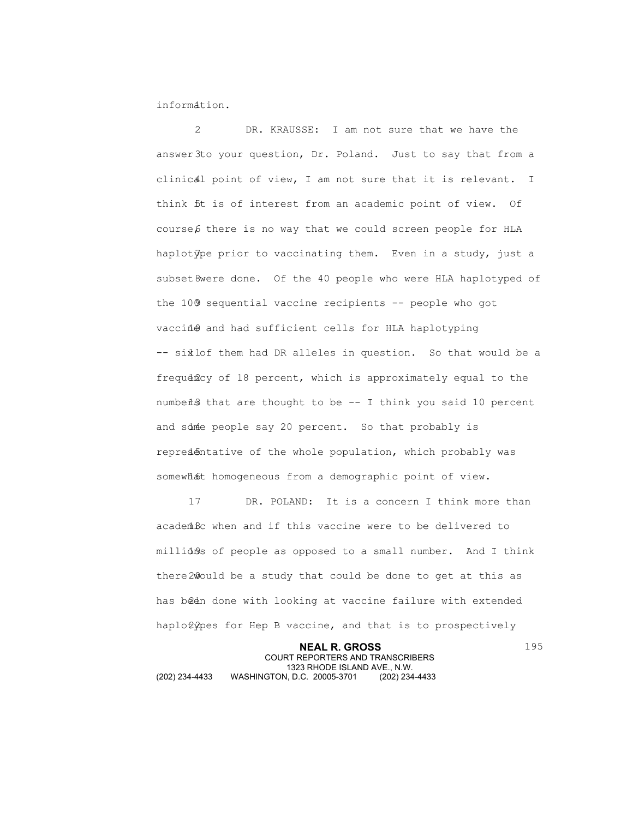information. 1

2 DR. KRAUSSE: I am not sure that we have the answer 3to your question, Dr. Poland. Just to say that from a clinical point of view, I am not sure that it is relevant. I think fit is of interest from an academic point of view. Of course  $6$  there is no way that we could screen people for HLA haplot $\bar{y}$ pe prior to vaccinating them. Even in a study, just a subset &were done. Of the 40 people who were HLA haplotyped of the 100 sequential vaccine recipients -- people who got vaccine and had sufficient cells for HLA haplotyping -- six1of them had DR alleles in question. So that would be a frequency of  $18$  percent, which is approximately equal to the numbers that are thought to be  $-$ - I think you said 10 percent and some people say 20 percent. So that probably is representative of the whole population, which probably was somewhat homogeneous from a demographic point of view.

17 DR. POLAND: It is a concern I think more than academiBc when and if this vaccine were to be delivered to millidnes of people as opposed to a small number. And I think there 200 ould be a study that could be done to get at this as has been done with looking at vaccine failure with extended haplotypes for Hep B vaccine, and that is to prospectively

**NEAL R. GROSS** COURT REPORTERS AND TRANSCRIBERS 1323 RHODE ISLAND AVE., N.W. (202) 234-4433 WASHINGTON, D.C. 20005-3701 (202) 234-4433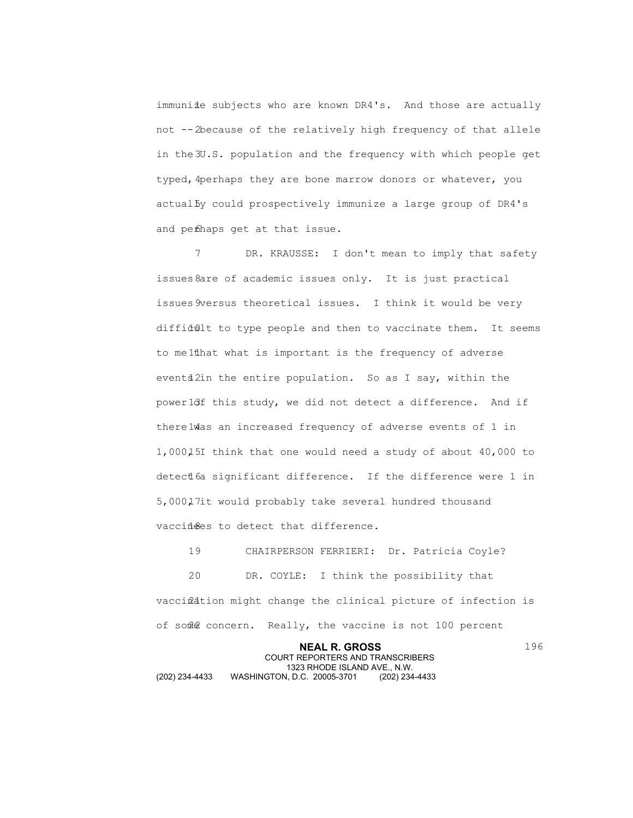immunize subjects who are known DR4's. And those are actually not -- 2because of the relatively high frequency of that allele in the 3U.S. population and the frequency with which people get typed, 4perhaps they are bone marrow donors or whatever, you actualby could prospectively immunize a large group of DR4's and perhaps get at that issue.

7 DR. KRAUSSE: I don't mean to imply that safety issues 8are of academic issues only. It is just practical issues 9 versus theoretical issues. I think it would be very diffid@lt to type people and then to vaccinate them. It seems to me 1that what is important is the frequency of adverse events 2in the entire population. So as I say, within the power lof this study, we did not detect a difference. And if there  $1$ Was an increased frequency of adverse events of  $1$  in 1,00015I think that one would need a study of about 40,000 to detect 6a significant difference. If the difference were 1 in 5,00017it would probably take several hundred thousand vaccines to detect that difference.

19 CHAIRPERSON FERRIERI: Dr. Patricia Coyle? 20 DR. COYLE: I think the possibility that vaccination might change the clinical picture of infection is of some concern. Really, the vaccine is not 100 percent

**NEAL R. GROSS** COURT REPORTERS AND TRANSCRIBERS 1323 RHODE ISLAND AVE., N.W. (202) 234-4433 WASHINGTON, D.C. 20005-3701 (202) 234-4433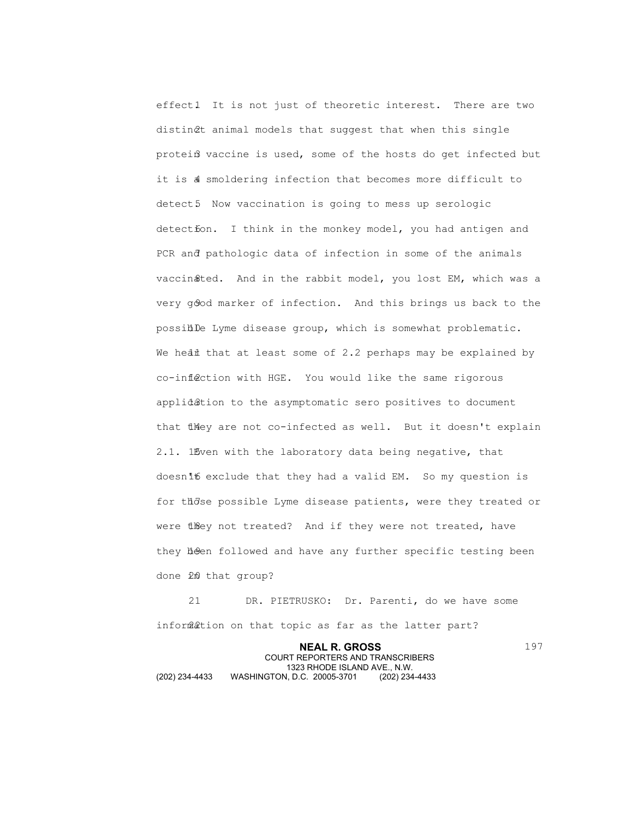effect1 It is not just of theoretic interest. There are two distinct animal models that suggest that when this single protein vaccine is used, some of the hosts do get infected but it is a smoldering infection that becomes more difficult to detect5 Now vaccination is going to mess up serologic detection. I think in the monkey model, you had antigen and PCR and pathologic data of infection in some of the animals vaccin&ted. And in the rabbit model, you lost EM, which was a very good marker of infection. And this brings us back to the possible Lyme disease group, which is somewhat problematic. We hear that at least some of 2.2 perhaps may be explained by co-inflection with HGE. You would like the same rigorous applidation to the asymptomatic sero positives to document that they are not co-infected as well. But it doesn't explain 2.1. 15 ven with the laboratory data being negative, that doesn't exclude that they had a valid EM. So my question is for those possible Lyme disease patients, were they treated or were flisey not treated? And if they were not treated, have they been followed and have any further specific testing been done 20 that group?

21 DR. PIETRUSKO: Dr. Parenti, do we have some inform2tion on that topic as far as the latter part?

**NEAL R. GROSS** COURT REPORTERS AND TRANSCRIBERS 1323 RHODE ISLAND AVE., N.W. (202) 234-4433 WASHINGTON, D.C. 20005-3701 (202) 234-4433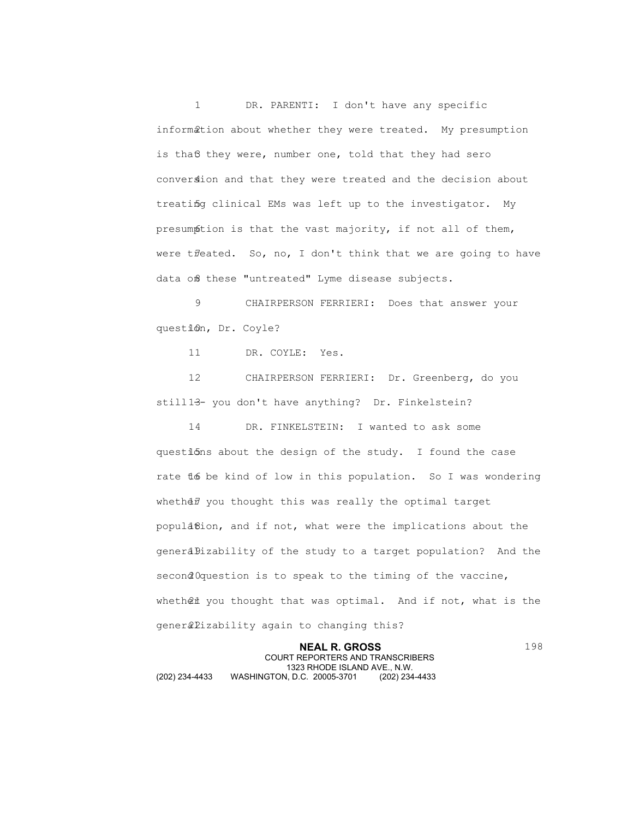1 DR. PARENTI: I don't have any specific information about whether they were treated. My presumption is that they were, number one, told that they had sero conversion and that they were treated and the decision about treatifig clinical EMs was left up to the investigator. My presumption is that the vast majority, if not all of them, were treated. So, no, I don't think that we are going to have data on these "untreated" Lyme disease subjects.

9 CHAIRPERSON FERRIERI: Does that answer your question, Dr. Coyle?

DR. COYLE: Yes. 11

 CHAIRPERSON FERRIERI: Dr. Greenberg, do you 12 still 13- you don't have anything? Dr. Finkelstein?

14 DR. FINKELSTEIN: I wanted to ask some questions about the design of the study. I found the case rate flo be kind of low in this population. So I was wondering wheth $d\vec{r}$  you thought this was really the optimal target population, and if not, what were the implications about the generalDizability of the study to a target population? And the second Oquestion is to speak to the timing of the vaccine, whether you thought that was optimal. And if not, what is the generallizability again to changing this?

**NEAL R. GROSS** COURT REPORTERS AND TRANSCRIBERS 1323 RHODE ISLAND AVE., N.W. (202) 234-4433 WASHINGTON, D.C. 20005-3701 (202) 234-4433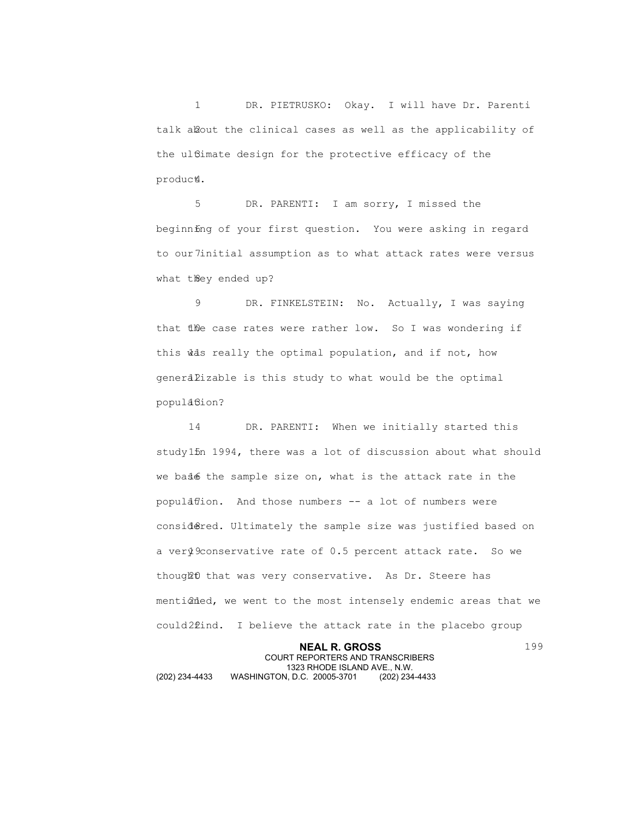1 DR. PIETRUSKO: Okay. I will have Dr. Parenti talk about the clinical cases as well as the applicability of the ulfimate design for the protective efficacy of the product.

5 DR. PARENTI: I am sorry, I missed the beginning of your first question. You were asking in regard to our 7initial assumption as to what attack rates were versus what they ended up?

9 DR. FINKELSTEIN: No. Actually, I was saying that flie case rates were rather low. So I was wondering if this was really the optimal population, and if not, how generallizable is this study to what would be the optimal population?

14 DR. PARENTI: When we initially started this study 15n 1994, there was a lot of discussion about what should we base the sample size on, what is the attack rate in the population. And those numbers -- a lot of numbers were considered. Ultimately the sample size was justified based on a ver $\sqrt{2}$  9 conservative rate of 0.5 percent attack rate. So we thought that was very conservative. As Dr. Steere has mentianed, we went to the most intensely endemic areas that we could 22ind. I believe the attack rate in the placebo group

**NEAL R. GROSS** COURT REPORTERS AND TRANSCRIBERS 1323 RHODE ISLAND AVE., N.W. (202) 234-4433 WASHINGTON, D.C. 20005-3701 (202) 234-4433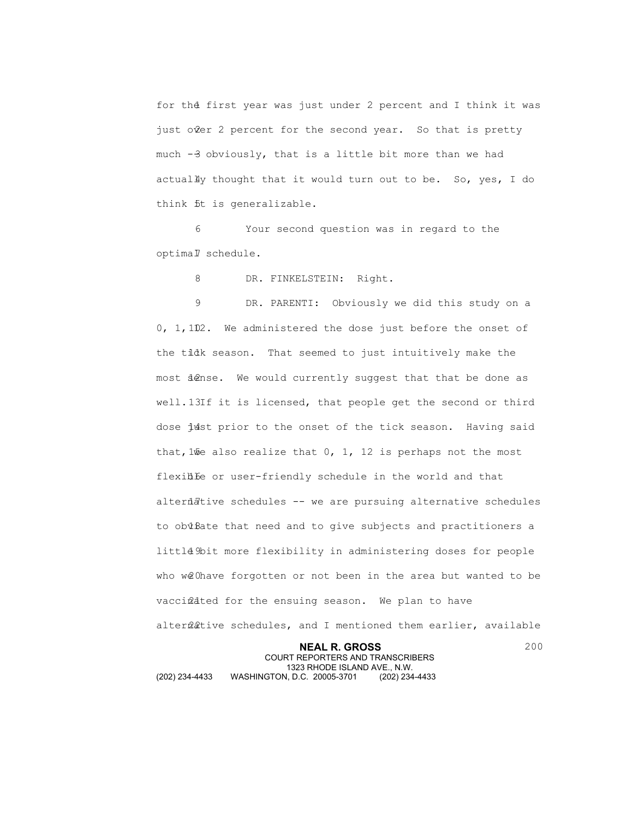for the first year was just under 2 percent and I think it was just over 2 percent for the second year. So that is pretty much  $-3$  obviously, that is a little bit more than we had actually thought that it would turn out to be. So, yes, I do think  $5t$  is generalizable.

 Your second question was in regard to the 6 optimal schedule.

8 DR. FINKELSTEIN: Right.

9 DR. PARENTI: Obviously we did this study on a 0, 1, 1D2. We administered the dose just before the onset of the tidk season. That seemed to just intuitively make the most *dense*. We would currently suggest that that be done as well. 13If it is licensed, that people get the second or third dose just prior to the onset of the tick season. Having said that,  $1\overline{w}$ e also realize that 0, 1, 12 is perhaps not the most flexible or user-friendly schedule in the world and that alternative schedules -- we are pursuing alternative schedules to obiBate that need and to give subjects and practitioners a little 9bit more flexibility in administering doses for people who we Ohave forgotten or not been in the area but wanted to be vaccinated for the ensuing season. We plan to have alternative schedules, and I mentioned them earlier, available

200

**NEAL R. GROSS** COURT REPORTERS AND TRANSCRIBERS 1323 RHODE ISLAND AVE., N.W. (202) 234-4433 WASHINGTON, D.C. 20005-3701 (202) 234-4433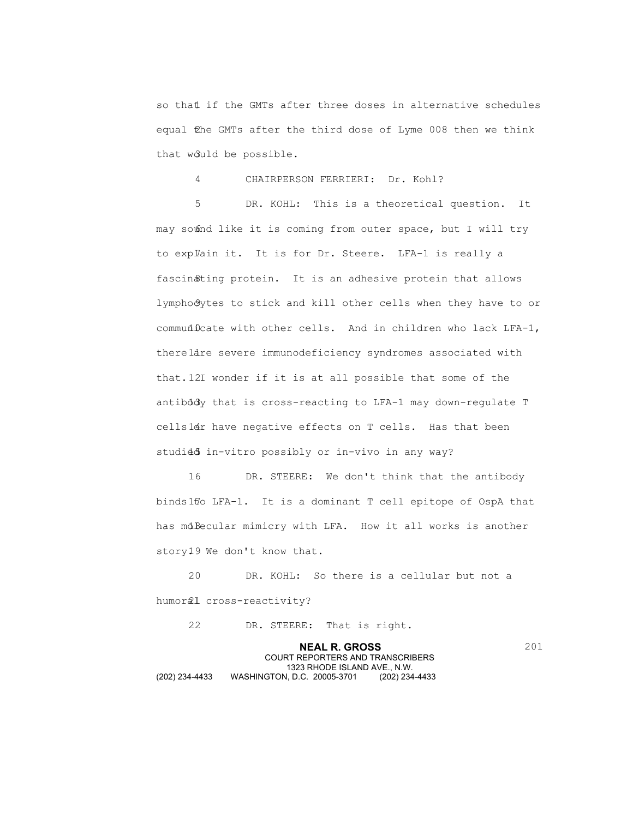so that if the GMTs after three doses in alternative schedules equal the GMTs after the third dose of Lyme 008 then we think that would be possible.

CHAIRPERSON FERRIERI: Dr. Kohl? 4

5 DR. KOHL: This is a theoretical question. It may sound like it is coming from outer space, but I will try to explain it. It is for Dr. Steere. LFA-1 is really a fascin&ting protein. It is an adhesive protein that allows lympho@ytes to stick and kill other cells when they have to or communificate with other cells. And in children who lack LFA-1, there lare severe immunodeficiency syndromes associated with that. 12I wonder if it is at all possible that some of the antibody that is cross-reacting to LFA-1 may down-regulate  $T$ cells 1dr have negative effects on T cells. Has that been studidd in-vitro possibly or in-vivo in any way?

16 DR. STEERE: We don't think that the antibody binds 100 LFA-1. It is a dominant T cell epitope of OspA that has mdBecular mimicry with LFA. How it all works is another story19 We don't know that.

20 DR. KOHL: So there is a cellular but not a humoral cross-reactivity?

22 DR. STEERE: That is right.

**NEAL R. GROSS** COURT REPORTERS AND TRANSCRIBERS 1323 RHODE ISLAND AVE., N.W. (202) 234-4433 WASHINGTON, D.C. 20005-3701 (202) 234-4433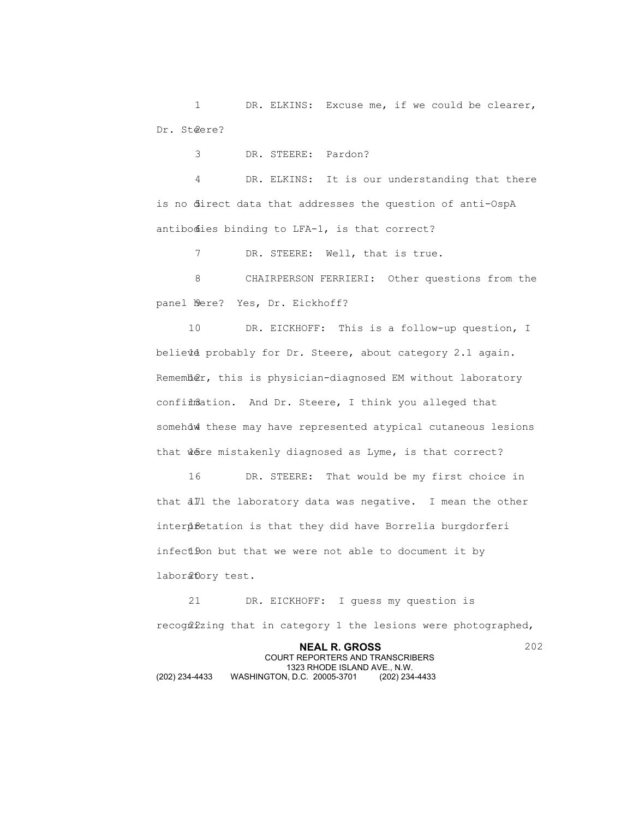1 DR. ELKINS: Excuse me, if we could be clearer, Dr. Stêere?

DR. STEERE: Pardon? 3

4 DR. ELKINS: It is our understanding that there is no direct data that addresses the question of anti-OspA antibodies binding to LFA-1, is that correct? 6

7 DR. STEERE: Well, that is true.

8 CHAIRPERSON FERRIERI: Other questions from the panel Bere? Yes, Dr. Eickhoff?

10 DR. EICKHOFF: This is a follow-up question, I believe probably for Dr. Steere, about category 2.1 again. Remember, this is physician-diagnosed EM without laboratory confirmation. And Dr. Steere, I think you alleged that somehdu these may have represented atypical cutaneous lesions that were mistakenly diagnosed as Lyme, is that correct?

16 DR. STEERE: That would be my first choice in that  $dI$  the laboratory data was negative. I mean the other interpi Betation is that they did have Borrelia burgdorferi infection but that we were not able to document it by laboratory test.

21 DR. EICKHOFF: I quess my question is recogn2zing that in category 1 the lesions were photographed,

**NEAL R. GROSS** COURT REPORTERS AND TRANSCRIBERS 1323 RHODE ISLAND AVE., N.W. (202) 234-4433 WASHINGTON, D.C. 20005-3701 (202) 234-4433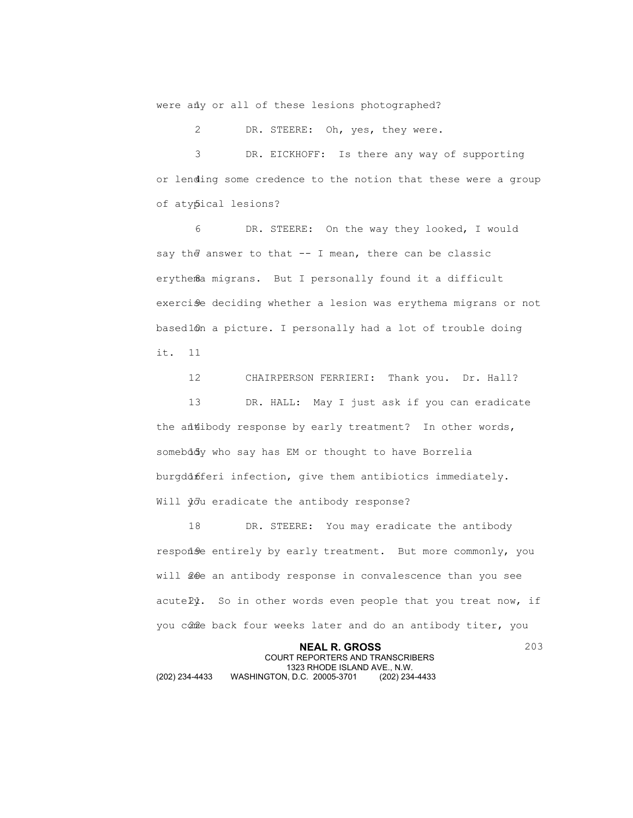were any or all of these lesions photographed?

2 DR. STEERE: Oh, yes, they were.

3 DR. EICKHOFF: Is there any way of supporting or lending some credence to the notion that these were a group of atypical lesions? 5

 DR. STEERE: On the way they looked, I would 6 say the answer to that  $-$  I mean, there can be classic erythema migrans. But I personally found it a difficult exercise deciding whether a lesion was erythema migrans or not based 10n a picture. I personally had a lot of trouble doing it. 11

12 CHAIRPERSON FERRIERI: Thank you. Dr. Hall?

13 DR. HALL: May I just ask if you can eradicate the antibody response by early treatment? In other words, somebddy who say has EM or thought to have Borrelia burgddfferi infection, give them antibiotics immediately. Will  $\overline{y}$ du eradicate the antibody response?

18 DR. STEERE: You may eradicate the antibody response entirely by early treatment. But more commonly, you will £@e an antibody response in convalescence than you see acutely. So in other words even people that you treat now, if you came back four weeks later and do an antibody titer, you

**NEAL R. GROSS** COURT REPORTERS AND TRANSCRIBERS 1323 RHODE ISLAND AVE., N.W. (202) 234-4433 WASHINGTON, D.C. 20005-3701 (202) 234-4433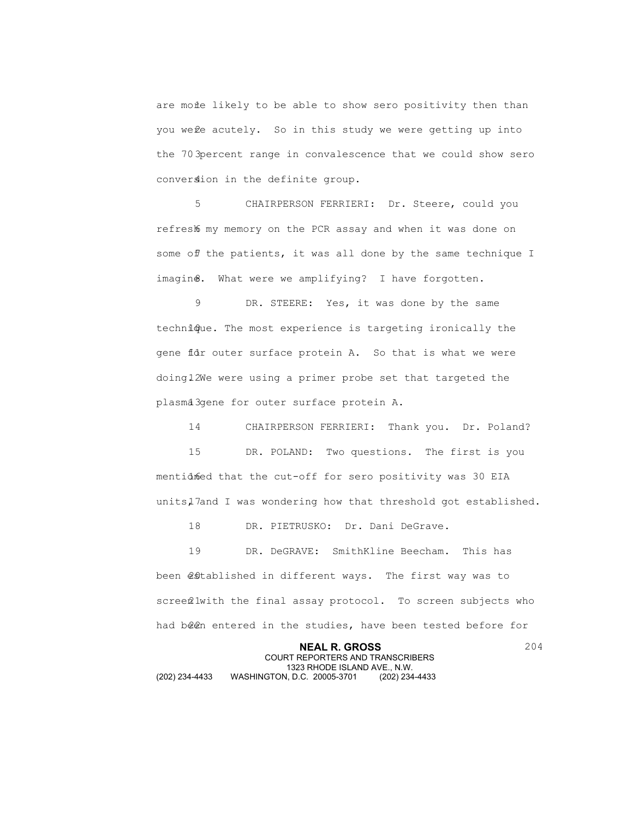are mofe likely to be able to show sero positivity then than you wefe acutely. So in this study we were getting up into the 70 3 percent range in convalescence that we could show sero conversion in the definite group.

5 CHAIRPERSON FERRIERI: Dr. Steere, could you refresh my memory on the PCR assay and when it was done on some of the patients, it was all done by the same technique I imagin&. What were we amplifying? I have forgotten.

9 DR. STEERE: Yes, it was done by the same technique. The most experience is targeting ironically the gene fldr outer surface protein A. So that is what we were doing 12We were using a primer probe set that targeted the plasmå 3qene for outer surface protein A.

 CHAIRPERSON FERRIERI: Thank you. Dr. Poland? 14 15 DR. POLAND: Two questions. The first is you mentidmed that the cut-off for sero positivity was 30 EIA units, 17 and I was wondering how that threshold got established.

18 DR. PIETRUSKO: Dr. Dani DeGrave.

19 DR. DeGRAVE: SmithKline Beecham. This has been established in different ways. The first way was to screenlwith the final assay protocol. To screen subjects who had been entered in the studies, have been tested before for

**NEAL R. GROSS** COURT REPORTERS AND TRANSCRIBERS 1323 RHODE ISLAND AVE., N.W. (202) 234-4433 WASHINGTON, D.C. 20005-3701 (202) 234-4433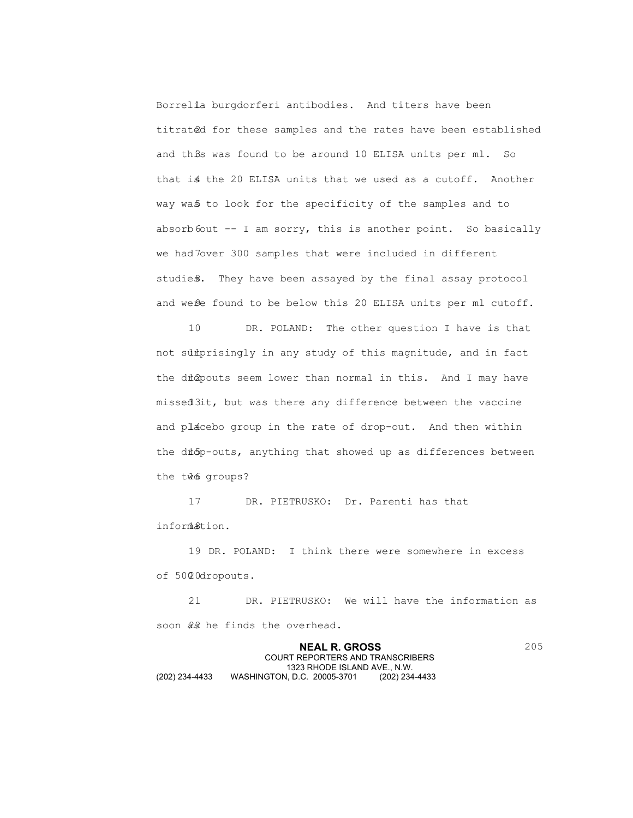Borrelia burgdorferi antibodies. And titers have been titrated for these samples and the rates have been established and this was found to be around 10 ELISA units per ml. So that is the 20 ELISA units that we used as a cutoff. Another way was to look for the specificity of the samples and to absorb 60ut  $-$ - I am sorry, this is another point. So basically we had 7over 300 samples that were included in different studies. They have been assayed by the final assay protocol and wefe found to be below this 20 ELISA units per ml cutoff.

10 DR. POLAND: The other question I have is that not suntprisingly in any study of this magnitude, and in fact the diapouts seem lower than normal in this. And I may have missed 3it, but was there any difference between the vaccine and placebo group in the rate of drop-out. And then within the diop-outs, anything that showed up as differences between the two groups?

17 DR. PIETRUSKO: Dr. Parenti has that information.

19 DR. POLAND: I think there were somewhere in excess of 5000dropouts.

21 DR. PIETRUSKO: We will have the information as soon  $22$  he finds the overhead.

**NEAL R. GROSS** COURT REPORTERS AND TRANSCRIBERS 1323 RHODE ISLAND AVE., N.W. (202) 234-4433 WASHINGTON, D.C. 20005-3701 (202) 234-4433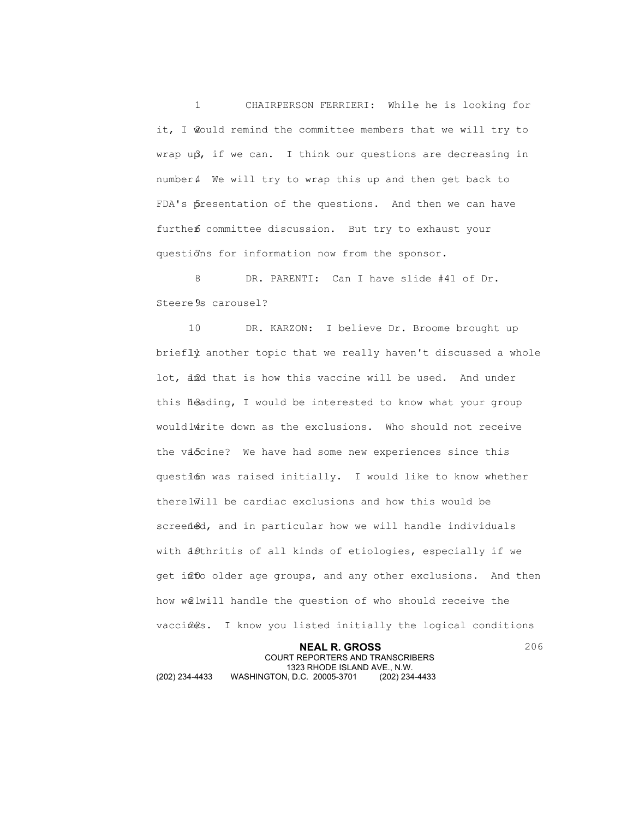CHAIRPERSON FERRIERI: While he is looking for 1 it, I would remind the committee members that we will try to wrap up, if we can. I think our questions are decreasing in number 4 We will try to wrap this up and then get back to FDA's presentation of the questions. And then we can have further committee discussion. But try to exhaust your questions for information now from the sponsor.

8 DR. PARENTI: Can I have slide #41 of Dr. Steere 9s carousel?

10 DR. KARZON: I believe Dr. Broome brought up briefl $\natural$  another topic that we really haven't discussed a whole lot, and that is how this vaccine will be used. And under this heading, I would be interested to know what your group would lutrite down as the exclusions. Who should not receive the vacine? We have had some new experiences since this question was raised initially. I would like to know whether there lWill be cardiac exclusions and how this would be screened, and in particular how we will handle individuals with afthritis of all kinds of etiologies, especially if we get into older age groups, and any other exclusions. And then how welwill handle the question of who should receive the vaccines. I know you listed initially the logical conditions

**NEAL R. GROSS** COURT REPORTERS AND TRANSCRIBERS 1323 RHODE ISLAND AVE., N.W. (202) 234-4433 WASHINGTON, D.C. 20005-3701 (202) 234-4433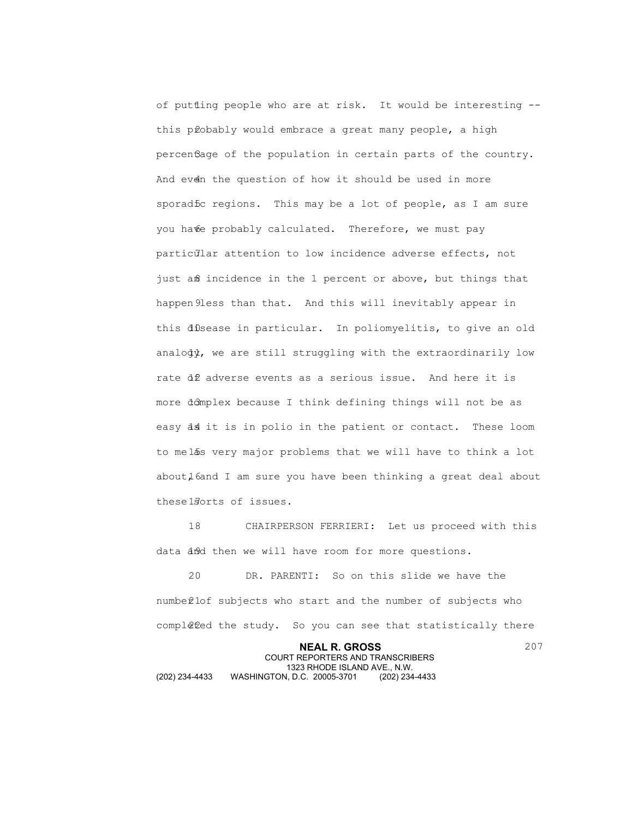of putfling people who are at risk. It would be interesting -this probably would embrace a great many people, a high percentage of the population in certain parts of the country. And even the question of how it should be used in more sporadfic regions. This may be a lot of people, as I am sure you have probably calculated. Therefore, we must pay particular attention to low incidence adverse effects, not just aß incidence in the 1 percent or above, but things that happen 9less than that. And this will inevitably appear in this disease in particular. In poliomyelitis, to give an old analo $\phi$ , we are still struggling with the extraordinarily low rate  $\partial \mathcal{L}$  adverse events as a serious issue. And here it is more domplex because I think defining things will not be as easy  $d\mathcal{A}$  it is in polio in the patient or contact. These loom to me las very major problems that we will have to think a lot about, 16 and I am sure you have been thinking a great deal about these 13orts of issues.

18 CHAIRPERSON FERRIERI: Let us proceed with this data and then we will have room for more questions.

20 DR. PARENTI: So on this slide we have the numbe $\ell$ lof subjects who start and the number of subjects who completed the study. So you can see that statistically there

**NEAL R. GROSS** COURT REPORTERS AND TRANSCRIBERS 1323 RHODE ISLAND AVE., N.W. (202) 234-4433 WASHINGTON, D.C. 20005-3701 (202) 234-4433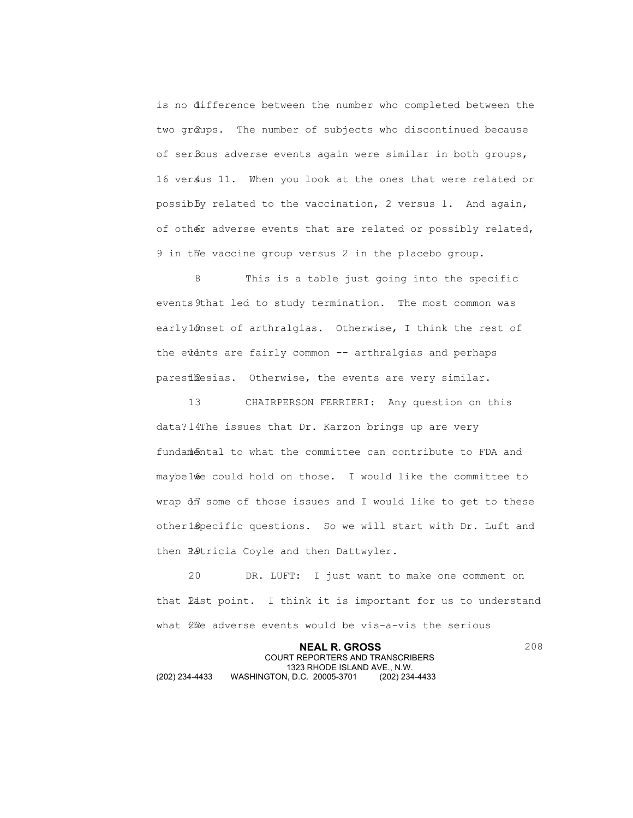is no difference between the number who completed between the two graups. The number of subjects who discontinued because of serious adverse events again were similar in both groups, 16 versus 11. When you look at the ones that were related or possibly related to the vaccination, 2 versus 1. And again, of other adverse events that are related or possibly related, 9 in the vaccine group versus 2 in the placebo group.

8 This is a table just going into the specific events 9that led to study termination. The most common was early 10nset of arthralgias. Otherwise, I think the rest of the eidnts are fairly common -- arthralgias and perhaps paresthesias. Otherwise, the events are very similar.

13 CHAIRPERSON FERRIERI: Any question on this data? 14The issues that Dr. Karzon brings up are very fundamental to what the committee can contribute to FDA and maybe lwe could hold on those. I would like the committee to wrap dn some of those issues and I would like to get to these other 1specific questions. So we will start with Dr. Luft and then Patricia Coyle and then Dattwyler.

20 DR. LUFT: I just want to make one comment on that  $2dst point.$  I think it is important for us to understand what the adverse events would be vis-a-vis the serious

**NEAL R. GROSS** COURT REPORTERS AND TRANSCRIBERS 1323 RHODE ISLAND AVE., N.W. (202) 234-4433 WASHINGTON, D.C. 20005-3701 (202) 234-4433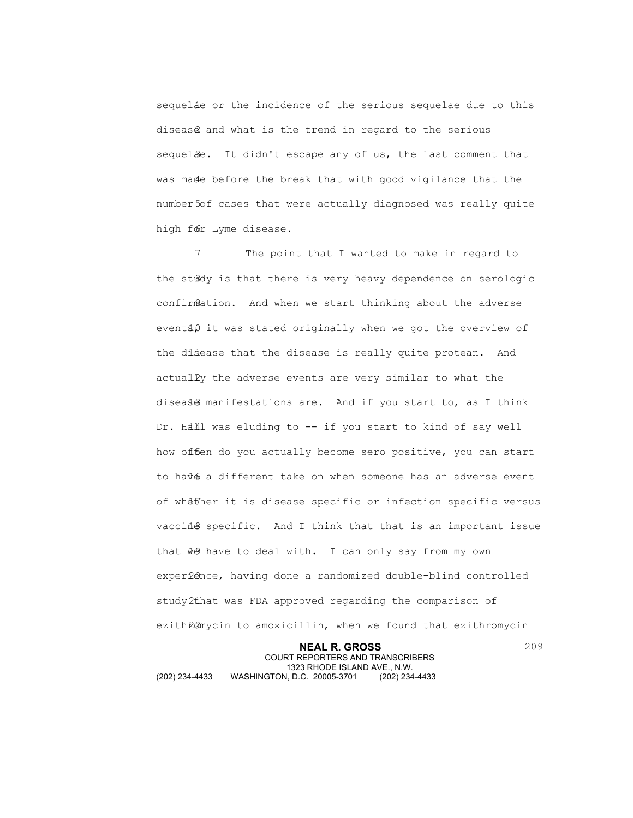sequelae or the incidence of the serious sequelae due to this disease and what is the trend in regard to the serious sequelae. It didn't escape any of us, the last comment that was made before the break that with good vigilance that the number 5of cases that were actually diagnosed was really quite high for Lyme disease.

The point that I wanted to make in regard to the study is that there is very heavy dependence on serologic confirm@ation. And when we start thinking about the adverse events $\beta$  it was stated originally when we got the overview of the disease that the disease is really quite protean. And actually the adverse events are very similar to what the diseade manifestations are. And if you start to, as I think Dr. Hall was eluding to -- if you start to kind of say well how offen do you actually become sero positive, you can start to have a different take on when someone has an adverse event of whether it is disease specific or infection specific versus vaccine specific. And I think that that is an important issue that we have to deal with. I can only say from my own experi@nce, having done a randomized double-blind controlled study 2that was FDA approved regarding the comparison of ezithi@mycin to amoxicillin, when we found that ezithromycin

**NEAL R. GROSS** COURT REPORTERS AND TRANSCRIBERS 1323 RHODE ISLAND AVE., N.W. (202) 234-4433 WASHINGTON, D.C. 20005-3701 (202) 234-4433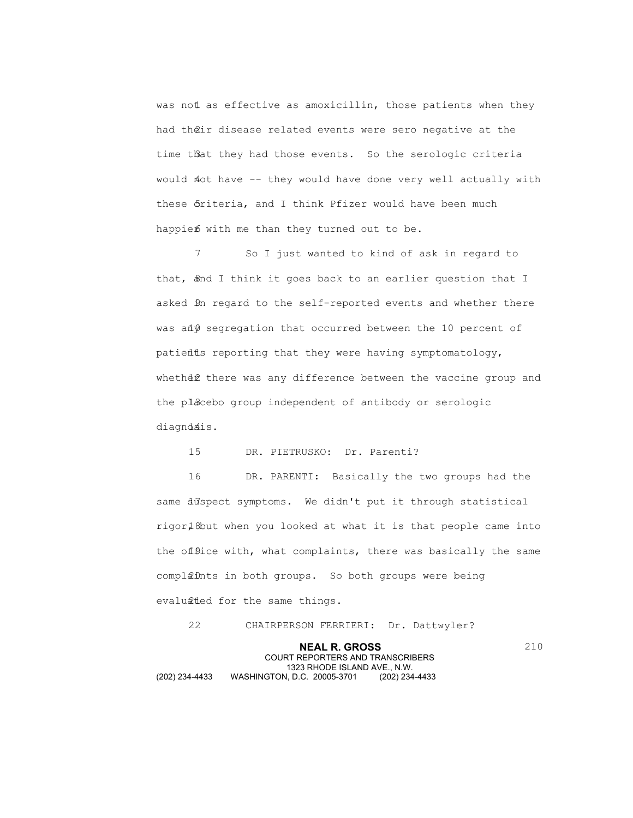was nof as effective as amoxicillin, those patients when they had their disease related events were sero negative at the time that they had those events. So the serologic criteria would flot have -- they would have done very well actually with these  $\delta$ riteria, and I think Pfizer would have been much happier with me than they turned out to be.

7 So I just wanted to kind of ask in regard to that,  $\delta$ nd I think it goes back to an earlier question that I asked  $\mathfrak h$  regard to the self-reported events and whether there was any segregation that occurred between the 10 percent of patients reporting that they were having symptomatology, whetheft there was any difference between the vaccine group and the placebo group independent of antibody or serologic diagndsis.

DR. PIETRUSKO: Dr. Parenti? 15

16 DR. PARENTI: Basically the two groups had the same *suspect symptoms.* We didn't put it through statistical rigor, 18 but when you looked at what it is that people came into the offbice with, what complaints, there was basically the same complaints in both groups. So both groups were being evaluated for the same things.

## CHAIRPERSON FERRIERI: Dr. Dattwyler? 22

**NEAL R. GROSS** COURT REPORTERS AND TRANSCRIBERS 1323 RHODE ISLAND AVE., N.W. (202) 234-4433 WASHINGTON, D.C. 20005-3701 (202) 234-4433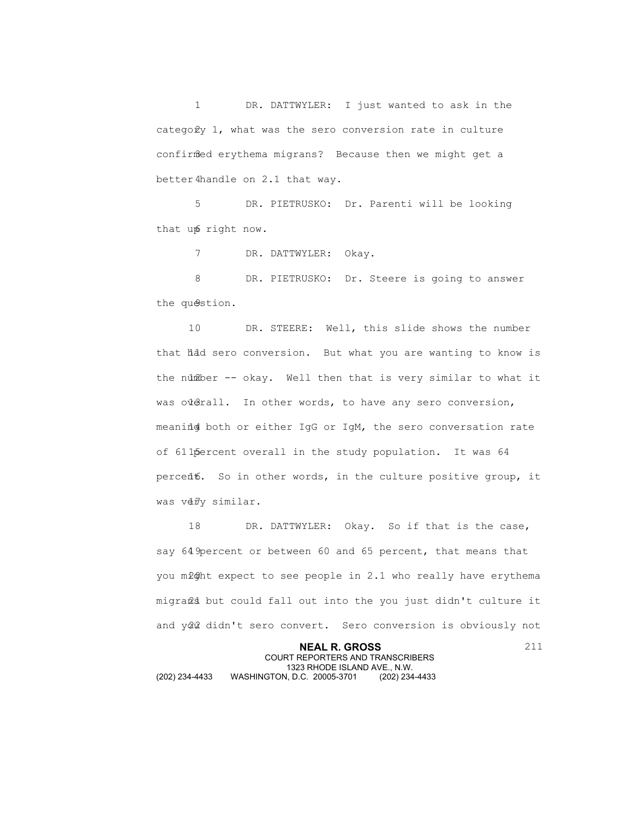1 DR. DATTWYLER: I just wanted to ask in the categoly 1, what was the sero conversion rate in culture confirmed erythema migrans? Because then we might get a better 4handle on 2.1 that way.

5 DR. PIETRUSKO: Dr. Parenti will be looking that up right now.

7 DR. DATTWYLER: Okay.

8 DR. PIETRUSKO: Dr. Steere is going to answer the question.

10 DR. STEERE: Well, this slide shows the number that had sero conversion. But what you are wanting to know is the number -- okay. Well then that is very similar to what it was oterall. In other words, to have any sero conversion, meaning both or either IgG or IgM, the sero conversation rate of 611 percent overall in the study population. It was 64 percent. So in other words, in the culture positive group, it was véry similar.

18 DR. DATTWYLER: Okay. So if that is the case, say 64 9 percent or between 60 and 65 percent, that means that you m $2$  $û$ ht expect to see people in 2.1 who really have erythema migrand but could fall out into the you just didn't culture it and you didn't sero convert. Sero conversion is obviously not

211

**NEAL R. GROSS** COURT REPORTERS AND TRANSCRIBERS 1323 RHODE ISLAND AVE., N.W. (202) 234-4433 WASHINGTON, D.C. 20005-3701 (202) 234-4433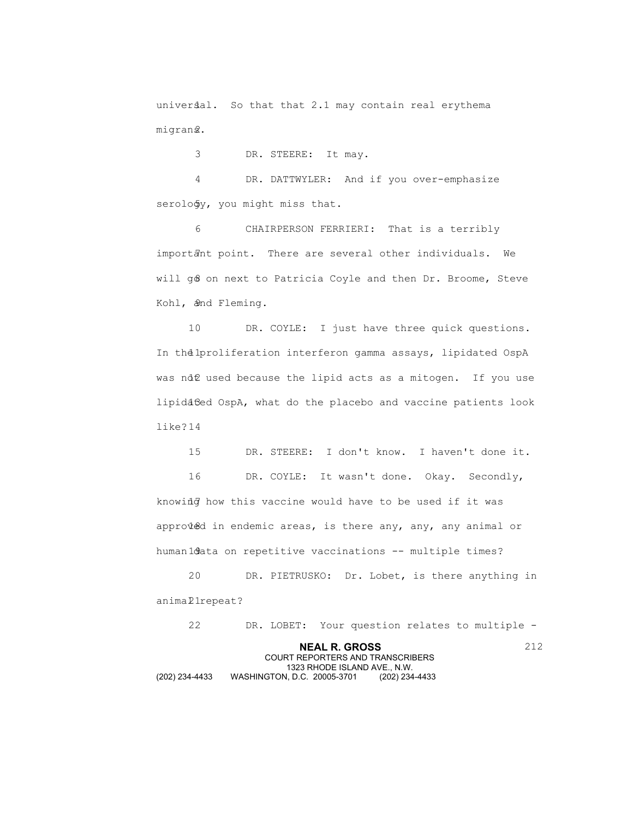universal. So that that 2.1 may contain real erythema migrang.

DR. STEERE: It may. 3

 DR. DATTWYLER: And if you over-emphasize 4 serolo $\Phi$ y, you might miss that.

 CHAIRPERSON FERRIERI: That is a terribly 6 important point. There are several other individuals. We will go on next to Patricia Coyle and then Dr. Broome, Steve Kohl, 2nd Fleming.

10 DR. COYLE: I just have three quick questions. In thé 1proliferation interferon gamma assays, lipidated OspA was ndt used because the lipid acts as a mitogen. If you use lipidated OspA, what do the placebo and vaccine patients look like? 14

15 DR. STEERE: I don't know. I haven't done it. 16 DR. COYLE: It wasn't done. Okay. Secondly, knowind how this vaccine would have to be used if it was appro $\nu$ &d in endemic areas, is there any, any, any animal or human 10ata on repetitive vaccinations -- multiple times?

20 DR. PIETRUSKO: Dr. Lobet, is there anything in animal1repeat?

22 DR. LOBET: Your question relates to multiple -

**NEAL R. GROSS** COURT REPORTERS AND TRANSCRIBERS 1323 RHODE ISLAND AVE., N.W. (202) 234-4433 WASHINGTON, D.C. 20005-3701 (202) 234-4433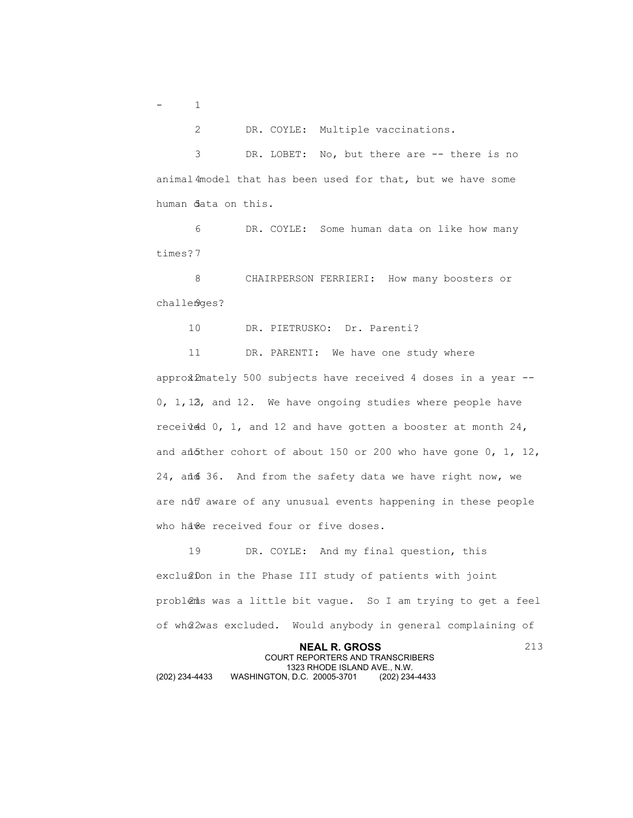- 1

2 DR. COYLE: Multiple vaccinations.

3 DR. LOBET: No, but there are -- there is no animal 4model that has been used for that, but we have some human data on this.

 DR. COYLE: Some human data on like how many 6 times? 7

8 CHAIRPERSON FERRIERI: How many boosters or challenges?

10 DR. PIETRUSKO: Dr. Parenti?

11 DR. PARENTI: We have one study where  $appro\&2$  mately 500 subjects have received 4 doses in a year  $0, 1, 12,$  and  $12.$  We have ongoing studies where people have receited  $0, 1,$  and  $12$  and have gotten a booster at month  $24,$ and another cohort of about 150 or 200 who have gone  $0, 1, 12,$ 24, and 36. And from the safety data we have right now, we are ndf aware of any unusual events happening in these people who have received four or five doses.

19 DR. COYLE: And my final question, this exclugion in the Phase III study of patients with joint problems was a little bit vague. So I am trying to get a feel of wh@2was excluded. Would anybody in general complaining of

213

**NEAL R. GROSS** COURT REPORTERS AND TRANSCRIBERS 1323 RHODE ISLAND AVE., N.W. (202) 234-4433 WASHINGTON, D.C. 20005-3701 (202) 234-4433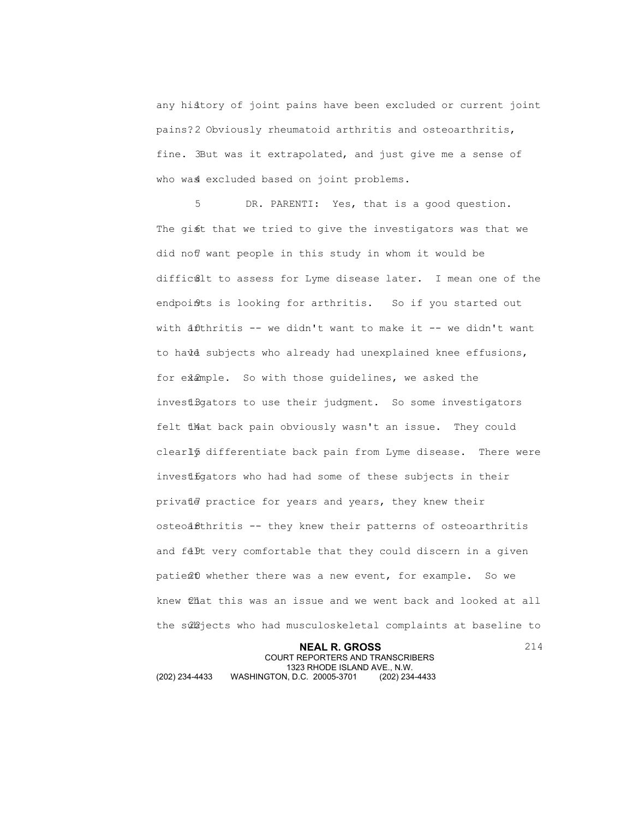any history of joint pains have been excluded or current joint pains? 2 Obviously rheumatoid arthritis and osteoarthritis, fine. 3But was it extrapolated, and just give me a sense of who was excluded based on joint problems.

5 DR. PARENTI: Yes, that is a good question. The gist that we tried to give the investigators was that we did nof want people in this study in whom it would be difficult to assess for Lyme disease later. I mean one of the endpoints is looking for arthritis. So if you started out with  $d\theta$ thritis -- we didn't want to make it -- we didn't want to havid subjects who already had unexplained knee effusions, for  $e\hat{x}$  ample. So with those quidelines, we asked the investi Bgators to use their judgment. So some investigators felt flMat back pain obviously wasn't an issue. They could clearl h5 differentiate back pain from Lyme disease. There were investifgators who had had some of these subjects in their private practice for years and years, they knew their osteoaßthritis -- they knew their patterns of osteoarthritis and f4Bt very comfortable that they could discern in a given patient whether there was a new event, for example. So we knew that this was an issue and we went back and looked at all the subjects who had musculoskeletal complaints at baseline to

**NEAL R. GROSS** COURT REPORTERS AND TRANSCRIBERS 1323 RHODE ISLAND AVE., N.W. (202) 234-4433 WASHINGTON, D.C. 20005-3701 (202) 234-4433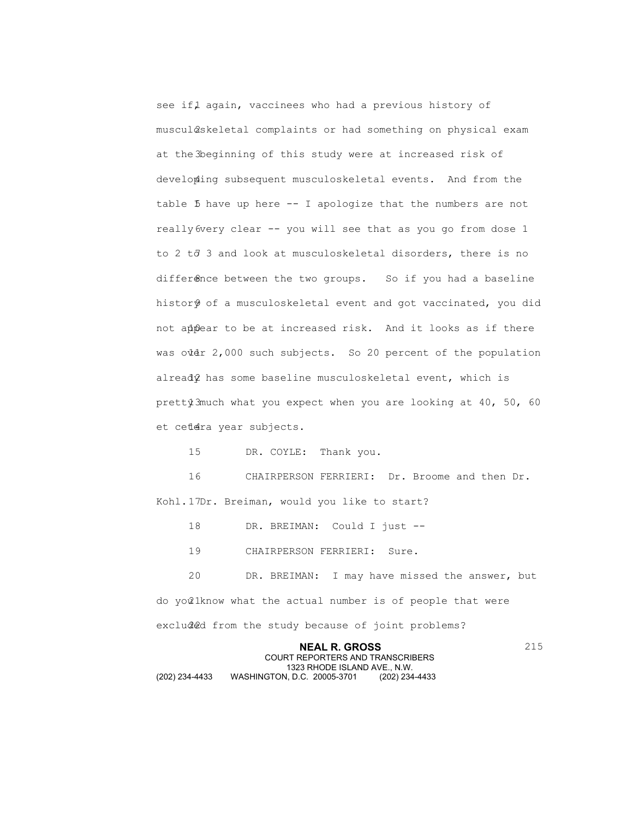see if1 again, vaccinees who had a previous history of musculøskeletal complaints or had something on physical exam at the 3beginning of this study were at increased risk of developing subsequent musculoskeletal events. And from the table  $\bar{b}$  have up here  $-$ - I apologize that the numbers are not really 6very clear -- you will see that as you go from dose 1 to 2 to 3 and look at musculoskeletal disorders, there is no difference between the two groups. So if you had a baseline histor $\vartheta$  of a musculoskeletal event and got vaccinated, you did not appear to be at increased risk. And it looks as if there was ovder 2,000 such subjects. So 20 percent of the population alread $\hat{y}$  has some baseline musculoskeletal event, which is prett $\oint$  3much what you expect when you are looking at 40, 50, 60 et cetera year subjects.

15 DR. COYLE: Thank you.

16 CHAIRPERSON FERRIERI: Dr. Broome and then Dr. Kohl. 17Dr. Breiman, would you like to start?

18 DR. BREIMAN: Could I just --

19 CHAIRPERSON FERRIERI: Sure.

20 DR. BREIMAN: I may have missed the answer, but do yoû 1know what the actual number is of people that were excluded from the study because of joint problems?

**NEAL R. GROSS** COURT REPORTERS AND TRANSCRIBERS 1323 RHODE ISLAND AVE., N.W. (202) 234-4433 WASHINGTON, D.C. 20005-3701 (202) 234-4433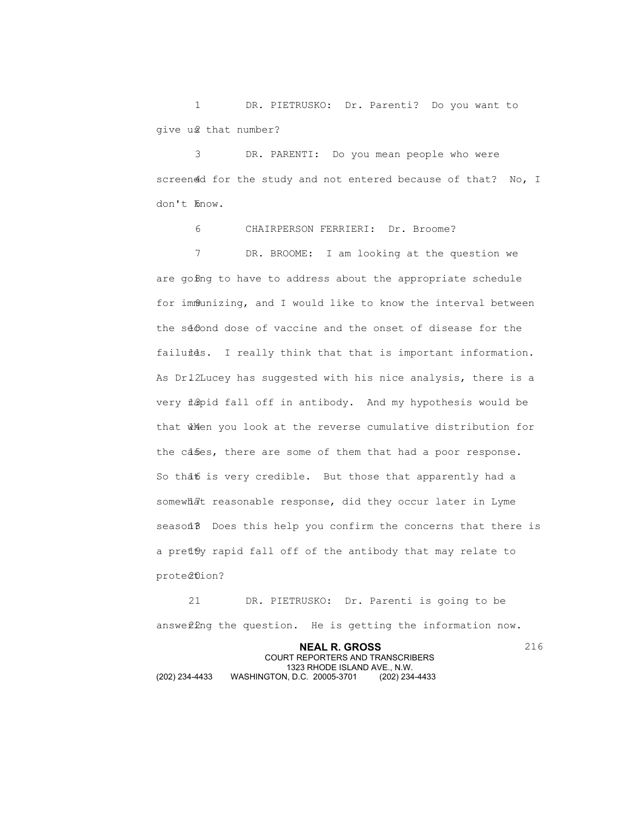DR. PIETRUSKO: Dr. Parenti? Do you want to 1 give us that number?

3 DR. PARENTI: Do you mean people who were screened for the study and not entered because of that? No, I don't Know.

CHAIRPERSON FERRIERI: Dr. Broome? 6

7 DR. BROOME: I am looking at the question we are goßng to have to address about the appropriate schedule for immfunizing, and I would like to know the interval between the s40ond dose of vaccine and the onset of disease for the failuids. I really think that that is important information. As Dr12Lucey has suggested with his nice analysis, there is a very imapid fall off in antibody. And my hypothesis would be that when you look at the reverse cumulative distribution for the cases, there are some of them that had a poor response. So that is very credible. But those that apparently had a somewhat reasonable response, did they occur later in Lyme season? Does this help you confirm the concerns that there is a preflby rapid fall off of the antibody that may relate to prote@flion?

21 DR. PIETRUSKO: Dr. Parenti is going to be answeflng the question. He is getting the information now.

**NEAL R. GROSS** COURT REPORTERS AND TRANSCRIBERS 1323 RHODE ISLAND AVE., N.W. (202) 234-4433 WASHINGTON, D.C. 20005-3701 (202) 234-4433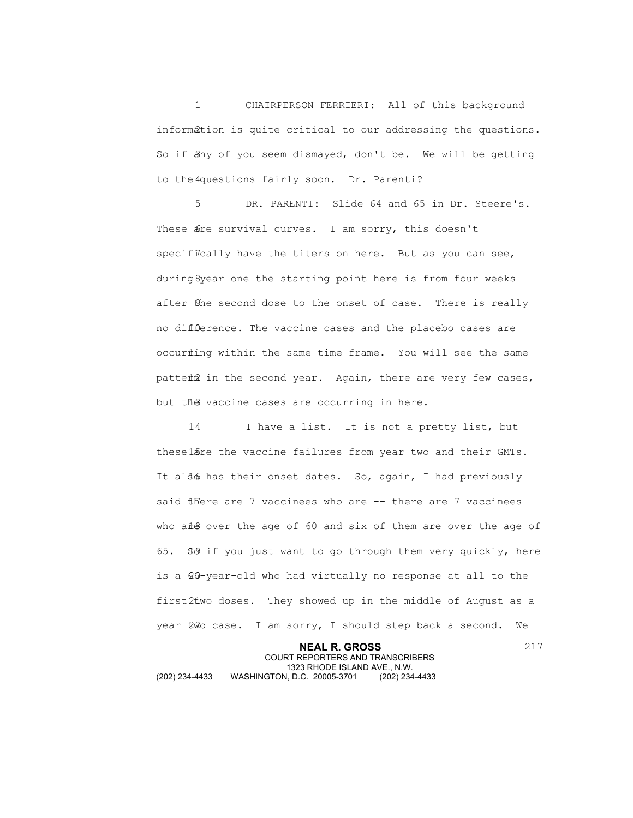CHAIRPERSON FERRIERI: All of this background 1 information is quite critical to our addressing the questions. So if any of you seem dismayed, don't be. We will be getting to the 4questions fairly soon. Dr. Parenti?

5 DR. PARENTI: Slide 64 and 65 in Dr. Steere's. These  $6r$ e survival curves. I am sorry, this doesn't specifically have the titers on here. But as you can see, during 8year one the starting point here is from four weeks after the second dose to the onset of case. There is really no difference. The vaccine cases and the placebo cases are occuriing within the same time frame. You will see the same pattein in the second year. Again, there are very few cases, but the vaccine cases are occurring in here.

14 I have a list. It is not a pretty list, but these lare the vaccine failures from year two and their GMTs. It also has their onset dates. So, again, I had previously said filhere are 7 vaccinees who are -- there are 7 vaccinees who aile over the age of  $60$  and six of them are over the age of 65. **S**if you just want to go through them very quickly, here is a 00-year-old who had virtually no response at all to the first 2two doses. They showed up in the middle of August as a year two case. I am sorry, I should step back a second. We

**NEAL R. GROSS** COURT REPORTERS AND TRANSCRIBERS 1323 RHODE ISLAND AVE., N.W. (202) 234-4433 WASHINGTON, D.C. 20005-3701 (202) 234-4433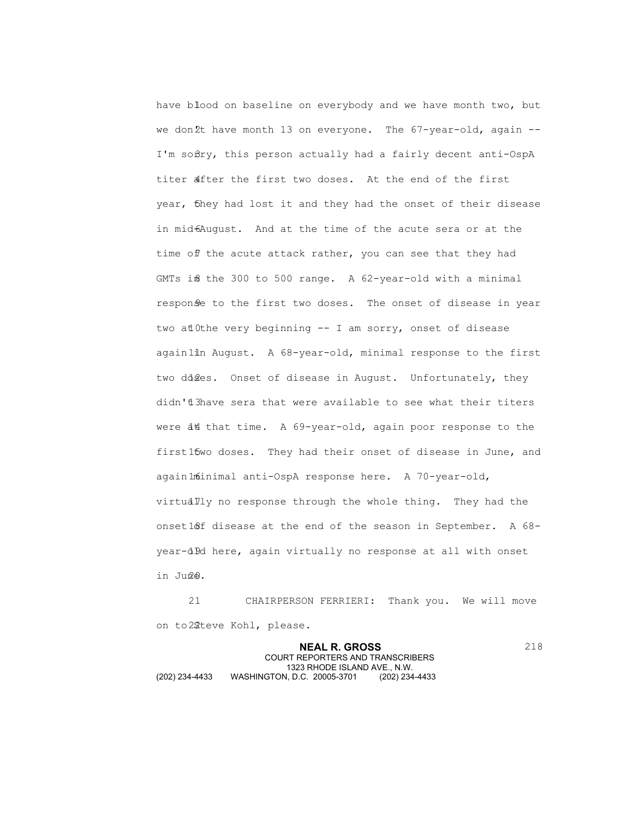have blood on baseline on everybody and we have month two, but we don2t have month 13 on everyone. The  $67$ -year-old, again  $-$ I'm soßry, this person actually had a fairly decent anti-OspA titer after the first two doses. At the end of the first year, they had lost it and they had the onset of their disease in mid-GAugust. And at the time of the acute sera or at the time of the acute attack rather, you can see that they had GMTs in the 300 to 500 range. A  $62$ -year-old with a minimal response to the first two doses. The onset of disease in year two aflothe very beginning  $-$  I am sorry, onset of disease again lin August. A 68-year-old, minimal response to the first two dd ses. Onset of disease in August. Unfortunately, they didn't 3have sera that were available to see what their titers were  $d\mathfrak{A}$  that time. A 69-year-old, again poor response to the first 15wo doses. They had their onset of disease in June, and again  $lnfinimal$  anti-OspA response here. A 70-year-old, virtually no response through the whole thing. They had the onset  $18f$  disease at the end of the season in September. A  $68$ year-dBd here, again virtually no response at all with onset in June.

21 CHAIRPERSON FERRIERI: Thank you. We will move on to 22teve Kohl, please.

**NEAL R. GROSS** COURT REPORTERS AND TRANSCRIBERS 1323 RHODE ISLAND AVE., N.W. (202) 234-4433 WASHINGTON, D.C. 20005-3701 (202) 234-4433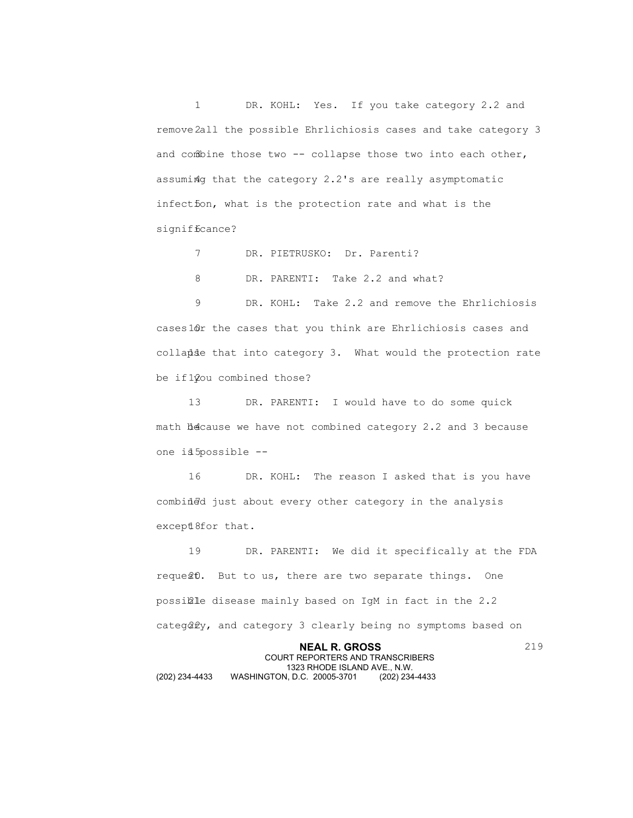1 DR. KOHL: Yes. If you take category 2.2 and remove 2all the possible Ehrlichiosis cases and take category 3 and combine those two  $--$  collapse those two into each other, assuming that the category  $2.2$ 's are really asymptomatic infectfon, what is the protection rate and what is the signifficance?

7 DR. PIETRUSKO: Dr. Parenti?

8 DR. PARENTI: Take 2.2 and what?

9 DR. KOHL: Take 2.2 and remove the Ehrlichiosis cases lor the cases that you think are Ehrlichiosis cases and collapse that into category 3. What would the protection rate be if 100u combined those?

13 DR. PARENTI: I would have to do some quick math because we have not combined category 2.2 and 3 because one is 5possible --

16 DR. KOHL: The reason I asked that is you have combined just about every other category in the analysis except8for that.

19 DR. PARENTI: We did it specifically at the FDA reque 20. But to us, there are two separate things. One possible disease mainly based on IgM in fact in the 2.2 categaty, and category 3 clearly being no symptoms based on

**NEAL R. GROSS** COURT REPORTERS AND TRANSCRIBERS 1323 RHODE ISLAND AVE., N.W. (202) 234-4433 WASHINGTON, D.C. 20005-3701 (202) 234-4433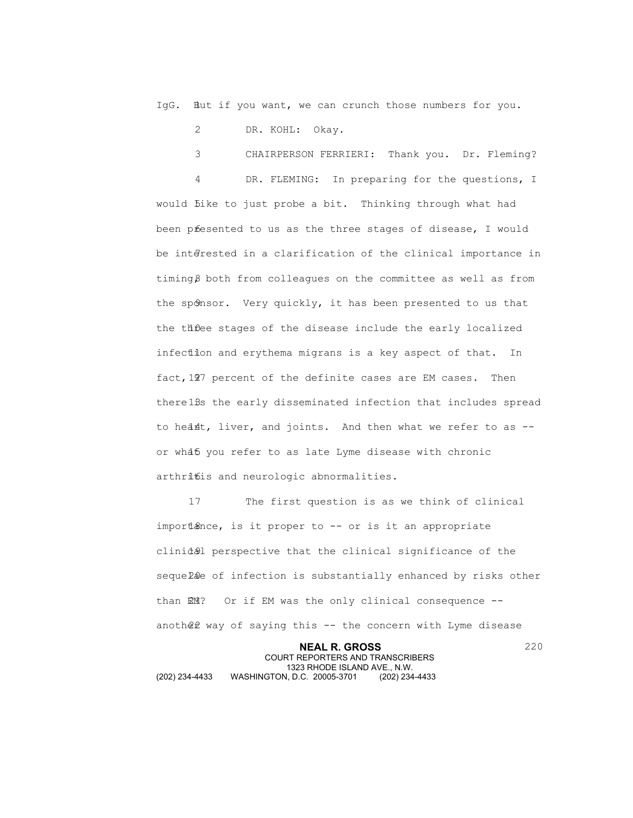IgG. But if you want, we can crunch those numbers for you.

2 DR. KOHL: Okay.

3 CHAIRPERSON FERRIERI: Thank you. Dr. Fleming? 4 DR. FLEMING: In preparing for the questions, I would bike to just probe a bit. Thinking through what had been presented to us as the three stages of disease, I would be interested in a clarification of the clinical importance in  $t$ iming $\beta$  both from colleagues on the committee as well as from the sponsor. Very quickly, it has been presented to us that the those stages of the disease include the early localized infection and erythema migrans is a key aspect of that. In fact, 127 percent of the definite cases are EM cases. Then there 1Bs the early disseminated infection that includes spread to healt, liver, and joints. And then what we refer to as  $$ or what you refer to as late Lyme disease with chronic arthritis and neurologic abnormalities.

17 The first question is as we think of clinical  $import\$ ance, is it proper to -- or is it an appropriate clinidal perspective that the clinical significance of the sequelse of infection is substantially enhanced by risks other than  $\mathbb{R}\mathbb{N}$ ? Or if EM was the only clinical consequence -another way of saying this -- the concern with Lyme disease

**NEAL R. GROSS** COURT REPORTERS AND TRANSCRIBERS 1323 RHODE ISLAND AVE., N.W. (202) 234-4433 WASHINGTON, D.C. 20005-3701 (202) 234-4433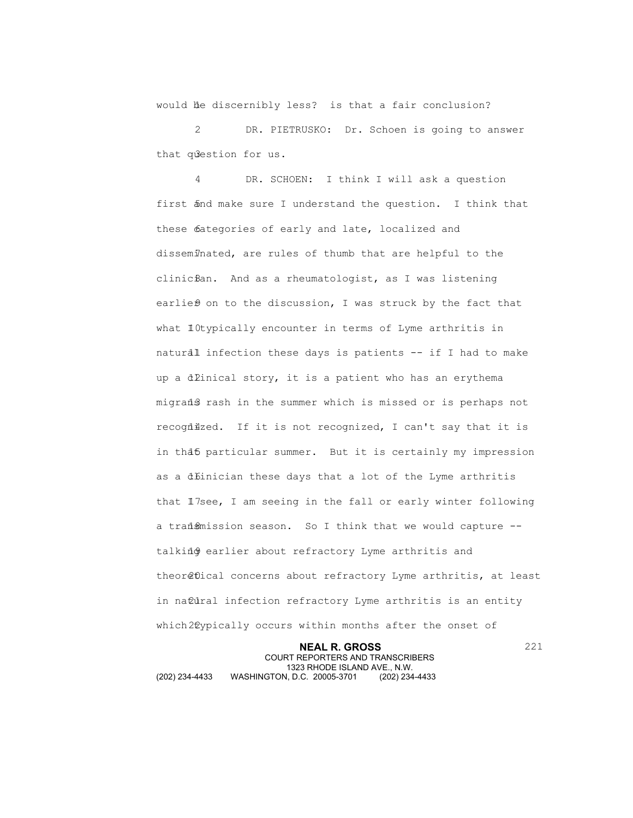would be discernibly less? is that a fair conclusion?

2 DR. PIETRUSKO: Dr. Schoen is going to answer that question for us.

4 DR. SCHOEN: I think I will ask a question first and make sure I understand the question. I think that these Categories of early and late, localized and disseminated, are rules of thumb that are helpful to the clinicBan. And as a rheumatologist, as I was listening earließ on to the discussion, I was struck by the fact that what 10typically encounter in terms of Lyme arthritis in naturall infection these days is patients  $--$  if I had to make up a dlinical story, it is a patient who has an erythema migrans rash in the summer which is missed or is perhaps not recognized. If it is not recognized, I can't say that it is in that particular summer. But it is certainly my impression as a dbinician these days that a lot of the Lyme arthritis that 17see, I am seeing in the fall or early winter following a transmission season. So I think that we would capture  $$ talking earlier about refractory Lyme arthritis and theor@flical concerns about refractory Lyme arthritis, at least in natural infection refractory Lyme arthritis is an entity which 20 ypically occurs within months after the onset of

**NEAL R. GROSS** COURT REPORTERS AND TRANSCRIBERS 1323 RHODE ISLAND AVE., N.W. (202) 234-4433 WASHINGTON, D.C. 20005-3701 (202) 234-4433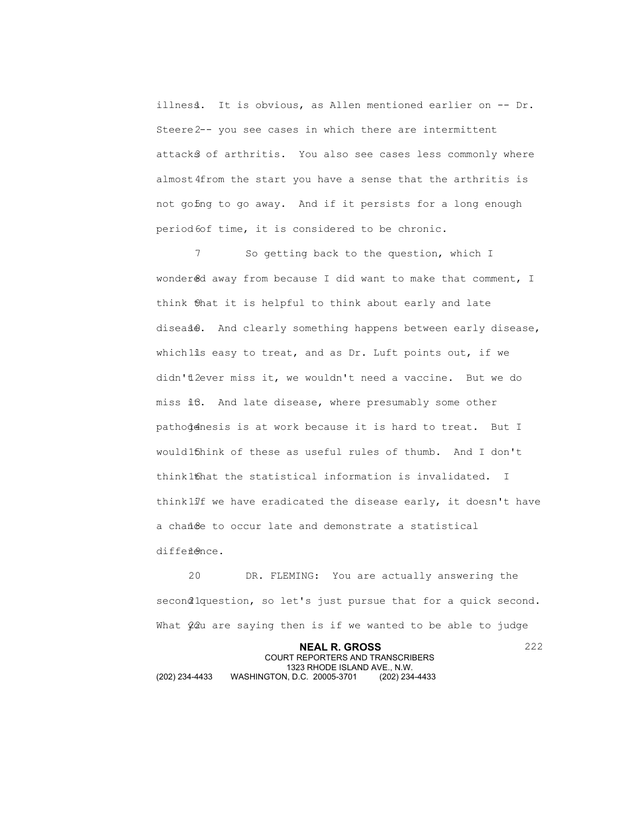illnes $\mathbf{d}$ . It is obvious, as Allen mentioned earlier on  $-$ - Dr. Steere 2-- you see cases in which there are intermittent attacks of arthritis. You also see cases less commonly where almost 4from the start you have a sense that the arthritis is not gofing to go away. And if it persists for a long enough period 6of time, it is considered to be chronic.

7 So getting back to the question, which I wonder $\&$ d away from because I did want to make that comment, I think that it is helpful to think about early and late disease. And clearly something happens between early disease, which lis easy to treat, and as Dr. Luft points out, if we didn't 2ever miss it, we wouldn't need a vaccine. But we do miss iß. And late disease, where presumably some other pathodenesis is at work because it is hard to treat. But I would 15hink of these as useful rules of thumb. And I don't think 1that the statistical information is invalidated. I think  $1/f$  we have eradicated the disease early, it doesn't have a chance to occur late and demonstrate a statistical difference.

20 DR. FLEMING: You are actually answering the second lquestion, so let's just pursue that for a quick second. What  $\hat{y}$  are saying then is if we wanted to be able to judge

**NEAL R. GROSS** COURT REPORTERS AND TRANSCRIBERS 1323 RHODE ISLAND AVE., N.W. (202) 234-4433 WASHINGTON, D.C. 20005-3701 (202) 234-4433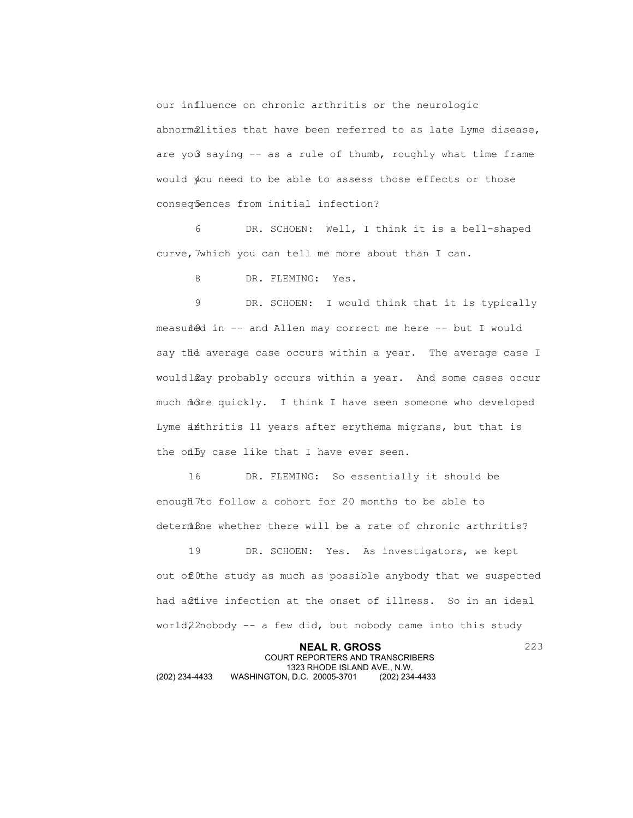our influence on chronic arthritis or the neurologic abnormalities that have been referred to as late Lyme disease, are you saying  $-$  as a rule of thumb, roughly what time frame would \$0u need to be able to assess those effects or those consequences from initial infection?

6 DR. SCHOEN: Well, I think it is a bell-shaped curve, 7which you can tell me more about than I can.

8 DR. FLEMING: Yes.

9 DR. SCHOEN: I would think that it is typically measuited in  $--$  and Allen may correct me here  $--$  but I would say the average case occurs within a year. The average case I would 12ay probably occurs within a year. And some cases occur much midre quickly. I think I have seen someone who developed Lyme dithritis 11 years after erythema migrans, but that is the ofiby case like that I have ever seen.

16 DR. FLEMING: So essentially it should be enough 7to follow a cohort for 20 months to be able to determine whether there will be a rate of chronic arthritis?

19 DR. SCHOEN: Yes. As investigators, we kept out of the study as much as possible anybody that we suspected had a2tive infection at the onset of illness. So in an ideal  $world/2nobody$  -- a few did, but nobody came into this study

**NEAL R. GROSS** COURT REPORTERS AND TRANSCRIBERS 1323 RHODE ISLAND AVE., N.W. (202) 234-4433 WASHINGTON, D.C. 20005-3701 (202) 234-4433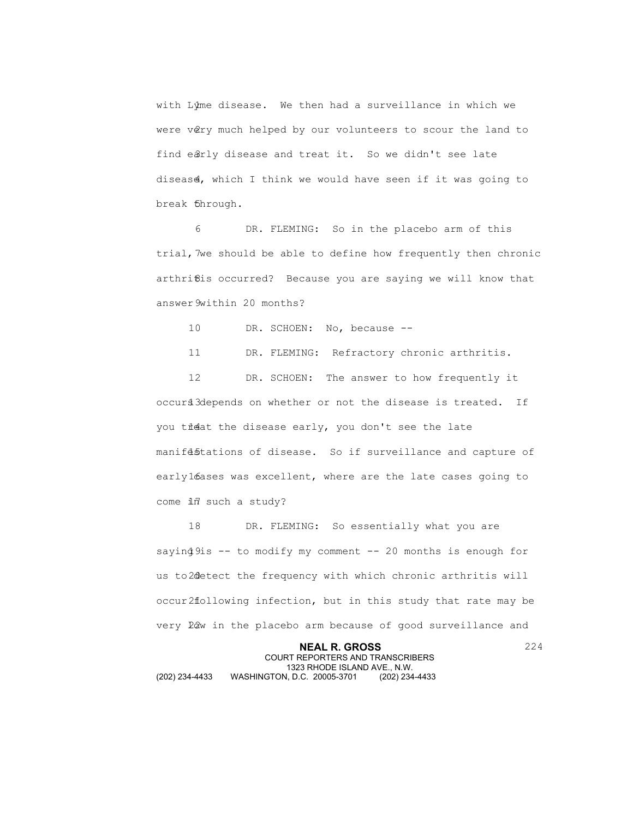with Lyme disease. We then had a surveillance in which we were very much helped by our volunteers to scour the land to find early disease and treat it. So we didn't see late disease, which I think we would have seen if it was going to break *fihrough*.

6 DR. FLEMING: So in the placebo arm of this trial, 7we should be able to define how frequently then chronic arthritis occurred? Because you are saying we will know that answer 9within 20 months?

10 DR. SCHOEN: No, because --

11 DR. FLEMING: Refractory chronic arthritis.

12 DR. SCHOEN: The answer to how frequently it occurs 3depends on whether or not the disease is treated. If you tideat the disease early, you don't see the late manifestations of disease. So if surveillance and capture of early l6ases was excellent, where are the late cases going to come  $\mathbb{1}$ n such a study?

18 DR. FLEMING: So essentially what you are saying  $9i s$  -- to modify my comment -- 20 months is enough for us to 2detect the frequency with which chronic arthritis will occur 2ffollowing infection, but in this study that rate may be very  $\n *D*\n *22*\n *22*\n *22*\n *22*\n *22*\n *22*\n *22*\n *22*\n *22*\n *22*\n *22*\n *22*\n *22*\n *22*\n *22*\n *22*\n *22*\n *22*\n *22*\n *22*\n *22*$ 

**NEAL R. GROSS** COURT REPORTERS AND TRANSCRIBERS 1323 RHODE ISLAND AVE., N.W. (202) 234-4433 WASHINGTON, D.C. 20005-3701 (202) 234-4433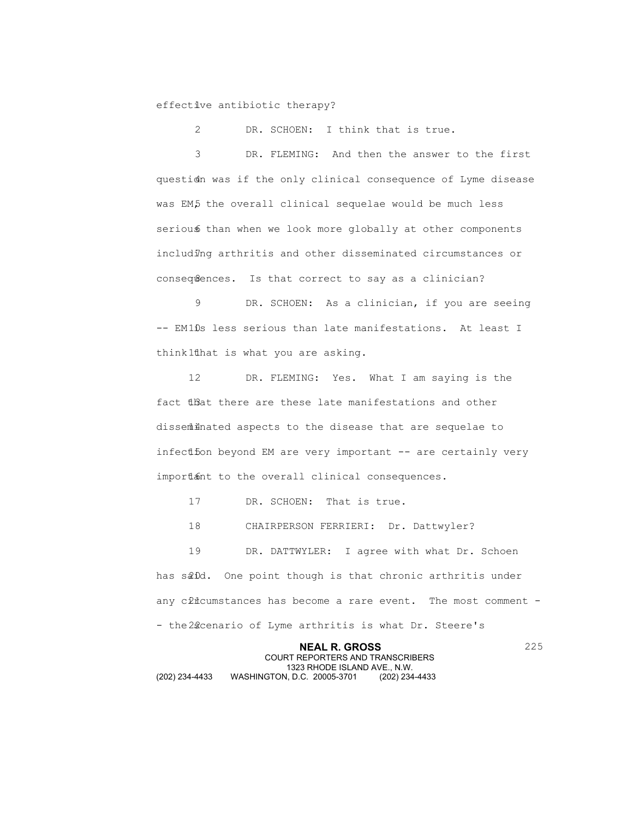effective antibiotic therapy?

2 DR. SCHOEN: I think that is true.

3 DR. FLEMING: And then the answer to the first question was if the only clinical consequence of Lyme disease was EM5 the overall clinical sequelae would be much less serious than when we look more globally at other components including arthritis and other disseminated circumstances or consequences. Is that correct to say as a clinician?

9 DR. SCHOEN: As a clinician, if you are seeing -- EM 10s less serious than late manifestations. At least I think 1that is what you are asking.

12 DR. FLEMING: Yes. What I am saying is the fact flBat there are these late manifestations and other disseminated aspects to the disease that are sequelae to infection beyond EM are very important -- are certainly very importont to the overall clinical consequences.

17 DR. SCHOEN: That is true.

18 CHAIRPERSON FERRIERI: Dr. Dattwyler?

19 DR. DATTWYLER: I agree with what Dr. Schoen has said. One point though is that chronic arthritis under any c $2$  ficumstances has become a rare event. The most comment -- the 22 cenario of Lyme arthritis is what Dr. Steere's

**NEAL R. GROSS** COURT REPORTERS AND TRANSCRIBERS 1323 RHODE ISLAND AVE., N.W. (202) 234-4433 WASHINGTON, D.C. 20005-3701 (202) 234-4433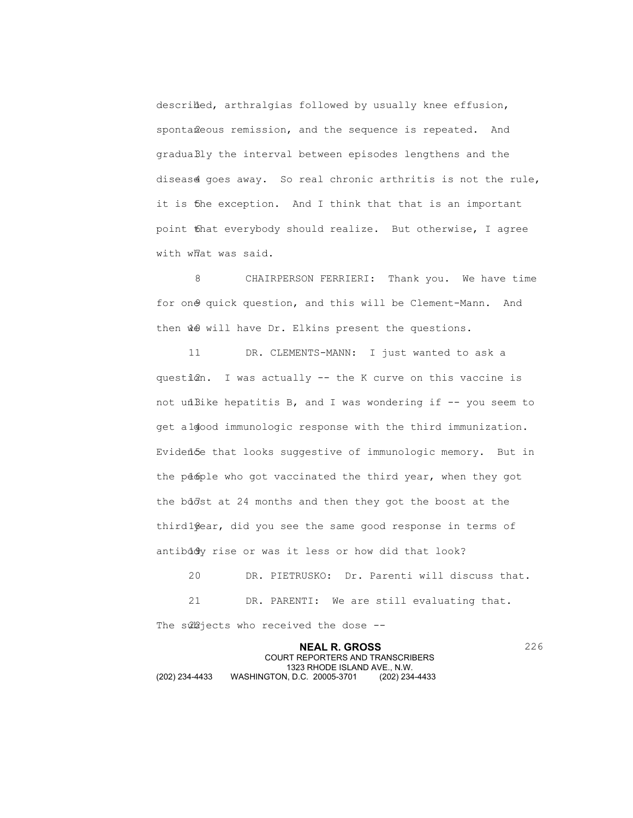described, arthralgias followed by usually knee effusion, spontaneous remission, and the sequence is repeated. And graduaBly the interval between episodes lengthens and the disease goes away. So real chronic arthritis is not the rule, it is the exception. And I think that that is an important point that everybody should realize. But otherwise, I agree with what was said.

8 CHAIRPERSON FERRIERI: Thank you. We have time for on $\Theta$  quick question, and this will be Clement-Mann. And then  $\vec{w}\theta$  will have Dr. Elkins present the questions.

11 DR. CLEMENTS-MANN: I just wanted to ask a questi $\hat{a}$ n. I was actually -- the K curve on this vaccine is not unlBike hepatitis B, and I was wondering if  $-$ - you seem to get a 1400d immunologic response with the third immunization. Evidence that looks suggestive of immunologic memory. But in the people who got vaccinated the third year, when they got the  $b\bar{d}$ ost at 24 months and then they got the boost at the third 1\$ear, did you see the same good response in terms of antibddy rise or was it less or how did that look?

20 DR. PIETRUSKO: Dr. Parenti will discuss that. 21 DR. PARENTI: We are still evaluating that. The subjects who received the dose  $-$ -

**NEAL R. GROSS** COURT REPORTERS AND TRANSCRIBERS 1323 RHODE ISLAND AVE., N.W. (202) 234-4433 WASHINGTON, D.C. 20005-3701 (202) 234-4433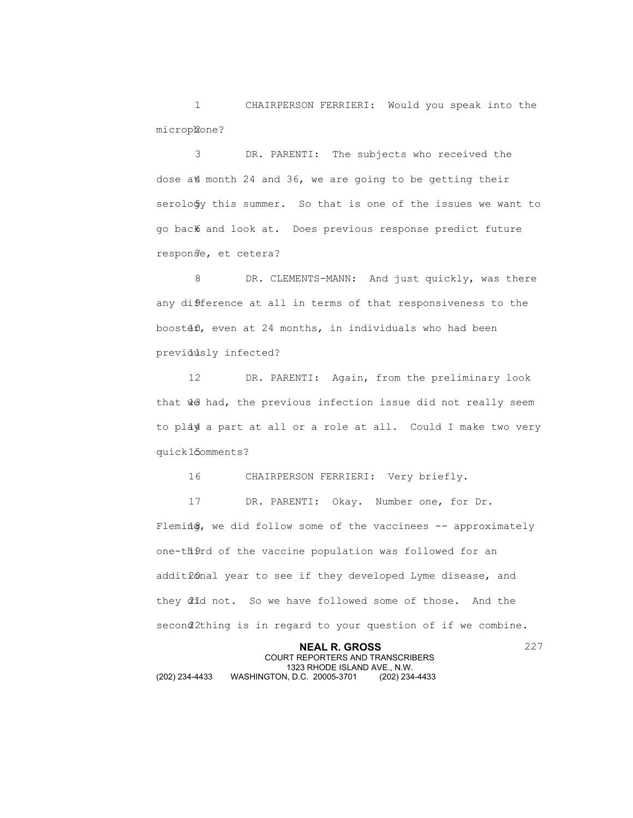CHAIRPERSON FERRIERI: Would you speak into the 1 microphone?

3 DR. PARENTI: The subjects who received the dose at month 24 and 36, we are going to be getting their serology this summer. So that is one of the issues we want to go back and look at. Does previous response predict future response, et cetera?

8 DR. CLEMENTS-MANN: And just quickly, was there any difference at all in terms of that responsiveness to the boostáß, even at 24 months, in individuals who had been previdusly infected?

12 DR. PARENTI: Again, from the preliminary look that we had, the previous infection issue did not really seem to play a part at all or a role at all. Could I make two very quick 15omments?

CHAIRPERSON FERRIERI: Very briefly. 16

17 DR. PARENTI: Okay. Number one, for Dr. Fleming, we did follow some of the vaccinees  $-$ - approximately one-third of the vaccine population was followed for an additional year to see if they developed Lyme disease, and they did not. So we have followed some of those. And the second 2thing is in regard to your question of if we combine.

**NEAL R. GROSS** COURT REPORTERS AND TRANSCRIBERS 1323 RHODE ISLAND AVE., N.W. (202) 234-4433 WASHINGTON, D.C. 20005-3701 (202) 234-4433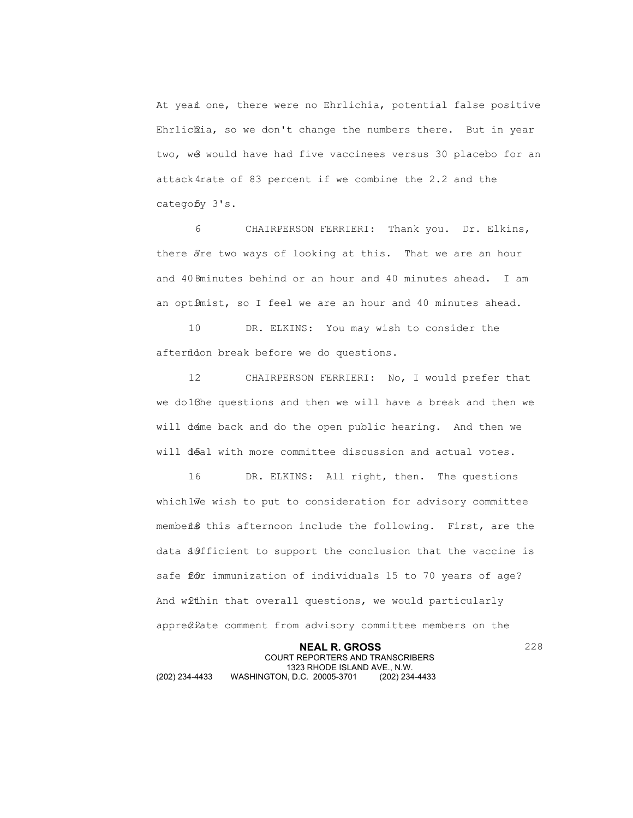At yeaf one, there were no Ehrlichia, potential false positive Ehrlichia, so we don't change the numbers there. But in year two, we would have had five vaccinees versus 30 placebo for an attack 4rate of 83 percent if we combine the 2.2 and the categoby 3's.

 CHAIRPERSON FERRIERI: Thank you. Dr. Elkins, 6 there are two ways of looking at this. That we are an hour and 40 &minutes behind or an hour and 40 minutes ahead. I am an opt $\mathfrak{Bmist}$ , so I feel we are an hour and 40 minutes ahead.

10 DR. ELKINS: You may wish to consider the afternidon break before we do questions.

12 CHAIRPERSON FERRIERI: No, I would prefer that we do 16he questions and then we will have a break and then we will deme back and do the open public hearing. And then we will deal with more committee discussion and actual votes.

16 DR. ELKINS: All right, then. The questions which lwe wish to put to consideration for advisory committee membeis this afternoon include the following. First, are the data dufficient to support the conclusion that the vaccine is safe for immunization of individuals 15 to 70 years of age? And within that overall questions, we would particularly appre $@2$ ate comment from advisory committee members on the

**NEAL R. GROSS** COURT REPORTERS AND TRANSCRIBERS 1323 RHODE ISLAND AVE., N.W. (202) 234-4433 WASHINGTON, D.C. 20005-3701 (202) 234-4433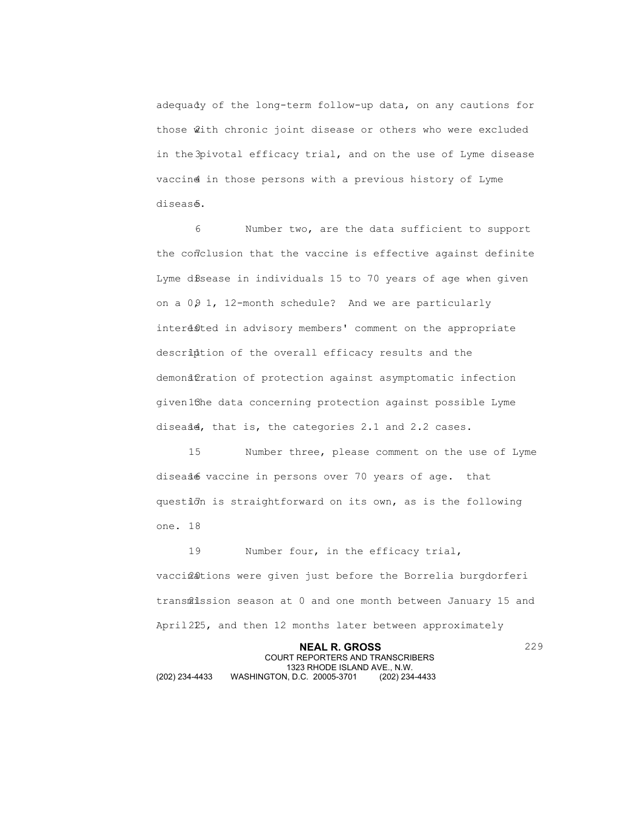adequady of the long-term follow-up data, on any cautions for those with chronic joint disease or others who were excluded in the 3pivotal efficacy trial, and on the use of Lyme disease vaccine in those persons with a previous history of Lyme diseasé.

 Number two, are the data sufficient to support 6 the conclusion that the vaccine is effective against definite Lyme dßsease in individuals 15 to 70 years of age when given on a  $0.9$  1, 12-month schedule? And we are particularly interested in advisory members' comment on the appropriate description of the overall efficacy results and the demonstration of protection against asymptomatic infection given 16he data concerning protection against possible Lyme disease, that is, the categories  $2.1$  and  $2.2$  cases.

15 Number three, please comment on the use of Lyme disease vaccine in persons over 70 years of age. that question is straightforward on its own, as is the following one. 18

19 Number four, in the efficacy trial, vaccinations were given just before the Borrelia burgdorferi transmission season at 0 and one month between January 15 and April 225, and then 12 months later between approximately

**NEAL R. GROSS** COURT REPORTERS AND TRANSCRIBERS 1323 RHODE ISLAND AVE., N.W. (202) 234-4433 WASHINGTON, D.C. 20005-3701 (202) 234-4433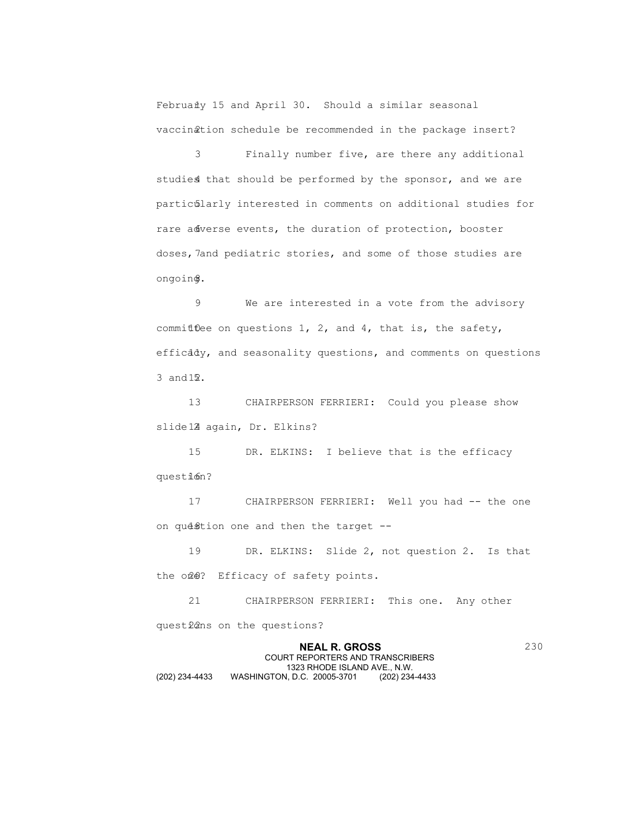February 15 and April 30. Should a similar seasonal vaccination schedule be recommended in the package insert?

 Finally number five, are there any additional 3 studies that should be performed by the sponsor, and we are particularly interested in comments on additional studies for rare adverse events, the duration of protection, booster doses, 7and pediatric stories, and some of those studies are ongoing. 8

9 We are interested in a vote from the advisory committee on questions  $1, 2,$  and  $4,$  that is, the safety, efficady, and seasonality questions, and comments on questions  $3$  and  $12$ .

 CHAIRPERSON FERRIERI: Could you please show 13 slide 12 again, Dr. Elkins?

15 DR. ELKINS: I believe that is the efficacy question?

17 CHAIRPERSON FERRIERI: Well you had -- the one on quéstion one and then the target --

19 DR. ELKINS: Slide 2, not question 2. Is that the one? Efficacy of safety points.

21 CHAIRPERSON FERRIERI: This one. Any other quest2ans on the questions?

**NEAL R. GROSS** COURT REPORTERS AND TRANSCRIBERS 1323 RHODE ISLAND AVE., N.W. (202) 234-4433 WASHINGTON, D.C. 20005-3701 (202) 234-4433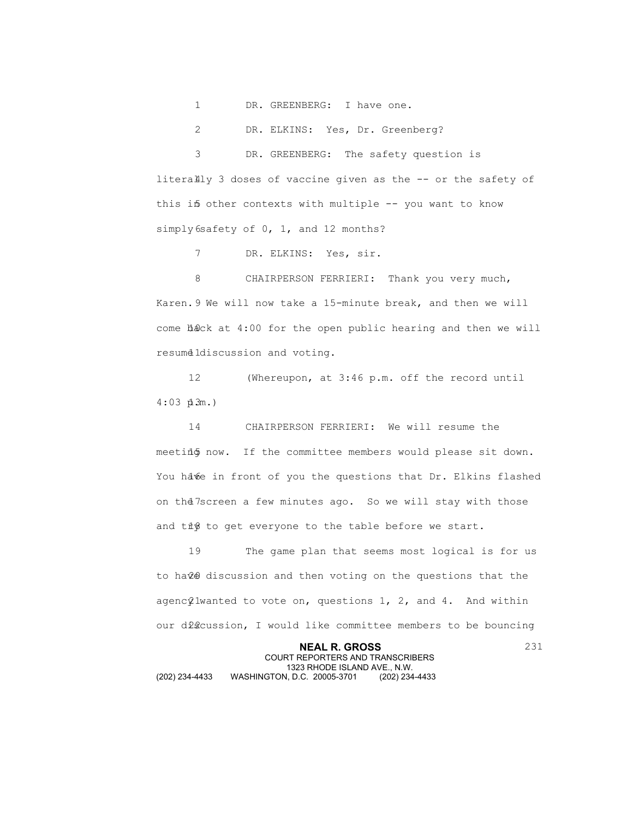1 DR. GREENBERG: I have one.

DR. ELKINS: Yes, Dr. Greenberg? 2

 DR. GREENBERG: The safety question is 3 literally 3 doses of vaccine given as the -- or the safety of this if other contexts with multiple  $-$ - you want to know simply 6safety of 0, 1, and 12 months?

7 DR. ELKINS: Yes, sir.

8 CHAIRPERSON FERRIERI: Thank you very much, Karen. 9 We will now take a 15-minute break, and then we will come  $b$  $a$ ck at  $4:00$  for the open public hearing and then we will resuméldiscussion and voting.

12 (Whereupon, at 3:46 p.m. off the record until  $4:03$  p $3m.$ )

 CHAIRPERSON FERRIERI: We will resume the 14 meeting now. If the committee members would please sit down. You have in front of you the questions that Dr. Elkins flashed on the 7screen a few minutes ago. So we will stay with those and tiff to get everyone to the table before we start.

19 The game plan that seems most logical is for us to have discussion and then voting on the questions that the agenc $\hat{Y}$  lwanted to vote on, questions 1, 2, and 4. And within our discussion, I would like committee members to be bouncing

**NEAL R. GROSS** COURT REPORTERS AND TRANSCRIBERS 1323 RHODE ISLAND AVE., N.W. (202) 234-4433 WASHINGTON, D.C. 20005-3701 (202) 234-4433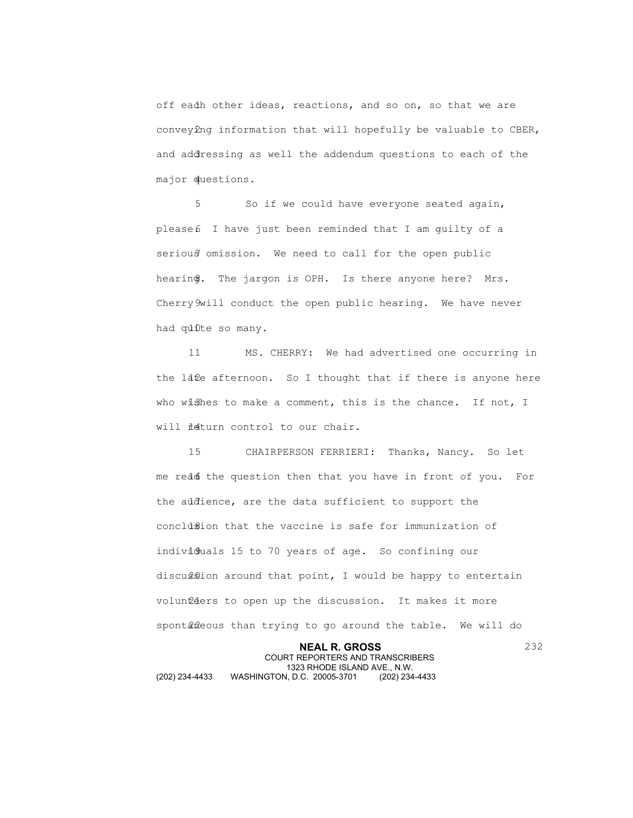off eadh other ideas, reactions, and so on, so that we are convey2ng information that will hopefully be valuable to CBER, and addressing as well the addendum questions to each of the major *questions*.

5 So if we could have everyone seated again, please6 I have just been reminded that I am quilty of a serious omission. We need to call for the open public hearing. The jargon is OPH. Is there anyone here? Mrs. Cherry 9will conduct the open public hearing. We have never had quilte so many.

11 MS. CHERRY: We had advertised one occurring in the late afternoon. So I thought that if there is anyone here who wishes to make a comment, this is the chance. If not, I will fidturn control to our chair.

15 CHAIRPERSON FERRIERI: Thanks, Nancy. So let me read the question then that you have in front of you. For the audience, are the data sufficient to support the conclussion that the vaccine is safe for immunization of individuals 15 to 70 years of age. So confining our discussion around that point, I would be happy to entertain volunteers to open up the discussion. It makes it more spontaleous than trying to go around the table. We will do

**NEAL R. GROSS** COURT REPORTERS AND TRANSCRIBERS 1323 RHODE ISLAND AVE., N.W. (202) 234-4433 WASHINGTON, D.C. 20005-3701 (202) 234-4433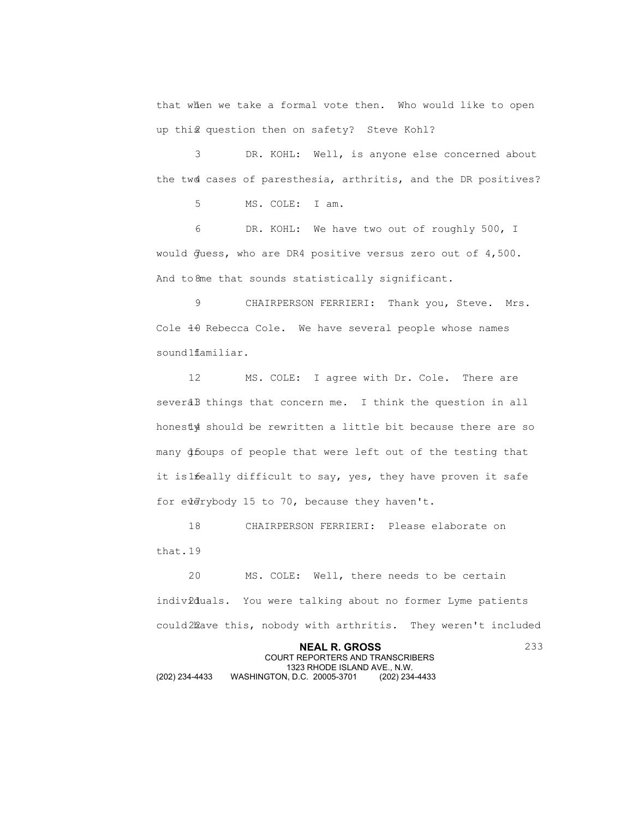that when we take a formal vote then. Who would like to open up thi£ question then on safety? Steve Kohl?

3 DR. KOHL: Well, is anyone else concerned about the twd cases of paresthesia, arthritis, and the DR positives?

5 MS. COLE: I am.

6 DR. KOHL: We have two out of roughly 500, I would quess, who are DR4 positive versus zero out of  $4,500$ . And to 8me that sounds statistically significant.

9 CHAIRPERSON FERRIERI: Thank you, Steve. Mrs. Cole 10 Rebecca Cole. We have several people whose names sound lffamiliar.

12 MS. COLE: I agree with Dr. Cole. There are several things that concern me. I think the question in all honesty should be rewritten a little bit because there are so many dfoups of people that were left out of the testing that it is lifeally difficult to say, yes, they have proven it safe for ederybody 15 to 70, because they haven't.

 CHAIRPERSON FERRIERI: Please elaborate on 18 that. 19

20 MS. COLE: Well, there needs to be certain indiv2duals. You were talking about no former Lyme patients could 22ave this, nobody with arthritis. They weren't included

**NEAL R. GROSS** COURT REPORTERS AND TRANSCRIBERS 1323 RHODE ISLAND AVE., N.W. (202) 234-4433 WASHINGTON, D.C. 20005-3701 (202) 234-4433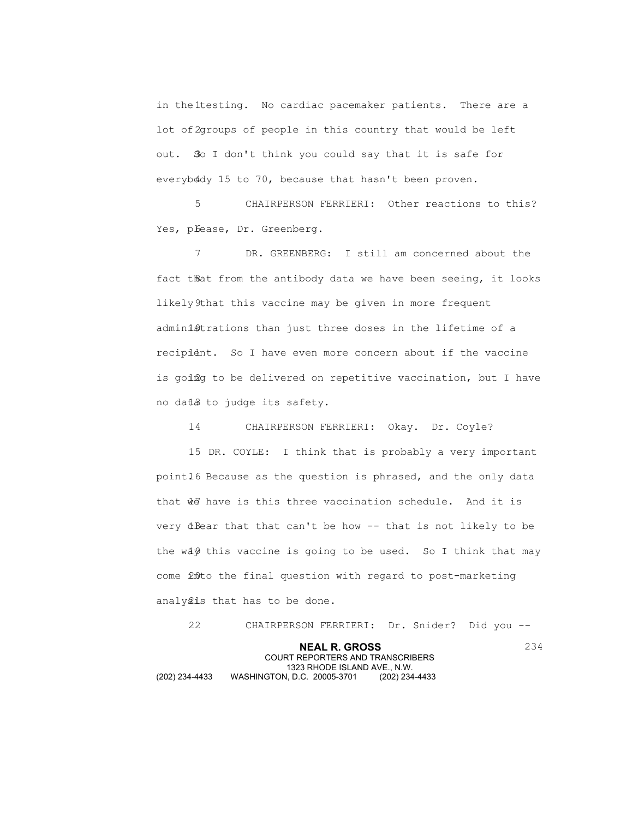in the 1testing. No cardiac pacemaker patients. There are a lot of 2groups of people in this country that would be left out. So I don't think you could say that it is safe for everybody 15 to 70, because that hasn't been proven.

5 CHAIRPERSON FERRIERI: Other reactions to this? Yes, pfease, Dr. Greenberg.

7 DR. GREENBERG: I still am concerned about the fact that from the antibody data we have been seeing, it looks likely 9that this vaccine may be given in more frequent administrations than just three doses in the lifetime of a recipient. So I have even more concern about if the vaccine is going to be delivered on repetitive vaccination, but I have no data to judge its safety.

CHAIRPERSON FERRIERI: Okay. Dr. Coyle? 14

15 DR. COYLE: I think that is probably a very important point16 Because as the question is phrased, and the only data that we have is this three vaccination schedule. And it is very dBear that that can't be how -- that is not likely to be the way this vaccine is going to be used. So I think that may come into the final question with regard to post-marketing analy 21s that has to be done.

CHAIRPERSON FERRIERI: Dr. Snider? Did you -- 22

**NEAL R. GROSS** COURT REPORTERS AND TRANSCRIBERS 1323 RHODE ISLAND AVE., N.W. (202) 234-4433 WASHINGTON, D.C. 20005-3701 (202) 234-4433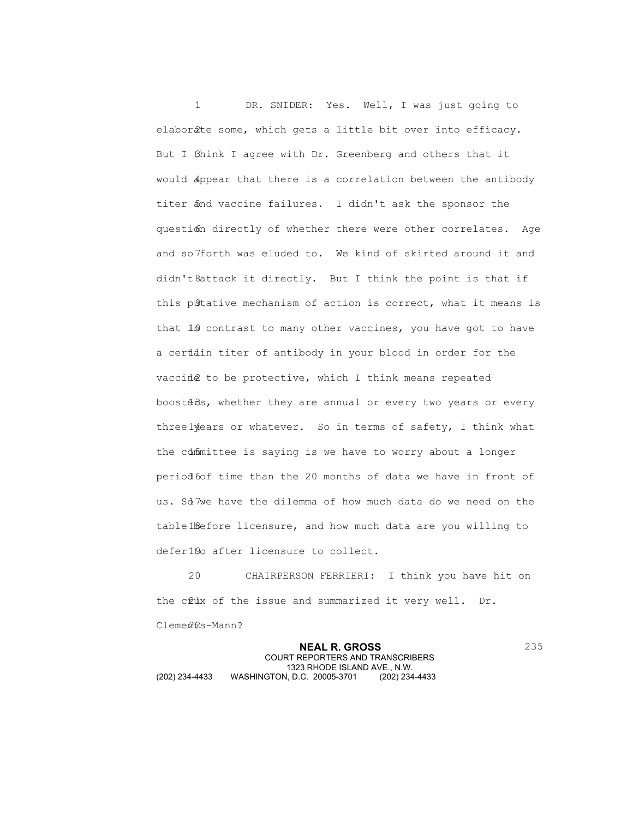1 DR. SNIDER: Yes. Well, I was just going to elaborate some, which gets a little bit over into efficacy. But I think I agree with Dr. Greenberg and others that it would appear that there is a correlation between the antibody titer and vaccine failures. I didn't ask the sponsor the question directly of whether there were other correlates. Age and so 7forth was eluded to. We kind of skirted around it and didn't 8attack it directly. But I think the point is that if this putative mechanism of action is correct, what it means is that in contrast to many other vaccines, you have got to have a certiain titer of antibody in your blood in order for the vaccine to be protective, which I think means repeated boostdis, whether they are annual or every two years or every three liears or whatever. So in terms of safety, I think what the cdmmittee is saying is we have to worry about a longer period 6of time than the 20 months of data we have in front of us. Sd7we have the dilemma of how much data do we need on the table lise fore licensure, and how much data are you willing to defer 100 after licensure to collect.

20 CHAIRPERSON FERRIERI: I think you have hit on the cflix of the issue and summarized it very well. Dr.

Clements-Mann?

**NEAL R. GROSS** COURT REPORTERS AND TRANSCRIBERS 1323 RHODE ISLAND AVE., N.W. (202) 234-4433 WASHINGTON, D.C. 20005-3701 (202) 234-4433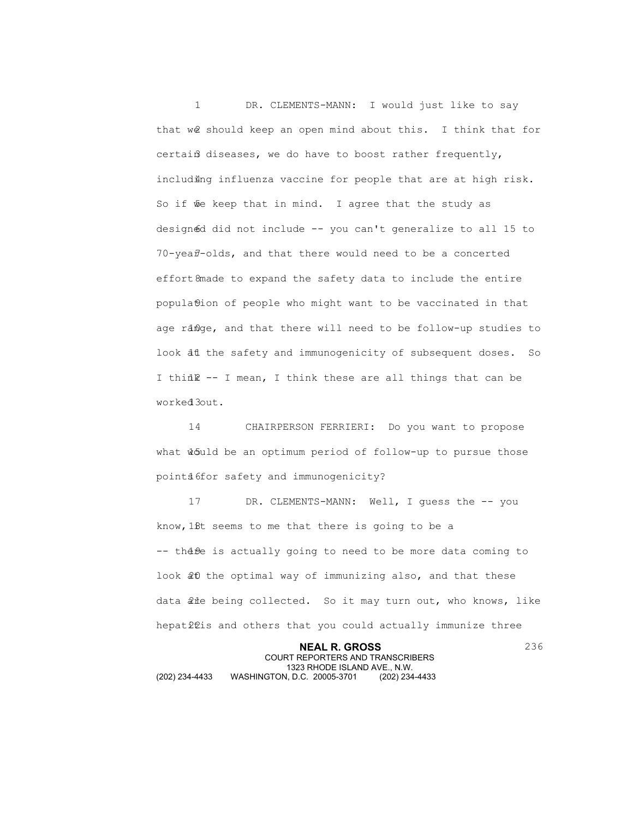1 DR. CLEMENTS-MANN: I would just like to say that we should keep an open mind about this. I think that for certain diseases, we do have to boost rather frequently, including influenza vaccine for people that are at high risk. So if  $\Phi$ e keep that in mind. I agree that the study as designed did not include -- you can't generalize to all 15 to  $70$ -yea $t$ -olds, and that there would need to be a concerted effort 8made to expand the safety data to include the entire population of people who might want to be vaccinated in that age range, and that there will need to be follow-up studies to look at the safety and immunogenicity of subsequent doses. So I think -- I mean, I think these are all things that can be worked 3out.

 CHAIRPERSON FERRIERI: Do you want to propose 14 what would be an optimum period of follow-up to pursue those points for safety and immunogenicity?

17 DR. CLEMENTS-MANN: Well, I quess the -- you know,  $18t$  seems to me that there is going to be a -- the fle is actually going to need to be more data coming to look at the optimal way of immunizing also, and that these data and being collected. So it may turn out, who knows, like hepatitis and others that you could actually immunize three

**NEAL R. GROSS** COURT REPORTERS AND TRANSCRIBERS 1323 RHODE ISLAND AVE., N.W. (202) 234-4433 WASHINGTON, D.C. 20005-3701 (202) 234-4433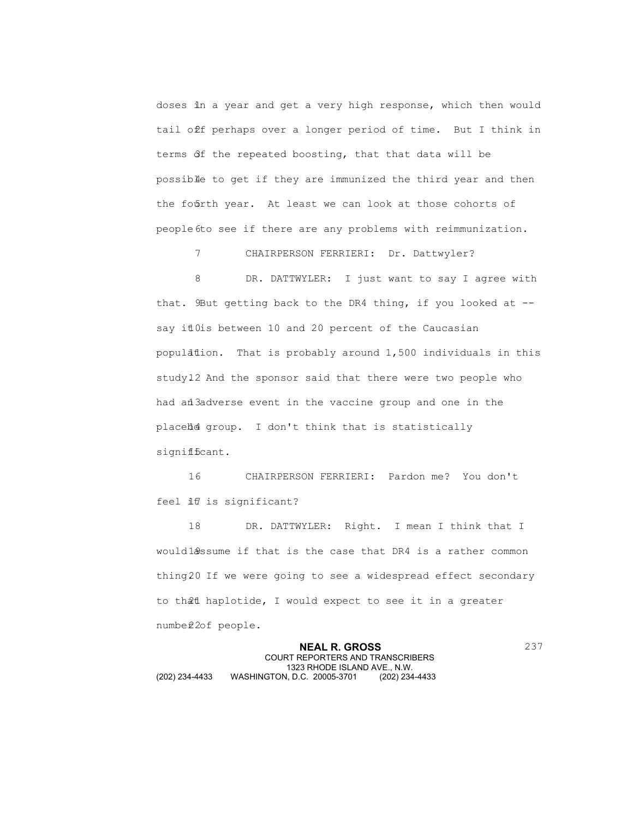doses in a year and get a very high response, which then would tail off perhaps over a longer period of time. But I think in terms of the repeated boosting, that that data will be possible to get if they are immunized the third year and then the fourth year. At least we can look at those cohorts of people 6to see if there are any problems with reimmunization.

7 CHAIRPERSON FERRIERI: Dr. Dattwyler?

8 DR. DATTWYLER: I just want to say I agree with that. 9But getting back to the DR4 thing, if you looked at  $-$ say if Ois between 10 and 20 percent of the Caucasian population. That is probably around  $1,500$  individuals in this study12 And the sponsor said that there were two people who had an 3adverse event in the vaccine group and one in the placebd group. I don't think that is statistically signifficant.

 CHAIRPERSON FERRIERI: Pardon me? You don't 16 feel if is significant?

18 DR. DATTWYLER: Right. I mean I think that I would 12ssume if that is the case that DR4 is a rather common thing 20 If we were going to see a widespread effect secondary to that haplotide, I would expect to see it in a greater numbe<sub>22of</sub> people.

**NEAL R. GROSS** COURT REPORTERS AND TRANSCRIBERS 1323 RHODE ISLAND AVE., N.W. (202) 234-4433 WASHINGTON, D.C. 20005-3701 (202) 234-4433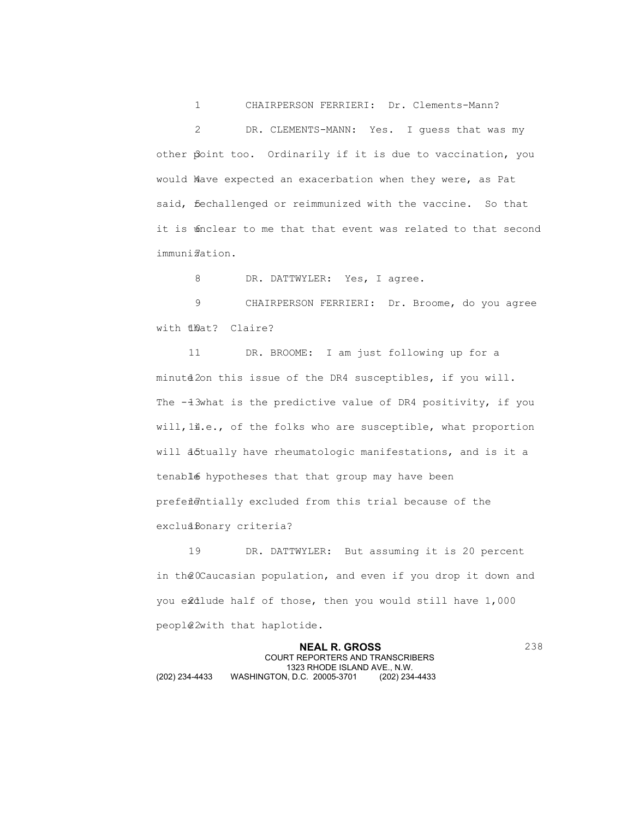CHAIRPERSON FERRIERI: Dr. Clements-Mann? 1 2 DR. CLEMENTS-MANN: Yes. I quess that was my other point too. Ordinarily if it is due to vaccination, you would Mave expected an exacerbation when they were, as Pat said, *fechallenged or reimmunized with the vaccine*. So that it is unclear to me that that event was related to that second immunization. 7

8 DR. DATTWYLER: Yes, I agree.

9 CHAIRPERSON FERRIERI: Dr. Broome, do you agree with fibat? Claire?

11 DR. BROOME: I am just following up for a minuté 2on this issue of the DR4 susceptibles, if you will. The  $-13$ what is the predictive value of DR4 positivity, if you will, 14.e., of the folks who are susceptible, what proportion will a5tually have rheumatologic manifestations, and is it a tenable hypotheses that that group may have been prefertally excluded from this trial because of the exclusionary criteria?

19 DR. DATTWYLER: But assuming it is 20 percent in the OCaucasian population, and even if you drop it down and you exclude half of those, then you would still have  $1,000$ people2with that haplotide.

**NEAL R. GROSS** COURT REPORTERS AND TRANSCRIBERS 1323 RHODE ISLAND AVE., N.W. (202) 234-4433 WASHINGTON, D.C. 20005-3701 (202) 234-4433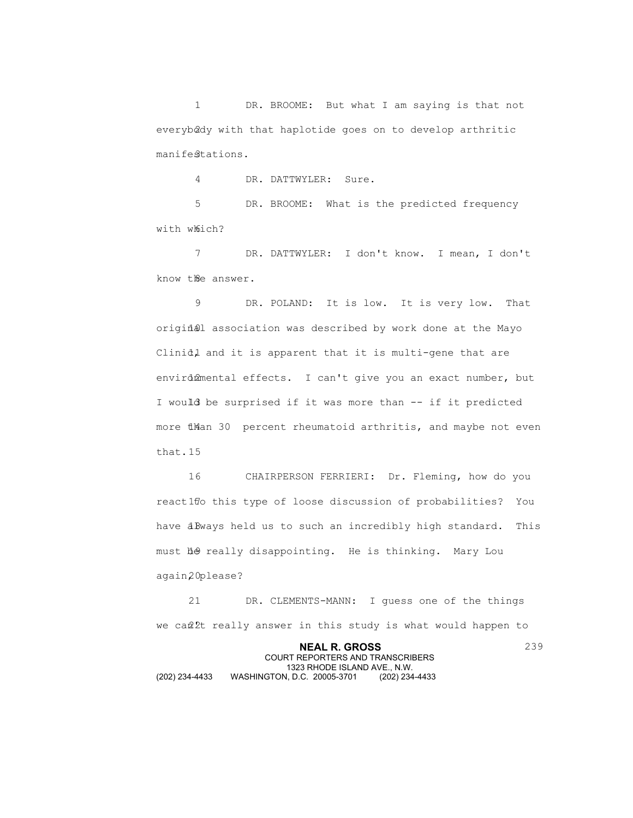1 DR. BROOME: But what I am saying is that not everybody with that haplotide goes on to develop arthritic manifestations. 3

DR. DATTWYLER: Sure. 4

5 DR. BROOME: What is the predicted frequency with which?

7 DR. DATTWYLER: I don't know. I mean, I don't know the answer.

9 DR. POLAND: It is low. It is very low. That original association was described by work done at the Mayo Clinid $\lambda$  and it is apparent that it is multi-gene that are envirdamental effects. I can't give you an exact number, but I would be surprised if it was more than -- if it predicted more flMan 30 percent rheumatoid arthritis, and maybe not even that. 15

16 CHAIRPERSON FERRIERI: Dr. Fleming, how do you react 1flo this type of loose discussion of probabilities? You have aBways held us to such an incredibly high standard. This must be really disappointing. He is thinking. Mary Lou again20please?

21 DR. CLEMENTS-MANN: I guess one of the things we can2t really answer in this study is what would happen to

**NEAL R. GROSS** COURT REPORTERS AND TRANSCRIBERS 1323 RHODE ISLAND AVE., N.W. (202) 234-4433 WASHINGTON, D.C. 20005-3701 (202) 234-4433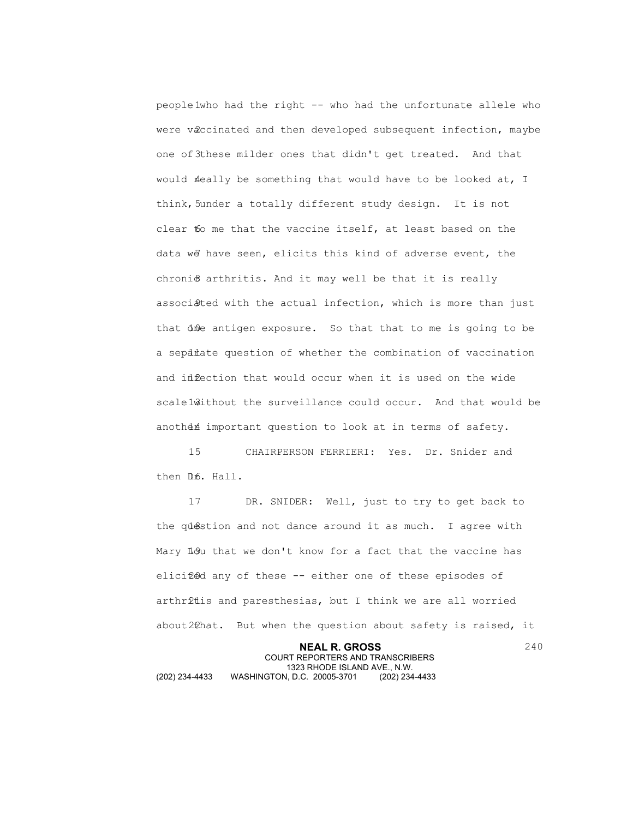people lwho had the right -- who had the unfortunate allele who were vaccinated and then developed subsequent infection, maybe one of 3these milder ones that didn't get treated. And that would feally be something that would have to be looked at,  $I$ think, 5under a totally different study design. It is not clear to me that the vaccine itself, at least based on the data we have seen, elicits this kind of adverse event, the chroni& arthritis. And it may well be that it is really associated with the actual infection, which is more than just that die antigen exposure. So that that to me is going to be a sepatate question of whether the combination of vaccination and infection that would occur when it is used on the wide scale lwithout the surveillance could occur. And that would be anothed important question to look at in terms of safety.

15 CHAIRPERSON FERRIERI: Yes. Dr. Snider and then D.6. Hall.

17 DR. SNIDER: Well, just to try to get back to the question and not dance around it as much. I agree with Mary 10u that we don't know for a fact that the vaccine has elicited any of these  $-$ - either one of these episodes of arthr $2$ tis and paresthesias, but I think we are all worried about 2that. But when the question about safety is raised, it

**NEAL R. GROSS** COURT REPORTERS AND TRANSCRIBERS 1323 RHODE ISLAND AVE., N.W. (202) 234-4433 WASHINGTON, D.C. 20005-3701 (202) 234-4433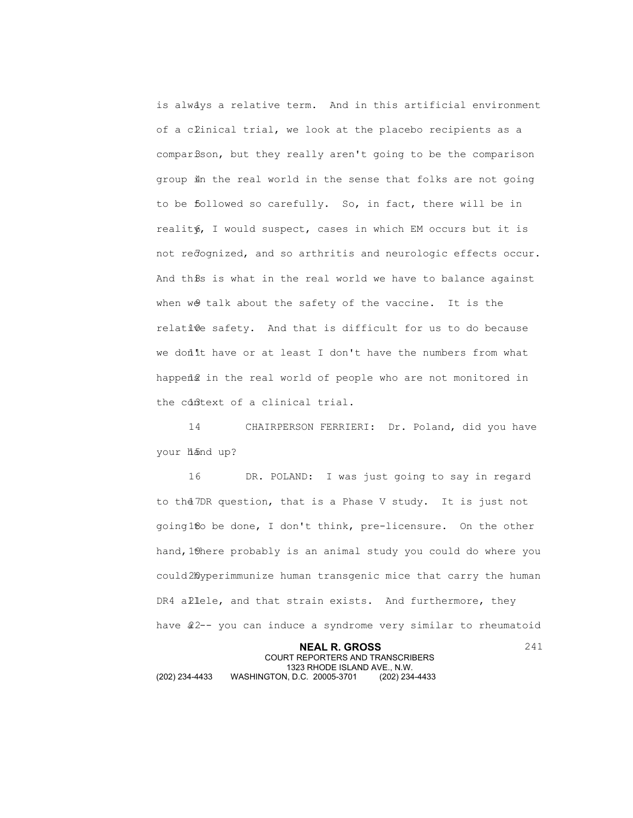is always a relative term. And in this artificial environment of a clinical trial, we look at the placebo recipients as a comparßson, but they really aren't going to be the comparison group in the real world in the sense that folks are not going to be followed so carefully. So, in fact, there will be in realit%, I would suspect, cases in which EM occurs but it is not redognized, and so arthritis and neurologic effects occur. And this is what in the real world we have to balance against when  $w\Theta$  talk about the safety of the vaccine. It is the relative safety. And that is difficult for us to do because we dofilt have or at least I don't have the numbers from what happens in the real world of people who are not monitored in the cdottext of a clinical trial.

14 CHAIRPERSON FERRIERI: Dr. Poland, did you have your hand up?

16 DR. POLAND: I was just going to say in regard to the 7DR question, that is a Phase V study. It is just not going 180 be done, I don't think, pre-licensure. On the other hand, 10here probably is an animal study you could do where you could 20 yperimmunize human transgenic mice that carry the human DR4 allele, and that strain exists. And furthermore, they have  $22 -$  you can induce a syndrome very similar to rheumatoid

241

**NEAL R. GROSS** COURT REPORTERS AND TRANSCRIBERS 1323 RHODE ISLAND AVE., N.W. (202) 234-4433 WASHINGTON, D.C. 20005-3701 (202) 234-4433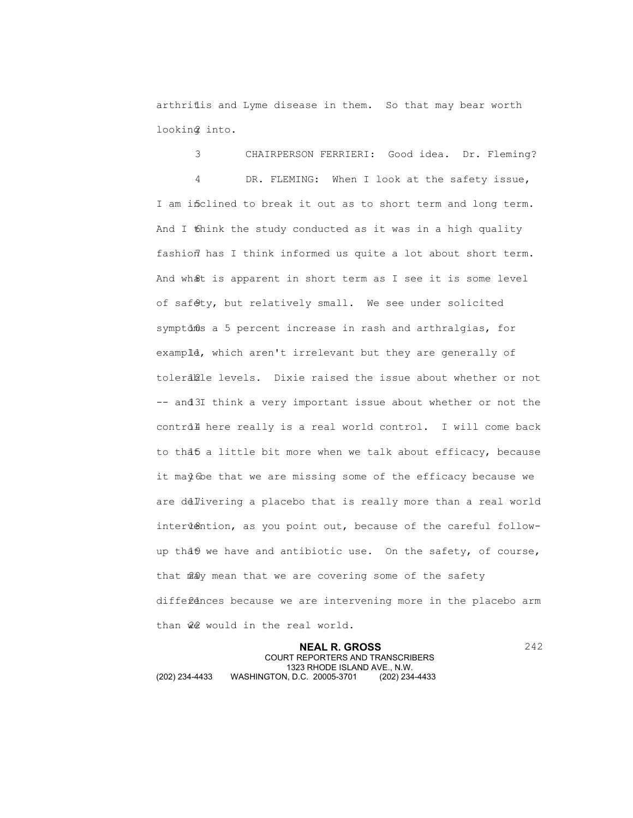arthriflis and Lyme disease in them. So that may bear worth looking into.

 CHAIRPERSON FERRIERI: Good idea. Dr. Fleming? 3 DR. FLEMING: When I look at the safety issue, 4 I am inclined to break it out as to short term and long term. And I think the study conducted as it was in a high quality fashion has I think informed us quite a lot about short term. And what is apparent in short term as I see it is some level of safety, but relatively small. We see under solicited symptoms a 5 percent increase in rash and arthralgias, for example, which aren't irrelevant but they are generally of tolerable levels. Dixie raised the issue about whether or not -- and 3I think a very important issue about whether or not the contrd# here really is a real world control. I will come back to that a little bit more when we talk about efficacy, because it ma $\psi$  fobe that we are missing some of the efficacy because we are dellivering a placebo that is really more than a real world interi&ntion, as you point out, because of the careful followup that we have and antibiotic use. On the safety, of course, that may mean that we are covering some of the safety diffe $2$ dnces because we are intervening more in the placebo arm than 22 would in the real world.

**NEAL R. GROSS** COURT REPORTERS AND TRANSCRIBERS 1323 RHODE ISLAND AVE., N.W. (202) 234-4433 WASHINGTON, D.C. 20005-3701 (202) 234-4433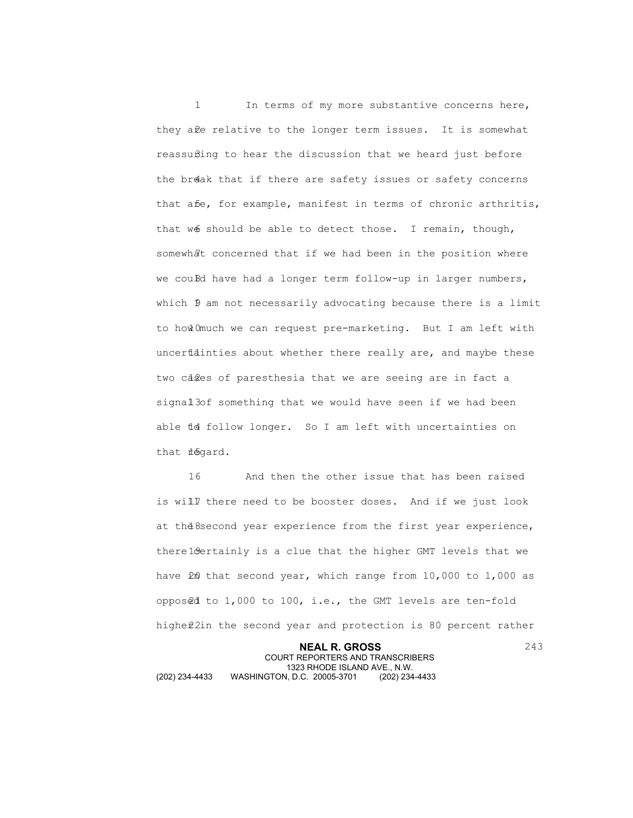In terms of my more substantive concerns here, 1 they afe relative to the longer term issues. It is somewhat reassuffing to hear the discussion that we heard just before the break that if there are safety issues or safety concerns that afe, for example, manifest in terms of chronic arthritis, that w $\mathfrak{G}$  should be able to detect those. I remain, though, somewhat concerned that if we had been in the position where we could have had a longer term follow-up in larger numbers, which  $\beta$  am not necessarily advocating because there is a limit to how Omuch we can request pre-marketing. But I am left with uncerflainties about whether there really are, and maybe these two cases of paresthesia that we are seeing are in fact a signall 3of something that we would have seen if we had been able fle follow longer. So I am left with uncertainties on that isgard.

16 And then the other issue that has been raised is will there need to be booster doses. And if we just look at the 8 second year experience from the first year experience, there loertainly is a clue that the higher GMT levels that we have  $20$  that second year, which range from  $10,000$  to  $1,000$  as opposed to  $1,000$  to  $100$ , i.e., the GMT levels are ten-fold highe $t$ 2in the second year and protection is 80 percent rather

**NEAL R. GROSS** COURT REPORTERS AND TRANSCRIBERS 1323 RHODE ISLAND AVE., N.W. (202) 234-4433 WASHINGTON, D.C. 20005-3701 (202) 234-4433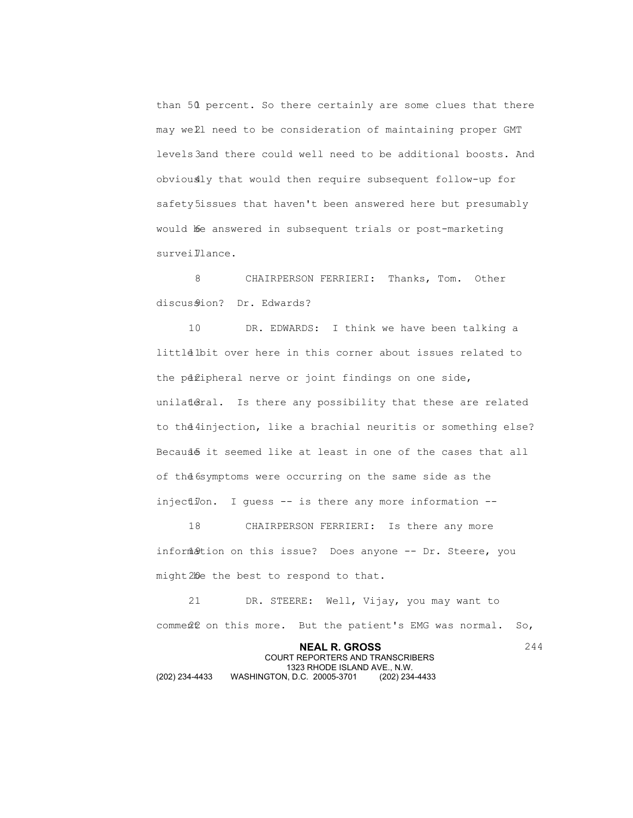than 50 percent. So there certainly are some clues that there may well need to be consideration of maintaining proper GMT levels 3 and there could well need to be additional boosts. And obviously that would then require subsequent follow-up for safety 5issues that haven't been answered here but presumably would be answered in subsequent trials or post-marketing surveillance.

8 CHAIRPERSON FERRIERI: Thanks, Tom. Other discus \$ion? Dr. Edwards?

10 DR. EDWARDS: I think we have been talking a little 1 bit over here in this corner about issues related to the parapheral nerve or joint findings on one side, unilateral. Is there any possibility that these are related to the 4injection, like a brachial neuritis or something else? Becaust it seemed like at least in one of the cases that all of the 6symptoms were occurring on the same side as the injection. I quess  $--$  is there any more information  $--$ 

18 CHAIRPERSON FERRIERI: Is there any more informition on this issue? Does anyone -- Dr. Steere, you might 20e the best to respond to that.

21 DR. STEERE: Well, Vijay, you may want to comment on this more. But the patient's EMG was normal. So,

**NEAL R. GROSS** COURT REPORTERS AND TRANSCRIBERS 1323 RHODE ISLAND AVE., N.W. (202) 234-4433 WASHINGTON, D.C. 20005-3701 (202) 234-4433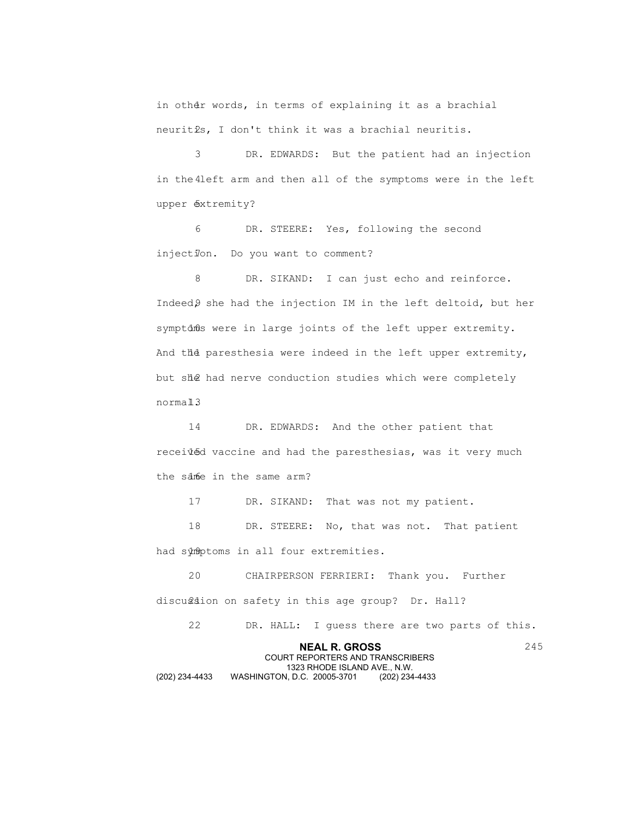in other words, in terms of explaining it as a brachial neuritis, I don't think it was a brachial neuritis.

3 DR. EDWARDS: But the patient had an injection in the 4left arm and then all of the symptoms were in the left upper  $\epsilon$ xtremity?

 DR. STEERE: Yes, following the second 6 injection. Do you want to comment? 7

8 DR. SIKAND: I can just echo and reinforce. Indeed $\beta$  she had the injection IM in the left deltoid, but her symptdm0s were in large joints of the left upper extremity. And the paresthesia were indeed in the left upper extremity, but she had nerve conduction studies which were completely normal. 3

14 DR. EDWARDS: And the other patient that receited vaccine and had the paresthesias, was it very much the same in the same arm?

17 DR. SIKAND: That was not my patient.

18 DR. STEERE: No, that was not. That patient had sumptoms in all four extremities.

20 CHAIRPERSON FERRIERI: Thank you. Further discu&dion on safety in this age group? Dr. Hall?

22 DR. HALL: I guess there are two parts of this.

**NEAL R. GROSS** COURT REPORTERS AND TRANSCRIBERS 1323 RHODE ISLAND AVE., N.W. (202) 234-4433 WASHINGTON, D.C. 20005-3701 (202) 234-4433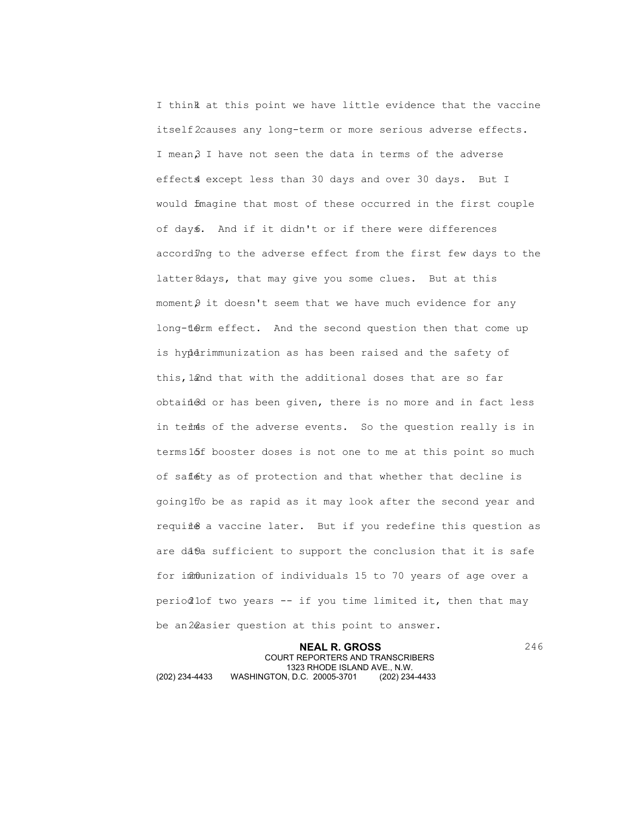I think at this point we have little evidence that the vaccine itself 2causes any long-term or more serious adverse effects. I mean $\beta$  I have not seen the data in terms of the adverse effects except less than 30 days and over 30 days. But I would fmagine that most of these occurred in the first couple of days. And if it didn't or if there were differences according to the adverse effect from the first few days to the latter 8days, that may give you some clues. But at this moment 9 it doesn't seem that we have much evidence for any long-t@rm effect. And the second question then that come up is hypdrimmunization as has been raised and the safety of this, 12nd that with the additional doses that are so far obtained or has been given, there is no more and in fact less in teims of the adverse events. So the question really is in terms 15f booster doses is not one to me at this point so much of saffety as of protection and that whether that decline is going 1flo be as rapid as it may look after the second year and require a vaccine later. But if you redefine this question as are data sufficient to support the conclusion that it is safe for immunization of individuals 15 to 70 years of age over a period lof two years  $-$  if you time limited it, then that may be an 22asier question at this point to answer.

**NEAL R. GROSS** COURT REPORTERS AND TRANSCRIBERS 1323 RHODE ISLAND AVE., N.W. (202) 234-4433 WASHINGTON, D.C. 20005-3701 (202) 234-4433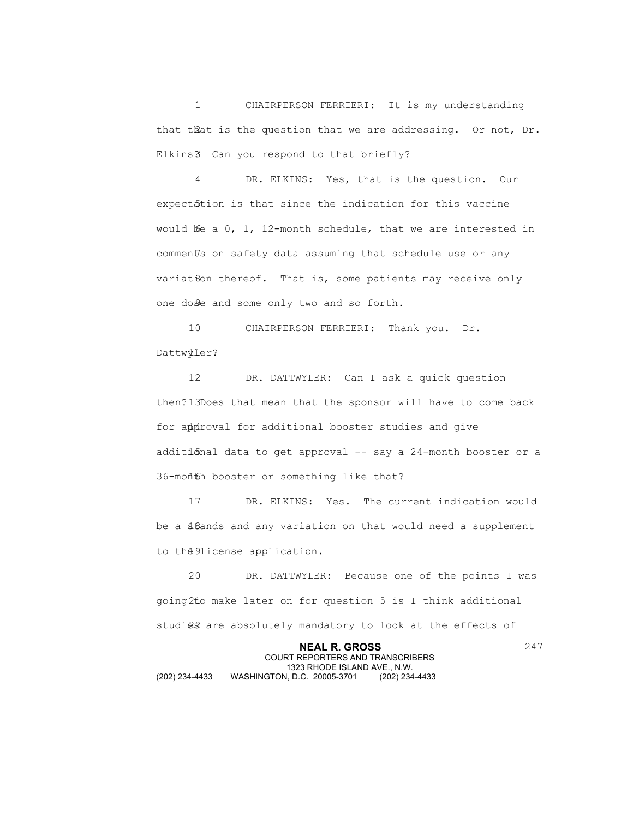CHAIRPERSON FERRIERI: It is my understanding 1 that that is the question that we are addressing. Or not,  $Dr$ . Elkins<sup>3</sup> Can you respond to that briefly?

4 DR. ELKINS: Yes, that is the question. Our expectation is that since the indication for this vaccine would  $b\$ e a 0, 1, 12-month schedule, that we are interested in comments on safety data assuming that schedule use or any variatßon thereof. That is, some patients may receive only one dose and some only two and so forth.

10 CHAIRPERSON FERRIERI: Thank you. Dr. Dattw<sub>iler?</sub>

12 DR. DATTWYLER: Can I ask a quick question then? 13Does that mean that the sponsor will have to come back for approval for additional booster studies and give additional data to get approval  $-$  say a 24-month booster or a 36-month booster or something like that?

17 DR. ELKINS: Yes. The current indication would be a *di*bands and any variation on that would need a supplement to the 9license application.

20 DR. DATTWYLER: Because one of the points I was going 2 to make later on for question 5 is I think additional studies are absolutely mandatory to look at the effects of

**NEAL R. GROSS** COURT REPORTERS AND TRANSCRIBERS 1323 RHODE ISLAND AVE., N.W. (202) 234-4433 WASHINGTON, D.C. 20005-3701 (202) 234-4433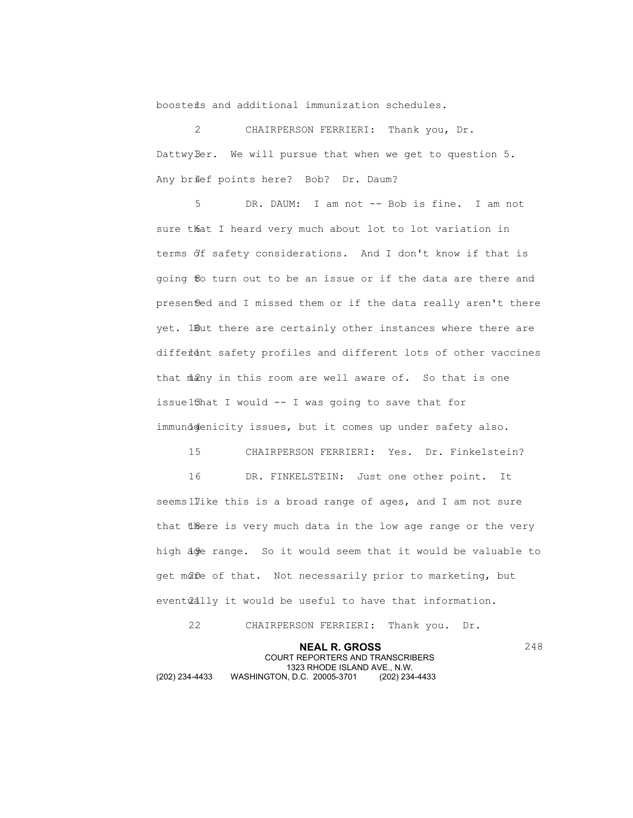boosteis and additional immunization schedules.

2 CHAIRPERSON FERRIERI: Thank you, Dr. Dattwy Ber. We will pursue that when we get to question 5. Any brief points here? Bob? Dr. Daum?

5 DR. DAUM: I am not -- Bob is fine. I am not sure that I heard very much about lot to lot variation in terms of safety considerations. And I don't know if that is going to turn out to be an issue or if the data are there and presented and I missed them or if the data really aren't there yet. 1But there are certainly other instances where there are diffeident safety profiles and different lots of other vaccines that måny in this room are well aware of. So that is one issue  $18$ hat I would  $--$  I was going to save that for immund genicity issues, but it comes up under safety also.

 CHAIRPERSON FERRIERI: Yes. Dr. Finkelstein? 15 16 DR. FINKELSTEIN: Just one other point. It seems 1 I ike this is a broad range of ages, and I am not sure that fliere is very much data in the low age range or the very high age range. So it would seem that it would be valuable to get mafe of that. Not necessarily prior to marketing, but eventûally it would be useful to have that information.

22 CHAIRPERSON FERRIERI: Thank you. Dr.

**NEAL R. GROSS** COURT REPORTERS AND TRANSCRIBERS 1323 RHODE ISLAND AVE., N.W. (202) 234-4433 WASHINGTON, D.C. 20005-3701 (202) 234-4433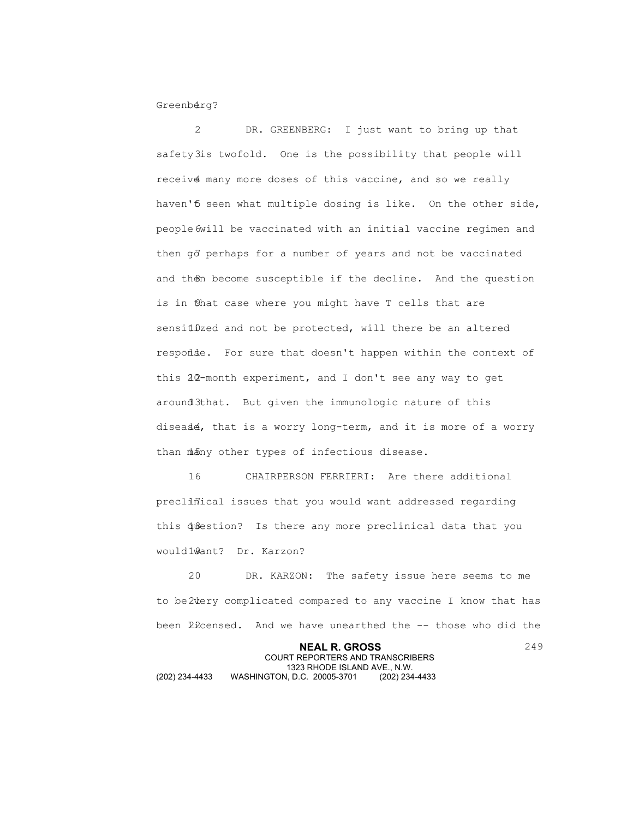Greenbdrg?

2 DR. GREENBERG: I just want to bring up that safety 3 is twofold. One is the possibility that people will receive many more doses of this vaccine, and so we really haven't seen what multiple dosing is like. On the other side, people 6will be vaccinated with an initial vaccine regimen and then qo perhaps for a number of years and not be vaccinated and then become susceptible if the decline. And the question is in that case where you might have T cells that are sensitized and not be protected, will there be an altered response. For sure that doesn't happen within the context of this 20-month experiment, and I don't see any way to get around 3that. But given the immunologic nature of this disease, that is a worry long-term, and it is more of a worry than many other types of infectious disease.

 CHAIRPERSON FERRIERI: Are there additional 16 preclinical issues that you would want addressed regarding this duestion? Is there any more preclinical data that you would 10ant? Dr. Karzon?

20 DR. KARZON: The safety issue here seems to me to be 2dery complicated compared to any vaccine I know that has been licensed. And we have unearthed the -- those who did the

**NEAL R. GROSS** COURT REPORTERS AND TRANSCRIBERS 1323 RHODE ISLAND AVE., N.W. (202) 234-4433 WASHINGTON, D.C. 20005-3701 (202) 234-4433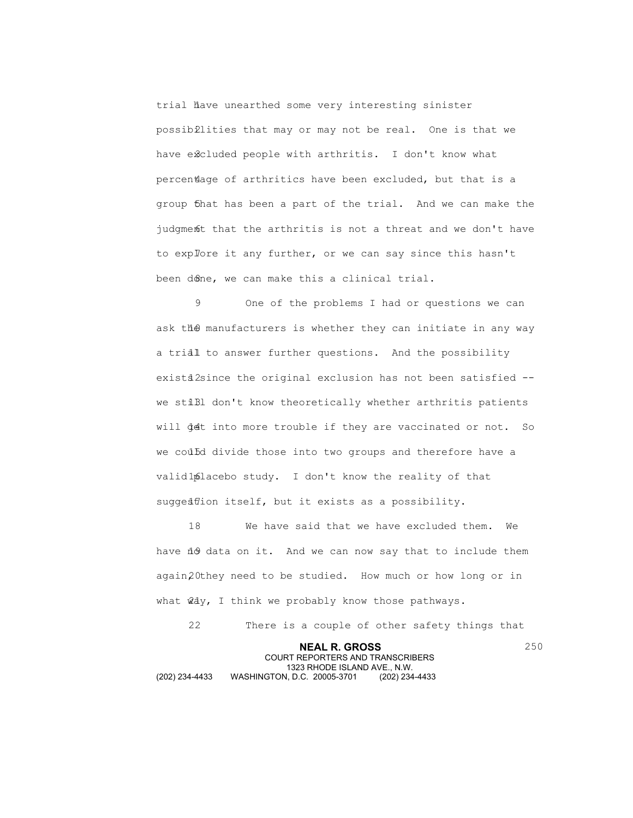trial have unearthed some very interesting sinister 1 possibilities that may or may not be real. One is that we have excluded people with arthritis. I don't know what percentage of arthritics have been excluded, but that is a group that has been a part of the trial. And we can make the judgment that the arthritis is not a threat and we don't have to explore it any further, or we can say since this hasn't been done, we can make this a clinical trial.

9 One of the problems I had or questions we can ask the manufacturers is whether they can initiate in any way a trial to answer further questions. And the possibility exists 2since the original exclusion has not been satisfied -we stilll don't know theoretically whether arthritis patients will det into more trouble if they are vaccinated or not. So we could divide those into two groups and therefore have a valid lplacebo study. I don't know the reality of that suggestion itself, but it exists as a possibility.

18 We have said that we have excluded them. We have no data on it. And we can now say that to include them again20they need to be studied. How much or how long or in what  $\hat{u}$ dy, I think we probably know those pathways.

22 There is a couple of other safety things that

**NEAL R. GROSS** COURT REPORTERS AND TRANSCRIBERS 1323 RHODE ISLAND AVE., N.W. (202) 234-4433 WASHINGTON, D.C. 20005-3701 (202) 234-4433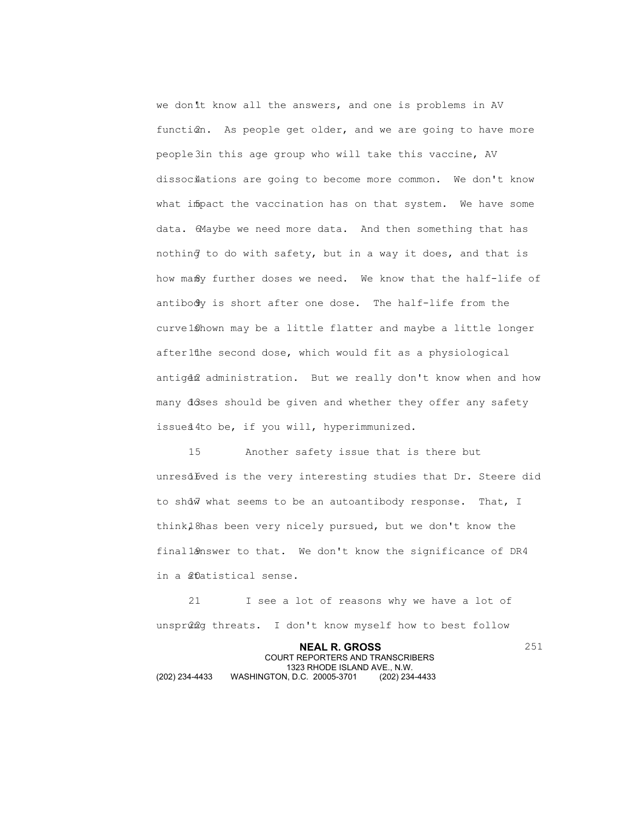we don't know all the answers, and one is problems in AV function. As people get older, and we are going to have more people 3in this age group who will take this vaccine, AV dissociations are going to become more common. We don't know what impact the vaccination has on that system. We have some data. Maybe we need more data. And then something that has nothing to do with safety, but in a way it does, and that is how many further doses we need. We know that the half-life of antibody is short after one dose. The half-life from the curve 1shown may be a little flatter and maybe a little longer after 1the second dose, which would fit as a physiological antigen administration. But we really don't know when and how many doses should be given and whether they offer any safety issues 4to be, if you will, hyperimmunized.

 Another safety issue that is there but 15 unresdEved is the very interesting studies that Dr. Steere did to show what seems to be an autoantibody response. That, I think, 18 has been very nicely pursued, but we don't know the final 12nswer to that. We don't know the significance of DR4 in a *\$tatistical* sense.

21 I see a lot of reasons why we have a lot of unsprûng threats. I don't know myself how to best follow

**NEAL R. GROSS** COURT REPORTERS AND TRANSCRIBERS 1323 RHODE ISLAND AVE., N.W. (202) 234-4433 WASHINGTON, D.C. 20005-3701 (202) 234-4433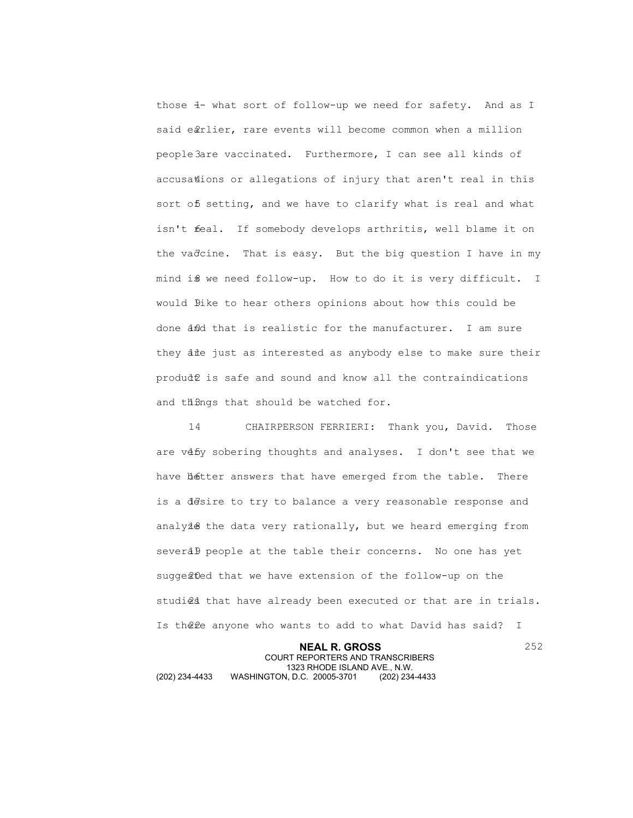those 1- what sort of follow-up we need for safety. And as I said earlier, rare events will become common when a million people 3are vaccinated. Furthermore, I can see all kinds of accusations or allegations of injury that aren't real in this sort of setting, and we have to clarify what is real and what isn't feal. If somebody develops arthritis, well blame it on the vadcine. That is easy. But the big question I have in my mind is we need follow-up. How to do it is very difficult. I would Bike to hear others opinions about how this could be done  $\hat{a}$  and that is realistic for the manufacturer. I am sure they ande just as interested as anybody else to make sure their produdt is safe and sound and know all the contraindications and things that should be watched for.

14 CHAIRPERSON FERRIERI: Thank you, David. Those are vetby sobering thoughts and analyses. I don't see that we have better answers that have emerged from the table. There is a desire to try to balance a very reasonable response and analy $d$ & the data very rationally, but we heard emerging from several people at the table their concerns. No one has yet suggested that we have extension of the follow-up on the studies that have already been executed or that are in trials. Is the fle anyone who wants to add to what David has said? I

**NEAL R. GROSS** COURT REPORTERS AND TRANSCRIBERS 1323 RHODE ISLAND AVE., N.W. (202) 234-4433 WASHINGTON, D.C. 20005-3701 (202) 234-4433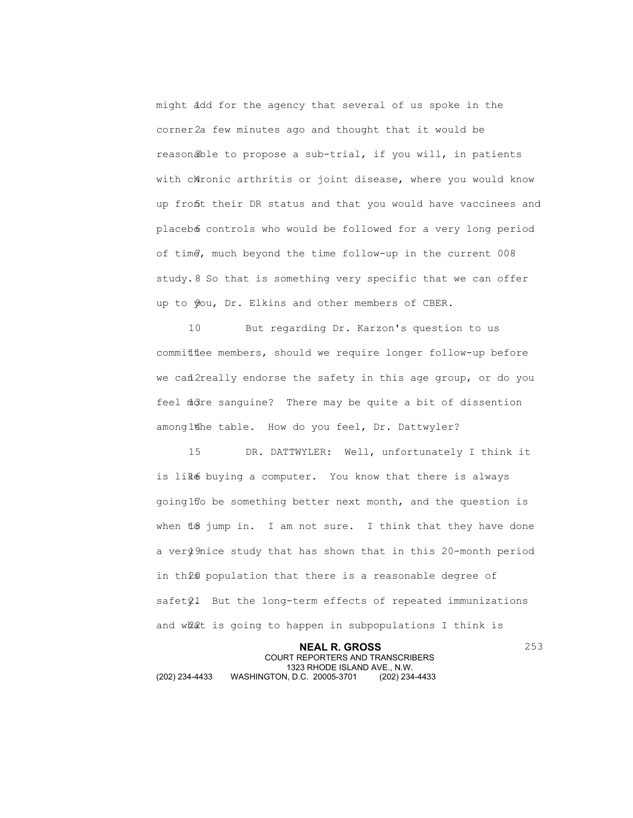might add for the agency that several of us spoke in the corner 2a few minutes ago and thought that it would be reasonable to propose a sub-trial, if you will, in patients with cMronic arthritis or joint disease, where you would know up front their DR status and that you would have vaccinees and placebo controls who would be followed for a very long period of time, much beyond the time follow-up in the current 008 study. 8 So that is something very specific that we can offer up to you, Dr. Elkins and other members of CBER.

10 But regarding Dr. Karzon's question to us committee members, should we require longer follow-up before we can 2really endorse the safety in this age group, or do you feel midre sanguine? There may be quite a bit of dissention among 1the table. How do you feel, Dr. Dattwyler?

15 DR. DATTWYLER: Well, unfortunately I think it is like buying a computer. You know that there is always going lto be something better next month, and the question is when  $t\delta$  jump in. I am not sure. I think that they have done a ver $\hat{\psi}$  9nice study that has shown that in this 20-month period in th29 population that there is a reasonable degree of safet $Q1$  But the long-term effects of repeated immunizations and what is going to happen in subpopulations I think is

**NEAL R. GROSS** COURT REPORTERS AND TRANSCRIBERS 1323 RHODE ISLAND AVE., N.W. (202) 234-4433 WASHINGTON, D.C. 20005-3701 (202) 234-4433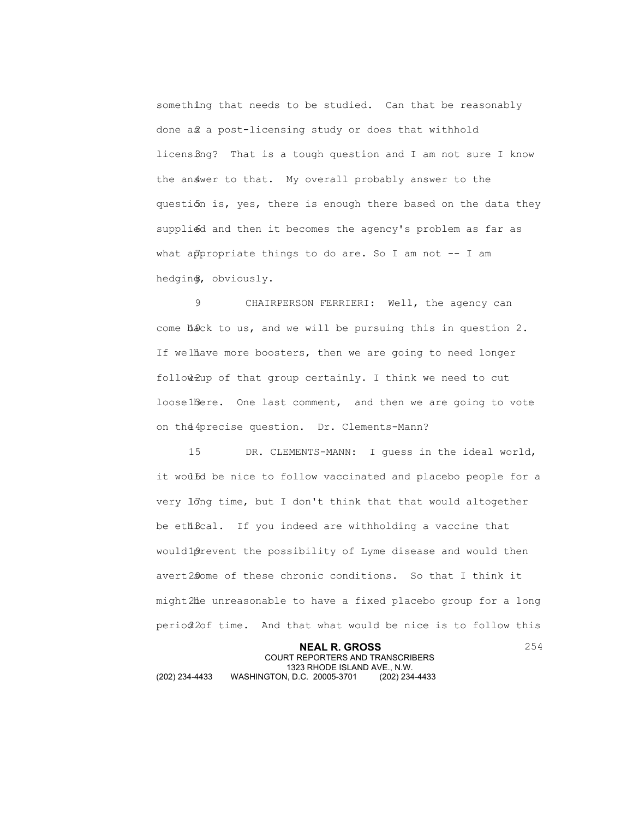something that needs to be studied. Can that be reasonably done a2 a post-licensing study or does that withhold licensing? That is a tough question and I am not sure I know the answer to that. My overall probably answer to the question is, yes, there is enough there based on the data they supplied and then it becomes the agency's problem as far as what appropriate things to do are. So I am not  $-$ - I am hedging, obviously. 8

9 CHAIRPERSON FERRIERI: Well, the agency can come  $\Delta \triangleleft c$  to us, and we will be pursuing this in question 2. If we lhave more boosters, then we are going to need longer follow-2up of that group certainly. I think we need to cut loose liere. One last comment, and then we are going to vote on the 4precise question. Dr. Clements-Mann?

15 DR. CLEMENTS-MANN: I quess in the ideal world, it would be nice to follow vaccinated and placebo people for a very 13ng time, but I don't think that that would altogether be ethBcal. If you indeed are withholding a vaccine that would lorevent the possibility of Lyme disease and would then avert 200me of these chronic conditions. So that I think it might 2he unreasonable to have a fixed placebo group for a long period 2of time. And that what would be nice is to follow this

254

**NEAL R. GROSS** COURT REPORTERS AND TRANSCRIBERS 1323 RHODE ISLAND AVE., N.W. (202) 234-4433 WASHINGTON, D.C. 20005-3701 (202) 234-4433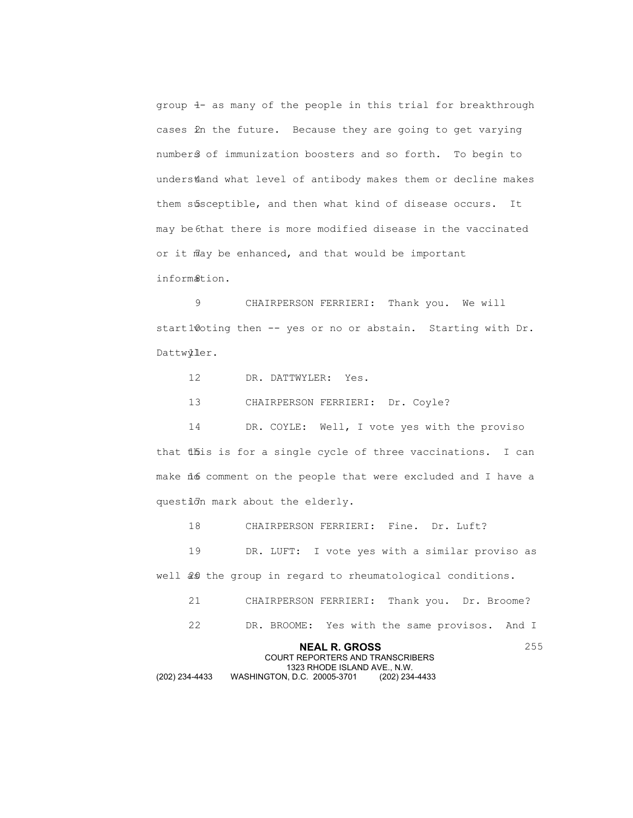group 1- as many of the people in this trial for breakthrough cases  $2n$  the future. Because they are going to get varying number\$ of immunization boosters and so forth. To begin to understand what level of antibody makes them or decline makes them susceptible, and then what kind of disease occurs. It may be 6that there is more modified disease in the vaccinated or it may be enhanced, and that would be important information. 8

9 CHAIRPERSON FERRIERI: Thank you. We will start l $\emptyset$ oting then -- yes or no or abstain. Starting with Dr. Dattwiler.

- 12 DR. DATTWYLER: Yes.
- 13 CHAIRPERSON FERRIERI: Dr. Coyle?

14 DR. COYLE: Well, I vote yes with the proviso that fibis is for a single cycle of three vaccinations. I can make is comment on the people that were excluded and I have a question mark about the elderly.

18 CHAIRPERSON FERRIERI: Fine. Dr. Luft?

19 DR. LUFT: I vote yes with a similar proviso as well  $29$  the group in regard to rheumatological conditions.

 CHAIRPERSON FERRIERI: Thank you. Dr. Broome? 21 22 DR. BROOME: Yes with the same provisos. And I

**NEAL R. GROSS** COURT REPORTERS AND TRANSCRIBERS 1323 RHODE ISLAND AVE., N.W. (202) 234-4433 WASHINGTON, D.C. 20005-3701 (202) 234-4433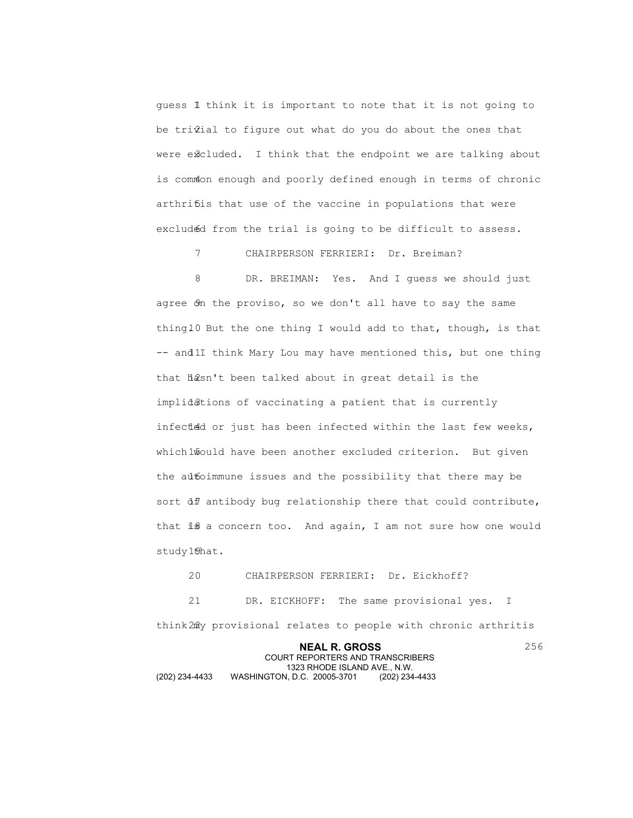guess I think it is important to note that it is not going to be trivial to figure out what do you do about the ones that were excluded. I think that the endpoint we are talking about is comm4on enough and poorly defined enough in terms of chronic arthrifis that use of the vaccine in populations that were exclud $\&$ d from the trial is going to be difficult to assess.

CHAIRPERSON FERRIERI: Dr. Breiman? 7

8 DR. BREIMAN: Yes. And I quess we should just agree On the proviso, so we don't all have to say the same thing10 But the one thing I would add to that, though, is that -- and 1I think Mary Lou may have mentioned this, but one thing that hasn't been talked about in great detail is the implidations of vaccinating a patient that is currently infected or just has been infected within the last few weeks, which lwould have been another excluded criterion. But given the autoimmune issues and the possibility that there may be sort  $df$  antibody bug relationship there that could contribute, that is a concern too. And again, I am not sure how one would study 10hat.

 CHAIRPERSON FERRIERI: Dr. Eickhoff? 20 21 DR. EICKHOFF: The same provisional yes. I think 2my provisional relates to people with chronic arthritis

**NEAL R. GROSS** COURT REPORTERS AND TRANSCRIBERS 1323 RHODE ISLAND AVE., N.W. (202) 234-4433 WASHINGTON, D.C. 20005-3701 (202) 234-4433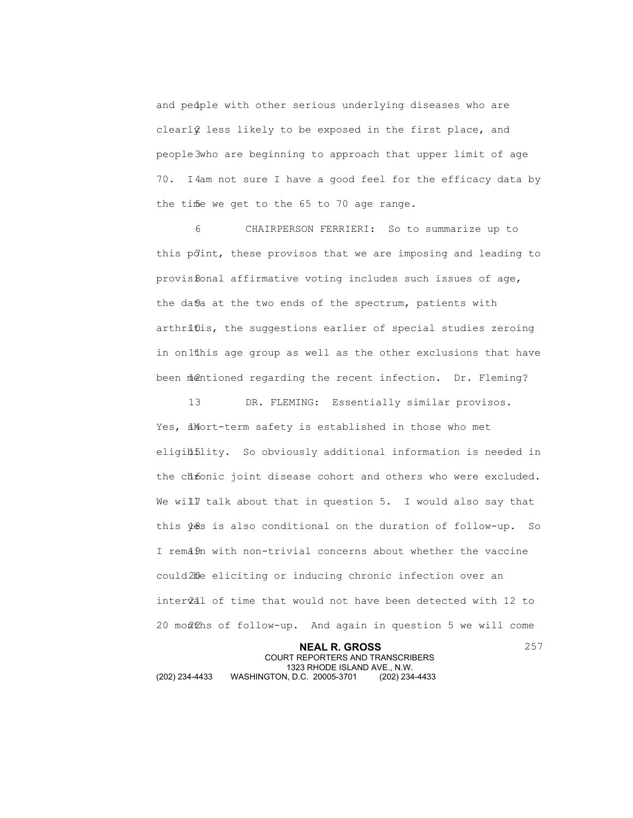and pedple with other serious underlying diseases who are clearly less likely to be exposed in the first place, and people 3who are beginning to approach that upper limit of age 70. I 4am not sure I have a good feel for the efficacy data by the time we get to the  $65$  to  $70$  age range.

 CHAIRPERSON FERRIERI: So to summarize up to 6 this point, these provisos that we are imposing and leading to provisfonal affirmative voting includes such issues of age, the data at the two ends of the spectrum, patients with arthritis, the suggestions earlier of special studies zeroing in on 1this age group as well as the other exclusions that have been mentioned regarding the recent infection. Dr. Fleming?

13 DR. FLEMING: Essentially similar provisos. Yes, *short-term safety is established in those who met* eligibility. So obviously additional information is needed in the chronic joint disease cohort and others who were excluded. We will talk about that in question 5. I would also say that this  $\sqrt[4]{8}$ s is also conditional on the duration of follow-up. So I remain with non-trivial concerns about whether the vaccine could 200e eliciting or inducing chronic infection over an interval of time that would not have been detected with 12 to 20 months of follow-up. And again in question 5 we will come

**NEAL R. GROSS** COURT REPORTERS AND TRANSCRIBERS 1323 RHODE ISLAND AVE., N.W. (202) 234-4433 WASHINGTON, D.C. 20005-3701 (202) 234-4433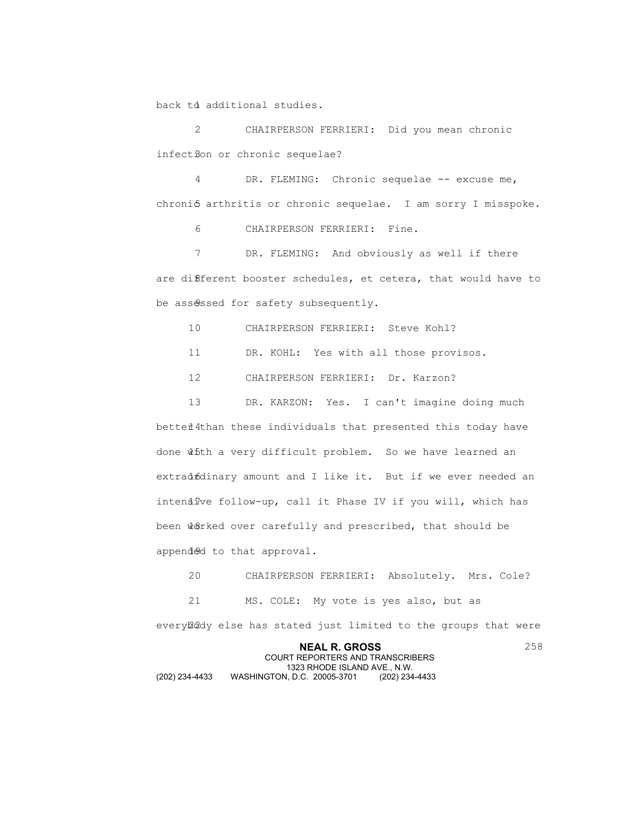back to additional studies.

 CHAIRPERSON FERRIERI: Did you mean chronic 2 infection or chronic sequelae? 3

4 DR. FLEMING: Chronic sequelae -- excuse me, chroni6 arthritis or chronic sequelae. I am sorry I misspoke.

CHAIRPERSON FERRIERI: Fine. 6

7 DR. FLEMING: And obviously as well if there are different booster schedules, et cetera, that would have to be ass@ssed for safety subsequently.

CHAIRPERSON FERRIERI: Steve Kohl? 10

11 DR. KOHL: Yes with all those provisos.

CHAIRPERSON FERRIERI: Dr. Karzon? 12

13 DR. KARZON: Yes. I can't imagine doing much bettei4than these individuals that presented this today have done with a very difficult problem. So we have learned an extradidinary amount and I like it. But if we ever needed an intensive follow-up, call it Phase IV if you will, which has been worked over carefully and prescribed, that should be appended to that approval.

20 CHAIRPERSON FERRIERI: Absolutely. Mrs. Cole? 21 MS. COLE: My vote is yes also, but as everybody else has stated just limited to the groups that were

258

**NEAL R. GROSS** COURT REPORTERS AND TRANSCRIBERS 1323 RHODE ISLAND AVE., N.W. (202) 234-4433 WASHINGTON, D.C. 20005-3701 (202) 234-4433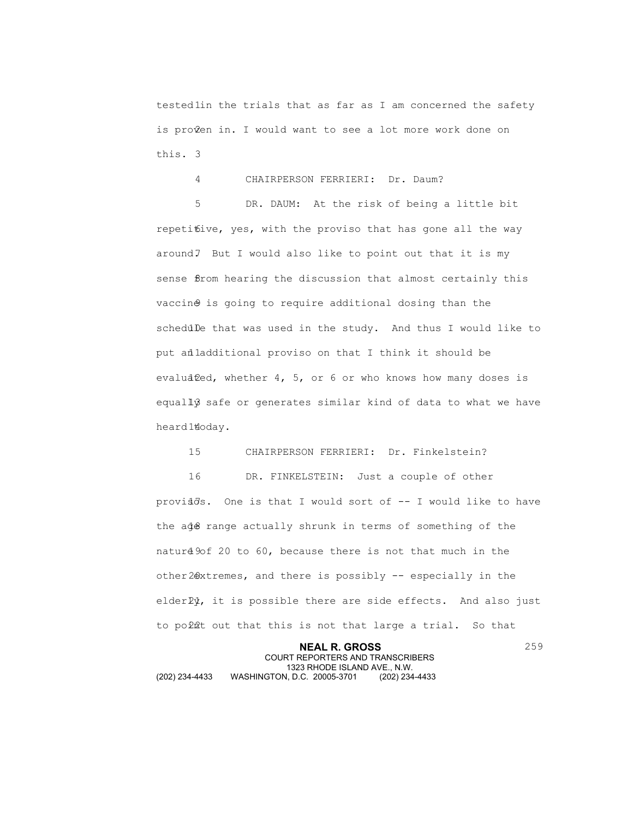tested lin the trials that as far as I am concerned the safety is proven in. I would want to see a lot more work done on this. 3

CHAIRPERSON FERRIERI: Dr. Daum? 4

5 DR. DAUM: At the risk of being a little bit repetitive, yes, with the proviso that has gone all the way around7 But I would also like to point out that it is my sense from hearing the discussion that almost certainly this  $vaccin@$  is going to require additional dosing than the schedulle that was used in the study. And thus I would like to put and ladditional proviso on that I think it should be evaludted, whether  $4$ ,  $5$ , or 6 or who knows how many doses is equall $\varnothing$  safe or generates similar kind of data to what we have heard 1#oday.

CHAIRPERSON FERRIERI: Dr. Finkelstein? 15

16 DR. FINKELSTEIN: Just a couple of other provisds. One is that I would sort of  $-$  I would like to have the ade range actually shrunk in terms of something of the nature 9of 20 to 60, because there is not that much in the other  $2\theta$ xtremes, and there is possibly -- especially in the elderly, it is possible there are side effects. And also just to point out that this is not that large a trial. So that

**NEAL R. GROSS** COURT REPORTERS AND TRANSCRIBERS 1323 RHODE ISLAND AVE., N.W. (202) 234-4433 WASHINGTON, D.C. 20005-3701 (202) 234-4433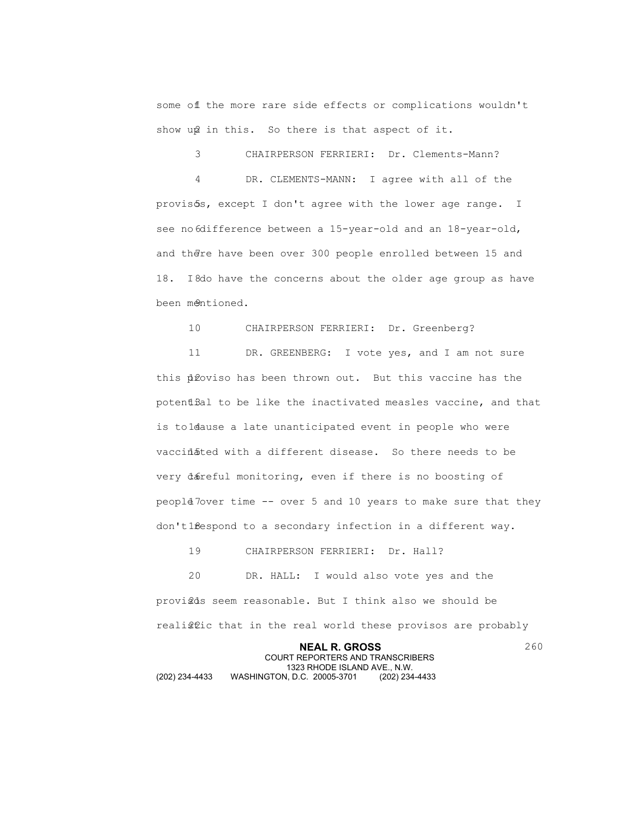some of the more rare side effects or complications wouldn't show up in this. So there is that aspect of it.

 CHAIRPERSON FERRIERI: Dr. Clements-Mann? 3 4 DR. CLEMENTS-MANN: I agree with all of the provisos, except I don't agree with the lower age range. I see no 6difference between a 15-year-old and an 18-year-old, and there have been over 300 people enrolled between 15 and 18. I 8do have the concerns about the older age group as have been mentioned.

CHAIRPERSON FERRIERI: Dr. Greenberg? 10

11 DR. GREENBERG: I vote yes, and I am not sure this plloviso has been thrown out. But this vaccine has the potentibal to be like the inactivated measles vaccine, and that is to leause a late unanticipated event in people who were vaccinated with a different disease. So there needs to be very dareful monitoring, even if there is no boosting of people 7over time -- over 5 and 10 years to make sure that they don't liespond to a secondary infection in a different way.

CHAIRPERSON FERRIERI: Dr. Hall? 19

20 DR. HALL: I would also vote yes and the provigds seem reasonable. But I think also we should be realistic that in the real world these provisos are probably

**NEAL R. GROSS** COURT REPORTERS AND TRANSCRIBERS 1323 RHODE ISLAND AVE., N.W. (202) 234-4433 WASHINGTON, D.C. 20005-3701 (202) 234-4433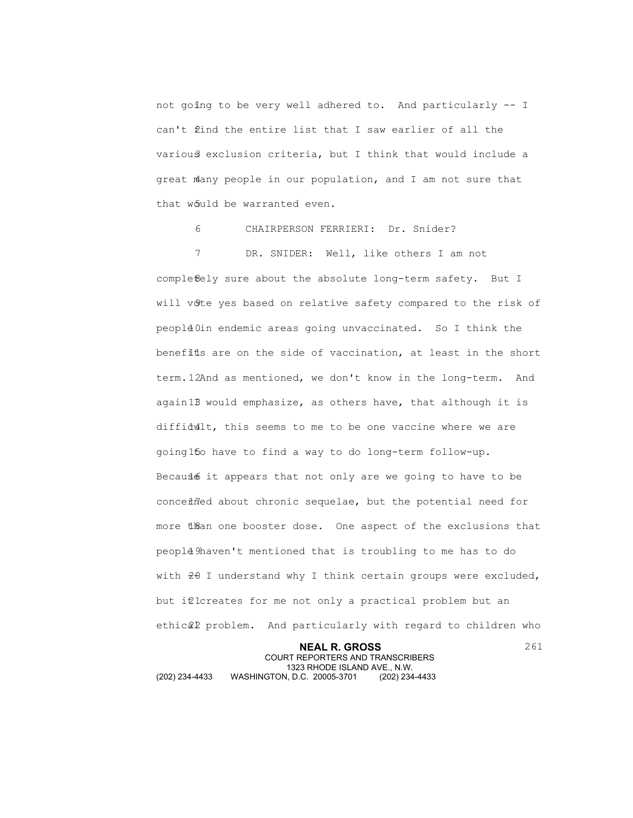not going to be very well adhered to. And particularly  $-$ - I can't flind the entire list that I saw earlier of all the various exclusion criteria, but I think that would include a great many people in our population, and I am not sure that that would be warranted even.

 CHAIRPERSON FERRIERI: Dr. Snider? 6 7 DR. SNIDER: Well, like others I am not completely sure about the absolute long-term safety. But I will vote yes based on relative safety compared to the risk of people 0in endemic areas going unvaccinated. So I think the benefits are on the side of vaccination, at least in the short term. 12And as mentioned, we don't know in the long-term. And again  $1B$  would emphasize, as others have, that although it is diffidult, this seems to me to be one vaccine where we are going 150 have to find a way to do long-term follow-up. Because it appears that not only are we going to have to be concefined about chronic sequelae, but the potential need for more flian one booster dose. One aspect of the exclusions that people 9haven't mentioned that is troubling to me has to do with  $2\theta$  I understand why I think certain groups were excluded, but itlcreates for me not only a practical problem but an ethical problem. And particularly with regard to children who

**NEAL R. GROSS** COURT REPORTERS AND TRANSCRIBERS 1323 RHODE ISLAND AVE., N.W. (202) 234-4433 WASHINGTON, D.C. 20005-3701 (202) 234-4433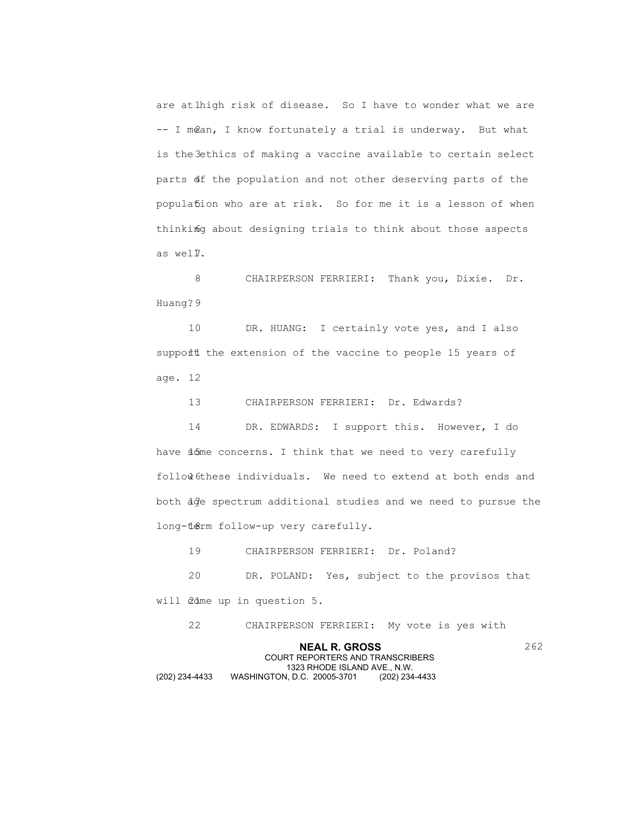are at lhigh risk of disease. So I have to wonder what we are -- I mean, I know fortunately a trial is underway. But what is the 3ethics of making a vaccine available to certain select parts df the population and not other deserving parts of the population who are at risk. So for me it is a lesson of when thinkimg about designing trials to think about those aspects as well.

8 CHAIRPERSON FERRIERI: Thank you, Dixie. Dr. Huang? 9

10 DR. HUANG: I certainly vote yes, and I also suppoid the extension of the vaccine to people 15 years of age. 12

CHAIRPERSON FERRIERI: Dr. Edwards? 13

14 DR. EDWARDS: I support this. However, I do have some concerns. I think that we need to very carefully follow 6these individuals. We need to extend at both ends and both age spectrum additional studies and we need to pursue the long-term follow-up very carefully.

CHAIRPERSON FERRIERI: Dr. Poland? 19

20 DR. POLAND: Yes, subject to the provisos that will  $\partial A$ me up in question 5.

CHAIRPERSON FERRIERI: My vote is yes with 22

**NEAL R. GROSS** COURT REPORTERS AND TRANSCRIBERS 1323 RHODE ISLAND AVE., N.W. (202) 234-4433 WASHINGTON, D.C. 20005-3701 (202) 234-4433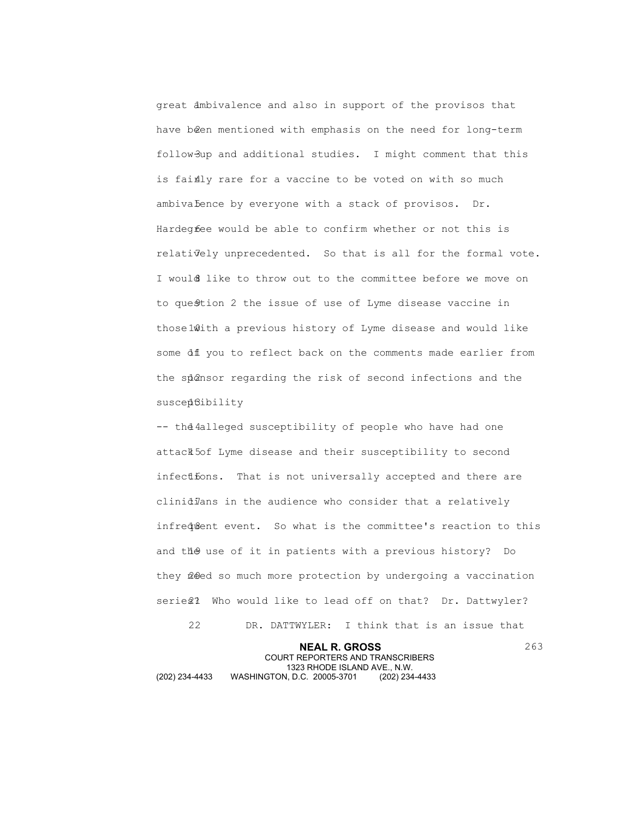great ambivalence and also in support of the provisos that have been mentioned with emphasis on the need for long-term follow-3up and additional studies. I might comment that this is fai£ly rare for a vaccine to be voted on with so much ambiva Lence by everyone with a stack of provisos. Dr. Hardegree would be able to confirm whether or not this is relatively unprecedented. So that is all for the formal vote. I would like to throw out to the committee before we move on to question 2 the issue of use of Lyme disease vaccine in those lwith a previous history of Lyme disease and would like some df you to reflect back on the comments made earlier from the spånsor regarding the risk of second infections and the susceptBibility

-- thé 4alleged susceptibility of people who have had one attack 5of Lyme disease and their susceptibility to second infections. That is not universally accepted and there are clinidians in the audience who consider that a relatively infrequent event. So what is the committee's reaction to this and the use of it in patients with a previous history? Do they fled so much more protection by undergoing a vaccination serie 21 Who would like to lead off on that? Dr. Dattwyler?

22 DR. DATTWYLER: I think that is an issue that

**NEAL R. GROSS** COURT REPORTERS AND TRANSCRIBERS 1323 RHODE ISLAND AVE., N.W. (202) 234-4433 WASHINGTON, D.C. 20005-3701 (202) 234-4433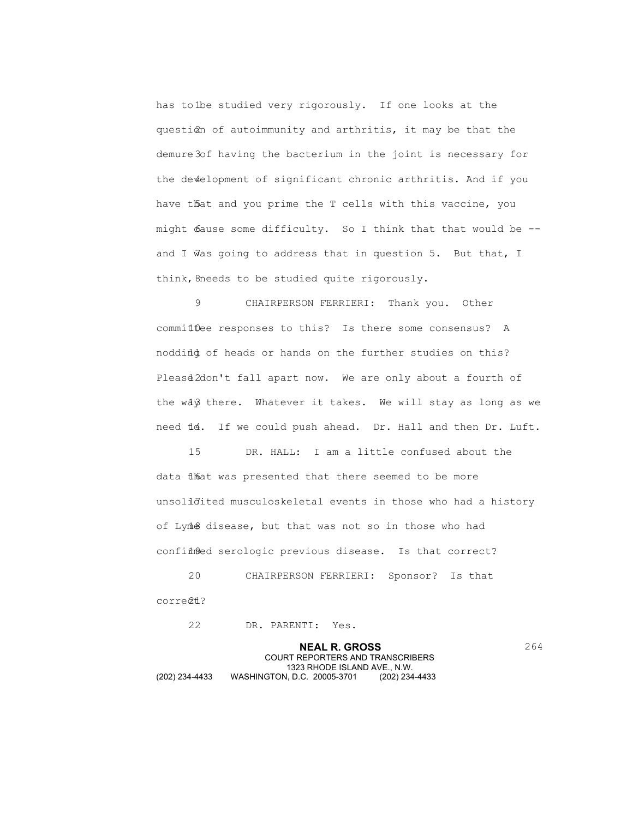has to lbe studied very rigorously. If one looks at the questi $\hat{a}$ n of autoimmunity and arthritis, it may be that the demure 3of having the bacterium in the joint is necessary for the development of significant chronic arthritis. And if you have that and you prime the T cells with this vaccine, you might  $6$ ause some difficulty. So I think that that would be  $-$ and I Was going to address that in question 5. But that, I think, 8needs to be studied quite rigorously.

9 CHAIRPERSON FERRIERI: Thank you. Other committee responses to this? Is there some consensus? A nodding of heads or hands on the further studies on this? Pleasd 2don't fall apart now. We are only about a fourth of the way there. Whatever it takes. We will stay as long as we need fid. If we could push ahead. Dr. Hall and then Dr. Luft.

15 DR. HALL: I am a little confused about the data fliat was presented that there seemed to be more unsolidited musculoskeletal events in those who had a history of Lyme disease, but that was not so in those who had confirmed serologic previous disease. Is that correct?

20 CHAIRPERSON FERRIERI: Sponsor? Is that correct?

DR. PARENTI: Yes. 22

**NEAL R. GROSS** COURT REPORTERS AND TRANSCRIBERS 1323 RHODE ISLAND AVE., N.W. (202) 234-4433 WASHINGTON, D.C. 20005-3701 (202) 234-4433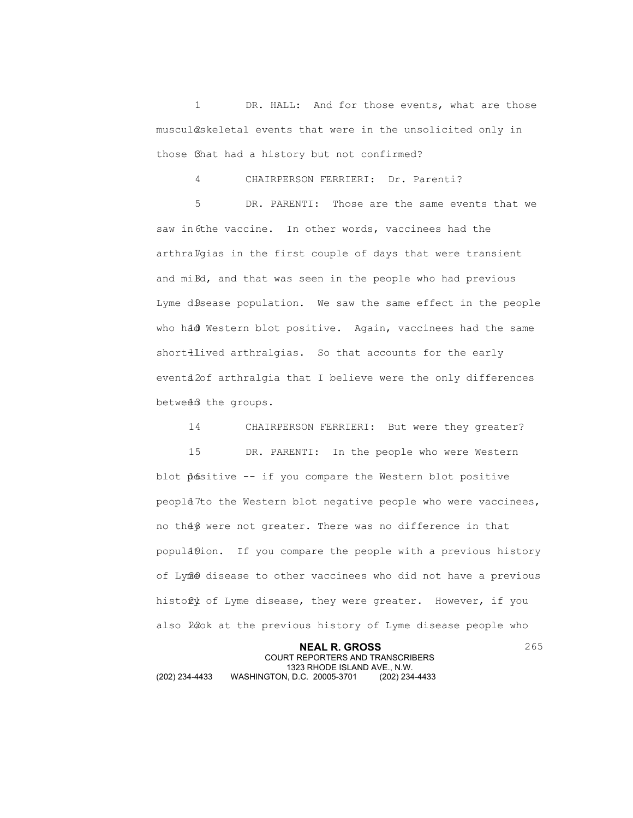1 DR. HALL: And for those events, what are those musculøskeletal events that were in the unsolicited only in those *fhat had a history but not confirmed?* 

CHAIRPERSON FERRIERI: Dr. Parenti? 4

5 DR. PARENTI: Those are the same events that we saw in 6the vaccine. In other words, vaccinees had the arthralgias in the first couple of days that were transient and mild, and that was seen in the people who had previous Lyme dBsease population. We saw the same effect in the people who had Western blot positive. Again, vaccinees had the same short<sup>4</sup>lived arthralgias. So that accounts for the early events 2of arthralgia that I believe were the only differences between the groups.

14 CHAIRPERSON FERRIERI: But were they greater?

15 DR. PARENTI: In the people who were Western blot positive -- if you compare the Western blot positive people 7to the Western blot negative people who were vaccinees, no the were not greater. There was no difference in that population. If you compare the people with a previous history of Lyme disease to other vaccinees who did not have a previous history of Lyme disease, they were greater. However, if you also  $2\&0$ k at the previous history of Lyme disease people who

**NEAL R. GROSS** COURT REPORTERS AND TRANSCRIBERS 1323 RHODE ISLAND AVE., N.W. (202) 234-4433 WASHINGTON, D.C. 20005-3701 (202) 234-4433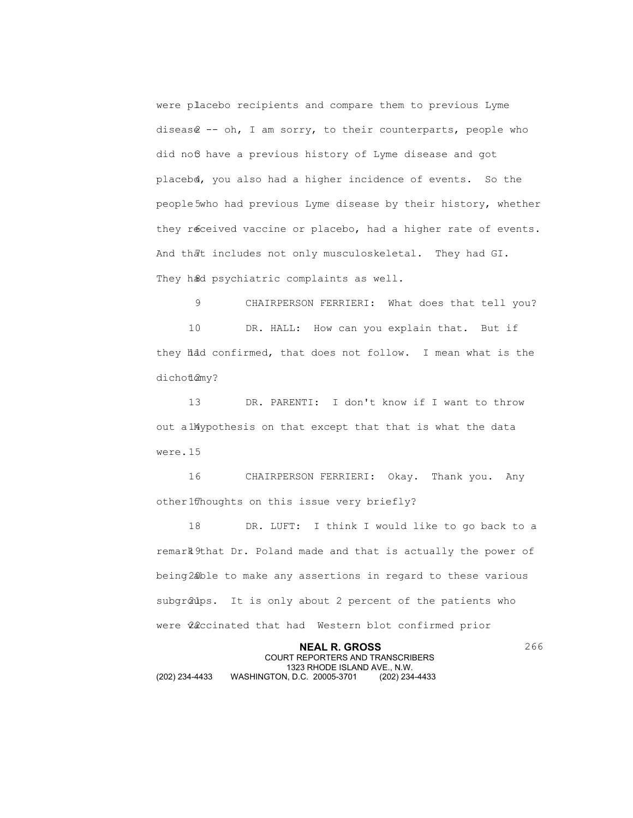were placebo recipients and compare them to previous Lyme diseas $e - -$  oh, I am sorry, to their counterparts, people who did not have a previous history of Lyme disease and got placebd, you also had a higher incidence of events. So the people 5who had previous Lyme disease by their history, whether they réceived vaccine or placebo, had a higher rate of events. And that includes not only musculoskeletal. They had GI. They h&d psychiatric complaints as well.

9 CHAIRPERSON FERRIERI: What does that tell you? 10 DR. HALL: How can you explain that. But if they had confirmed, that does not follow. I mean what is the dichofl@my?

13 DR. PARENTI: I don't know if I want to throw out a lMypothesis on that except that that is what the data were. 15

16 CHAIRPERSON FERRIERI: Okay. Thank you. Any other 10 fhoughts on this issue very briefly?

18 DR. LUFT: I think I would like to go back to a remark 9that Dr. Poland made and that is actually the power of being 2able to make any assertions in regard to these various subgraups. It is only about 2 percent of the patients who were  $\hat{z}$ 2ccinated that had Western blot confirmed prior

**NEAL R. GROSS** COURT REPORTERS AND TRANSCRIBERS 1323 RHODE ISLAND AVE., N.W. (202) 234-4433 WASHINGTON, D.C. 20005-3701 (202) 234-4433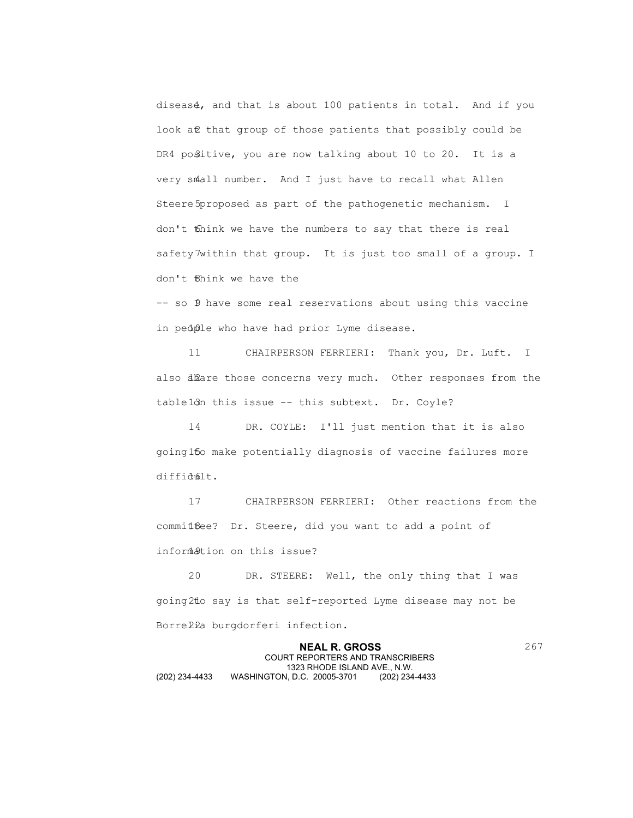diseasé, and that is about 100 patients in total. And if you look at that group of those patients that possibly could be DR4 positive, you are now talking about 10 to 20. It is a very small number. And I just have to recall what Allen Steere 5proposed as part of the pathogenetic mechanism. I don't think we have the numbers to say that there is real safety 7within that group. It is just too small of a group. I don't *Bhink* we have the

-- so  $\overline{p}$  have some real reservations about using this vaccine in pedple who have had prior Lyme disease.

11 CHAIRPERSON FERRIERI: Thank you, Dr. Luft. I also dlare those concerns very much. Other responses from the  $table1@n$  this issue -- this subtext. Dr. Coyle?

14 DR. COYLE: I'll just mention that it is also going 150 make potentially diagnosis of vaccine failures more  $diffid16lt.$ 

17 CHAIRPERSON FERRIERI: Other reactions from the committee? Dr. Steere, did you want to add a point of information on this issue?

20 DR. STEERE: Well, the only thing that I was going 2to say is that self-reported Lyme disease may not be Borrella burgdorferi infection.

**NEAL R. GROSS** COURT REPORTERS AND TRANSCRIBERS 1323 RHODE ISLAND AVE., N.W. (202) 234-4433 WASHINGTON, D.C. 20005-3701 (202) 234-4433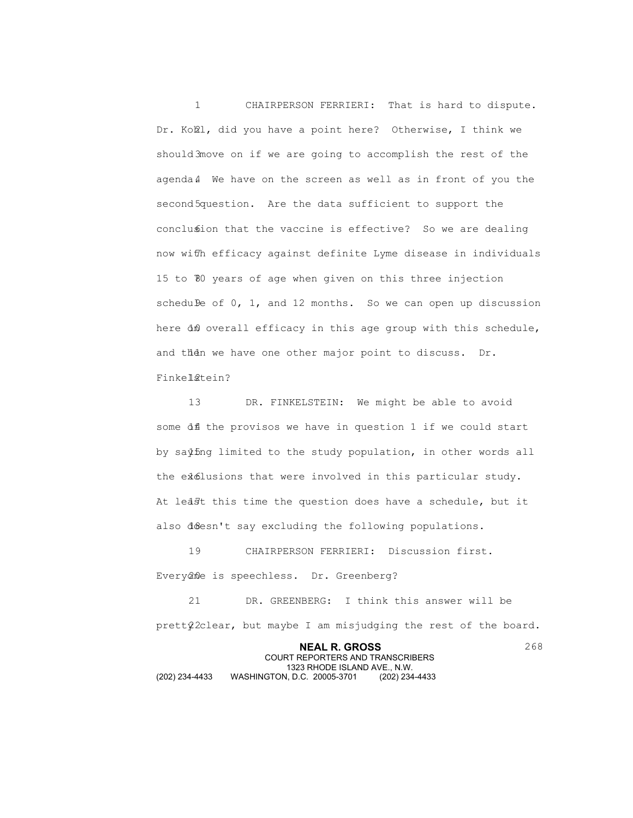1 CHAIRPERSON FERRIERI: That is hard to dispute. Dr. Kohl, did you have a point here? Otherwise, I think we should 3move on if we are going to accomplish the rest of the agenda4 We have on the screen as well as in front of you the second 5question. Are the data sufficient to support the conclussion that the vaccine is effective? So we are dealing now with efficacy against definite Lyme disease in individuals 15 to 80 years of age when given on this three injection schedule of  $0$ ,  $1$ , and  $12$  months. So we can open up discussion here dm overall efficacy in this age group with this schedule, and then we have one other major point to discuss. Dr. Finkel<sup>9</sup>tein?

13 DR. FINKELSTEIN: We might be able to avoid some df the provisos we have in question 1 if we could start by sa $\psi$  for limited to the study population, in other words all the exclusions that were involved in this particular study. At least this time the question does have a schedule, but it also doesn't say excluding the following populations.

 CHAIRPERSON FERRIERI: Discussion first. 19 Everyane is speechless. Dr. Greenberg?

21 DR. GREENBERG: I think this answer will be  $pret\&2clear, but maybe I am misjudging the rest of the board.$ 

**NEAL R. GROSS** COURT REPORTERS AND TRANSCRIBERS 1323 RHODE ISLAND AVE., N.W. (202) 234-4433 WASHINGTON, D.C. 20005-3701 (202) 234-4433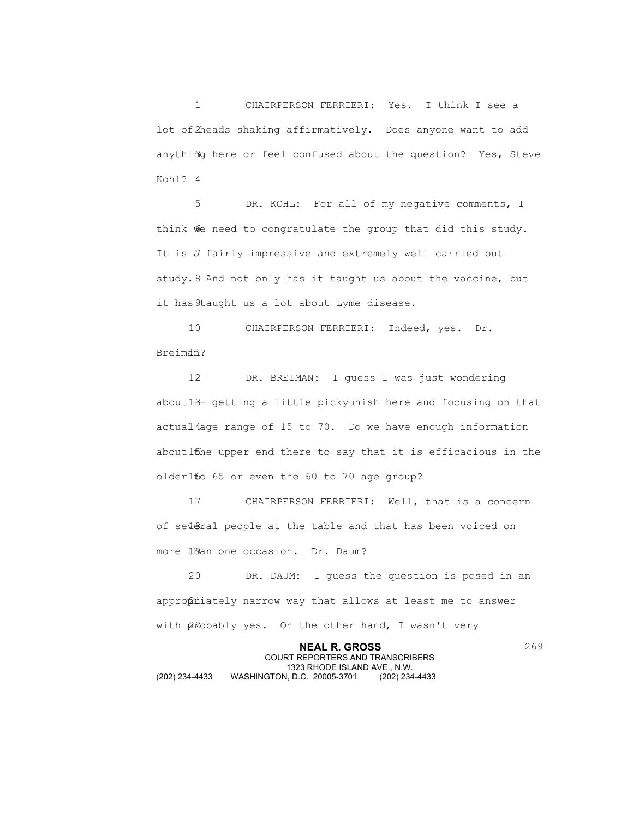1 CHAIRPERSON FERRIERI: Yes. I think I see a lot of 2heads shaking affirmatively. Does anyone want to add anything here or feel confused about the question? Yes, Steve Kohl? 4

5 DR. KOHL: For all of my negative comments, I think we need to congratulate the group that did this study. It is a fairly impressive and extremely well carried out study. 8 And not only has it taught us about the vaccine, but it has 9taught us a lot about Lyme disease.

10 CHAIRPERSON FERRIERI: Indeed, yes. Dr. Breiman?

12 DR. BREIMAN: I guess I was just wondering about 13- getting a little pickyunish here and focusing on that  $actual4age$  range of 15 to 70. Do we have enough information about 15he upper end there to say that it is efficacious in the older  $160$  65 or even the 60 to 70 age group?

17 CHAIRPERSON FERRIERI: Well, that is a concern of several people at the table and that has been voiced on more than one occasion. Dr. Daum?

20 DR. DAUM: I quess the question is posed in an appropiiately narrow way that allows at least me to answer with plobably yes. On the other hand, I wasn't very

**NEAL R. GROSS** COURT REPORTERS AND TRANSCRIBERS 1323 RHODE ISLAND AVE., N.W. (202) 234-4433 WASHINGTON, D.C. 20005-3701 (202) 234-4433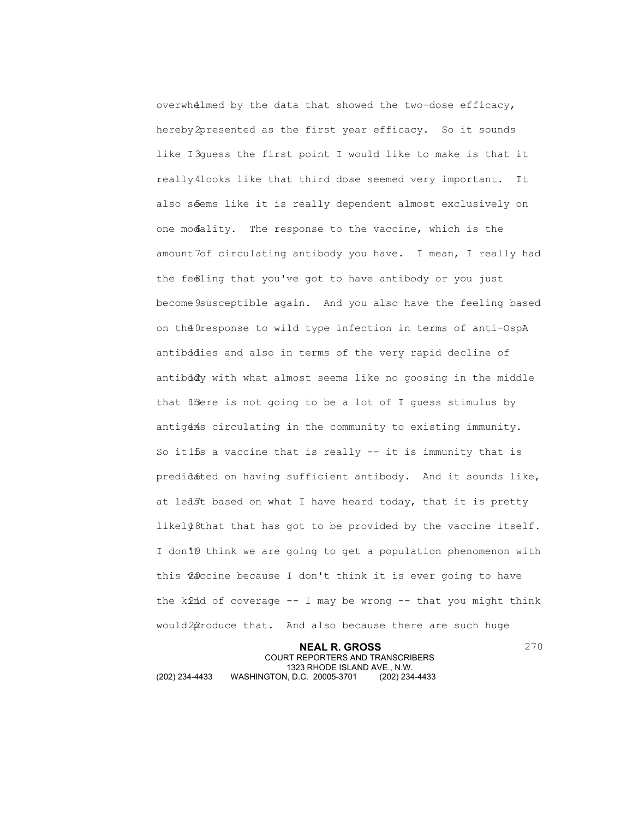overwhelmed by the data that showed the two-dose efficacy, hereby 2presented as the first year efficacy. So it sounds like I 3quess the first point I would like to make is that it really 4looks like that third dose seemed very important. It also séems like it is really dependent almost exclusively on one modality. The response to the vaccine, which is the amount 7of circulating antibody you have. I mean, I really had the feeling that you've got to have antibody or you just become 9 susceptible again. And you also have the feeling based on the Oresponse to wild type infection in terms of anti-OspA antibddies and also in terms of the very rapid decline of antib $d\partial y$  with what almost seems like no goosing in the middle that flisere is not going to be a lot of I quess stimulus by antigens circulating in the community to existing immunity. So it 15s a vaccine that is really  $-$  it is immunity that is predidated on having sufficient antibody. And it sounds like, at least based on what I have heard today, that it is pretty likel $\psi$ 8that that has got to be provided by the vaccine itself. I don'l' think we are going to get a population phenomenon with this  $\hat{v}$ and allocause I don't think it is ever going to have the k2nd of coverage  $-$ - I may be wrong  $-$ - that you might think would 2produce that. And also because there are such huge

**NEAL R. GROSS** COURT REPORTERS AND TRANSCRIBERS 1323 RHODE ISLAND AVE., N.W. (202) 234-4433 WASHINGTON, D.C. 20005-3701 (202) 234-4433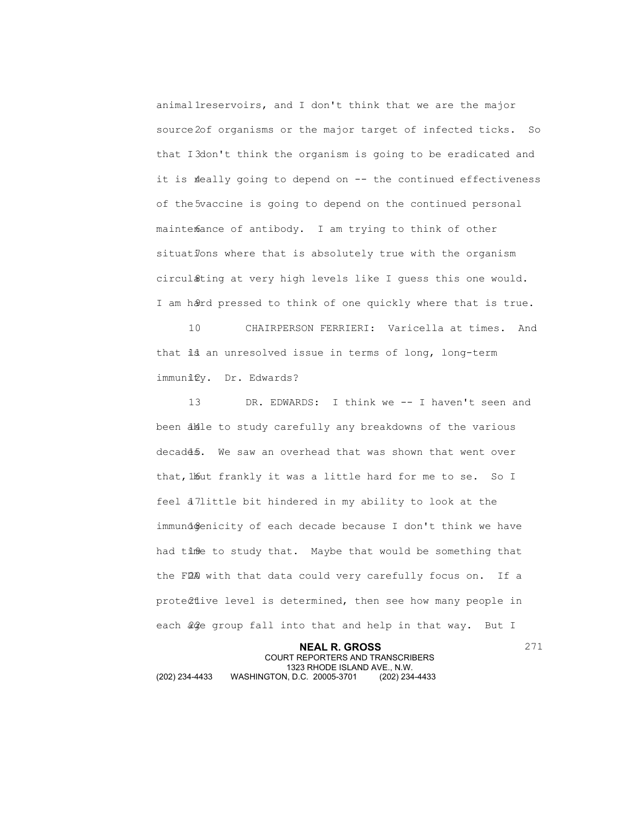animal 1 reservoirs, and I don't think that we are the major source 2of organisms or the major target of infected ticks. So that I 3don't think the organism is going to be eradicated and it is feally going to depend on -- the continued effectiveness of the 5vaccine is going to depend on the continued personal maintemance of antibody. I am trying to think of other situations where that is absolutely true with the organism circul&ting at very high levels like I guess this one would. I am hard pressed to think of one quickly where that is true.

 CHAIRPERSON FERRIERI: Varicella at times. And 10 that is an unresolved issue in terms of long, long-term immunity. Dr. Edwards?

13 DR. EDWARDS: I think we -- I haven't seen and been aldle to study carefully any breakdowns of the various decadd5. We saw an overhead that was shown that went over that, 16ut frankly it was a little hard for me to se. So I feel a 7little bit hindered in my ability to look at the immund@enicity of each decade because I don't think we have had time to study that. Maybe that would be something that the FDA with that data could very carefully focus on. If a protective level is determined, then see how many people in each  $\hat{a}\hat{g}$ e group fall into that and help in that way. But I

**NEAL R. GROSS** COURT REPORTERS AND TRANSCRIBERS 1323 RHODE ISLAND AVE., N.W. (202) 234-4433 WASHINGTON, D.C. 20005-3701 (202) 234-4433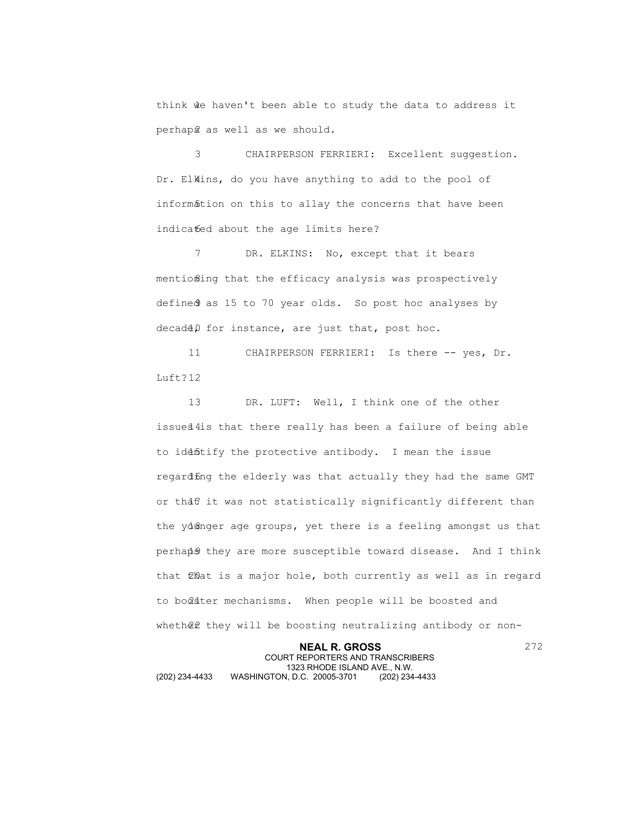think we haven't been able to study the data to address it perhaps as well as we should.

 CHAIRPERSON FERRIERI: Excellent suggestion. 3 Dr. ElMins, do you have anything to add to the pool of information on this to allay the concerns that have been indicated about the age limits here?

7 DR. ELKINS: No, except that it bears mentioning that the efficacy analysis was prospectively define $\Theta$  as 15 to 70 year olds. So post hoc analyses by  $decay \ of$  for instance, are just that, post hoc.

11 CHAIRPERSON FERRIERI: Is there -- yes, Dr. Luft? 12

13 DR. LUFT: Well, I think one of the other issues4is that there really has been a failure of being able to iddibtify the protective antibody. I mean the issue regarding the elderly was that actually they had the same GMT or that it was not statistically significantly different than the ydwnger age groups, yet there is a feeling amongst us that perhaps they are more susceptible toward disease. And I think that that is a major hole, both currently as well as in regard to bo@dter mechanisms. When people will be boosted and whether they will be boosting neutralizing antibody or non-

**NEAL R. GROSS** COURT REPORTERS AND TRANSCRIBERS 1323 RHODE ISLAND AVE., N.W. (202) 234-4433 WASHINGTON, D.C. 20005-3701 (202) 234-4433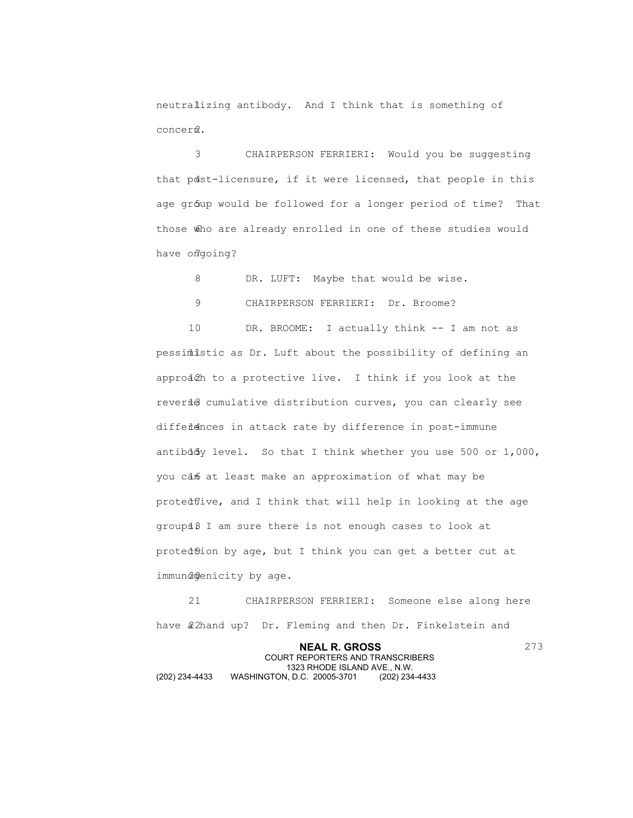neutralizing antibody. And I think that is something of concer<sub>a</sub>.

 CHAIRPERSON FERRIERI: Would you be suggesting 3 that pest-licensure, if it were licensed, that people in this age group would be followed for a longer period of time? That those who are already enrolled in one of these studies would have ondoing?

8 DR. LUFT: Maybe that would be wise.

9 CHAIRPERSON FERRIERI: Dr. Broome?

10 DR. BROOME: I actually think -- I am not as pessimistic as Dr. Luft about the possibility of defining an appro $d\hat{z}$ h to a protective live. I think if you look at the reverse cumulative distribution curves, you can clearly see diffeidnces in attack rate by difference in post-immune antibd $\delta y$  level. So that I think whether you use 500 or  $1,000$ , you can at least make an approximation of what may be protedflive, and I think that will help in looking at the age groups8 I am sure there is not enough cases to look at protedtion by age, but I think you can get a better cut at immun@@enicity by age.

21 CHAIRPERSON FERRIERI: Someone else along here have 22hand up? Dr. Fleming and then Dr. Finkelstein and

**NEAL R. GROSS** COURT REPORTERS AND TRANSCRIBERS 1323 RHODE ISLAND AVE., N.W. (202) 234-4433 WASHINGTON, D.C. 20005-3701 (202) 234-4433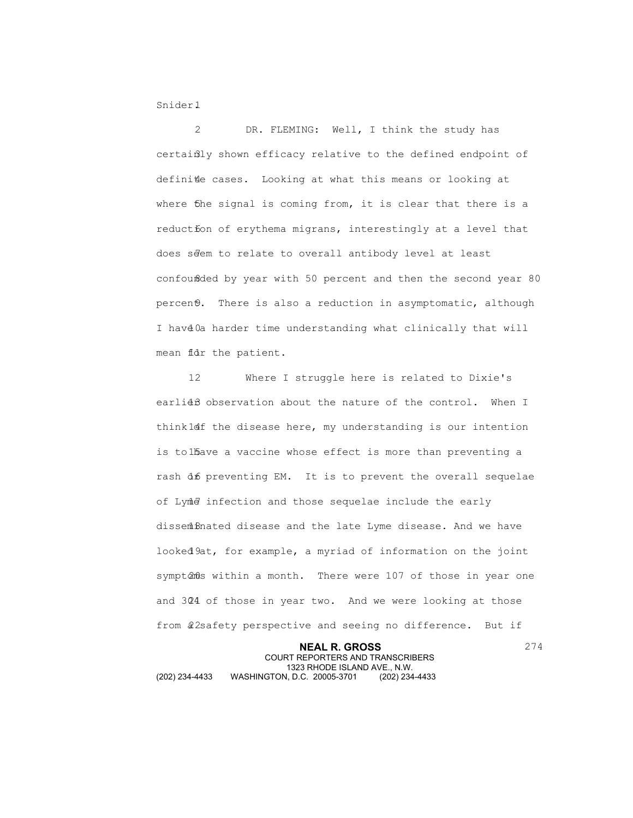Snider. 1

2 DR. FLEMING: Well, I think the study has certainly shown efficacy relative to the defined endpoint of definite cases. Looking at what this means or looking at where the signal is coming from, it is clear that there is a reduction of erythema migrans, interestingly at a level that does seem to relate to overall antibody level at least confounded by year with 50 percent and then the second year 80 percent. There is also a reduction in asymptomatic, although I havdOa harder time understanding what clinically that will mean fldr the patient.

12 Where I struggle here is related to Dixie's earliet observation about the nature of the control. When I think lef the disease here, my understanding is our intention is to lhave a vaccine whose effect is more than preventing a rash dif preventing EM. It is to prevent the overall sequelae of Lymid infection and those sequelae include the early dissemi&nated disease and the late Lyme disease. And we have looked 9at, for example, a myriad of information on the joint sympt amos within a month. There were 107 of those in year one and 304 of those in year two. And we were looking at those from 22safety perspective and seeing no difference. But if

**NEAL R. GROSS** COURT REPORTERS AND TRANSCRIBERS 1323 RHODE ISLAND AVE., N.W. (202) 234-4433 WASHINGTON, D.C. 20005-3701 (202) 234-4433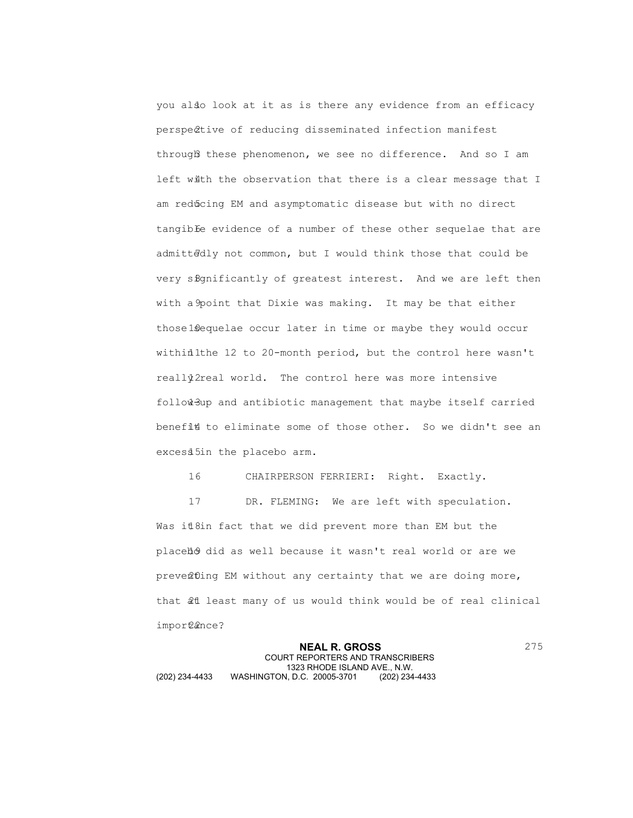you also look at it as is there any evidence from an efficacy perspective of reducing disseminated infection manifest through these phenomenon, we see no difference. And so I am left with the observation that there is a clear message that I am reducing EM and asymptomatic disease but with no direct tangible evidence of a number of these other sequelae that are admitt@dly not common, but I would think those that could be very sßgnificantly of greatest interest. And we are left then with a point that Dixie was making. It may be that either those lsequelae occur later in time or maybe they would occur within 1the 12 to 20-month period, but the control here wasn't  $really2real world.$  The control here was more intensive follow-3up and antibiotic management that maybe itself carried benefit to eliminate some of those other. So we didn't see an excess5in the placebo arm.

16 CHAIRPERSON FERRIERI: Right. Exactly.

17 DR. FLEMING: We are left with speculation. Was if 8in fact that we did prevent more than EM but the placebo did as well because it wasn't real world or are we preventing EM without any certainty that we are doing more, that  $2d$  least many of us would think would be of real clinical importance?

**NEAL R. GROSS** COURT REPORTERS AND TRANSCRIBERS 1323 RHODE ISLAND AVE., N.W. (202) 234-4433 WASHINGTON, D.C. 20005-3701 (202) 234-4433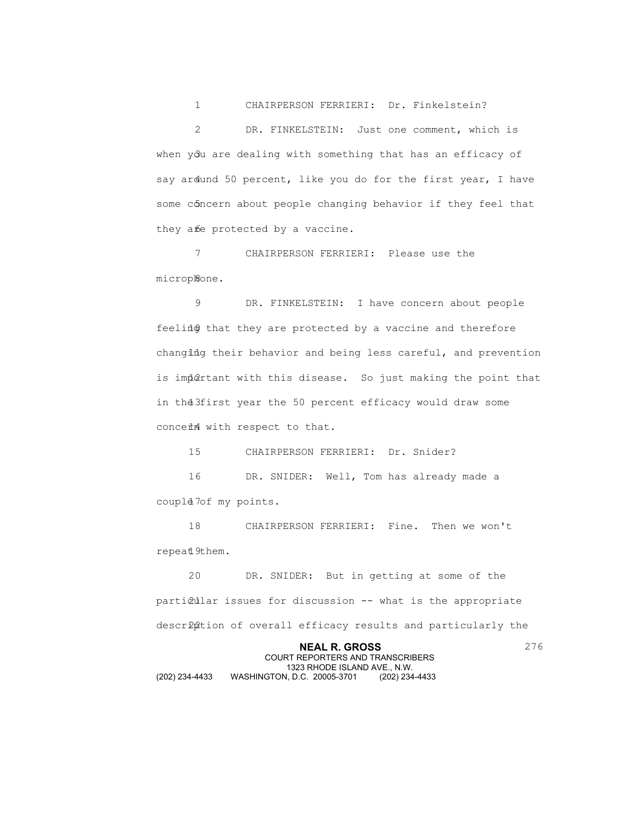CHAIRPERSON FERRIERI: Dr. Finkelstein? 1

2 DR. FINKELSTEIN: Just one comment, which is when you are dealing with something that has an efficacy of say ardund 50 percent, like you do for the first year, I have some concern about people changing behavior if they feel that they affe protected by a vaccine.

7 CHAIRPERSON FERRIERI: Please use the microphone.

9 DR. FINKELSTEIN: I have concern about people feeling that they are protected by a vaccine and therefore changing their behavior and being less careful, and prevention is important with this disease. So just making the point that in thé 3first year the 50 percent efficacy would draw some concein with respect to that.

CHAIRPERSON FERRIERI: Dr. Snider? 15

16 DR. SNIDER: Well, Tom has already made a couplé 7of my points.

18 CHAIRPERSON FERRIERI: Fine. Then we won't repeat9them.

20 DR. SNIDER: But in getting at some of the particular issues for discussion  $--$  what is the appropriate description of overall efficacy results and particularly the

**NEAL R. GROSS** COURT REPORTERS AND TRANSCRIBERS 1323 RHODE ISLAND AVE., N.W. (202) 234-4433 WASHINGTON, D.C. 20005-3701 (202) 234-4433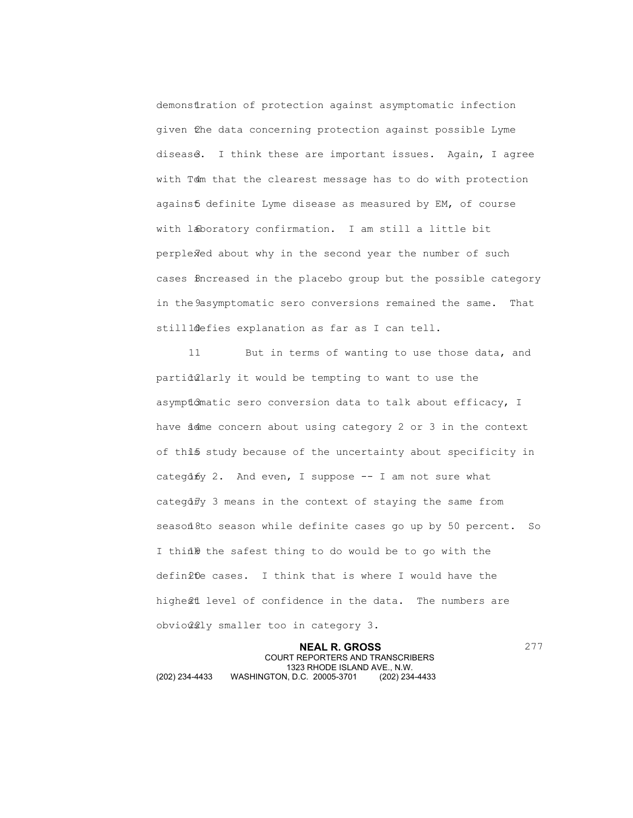demonsfiration of protection against asymptomatic infection given the data concerning protection against possible Lyme diseasé. I think these are important issues. Again, I agree with Tom that the clearest message has to do with protection agains5 definite Lyme disease as measured by EM, of course with laboratory confirmation. I am still a little bit perplexed about why in the second year the number of such cases fincreased in the placebo group but the possible category in the 9asymptomatic sero conversions remained the same. That still 1defies explanation as far as I can tell.

11 But in terms of wanting to use those data, and partidularly it would be tempting to want to use the asymptomatic sero conversion data to talk about efficacy, I have *ddme* concern about using category 2 or 3 in the context of this study because of the uncertainty about specificity in categdby 2. And even, I suppose  $-$  I am not sure what  $categoricaly$  3 means in the context of staying the same from season 8to season while definite cases go up by 50 percent. So I think the safest thing to do would be to go with the  $defin2te cases.$  I think that is where I would have the highest level of confidence in the data. The numbers are obviously smaller too in category 3.

**NEAL R. GROSS** COURT REPORTERS AND TRANSCRIBERS 1323 RHODE ISLAND AVE., N.W. (202) 234-4433 WASHINGTON, D.C. 20005-3701 (202) 234-4433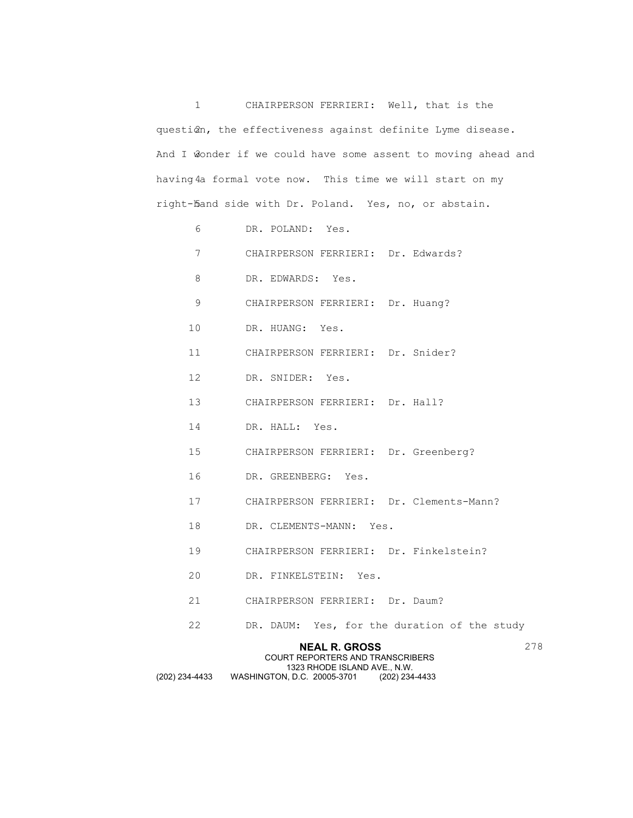CHAIRPERSON FERRIERI: Well, that is the 1 questian, the effectiveness against definite Lyme disease. And I wonder if we could have some assent to moving ahead and having 4a formal vote now. This time we will start on my right-band side with Dr. Poland. Yes, no, or abstain.

- DR. POLAND: Yes. 6
- CHAIRPERSON FERRIERI: Dr. Edwards? 7
- 8 DR. EDWARDS: Yes.
- 9 CHAIRPERSON FERRIERI: Dr. Huang?
- 10 DR. HUANG: Yes.
- 11 CHAIRPERSON FERRIERI: Dr. Snider?
- 12 DR. SNIDER: Yes.
- 13 CHAIRPERSON FERRIERI: Dr. Hall?
- 14 DR. HALL: Yes.
- CHAIRPERSON FERRIERI: Dr. Greenberg? 15
- 16 DR. GREENBERG: Yes.
- CHAIRPERSON FERRIERI: Dr. Clements-Mann? 17
- 18 DR. CLEMENTS-MANN: Yes.
- CHAIRPERSON FERRIERI: Dr. Finkelstein? 19
- DR. FINKELSTEIN: Yes. 20
- CHAIRPERSON FERRIERI: Dr. Daum? 21
- 22 DR. DAUM: Yes, for the duration of the study

|                | <b>NEAL R. GROSS</b>             |                |
|----------------|----------------------------------|----------------|
|                | COURT REPORTERS AND TRANSCRIBERS |                |
|                | 1323 RHODE ISLAND AVE N.W.       |                |
| (202) 234-4433 | WASHINGTON, D.C. 20005-3701      | (202) 234-4433 |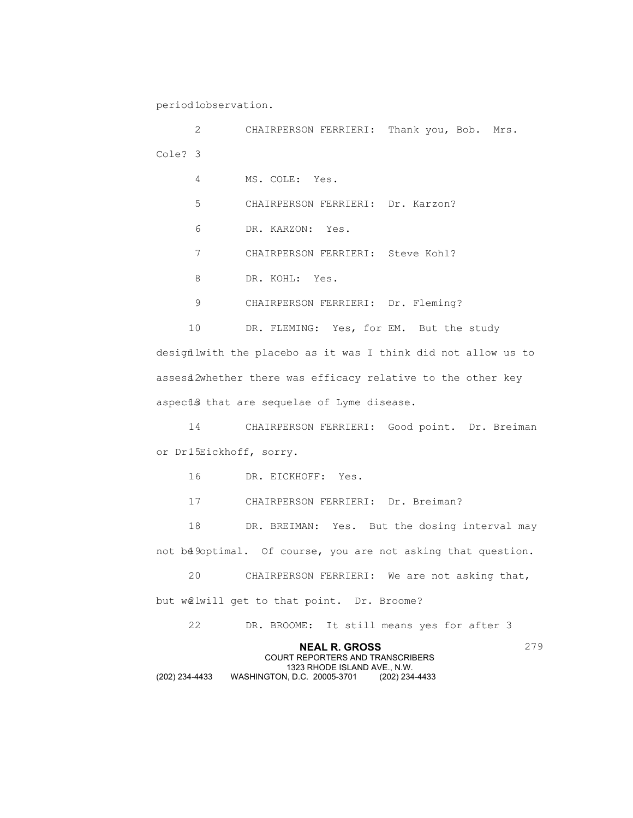period lobservation.

2 CHAIRPERSON FERRIERI: Thank you, Bob. Mrs. Cole? 3 MS. COLE: Yes. 4 CHAIRPERSON FERRIERI: Dr. Karzon? 5 DR. KARZON: Yes. 6 CHAIRPERSON FERRIERI: Steve Kohl? 7 8 DR. KOHL: Yes.

9 CHAIRPERSON FERRIERI: Dr. Fleming?

10 DR. FLEMING: Yes, for EM. But the study design lwith the placebo as it was I think did not allow us to asses & 2whether there was efficacy relative to the other key aspects that are sequelae of Lyme disease.

 CHAIRPERSON FERRIERI: Good point. Dr. Breiman 14 or Dr15Eickhoff, sorry.

16 DR. EICKHOFF: Yes.

CHAIRPERSON FERRIERI: Dr. Breiman? 17

18 DR. BREIMAN: Yes. But the dosing interval may not bé 9optimal. Of course, you are not asking that question.

20 CHAIRPERSON FERRIERI: We are not asking that, but we lwill get to that point. Dr. Broome?

22 DR. BROOME: It still means yes for after 3

**NEAL R. GROSS** COURT REPORTERS AND TRANSCRIBERS 1323 RHODE ISLAND AVE., N.W. (202) 234-4433 WASHINGTON, D.C. 20005-3701 (202) 234-4433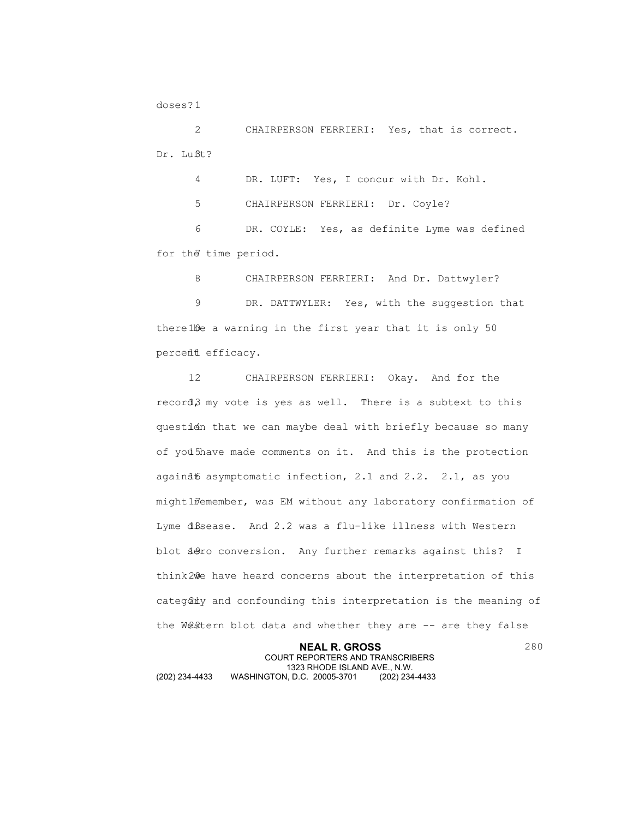doses? 1

2 CHAIRPERSON FERRIERI: Yes, that is correct. Dr. Lußt?

DR. LUFT: Yes, I concur with Dr. Kohl. 4

5 CHAIRPERSON FERRIERI: Dr. Coyle?

6 DR. COYLE: Yes, as definite Lyme was defined for the time period.

8 CHAIRPERSON FERRIERI: And Dr. Dattwyler?

9 DR. DATTWYLER: Yes, with the suggestion that there 10e a warning in the first year that it is only 50 percent efficacy.

12 CHAIRPERSON FERRIERI: Okay. And for the  $record3$  my vote is yes as well. There is a subtext to this questidn that we can maybe deal with briefly because so many of you 5have made comments on it. And this is the protection against asymptomatic infection,  $2.1$  and  $2.2$ .  $2.1$ , as you might liemember, was EM without any laboratory confirmation of Lyme dBsease. And 2.2 was a flu-like illness with Western blot *iero* conversion. Any further remarks against this? I think 200e have heard concerns about the interpretation of this categ $d$ iy and confounding this interpretation is the meaning of the Western blot data and whether they are -- are they false

**NEAL R. GROSS** COURT REPORTERS AND TRANSCRIBERS 1323 RHODE ISLAND AVE., N.W. (202) 234-4433 WASHINGTON, D.C. 20005-3701 (202) 234-4433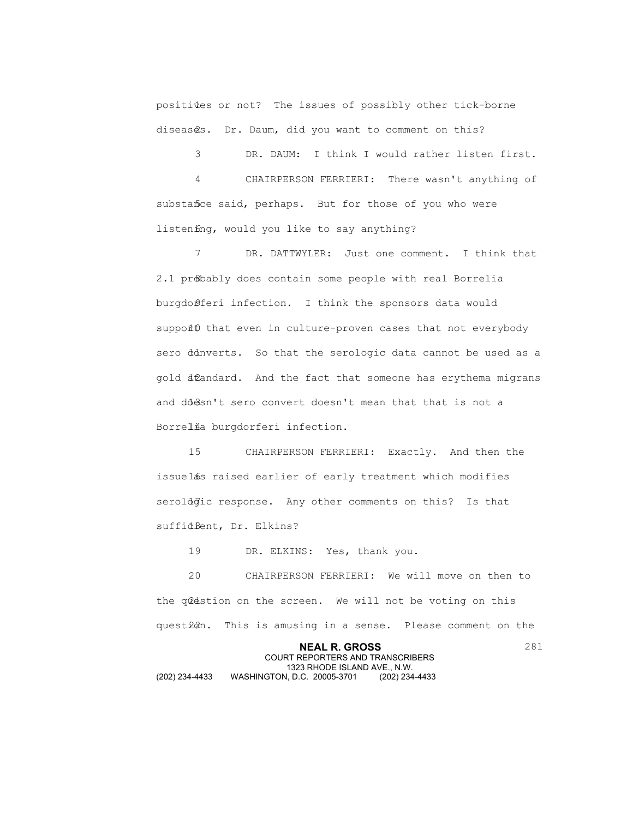positites or not? The issues of possibly other tick-borne diseases. Dr. Daum, did you want to comment on this?

3 DR. DAUM: I think I would rather listen first. CHAIRPERSON FERRIERI: There wasn't anything of 4 substance said, perhaps. But for those of you who were listening, would you like to say anything?

7 DR. DATTWYLER: Just one comment. I think that 2.1 pr&bably does contain some people with real Borrelia burgdofferi infection. I think the sponsors data would suppoff that even in culture-proven cases that not everybody sero ddnverts. So that the serologic data cannot be used as a gold *dfandard*. And the fact that someone has erythema migrans and ddesn't sero convert doesn't mean that that is not a Borrelia burgdorferi infection.

15 CHAIRPERSON FERRIERI: Exactly. And then the issue l&s raised earlier of early treatment which modifies serolddic response. Any other comments on this? Is that suffidßent, Dr. Elkins?

19 DR. ELKINS: Yes, thank you.

20 CHAIRPERSON FERRIERI: We will move on then to the quastion on the screen. We will not be voting on this question. This is amusing in a sense. Please comment on the

**NEAL R. GROSS** COURT REPORTERS AND TRANSCRIBERS 1323 RHODE ISLAND AVE., N.W. (202) 234-4433 WASHINGTON, D.C. 20005-3701 (202) 234-4433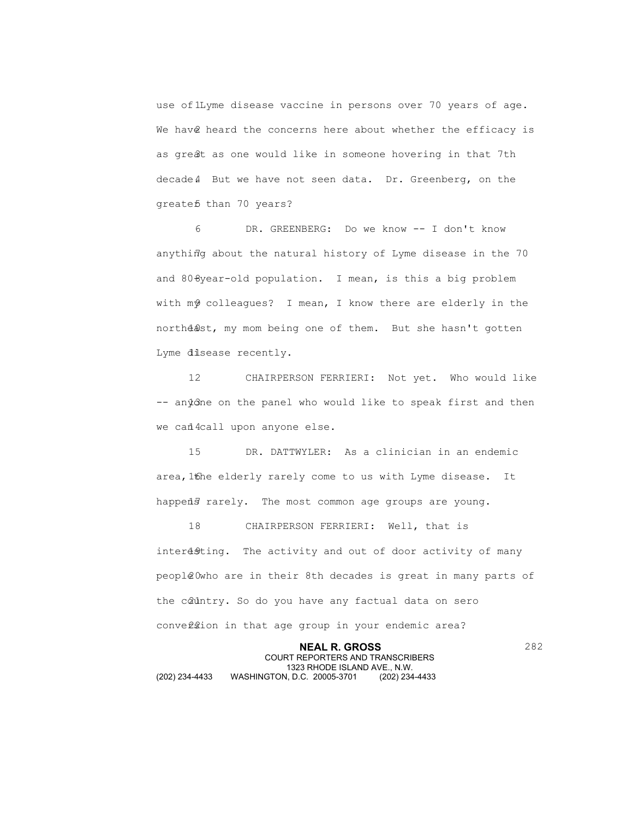use of 1Lyme disease vaccine in persons over 70 years of age. We have heard the concerns here about whether the efficacy is as great as one would like in someone hovering in that 7th decade4 But we have not seen data. Dr. Greenberg, on the greateb than 70 years?

6 DR. GREENBERG: Do we know -- I don't know anything about the natural history of Lyme disease in the  $70$ and 80 $-$ year-old population. I mean, is this a big problem with m $\emptyset$  colleagues? I mean, I know there are elderly in the northéast, my mom being one of them. But she hasn't gotten Lyme disease recently.

12 CHAIRPERSON FERRIERI: Not yet. Who would like -- anyone on the panel who would like to speak first and then we can 4call upon anyone else.

15 DR. DATTWYLER: As a clinician in an endemic area, 16he elderly rarely come to us with Lyme disease. It happend rarely. The most common age groups are young.

18 CHAIRPERSON FERRIERI: Well, that is interesting. The activity and out of door activity of many people Owho are in their 8th decades is great in many parts of the country. So do you have any factual data on sero conveflion in that age group in your endemic area?

**NEAL R. GROSS** COURT REPORTERS AND TRANSCRIBERS 1323 RHODE ISLAND AVE., N.W. (202) 234-4433 WASHINGTON, D.C. 20005-3701 (202) 234-4433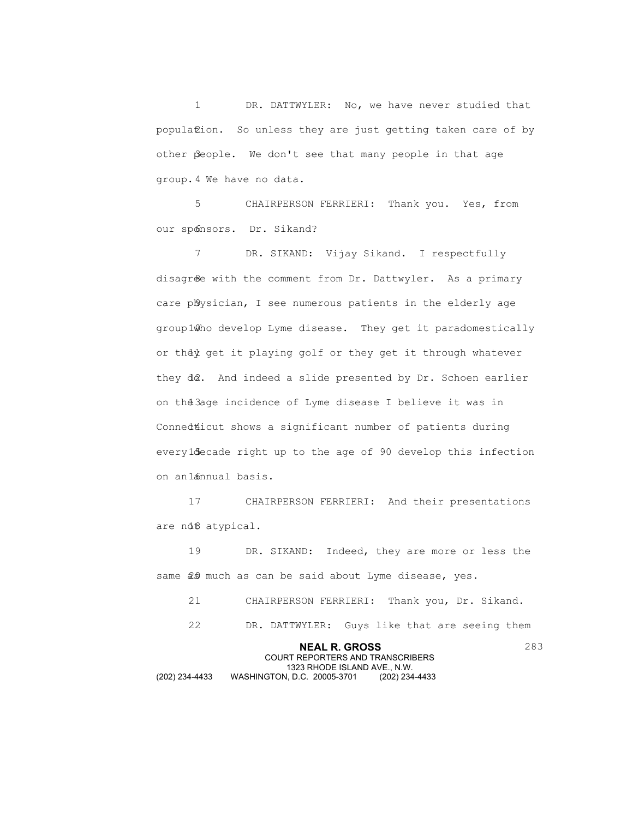1 DR. DATTWYLER: No, we have never studied that population. So unless they are just getting taken care of by other people. We don't see that many people in that age group. 4 We have no data.

5 CHAIRPERSON FERRIERI: Thank you. Yes, from our sponsors. Dr. Sikand?

7 DR. SIKAND: Vijay Sikand. I respectfully disagr&e with the comment from Dr. Dattwyler. As a primary care physician, I see numerous patients in the elderly age group 10 ho develop Lyme disease. They get it paradomestically or they get it playing golf or they get it through whatever they da. And indeed a slide presented by Dr. Schoen earlier on the 3age incidence of Lyme disease I believe it was in Conneddicut shows a significant number of patients during every 1decade right up to the age of 90 develop this infection on an 16mnual basis.

 CHAIRPERSON FERRIERI: And their presentations 17 are nd<sup>8</sup> atypical.

19 DR. SIKAND: Indeed, they are more or less the same  $2\theta$  much as can be said about Lyme disease, yes.

21 CHAIRPERSON FERRIERI: Thank you, Dr. Sikand. 22 DR. DATTWYLER: Guys like that are seeing them

**NEAL R. GROSS** COURT REPORTERS AND TRANSCRIBERS 1323 RHODE ISLAND AVE., N.W. (202) 234-4433 WASHINGTON, D.C. 20005-3701 (202) 234-4433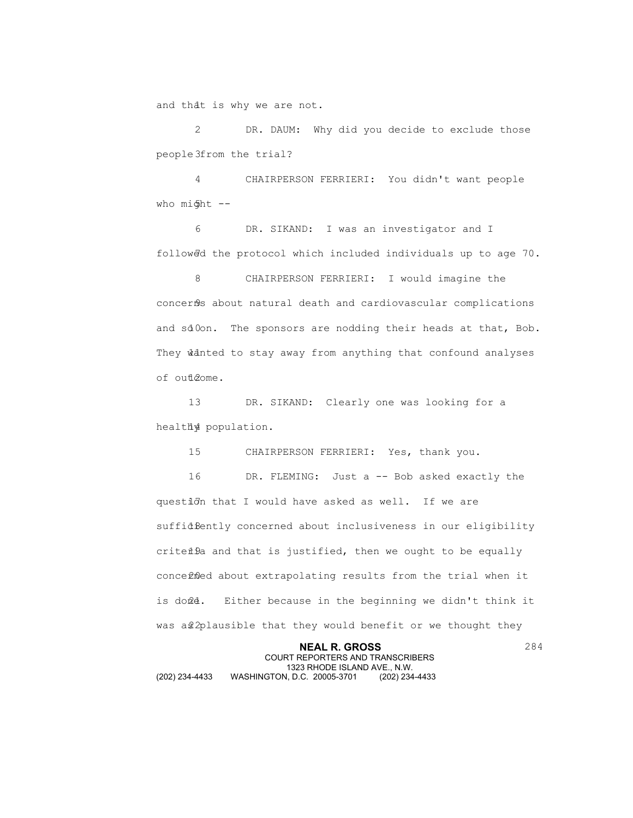and that is why we are not.

2 DR. DAUM: Why did you decide to exclude those people 3from the trial?

 CHAIRPERSON FERRIERI: You didn't want people 4 who might  $--$ 

6 DR. SIKAND: I was an investigator and I followed the protocol which included individuals up to age 70.

8 CHAIRPERSON FERRIERI: I would imagine the concerns about natural death and cardiovascular complications and sd0on. The sponsors are nodding their heads at that, Bob. They wanted to stay away from anything that confound analyses of outdome.

13 DR. SIKAND: Clearly one was looking for a health ypopulation.

15 CHAIRPERSON FERRIERI: Yes, thank you.

16 DR. FLEMING: Just a -- Bob asked exactly the question that I would have asked as well. If we are suffidBently concerned about inclusiveness in our eligibility criteilBa and that is justified, then we ought to be equally conceined about extrapolating results from the trial when it is doffe. Either because in the beginning we didn't think it was a 22 plausible that they would benefit or we thought they

**NEAL R. GROSS** COURT REPORTERS AND TRANSCRIBERS 1323 RHODE ISLAND AVE., N.W. (202) 234-4433 WASHINGTON, D.C. 20005-3701 (202) 234-4433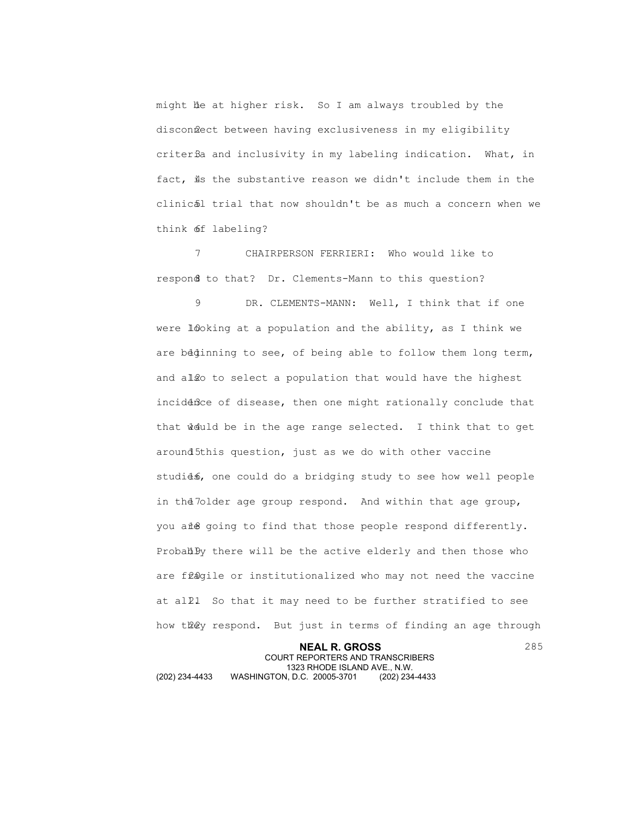might be at higher risk. So I am always troubled by the disconflect between having exclusiveness in my eligibility criteria and inclusivity in my labeling indication. What, in fact, is the substantive reason we didn't include them in the clinical trial that now shouldn't be as much a concern when we think of labeling?

 CHAIRPERSON FERRIERI: Who would like to 7 respon& to that? Dr. Clements-Mann to this question?

9 DR. CLEMENTS-MANN: Well, I think that if one were  $\mathbb{I}\mathbb{Q}$ oking at a population and the ability, as I think we are badinning to see, of being able to follow them long term, and also to select a population that would have the highest incidence of disease, then one might rationally conclude that that would be in the age range selected. I think that to get around 5this question, just as we do with other vaccine studies, one could do a bridging study to see how well people in the 7older age group respond. And within that age group, you ails going to find that those people respond differently. Probably there will be the active elderly and then those who are flagile or institutionalized who may not need the vaccine at all1 So that it may need to be further stratified to see how they respond. But just in terms of finding an age through

**NEAL R. GROSS** COURT REPORTERS AND TRANSCRIBERS 1323 RHODE ISLAND AVE., N.W. (202) 234-4433 WASHINGTON, D.C. 20005-3701 (202) 234-4433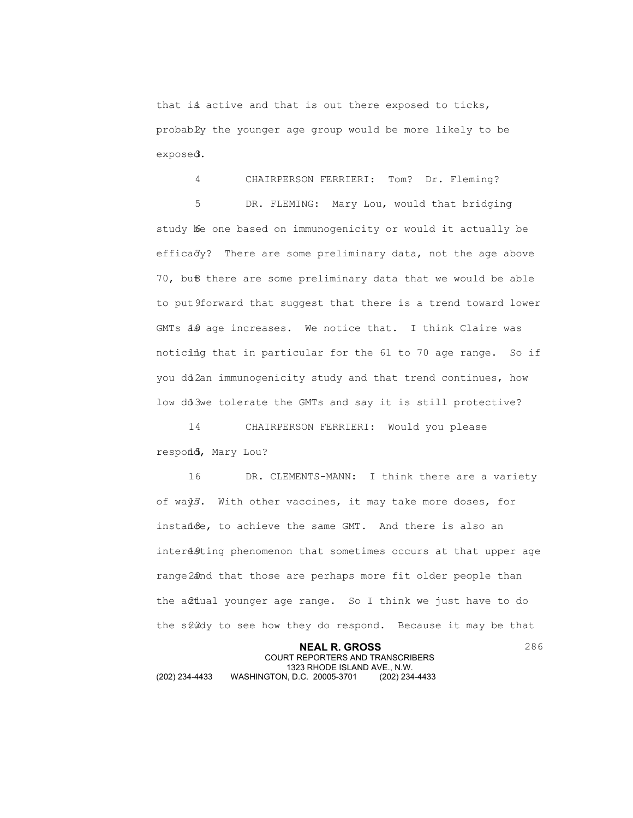that is active and that is out there exposed to ticks, probably the younger age group would be more likely to be exposed.

CHAIRPERSON FERRIERI: Tom? Dr. Fleming? 4

5 DR. FLEMING: Mary Lou, would that bridging study be one based on immunogenicity or would it actually be effica $\partial y$ ? There are some preliminary data, not the age above  $70$ , but there are some preliminary data that we would be able to put 9 forward that suggest that there is a trend toward lower GMTs as age increases. We notice that. I think Claire was noticing that in particular for the 61 to 70 age range. So if you dd 2an immunogenicity study and that trend continues, how low dd3we tolerate the GMTs and say it is still protective?

 CHAIRPERSON FERRIERI: Would you please 14 respond, Mary Lou?

16 DR. CLEMENTS-MANN: I think there are a variety of wais. With other vaccines, it may take more doses, for instance, to achieve the same GMT. And there is also an interesting phenomenon that sometimes occurs at that upper age range 2thd that those are perhaps more fit older people than the a2flual younger age range. So I think we just have to do the study to see how they do respond. Because it may be that

**NEAL R. GROSS** COURT REPORTERS AND TRANSCRIBERS 1323 RHODE ISLAND AVE., N.W. (202) 234-4433 WASHINGTON, D.C. 20005-3701 (202) 234-4433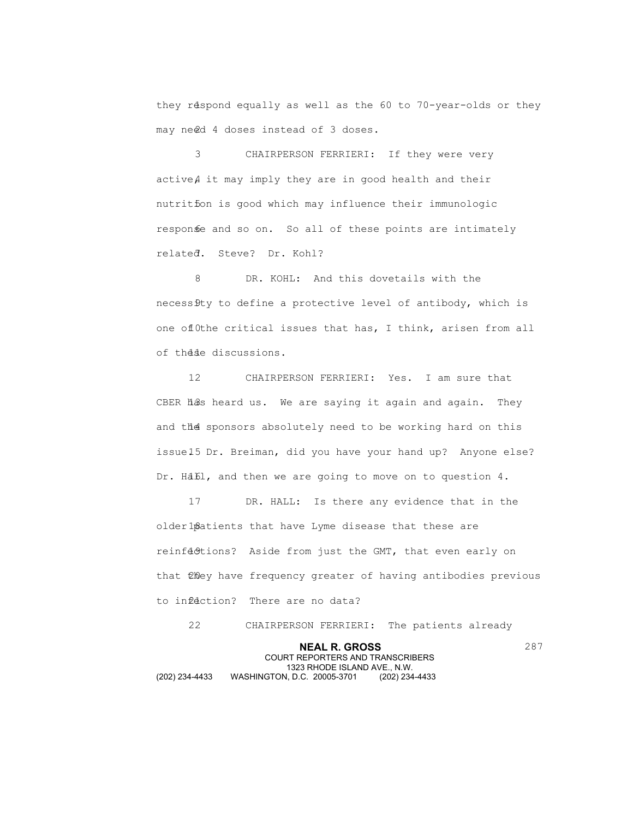they raspond equally as well as the 60 to 70-year-olds or they may need 4 doses instead of 3 doses.

3 CHAIRPERSON FERRIERI: If they were very  $activeA$  it may imply they are in good health and their nutritfon is good which may influence their immunologic response and so on. So all of these points are intimately related. Steve? Dr. Kohl? 7

8 DR. KOHL: And this dovetails with the necessity to define a protective level of antibody, which is one offOthe critical issues that has, I think, arisen from all of these discussions.

12 CHAIRPERSON FERRIERI: Yes. I am sure that CBER has heard us. We are saying it again and again. They and the sponsors absolutely need to be working hard on this issue15 Dr. Breiman, did you have your hand up? Anyone else? Dr. Habl, and then we are going to move on to question 4.

17 DR. HALL: Is there any evidence that in the older 1patients that have Lyme disease that these are reinfections? Aside from just the GMT, that even early on that they have frequency greater of having antibodies previous to inflaction? There are no data?

CHAIRPERSON FERRIERI: The patients already 22

**NEAL R. GROSS** COURT REPORTERS AND TRANSCRIBERS 1323 RHODE ISLAND AVE., N.W. (202) 234-4433 WASHINGTON, D.C. 20005-3701 (202) 234-4433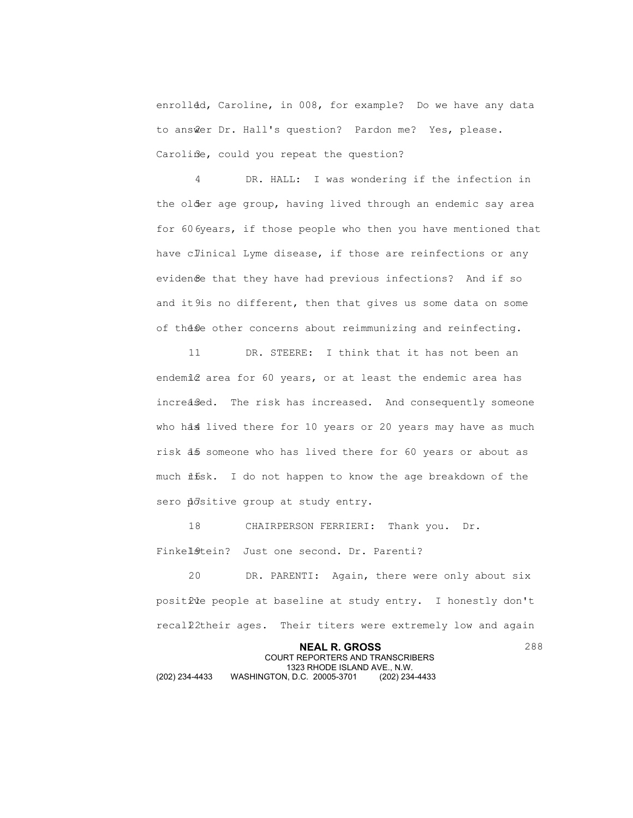enrolléd, Caroline, in 008, for example? Do we have any data to answer Dr. Hall's question? Pardon me? Yes, please. Caroline, could you repeat the question?

4 DR. HALL: I was wondering if the infection in the older age group, having lived through an endemic say area for 60 6years, if those people who then you have mentioned that have clinical Lyme disease, if those are reinfections or any eviden&e that they have had previous infections? And if so and it 9is no different, then that gives us some data on some of these other concerns about reimmunizing and reinfecting.

11 DR. STEERE: I think that it has not been an endemi $\ell$  area for 60 years, or at least the endemic area has increased. The risk has increased. And consequently someone who has lived there for 10 years or 20 years may have as much risk  $d\mathfrak{s}$  someone who has lived there for 60 years or about as much fibsk. I do not happen to know the age breakdown of the sero positive group at study entry.

18 CHAIRPERSON FERRIERI: Thank you. Dr. Finkelstein? Just one second. Dr. Parenti?

20 DR. PARENTI: Again, there were only about six positive people at baseline at study entry. I honestly don't recall2their ages. Their titers were extremely low and again

**NEAL R. GROSS** COURT REPORTERS AND TRANSCRIBERS 1323 RHODE ISLAND AVE., N.W. (202) 234-4433 WASHINGTON, D.C. 20005-3701 (202) 234-4433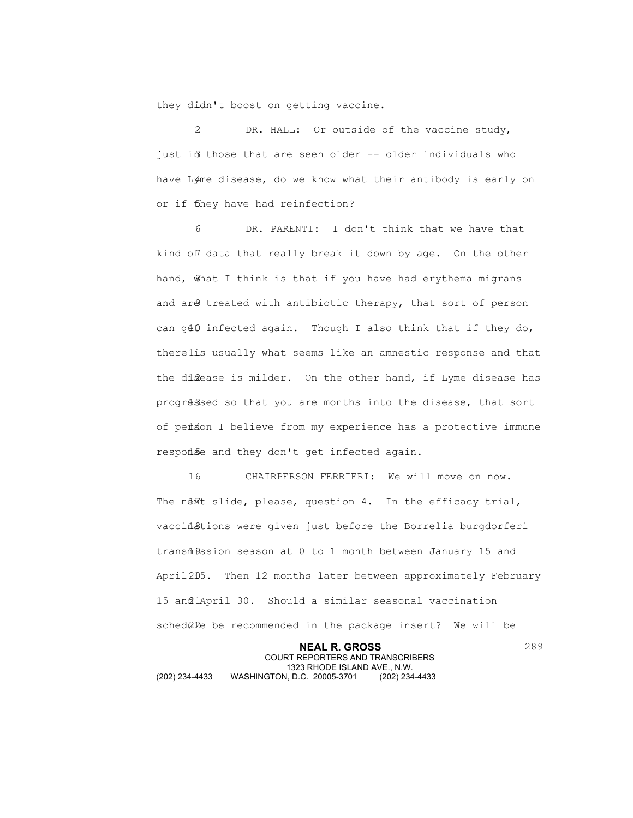they didn't boost on getting vaccine.

2 DR. HALL: Or outside of the vaccine study, just in those that are seen older -- older individuals who have L#me disease, do we know what their antibody is early on or if they have had reinfection?

6 DR. PARENTI: I don't think that we have that kind of data that really break it down by age. On the other hand, what I think is that if you have had erythema migrans and ar $\Theta$  treated with antibiotic therapy, that sort of person can  $q d\theta$  infected again. Though I also think that if they do, there lis usually what seems like an amnestic response and that the disease is milder. On the other hand, if Lyme disease has progressed so that you are months into the disease, that sort of peison I believe from my experience has a protective immune response and they don't get infected again.

16 CHAIRPERSON FERRIERI: We will move on now. The next slide, please, question 4. In the efficacy trial, vaccinations were given just before the Borrelia burgdorferi transmibssion season at 0 to 1 month between January 15 and April 205. Then 12 months later between approximately February 15 and 1April 30. Should a similar seasonal vaccination schedûle be recommended in the package insert? We will be

**NEAL R. GROSS** COURT REPORTERS AND TRANSCRIBERS 1323 RHODE ISLAND AVE., N.W. (202) 234-4433 WASHINGTON, D.C. 20005-3701 (202) 234-4433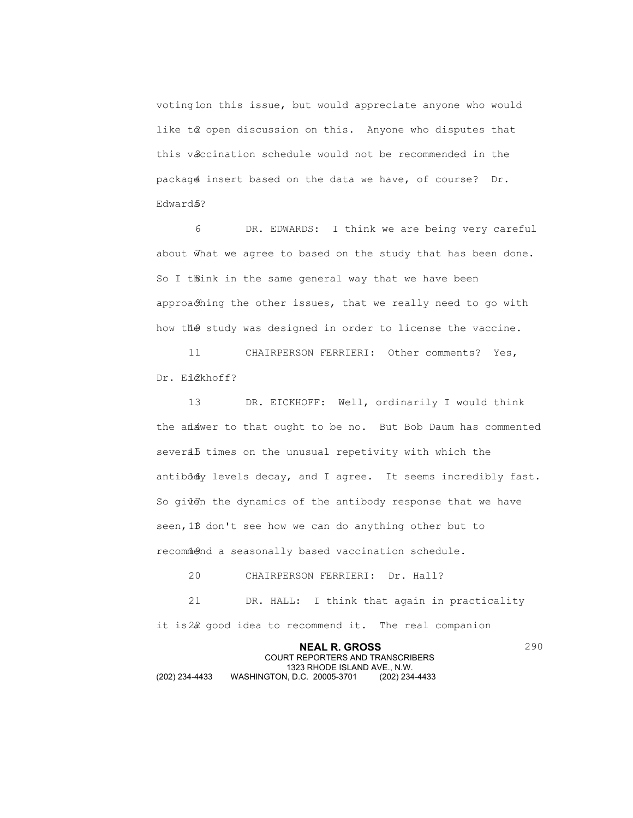voting lon this issue, but would appreciate anyone who would like tå open discussion on this. Anyone who disputes that this vaccination schedule would not be recommended in the package insert based on the data we have, of course? Dr. Edward\$?

6 DR. EDWARDS: I think we are being very careful about What we agree to based on the study that has been done. So I tBink in the same general way that we have been approaching the other issues, that we really need to go with how the study was designed in order to license the vaccine.

11 CHAIRPERSON FERRIERI: Other comments? Yes, Dr. Ei2khoff?

13 DR. EICKHOFF: Well, ordinarily I would think the answer to that ought to be no. But Bob Daum has commented several times on the unusual repetivity with which the antibdoy levels decay, and I agree. It seems incredibly fast. So gitan the dynamics of the antibody response that we have seen, 1B don't see how we can do anything other but to recommend a seasonally based vaccination schedule.

CHAIRPERSON FERRIERI: Dr. Hall? 20

21 DR. HALL: I think that again in practicality it is 22 good idea to recommend it. The real companion

**NEAL R. GROSS** COURT REPORTERS AND TRANSCRIBERS 1323 RHODE ISLAND AVE., N.W. (202) 234-4433 WASHINGTON, D.C. 20005-3701 (202) 234-4433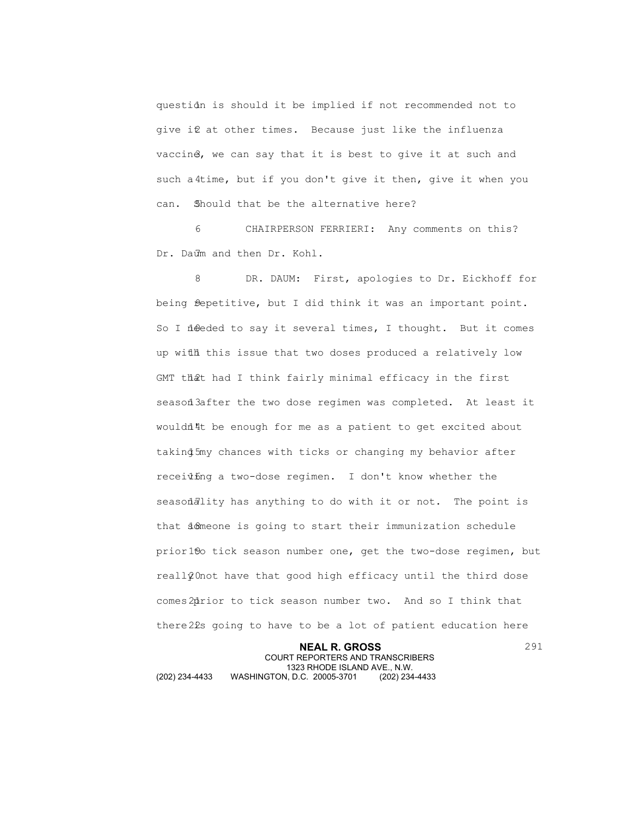question is should it be implied if not recommended not to give it at other times. Because just like the influenza vaccine, we can say that it is best to give it at such and such a 4time, but if you don't give it then, give it when you can. Should that be the alternative here?

 CHAIRPERSON FERRIERI: Any comments on this? 6 Dr. Daum and then Dr. Kohl.

8 DR. DAUM: First, apologies to Dr. Eickhoff for being *fepetitive, but I did think it was an important point*. So I needed to say it several times, I thought. But it comes up with this issue that two doses produced a relatively low GMT that had I think fairly minimal efficacy in the first season 3after the two dose regimen was completed. At least it wouldn't be enough for me as a patient to get excited about taking 5my chances with ticks or changing my behavior after receiting a two-dose regimen. I don't know whether the seasondlity has anything to do with it or not. The point is that *someone* is going to start their immunization schedule prior 100 tick season number one, get the two-dose regimen, but reall $\varphi$ Onot have that good high efficacy until the third dose comes 2 prior to tick season number two. And so I think that there 22s going to have to be a lot of patient education here

**NEAL R. GROSS** COURT REPORTERS AND TRANSCRIBERS 1323 RHODE ISLAND AVE., N.W. (202) 234-4433 WASHINGTON, D.C. 20005-3701 (202) 234-4433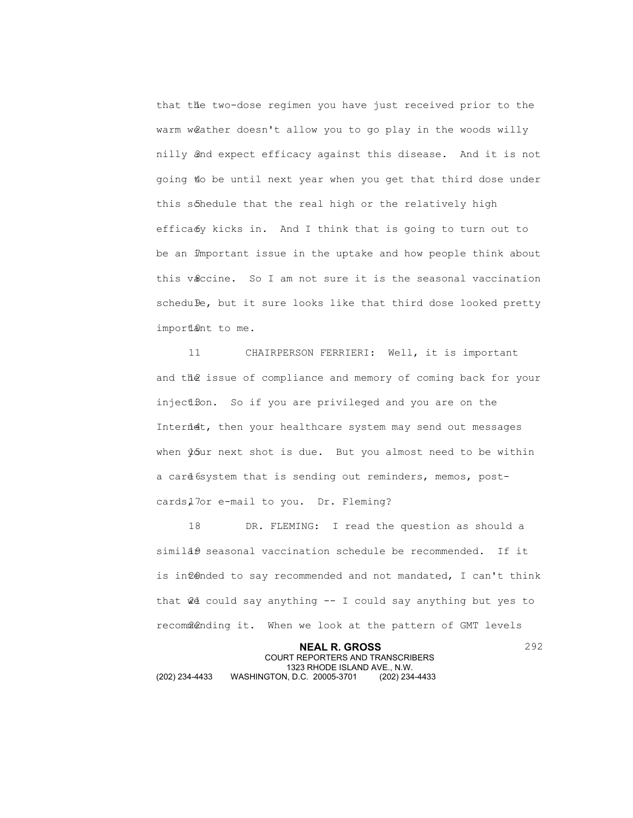that the two-dose regimen you have just received prior to the warm weather doesn't allow you to go play in the woods willy nilly and expect efficacy against this disease. And it is not going to be until next year when you get that third dose under this sohedule that the real high or the relatively high effica6y kicks in. And I think that is going to turn out to be an important issue in the uptake and how people think about this v&ccine. So I am not sure it is the seasonal vaccination scheduße, but it sure looks like that third dose looked pretty important to me.

 CHAIRPERSON FERRIERI: Well, it is important 11 and the issue of compliance and memory of coming back for your injection. So if you are privileged and you are on the Internet, then your healthcare system may send out messages when  $\psi$ 5ur next shot is due. But you almost need to be within a card 6system that is sending out reminders, memos, postcards17or e-mail to you. Dr. Fleming?

18 DR. FLEMING: I read the question as should a similaß seasonal vaccination schedule be recommended. If it is int@nded to say recommended and not mandated, I can't think that  $@4$  could say anything  $--$  I could say anything but yes to recomm2nding it. When we look at the pattern of GMT levels

**NEAL R. GROSS** COURT REPORTERS AND TRANSCRIBERS 1323 RHODE ISLAND AVE., N.W. (202) 234-4433 WASHINGTON, D.C. 20005-3701 (202) 234-4433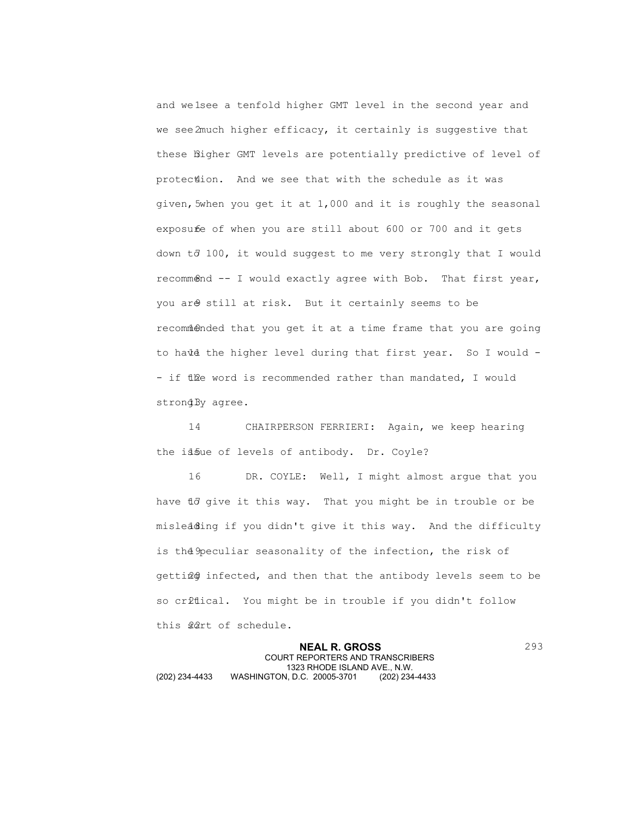and we 1see a tenfold higher GMT level in the second year and we see 2much higher efficacy, it certainly is suggestive that these Bigher GMT levels are potentially predictive of level of protection. And we see that with the schedule as it was given, 5when you get it at  $1,000$  and it is roughly the seasonal exposufe of when you are still about 600 or 700 and it gets down to 100, it would suggest to me very strongly that I would recommend  $--$  I would exactly agree with Bob. That first year, you ar $\Theta$  still at risk. But it certainly seems to be recommi@hded that you get it at a time frame that you are going to havid the higher level during that first year. So I would -- if the word is recommended rather than mandated, I would strondBy agree.

 CHAIRPERSON FERRIERI: Again, we keep hearing 14 the issue of levels of antibody. Dr. Coyle?

16 DR. COYLE: Well, I might almost argue that you have  $t\bar{\sigma}$  give it this way. That you might be in trouble or be misled&ing if you didn't give it this way. And the difficulty is the 9peculiar seasonality of the infection, the risk of getting infected, and then that the antibody levels seem to be so cr2tical. You might be in trouble if you didn't follow this \$2rt of schedule.

**NEAL R. GROSS** COURT REPORTERS AND TRANSCRIBERS 1323 RHODE ISLAND AVE., N.W. (202) 234-4433 WASHINGTON, D.C. 20005-3701 (202) 234-4433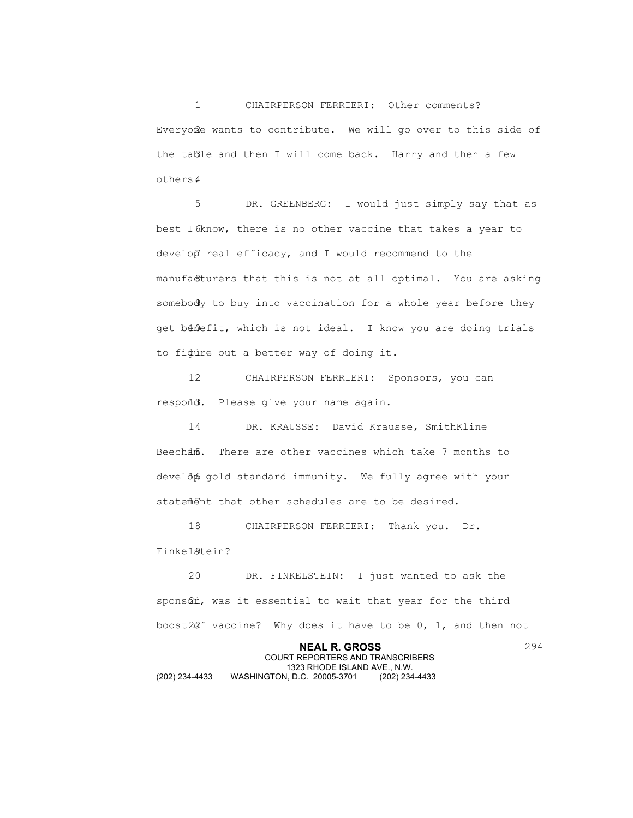CHAIRPERSON FERRIERI: Other comments? 1 Everyoße wants to contribute. We will go over to this side of the table and then I will come back. Harry and then a few others. 4

5 DR. GREENBERG: I would just simply say that as best I6know, there is no other vaccine that takes a year to develop real efficacy, and I would recommend to the manufa&turers that this is not at all optimal. You are asking somebody to buy into vaccination for a whole year before they get benefit, which is not ideal. I know you are doing trials to fiquire out a better way of doing it.

12 CHAIRPERSON FERRIERI: Sponsors, you can respond. Please give your name again.

14 DR. KRAUSSE: David Krausse, SmithKline Beecham. There are other vaccines which take 7 months to develdp gold standard immunity. We fully agree with your statement that other schedules are to be desired.

18 CHAIRPERSON FERRIERI: Thank you. Dr. Finkel<sup>9tein?</sup>

20 DR. FINKELSTEIN: I just wanted to ask the spons@it, was it essential to wait that year for the third boost  $2d$ f vaccine? Why does it have to be 0, 1, and then not

**NEAL R. GROSS** COURT REPORTERS AND TRANSCRIBERS 1323 RHODE ISLAND AVE., N.W. (202) 234-4433 WASHINGTON, D.C. 20005-3701 (202) 234-4433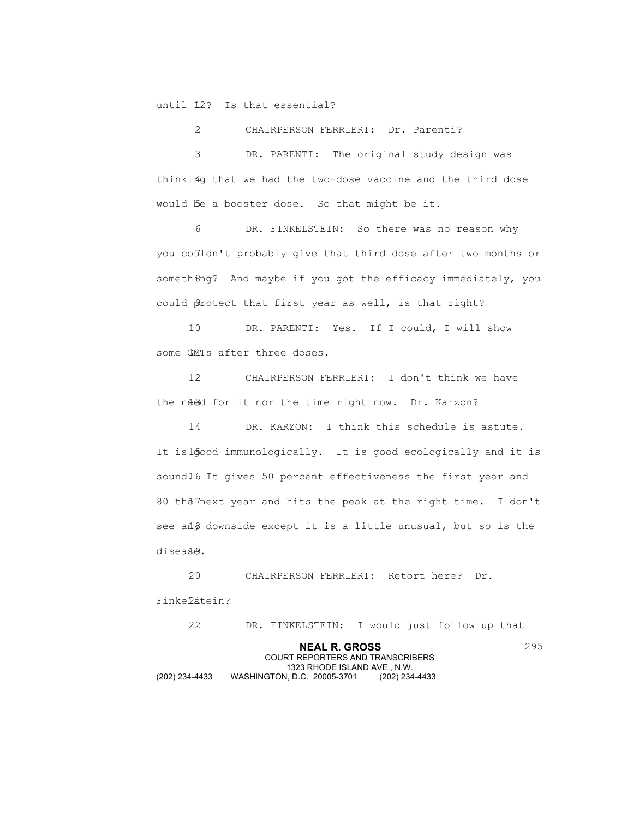until 12? Is that essential?

CHAIRPERSON FERRIERI: Dr. Parenti? 2

3 DR. PARENTI: The original study design was thinking that we had the two-dose vaccine and the third dose would be a booster dose. So that might be it.

6 DR. FINKELSTEIN: So there was no reason why you couldn't probably give that third dose after two months or someth Bng? And maybe if you got the efficacy immediately, you could protect that first year as well, is that right?

10 DR. PARENTI: Yes. If I could, I will show some GMTs after three doses.

 CHAIRPERSON FERRIERI: I don't think we have 12 the need for it nor the time right now. Dr. Karzon?

14 DR. KARZON: I think this schedule is astute. It is 1500d immunologically. It is good ecologically and it is sound16 It gives 50 percent effectiveness the first year and 80 the 7next year and hits the peak at the right time. I don't see an & downside except it is a little unusual, but so is the disease.

20 CHAIRPERSON FERRIERI: Retort here? Dr. Finke<sub>Patein?</sub>

22 DR. FINKELSTEIN: I would just follow up that

**NEAL R. GROSS** COURT REPORTERS AND TRANSCRIBERS 1323 RHODE ISLAND AVE., N.W. (202) 234-4433 WASHINGTON, D.C. 20005-3701 (202) 234-4433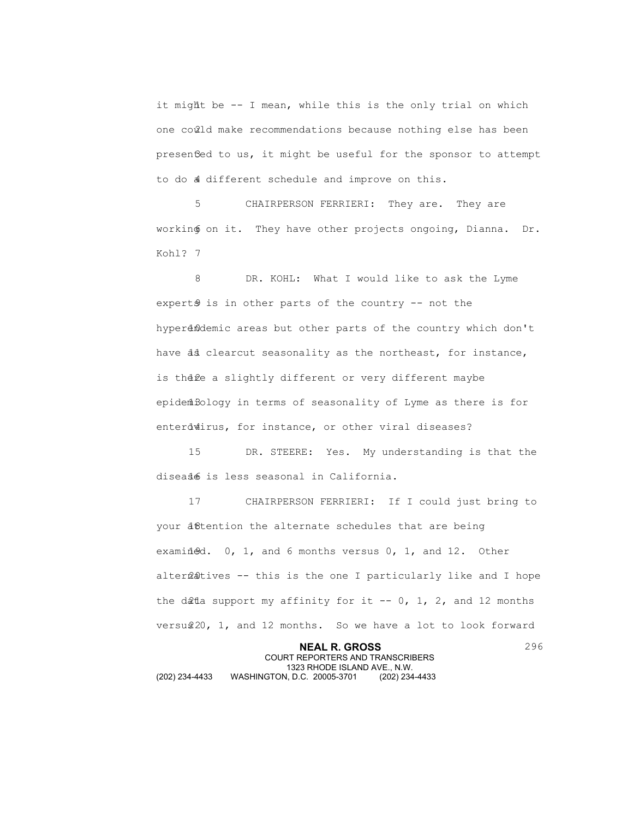it might be  $-$ - I mean, while this is the only trial on which one could make recommendations because nothing else has been presented to us, it might be useful for the sponsor to attempt to do a different schedule and improve on this.

5 CHAIRPERSON FERRIERI: They are. They are working on it. They have other projects ongoing, Dianna. Dr. Kohl? 7

8 DR. KOHL: What I would like to ask the Lyme expert $\frac{1}{2}$  is in other parts of the country -- not the hyperdmOdemic areas but other parts of the country which don't have as clearcut seasonality as the northeast, for instance, is thefle a slightly different or very different maybe epidemibology in terms of seasonality of Lyme as there is for enterd #irus, for instance, or other viral diseases?

15 DR. STEERE: Yes. My understanding is that the disease is less seasonal in California.

 CHAIRPERSON FERRIERI: If I could just bring to 17 your attention the alternate schedules that are being examined.  $0, 1,$  and 6 months versus  $0, 1,$  and  $12.$  Other alternatives -- this is the one I particularly like and I hope the data support my affinity for it  $-$  0, 1, 2, and 12 months  $versu$20, 1, and 12 months. So we have a lot to look forward$ 

**NEAL R. GROSS** COURT REPORTERS AND TRANSCRIBERS 1323 RHODE ISLAND AVE., N.W. (202) 234-4433 WASHINGTON, D.C. 20005-3701 (202) 234-4433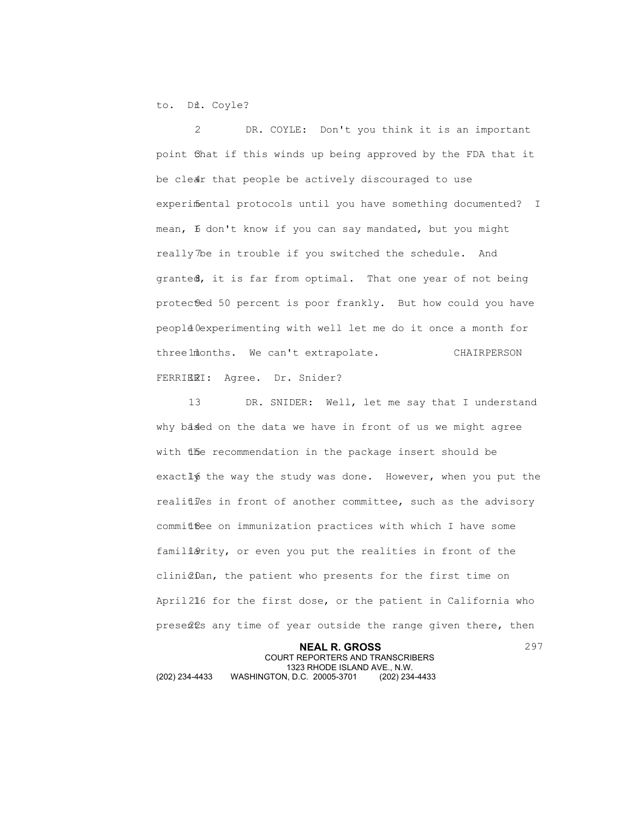to. Di. Coyle?

2 DR. COYLE: Don't you think it is an important point that if this winds up being approved by the FDA that it be clear that people be actively discouraged to use experimental protocols until you have something documented? I mean, *f* don't know if you can say mandated, but you might really The in trouble if you switched the schedule. And grante&, it is far from optimal. That one year of not being protected 50 percent is poor frankly. But how could you have people Oexperimenting with well let me do it once a month for three lmionths. We can't extrapolate. CHAIRPERSON FERRIERI: Agree. Dr. Snider?

13 DR. SNIDER: Well, let me say that I understand why based on the data we have in front of us we might agree with flbe recommendation in the package insert should be exactl $\oint$  the way the study was done. However, when you put the realities in front of another committee, such as the advisory committee on immunization practices with which I have some familiarity, or even you put the realities in front of the clini $@$ Dan, the patient who presents for the first time on April 216 for the first dose, or the patient in California who preseñts any time of year outside the range given there, then

297

**NEAL R. GROSS** COURT REPORTERS AND TRANSCRIBERS 1323 RHODE ISLAND AVE., N.W. (202) 234-4433 WASHINGTON, D.C. 20005-3701 (202) 234-4433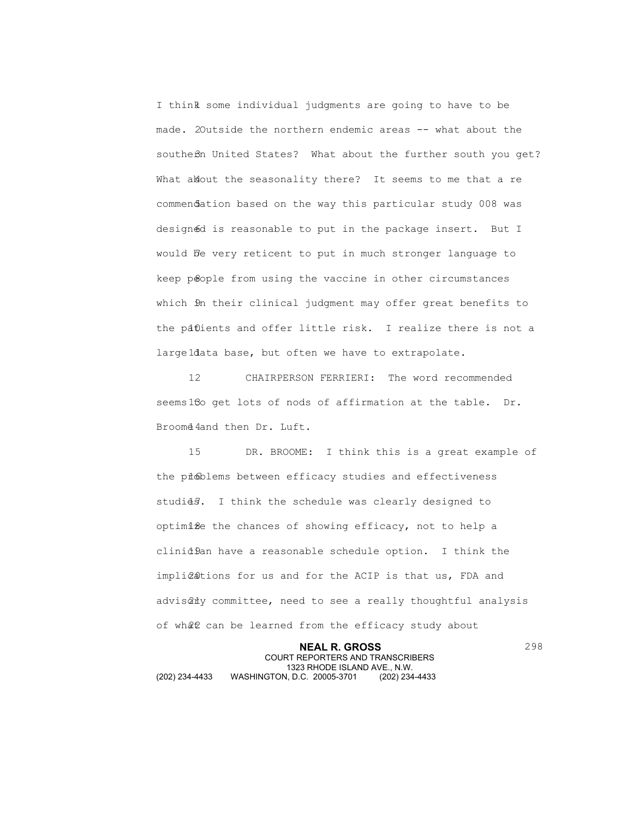I think some individual judgments are going to have to be made. 20utside the northern endemic areas -- what about the southern United States? What about the further south you get? What about the seasonality there? It seems to me that a re commendation based on the way this particular study 008 was designed is reasonable to put in the package insert. But I would Be very reticent to put in much stronger language to keep people from using the vaccine in other circumstances which  $\mathfrak h$  their clinical judgment may offer great benefits to the patients and offer little risk. I realize there is not a large ldata base, but often we have to extrapolate.

 CHAIRPERSON FERRIERI: The word recommended 12 seems 160 get lots of nods of affirmation at the table. Dr. Broomd 4and then Dr. Luft.

15 DR. BROOME: I think this is a great example of the pioblems between efficacy studies and effectiveness studidg. I think the schedule was clearly designed to optimi $\hat{z}$ e the chances of showing efficacy, not to help a clinidfan have a reasonable schedule option. I think the  $impli$ 2ations for us and for the ACIP is that us, FDA and advis $@y$  committee, need to see a really thoughtful analysis of what can be learned from the efficacy study about

**NEAL R. GROSS** COURT REPORTERS AND TRANSCRIBERS 1323 RHODE ISLAND AVE., N.W. (202) 234-4433 WASHINGTON, D.C. 20005-3701 (202) 234-4433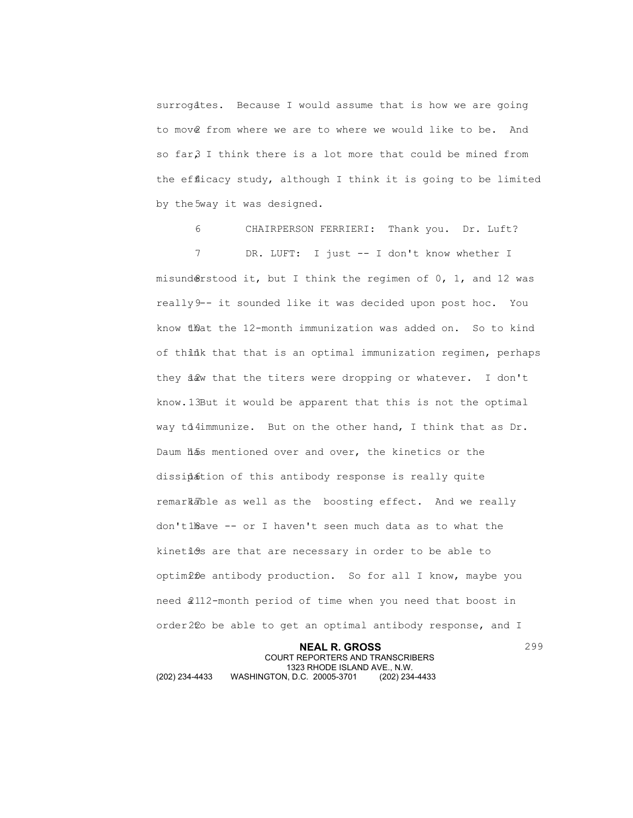surrogates. Because I would assume that is how we are going to move from where we are to where we would like to be. And so far $\beta$  I think there is a lot more that could be mined from the efflicacy study, although I think it is going to be limited by the 5way it was designed.

 CHAIRPERSON FERRIERI: Thank you. Dr. Luft? 6 7 DR. LUFT: I just -- I don't know whether I misund $erctood$  it, but I think the regimen of 0, 1, and 12 was really 9-- it sounded like it was decided upon post hoc. You know fliet the 12-month immunization was added on. So to kind of think that that is an optimal immunization regimen, perhaps they  $d\hat{x}$  that the titers were dropping or whatever. I don't know. 13But it would be apparent that this is not the optimal way to 4immunize. But on the other hand, I think that as Dr. Daum has mentioned over and over, the kinetics or the dissipation of this antibody response is really quite remarkable as well as the boosting effect. And we really don't  $l$  have -- or I haven't seen much data as to what the kineti&s are that are necessary in order to be able to optim $\hat{z}$ e antibody production. So for all I know, maybe you need 2112-month period of time when you need that boost in order 220 be able to get an optimal antibody response, and I

**NEAL R. GROSS** COURT REPORTERS AND TRANSCRIBERS 1323 RHODE ISLAND AVE., N.W. (202) 234-4433 WASHINGTON, D.C. 20005-3701 (202) 234-4433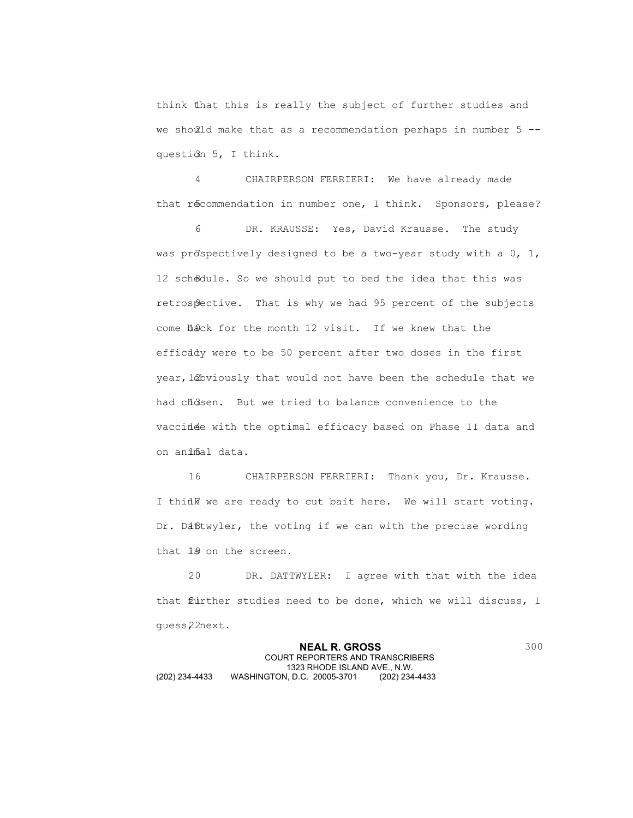think that this is really the subject of further studies and we should make that as a recommendation perhaps in number  $5$  -question 5, I think.

 CHAIRPERSON FERRIERI: We have already made 4 that récommendation in number one, I think. Sponsors, please?

6 DR. KRAUSSE: Yes, David Krausse. The study was prospectively designed to be a two-year study with a  $0, 1,$ 12 schedule. So we should put to bed the idea that this was retrospective. That is why we had 95 percent of the subjects come back for the month 12 visit. If we knew that the efficady were to be 50 percent after two doses in the first year, labviously that would not have been the schedule that we had chosen. But we tried to balance convenience to the vaccinee with the optimal efficacy based on Phase II data and on animal data. 15

16 CHAIRPERSON FERRIERI: Thank you, Dr. Krausse. I think we are ready to cut bait here. We will start voting. Dr. Dattwyler, the voting if we can with the precise wording that is on the screen.

20 DR. DATTWYLER: I agree with that with the idea that further studies need to be done, which we will discuss, I guess<sub>22next.</sub>

**NEAL R. GROSS** COURT REPORTERS AND TRANSCRIBERS 1323 RHODE ISLAND AVE., N.W. (202) 234-4433 WASHINGTON, D.C. 20005-3701 (202) 234-4433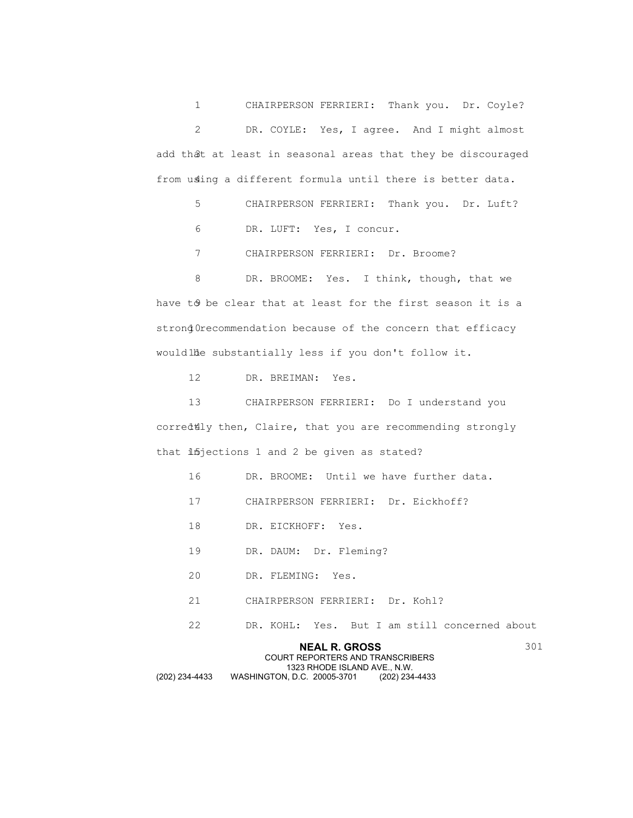CHAIRPERSON FERRIERI: Thank you. Dr. Coyle? 1 2 DR. COYLE: Yes, I agree. And I might almost add that at least in seasonal areas that they be discouraged from using a different formula until there is better data.

5 CHAIRPERSON FERRIERI: Thank you. Dr. Luft? DR. LUFT: Yes, I concur. 6

CHAIRPERSON FERRIERI: Dr. Broome? 7

8 DR. BROOME: Yes. I think, though, that we have  $t\Theta$  be clear that at least for the first season it is a strong Orecommendation because of the concern that efficacy would libe substantially less if you don't follow it.

12 DR. BREIMAN: Yes.

13 CHAIRPERSON FERRIERI: Do I understand you corredtly then, Claire, that you are recommending strongly that injections 1 and 2 be given as stated?

- 16 DR. BROOME: Until we have further data.
- CHAIRPERSON FERRIERI: Dr. Eickhoff? 17
- 18 DR. EICKHOFF: Yes.
- 19 DR. DAUM: Dr. Fleming?
- DR. FLEMING: Yes. 20
- CHAIRPERSON FERRIERI: Dr. Kohl? 21
- 22 DR. KOHL: Yes. But I am still concerned about

**NEAL R. GROSS** COURT REPORTERS AND TRANSCRIBERS 1323 RHODE ISLAND AVE., N.W. (202) 234-4433 WASHINGTON, D.C. 20005-3701 (202) 234-4433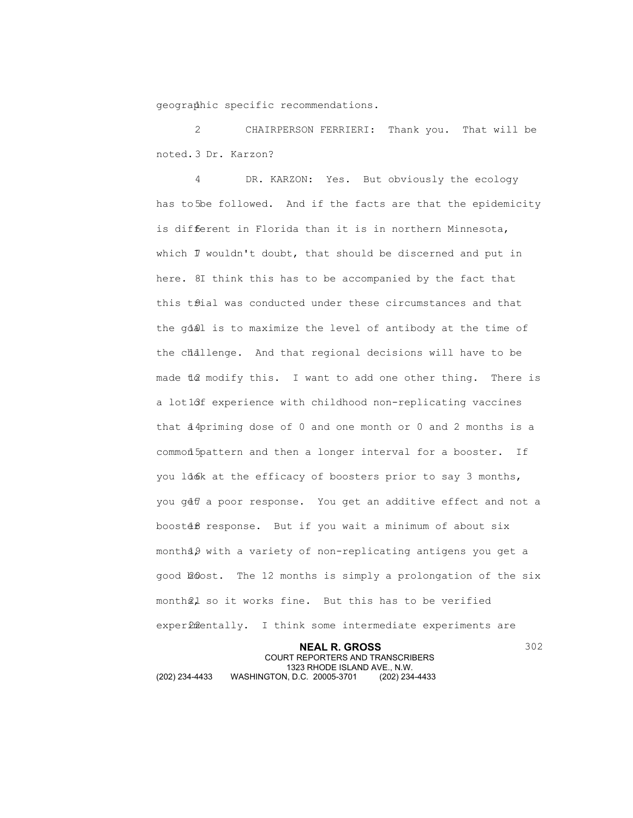geographic specific recommendations. 1

2 CHAIRPERSON FERRIERI: Thank you. That will be noted. 3 Dr. Karzon?

4 DR. KARZON: Yes. But obviously the ecology has to 5be followed. And if the facts are that the epidemicity is different in Florida than it is in northern Minnesota, which  $I$  wouldn't doubt, that should be discerned and put in here. 8I think this has to be accompanied by the fact that this tßial was conducted under these circumstances and that the goal is to maximize the level of antibody at the time of the challenge. And that regional decisions will have to be made  $d\Omega$  modify this. I want to add one other thing. There is a lot lof experience with childhood non-replicating vaccines that  $d$ 4priming dose of 0 and one month or 0 and 2 months is a common 5pattern and then a longer interval for a booster. If you ldok at the efficacy of boosters prior to say 3 months, you get a poor response. You get an additive effect and not a boostaß response. But if you wait a minimum of about six  $month49$  with a variety of non-replicating antigens you get a good 200st. The 12 months is simply a prolongation of the six month£1 so it works fine. But this has to be verified experimentally. I think some intermediate experiments are

**NEAL R. GROSS** COURT REPORTERS AND TRANSCRIBERS 1323 RHODE ISLAND AVE., N.W. (202) 234-4433 WASHINGTON, D.C. 20005-3701 (202) 234-4433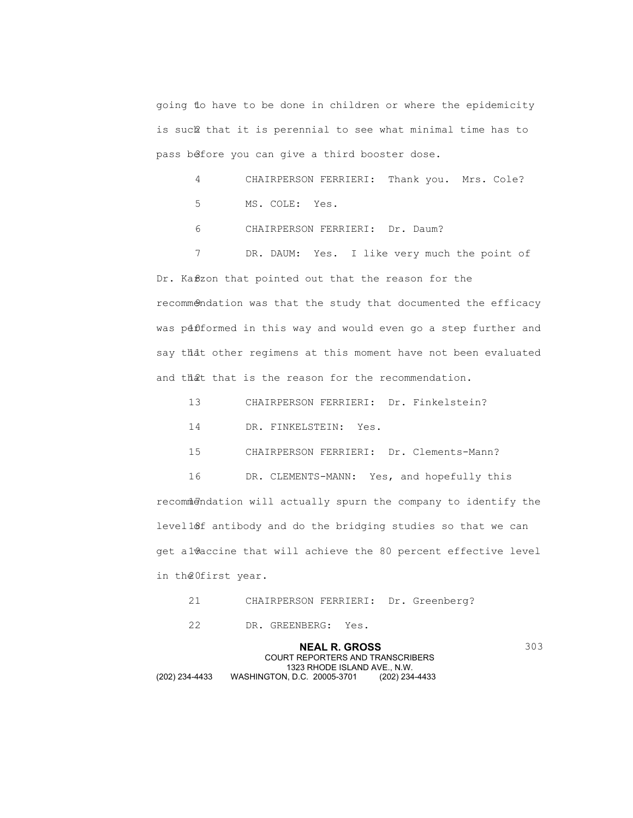going fo have to be done in children or where the epidemicity is suc $\Omega$  that it is perennial to see what minimal time has to pass before you can give a third booster dose.

| CHAIRPERSON FERRIERI: Thank you. Mrs. Cole? |  |
|---------------------------------------------|--|
| 5 MS. COLE: Yes.                            |  |

CHAIRPERSON FERRIERI: Dr. Daum? 6

7 DR. DAUM: Yes. I like very much the point of Dr. Kaßzon that pointed out that the reason for the recomm@ndation was that the study that documented the efficacy was pedformed in this way and would even go a step further and say that other regimens at this moment have not been evaluated and  $t$  hat is the reason for the recommendation.

- CHAIRPERSON FERRIERI: Dr. Finkelstein? 13
- 14 DR. FINKELSTEIN: Yes.
- CHAIRPERSON FERRIERI: Dr. Clements-Mann? 15

16 DR. CLEMENTS-MANN: Yes, and hopefully this recommendation will actually spurn the company to identify the level 1&f antibody and do the bridging studies so that we can get a luaccine that will achieve the 80 percent effective level in the Ofirst year.

 CHAIRPERSON FERRIERI: Dr. Greenberg? 21 DR. GREENBERG: Yes. 22

**NEAL R. GROSS** COURT REPORTERS AND TRANSCRIBERS 1323 RHODE ISLAND AVE., N.W. (202) 234-4433 WASHINGTON, D.C. 20005-3701 (202) 234-4433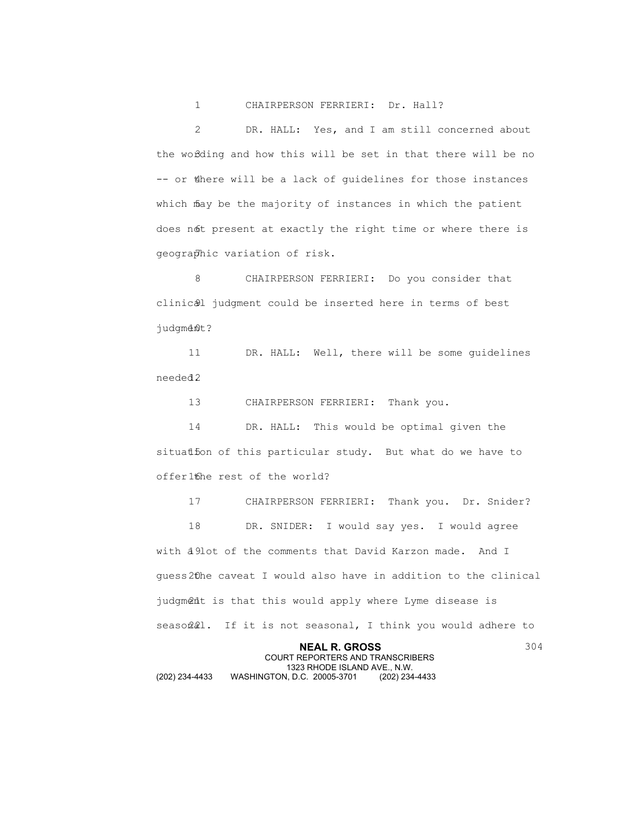CHAIRPERSON FERRIERI: Dr. Hall? 1

2 DR. HALL: Yes, and I am still concerned about the wording and how this will be set in that there will be no -- or there will be a lack of quidelines for those instances which may be the majority of instances in which the patient does not present at exactly the right time or where there is geographic variation of risk.

8 CHAIRPERSON FERRIERI: Do you consider that clinical judgment could be inserted here in terms of best judgmén0t?

11 DR. HALL: Well, there will be some quidelines needed2

13 CHAIRPERSON FERRIERI: Thank you.

14 DR. HALL: This would be optimal given the situation of this particular study. But what do we have to offer 1the rest of the world?

17 CHAIRPERSON FERRIERI: Thank you. Dr. Snider?

18 DR. SNIDER: I would say yes. I would agree with a 9lot of the comments that David Karzon made. And I guess 2the caveat I would also have in addition to the clinical judgment is that this would apply where Lyme disease is seasoñal. If it is not seasonal, I think you would adhere to

**NEAL R. GROSS** COURT REPORTERS AND TRANSCRIBERS 1323 RHODE ISLAND AVE., N.W. (202) 234-4433 WASHINGTON, D.C. 20005-3701 (202) 234-4433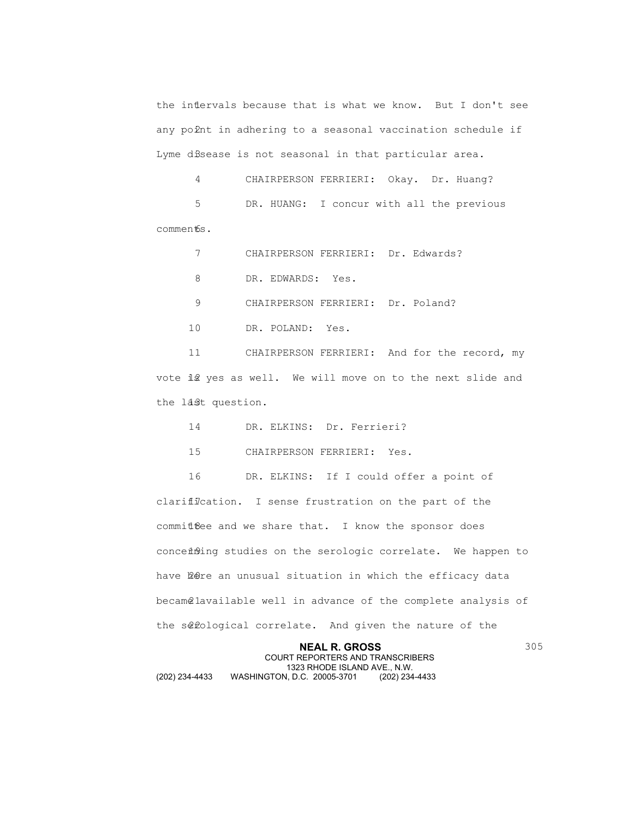the inflervals because that is what we know. But I don't see any point in adhering to a seasonal vaccination schedule if Lyme disease is not seasonal in that particular area.

 CHAIRPERSON FERRIERI: Okay. Dr. Huang? 4 5 DR. HUANG: I concur with all the previous comments.

|  | CHAIRPERSON FERRIERI: Dr. Edwards? |  |  |  |
|--|------------------------------------|--|--|--|
|--|------------------------------------|--|--|--|

8 DR. EDWARDS: Yes.

9 CHAIRPERSON FERRIERI: Dr. Poland?

10 DR. POLAND: Yes.

11 CHAIRPERSON FERRIERI: And for the record, my vote is yes as well. We will move on to the next slide and the last question.

14 DR. ELKINS: Dr. Ferrieri?

CHAIRPERSON FERRIERI: Yes. 15

16 DR. ELKINS: If I could offer a point of clarification. I sense frustration on the part of the committee and we share that. I know the sponsor does conceining studies on the serologic correlate. We happen to have 120re an unusual situation in which the efficacy data became lavailable well in advance of the complete analysis of the serological correlate. And given the nature of the

**NEAL R. GROSS** COURT REPORTERS AND TRANSCRIBERS 1323 RHODE ISLAND AVE., N.W. (202) 234-4433 WASHINGTON, D.C. 20005-3701 (202) 234-4433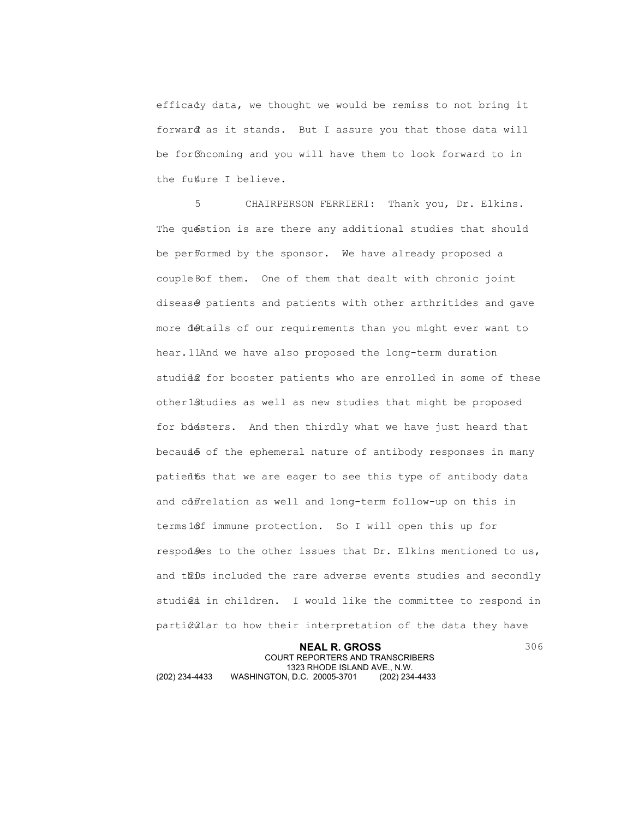efficady data, we thought we would be remiss to not bring it forward as it stands. But I assure you that those data will be forthcoming and you will have them to look forward to in the fu#ure I believe.

5 CHAIRPERSON FERRIERI: Thank you, Dr. Elkins. The question is are there any additional studies that should be perflormed by the sponsor. We have already proposed a couple 8of them. One of them that dealt with chronic joint diseas $\Theta$  patients and patients with other arthritides and gave more d@tails of our requirements than you might ever want to hear. 11And we have also proposed the long-term duration studies for booster patients who are enrolled in some of these other 1studies as well as new studies that might be proposed for bddsters. And then thirdly what we have just heard that because of the ephemeral nature of antibody responses in many patients that we are eager to see this type of antibody data and cdfrelation as well and long-term follow-up on this in terms 1&f immune protection. So I will open this up for responses to the other issues that Dr. Elkins mentioned to us, and this included the rare adverse events studies and secondly studies in children. I would like the committee to respond in particular to how their interpretation of the data they have

**NEAL R. GROSS** COURT REPORTERS AND TRANSCRIBERS 1323 RHODE ISLAND AVE., N.W. (202) 234-4433 WASHINGTON, D.C. 20005-3701 (202) 234-4433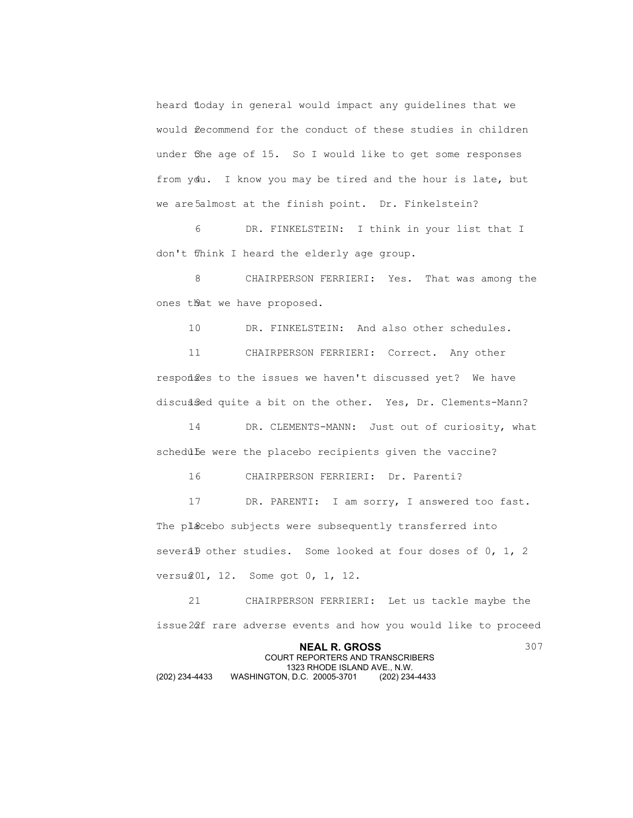heard floday in general would impact any guidelines that we would fecommend for the conduct of these studies in children under the age of 15. So I would like to get some responses from you. I know you may be tired and the hour is late, but we are 5almost at the finish point. Dr. Finkelstein?

 DR. FINKELSTEIN: I think in your list that I 6 don't fhink I heard the elderly age group.

8 CHAIRPERSON FERRIERI: Yes. That was among the ones that we have proposed.

10 DR. FINKELSTEIN: And also other schedules.

11 CHAIRPERSON FERRIERI: Correct. Any other responses to the issues we haven't discussed yet? We have discussed quite a bit on the other. Yes, Dr. Clements-Mann?

14 DR. CLEMENTS-MANN: Just out of curiosity, what schedibe were the placebo recipients given the vaccine?

CHAIRPERSON FERRIERI: Dr. Parenti? 16

17 DR. PARENTI: I am sorry, I answered too fast. The placebo subjects were subsequently transferred into several other studies. Some looked at four doses of 0, 1, 2 versu*201*, 12. Some got 0, 1, 12.

21 CHAIRPERSON FERRIERI: Let us tackle maybe the issue 20f rare adverse events and how you would like to proceed

**NEAL R. GROSS** COURT REPORTERS AND TRANSCRIBERS 1323 RHODE ISLAND AVE., N.W. (202) 234-4433 WASHINGTON, D.C. 20005-3701 (202) 234-4433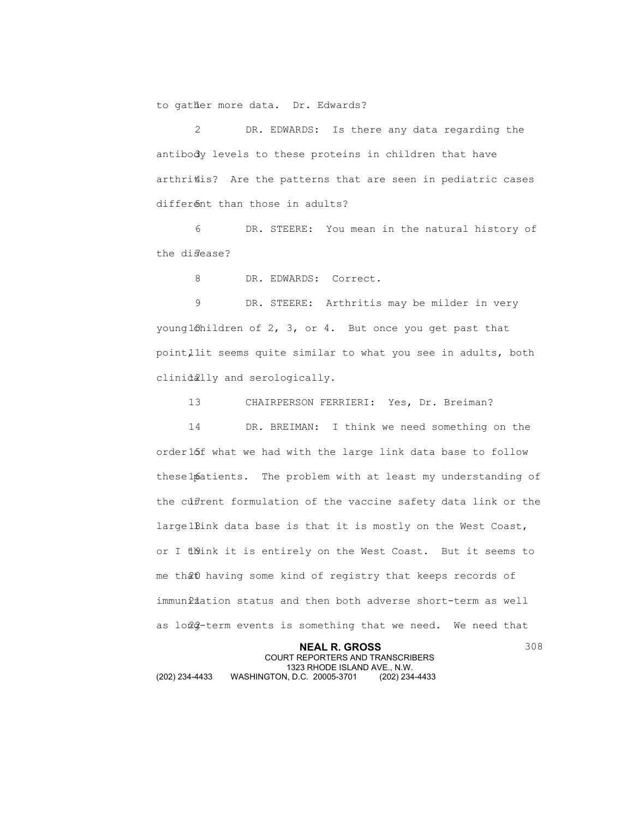to gather more data. Dr. Edwards?

2 DR. EDWARDS: Is there any data regarding the antibody levels to these proteins in children that have arthritis? Are the patterns that are seen in pediatric cases different than those in adults?

6 DR. STEERE: You mean in the natural history of the  $disé$ 

8 DR. EDWARDS: Correct.

9 DR. STEERE: Arthritis may be milder in very young 10 hildren of 2, 3, or 4. But once you get past that point, lit seems quite similar to what you see in adults, both clinidally and serologically.

CHAIRPERSON FERRIERI: Yes, Dr. Breiman? 13

14 DR. BREIMAN: I think we need something on the order 15f what we had with the large link data base to follow these lpatients. The problem with at least my understanding of the cuffrent formulation of the vaccine safety data link or the large 1Bink data base is that it is mostly on the West Coast, or I theink it is entirely on the West Coast. But it seems to me that having some kind of registry that keeps records of immun2dation status and then both adverse short-term as well as long-term events is something that we need. We need that

**NEAL R. GROSS** COURT REPORTERS AND TRANSCRIBERS 1323 RHODE ISLAND AVE., N.W. (202) 234-4433 WASHINGTON, D.C. 20005-3701 (202) 234-4433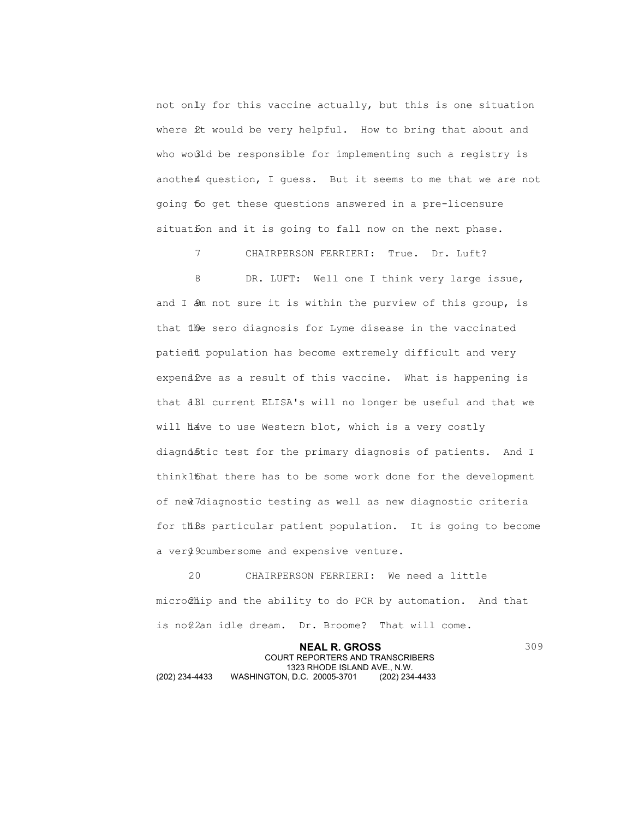not only for this vaccine actually, but this is one situation where it would be very helpful. How to bring that about and who would be responsible for implementing such a registry is anothe $4$  question, I quess. But it seems to me that we are not going fo get these questions answered in a pre-licensure situation and it is going to fall now on the next phase.

7 CHAIRPERSON FERRIERI: True. Dr. Luft?

8 DR. LUFT: Well one I think very large issue, and I  $\mathcal{A}$ m not sure it is within the purview of this group, is that flie sero diagnosis for Lyme disease in the vaccinated patient population has become extremely difficult and very expend2ve as a result of this vaccine. What is happening is that 4B1 current ELISA's will no longer be useful and that we will have to use Western blot, which is a very costly diagndstic test for the primary diagnosis of patients. And I think 16hat there has to be some work done for the development of new 7diagnostic testing as well as new diagnostic criteria for this particular patient population. It is going to become a ver $\sqrt{2}$  9 cumbersome and expensive venture.

 CHAIRPERSON FERRIERI: We need a little 20 microchip and the ability to do PCR by automation. And that is not 2an idle dream. Dr. Broome? That will come.

**NEAL R. GROSS** COURT REPORTERS AND TRANSCRIBERS 1323 RHODE ISLAND AVE., N.W. (202) 234-4433 WASHINGTON, D.C. 20005-3701 (202) 234-4433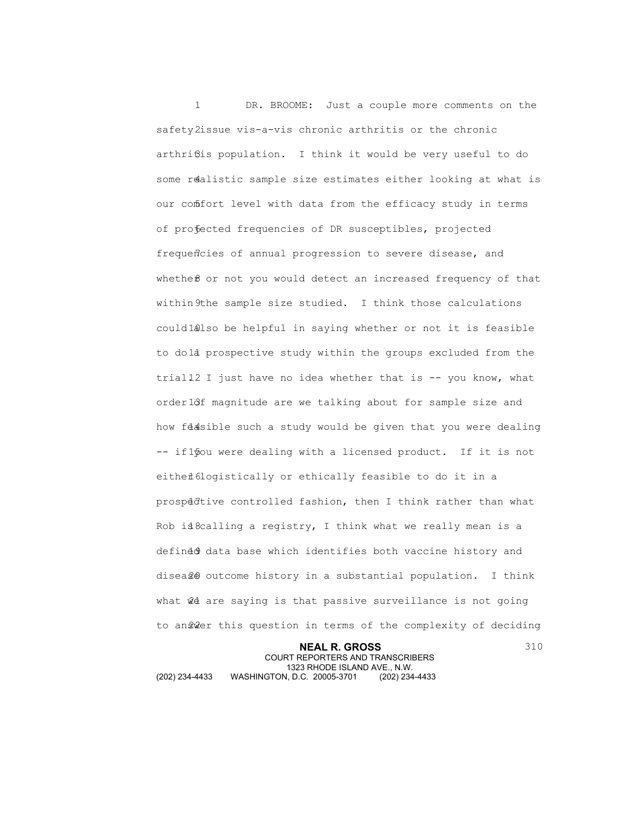1 DR. BROOME: Just a couple more comments on the safety 2issue vis-a-vis chronic arthritis or the chronic arthrifis population. I think it would be very useful to do some realistic sample size estimates either looking at what is our comfort level with data from the efficacy study in terms of profected frequencies of DR susceptibles, projected frequencies of annual progression to severe disease, and whetheß or not you would detect an increased frequency of that within 9the sample size studied. I think those calculations could 1@lso be helpful in saying whether or not it is feasible to do 14 prospective study within the groups excluded from the trial  $12$  I just have no idea whether that is  $-$  you know, what order 16f magnitude are we talking about for sample size and how feasible such a study would be given that you were dealing -- if 150u were dealing with a licensed product. If it is not eitheit6logistically or ethically feasible to do it in a prospedtive controlled fashion, then I think rather than what Rob is 8calling a registry, I think what we really mean is a defind& data base which identifies both vaccine history and disea $\frac{a}{b}$  outcome history in a substantial population. I think what @d are saying is that passive surveillance is not going to answer this question in terms of the complexity of deciding

**NEAL R. GROSS** COURT REPORTERS AND TRANSCRIBERS 1323 RHODE ISLAND AVE., N.W. (202) 234-4433 WASHINGTON, D.C. 20005-3701 (202) 234-4433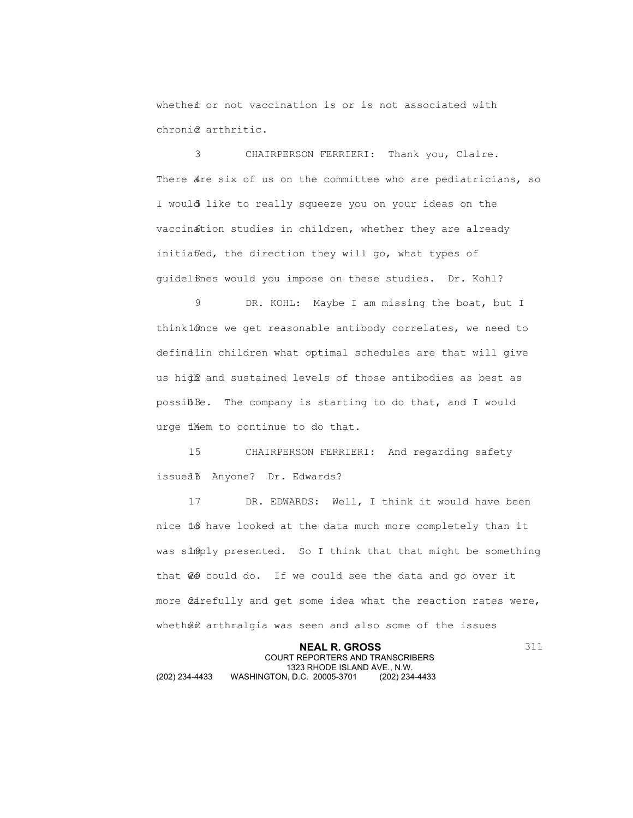whether or not vaccination is or is not associated with chroni $\ell$  arthritic.

3 CHAIRPERSON FERRIERI: Thank you, Claire. There are six of us on the committee who are pediatricians, so I would like to really squeeze you on your ideas on the vaccination studies in children, whether they are already initiafed, the direction they will go, what types of guidelfnes would you impose on these studies. Dr. Kohl?

9 DR. KOHL: Maybe I am missing the boat, but I think lonce we get reasonable antibody correlates, we need to defindlin children what optimal schedules are that will give us hid<sup>p</sup> and sustained levels of those antibodies as best as possible. The company is starting to do that, and I would urge fliem to continue to do that.

 CHAIRPERSON FERRIERI: And regarding safety 15 issue 16 Anyone? Dr. Edwards?

17 DR. EDWARDS: Well, I think it would have been nice  $t\&$  have looked at the data much more completely than it was simply presented. So I think that that might be something that  $\hat{u}\hat{d}$  could do. If we could see the data and go over it more 2drefully and get some idea what the reaction rates were, whether arthralgia was seen and also some of the issues

**NEAL R. GROSS** COURT REPORTERS AND TRANSCRIBERS 1323 RHODE ISLAND AVE., N.W. (202) 234-4433 WASHINGTON, D.C. 20005-3701 (202) 234-4433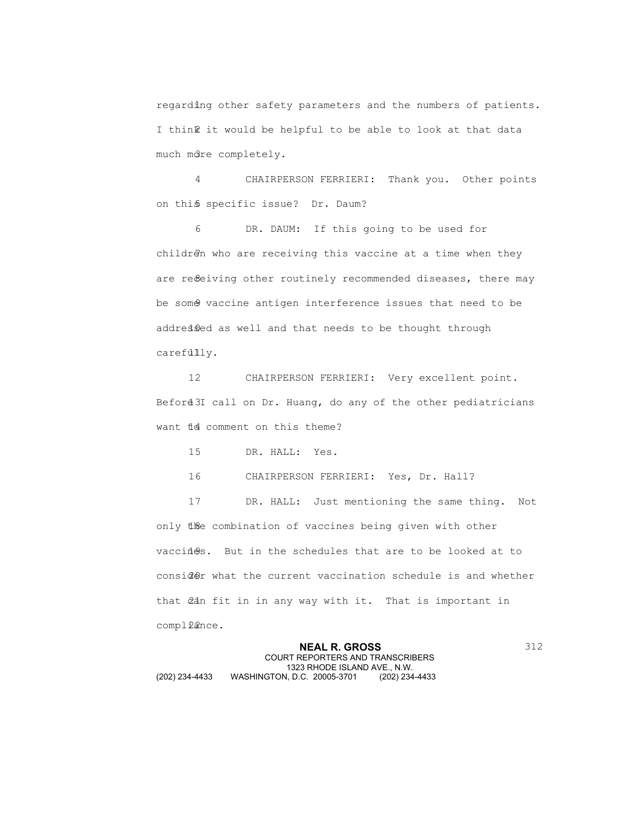regarding other safety parameters and the numbers of patients. I think it would be helpful to be able to look at that data much more completely.

 CHAIRPERSON FERRIERI: Thank you. Other points 4 on this specific issue? Dr. Daum?

 DR. DAUM: If this going to be used for 6 children who are receiving this vaccine at a time when they are re&eiving other routinely recommended diseases, there may be som $\Theta$  vaccine antigen interference issues that need to be addressed as well and that needs to be thought through carefully.

 CHAIRPERSON FERRIERI: Very excellent point. 12 Beford 3I call on Dr. Huang, do any of the other pediatricians want fld comment on this theme?

DR. HALL: Yes. 15

CHAIRPERSON FERRIERI: Yes, Dr. Hall? 16

17 DR. HALL: Just mentioning the same thing. Not only flie combination of vaccines being given with other vaccines. But in the schedules that are to be looked at to consi $d\theta$ r what the current vaccination schedule is and whether that 2dn fit in in any way with it. That is important in compliance.

**NEAL R. GROSS** COURT REPORTERS AND TRANSCRIBERS 1323 RHODE ISLAND AVE., N.W. (202) 234-4433 WASHINGTON, D.C. 20005-3701 (202) 234-4433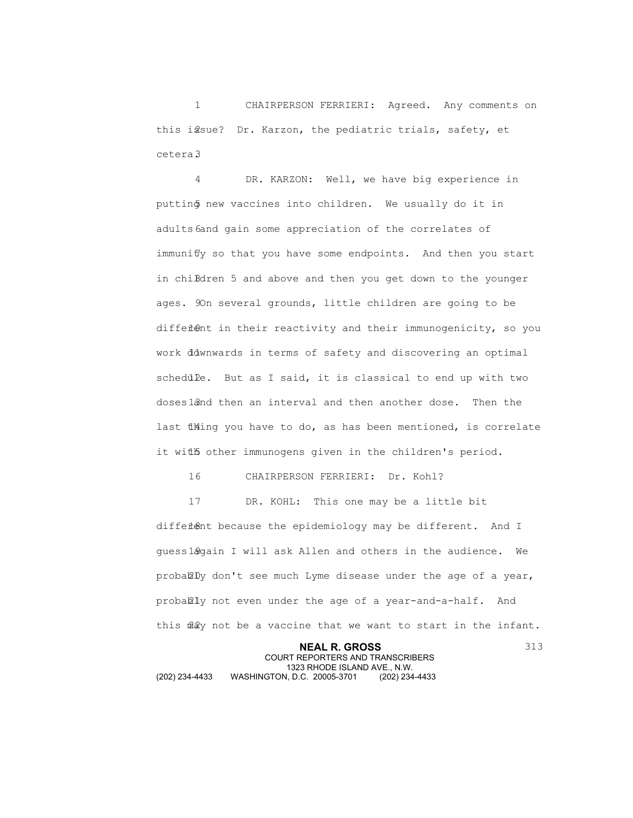CHAIRPERSON FERRIERI: Agreed. Any comments on 1 this issue? Dr. Karzon, the pediatric trials, safety, et cetera. 3

4 DR. KARZON: Well, we have big experience in putting new vaccines into children. We usually do it in adults 6and gain some appreciation of the correlates of immunity so that you have some endpoints. And then you start in children 5 and above and then you get down to the younger ages. 90n several grounds, little children are going to be differt in their reactivity and their immunogenicity, so you work ddwnwards in terms of safety and discovering an optimal schedule. But as I said, it is classical to end up with two doses land then an interval and then another dose. Then the last  $t$ Hing you have to do, as has been mentioned, is correlate it with other immunogens given in the children's period.

CHAIRPERSON FERRIERI: Dr. Kohl? 16

17 DR. KOHL: This one may be a little bit different. And I quess 12gain I will ask Allen and others in the audience. We probably don't see much Lyme disease under the age of a year, probably not even under the age of a year-and-a-half. And this may not be a vaccine that we want to start in the infant.

**NEAL R. GROSS** COURT REPORTERS AND TRANSCRIBERS 1323 RHODE ISLAND AVE., N.W. (202) 234-4433 WASHINGTON, D.C. 20005-3701 (202) 234-4433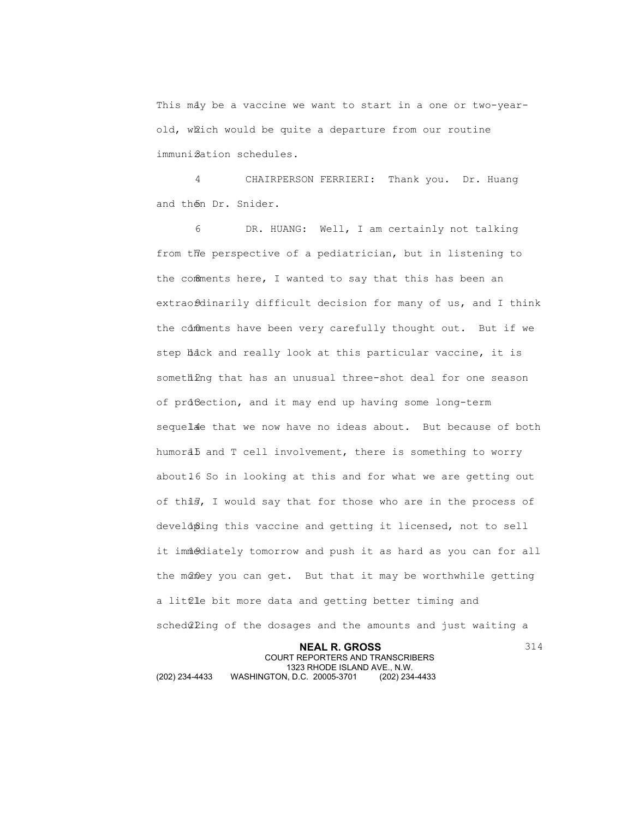This may be a vaccine we want to start in a one or two-yearold, which would be quite a departure from our routine immunization schedules.

 CHAIRPERSON FERRIERI: Thank you. Dr. Huang 4 and then Dr. Snider.

6 DR. HUANG: Well, I am certainly not talking from the perspective of a pediatrician, but in listening to the comments here, I wanted to say that this has been an extraofdinarily difficult decision for many of us, and I think the cdmments have been very carefully thought out. But if we step black and really look at this particular vaccine, it is something that has an unusual three-shot deal for one season of prdfection, and it may end up having some long-term sequelae that we now have no ideas about. But because of both humoral and T cell involvement, there is something to worry about16 So in looking at this and for what we are getting out of this, I would say that for those who are in the process of develdp8ing this vaccine and getting it licensed, not to sell it immi $\Theta$ diately tomorrow and push it as hard as you can for all the maney you can get. But that it may be worthwhile getting a little bit more data and getting better timing and scheduling of the dosages and the amounts and just waiting a

**NEAL R. GROSS** COURT REPORTERS AND TRANSCRIBERS 1323 RHODE ISLAND AVE., N.W. (202) 234-4433 WASHINGTON, D.C. 20005-3701 (202) 234-4433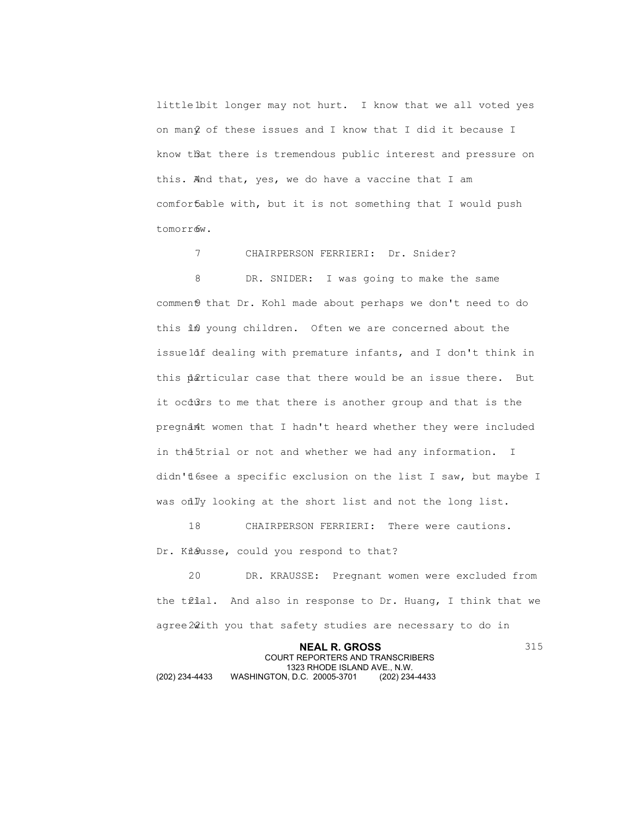little 1bit longer may not hurt. I know that we all voted yes on man $\hat{y}$  of these issues and I know that I did it because I know that there is tremendous public interest and pressure on this. And that, yes, we do have a vaccine that I am comfortable with, but it is not something that I would push tomorrów.

CHAIRPERSON FERRIERI: Dr. Snider? 7

8 DR. SNIDER: I was going to make the same comment that Dr. Kohl made about perhaps we don't need to do this in young children. Often we are concerned about the issue ldf dealing with premature infants, and I don't think in this patticular case that there would be an issue there. But it ocdurs to me that there is another group and that is the pregnamt women that I hadn't heard whether they were included in the 5trial or not and whether we had any information. I didn't 6see a specific exclusion on the list I saw, but maybe I was ofly looking at the short list and not the long list.

18 CHAIRPERSON FERRIERI: There were cautions. Dr. Kilausse, could you respond to that?

20 DR. KRAUSSE: Pregnant women were excluded from the tlial. And also in response to Dr. Huang, I think that we agree 20ith you that safety studies are necessary to do in

**NEAL R. GROSS** COURT REPORTERS AND TRANSCRIBERS 1323 RHODE ISLAND AVE., N.W. (202) 234-4433 WASHINGTON, D.C. 20005-3701 (202) 234-4433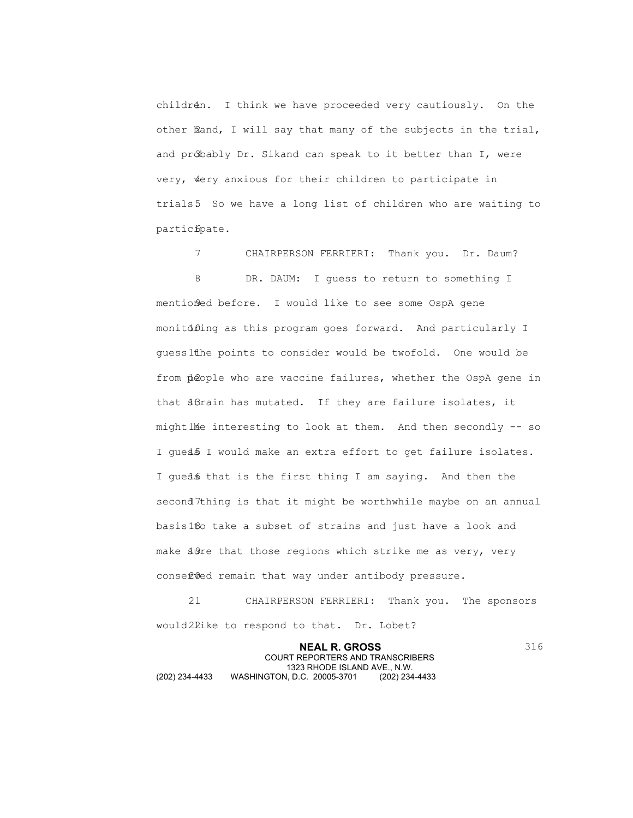children. I think we have proceeded very cautiously. On the other fand, I will say that many of the subjects in the trial, and probably Dr. Sikand can speak to it better than I, were very, Mery anxious for their children to participate in trials5 So we have a long list of children who are waiting to participate.

7 CHAIRPERSON FERRIERI: Thank you. Dr. Daum? 8 DR. DAUM: I guess to return to something I mentioned before. I would like to see some OspA gene monitdfling as this program goes forward. And particularly I quess 1the points to consider would be twofold. One would be from people who are vaccine failures, whether the OspA gene in that *d'Orain* has mutated. If they are failure isolates, it might  $l$  de interesting to look at them. And then secondly  $-$ - so I quest I would make an extra effort to get failure isolates. I guess that is the first thing I am saying. And then the second 7thing is that it might be worthwhile maybe on an annual basis 180 take a subset of strains and just have a look and make sufre that those regions which strike me as very, very conseived remain that way under antibody pressure.

21 CHAIRPERSON FERRIERI: Thank you. The sponsors would 2 Like to respond to that. Dr. Lobet?

**NEAL R. GROSS** COURT REPORTERS AND TRANSCRIBERS 1323 RHODE ISLAND AVE., N.W. (202) 234-4433 WASHINGTON, D.C. 20005-3701 (202) 234-4433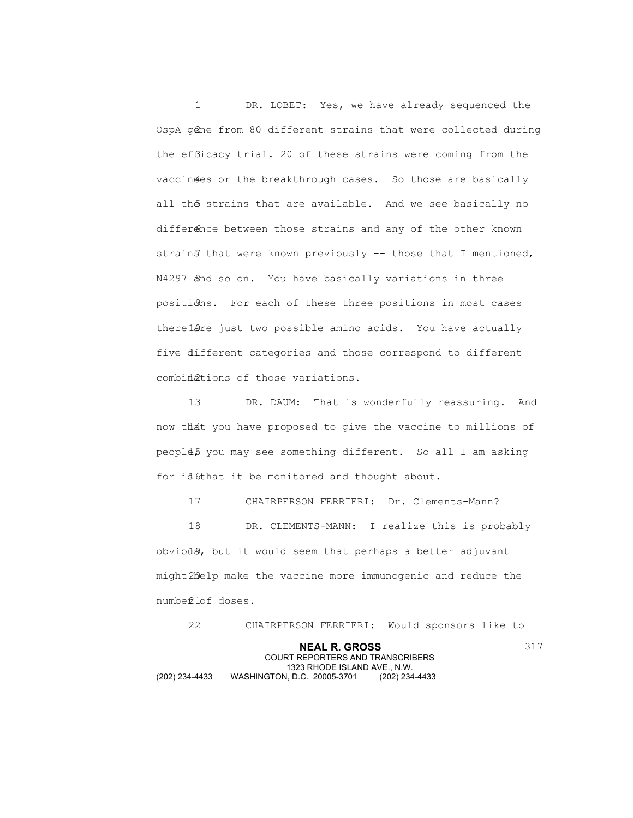1 DR. LOBET: Yes, we have already sequenced the OspA gene from 80 different strains that were collected during the efficacy trial. 20 of these strains were coming from the vaccindes or the breakthrough cases. So those are basically all the strains that are available. And we see basically no difference between those strains and any of the other known strains that were known previously  $-$  those that I mentioned, N4297 and so on. You have basically variations in three positions. For each of these three positions in most cases there lare just two possible amino acids. You have actually five different categories and those correspond to different combinations of those variations.

13 DR. DAUM: That is wonderfully reassuring. And now that you have proposed to give the vaccine to millions of people5 you may see something different. So all I am asking for is 6that it be monitored and thought about.

CHAIRPERSON FERRIERI: Dr. Clements-Mann? 17

18 DR. CLEMENTS-MANN: I realize this is probably obvious, but it would seem that perhaps a better adjuvant might 200elp make the vaccine more immunogenic and reduce the number21of doses.

CHAIRPERSON FERRIERI: Would sponsors like to 22

**NEAL R. GROSS** COURT REPORTERS AND TRANSCRIBERS 1323 RHODE ISLAND AVE., N.W. (202) 234-4433 WASHINGTON, D.C. 20005-3701 (202) 234-4433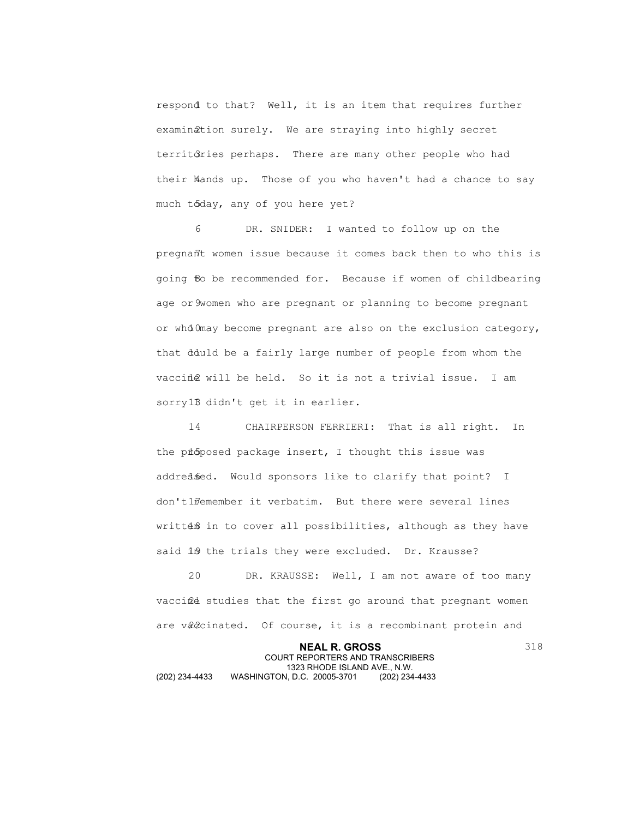respond to that? Well, it is an item that requires further examination surely. We are straying into highly secret territories perhaps. There are many other people who had their Mands up. Those of you who haven't had a chance to say much today, any of you here yet?

6 DR. SNIDER: I wanted to follow up on the pregnant women issue because it comes back then to who this is going to be recommended for. Because if women of childbearing age or 9women who are pregnant or planning to become pregnant or wh $d$  Omay become pregnant are also on the exclusion category, that dduld be a fairly large number of people from whom the vaccine will be held. So it is not a trivial issue. I am sorry 1B didn't get it in earlier.

14 CHAIRPERSON FERRIERI: That is all right. In the pitoposed package insert, I thought this issue was addressed. Would sponsors like to clarify that point? I don't liemember it verbatim. But there were several lines writtem in to cover all possibilities, although as they have said in the trials they were excluded. Dr. Krausse?

20 DR. KRAUSSE: Well, I am not aware of too many vaccine studies that the first go around that pregnant women are vaccinated. Of course, it is a recombinant protein and

**NEAL R. GROSS** COURT REPORTERS AND TRANSCRIBERS 1323 RHODE ISLAND AVE., N.W. (202) 234-4433 WASHINGTON, D.C. 20005-3701 (202) 234-4433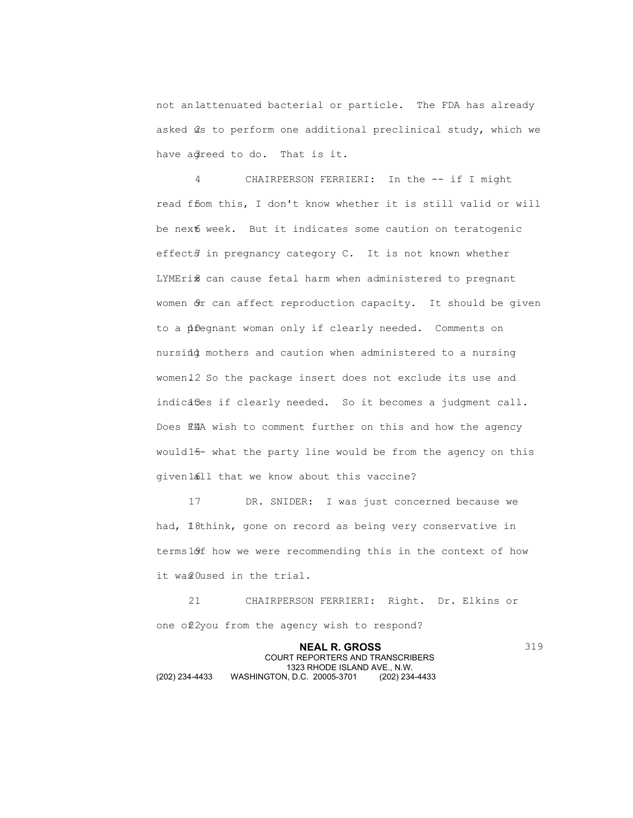not an lattenuated bacterial or particle. The FDA has already asked ûs to perform one additional preclinical study, which we have adreed to do. That is it.

4 CHAIRPERSON FERRIERI: In the -- if I might read ffom this, I don't know whether it is still valid or will be next6 week. But it indicates some caution on teratogenic effect $\bar{s}$  in pregnancy category C. It is not known whether LYMErix can cause fetal harm when administered to pregnant women  $\Theta$ r can affect reproduction capacity. It should be given to a pifegnant woman only if clearly needed. Comments on nursing mothers and caution when administered to a nursing women12 So the package insert does not exclude its use and indicates if clearly needed. So it becomes a judgment call. Does FDA wish to comment further on this and how the agency would 15- what the party line would be from the agency on this given 1611 that we know about this vaccine?

17 DR. SNIDER: I was just concerned because we had, I8think, gone on record as being very conservative in terms 10f how we were recommending this in the context of how it wa£0used in the trial.

 CHAIRPERSON FERRIERI: Right. Dr. Elkins or 21 one of 2you from the agency wish to respond?

**NEAL R. GROSS** COURT REPORTERS AND TRANSCRIBERS 1323 RHODE ISLAND AVE., N.W. (202) 234-4433 WASHINGTON, D.C. 20005-3701 (202) 234-4433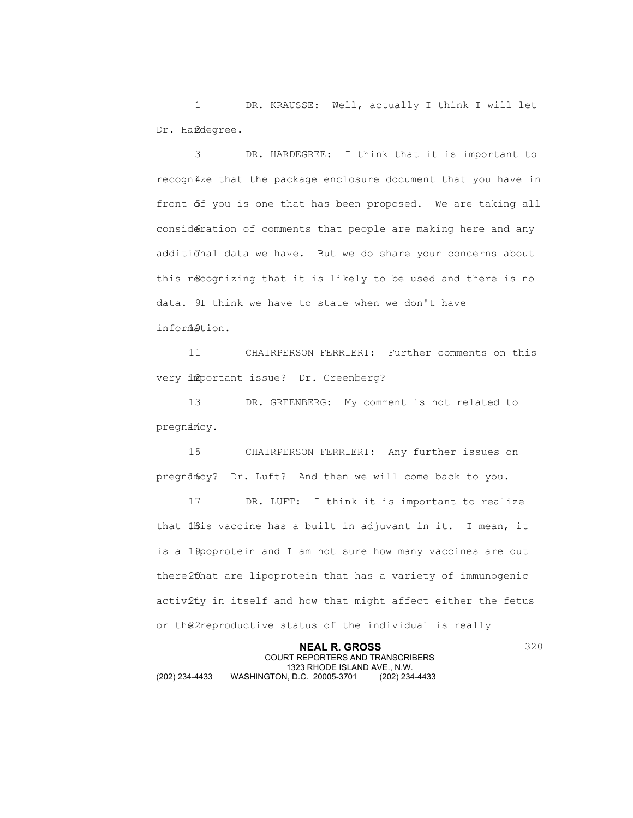1 DR. KRAUSSE: Well, actually I think I will let Dr. Hafdegree.

3 DR. HARDEGREE: I think that it is important to recognize that the package enclosure document that you have in front  $6f$  you is one that has been proposed. We are taking all consideration of comments that people are making here and any additional data we have. But we do share your concerns about this recognizing that it is likely to be used and there is no data. 9I think we have to state when we don't have information.

 CHAIRPERSON FERRIERI: Further comments on this 11 very important issue? Dr. Greenberg?

13 DR. GREENBERG: My comment is not related to pregnancy.

 CHAIRPERSON FERRIERI: Any further issues on 15 pregnancy? Dr. Luft? And then we will come back to you.

17 DR. LUFT: I think it is important to realize that fl&is vaccine has a built in adjuvant in it. I mean, it is a lippoprotein and I am not sure how many vaccines are out there 2that are lipoprotein that has a variety of immunogenic activ2ty in itself and how that might affect either the fetus or the 2reproductive status of the individual is really

**NEAL R. GROSS** COURT REPORTERS AND TRANSCRIBERS 1323 RHODE ISLAND AVE., N.W. (202) 234-4433 WASHINGTON, D.C. 20005-3701 (202) 234-4433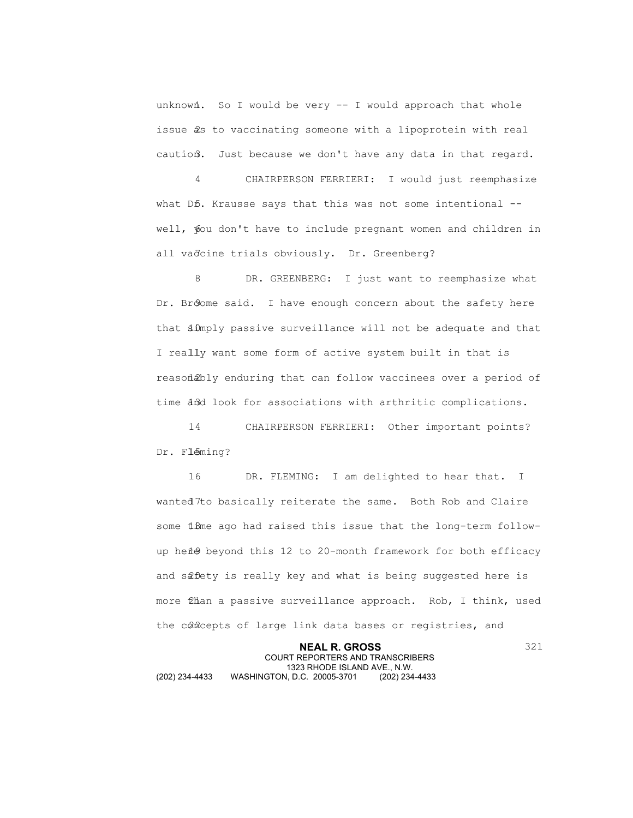unknown. So I would be very  $-$  I would approach that whole issue 2s to vaccinating someone with a lipoprotein with real caution. Just because we don't have any data in that regard.

 CHAIRPERSON FERRIERI: I would just reemphasize 4 what D5. Krausse says that this was not some intentional  $$ well, you don't have to include pregnant women and children in all vadcine trials obviously. Dr. Greenberg?

8 DR. GREENBERG: I just want to reemphasize what Dr. Broome said. I have enough concern about the safety here that *ilmply passive surveillance will not be adequate and that* I really want some form of active system built in that is reasonably enduring that can follow vaccinees over a period of time and look for associations with arthritic complications.

 CHAIRPERSON FERRIERI: Other important points? 14 Dr. Fleming?

16 DR. FLEMING: I am delighted to hear that. I wanted 7to basically reiterate the same. Both Rob and Claire some fill ago had raised this issue that the long-term followup heil beyond this 12 to 20-month framework for both efficacy and safety is really key and what is being suggested here is more than a passive surveillance approach. Rob, I think, used the cancepts of large link data bases or registries, and

**NEAL R. GROSS** COURT REPORTERS AND TRANSCRIBERS 1323 RHODE ISLAND AVE., N.W. (202) 234-4433 WASHINGTON, D.C. 20005-3701 (202) 234-4433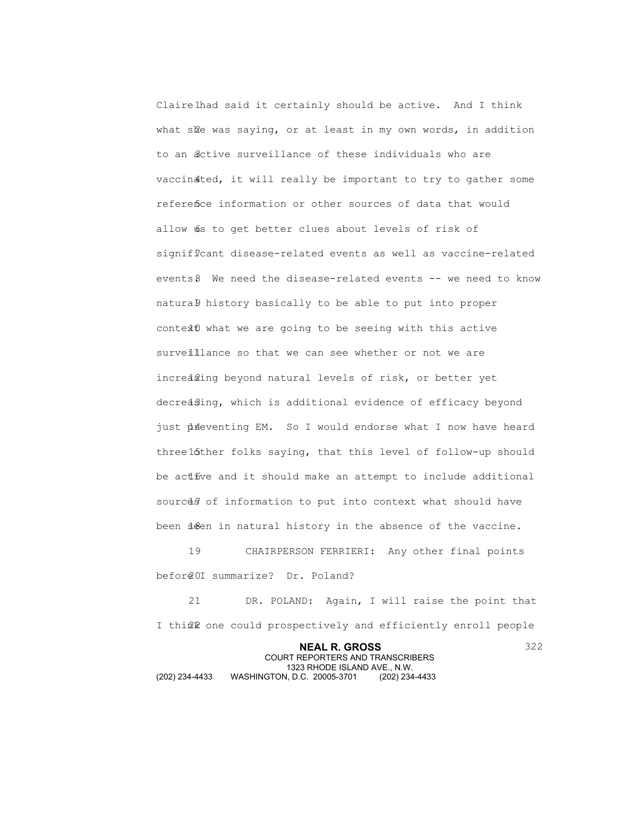Claire lhad said it certainly should be active. And I think what she was saying, or at least in my own words, in addition to an active surveillance of these individuals who are vaccinated, it will really be important to try to gather some reference information or other sources of data that would allow us to get better clues about levels of risk of significant disease-related events as well as vaccine-related events 8 We need the disease-related events -- we need to know natural history basically to be able to put into proper conteit what we are going to be seeing with this active surveillance so that we can see whether or not we are increating beyond natural levels of risk, or better yet decreasing, which is additional evidence of efficacy beyond just pileventing EM. So I would endorse what I now have heard three lother folks saying, that this level of follow-up should be actibve and it should make an attempt to include additional sourc43 of information to put into context what should have been ieen in natural history in the absence of the vaccine.

 CHAIRPERSON FERRIERI: Any other final points 19 befor@0I summarize? Dr. Poland?

21 DR. POLAND: Again, I will raise the point that I think one could prospectively and efficiently enroll people

**NEAL R. GROSS** COURT REPORTERS AND TRANSCRIBERS 1323 RHODE ISLAND AVE., N.W. (202) 234-4433 WASHINGTON, D.C. 20005-3701 (202) 234-4433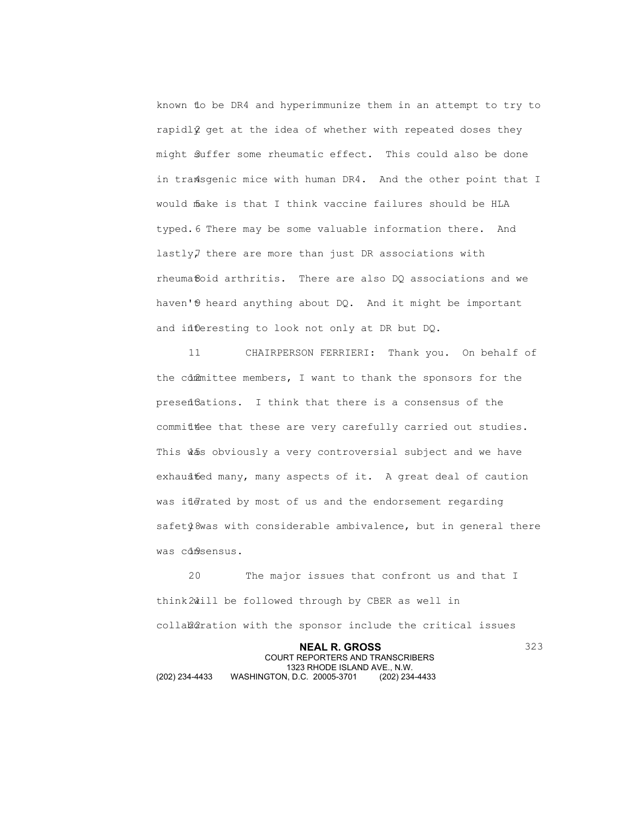known flo be DR4 and hyperimmunize them in an attempt to try to rapidl $\varphi$  get at the idea of whether with repeated doses they might Suffer some rheumatic effect. This could also be done in transgenic mice with human DR4. And the other point that I would make is that I think vaccine failures should be HLA typed. 6 There may be some valuable information there. And lastly,7 there are more than just DR associations with rheumatoid arthritis. There are also DQ associations and we haven't heard anything about DO. And it might be important and interesting to look not only at DR but DQ.

11 CHAIRPERSON FERRIERI: Thank you. On behalf of the cdm2mittee members, I want to thank the sponsors for the present Bations. I think that there is a consensus of the committee that these are very carefully carried out studies. This was obviously a very controversial subject and we have exhaust fed many, many aspects of it. A great deal of caution was iflerated by most of us and the endorsement regarding  $s$ afet $\hat{y}$  &was with considerable ambivalence, but in general there was compsensus.

20 The major issues that confront us and that I think 2will be followed through by CBER as well in collab@ration with the sponsor include the critical issues

**NEAL R. GROSS** COURT REPORTERS AND TRANSCRIBERS 1323 RHODE ISLAND AVE., N.W. (202) 234-4433 WASHINGTON, D.C. 20005-3701 (202) 234-4433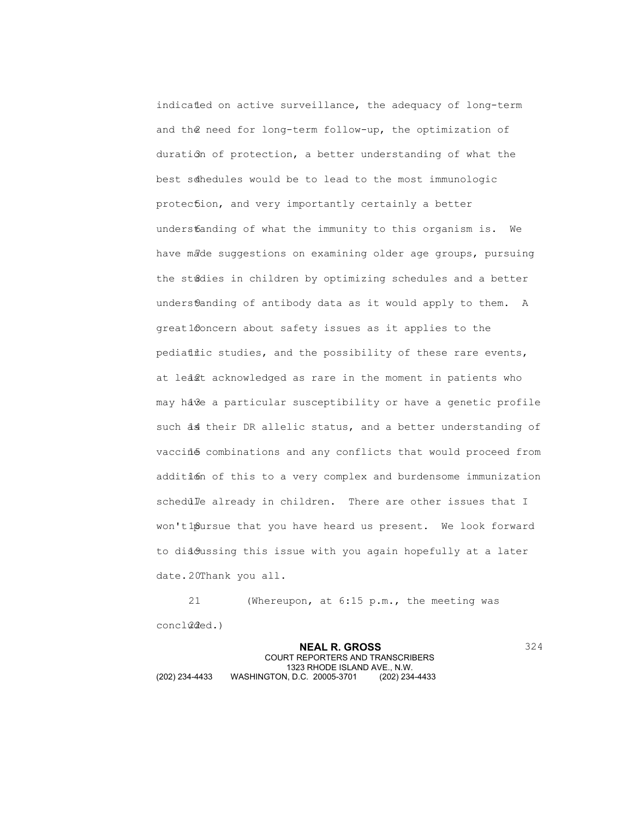indicated on active surveillance, the adequacy of long-term and the need for long-term follow-up, the optimization of duration of protection, a better understanding of what the best schedules would be to lead to the most immunologic protection, and very importantly certainly a better understanding of what the immunity to this organism is. We have made suggestions on examining older age groups, pursuing the studies in children by optimizing schedules and a better understanding of antibody data as it would apply to them. A great 100ncern about safety issues as it applies to the pediatitic studies, and the possibility of these rare events, at led ft acknowledged as rare in the moment in patients who may have a particular susceptibility or have a genetic profile such as their DR allelic status, and a better understanding of vaccine combinations and any conflicts that would proceed from addition of this to a very complex and burdensome immunization schedulle already in children. There are other issues that I won't løursue that you have heard us present. We look forward to disoussing this issue with you again hopefully at a later date. 20Thank you all.

21 (Whereupon, at 6:15 p.m., the meeting was concluded.)

**NEAL R. GROSS** COURT REPORTERS AND TRANSCRIBERS 1323 RHODE ISLAND AVE., N.W. (202) 234-4433 WASHINGTON, D.C. 20005-3701 (202) 234-4433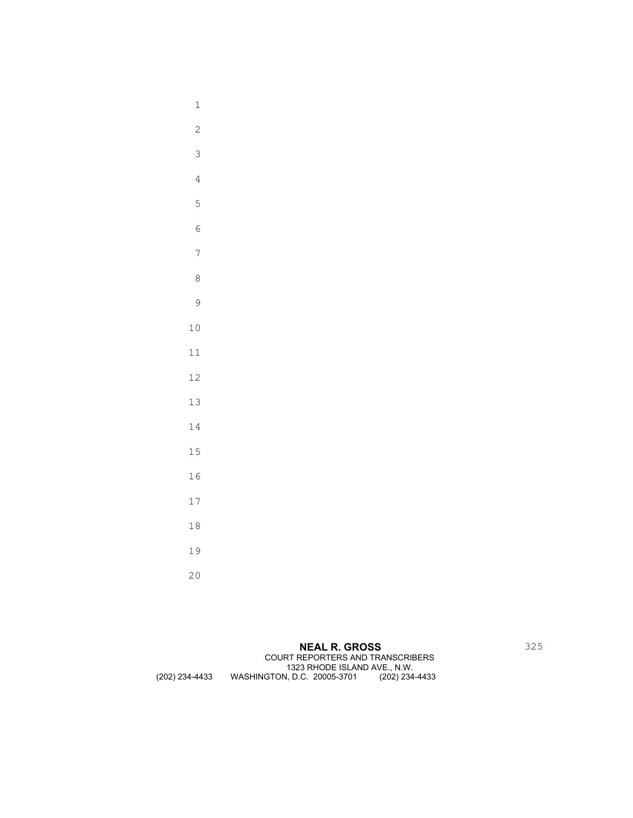## **NEAL R. GROSS** COURT REPORTERS AND TRANSCRIBERS 1323 RHODE ISLAND AVE., N.W. (202) 234-4433 WASHINGTON, D.C. 20005-3701 (202) 234-4433